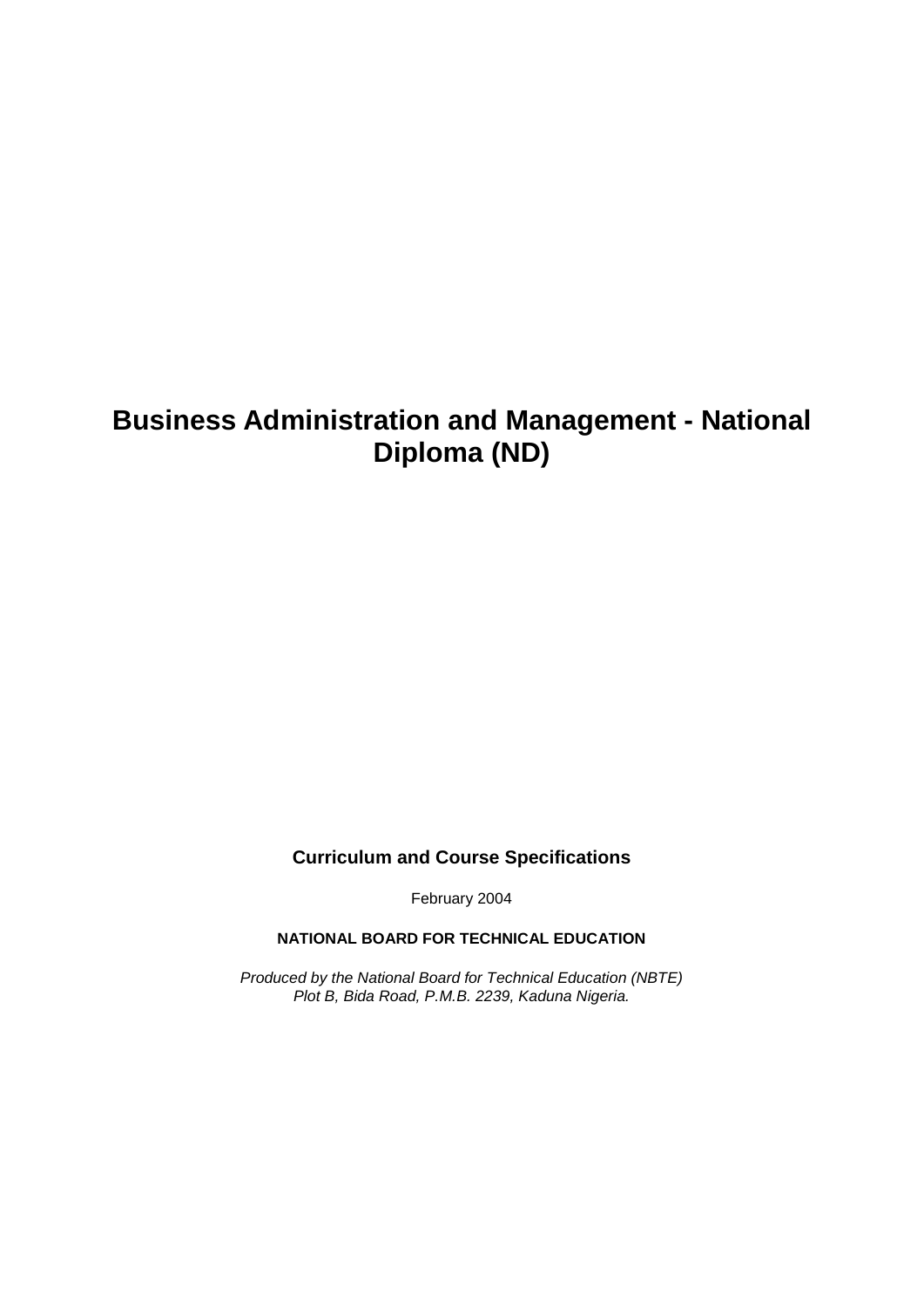# **Business Administration and Management - National Diploma (ND)**

### **Curriculum and Course Specifications**

February 2004

**NATIONAL BOARD FOR TECHNICAL EDUCATION**

*Produced by the National Board for Technical Education (NBTE) Plot B, Bida Road, P.M.B. 2239, Kaduna Nigeria.*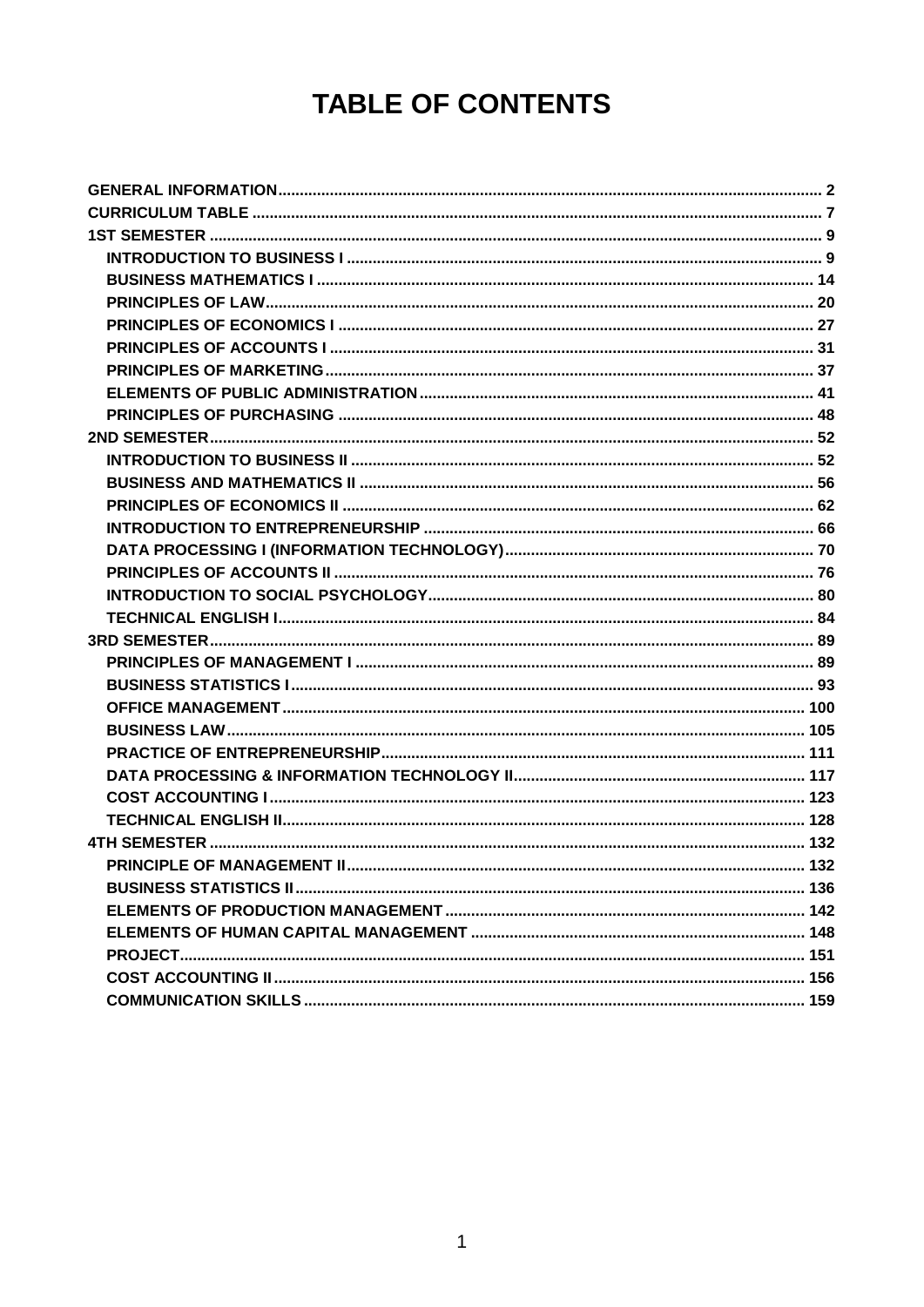# **TABLE OF CONTENTS**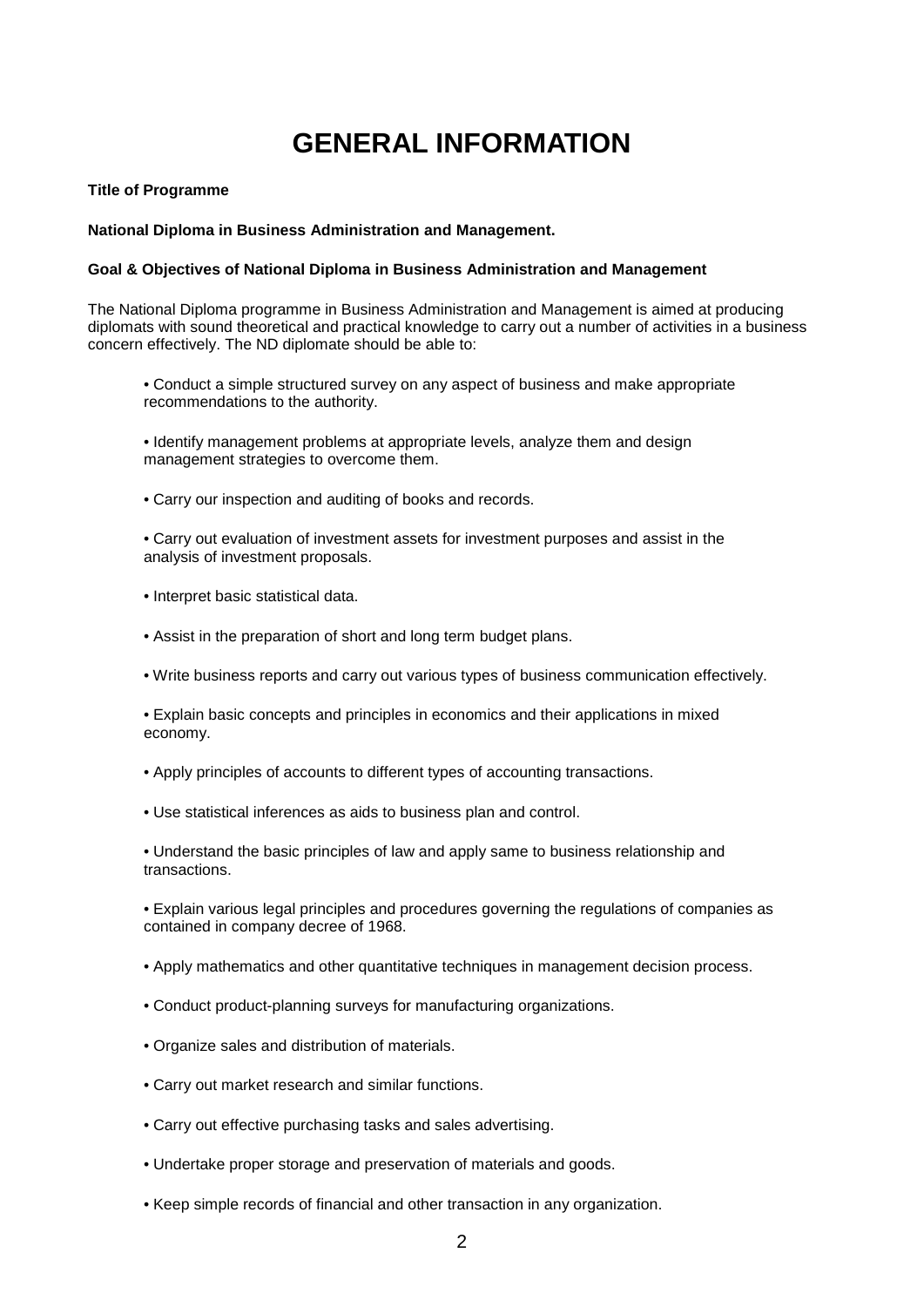# **GENERAL INFORMATION**

#### **Title of Programme**

#### **National Diploma in Business Administration and Management.**

#### **Goal & Objectives of National Diploma in Business Administration and Management**

The National Diploma programme in Business Administration and Management is aimed at producing diplomats with sound theoretical and practical knowledge to carry out a number of activities in a business concern effectively. The ND diplomate should be able to:

- Conduct a simple structured survey on any aspect of business and make appropriate recommendations to the authority.
- Identify management problems at appropriate levels, analyze them and design management strategies to overcome them.
- Carry our inspection and auditing of books and records.

• Carry out evaluation of investment assets for investment purposes and assist in the analysis of investment proposals.

- Interpret basic statistical data.
- Assist in the preparation of short and long term budget plans.
- Write business reports and carry out various types of business communication effectively.
- Explain basic concepts and principles in economics and their applications in mixed economy.
- Apply principles of accounts to different types of accounting transactions.
- Use statistical inferences as aids to business plan and control.

• Understand the basic principles of law and apply same to business relationship and transactions.

• Explain various legal principles and procedures governing the regulations of companies as contained in company decree of 1968.

- Apply mathematics and other quantitative techniques in management decision process.
- Conduct product-planning surveys for manufacturing organizations.
- Organize sales and distribution of materials.
- Carry out market research and similar functions.
- Carry out effective purchasing tasks and sales advertising.
- Undertake proper storage and preservation of materials and goods.
- Keep simple records of financial and other transaction in any organization.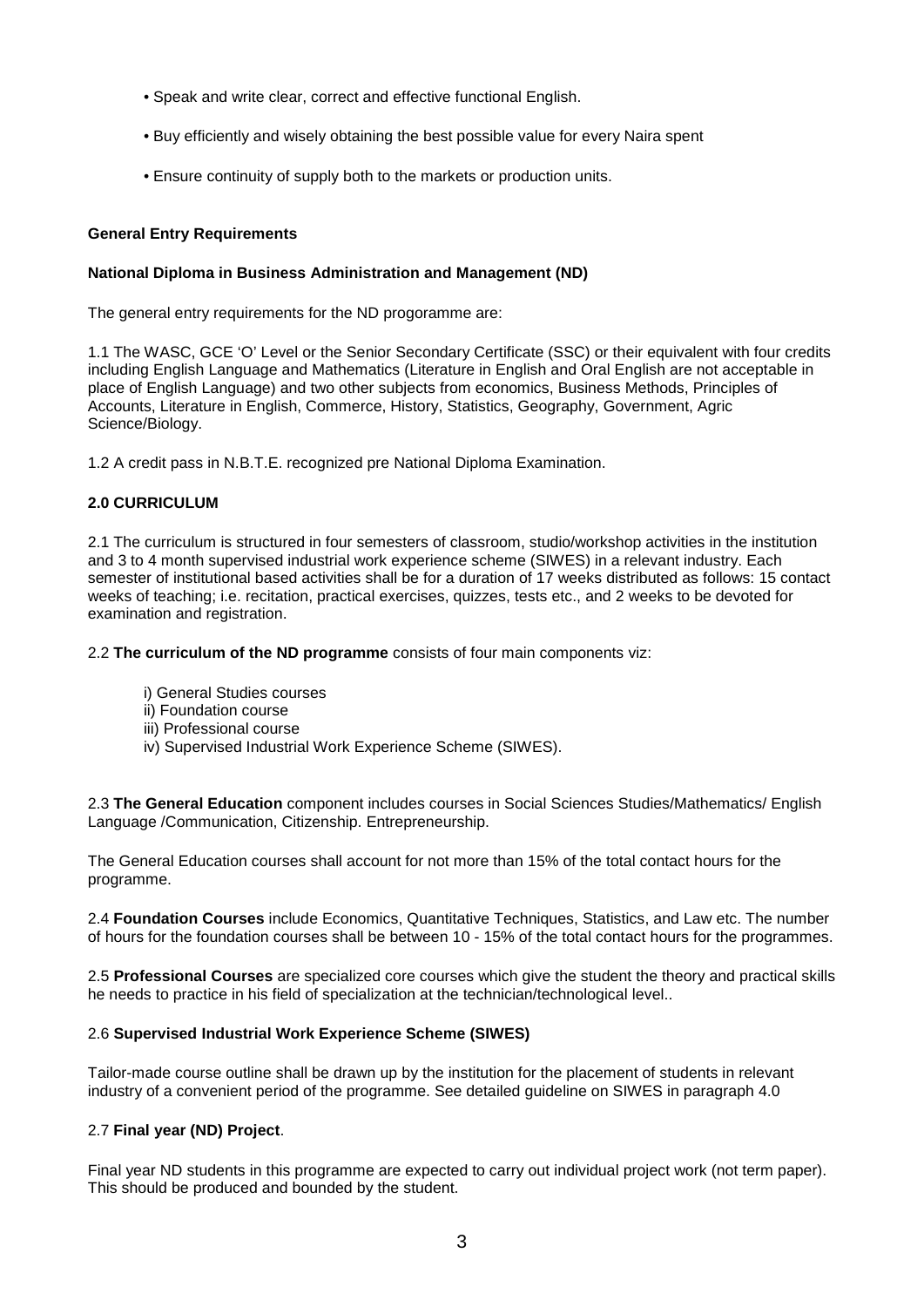- Speak and write clear, correct and effective functional English.
- Buy efficiently and wisely obtaining the best possible value for every Naira spent
- Ensure continuity of supply both to the markets or production units.

#### **General Entry Requirements**

#### **National Diploma in Business Administration and Management (ND)**

The general entry requirements for the ND progoramme are:

1.1 The WASC, GCE 'O' Level or the Senior Secondary Certificate (SSC) or their equivalent with four credits including English Language and Mathematics (Literature in English and Oral English are not acceptable in place of English Language) and two other subjects from economics, Business Methods, Principles of Accounts, Literature in English, Commerce, History, Statistics, Geography, Government, Agric Science/Biology.

1.2 A credit pass in N.B.T.E. recognized pre National Diploma Examination.

#### **2.0 CURRICULUM**

2.1 The curriculum is structured in four semesters of classroom, studio/workshop activities in the institution and 3 to 4 month supervised industrial work experience scheme (SIWES) in a relevant industry. Each semester of institutional based activities shall be for a duration of 17 weeks distributed as follows: 15 contact weeks of teaching; i.e. recitation, practical exercises, quizzes, tests etc., and 2 weeks to be devoted for examination and registration.

2.2 **The curriculum of the ND programme** consists of four main components viz:

- i) General Studies courses
- ii) Foundation course
- iii) Professional course
- iv) Supervised Industrial Work Experience Scheme (SIWES).

2.3 **The General Education** component includes courses in Social Sciences Studies/Mathematics/ English Language /Communication, Citizenship. Entrepreneurship.

The General Education courses shall account for not more than 15% of the total contact hours for the programme.

2.4 **Foundation Courses** include Economics, Quantitative Techniques, Statistics, and Law etc. The number of hours for the foundation courses shall be between 10 - 15% of the total contact hours for the programmes.

2.5 **Professional Courses** are specialized core courses which give the student the theory and practical skills he needs to practice in his field of specialization at the technician/technological level..

#### 2.6 **Supervised Industrial Work Experience Scheme (SIWES)**

Tailor-made course outline shall be drawn up by the institution for the placement of students in relevant industry of a convenient period of the programme. See detailed guideline on SIWES in paragraph 4.0

#### 2.7 **Final year (ND) Project**.

Final year ND students in this programme are expected to carry out individual project work (not term paper). This should be produced and bounded by the student.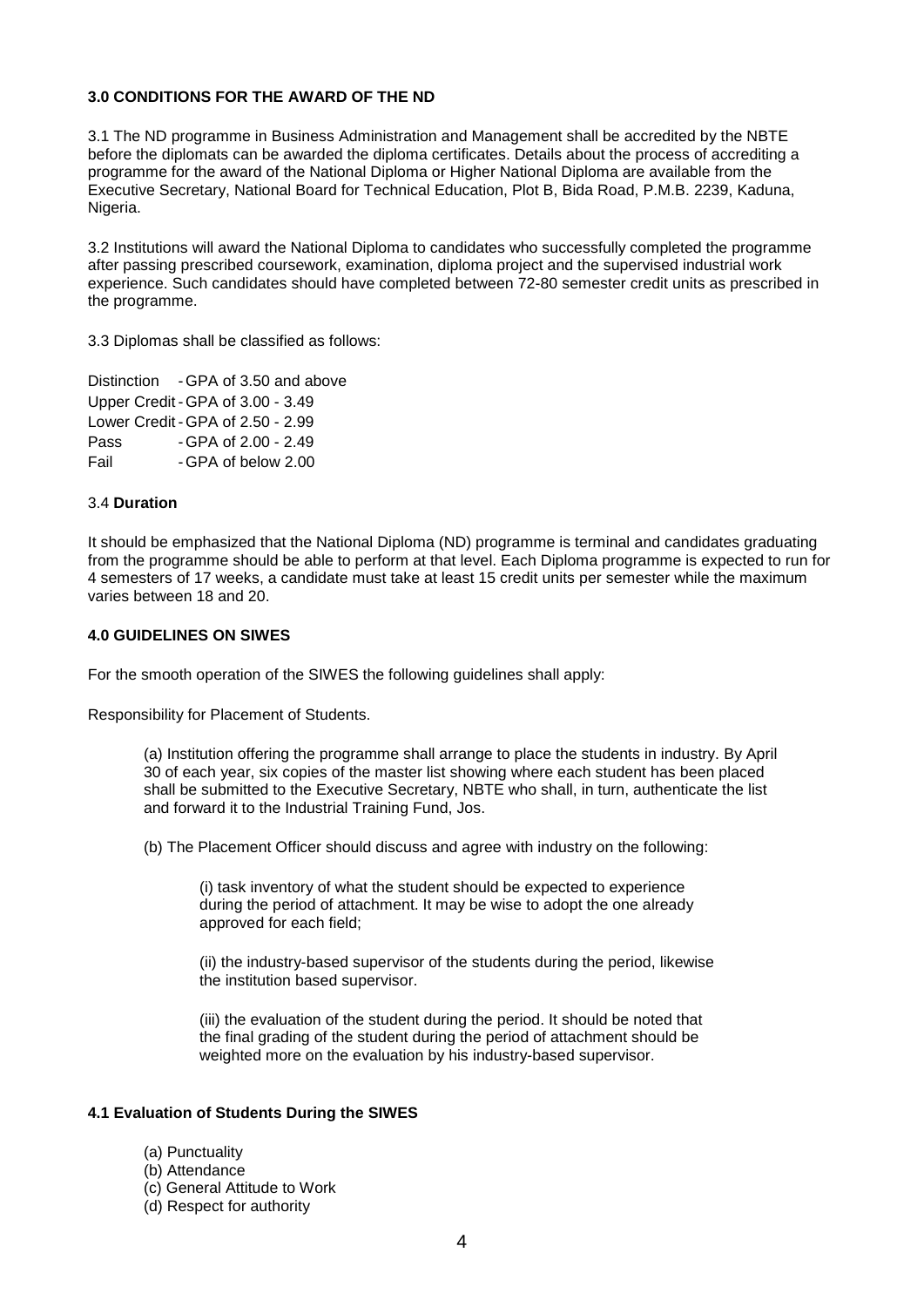#### **3.0 CONDITIONS FOR THE AWARD OF THE ND**

3.1 The ND programme in Business Administration and Management shall be accredited by the NBTE before the diplomats can be awarded the diploma certificates. Details about the process of accrediting a programme for the award of the National Diploma or Higher National Diploma are available from the Executive Secretary, National Board for Technical Education, Plot B, Bida Road, P.M.B. 2239, Kaduna, Nigeria.

3.2 Institutions will award the National Diploma to candidates who successfully completed the programme after passing prescribed coursework, examination, diploma project and the supervised industrial work experience. Such candidates should have completed between 72-80 semester credit units as prescribed in the programme.

3.3 Diplomas shall be classified as follows:

Distinction - GPA of 3.50 and above Upper Credit - GPA of 3.00 - 3.49 Lower Credit - GPA of 2.50 - 2.99 Pass - GPA of 2.00 - 2.49 Fail - GPA of below 2.00

#### 3.4 **Duration**

It should be emphasized that the National Diploma (ND) programme is terminal and candidates graduating from the programme should be able to perform at that level. Each Diploma programme is expected to run for 4 semesters of 17 weeks, a candidate must take at least 15 credit units per semester while the maximum varies between 18 and 20.

#### **4.0 GUIDELINES ON SIWES**

For the smooth operation of the SIWES the following guidelines shall apply:

Responsibility for Placement of Students.

(a) Institution offering the programme shall arrange to place the students in industry. By April 30 of each year, six copies of the master list showing where each student has been placed shall be submitted to the Executive Secretary, NBTE who shall, in turn, authenticate the list and forward it to the Industrial Training Fund, Jos.

(b) The Placement Officer should discuss and agree with industry on the following:

(i) task inventory of what the student should be expected to experience during the period of attachment. It may be wise to adopt the one already approved for each field;

(ii) the industry-based supervisor of the students during the period, likewise the institution based supervisor.

(iii) the evaluation of the student during the period. It should be noted that the final grading of the student during the period of attachment should be weighted more on the evaluation by his industry-based supervisor.

#### **4.1 Evaluation of Students During the SIWES**

(a) Punctuality

- (b) Attendance
- (c) General Attitude to Work
- (d) Respect for authority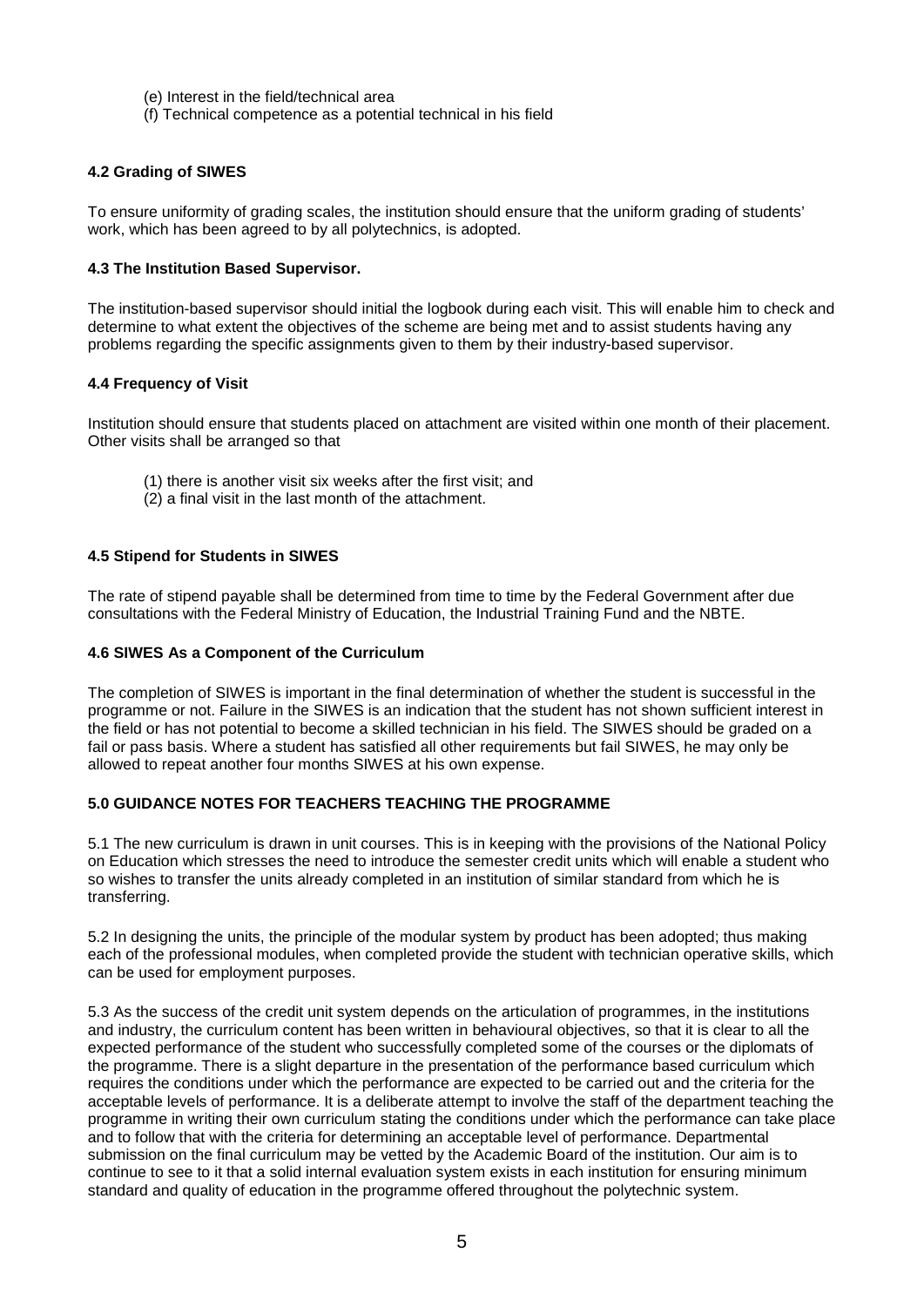- (e) Interest in the field/technical area
- (f) Technical competence as a potential technical in his field

#### **4.2 Grading of SIWES**

To ensure uniformity of grading scales, the institution should ensure that the uniform grading of students' work, which has been agreed to by all polytechnics, is adopted.

#### **4.3 The Institution Based Supervisor.**

The institution-based supervisor should initial the logbook during each visit. This will enable him to check and determine to what extent the objectives of the scheme are being met and to assist students having any problems regarding the specific assignments given to them by their industry-based supervisor.

#### **4.4 Frequency of Visit**

Institution should ensure that students placed on attachment are visited within one month of their placement. Other visits shall be arranged so that

- (1) there is another visit six weeks after the first visit; and
- (2) a final visit in the last month of the attachment.

#### **4.5 Stipend for Students in SIWES**

The rate of stipend payable shall be determined from time to time by the Federal Government after due consultations with the Federal Ministry of Education, the Industrial Training Fund and the NBTE.

#### **4.6 SIWES As a Component of the Curriculum**

The completion of SIWES is important in the final determination of whether the student is successful in the programme or not. Failure in the SIWES is an indication that the student has not shown sufficient interest in the field or has not potential to become a skilled technician in his field. The SIWES should be graded on a fail or pass basis. Where a student has satisfied all other requirements but fail SIWES, he may only be allowed to repeat another four months SIWES at his own expense.

#### **5.0 GUIDANCE NOTES FOR TEACHERS TEACHING THE PROGRAMME**

5.1 The new curriculum is drawn in unit courses. This is in keeping with the provisions of the National Policy on Education which stresses the need to introduce the semester credit units which will enable a student who so wishes to transfer the units already completed in an institution of similar standard from which he is transferring.

5.2 In designing the units, the principle of the modular system by product has been adopted; thus making each of the professional modules, when completed provide the student with technician operative skills, which can be used for employment purposes.

5.3 As the success of the credit unit system depends on the articulation of programmes, in the institutions and industry, the curriculum content has been written in behavioural objectives, so that it is clear to all the expected performance of the student who successfully completed some of the courses or the diplomats of the programme. There is a slight departure in the presentation of the performance based curriculum which requires the conditions under which the performance are expected to be carried out and the criteria for the acceptable levels of performance. It is a deliberate attempt to involve the staff of the department teaching the programme in writing their own curriculum stating the conditions under which the performance can take place and to follow that with the criteria for determining an acceptable level of performance. Departmental submission on the final curriculum may be vetted by the Academic Board of the institution. Our aim is to continue to see to it that a solid internal evaluation system exists in each institution for ensuring minimum standard and quality of education in the programme offered throughout the polytechnic system.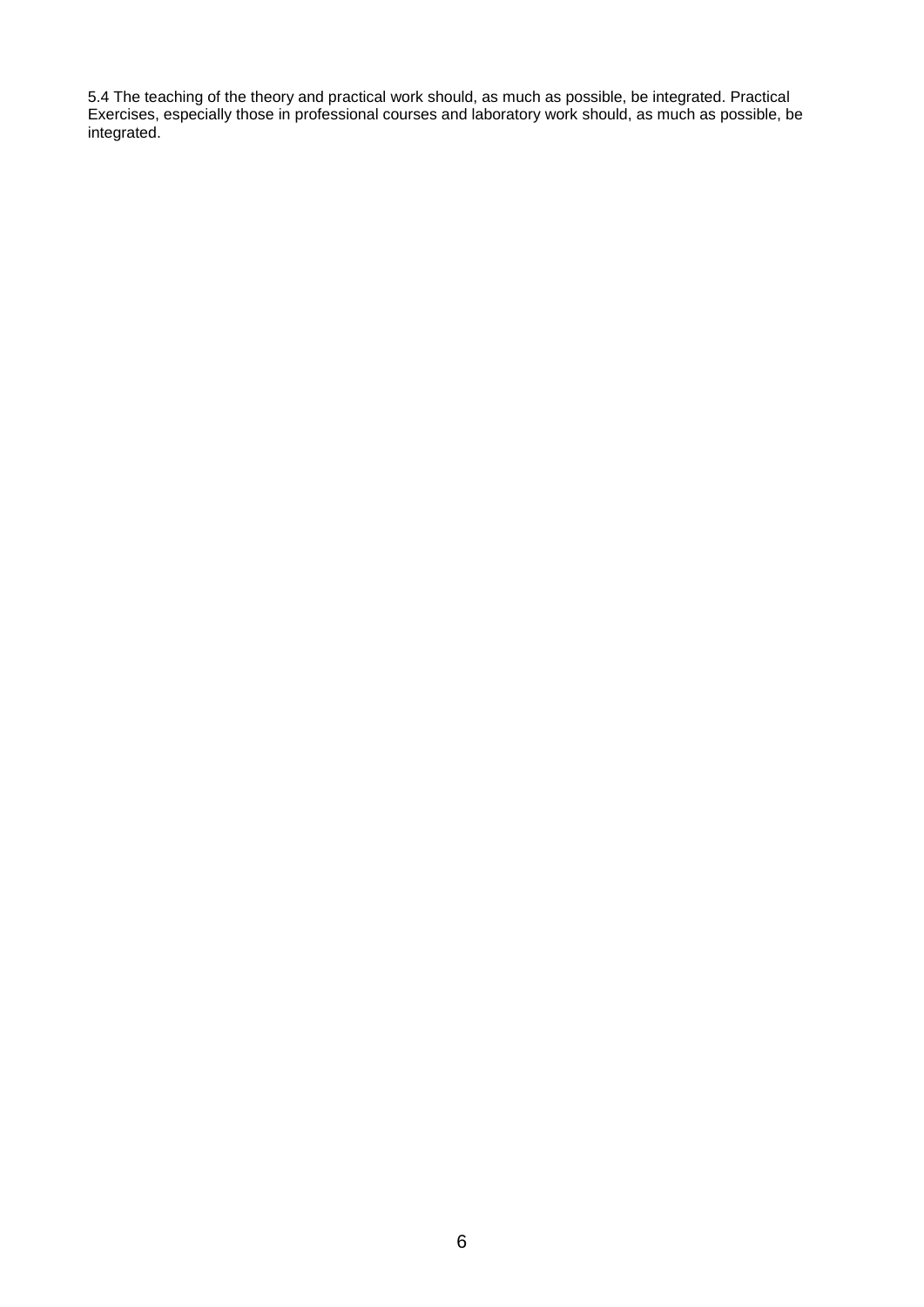5.4 The teaching of the theory and practical work should, as much as possible, be integrated. Practical Exercises, especially those in professional courses and laboratory work should, as much as possible, be integrated.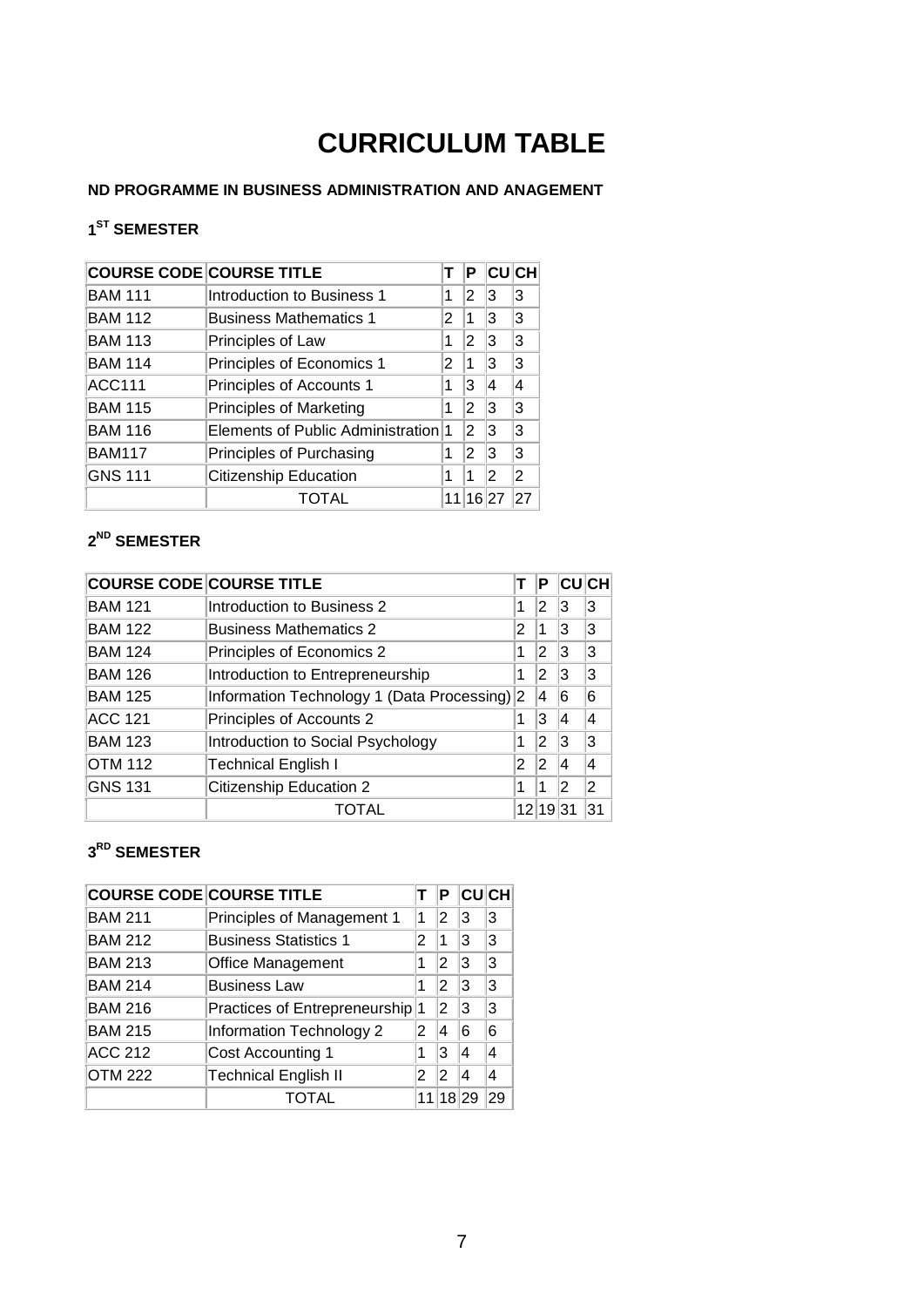# **CURRICULUM TABLE**

#### **ND PROGRAMME IN BUSINESS ADMINISTRATION AND ANAGEMENT**

### **1ST SEMESTER**

| <b>COURSE CODE COURSE TITLE</b> |                                     |   | Р     | <b>CU</b> CH |    |
|---------------------------------|-------------------------------------|---|-------|--------------|----|
| <b>BAM 111</b>                  | Introduction to Business 1          | 1 | 2     | 3            | l3 |
| <b>BAM 112</b>                  | <b>Business Mathematics 1</b>       | 2 | 1     | 3            | l3 |
| <b>BAM 113</b>                  | Principles of Law                   | 1 | 2     | 3            | l3 |
| <b>BAM 114</b>                  | Principles of Economics 1           | 2 | 1     | 3            | 3  |
| <b>ACC111</b>                   | Principles of Accounts 1            | 1 | 3     | 4            | 4  |
| <b>BAM 115</b>                  | <b>Principles of Marketing</b>      | 1 | 2     | 3            | 3  |
| <b>BAM 116</b>                  | Elements of Public Administration 1 |   | 2     | 3            | l3 |
| <b>BAM117</b>                   | Principles of Purchasing            | 1 | 2     | 3            | з  |
| <b>GNS 111</b>                  | <b>Citizenship Education</b>        |   | 1     | 2            | 2  |
|                                 | TOTAL                               |   | 16 27 |              |    |

### **2ND SEMESTER**

|                | <b>COURSE CODE COURSE TITLE</b>            |       | Р   |    | <b>CUCH</b> |
|----------------|--------------------------------------------|-------|-----|----|-------------|
| <b>BAM 121</b> | Introduction to Business 2                 | 1     | 2   | 3  | 3           |
| <b>BAM 122</b> | <b>Business Mathematics 2</b>              | 2     |     | 3  | 3           |
| <b>BAM 124</b> | Principles of Economics 2                  | 1     | 2   | 3  | 3           |
| <b>BAM 126</b> | Introduction to Entrepreneurship           | 1     | 2   | 3  | 3           |
| <b>BAM 125</b> | Information Technology 1 (Data Processing) | 12    | 14  | 6  | 6           |
| <b>ACC 121</b> | Principles of Accounts 2                   | 1     | 3   | 4  | 4           |
| <b>BAM 123</b> | Introduction to Social Psychology          | 1     | 2   | 3  | 3           |
| <b>OTM 112</b> | <b>Technical English I</b>                 | 2     | 2   | 4  | 4           |
| <b>GNS 131</b> | <b>Citizenship Education 2</b>             |       |     |    | 2           |
|                |                                            | 12 19 | 131 | 31 |             |

### **3RD SEMESTER**

| <b>COURSE CODE COURSE TITLE</b> |                                            |   | Р      |   | <b>CU</b> CH |
|---------------------------------|--------------------------------------------|---|--------|---|--------------|
| <b>BAM 211</b>                  | Principles of Management 1                 | 1 | 2      | 3 | 3            |
| <b>BAM 212</b>                  | <b>Business Statistics 1</b>               | 2 | 1      | 3 | 3            |
| <b>BAM 213</b>                  | <b>Office Management</b>                   | 1 | 2      | 3 | 3            |
| <b>BAM 214</b>                  | <b>Business Law</b>                        | 1 | 2      | 3 | 3            |
| <b>BAM 216</b>                  | Practices of Entrepreneurship <sup>1</sup> |   | 2      | 3 | з            |
| <b>BAM 215</b>                  | Information Technology 2                   | 2 | 4      | 6 | 6            |
| <b>ACC 212</b>                  | <b>Cost Accounting 1</b>                   |   | 3      | 4 |              |
| <b>OTM 222</b>                  | <b>Technical English II</b>                |   | 2      | 4 |              |
| TOTAL                           |                                            |   | 8<br>1 |   |              |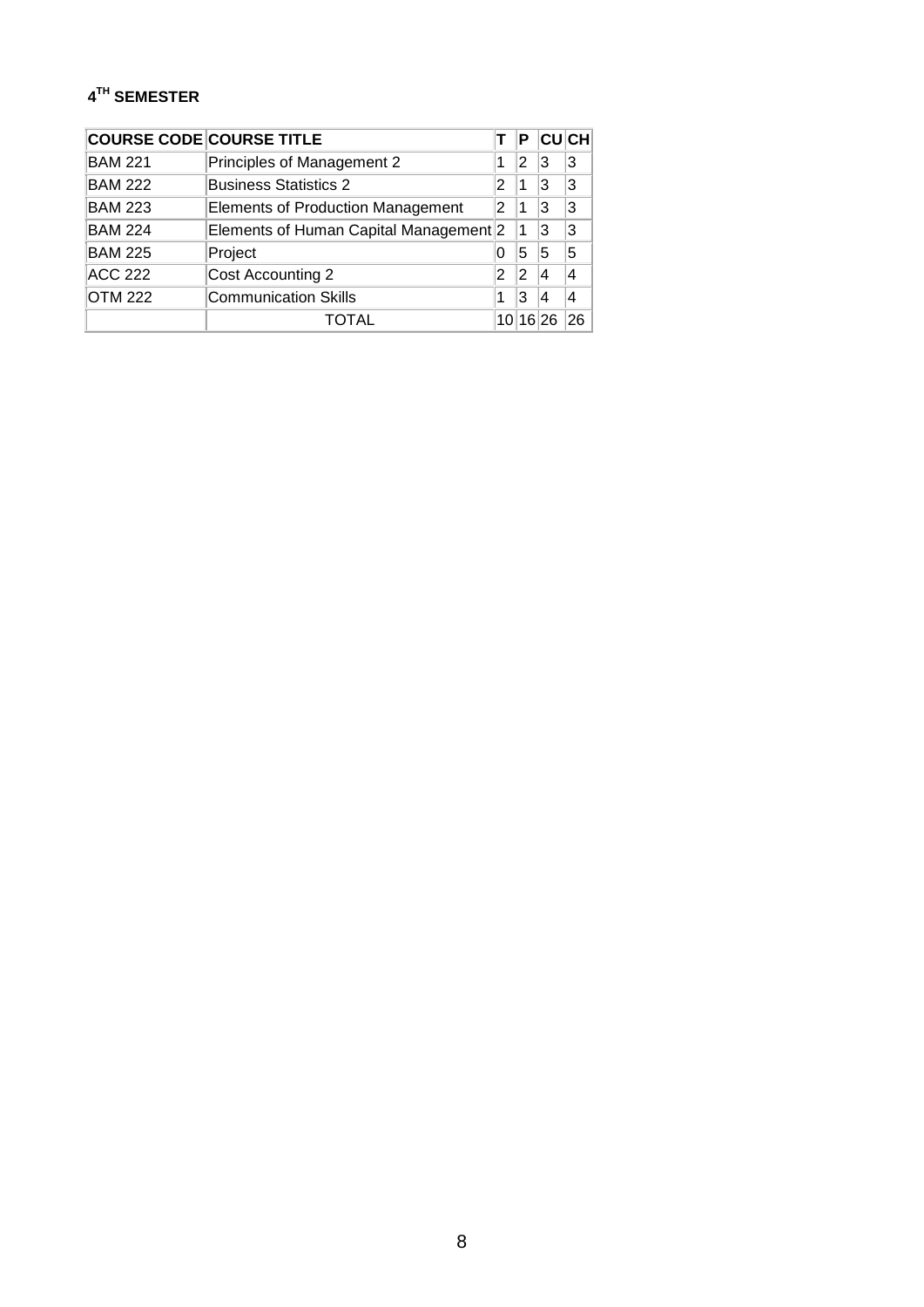### **4TH SEMESTER**

|                | <b>COURSE CODE COURSE TITLE</b>        |          | Р  |    | <b>CU</b> CH             |
|----------------|----------------------------------------|----------|----|----|--------------------------|
| <b>BAM 221</b> | Principles of Management 2             | 1        | 2  | 13 | 3                        |
| <b>BAM 222</b> | <b>Business Statistics 2</b>           | 2        |    | 13 | 3                        |
| <b>BAM 223</b> | Elements of Production Management      | 2        |    | l3 | 3                        |
| <b>BAM 224</b> | Elements of Human Capital Management 2 |          | ∣1 | 13 | 3                        |
| <b>BAM 225</b> | Project                                | O        | 5  | 5  | 5                        |
| <b>ACC 222</b> | Cost Accounting 2                      | 2        | 12 |    | $\overline{\mathcal{A}}$ |
| <b>OTM 222</b> | <b>Communication Skills</b>            |          | З  |    | 4                        |
|                |                                        | 10 16 26 |    |    |                          |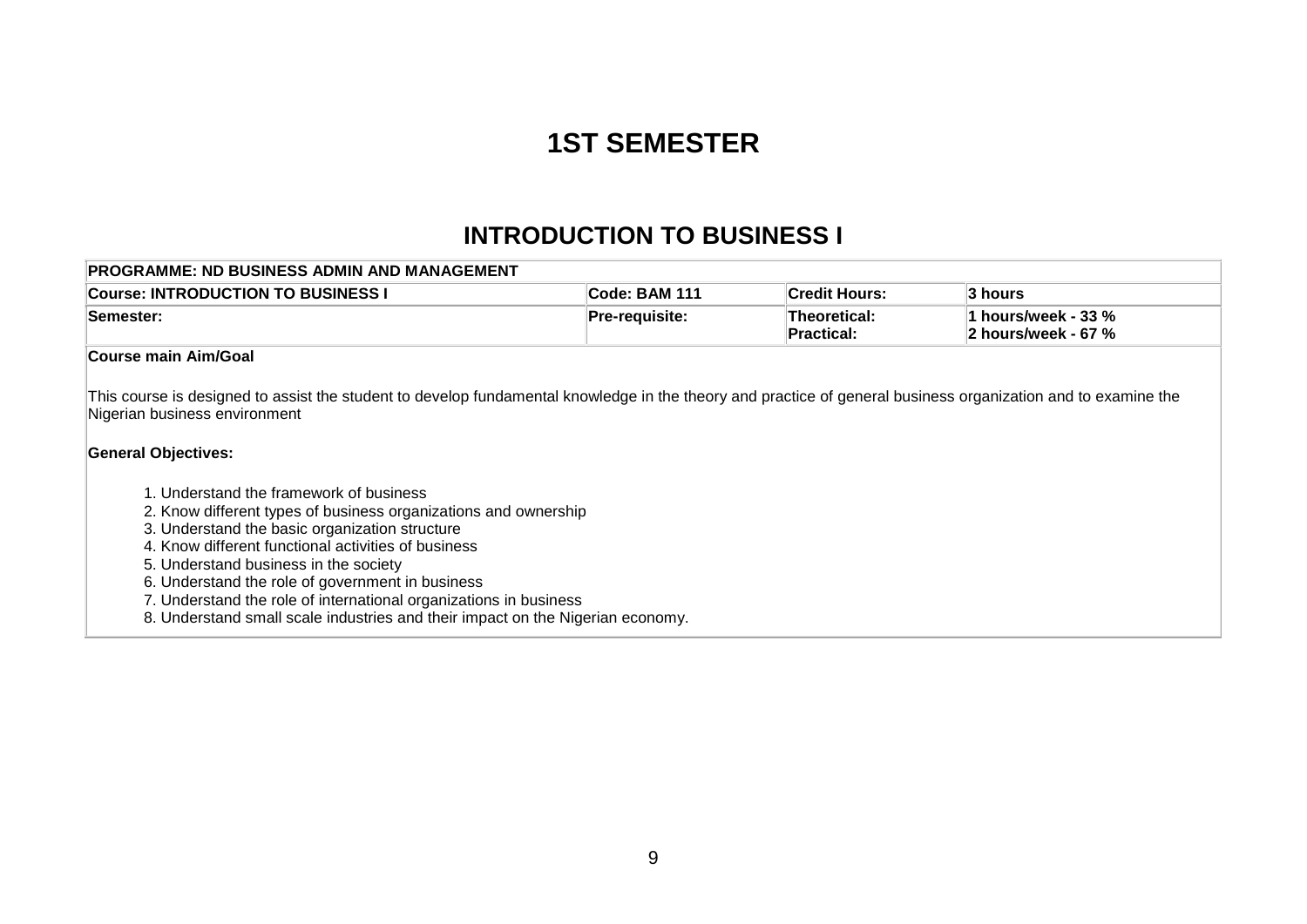# **1ST SEMESTER**

## **INTRODUCTION TO BUSINESS I**

| PROGRAMME: ND BUSINESS ADMIN AND MANAGEMENT                                                                                                                                                                                                                                                                                                                                                                                                                                                                                                                                                                                                                                                             |                |                                          |                     |
|---------------------------------------------------------------------------------------------------------------------------------------------------------------------------------------------------------------------------------------------------------------------------------------------------------------------------------------------------------------------------------------------------------------------------------------------------------------------------------------------------------------------------------------------------------------------------------------------------------------------------------------------------------------------------------------------------------|----------------|------------------------------------------|---------------------|
| <b>Course: INTRODUCTION TO BUSINESS I</b>                                                                                                                                                                                                                                                                                                                                                                                                                                                                                                                                                                                                                                                               | Code: BAM 111  | <b>Credit Hours:</b>                     | 3 hours             |
| Semester:                                                                                                                                                                                                                                                                                                                                                                                                                                                                                                                                                                                                                                                                                               | Pre-requisite: | <b>Theoretical:</b><br><b>Practical:</b> | 2 hours/week - 67 % |
| Course main Aim/Goal                                                                                                                                                                                                                                                                                                                                                                                                                                                                                                                                                                                                                                                                                    |                |                                          |                     |
| This course is designed to assist the student to develop fundamental knowledge in the theory and practice of general business organization and to examine the<br>Nigerian business environment<br><b>General Objectives:</b><br>1. Understand the framework of business<br>2. Know different types of business organizations and ownership<br>3. Understand the basic organization structure<br>4. Know different functional activities of business<br>5. Understand business in the society<br>6. Understand the role of government in business<br>7. Understand the role of international organizations in business<br>8. Understand small scale industries and their impact on the Nigerian economy. |                |                                          |                     |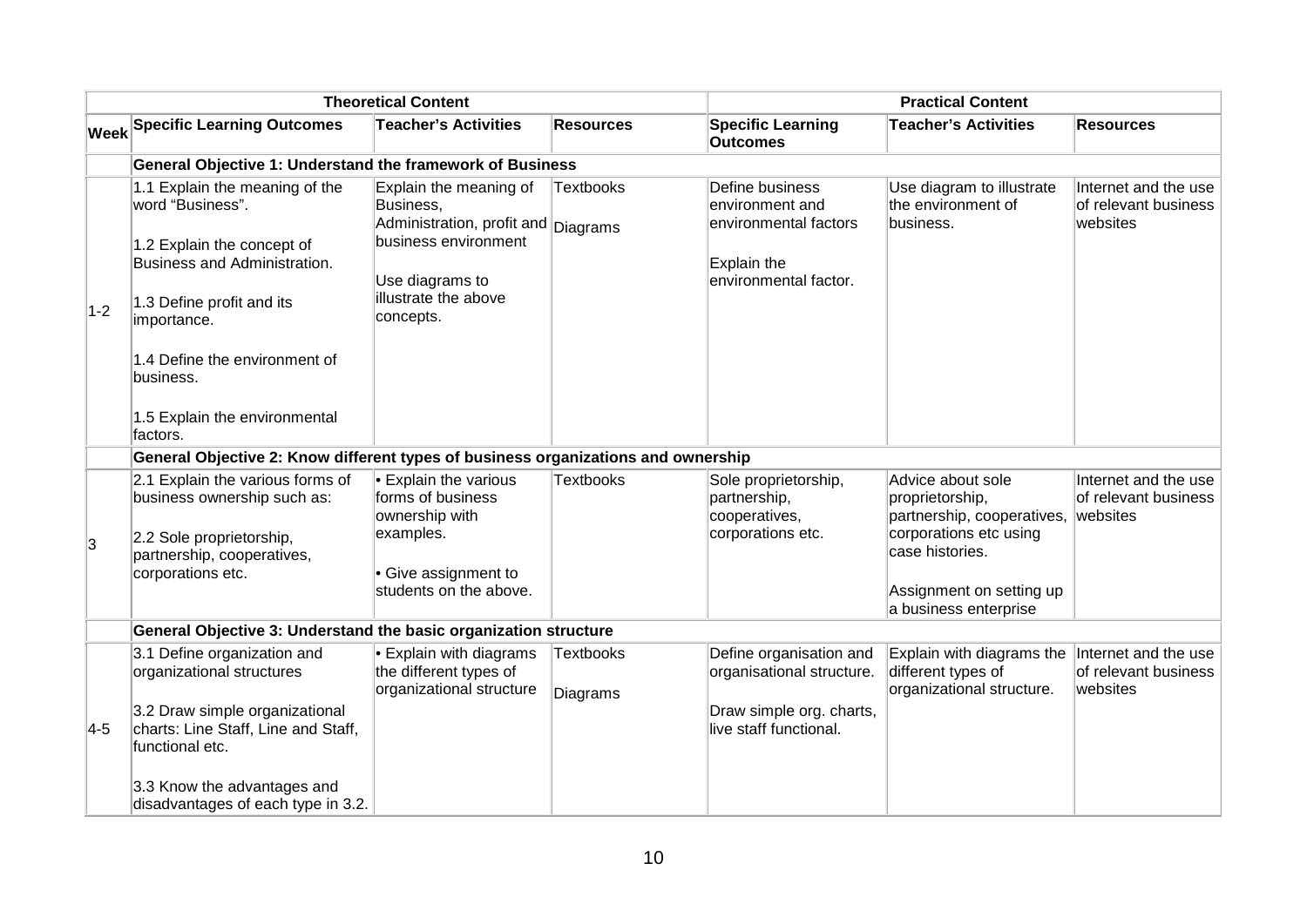| <b>Theoretical Content</b> |                                                                                                                                                              |                                                                                                                                                            |                       | <b>Practical Content</b>                                                                            |                                                                                                       |                                                          |  |
|----------------------------|--------------------------------------------------------------------------------------------------------------------------------------------------------------|------------------------------------------------------------------------------------------------------------------------------------------------------------|-----------------------|-----------------------------------------------------------------------------------------------------|-------------------------------------------------------------------------------------------------------|----------------------------------------------------------|--|
|                            | <b>Week Specific Learning Outcomes</b>                                                                                                                       | <b>Teacher's Activities</b>                                                                                                                                | <b>Resources</b>      | <b>Specific Learning</b><br><b>Outcomes</b>                                                         | <b>Teacher's Activities</b>                                                                           | <b>Resources</b>                                         |  |
|                            | General Objective 1: Understand the framework of Business                                                                                                    |                                                                                                                                                            |                       |                                                                                                     |                                                                                                       |                                                          |  |
| $1-2$                      | 1.1 Explain the meaning of the<br>word "Business".<br>1.2 Explain the concept of<br>Business and Administration.<br>1.3 Define profit and its<br>importance. | Explain the meaning of<br>Business,<br>Administration, profit and Diagrams<br>business environment<br>Use diagrams to<br>illustrate the above<br>concepts. | <b>Textbooks</b>      | Define business<br>environment and<br>environmental factors<br>Explain the<br>environmental factor. | Use diagram to illustrate<br>the environment of<br>business.                                          | Internet and the use<br>of relevant business<br>websites |  |
|                            | 1.4 Define the environment of<br>business.                                                                                                                   |                                                                                                                                                            |                       |                                                                                                     |                                                                                                       |                                                          |  |
|                            | 1.5 Explain the environmental<br>factors.                                                                                                                    |                                                                                                                                                            |                       |                                                                                                     |                                                                                                       |                                                          |  |
|                            | General Objective 2: Know different types of business organizations and ownership                                                                            |                                                                                                                                                            |                       |                                                                                                     |                                                                                                       |                                                          |  |
|                            | 2.1 Explain the various forms of<br>business ownership such as:<br>2.2 Sole proprietorship,                                                                  | $\cdot$ Explain the various<br>forms of business<br>ownership with<br>examples.                                                                            | <b>Textbooks</b>      | Sole proprietorship,<br>partnership,<br>cooperatives,<br>corporations etc.                          | Advice about sole<br>proprietorship,<br>partnership, cooperatives, websites<br>corporations etc using | Internet and the use<br>of relevant business             |  |
| 3                          | partnership, cooperatives,                                                                                                                                   |                                                                                                                                                            |                       |                                                                                                     | case histories.                                                                                       |                                                          |  |
|                            | corporations etc.                                                                                                                                            | • Give assignment to<br>students on the above.                                                                                                             |                       |                                                                                                     | Assignment on setting up<br>a business enterprise                                                     |                                                          |  |
|                            | General Objective 3: Understand the basic organization structure                                                                                             |                                                                                                                                                            |                       |                                                                                                     |                                                                                                       |                                                          |  |
|                            | 3.1 Define organization and<br>organizational structures                                                                                                     | $\cdot$ Explain with diagrams<br>the different types of<br>organizational structure                                                                        | Textbooks<br>Diagrams | Define organisation and<br>organisational structure.                                                | Explain with diagrams the<br>different types of<br>organizational structure.                          | Internet and the use<br>of relevant business<br>websites |  |
| $4-5$                      | 3.2 Draw simple organizational<br>charts: Line Staff, Line and Staff,<br>functional etc.                                                                     |                                                                                                                                                            |                       | Draw simple org. charts,<br>live staff functional.                                                  |                                                                                                       |                                                          |  |
|                            | 3.3 Know the advantages and<br>disadvantages of each type in 3.2.                                                                                            |                                                                                                                                                            |                       |                                                                                                     |                                                                                                       |                                                          |  |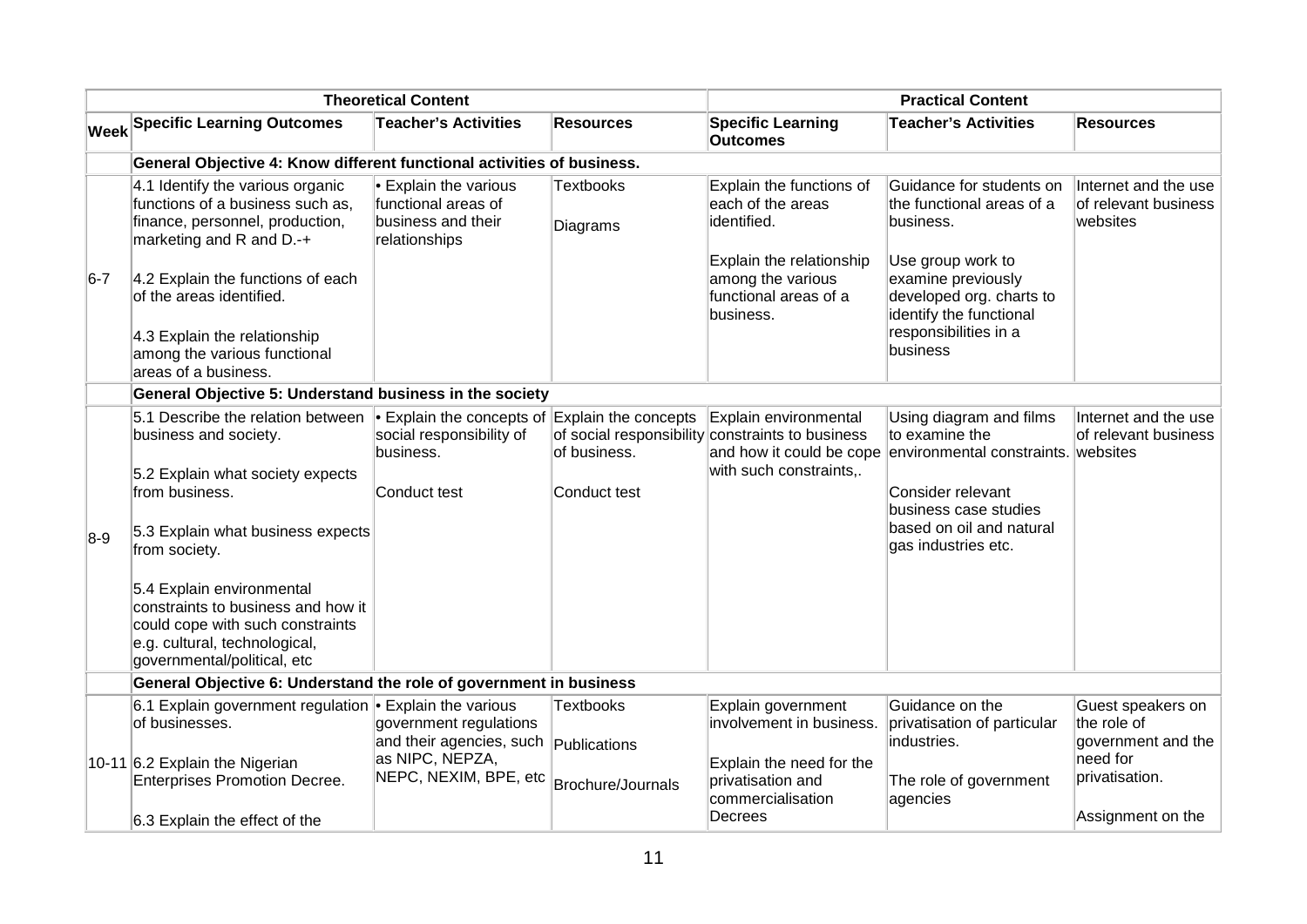|         |                                                                                                                                                                                                                                                                                                                                               | <b>Theoretical Content</b>                                                                                      |                                                       |                                                                                                                                                     | <b>Practical Content</b>                                                                                                                                                                                   |                                                                                                           |  |
|---------|-----------------------------------------------------------------------------------------------------------------------------------------------------------------------------------------------------------------------------------------------------------------------------------------------------------------------------------------------|-----------------------------------------------------------------------------------------------------------------|-------------------------------------------------------|-----------------------------------------------------------------------------------------------------------------------------------------------------|------------------------------------------------------------------------------------------------------------------------------------------------------------------------------------------------------------|-----------------------------------------------------------------------------------------------------------|--|
|         | <b>Week Specific Learning Outcomes</b>                                                                                                                                                                                                                                                                                                        | <b>Teacher's Activities</b>                                                                                     | <b>Resources</b>                                      | <b>Specific Learning</b><br><b>Outcomes</b>                                                                                                         | <b>Teacher's Activities</b>                                                                                                                                                                                | <b>Resources</b>                                                                                          |  |
|         | General Objective 4: Know different functional activities of business.                                                                                                                                                                                                                                                                        |                                                                                                                 |                                                       |                                                                                                                                                     |                                                                                                                                                                                                            |                                                                                                           |  |
| $ 6-7 $ | 4.1 Identify the various organic<br>functions of a business such as,<br>finance, personnel, production,<br>marketing and R and D.-+<br>4.2 Explain the functions of each<br>of the areas identified.<br>4.3 Explain the relationship<br>among the various functional<br>areas of a business.                                                  | Explain the various<br>functional areas of<br>business and their<br>relationships                               | <b>Textbooks</b><br>Diagrams                          | Explain the functions of<br>each of the areas<br>identified.<br>Explain the relationship<br>among the various<br>functional areas of a<br>business. | Guidance for students on<br>the functional areas of a<br>business.<br>Use group work to<br>examine previously<br>developed org. charts to<br>identify the functional<br>responsibilities in a<br>business  | Internet and the use<br>of relevant business<br>websites                                                  |  |
|         | General Objective 5: Understand business in the society                                                                                                                                                                                                                                                                                       |                                                                                                                 |                                                       |                                                                                                                                                     |                                                                                                                                                                                                            |                                                                                                           |  |
| $8-9$   | 5.1 Describe the relation between<br>business and society.<br>5.2 Explain what society expects<br>from business.<br>5.3 Explain what business expects<br>from society.<br>5.4 Explain environmental<br>constraints to business and how it<br>could cope with such constraints<br>e.g. cultural, technological,<br>governmental/political, etc | $\bullet$ Explain the concepts of Explain the concepts<br>social responsibility of<br>business.<br>Conduct test | of business.<br>Conduct test                          | Explain environmental<br>of social responsibility constraints to business<br>with such constraints,.                                                | Using diagram and films<br>to examine the<br>and how it could be cope environmental constraints. websites<br>Consider relevant<br>business case studies<br>based on oil and natural<br>gas industries etc. | Internet and the use<br>of relevant business                                                              |  |
|         | General Objective 6: Understand the role of government in business                                                                                                                                                                                                                                                                            |                                                                                                                 |                                                       |                                                                                                                                                     |                                                                                                                                                                                                            |                                                                                                           |  |
|         | 6.1 Explain government regulation • Explain the various<br>of businesses.<br>10-11 6.2 Explain the Nigerian<br><b>Enterprises Promotion Decree.</b><br>6.3 Explain the effect of the                                                                                                                                                          | government regulations<br>and their agencies, such<br>as NIPC, NEPZA,<br>NEPC, NEXIM, BPE, etc                  | <b>Textbooks</b><br>Publications<br>Brochure/Journals | Explain government<br>involvement in business.<br>Explain the need for the<br>privatisation and<br>commercialisation<br>Decrees                     | Guidance on the<br>privatisation of particular<br>industries.<br>The role of government<br>agencies                                                                                                        | Guest speakers on<br>the role of<br>government and the<br>need for<br>privatisation.<br>Assignment on the |  |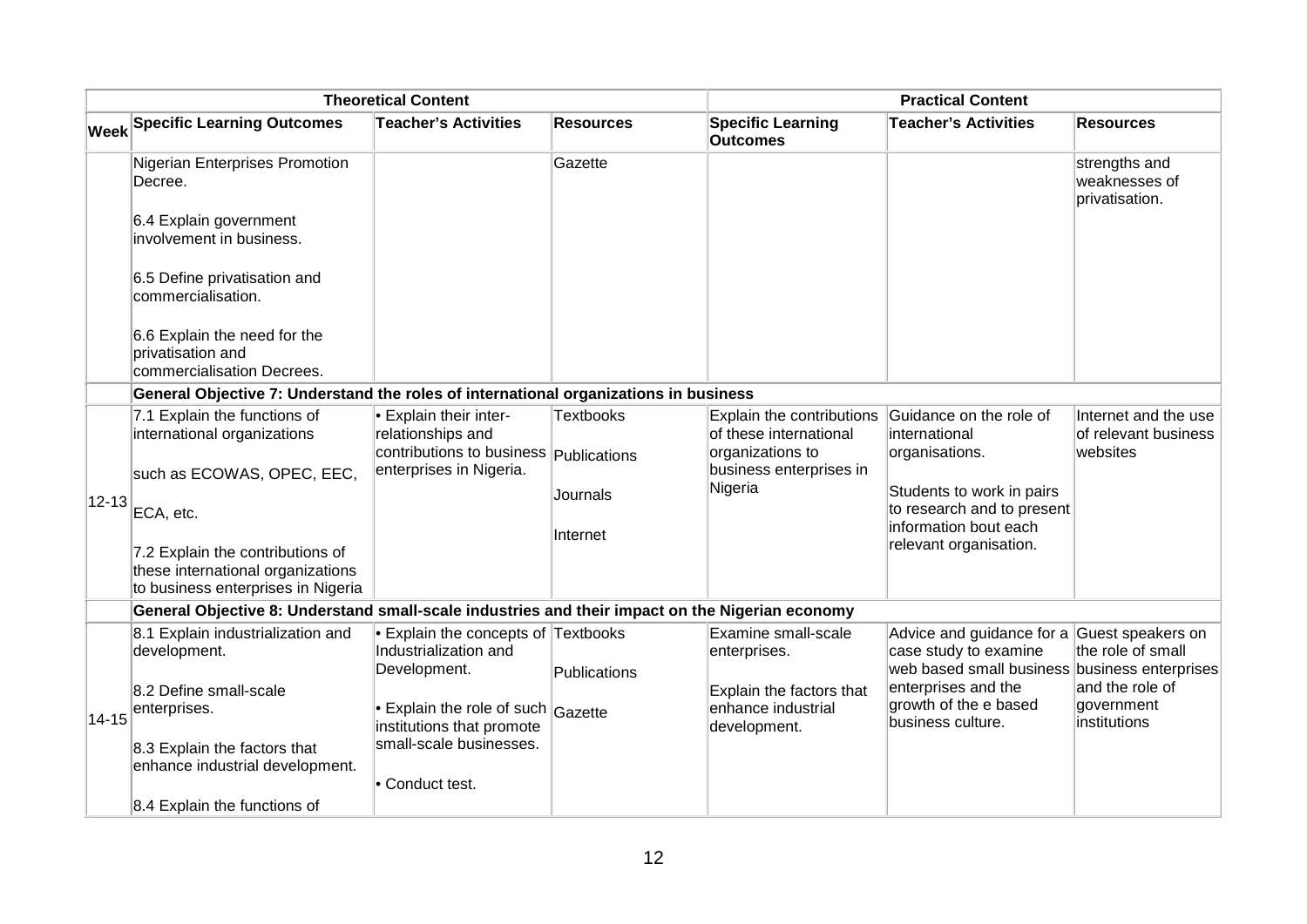|             |                                                                                                             | <b>Theoretical Content</b>                                                                        |                     | <b>Practical Content</b>                                                |                                                                                                  |                                                          |  |  |
|-------------|-------------------------------------------------------------------------------------------------------------|---------------------------------------------------------------------------------------------------|---------------------|-------------------------------------------------------------------------|--------------------------------------------------------------------------------------------------|----------------------------------------------------------|--|--|
|             | <b>Week Specific Learning Outcomes</b>                                                                      | <b>Teacher's Activities</b>                                                                       | <b>Resources</b>    | <b>Specific Learning</b><br><b>Outcomes</b>                             | <b>Teacher's Activities</b>                                                                      | Resources                                                |  |  |
|             | Nigerian Enterprises Promotion<br>Decree.                                                                   |                                                                                                   | Gazette             |                                                                         |                                                                                                  | strengths and<br>weaknesses of<br>privatisation.         |  |  |
|             | 6.4 Explain government<br>involvement in business.                                                          |                                                                                                   |                     |                                                                         |                                                                                                  |                                                          |  |  |
|             | 6.5 Define privatisation and<br>commercialisation.                                                          |                                                                                                   |                     |                                                                         |                                                                                                  |                                                          |  |  |
|             | 6.6 Explain the need for the<br>privatisation and<br>commercialisation Decrees.                             |                                                                                                   |                     |                                                                         |                                                                                                  |                                                          |  |  |
|             | General Objective 7: Understand the roles of international organizations in business                        |                                                                                                   |                     |                                                                         |                                                                                                  |                                                          |  |  |
|             | 7.1 Explain the functions of<br>international organizations                                                 | <b>Explain their inter-</b><br>relationships and<br>contributions to business <b>Publications</b> | Textbooks           | Explain the contributions<br>of these international<br>organizations to | Guidance on the role of<br>international<br>organisations.                                       | Internet and the use<br>of relevant business<br>websites |  |  |
|             | such as ECOWAS, OPEC, EEC,                                                                                  | enterprises in Nigeria.                                                                           |                     | business enterprises in                                                 |                                                                                                  |                                                          |  |  |
| $ 12 - 13 $ | ECA, etc.                                                                                                   |                                                                                                   | Journals            | Nigeria                                                                 | Students to work in pairs<br>to research and to present                                          |                                                          |  |  |
|             |                                                                                                             |                                                                                                   | Internet            |                                                                         | information bout each<br>relevant organisation.                                                  |                                                          |  |  |
|             | 7.2 Explain the contributions of<br>these international organizations<br>to business enterprises in Nigeria |                                                                                                   |                     |                                                                         |                                                                                                  |                                                          |  |  |
|             | General Objective 8: Understand small-scale industries and their impact on the Nigerian economy             |                                                                                                   |                     |                                                                         |                                                                                                  |                                                          |  |  |
|             | 8.1 Explain industrialization and<br>development.                                                           | $\bullet$ Explain the concepts of Textbooks<br>Industrialization and                              |                     | Examine small-scale<br>enterprises.                                     | Advice and guidance for a Guest speakers on<br>case study to examine<br>web based small business | the role of small<br>business enterprises                |  |  |
|             | 8.2 Define small-scale                                                                                      | Development.                                                                                      | <b>Publications</b> | Explain the factors that                                                | enterprises and the                                                                              | and the role of                                          |  |  |
| $14 - 15$   | enterprises.                                                                                                | Explain the role of such $_{\text{Gazette}}$<br>institutions that promote                         |                     | enhance industrial<br>development.                                      | growth of the e based<br>business culture.                                                       | government<br>institutions                               |  |  |
|             | 8.3 Explain the factors that<br>enhance industrial development.                                             | small-scale businesses.<br>• Conduct test.                                                        |                     |                                                                         |                                                                                                  |                                                          |  |  |
|             | 8.4 Explain the functions of                                                                                |                                                                                                   |                     |                                                                         |                                                                                                  |                                                          |  |  |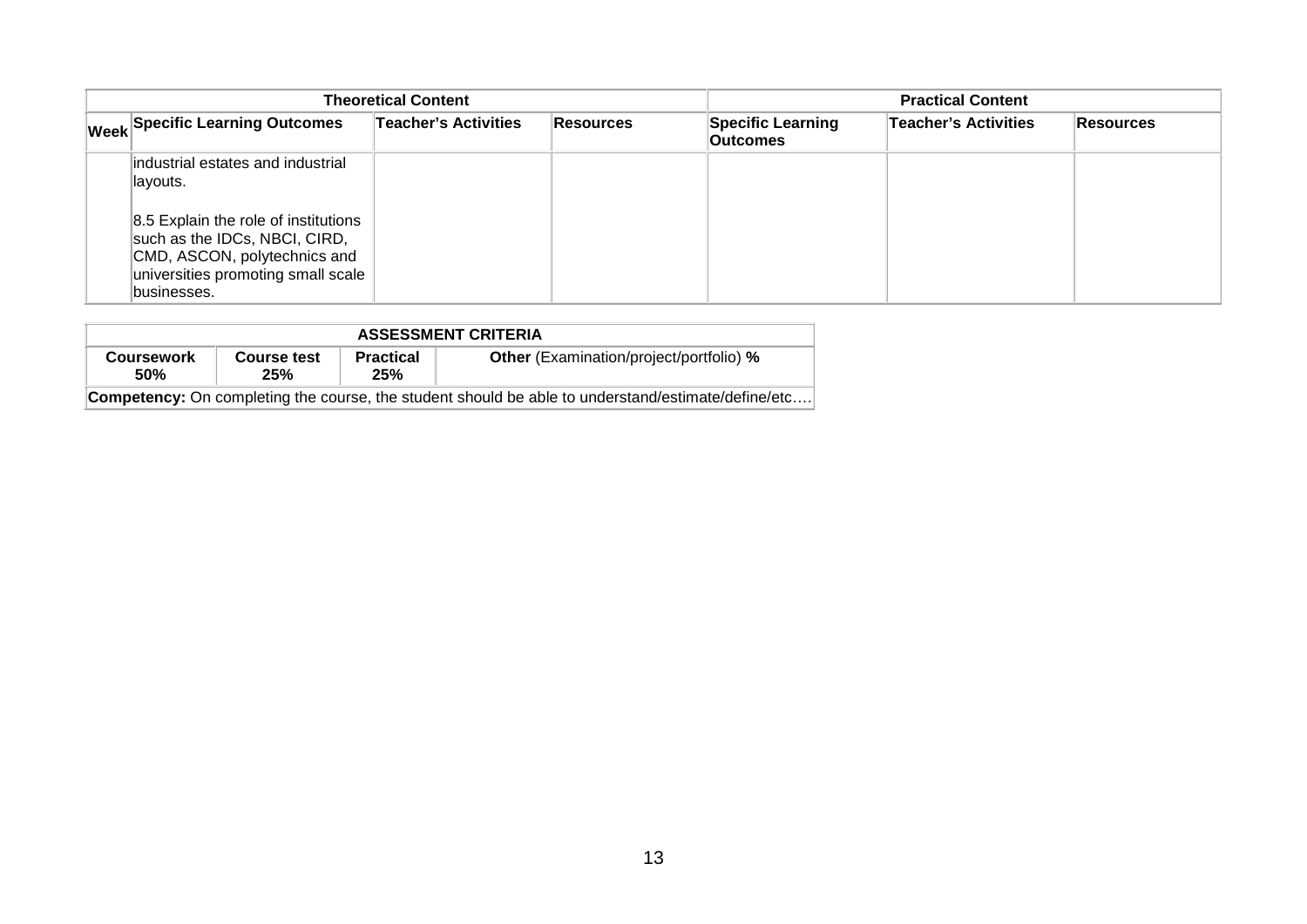| <b>Theoretical Content</b> |                                                                                                                                                        |                             |                  | <b>Practical Content</b>                    |                      |                   |
|----------------------------|--------------------------------------------------------------------------------------------------------------------------------------------------------|-----------------------------|------------------|---------------------------------------------|----------------------|-------------------|
|                            | <b>Week Specific Learning Outcomes</b>                                                                                                                 | <b>Teacher's Activities</b> | <b>Resources</b> | <b>Specific Learning</b><br><b>Outcomes</b> | Teacher's Activities | <b>∣Resources</b> |
|                            | industrial estates and industrial<br>layouts.<br>8.5 Explain the role of institutions<br>such as the IDCs, NBCI, CIRD,<br>CMD, ASCON, polytechnics and |                             |                  |                                             |                      |                   |
|                            | universities promoting small scale<br>businesses.                                                                                                      |                             |                  |                                             |                      |                   |

| <b>ASSESSMENT CRITERIA</b>                                                                                |                    |                         |                                                |  |  |  |
|-----------------------------------------------------------------------------------------------------------|--------------------|-------------------------|------------------------------------------------|--|--|--|
| <b>Coursework</b><br><b>50%</b>                                                                           | Course test<br>25% | <b>Practical</b><br>25% | <b>Other</b> (Examination/project/portfolio) % |  |  |  |
| <b>Competency:</b> On completing the course, the student should be able to understand/estimate/define/etc |                    |                         |                                                |  |  |  |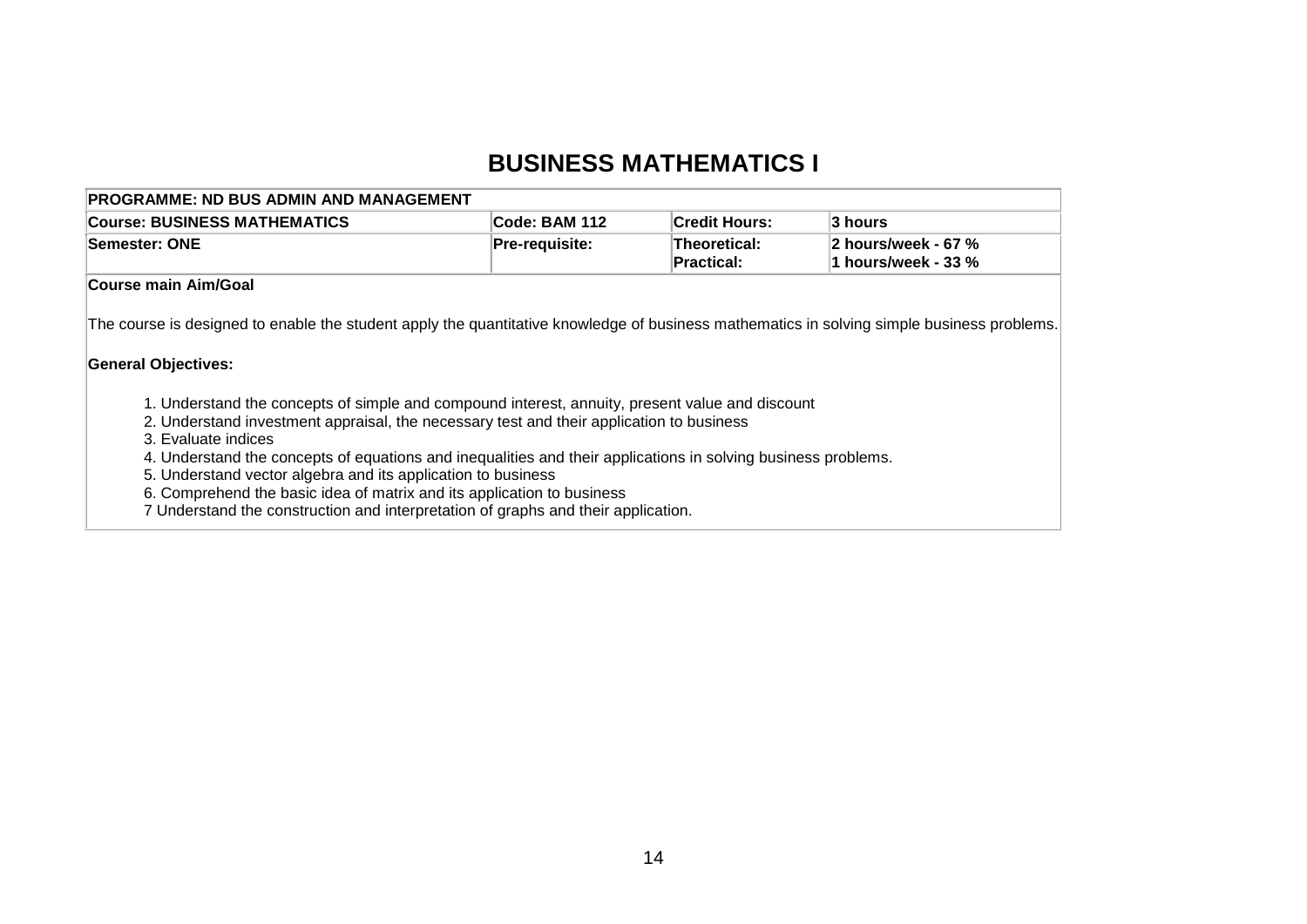### **BUSINESS MATHEMATICS I**

| <b>PROGRAMME: ND BUS ADMIN AND MANAGEMENT</b>                                                                                                                                                                                                                                                                                                                                                                                                                                                                                                                                                                                                                                                                                                  |                |                                   |                                            |
|------------------------------------------------------------------------------------------------------------------------------------------------------------------------------------------------------------------------------------------------------------------------------------------------------------------------------------------------------------------------------------------------------------------------------------------------------------------------------------------------------------------------------------------------------------------------------------------------------------------------------------------------------------------------------------------------------------------------------------------------|----------------|-----------------------------------|--------------------------------------------|
| <b>Course: BUSINESS MATHEMATICS</b>                                                                                                                                                                                                                                                                                                                                                                                                                                                                                                                                                                                                                                                                                                            | Code: BAM 112  | <b>Credit Hours:</b>              | 3 hours                                    |
| Semester: ONE                                                                                                                                                                                                                                                                                                                                                                                                                                                                                                                                                                                                                                                                                                                                  | Pre-requisite: | Theoretical:<br><b>Practical:</b> | 2 hours/week - 67 %<br>1 hours/week - 33 % |
| Course main Aim/Goal                                                                                                                                                                                                                                                                                                                                                                                                                                                                                                                                                                                                                                                                                                                           |                |                                   |                                            |
| The course is designed to enable the student apply the quantitative knowledge of business mathematics in solving simple business problems.<br><b>General Objectives:</b><br>1. Understand the concepts of simple and compound interest, annuity, present value and discount<br>2. Understand investment appraisal, the necessary test and their application to business<br>3. Evaluate indices<br>4. Understand the concepts of equations and inequalities and their applications in solving business problems.<br>5. Understand vector algebra and its application to business<br>6. Comprehend the basic idea of matrix and its application to business<br>7 Understand the construction and interpretation of graphs and their application. |                |                                   |                                            |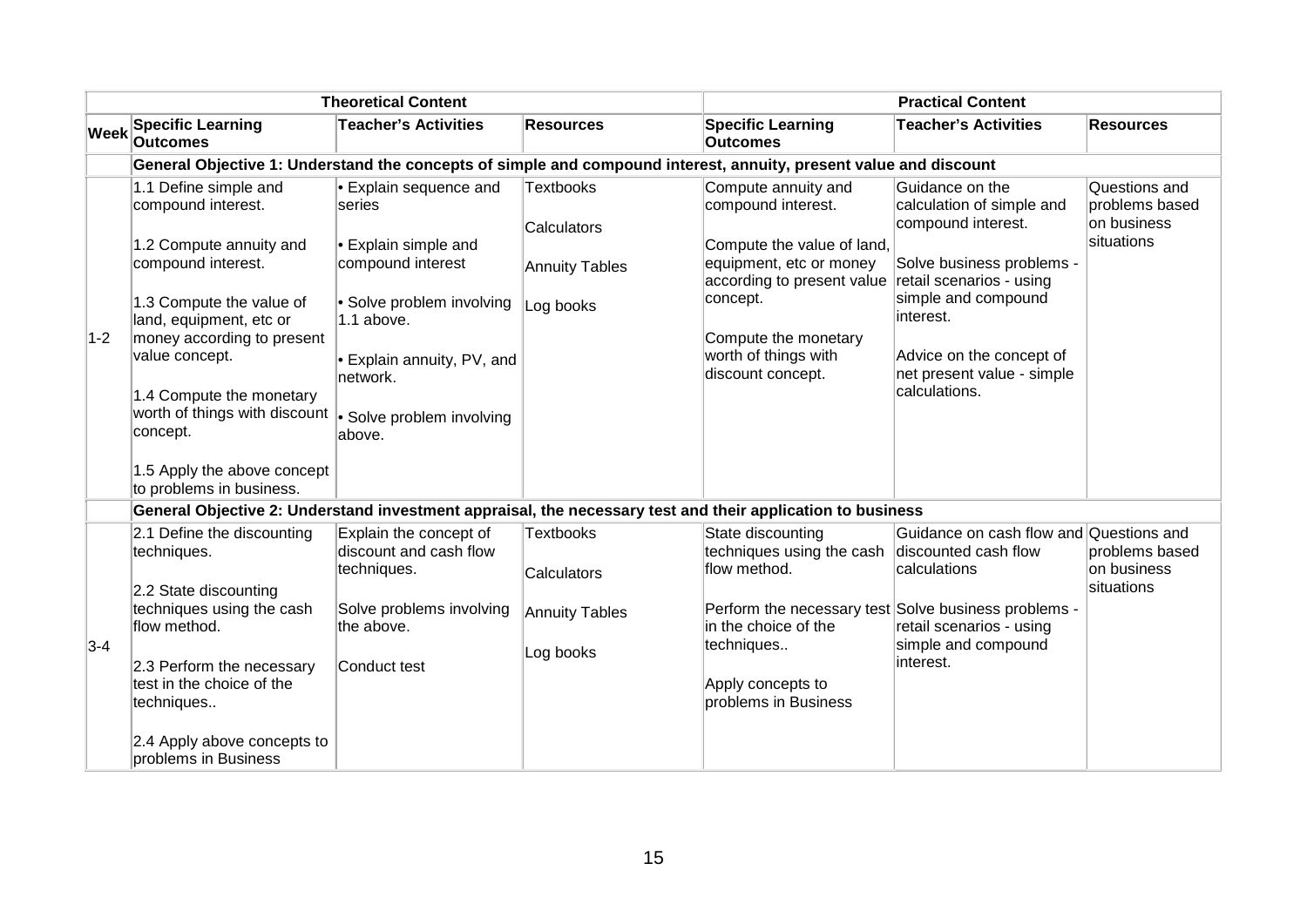|             |                                                                                                                   | <b>Theoretical Content</b>                                      |                                 |                                                                                     | <b>Practical Content</b>                                           |                                                              |
|-------------|-------------------------------------------------------------------------------------------------------------------|-----------------------------------------------------------------|---------------------------------|-------------------------------------------------------------------------------------|--------------------------------------------------------------------|--------------------------------------------------------------|
| <b>Week</b> | <b>Specific Learning</b><br><b>Outcomes</b>                                                                       | <b>Teacher's Activities</b>                                     | <b>Resources</b>                | <b>Specific Learning</b><br><b>Outcomes</b>                                         | <b>Teacher's Activities</b>                                        | <b>Resources</b>                                             |
|             | General Objective 1: Understand the concepts of simple and compound interest, annuity, present value and discount |                                                                 |                                 |                                                                                     |                                                                    |                                                              |
|             | 1.1 Define simple and<br>compound interest.<br>1.2 Compute annuity and                                            | • Explain sequence and<br>series<br>• Explain simple and        | <b>Textbooks</b><br>Calculators | Compute annuity and<br>compound interest.<br>Compute the value of land,             | Guidance on the<br>calculation of simple and<br>compound interest. | Questions and<br>problems based<br>on business<br>situations |
|             | compound interest.                                                                                                | compound interest                                               | <b>Annuity Tables</b>           | equipment, etc or money<br>according to present value                               | Solve business problems -<br>retail scenarios - using              |                                                              |
| $1-2$       | 1.3 Compute the value of<br>land, equipment, etc or<br>money according to present                                 | • Solve problem involving<br>1.1 above.                         | Log books                       | concept.<br>Compute the monetary                                                    | simple and compound<br>interest.                                   |                                                              |
|             | value concept.                                                                                                    | • Explain annuity, PV, and<br>network.                          |                                 | worth of things with<br>discount concept.                                           | Advice on the concept of<br>net present value - simple             |                                                              |
|             | 1.4 Compute the monetary<br>worth of things with discount<br>concept.                                             | • Solve problem involving<br>above.                             |                                 |                                                                                     | calculations.                                                      |                                                              |
|             | 1.5 Apply the above concept<br>to problems in business.                                                           |                                                                 |                                 |                                                                                     |                                                                    |                                                              |
|             | General Objective 2: Understand investment appraisal, the necessary test and their application to business        |                                                                 |                                 |                                                                                     |                                                                    |                                                              |
|             | 2.1 Define the discounting<br>techniques.                                                                         | Explain the concept of<br>discount and cash flow<br>techniques. | <b>Textbooks</b><br>Calculators | State discounting<br>techniques using the cash discounted cash flow<br>flow method. | Guidance on cash flow and Questions and<br>calculations            | problems based<br>on business                                |
|             | 2.2 State discounting<br>techniques using the cash<br>flow method.                                                | Solve problems involving<br>the above.                          | Annuity Tables                  | Perform the necessary test Solve business problems -<br>in the choice of the        | retail scenarios - using                                           | situations                                                   |
| $3-4$       | 2.3 Perform the necessary<br>test in the choice of the<br>techniques                                              | Conduct test                                                    | Log books                       | techniques<br>Apply concepts to<br>problems in Business                             | simple and compound<br>interest.                                   |                                                              |
|             | 2.4 Apply above concepts to<br>problems in Business                                                               |                                                                 |                                 |                                                                                     |                                                                    |                                                              |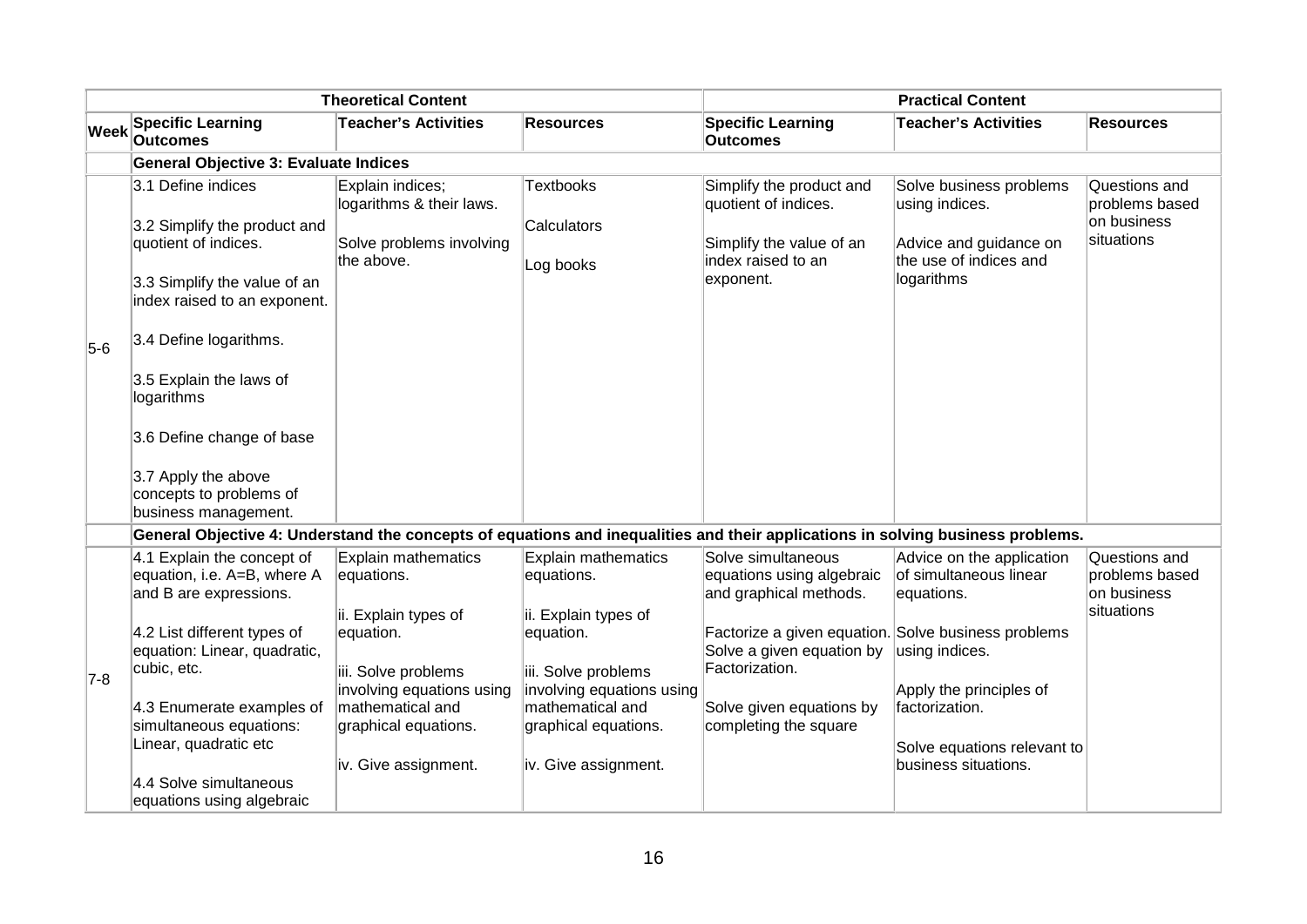|             |                                                                                                                                                                                                                                                                                                                      | <b>Theoretical Content</b>                                                                                                                                |                                                                                                                                                           |                                                                                                                                                         | <b>Practical Content</b>                                                                                           |                                                              |
|-------------|----------------------------------------------------------------------------------------------------------------------------------------------------------------------------------------------------------------------------------------------------------------------------------------------------------------------|-----------------------------------------------------------------------------------------------------------------------------------------------------------|-----------------------------------------------------------------------------------------------------------------------------------------------------------|---------------------------------------------------------------------------------------------------------------------------------------------------------|--------------------------------------------------------------------------------------------------------------------|--------------------------------------------------------------|
| <b>Week</b> | <b>Specific Learning</b><br><b>Outcomes</b>                                                                                                                                                                                                                                                                          | <b>Teacher's Activities</b>                                                                                                                               | <b>Resources</b>                                                                                                                                          | <b>Specific Learning</b><br><b>Outcomes</b>                                                                                                             | <b>Teacher's Activities</b>                                                                                        | <b>Resources</b>                                             |
|             | <b>General Objective 3: Evaluate Indices</b>                                                                                                                                                                                                                                                                         |                                                                                                                                                           |                                                                                                                                                           |                                                                                                                                                         |                                                                                                                    |                                                              |
| $5-6$       | 3.1 Define indices<br>3.2 Simplify the product and<br>quotient of indices.<br>3.3 Simplify the value of an<br>index raised to an exponent.<br>3.4 Define logarithms.<br>3.5 Explain the laws of<br>logarithms<br>3.6 Define change of base<br>3.7 Apply the above<br>concepts to problems of<br>business management. | Explain indices;<br>logarithms & their laws.<br>Solve problems involving<br>the above.                                                                    | <b>Textbooks</b><br>Calculators<br>Log books                                                                                                              | Simplify the product and<br>quotient of indices.<br>Simplify the value of an<br>index raised to an<br>exponent.                                         | Solve business problems<br>using indices.<br>Advice and guidance on<br>the use of indices and<br>logarithms        | Questions and<br>problems based<br>on business<br>situations |
|             | General Objective 4: Understand the concepts of equations and inequalities and their applications in solving business problems.                                                                                                                                                                                      |                                                                                                                                                           |                                                                                                                                                           |                                                                                                                                                         |                                                                                                                    |                                                              |
|             | 4.1 Explain the concept of<br>equation, i.e. A=B, where A<br>and B are expressions.                                                                                                                                                                                                                                  | <b>Explain mathematics</b><br>equations.                                                                                                                  | <b>Explain mathematics</b><br>equations.                                                                                                                  | Solve simultaneous<br>equations using algebraic<br>and graphical methods.                                                                               | Advice on the application<br>of simultaneous linear<br>equations.                                                  | Questions and<br>problems based<br>on business               |
| 7-8         | 4.2 List different types of<br>equation: Linear, quadratic,<br>cubic, etc.<br>4.3 Enumerate examples of<br>simultaneous equations:<br>Linear, quadratic etc                                                                                                                                                          | ii. Explain types of<br>equation.<br>iii. Solve problems<br>involving equations using<br>mathematical and<br>graphical equations.<br>iv. Give assignment. | ii. Explain types of<br>equation.<br>iii. Solve problems<br>involving equations using<br>mathematical and<br>graphical equations.<br>iv. Give assignment. | Factorize a given equation. Solve business problems<br>Solve a given equation by<br>Factorization.<br>Solve given equations by<br>completing the square | using indices.<br>Apply the principles of<br>factorization.<br>Solve equations relevant to<br>business situations. | situations                                                   |
|             | 4.4 Solve simultaneous<br>equations using algebraic                                                                                                                                                                                                                                                                  |                                                                                                                                                           |                                                                                                                                                           |                                                                                                                                                         |                                                                                                                    |                                                              |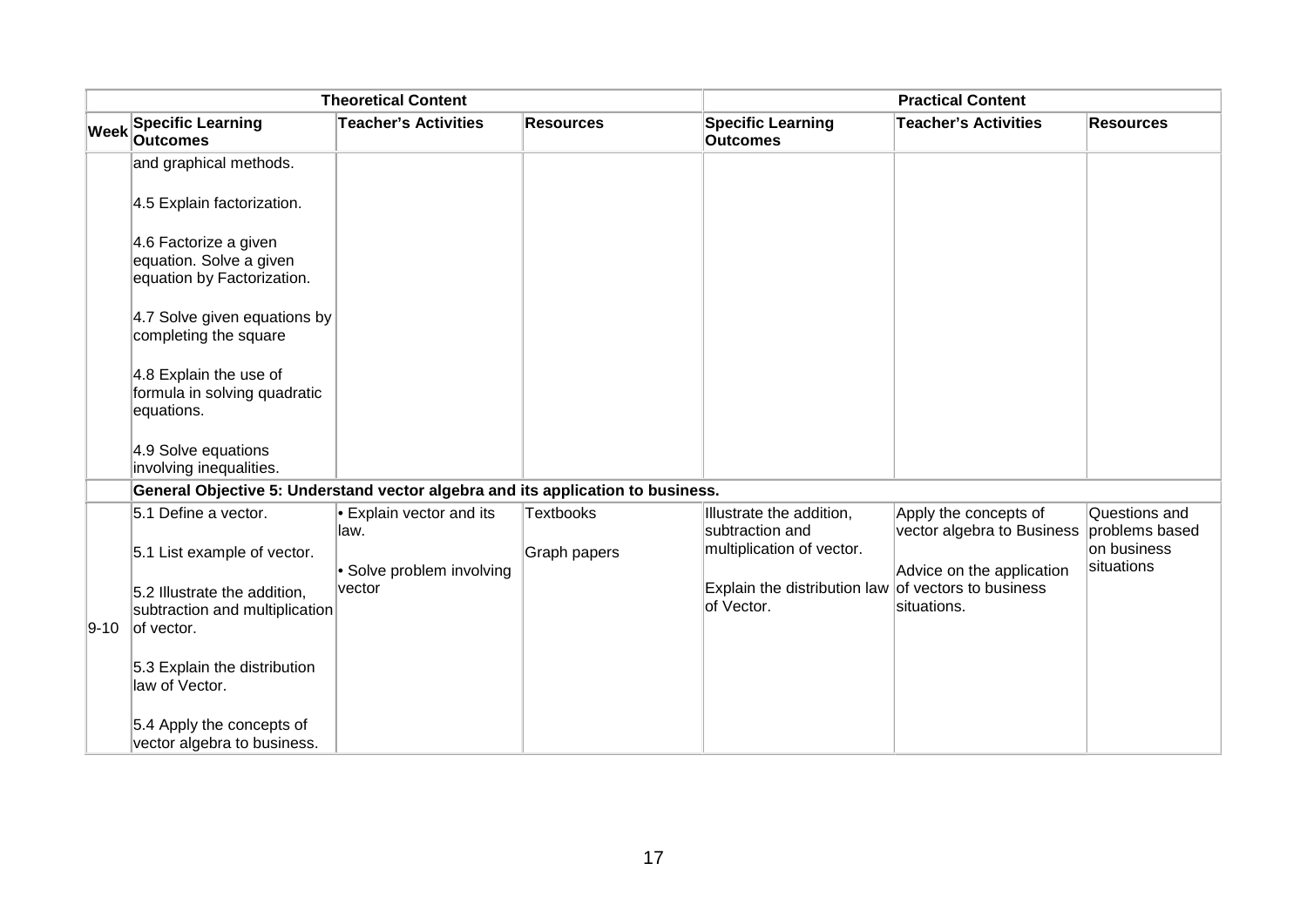|                                                                                     | <b>Theoretical Content</b>          |                  |                                                                   | <b>Practical Content</b>                            |                                 |
|-------------------------------------------------------------------------------------|-------------------------------------|------------------|-------------------------------------------------------------------|-----------------------------------------------------|---------------------------------|
| <b>Week Specific Learning</b><br><b>Outcomes</b>                                    | <b>Teacher's Activities</b>         | <b>Resources</b> | <b>Specific Learning</b><br><b>Outcomes</b>                       | <b>Teacher's Activities</b>                         | <b>Resources</b>                |
| and graphical methods.                                                              |                                     |                  |                                                                   |                                                     |                                 |
| 4.5 Explain factorization.                                                          |                                     |                  |                                                                   |                                                     |                                 |
| 4.6 Factorize a given<br>equation. Solve a given<br>equation by Factorization.      |                                     |                  |                                                                   |                                                     |                                 |
| 4.7 Solve given equations by<br>completing the square                               |                                     |                  |                                                                   |                                                     |                                 |
| 4.8 Explain the use of<br>formula in solving quadratic<br>equations.                |                                     |                  |                                                                   |                                                     |                                 |
| 4.9 Solve equations<br>involving inequalities.                                      |                                     |                  |                                                                   |                                                     |                                 |
| General Objective 5: Understand vector algebra and its application to business.     |                                     |                  |                                                                   |                                                     |                                 |
| 5.1 Define a vector.                                                                | • Explain vector and its<br>llaw.   | <b>Textbooks</b> | Illustrate the addition,<br>subtraction and                       | Apply the concepts of<br>vector algebra to Business | Questions and<br>problems based |
| 5.1 List example of vector.                                                         |                                     | Graph papers     | multiplication of vector.                                         |                                                     | on business<br>situations       |
| 5.2 Illustrate the addition,<br>subtraction and multiplication<br>$9-10$ of vector. | • Solve problem involving<br>vector |                  | Explain the distribution law of vectors to business<br>of Vector. | Advice on the application<br>situations.            |                                 |
| 5.3 Explain the distribution<br>law of Vector.                                      |                                     |                  |                                                                   |                                                     |                                 |
| 5.4 Apply the concepts of<br>vector algebra to business.                            |                                     |                  |                                                                   |                                                     |                                 |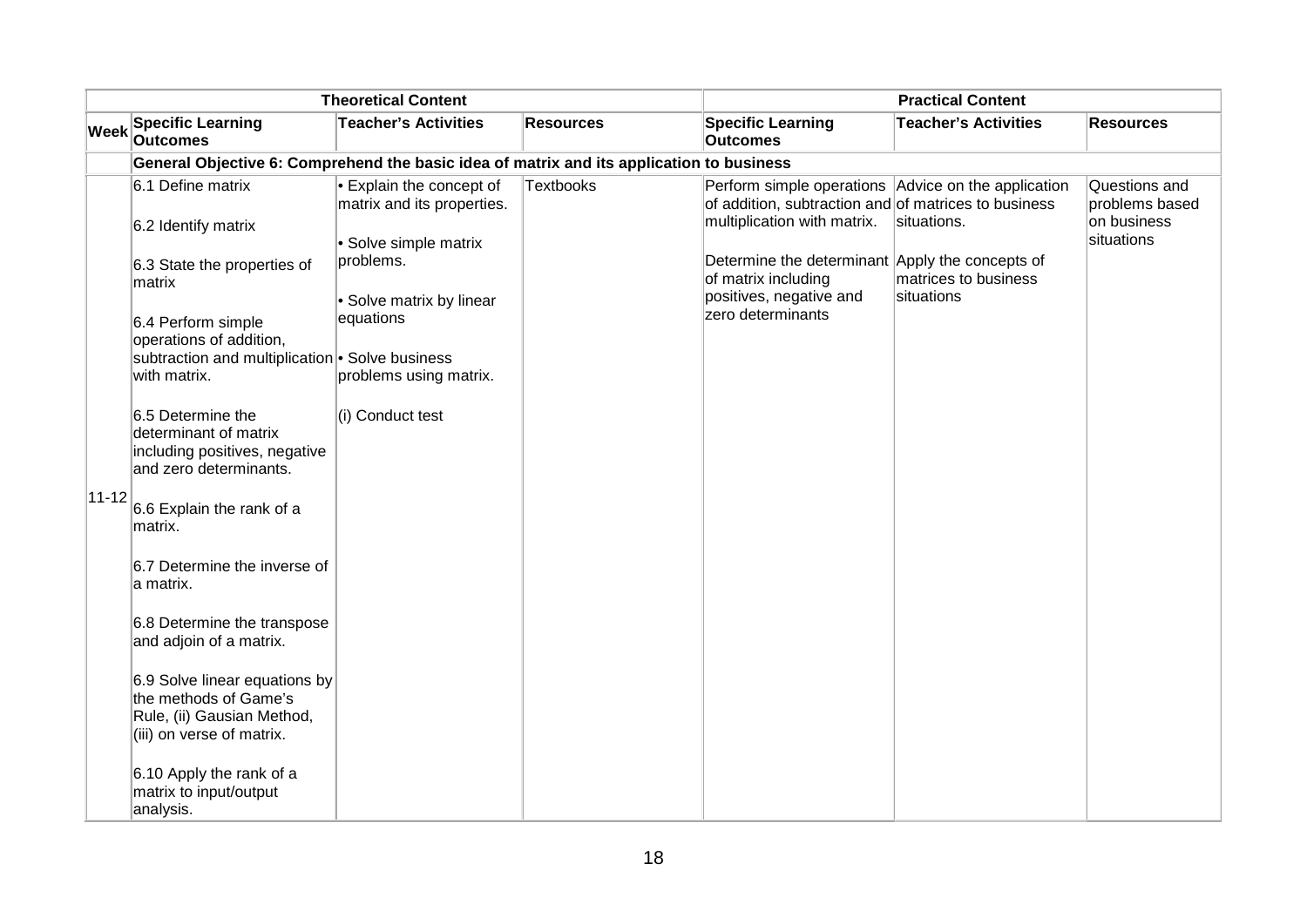|             |                                                                                                                                                                                                                                                                                                 | <b>Theoretical Content</b>                                                                                                                                                          |                  | <b>Practical Content</b>                                                                                                                                                                                                                                             |                                                   |                                                              |  |  |
|-------------|-------------------------------------------------------------------------------------------------------------------------------------------------------------------------------------------------------------------------------------------------------------------------------------------------|-------------------------------------------------------------------------------------------------------------------------------------------------------------------------------------|------------------|----------------------------------------------------------------------------------------------------------------------------------------------------------------------------------------------------------------------------------------------------------------------|---------------------------------------------------|--------------------------------------------------------------|--|--|
| <b>Week</b> | <b>Specific Learning</b><br><b>Outcomes</b>                                                                                                                                                                                                                                                     | <b>Teacher's Activities</b>                                                                                                                                                         | <b>Resources</b> | <b>Specific Learning</b><br><b>Outcomes</b>                                                                                                                                                                                                                          | <b>Teacher's Activities</b>                       | <b>Resources</b>                                             |  |  |
|             | General Objective 6: Comprehend the basic idea of matrix and its application to business                                                                                                                                                                                                        |                                                                                                                                                                                     |                  |                                                                                                                                                                                                                                                                      |                                                   |                                                              |  |  |
|             | 6.1 Define matrix<br>6.2 Identify matrix<br>6.3 State the properties of<br>matrix<br>6.4 Perform simple<br>operations of addition,<br>subtraction and multiplication <sup>®</sup> Solve business<br>with matrix.<br>6.5 Determine the<br>determinant of matrix<br>including positives, negative | • Explain the concept of<br>matrix and its properties.<br>· Solve simple matrix<br>problems.<br>• Solve matrix by linear<br>equations<br>problems using matrix.<br>(i) Conduct test | <b>Textbooks</b> | Perform simple operations Advice on the application<br>of addition, subtraction and of matrices to business<br>multiplication with matrix.<br>Determine the determinant Apply the concepts of<br>of matrix including<br>positives, negative and<br>zero determinants | situations.<br>matrices to business<br>situations | Questions and<br>problems based<br>on business<br>situations |  |  |
| $ 11 - 12 $ | and zero determinants.<br>6.6 Explain the rank of a<br>matrix.<br>6.7 Determine the inverse of<br>a matrix.<br>6.8 Determine the transpose<br>and adjoin of a matrix.                                                                                                                           |                                                                                                                                                                                     |                  |                                                                                                                                                                                                                                                                      |                                                   |                                                              |  |  |
|             | 6.9 Solve linear equations by<br>the methods of Game's<br>Rule, (ii) Gausian Method,<br>(iii) on verse of matrix.<br>6.10 Apply the rank of a<br>matrix to input/output<br>analysis.                                                                                                            |                                                                                                                                                                                     |                  |                                                                                                                                                                                                                                                                      |                                                   |                                                              |  |  |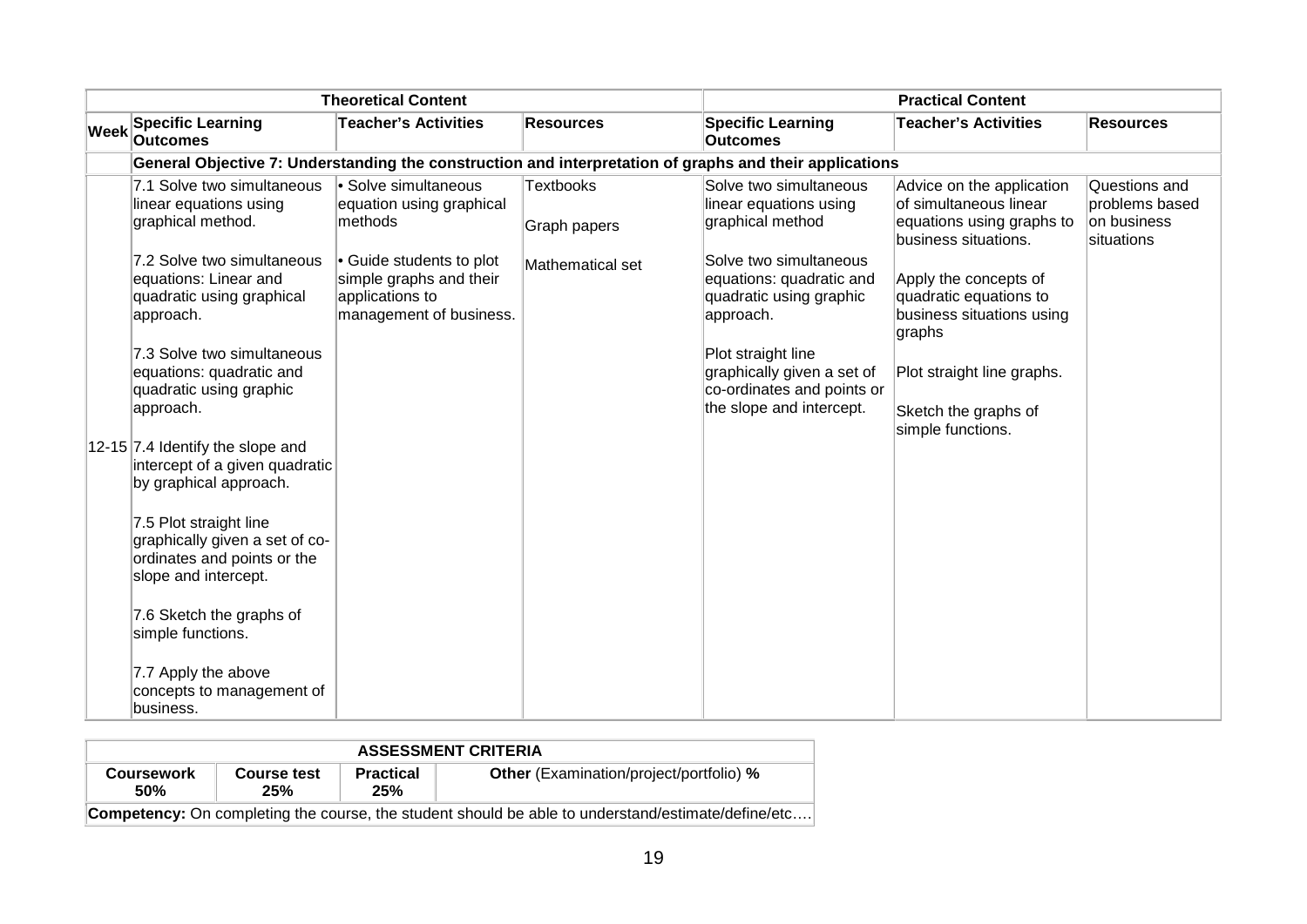|             |                                                                                                                                                                                                                                                                                                                                                                                                                                                                                                                                                                                                      | <b>Theoretical Content</b>                                                                                                                                     |                                                      |                                                                                                                                                                                                                                                                                  | <b>Practical Content</b>                                                                                                                                                                                                                                                       |                                                              |
|-------------|------------------------------------------------------------------------------------------------------------------------------------------------------------------------------------------------------------------------------------------------------------------------------------------------------------------------------------------------------------------------------------------------------------------------------------------------------------------------------------------------------------------------------------------------------------------------------------------------------|----------------------------------------------------------------------------------------------------------------------------------------------------------------|------------------------------------------------------|----------------------------------------------------------------------------------------------------------------------------------------------------------------------------------------------------------------------------------------------------------------------------------|--------------------------------------------------------------------------------------------------------------------------------------------------------------------------------------------------------------------------------------------------------------------------------|--------------------------------------------------------------|
| <b>Week</b> | <b>Specific Learning</b><br><b>Outcomes</b>                                                                                                                                                                                                                                                                                                                                                                                                                                                                                                                                                          | <b>Teacher's Activities</b>                                                                                                                                    | <b>Resources</b>                                     | <b>Specific Learning</b><br><b>Outcomes</b>                                                                                                                                                                                                                                      | <b>Teacher's Activities</b>                                                                                                                                                                                                                                                    | <b>Resources</b>                                             |
|             | General Objective 7: Understanding the construction and interpretation of graphs and their applications                                                                                                                                                                                                                                                                                                                                                                                                                                                                                              |                                                                                                                                                                |                                                      |                                                                                                                                                                                                                                                                                  |                                                                                                                                                                                                                                                                                |                                                              |
|             | 7.1 Solve two simultaneous<br>linear equations using<br>graphical method.<br>7.2 Solve two simultaneous<br>equations: Linear and<br>quadratic using graphical<br>approach.<br>7.3 Solve two simultaneous<br>equations: quadratic and<br>quadratic using graphic<br>approach.<br>12-15 7.4 Identify the slope and<br>intercept of a given quadratic<br>by graphical approach.<br>7.5 Plot straight line<br>graphically given a set of co-<br>ordinates and points or the<br>slope and intercept.<br>7.6 Sketch the graphs of<br>simple functions.<br>7.7 Apply the above<br>concepts to management of | Solve simultaneous<br>equation using graphical<br>methods<br>• Guide students to plot<br>simple graphs and their<br>applications to<br>management of business. | <b>Textbooks</b><br>Graph papers<br>Mathematical set | Solve two simultaneous<br>linear equations using<br>graphical method<br>Solve two simultaneous<br>equations: quadratic and<br>quadratic using graphic<br>approach.<br>Plot straight line<br>graphically given a set of<br>co-ordinates and points or<br>the slope and intercept. | Advice on the application<br>lof simultaneous linear<br>equations using graphs to<br>business situations.<br>Apply the concepts of<br>quadratic equations to<br>business situations using<br>graphs<br>Plot straight line graphs.<br>Sketch the graphs of<br>simple functions. | Questions and<br>problems based<br>on business<br>situations |

| <b>ASSESSMENT CRITERIA</b>      |                           |                         |                                                                                                           |  |  |  |
|---------------------------------|---------------------------|-------------------------|-----------------------------------------------------------------------------------------------------------|--|--|--|
| <b>Coursework</b><br><b>50%</b> | <b>Course test</b><br>25% | <b>Practical</b><br>25% | <b>Other</b> (Examination/project/portfolio) %                                                            |  |  |  |
|                                 |                           |                         | <b>Competency:</b> On completing the course, the student should be able to understand/estimate/define/etc |  |  |  |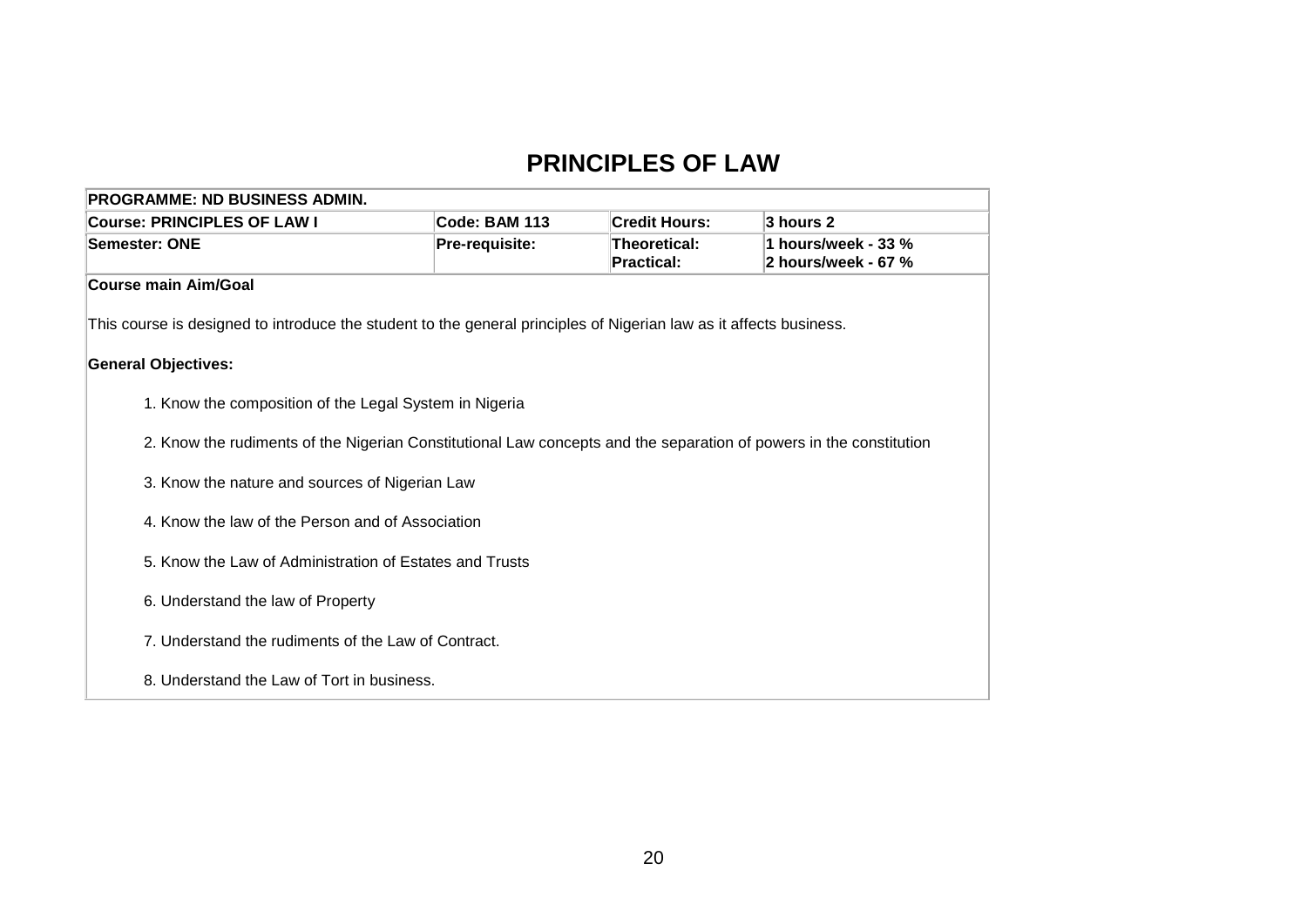### **PRINCIPLES OF LAW**

| <b>PROGRAMME: ND BUSINESS ADMIN.</b>                                                                               |               |                      |           |  |  |  |
|--------------------------------------------------------------------------------------------------------------------|---------------|----------------------|-----------|--|--|--|
| <b>Course: PRINCIPLES OF LAW I</b>                                                                                 | Code: BAM 113 | <b>Credit Hours:</b> | 3 hours 2 |  |  |  |
| 1 hours/week - 33 %<br>Pre-requisite:<br>Theoretical:<br>Semester: ONE<br><b>Practical:</b><br>2 hours/week - 67 % |               |                      |           |  |  |  |
| <b>Course main Aim/Goal</b>                                                                                        |               |                      |           |  |  |  |
| This course is designed to introduce the student to the general principles of Nigerian law as it affects business. |               |                      |           |  |  |  |
| <b>General Objectives:</b>                                                                                         |               |                      |           |  |  |  |
| 1. Know the composition of the Legal System in Nigeria                                                             |               |                      |           |  |  |  |
| 2. Know the rudiments of the Nigerian Constitutional Law concepts and the separation of powers in the constitution |               |                      |           |  |  |  |
| 3. Know the nature and sources of Nigerian Law                                                                     |               |                      |           |  |  |  |
| 4. Know the law of the Person and of Association                                                                   |               |                      |           |  |  |  |
| 5. Know the Law of Administration of Estates and Trusts                                                            |               |                      |           |  |  |  |
| 6. Understand the law of Property                                                                                  |               |                      |           |  |  |  |
| 7. Understand the rudiments of the Law of Contract.                                                                |               |                      |           |  |  |  |
| 8. Understand the Law of Tort in business.                                                                         |               |                      |           |  |  |  |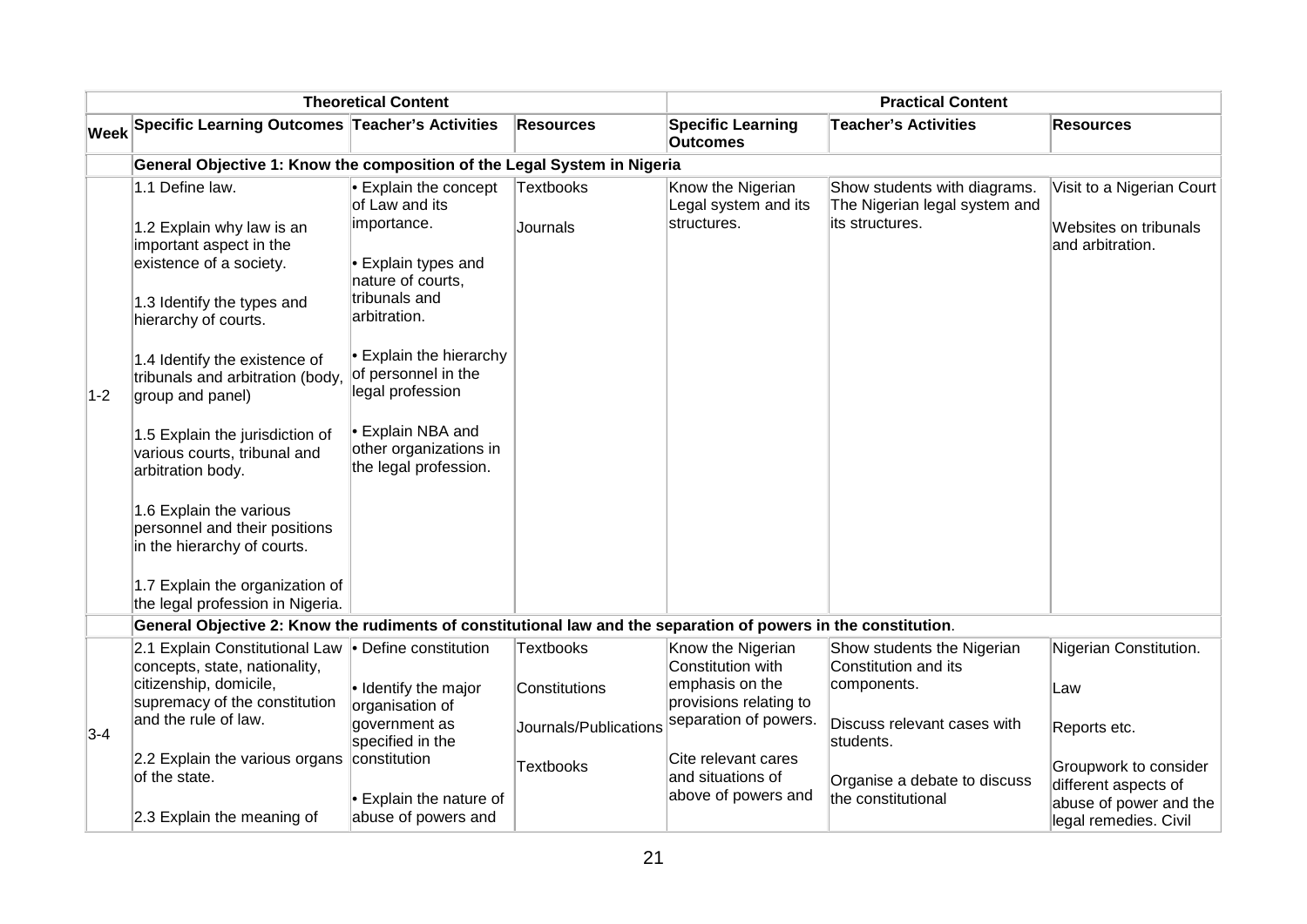|       |                                                                                                                                                                                                                                                                                                                                                                                                                                                                                                             | <b>Theoretical Content</b>                                                                                                                                                                                                                                                             |                                   | <b>Practical Content</b>                                                            |                                                                                  |                                                                        |
|-------|-------------------------------------------------------------------------------------------------------------------------------------------------------------------------------------------------------------------------------------------------------------------------------------------------------------------------------------------------------------------------------------------------------------------------------------------------------------------------------------------------------------|----------------------------------------------------------------------------------------------------------------------------------------------------------------------------------------------------------------------------------------------------------------------------------------|-----------------------------------|-------------------------------------------------------------------------------------|----------------------------------------------------------------------------------|------------------------------------------------------------------------|
|       | Week Specific Learning Outcomes Teacher's Activities                                                                                                                                                                                                                                                                                                                                                                                                                                                        |                                                                                                                                                                                                                                                                                        | <b>Resources</b>                  | <b>Specific Learning</b><br><b>Outcomes</b>                                         | <b>Teacher's Activities</b>                                                      | Resources                                                              |
|       | General Objective 1: Know the composition of the Legal System in Nigeria                                                                                                                                                                                                                                                                                                                                                                                                                                    |                                                                                                                                                                                                                                                                                        |                                   |                                                                                     |                                                                                  |                                                                        |
| $1-2$ | 1.1 Define law.<br>1.2 Explain why law is an<br>important aspect in the<br>existence of a society.<br>1.3 Identify the types and<br>hierarchy of courts.<br>1.4 Identify the existence of<br>tribunals and arbitration (body,<br>group and panel)<br>1.5 Explain the jurisdiction of<br>various courts, tribunal and<br>arbitration body.<br>1.6 Explain the various<br>personnel and their positions<br>in the hierarchy of courts.<br>1.7 Explain the organization of<br>the legal profession in Nigeria. | <b>Explain the concept</b><br>of Law and its<br>importance.<br>• Explain types and<br>nature of courts,<br>tribunals and<br>arbitration.<br>• Explain the hierarchy<br>of personnel in the<br>legal profession<br>• Explain NBA and<br>other organizations in<br>the legal profession. | <b>Textbooks</b><br>Journals      | Know the Nigerian<br>Legal system and its<br>structures.                            | Show students with diagrams.<br>The Nigerian legal system and<br>its structures. | Visit to a Nigerian Court<br>Websites on tribunals<br>and arbitration. |
|       | General Objective 2: Know the rudiments of constitutional law and the separation of powers in the constitution.                                                                                                                                                                                                                                                                                                                                                                                             |                                                                                                                                                                                                                                                                                        |                                   |                                                                                     |                                                                                  |                                                                        |
|       | 2.1 Explain Constitutional Law • Define constitution<br>concepts, state, nationality,<br>citizenship, domicile,<br>supremacy of the constitution                                                                                                                                                                                                                                                                                                                                                            | · Identify the major<br>organisation of                                                                                                                                                                                                                                                | <b>Textbooks</b><br>Constitutions | Know the Nigerian<br>Constitution with<br>emphasis on the<br>provisions relating to | Show students the Nigerian<br>Constitution and its<br>components.                | Nigerian Constitution.<br>Law                                          |
| $3-4$ | and the rule of law.                                                                                                                                                                                                                                                                                                                                                                                                                                                                                        | government as<br>specified in the                                                                                                                                                                                                                                                      | Journals/Publications             | separation of powers.                                                               | Discuss relevant cases with<br>students.                                         | Reports etc.                                                           |
|       | 2.2 Explain the various organs<br>of the state.                                                                                                                                                                                                                                                                                                                                                                                                                                                             | constitution<br>• Explain the nature of                                                                                                                                                                                                                                                | <b>Textbooks</b>                  | Cite relevant cares<br>and situations of<br>above of powers and                     | Organise a debate to discuss<br>the constitutional                               | Groupwork to consider<br>different aspects of                          |
|       | 2.3 Explain the meaning of                                                                                                                                                                                                                                                                                                                                                                                                                                                                                  | abuse of powers and                                                                                                                                                                                                                                                                    |                                   |                                                                                     |                                                                                  | abuse of power and the<br>legal remedies. Civil                        |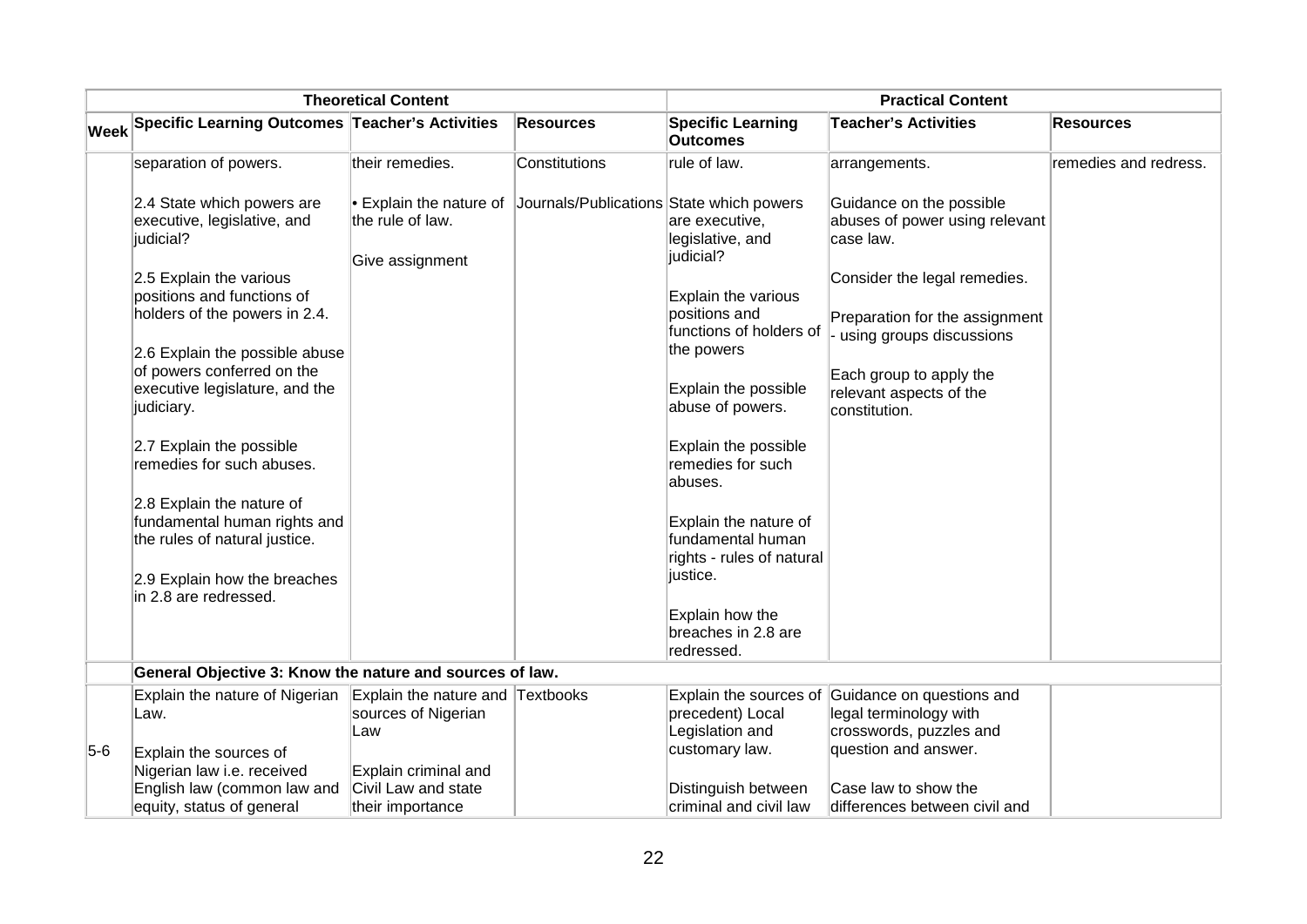|       | <b>Theoretical Content</b>                                                                                               |                                                                 |                                          | <b>Practical Content</b>                                                      |                                                                                            |                       |
|-------|--------------------------------------------------------------------------------------------------------------------------|-----------------------------------------------------------------|------------------------------------------|-------------------------------------------------------------------------------|--------------------------------------------------------------------------------------------|-----------------------|
|       | Week Specific Learning Outcomes Teacher's Activities                                                                     |                                                                 | <b>Resources</b>                         | <b>Specific Learning</b><br><b>Outcomes</b>                                   | <b>Teacher's Activities</b>                                                                | <b>Resources</b>      |
|       | separation of powers.                                                                                                    | their remedies.                                                 | Constitutions                            | rule of law.                                                                  | arrangements.                                                                              | remedies and redress. |
|       | 2.4 State which powers are<br>executive, legislative, and<br>judicial?                                                   | • Explain the nature of<br>the rule of law.<br>Give assignment  | Journals/Publications State which powers | are executive,<br>legislative, and<br>judicial?                               | Guidance on the possible<br>abuses of power using relevant<br>case law.                    |                       |
|       | 2.5 Explain the various<br>positions and functions of<br>holders of the powers in 2.4.<br>2.6 Explain the possible abuse |                                                                 |                                          | Explain the various<br>positions and<br>functions of holders of<br>the powers | Consider the legal remedies.<br>Preparation for the assignment<br>using groups discussions |                       |
|       | of powers conferred on the<br>executive legislature, and the<br>judiciary.                                               |                                                                 |                                          | Explain the possible<br>abuse of powers.                                      | Each group to apply the<br>relevant aspects of the<br>constitution.                        |                       |
|       | 2.7 Explain the possible<br>remedies for such abuses.                                                                    |                                                                 |                                          | Explain the possible<br>remedies for such<br>labuses.                         |                                                                                            |                       |
|       | 2.8 Explain the nature of<br>fundamental human rights and<br>the rules of natural justice.                               |                                                                 |                                          | Explain the nature of<br>fundamental human<br>rights - rules of natural       |                                                                                            |                       |
|       | 2.9 Explain how the breaches<br>in 2.8 are redressed.                                                                    |                                                                 |                                          | justice.<br>Explain how the<br>breaches in 2.8 are                            |                                                                                            |                       |
|       |                                                                                                                          |                                                                 |                                          | redressed.                                                                    |                                                                                            |                       |
|       | General Objective 3: Know the nature and sources of law.                                                                 |                                                                 |                                          |                                                                               |                                                                                            |                       |
|       | Explain the nature of Nigerian<br>Law.                                                                                   | Explain the nature and Textbooks<br>sources of Nigerian<br>Law  |                                          | Explain the sources of<br>precedent) Local<br>Legislation and                 | Guidance on questions and<br>legal terminology with<br>crosswords, puzzles and             |                       |
| $5-6$ | Explain the sources of<br>Nigerian law i.e. received<br>English law (common law and<br>equity, status of general         | Explain criminal and<br>Civil Law and state<br>their importance |                                          | customary law.<br>Distinguish between<br>criminal and civil law               | question and answer.<br>Case law to show the<br>differences between civil and              |                       |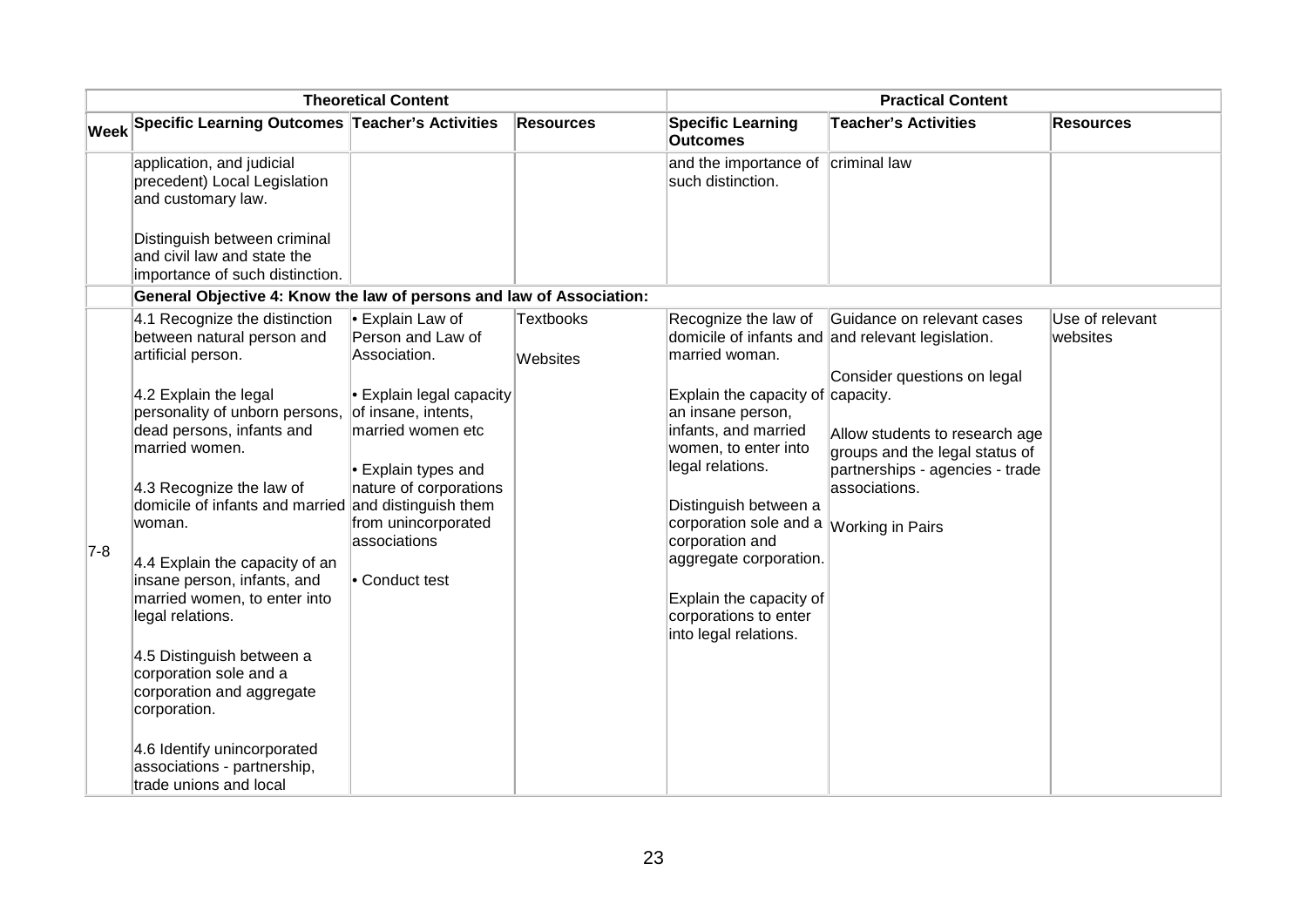|       |                                                                                                                                                                                   | <b>Theoretical Content</b>                                                                                                        |                              |                                                                                                                               | <b>Practical Content</b>                                                                                             |                             |
|-------|-----------------------------------------------------------------------------------------------------------------------------------------------------------------------------------|-----------------------------------------------------------------------------------------------------------------------------------|------------------------------|-------------------------------------------------------------------------------------------------------------------------------|----------------------------------------------------------------------------------------------------------------------|-----------------------------|
|       | Week Specific Learning Outcomes Teacher's Activities                                                                                                                              |                                                                                                                                   | <b>Resources</b>             | <b>Specific Learning</b><br><b>Outcomes</b>                                                                                   | <b>Teacher's Activities</b>                                                                                          | <b>Resources</b>            |
|       | application, and judicial<br>precedent) Local Legislation<br>and customary law.<br>Distinguish between criminal<br>and civil law and state the<br>importance of such distinction. |                                                                                                                                   |                              | and the importance of criminal law<br>such distinction.                                                                       |                                                                                                                      |                             |
|       | General Objective 4: Know the law of persons and law of Association:                                                                                                              |                                                                                                                                   |                              |                                                                                                                               |                                                                                                                      |                             |
|       | 4.1 Recognize the distinction<br>between natural person and<br>artificial person.<br>4.2 Explain the legal                                                                        | Explain Law of<br>Person and Law of<br>Association.                                                                               | <b>Textbooks</b><br>Websites | Recognize the law of<br>married woman.                                                                                        | Guidance on relevant cases<br>domicile of infants and and relevant legislation.<br>Consider questions on legal       | Use of relevant<br>websites |
|       | personality of unborn persons,<br>dead persons, infants and<br>married women.<br>4.3 Recognize the law of                                                                         | $\cdot$ Explain legal capacity<br>of insane, intents,<br>married women etc<br>$\cdot$ Explain types and<br>nature of corporations |                              | Explain the capacity of $capacity$ .<br>an insane person,<br>infants, and married<br>women, to enter into<br>legal relations. | Allow students to research age<br>groups and the legal status of<br>partnerships - agencies - trade<br>associations. |                             |
| $7-8$ | domicile of infants and married and distinguish them<br>woman.                                                                                                                    | from unincorporated<br>associations                                                                                               |                              | Distinguish between a<br>corporation sole and a <i>Working in Pairs</i><br>corporation and                                    |                                                                                                                      |                             |
|       | 4.4 Explain the capacity of an                                                                                                                                                    | • Conduct test                                                                                                                    |                              | aggregate corporation.                                                                                                        |                                                                                                                      |                             |
|       | insane person, infants, and<br>married women, to enter into<br>legal relations.                                                                                                   |                                                                                                                                   |                              | Explain the capacity of<br>corporations to enter<br>into legal relations.                                                     |                                                                                                                      |                             |
|       | 4.5 Distinguish between a<br>corporation sole and a<br>corporation and aggregate<br>corporation.                                                                                  |                                                                                                                                   |                              |                                                                                                                               |                                                                                                                      |                             |
|       | 4.6 Identify unincorporated<br>associations - partnership,<br>trade unions and local                                                                                              |                                                                                                                                   |                              |                                                                                                                               |                                                                                                                      |                             |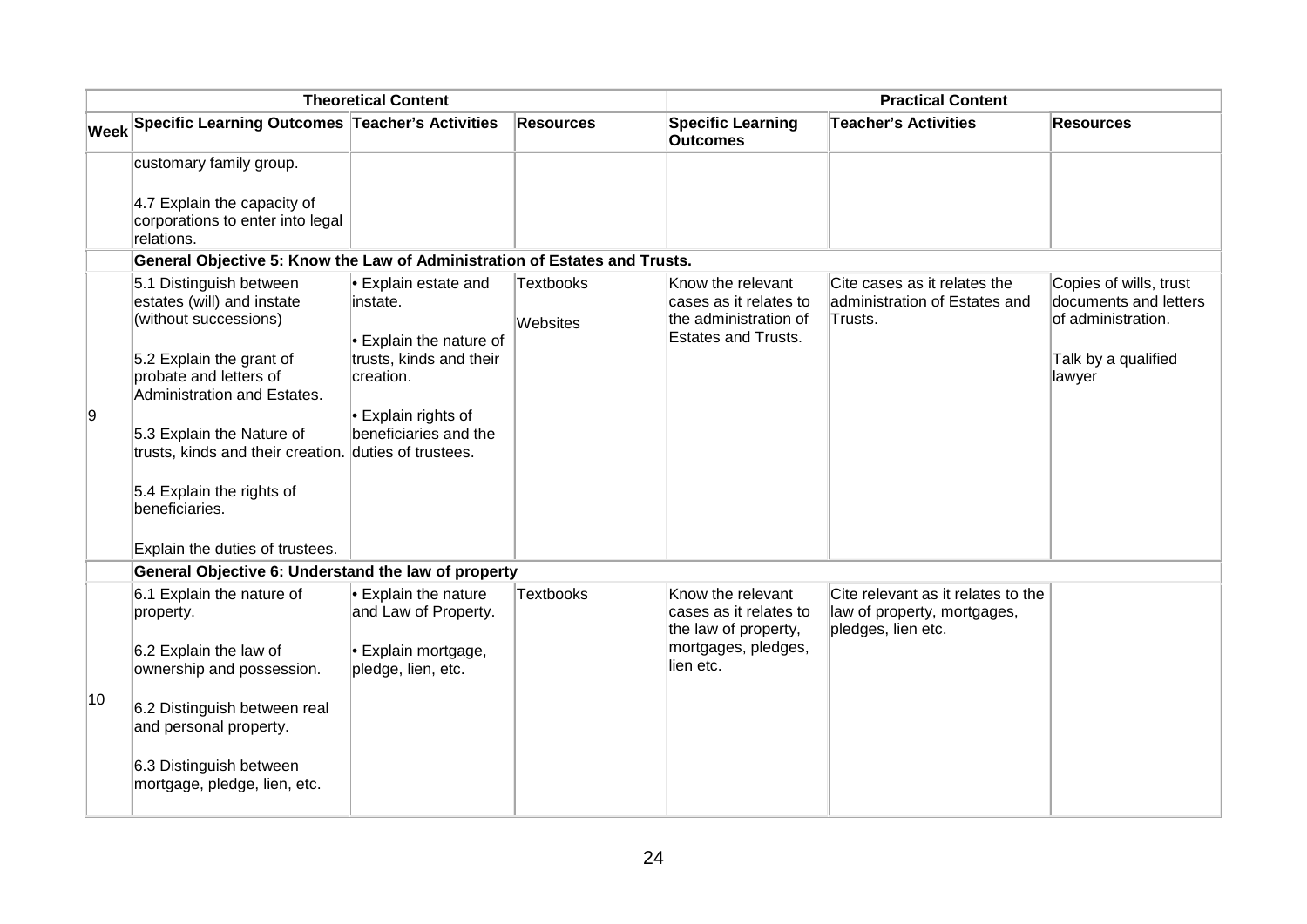|    |                                                                                                                                                                                                                                                                                                          | <b>Theoretical Content</b>                                                                                                                               |                              |                                                                                                         | <b>Practical Content</b>                                                                |                                                                                                        |
|----|----------------------------------------------------------------------------------------------------------------------------------------------------------------------------------------------------------------------------------------------------------------------------------------------------------|----------------------------------------------------------------------------------------------------------------------------------------------------------|------------------------------|---------------------------------------------------------------------------------------------------------|-----------------------------------------------------------------------------------------|--------------------------------------------------------------------------------------------------------|
|    | Week Specific Learning Outcomes Teacher's Activities                                                                                                                                                                                                                                                     |                                                                                                                                                          | <b>Resources</b>             | <b>Specific Learning</b><br><b>Outcomes</b>                                                             | <b>Teacher's Activities</b>                                                             | <b>Resources</b>                                                                                       |
|    | customary family group.                                                                                                                                                                                                                                                                                  |                                                                                                                                                          |                              |                                                                                                         |                                                                                         |                                                                                                        |
|    | 4.7 Explain the capacity of<br>corporations to enter into legal<br>relations.                                                                                                                                                                                                                            |                                                                                                                                                          |                              |                                                                                                         |                                                                                         |                                                                                                        |
|    | General Objective 5: Know the Law of Administration of Estates and Trusts.                                                                                                                                                                                                                               |                                                                                                                                                          |                              |                                                                                                         |                                                                                         |                                                                                                        |
| 9  | 5.1 Distinguish between<br>estates (will) and instate<br>(without successions)<br>5.2 Explain the grant of<br>probate and letters of<br>Administration and Estates.<br>5.3 Explain the Nature of<br>trusts, kinds and their creation. duties of trustees.<br>5.4 Explain the rights of<br>beneficiaries. | • Explain estate and<br>instate.<br><b>Explain the nature of</b><br>trusts, kinds and their<br>creation.<br>• Explain rights of<br>beneficiaries and the | <b>Textbooks</b><br>Websites | Know the relevant<br>cases as it relates to<br>the administration of<br><b>Estates and Trusts.</b>      | Cite cases as it relates the<br>administration of Estates and<br>Trusts.                | Copies of wills, trust<br>documents and letters<br>of administration.<br>Talk by a qualified<br>lawyer |
|    | Explain the duties of trustees.                                                                                                                                                                                                                                                                          |                                                                                                                                                          |                              |                                                                                                         |                                                                                         |                                                                                                        |
|    | General Objective 6: Understand the law of property                                                                                                                                                                                                                                                      |                                                                                                                                                          |                              |                                                                                                         |                                                                                         |                                                                                                        |
|    | 6.1 Explain the nature of<br>property.<br>6.2 Explain the law of<br>ownership and possession.                                                                                                                                                                                                            | $\cdot$ Explain the nature<br>and Law of Property.<br>Explain mortgage,<br>pledge, lien, etc.                                                            | <b>Textbooks</b>             | Know the relevant<br>cases as it relates to<br>the law of property,<br>mortgages, pledges,<br>lien etc. | Cite relevant as it relates to the<br>law of property, mortgages,<br>pledges, lien etc. |                                                                                                        |
| 10 | 6.2 Distinguish between real<br>and personal property.                                                                                                                                                                                                                                                   |                                                                                                                                                          |                              |                                                                                                         |                                                                                         |                                                                                                        |
|    | 6.3 Distinguish between<br>mortgage, pledge, lien, etc.                                                                                                                                                                                                                                                  |                                                                                                                                                          |                              |                                                                                                         |                                                                                         |                                                                                                        |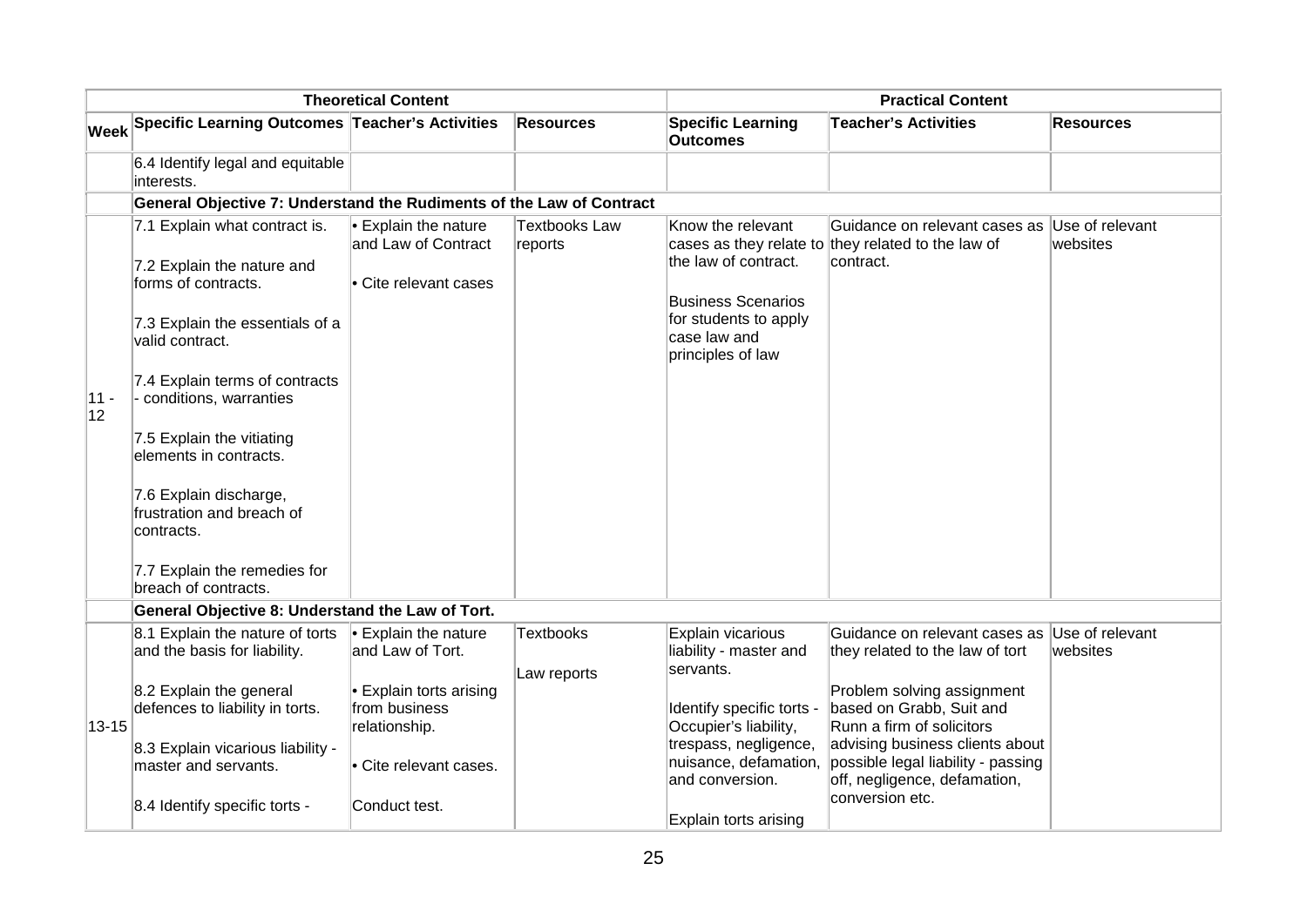|                      |                                                                                                                                                                                                                                                                                                                                                                                            | <b>Theoretical Content</b>                                               |                                 |                                                                                                                                      | <b>Practical Content</b>                                                                                                 |                             |
|----------------------|--------------------------------------------------------------------------------------------------------------------------------------------------------------------------------------------------------------------------------------------------------------------------------------------------------------------------------------------------------------------------------------------|--------------------------------------------------------------------------|---------------------------------|--------------------------------------------------------------------------------------------------------------------------------------|--------------------------------------------------------------------------------------------------------------------------|-----------------------------|
|                      | Week Specific Learning Outcomes Teacher's Activities                                                                                                                                                                                                                                                                                                                                       |                                                                          | <b>Resources</b>                | <b>Specific Learning</b><br><b>Outcomes</b>                                                                                          | <b>Teacher's Activities</b>                                                                                              | Resources                   |
|                      | 6.4 Identify legal and equitable<br>interests.                                                                                                                                                                                                                                                                                                                                             |                                                                          |                                 |                                                                                                                                      |                                                                                                                          |                             |
|                      | General Objective 7: Understand the Rudiments of the Law of Contract                                                                                                                                                                                                                                                                                                                       |                                                                          |                                 |                                                                                                                                      |                                                                                                                          |                             |
| 11 -<br>$ 12\rangle$ | 7.1 Explain what contract is.<br>7.2 Explain the nature and<br>forms of contracts.<br>7.3 Explain the essentials of a<br>valid contract.<br>7.4 Explain terms of contracts<br>- conditions, warranties<br>7.5 Explain the vitiating<br>elements in contracts.<br>7.6 Explain discharge,<br>frustration and breach of<br>contracts.<br>7.7 Explain the remedies for<br>breach of contracts. | $\cdot$ Explain the nature<br>and Law of Contract<br>Cite relevant cases | <b>Textbooks Law</b><br>reports | Know the relevant<br>the law of contract.<br><b>Business Scenarios</b><br>for students to apply<br>case law and<br>principles of law | Guidance on relevant cases as<br>cases as they relate to they related to the law of<br>contract.                         | Use of relevant<br>websites |
|                      |                                                                                                                                                                                                                                                                                                                                                                                            |                                                                          |                                 |                                                                                                                                      |                                                                                                                          |                             |
|                      | General Objective 8: Understand the Law of Tort.<br>8.1 Explain the nature of torts<br>and the basis for liability.                                                                                                                                                                                                                                                                        | $\cdot$ Explain the nature<br>and Law of Tort.                           | <b>Textbooks</b>                | Explain vicarious<br>liability - master and                                                                                          | Guidance on relevant cases as<br>they related to the law of tort                                                         | Use of relevant<br>websites |
| $13 - 15$            | 8.2 Explain the general<br>defences to liability in torts.                                                                                                                                                                                                                                                                                                                                 | $\cdot$ Explain torts arising<br>from business<br>relationship.          | Law reports                     | servants.<br>Identify specific torts -<br>Occupier's liability,                                                                      | Problem solving assignment<br>based on Grabb, Suit and<br>Runn a firm of solicitors                                      |                             |
|                      | 8.3 Explain vicarious liability -<br>master and servants.                                                                                                                                                                                                                                                                                                                                  | Cite relevant cases.                                                     |                                 | trespass, negligence,<br>nuisance, defamation,<br>and conversion.                                                                    | advising business clients about<br>possible legal liability - passing<br>off, negligence, defamation,<br>conversion etc. |                             |
|                      | 8.4 Identify specific torts -                                                                                                                                                                                                                                                                                                                                                              | Conduct test.                                                            |                                 | Explain torts arising                                                                                                                |                                                                                                                          |                             |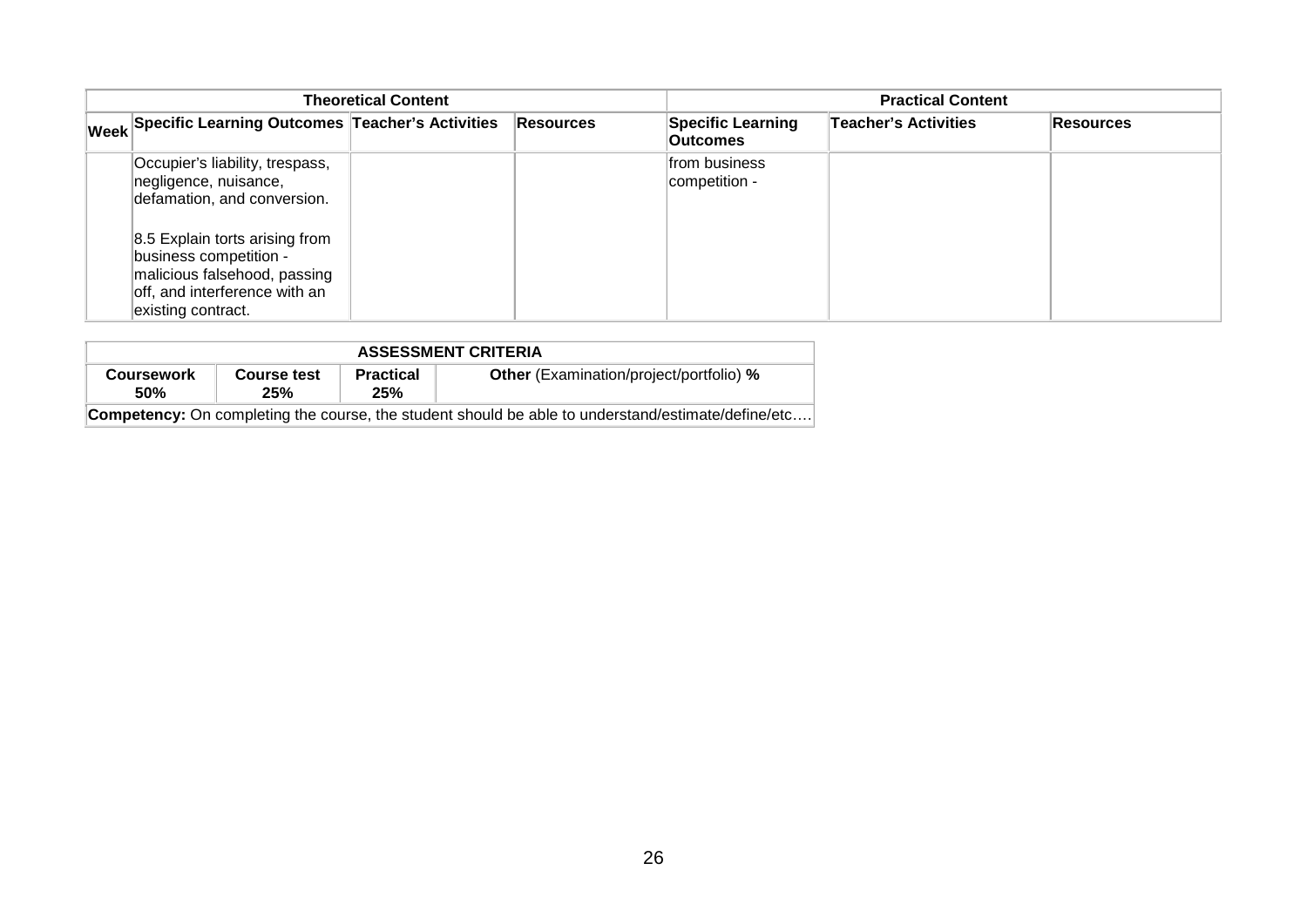|                                                                                                                                                                                                                                            | <b>Theoretical Content</b> |                  | <b>Practical Content</b>                    |                             |                  |  |
|--------------------------------------------------------------------------------------------------------------------------------------------------------------------------------------------------------------------------------------------|----------------------------|------------------|---------------------------------------------|-----------------------------|------------------|--|
| Week Specific Learning Outcomes Teacher's Activities                                                                                                                                                                                       |                            | <b>Resources</b> | <b>Specific Learning</b><br><b>Outcomes</b> | <b>Teacher's Activities</b> | <b>Resources</b> |  |
| Occupier's liability, trespass,<br>negligence, nuisance,<br>defamation, and conversion.<br>8.5 Explain torts arising from<br>business competition -<br>malicious falsehood, passing<br>off, and interference with an<br>existing contract. |                            |                  | from business<br>competition -              |                             |                  |  |

| <b>ASSESSMENT CRITERIA</b>                                                                                |                    |                         |                                                |  |  |  |  |  |
|-----------------------------------------------------------------------------------------------------------|--------------------|-------------------------|------------------------------------------------|--|--|--|--|--|
| Coursework<br><b>50%</b>                                                                                  | Course test<br>25% | <b>Practical</b><br>25% | <b>Other</b> (Examination/project/portfolio) % |  |  |  |  |  |
| <b>Competency:</b> On completing the course, the student should be able to understand/estimate/define/etc |                    |                         |                                                |  |  |  |  |  |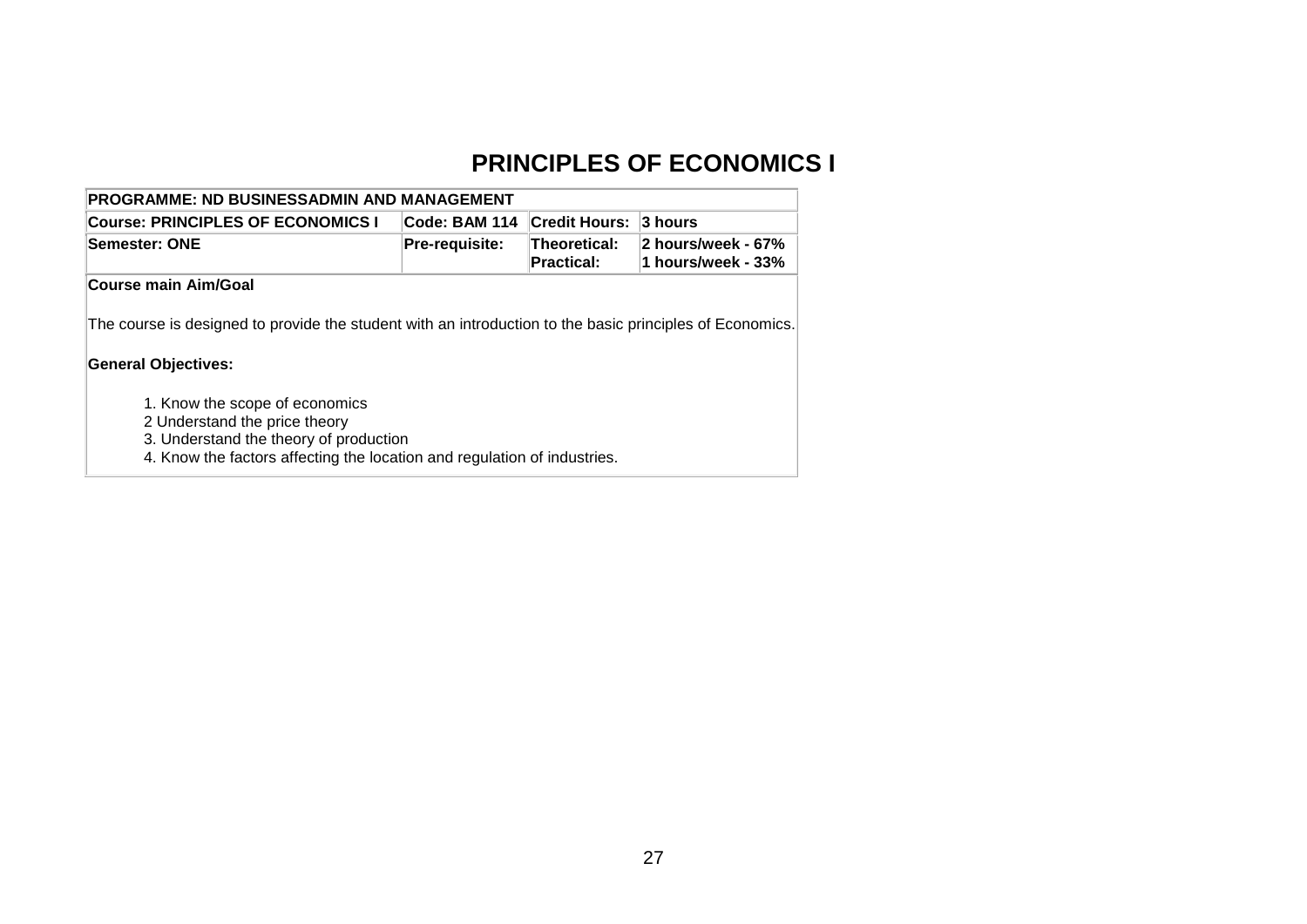### **PRINCIPLES OF ECONOMICS I**

| <b>PROGRAMME: ND BUSINESSADMIN AND MANAGEMENT</b>                                                                                                                                                                                                                                                                               |                                                            |  |                                          |  |  |  |  |  |  |
|---------------------------------------------------------------------------------------------------------------------------------------------------------------------------------------------------------------------------------------------------------------------------------------------------------------------------------|------------------------------------------------------------|--|------------------------------------------|--|--|--|--|--|--|
| Code: BAM 114<br><b>Credit Hours:</b><br><b>Course: PRINCIPLES OF ECONOMICS I</b><br>3 hours                                                                                                                                                                                                                                    |                                                            |  |                                          |  |  |  |  |  |  |
| <b>Semester: ONE</b>                                                                                                                                                                                                                                                                                                            | Theoretical:<br><b>Pre-requisite:</b><br><b>Practical:</b> |  | 2 hours/week - 67%<br>1 hours/week - 33% |  |  |  |  |  |  |
| <b>Course main Aim/Goal</b>                                                                                                                                                                                                                                                                                                     |                                                            |  |                                          |  |  |  |  |  |  |
| The course is designed to provide the student with an introduction to the basic principles of Economics.<br><b>General Objectives:</b><br>1. Know the scope of economics<br>2 Understand the price theory<br>3. Understand the theory of production<br>4. Know the factors affecting the location and regulation of industries. |                                                            |  |                                          |  |  |  |  |  |  |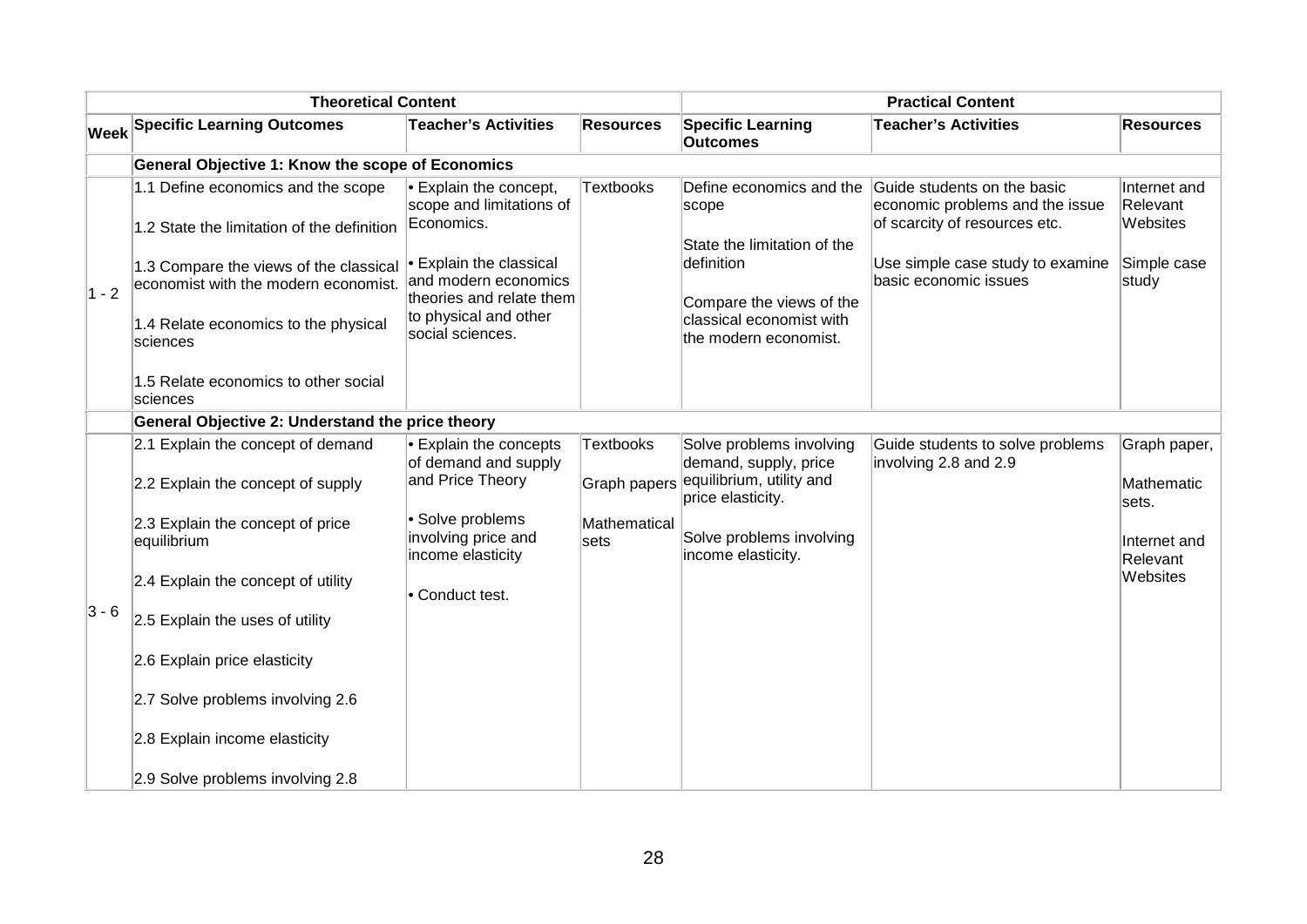| <b>Theoretical Content</b> |                                                                                                                                                                                                                        |                                                                                                                                                                                                           | <b>Practical Content</b>         |                                                                                                                                                                 |                                                                                                                                                              |                                                              |
|----------------------------|------------------------------------------------------------------------------------------------------------------------------------------------------------------------------------------------------------------------|-----------------------------------------------------------------------------------------------------------------------------------------------------------------------------------------------------------|----------------------------------|-----------------------------------------------------------------------------------------------------------------------------------------------------------------|--------------------------------------------------------------------------------------------------------------------------------------------------------------|--------------------------------------------------------------|
|                            | <b>Week Specific Learning Outcomes</b>                                                                                                                                                                                 | <b>Teacher's Activities</b>                                                                                                                                                                               | <b>Resources</b>                 | <b>Specific Learning</b><br><b>Outcomes</b>                                                                                                                     | <b>Teacher's Activities</b>                                                                                                                                  | <b>Resources</b>                                             |
|                            | <b>General Objective 1: Know the scope of Economics</b>                                                                                                                                                                |                                                                                                                                                                                                           |                                  |                                                                                                                                                                 |                                                                                                                                                              |                                                              |
| $1 - 2$                    | 1.1 Define economics and the scope<br>1.2 State the limitation of the definition<br>1.3 Compare the views of the classical<br>economist with the modern economist.<br>1.4 Relate economics to the physical<br>sciences | $\bullet$ Explain the concept,<br>scope and limitations of<br>Economics.<br><b>Explain the classical</b><br>and modern economics<br>theories and relate them<br>to physical and other<br>social sciences. | <b>Textbooks</b>                 | Define economics and the<br>scope<br>State the limitation of the<br>definition<br>Compare the views of the<br>classical economist with<br>the modern economist. | Guide students on the basic<br>economic problems and the issue<br>of scarcity of resources etc.<br>Use simple case study to examine<br>basic economic issues | Internet and<br>Relevant<br>Websites<br>Simple case<br>study |
|                            | 1.5 Relate economics to other social<br>sciences                                                                                                                                                                       |                                                                                                                                                                                                           |                                  |                                                                                                                                                                 |                                                                                                                                                              |                                                              |
|                            | General Objective 2: Understand the price theory                                                                                                                                                                       |                                                                                                                                                                                                           |                                  |                                                                                                                                                                 |                                                                                                                                                              |                                                              |
|                            | 2.1 Explain the concept of demand<br>2.2 Explain the concept of supply                                                                                                                                                 | • Explain the concepts<br>of demand and supply<br>and Price Theory                                                                                                                                        | <b>Textbooks</b><br>Graph papers | Solve problems involving<br>demand, supply, price<br>equilibrium, utility and<br>price elasticity.                                                              | Guide students to solve problems<br>involving 2.8 and 2.9                                                                                                    | Graph paper,<br>Mathematic<br>sets.                          |
|                            | 2.3 Explain the concept of price<br>equilibrium                                                                                                                                                                        | · Solve problems<br>involving price and<br>income elasticity                                                                                                                                              | Mathematical<br>sets             | Solve problems involving<br>income elasticity.                                                                                                                  |                                                                                                                                                              | Internet and<br>Relevant                                     |
|                            | 2.4 Explain the concept of utility                                                                                                                                                                                     | • Conduct test.                                                                                                                                                                                           |                                  |                                                                                                                                                                 |                                                                                                                                                              | Websites                                                     |
| $ 3 - 6 $                  | 2.5 Explain the uses of utility                                                                                                                                                                                        |                                                                                                                                                                                                           |                                  |                                                                                                                                                                 |                                                                                                                                                              |                                                              |
|                            | 2.6 Explain price elasticity                                                                                                                                                                                           |                                                                                                                                                                                                           |                                  |                                                                                                                                                                 |                                                                                                                                                              |                                                              |
|                            | 2.7 Solve problems involving 2.6                                                                                                                                                                                       |                                                                                                                                                                                                           |                                  |                                                                                                                                                                 |                                                                                                                                                              |                                                              |
|                            | 2.8 Explain income elasticity                                                                                                                                                                                          |                                                                                                                                                                                                           |                                  |                                                                                                                                                                 |                                                                                                                                                              |                                                              |
|                            | 2.9 Solve problems involving 2.8                                                                                                                                                                                       |                                                                                                                                                                                                           |                                  |                                                                                                                                                                 |                                                                                                                                                              |                                                              |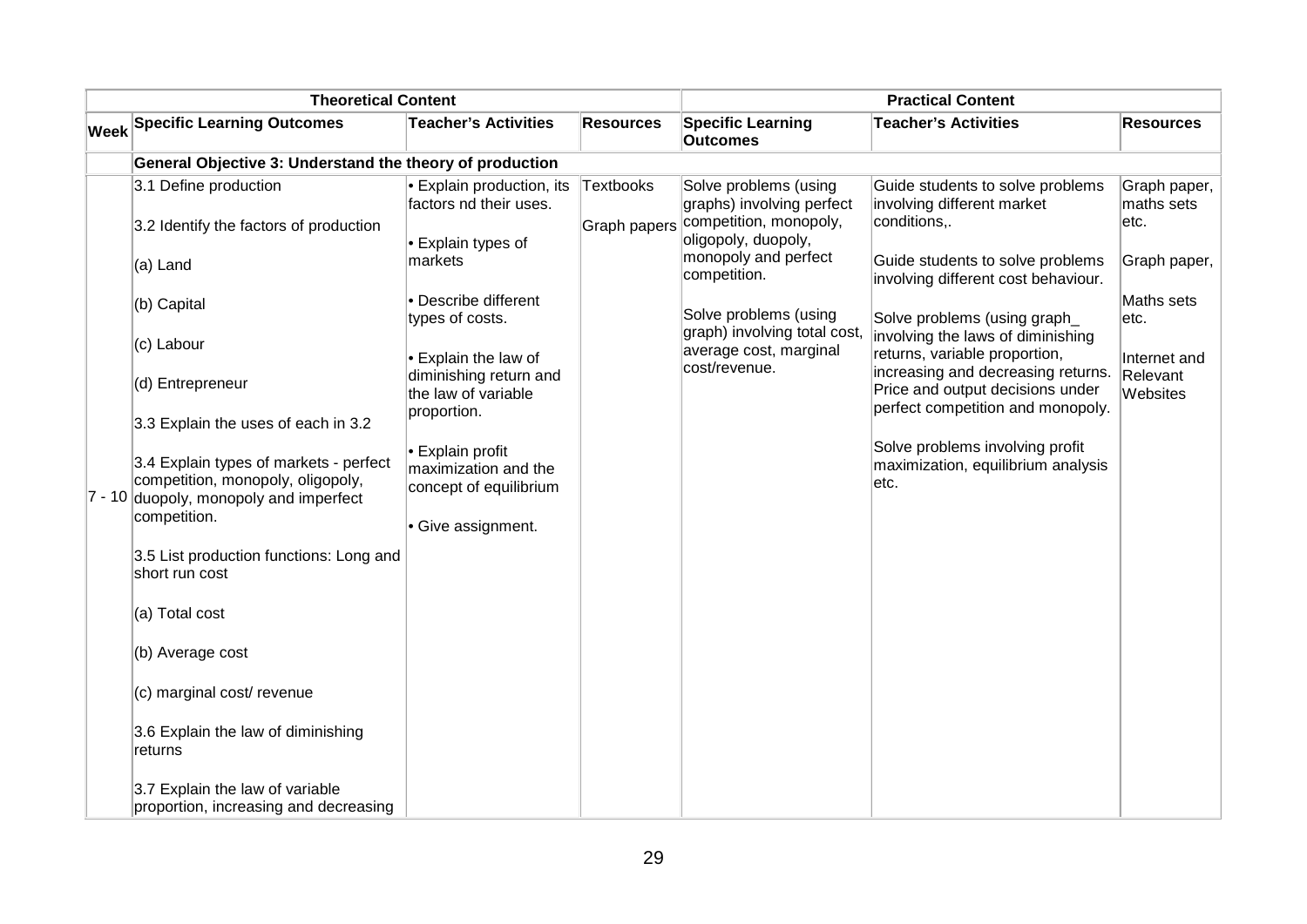| <b>Theoretical Content</b> |                                                                                                                       |                                                                    |                  | <b>Practical Content</b>                                                     |                                                                                                             |                                    |  |
|----------------------------|-----------------------------------------------------------------------------------------------------------------------|--------------------------------------------------------------------|------------------|------------------------------------------------------------------------------|-------------------------------------------------------------------------------------------------------------|------------------------------------|--|
|                            | <b>Week Specific Learning Outcomes</b>                                                                                | <b>Teacher's Activities</b>                                        | <b>Resources</b> | <b>Specific Learning</b><br><b>Outcomes</b>                                  | <b>Teacher's Activities</b>                                                                                 | <b>Resources</b>                   |  |
|                            | General Objective 3: Understand the theory of production                                                              |                                                                    |                  |                                                                              |                                                                                                             |                                    |  |
|                            | 3.1 Define production<br>3.2 Identify the factors of production                                                       | $\bullet$ Explain production, its<br>factors nd their uses.        | <b>Textbooks</b> | Solve problems (using<br>graphs) involving perfect<br>competition, monopoly, | Guide students to solve problems<br>involving different market<br>conditions,.                              | Graph paper,<br>maths sets<br>etc. |  |
|                            | (a) Land                                                                                                              | $\cdot$ Explain types of<br>markets                                | Graph papers     | oligopoly, duopoly,<br>monopoly and perfect<br>competition.                  | Guide students to solve problems                                                                            | Graph paper,                       |  |
|                            | (b) Capital                                                                                                           | · Describe different<br>types of costs.                            |                  | Solve problems (using                                                        | involving different cost behaviour.<br>Solve problems (using graph                                          | Maths sets<br>etc.                 |  |
|                            | (c) Labour                                                                                                            | • Explain the law of                                               |                  | graph) involving total cost,<br>average cost, marginal<br>cost/revenue.      | involving the laws of diminishing<br>returns, variable proportion,                                          | Internet and                       |  |
|                            | (d) Entrepreneur                                                                                                      | diminishing return and<br>the law of variable<br>proportion.       |                  |                                                                              | increasing and decreasing returns.<br>Price and output decisions under<br>perfect competition and monopoly. | Relevant<br>Websites               |  |
|                            | 3.3 Explain the uses of each in 3.2                                                                                   |                                                                    |                  |                                                                              |                                                                                                             |                                    |  |
|                            | 3.4 Explain types of markets - perfect<br>competition, monopoly, oligopoly,<br>7 - 10 duopoly, monopoly and imperfect | • Explain profit<br>maximization and the<br>concept of equilibrium |                  |                                                                              | Solve problems involving profit<br>maximization, equilibrium analysis<br>etc.                               |                                    |  |
|                            | competition.                                                                                                          | Give assignment.                                                   |                  |                                                                              |                                                                                                             |                                    |  |
|                            | 3.5 List production functions: Long and<br>short run cost                                                             |                                                                    |                  |                                                                              |                                                                                                             |                                    |  |
|                            | (a) Total cost                                                                                                        |                                                                    |                  |                                                                              |                                                                                                             |                                    |  |
|                            | (b) Average cost                                                                                                      |                                                                    |                  |                                                                              |                                                                                                             |                                    |  |
|                            | (c) marginal cost/ revenue                                                                                            |                                                                    |                  |                                                                              |                                                                                                             |                                    |  |
|                            | 3.6 Explain the law of diminishing<br>returns                                                                         |                                                                    |                  |                                                                              |                                                                                                             |                                    |  |
|                            | 3.7 Explain the law of variable<br>proportion, increasing and decreasing                                              |                                                                    |                  |                                                                              |                                                                                                             |                                    |  |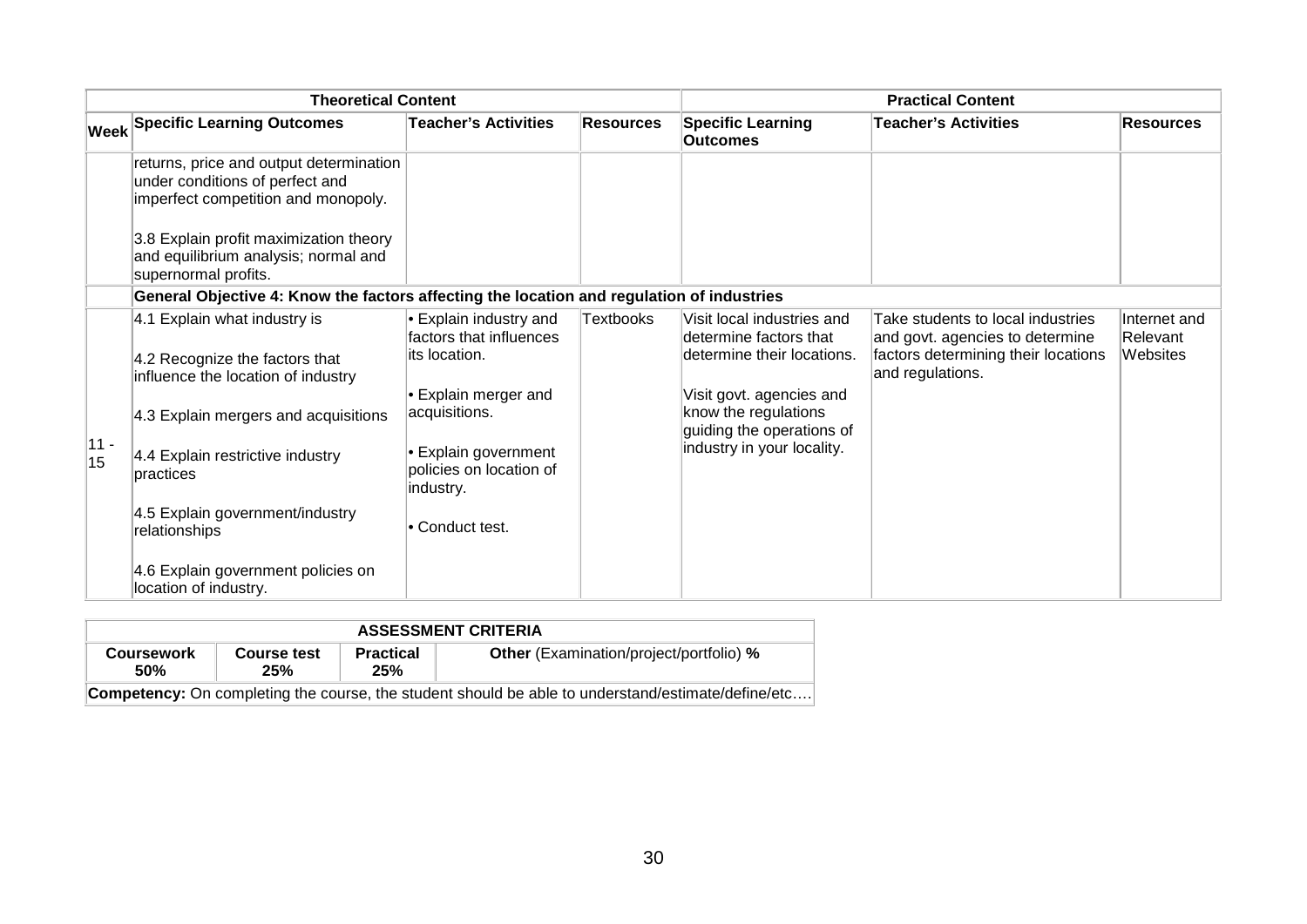| <b>Theoretical Content</b> |                                                                                                                   |                                                                     | <b>Practical Content</b> |                                                                                    |                                                                                                                                 |                                      |
|----------------------------|-------------------------------------------------------------------------------------------------------------------|---------------------------------------------------------------------|--------------------------|------------------------------------------------------------------------------------|---------------------------------------------------------------------------------------------------------------------------------|--------------------------------------|
|                            | <b>Week Specific Learning Outcomes</b>                                                                            | <b>Teacher's Activities</b>                                         | <b>Resources</b>         | <b>Specific Learning</b><br><b>Outcomes</b>                                        | <b>Teacher's Activities</b>                                                                                                     | <b>Resources</b>                     |
|                            | returns, price and output determination<br>under conditions of perfect and<br>imperfect competition and monopoly. |                                                                     |                          |                                                                                    |                                                                                                                                 |                                      |
|                            | 3.8 Explain profit maximization theory<br>and equilibrium analysis; normal and<br>supernormal profits.            |                                                                     |                          |                                                                                    |                                                                                                                                 |                                      |
|                            | General Objective 4: Know the factors affecting the location and regulation of industries                         |                                                                     |                          |                                                                                    |                                                                                                                                 |                                      |
|                            | 4.1 Explain what industry is<br>4.2 Recognize the factors that<br>influence the location of industry              | • Explain industry and<br>factors that influences<br>lits location. | <b>Textbooks</b>         | Visit local industries and<br>determine factors that<br>determine their locations. | Take students to local industries<br>and govt. agencies to determine<br>factors determining their locations<br>and regulations. | Internet and<br>Relevant<br>Websites |
|                            | 4.3 Explain mergers and acquisitions                                                                              | $\bullet$ Explain merger and<br>acquisitions.                       |                          | Visit govt. agencies and<br>know the regulations<br>guiding the operations of      |                                                                                                                                 |                                      |
| $11 -$<br>15               | 4.4 Explain restrictive industry<br>practices                                                                     | • Explain government<br>policies on location of<br>industry.        |                          | industry in your locality.                                                         |                                                                                                                                 |                                      |
|                            | 4.5 Explain government/industry<br>relationships                                                                  | • Conduct test.                                                     |                          |                                                                                    |                                                                                                                                 |                                      |
|                            | 4.6 Explain government policies on<br>location of industry.                                                       |                                                                     |                          |                                                                                    |                                                                                                                                 |                                      |

|                                 | <b>ASSESSMENT CRITERIA</b>                                                                                |                         |                                                |  |  |  |  |  |
|---------------------------------|-----------------------------------------------------------------------------------------------------------|-------------------------|------------------------------------------------|--|--|--|--|--|
| <b>Coursework</b><br><b>50%</b> | Course test<br>25%                                                                                        | <b>Practical</b><br>25% | <b>Other</b> (Examination/project/portfolio) % |  |  |  |  |  |
|                                 | <b>Competency:</b> On completing the course, the student should be able to understand/estimate/define/etc |                         |                                                |  |  |  |  |  |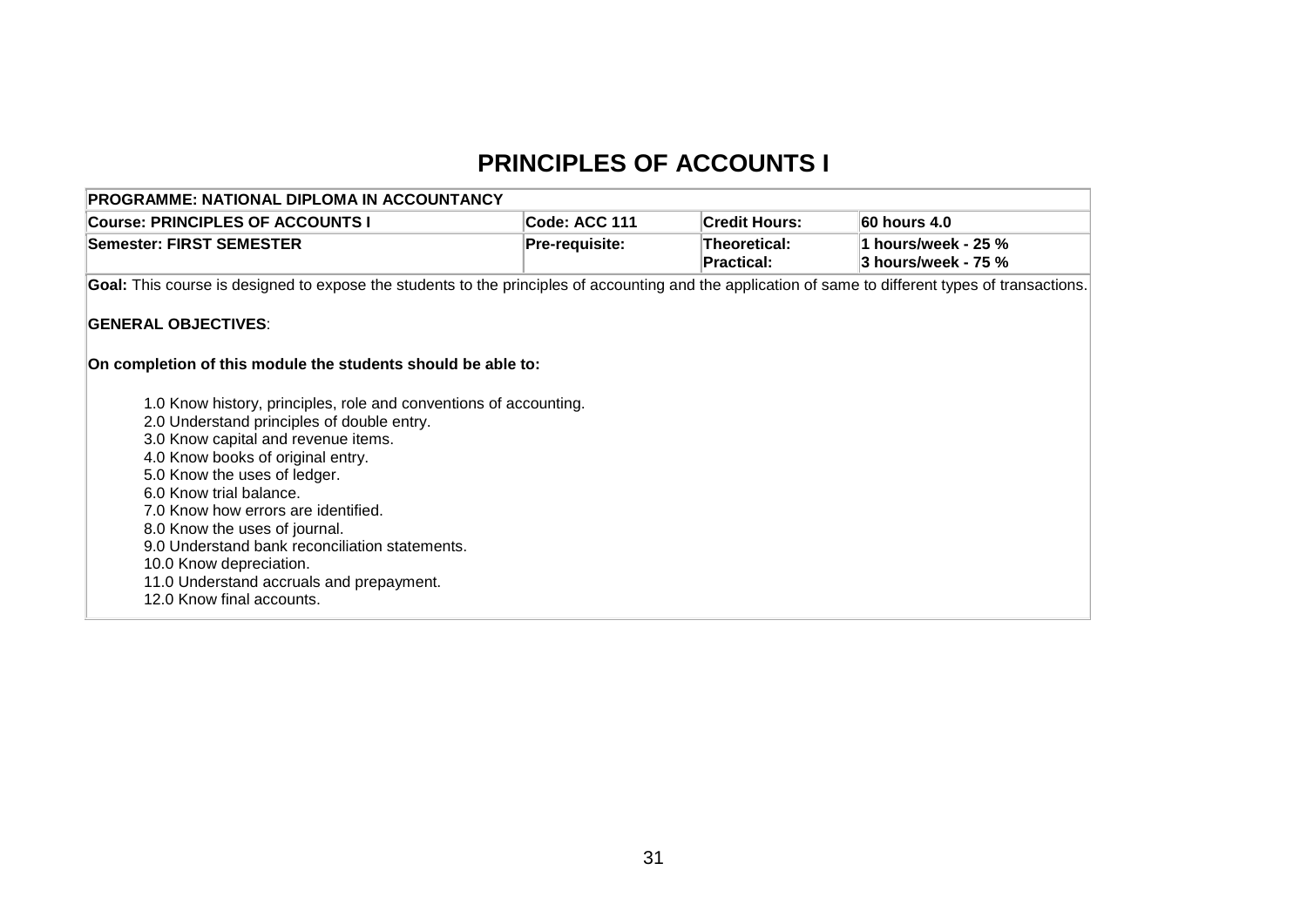## **PRINCIPLES OF ACCOUNTS I**

| <b>PROGRAMME: NATIONAL DIPLOMA IN ACCOUNTANCY</b>                                                                                                                                                                                                                                                                                                                                                                                                                                    |                       |                                   |                     |  |  |  |  |  |
|--------------------------------------------------------------------------------------------------------------------------------------------------------------------------------------------------------------------------------------------------------------------------------------------------------------------------------------------------------------------------------------------------------------------------------------------------------------------------------------|-----------------------|-----------------------------------|---------------------|--|--|--|--|--|
| <b>Course: PRINCIPLES OF ACCOUNTS I</b>                                                                                                                                                                                                                                                                                                                                                                                                                                              | Code: ACC 111         | <b>Credit Hours:</b>              | 60 hours 4.0        |  |  |  |  |  |
| Semester: FIRST SEMESTER                                                                                                                                                                                                                                                                                                                                                                                                                                                             | <b>Pre-requisite:</b> | Theoretical:<br><b>Practical:</b> | 3 hours/week - 75 % |  |  |  |  |  |
| Goal: This course is designed to expose the students to the principles of accounting and the application of same to different types of transactions.                                                                                                                                                                                                                                                                                                                                 |                       |                                   |                     |  |  |  |  |  |
| <b>GENERAL OBJECTIVES:</b>                                                                                                                                                                                                                                                                                                                                                                                                                                                           |                       |                                   |                     |  |  |  |  |  |
| On completion of this module the students should be able to:                                                                                                                                                                                                                                                                                                                                                                                                                         |                       |                                   |                     |  |  |  |  |  |
| 1.0 Know history, principles, role and conventions of accounting.<br>2.0 Understand principles of double entry.<br>3.0 Know capital and revenue items.<br>4.0 Know books of original entry.<br>5.0 Know the uses of ledger.<br>6.0 Know trial balance.<br>7.0 Know how errors are identified.<br>8.0 Know the uses of journal.<br>9.0 Understand bank reconciliation statements.<br>10.0 Know depreciation.<br>11.0 Understand accruals and prepayment.<br>12.0 Know final accounts. |                       |                                   |                     |  |  |  |  |  |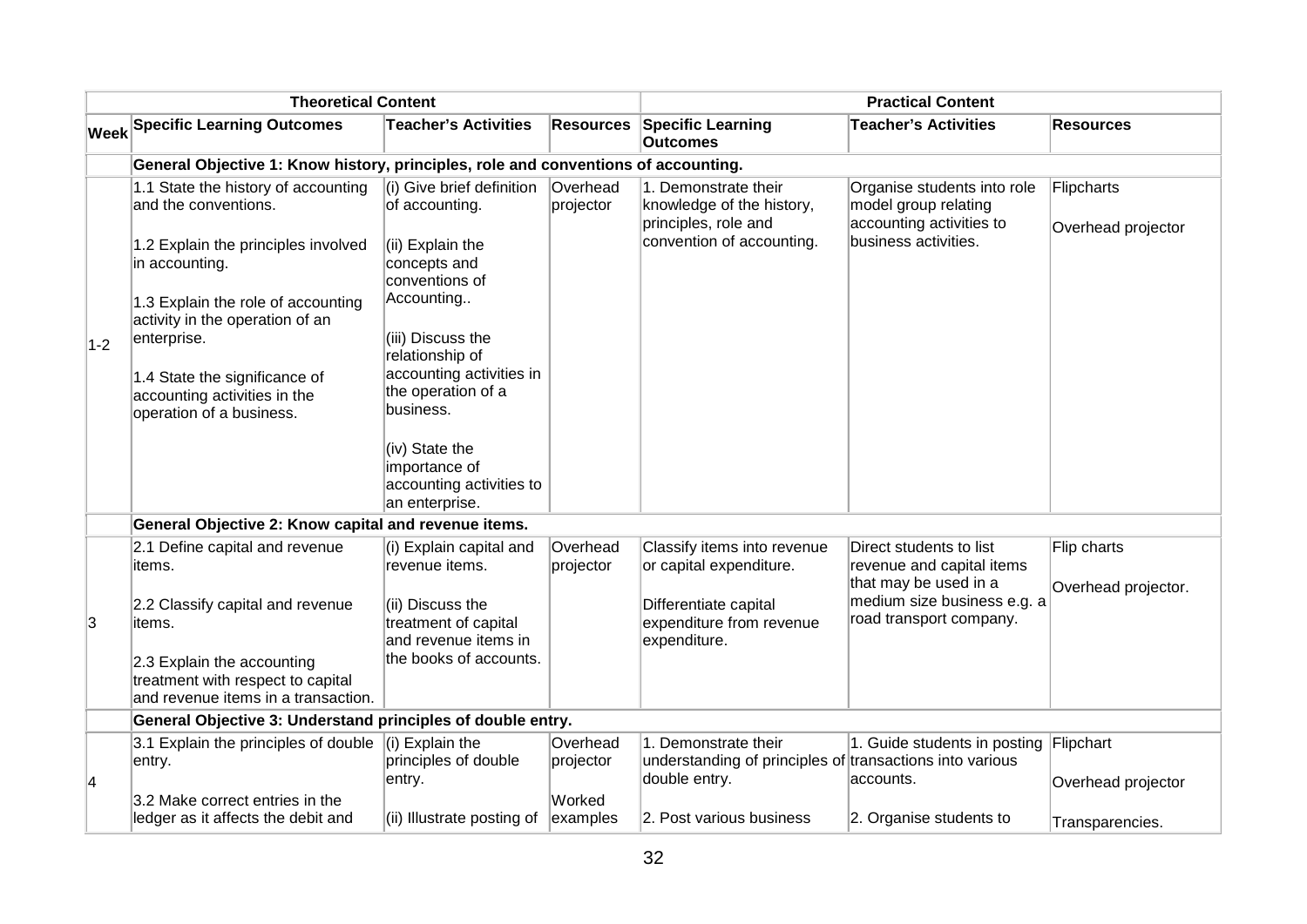| <b>Theoretical Content</b>                   |                                                                                                        |                                                                               | <b>Practical Content</b> |                                                                                                        |                                                                                                         |                                    |
|----------------------------------------------|--------------------------------------------------------------------------------------------------------|-------------------------------------------------------------------------------|--------------------------|--------------------------------------------------------------------------------------------------------|---------------------------------------------------------------------------------------------------------|------------------------------------|
| $ \mathsf{W}\mathsf{e}\mathsf{e}\mathsf{k} $ | <b>Specific Learning Outcomes</b>                                                                      | <b>Teacher's Activities</b>                                                   | <b>Resources</b>         | <b>Specific Learning</b><br><b>Outcomes</b>                                                            | <b>Teacher's Activities</b>                                                                             | <b>Resources</b>                   |
|                                              | General Objective 1: Know history, principles, role and conventions of accounting.                     |                                                                               |                          |                                                                                                        |                                                                                                         |                                    |
|                                              | 1.1 State the history of accounting<br>and the conventions.<br>1.2 Explain the principles involved     | (i) Give brief definition<br>of accounting.<br>(ii) Explain the               | Overhead<br>projector    | 1. Demonstrate their<br>knowledge of the history,<br>principles, role and<br>convention of accounting. | Organise students into role<br>model group relating<br>accounting activities to<br>business activities. | Flipcharts<br>Overhead projector   |
|                                              | in accounting.                                                                                         | concepts and<br>conventions of                                                |                          |                                                                                                        |                                                                                                         |                                    |
|                                              | 1.3 Explain the role of accounting<br>activity in the operation of an                                  | Accounting                                                                    |                          |                                                                                                        |                                                                                                         |                                    |
| $1-2$                                        | enterprise.                                                                                            | (iii) Discuss the<br>relationship of                                          |                          |                                                                                                        |                                                                                                         |                                    |
|                                              | 1.4 State the significance of<br>accounting activities in the<br>operation of a business.              | accounting activities in<br>the operation of a<br>business.                   |                          |                                                                                                        |                                                                                                         |                                    |
|                                              |                                                                                                        | (iv) State the<br>importance of<br>accounting activities to<br>an enterprise. |                          |                                                                                                        |                                                                                                         |                                    |
|                                              | General Objective 2: Know capital and revenue items.                                                   |                                                                               |                          |                                                                                                        |                                                                                                         |                                    |
|                                              | 2.1 Define capital and revenue<br>items.                                                               | (i) Explain capital and<br>revenue items.                                     | Overhead<br>projector    | Classify items into revenue<br>or capital expenditure.                                                 | Direct students to list<br>revenue and capital items<br>that may be used in a                           | Flip charts<br>Overhead projector. |
| 3                                            | 2.2 Classify capital and revenue<br>items.                                                             | (ii) Discuss the<br>treatment of capital<br>and revenue items in              |                          | Differentiate capital<br>expenditure from revenue<br>expenditure.                                      | medium size business e.g. a<br>road transport company.                                                  |                                    |
|                                              | 2.3 Explain the accounting<br>treatment with respect to capital<br>and revenue items in a transaction. | the books of accounts.                                                        |                          |                                                                                                        |                                                                                                         |                                    |
|                                              | General Objective 3: Understand principles of double entry.                                            |                                                                               |                          |                                                                                                        |                                                                                                         |                                    |
| $\vert 4 \vert$                              | 3.1 Explain the principles of double<br>entry.                                                         | $(i)$ Explain the<br>principles of double<br>entry.                           | Overhead<br>projector    | 1. Demonstrate their<br>understanding of principles of transactions into various<br>double entry.      | 1. Guide students in posting<br>accounts.                                                               | Flipchart<br>Overhead projector    |
|                                              | 3.2 Make correct entries in the<br>ledger as it affects the debit and                                  | (ii) Illustrate posting of                                                    | Worked<br>examples       | 2. Post various business                                                                               | 2. Organise students to                                                                                 | Transparencies.                    |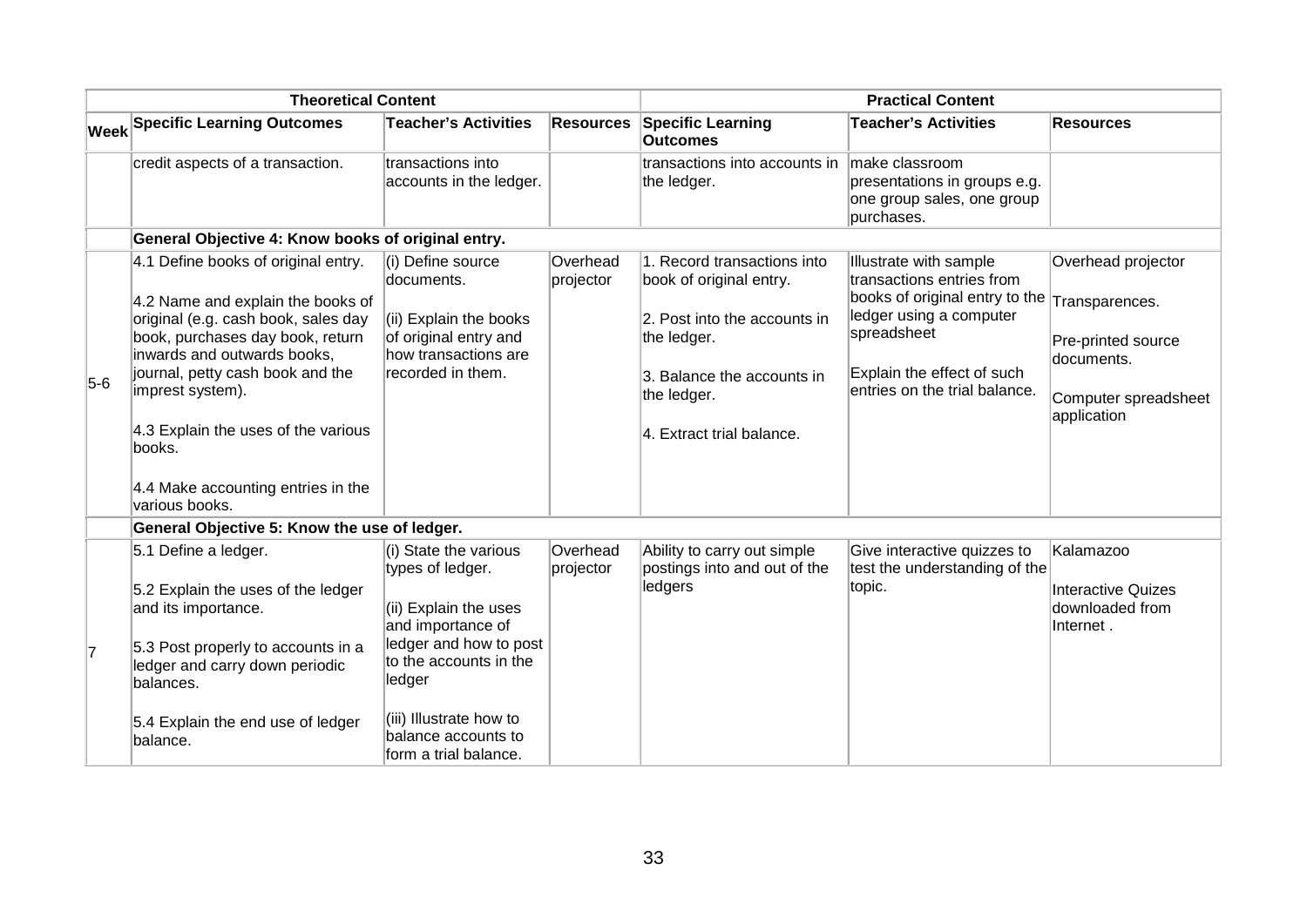| <b>Theoretical Content</b> |                                                                                                                                                                                                                                                                                                                                                     |                                                                                                                                                                                  | <b>Practical Content</b> |                                                                                                                                                                                 |                                                                                                                                                                                                               |                                                                                               |
|----------------------------|-----------------------------------------------------------------------------------------------------------------------------------------------------------------------------------------------------------------------------------------------------------------------------------------------------------------------------------------------------|----------------------------------------------------------------------------------------------------------------------------------------------------------------------------------|--------------------------|---------------------------------------------------------------------------------------------------------------------------------------------------------------------------------|---------------------------------------------------------------------------------------------------------------------------------------------------------------------------------------------------------------|-----------------------------------------------------------------------------------------------|
|                            | <b>Week Specific Learning Outcomes</b>                                                                                                                                                                                                                                                                                                              | <b>Teacher's Activities</b>                                                                                                                                                      | <b>Resources</b>         | <b>Specific Learning</b><br><b>Outcomes</b>                                                                                                                                     | <b>Teacher's Activities</b>                                                                                                                                                                                   | <b>Resources</b>                                                                              |
|                            | credit aspects of a transaction.                                                                                                                                                                                                                                                                                                                    | transactions into<br>accounts in the ledger.                                                                                                                                     |                          | transactions into accounts in<br>the ledger.                                                                                                                                    | make classroom<br>presentations in groups e.g.<br>one group sales, one group<br>purchases.                                                                                                                    |                                                                                               |
|                            | General Objective 4: Know books of original entry.                                                                                                                                                                                                                                                                                                  |                                                                                                                                                                                  |                          |                                                                                                                                                                                 |                                                                                                                                                                                                               |                                                                                               |
| $5-6$                      | 4.1 Define books of original entry.<br>4.2 Name and explain the books of<br>original (e.g. cash book, sales day<br>book, purchases day book, return<br>inwards and outwards books,<br>journal, petty cash book and the<br>imprest system).<br>4.3 Explain the uses of the various<br>books.<br>4.4 Make accounting entries in the<br>various books. | (i) Define source<br>documents.<br>(ii) Explain the books<br>of original entry and<br>how transactions are<br>recorded in them.                                                  | Overhead<br>projector    | 1. Record transactions into<br>book of original entry.<br>2. Post into the accounts in<br>the ledger.<br>3. Balance the accounts in<br>the ledger.<br>4. Extract trial balance. | Illustrate with sample<br>transactions entries from<br>books of original entry to the Transparences.<br>ledger using a computer<br>spreadsheet<br>Explain the effect of such<br>entries on the trial balance. | Overhead projector<br>Pre-printed source<br>documents.<br>Computer spreadsheet<br>application |
|                            | General Objective 5: Know the use of ledger.                                                                                                                                                                                                                                                                                                        |                                                                                                                                                                                  |                          |                                                                                                                                                                                 |                                                                                                                                                                                                               |                                                                                               |
| $\overline{7}$             | 5.1 Define a ledger.<br>5.2 Explain the uses of the ledger<br>and its importance.<br>5.3 Post properly to accounts in a<br>ledger and carry down periodic<br>balances.                                                                                                                                                                              | (i) State the various<br>types of ledger.<br>(ii) Explain the uses<br>and importance of<br>ledger and how to post<br>to the accounts in the<br>ledger<br>(iii) Illustrate how to | Overhead<br>projector    | Ability to carry out simple<br>postings into and out of the<br>ledgers                                                                                                          | Give interactive quizzes to<br>test the understanding of the<br>topic.                                                                                                                                        | Kalamazoo<br><b>Interactive Quizes</b><br>downloaded from<br>Internet.                        |
|                            | 5.4 Explain the end use of ledger<br>balance.                                                                                                                                                                                                                                                                                                       | balance accounts to<br>form a trial balance.                                                                                                                                     |                          |                                                                                                                                                                                 |                                                                                                                                                                                                               |                                                                                               |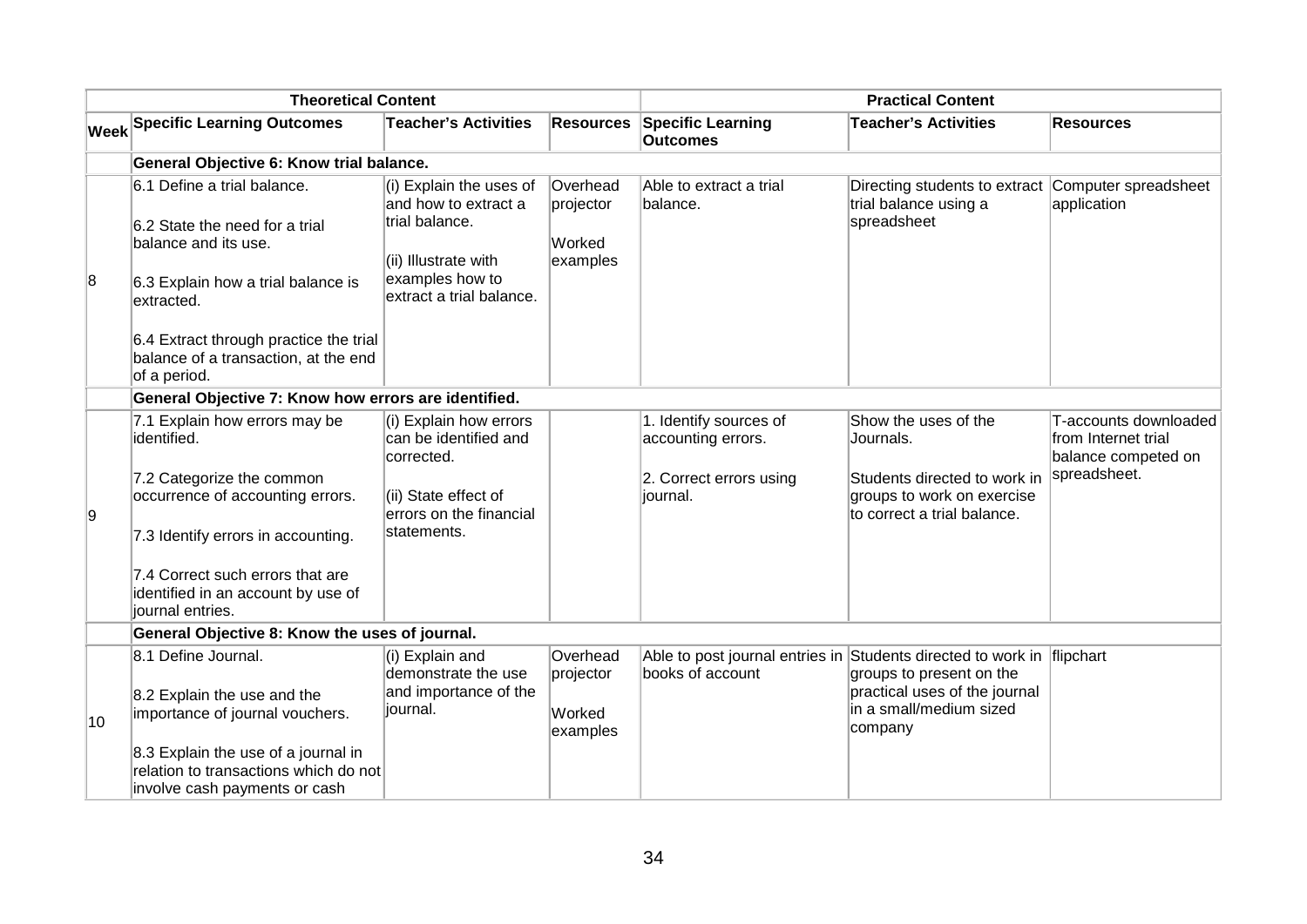|    | <b>Theoretical Content</b>                                                                                                                |                                                                                                                                          |                                             | <b>Practical Content</b>                                                                   |                                                                                                 |                                                                     |  |
|----|-------------------------------------------------------------------------------------------------------------------------------------------|------------------------------------------------------------------------------------------------------------------------------------------|---------------------------------------------|--------------------------------------------------------------------------------------------|-------------------------------------------------------------------------------------------------|---------------------------------------------------------------------|--|
|    | <b>Week Specific Learning Outcomes</b>                                                                                                    | <b>Teacher's Activities</b>                                                                                                              | <b>Resources</b>                            | <b>Specific Learning</b><br><b>Outcomes</b>                                                | <b>Teacher's Activities</b>                                                                     | <b>Resources</b>                                                    |  |
|    | General Objective 6: Know trial balance.                                                                                                  |                                                                                                                                          |                                             |                                                                                            |                                                                                                 |                                                                     |  |
| 8  | 6.1 Define a trial balance.<br>6.2 State the need for a trial<br>balance and its use.<br>6.3 Explain how a trial balance is<br>extracted. | (i) Explain the uses of<br>and how to extract a<br>trial balance.<br>(ii) Illustrate with<br>examples how to<br>extract a trial balance. | Overhead<br>projector<br>Worked<br>examples | Able to extract a trial<br>balance.                                                        | Directing students to extract<br>trial balance using a<br>spreadsheet                           | Computer spreadsheet<br>application                                 |  |
|    | 6.4 Extract through practice the trial<br>balance of a transaction, at the end<br>of a period.                                            |                                                                                                                                          |                                             |                                                                                            |                                                                                                 |                                                                     |  |
|    | General Objective 7: Know how errors are identified.                                                                                      |                                                                                                                                          |                                             |                                                                                            |                                                                                                 |                                                                     |  |
|    | 7.1 Explain how errors may be<br>identified.                                                                                              | (i) Explain how errors<br>can be identified and<br>corrected.                                                                            |                                             | 1. Identify sources of<br>accounting errors.                                               | Show the uses of the<br>Journals.                                                               | T-accounts downloaded<br>from Internet trial<br>balance competed on |  |
| 9  | 7.2 Categorize the common<br>occurrence of accounting errors.<br>7.3 Identify errors in accounting.                                       | (ii) State effect of<br>errors on the financial<br>statements.                                                                           |                                             | 2. Correct errors using<br>journal.                                                        | Students directed to work in<br>groups to work on exercise<br>to correct a trial balance.       | spreadsheet.                                                        |  |
|    | 7.4 Correct such errors that are<br>identified in an account by use of<br>journal entries.                                                |                                                                                                                                          |                                             |                                                                                            |                                                                                                 |                                                                     |  |
|    | General Objective 8: Know the uses of journal.                                                                                            |                                                                                                                                          |                                             |                                                                                            |                                                                                                 |                                                                     |  |
| 10 | 8.1 Define Journal.<br>8.2 Explain the use and the<br>importance of journal vouchers.                                                     | (i) Explain and<br>demonstrate the use<br>and importance of the<br>iournal.                                                              | Overhead<br>projector<br>Worked<br>examples | Able to post journal entries in Students directed to work in flipchart<br>books of account | groups to present on the<br>practical uses of the journal<br>in a small/medium sized<br>company |                                                                     |  |
|    | 8.3 Explain the use of a journal in<br>relation to transactions which do not<br>involve cash payments or cash                             |                                                                                                                                          |                                             |                                                                                            |                                                                                                 |                                                                     |  |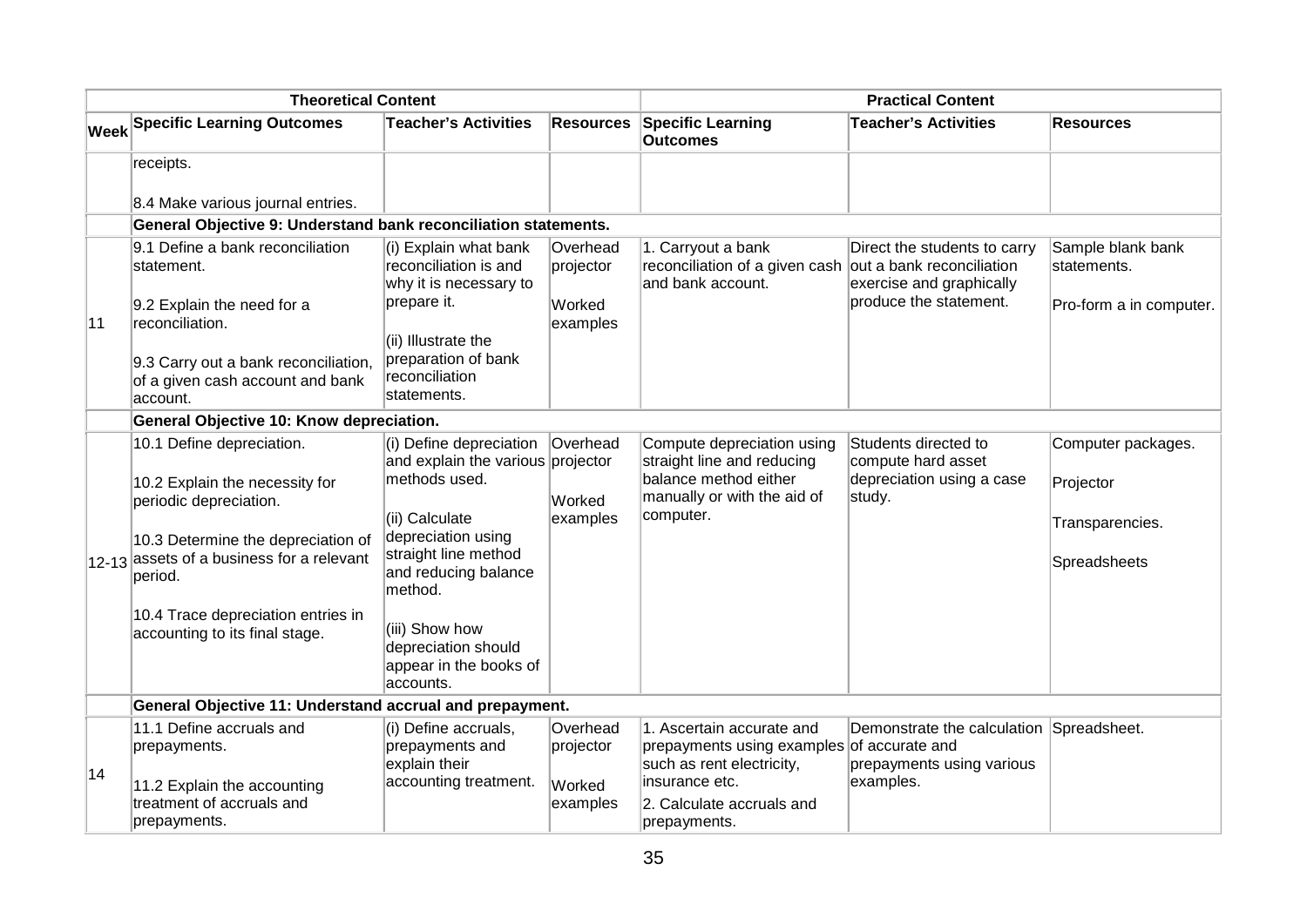| <b>Theoretical Content</b> |                                                                                                                                                                                                                                                             |                                                                                                                                                                                                                           | <b>Practical Content</b>        |                                                                                                                               |                                                                                                       |                                                                    |
|----------------------------|-------------------------------------------------------------------------------------------------------------------------------------------------------------------------------------------------------------------------------------------------------------|---------------------------------------------------------------------------------------------------------------------------------------------------------------------------------------------------------------------------|---------------------------------|-------------------------------------------------------------------------------------------------------------------------------|-------------------------------------------------------------------------------------------------------|--------------------------------------------------------------------|
|                            | <b>Week Specific Learning Outcomes</b>                                                                                                                                                                                                                      | <b>Teacher's Activities</b>                                                                                                                                                                                               | <b>Resources</b>                | <b>Specific Learning</b><br><b>Outcomes</b>                                                                                   | <b>Teacher's Activities</b>                                                                           | <b>Resources</b>                                                   |
|                            | receipts.                                                                                                                                                                                                                                                   |                                                                                                                                                                                                                           |                                 |                                                                                                                               |                                                                                                       |                                                                    |
|                            | 8.4 Make various journal entries.                                                                                                                                                                                                                           |                                                                                                                                                                                                                           |                                 |                                                                                                                               |                                                                                                       |                                                                    |
|                            | General Objective 9: Understand bank reconciliation statements.                                                                                                                                                                                             |                                                                                                                                                                                                                           |                                 |                                                                                                                               |                                                                                                       |                                                                    |
|                            | 9.1 Define a bank reconciliation<br>statement.                                                                                                                                                                                                              | (i) Explain what bank<br>reconciliation is and<br>why it is necessary to                                                                                                                                                  | Overhead<br>projector           | 1. Carryout a bank<br>reconciliation of a given cash out a bank reconciliation<br>and bank account.                           | Direct the students to carry<br>exercise and graphically                                              | Sample blank bank<br>statements.                                   |
| 11                         | 9.2 Explain the need for a<br>reconciliation.                                                                                                                                                                                                               | prepare it.<br>(ii) Illustrate the                                                                                                                                                                                        | Worked<br>examples              |                                                                                                                               | produce the statement.                                                                                | Pro-form a in computer.                                            |
|                            | 9.3 Carry out a bank reconciliation,<br>of a given cash account and bank<br>account.                                                                                                                                                                        | preparation of bank<br>reconciliation<br>statements.                                                                                                                                                                      |                                 |                                                                                                                               |                                                                                                       |                                                                    |
|                            | General Objective 10: Know depreciation.                                                                                                                                                                                                                    |                                                                                                                                                                                                                           |                                 |                                                                                                                               |                                                                                                       |                                                                    |
|                            | 10.1 Define depreciation.<br>10.2 Explain the necessity for<br>periodic depreciation.<br>10.3 Determine the depreciation of<br>12-13 assets of a business for a relevant<br>period.<br>10.4 Trace depreciation entries in<br>accounting to its final stage. | (i) Define depreciation<br>and explain the various projector<br>methods used.<br>(ii) Calculate<br>depreciation using<br>straight line method<br>and reducing balance<br>method.<br>(iii) Show how<br>depreciation should | Overhead<br>Worked<br>examples  | Compute depreciation using<br>straight line and reducing<br>balance method either<br>manually or with the aid of<br>computer. | Students directed to<br>compute hard asset<br>depreciation using a case<br>study.                     | Computer packages.<br>Projector<br>Transparencies.<br>Spreadsheets |
|                            |                                                                                                                                                                                                                                                             | appear in the books of<br>accounts.                                                                                                                                                                                       |                                 |                                                                                                                               |                                                                                                       |                                                                    |
|                            | General Objective 11: Understand accrual and prepayment.                                                                                                                                                                                                    |                                                                                                                                                                                                                           |                                 |                                                                                                                               |                                                                                                       |                                                                    |
| 14                         | 11.1 Define accruals and<br>prepayments.<br>11.2 Explain the accounting                                                                                                                                                                                     | (i) Define accruals,<br>prepayments and<br>explain their<br>accounting treatment.                                                                                                                                         | Overhead<br>projector<br>Worked | 1. Ascertain accurate and<br>prepayments using examples<br>such as rent electricity,<br>insurance etc.                        | Demonstrate the calculation Spreadsheet.<br>of accurate and<br>prepayments using various<br>examples. |                                                                    |
|                            | treatment of accruals and<br>prepayments.                                                                                                                                                                                                                   |                                                                                                                                                                                                                           | examples                        | 2. Calculate accruals and<br>prepayments.                                                                                     |                                                                                                       |                                                                    |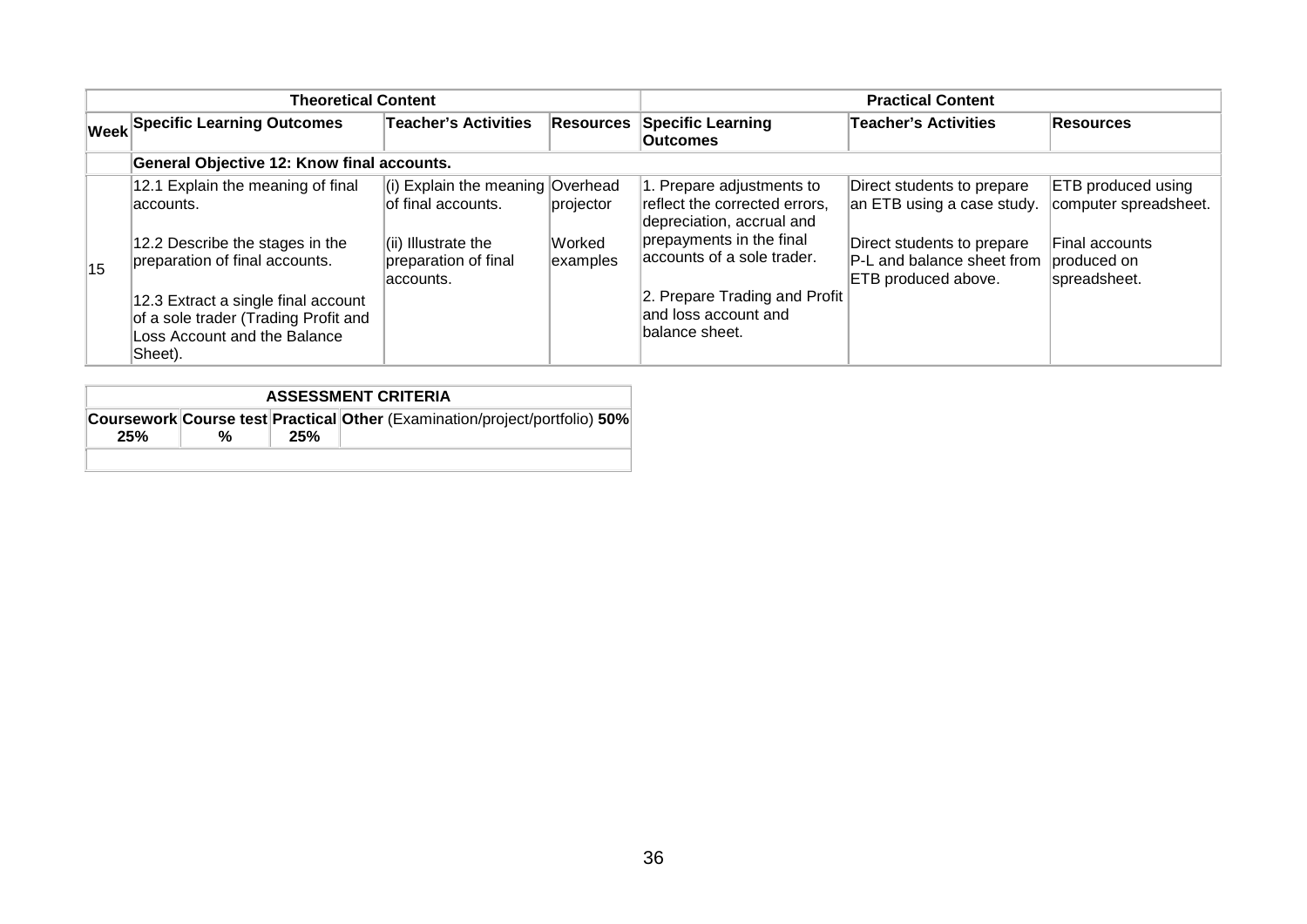| <b>Theoretical Content</b> |                                                                                                                                                                                                                                                |                                                                                                                             | <b>Practical Content</b>        |                                                                                                                                                                                                                              |                                                                                                                                             |                                                                                              |
|----------------------------|------------------------------------------------------------------------------------------------------------------------------------------------------------------------------------------------------------------------------------------------|-----------------------------------------------------------------------------------------------------------------------------|---------------------------------|------------------------------------------------------------------------------------------------------------------------------------------------------------------------------------------------------------------------------|---------------------------------------------------------------------------------------------------------------------------------------------|----------------------------------------------------------------------------------------------|
|                            | <b>Week Specific Learning Outcomes</b>                                                                                                                                                                                                         | Teacher's Activities                                                                                                        | <b>Resources</b>                | <b>Specific Learning</b><br><b>Outcomes</b>                                                                                                                                                                                  | <b>Teacher's Activities</b>                                                                                                                 | Resources                                                                                    |
|                            | General Objective 12: Know final accounts.                                                                                                                                                                                                     |                                                                                                                             |                                 |                                                                                                                                                                                                                              |                                                                                                                                             |                                                                                              |
| 15                         | 12.1 Explain the meaning of final<br>laccounts.<br>12.2 Describe the stages in the<br>preparation of final accounts.<br>12.3 Extract a single final account<br>of a sole trader (Trading Profit and<br>Loss Account and the Balance<br>Sheet). | (i) Explain the meaning Overhead<br>of final accounts.<br>$\vert$ (ii) Illustrate the<br>preparation of final<br>laccounts. | projector<br>Worked<br>examples | 1. Prepare adjustments to<br>reflect the corrected errors,<br>depreciation, accrual and<br>prepayments in the final<br>accounts of a sole trader.<br>2. Prepare Trading and Profit<br>and loss account and<br>balance sheet. | Direct students to prepare<br>an ETB using a case study.<br>Direct students to prepare<br>P-L and balance sheet from<br>ETB produced above. | ETB produced using<br>computer spreadsheet.<br>Final accounts<br>produced on<br>spreadsheet. |

| <b>ASSESSMENT CRITERIA</b> |   |     |                                                                            |  |  |  |  |  |
|----------------------------|---|-----|----------------------------------------------------------------------------|--|--|--|--|--|
| 25%                        | % | 25% | Coursework Course test Practical Other (Examination/project/portfolio) 50% |  |  |  |  |  |
|                            |   |     |                                                                            |  |  |  |  |  |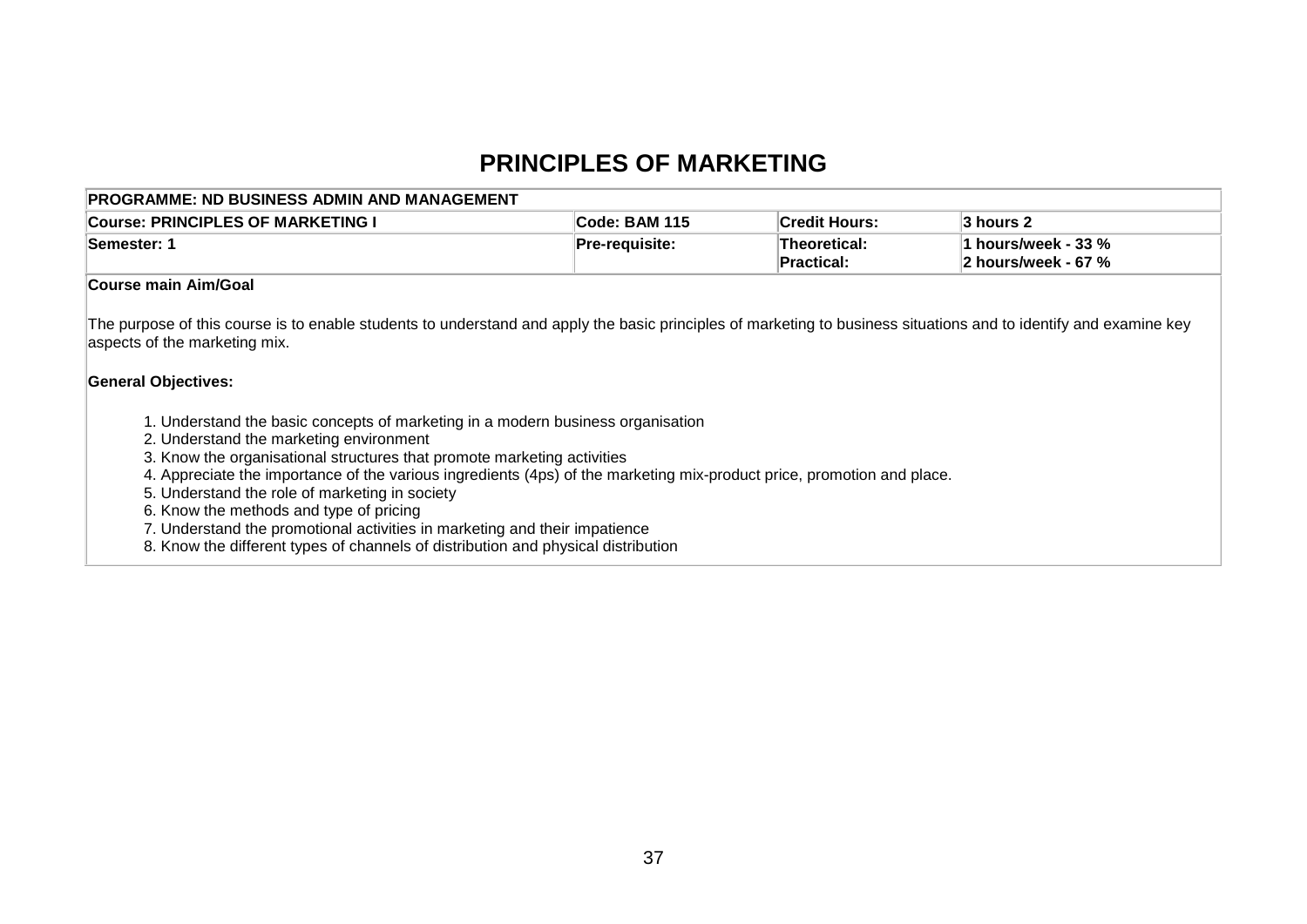## **PRINCIPLES OF MARKETING**

| <b>PROGRAMME: ND BUSINESS ADMIN AND MANAGEMENT</b>                                                                                                                                                                                                                                                                                                                                                                                                                                                                                                                                              |                |                                   |                                            |
|-------------------------------------------------------------------------------------------------------------------------------------------------------------------------------------------------------------------------------------------------------------------------------------------------------------------------------------------------------------------------------------------------------------------------------------------------------------------------------------------------------------------------------------------------------------------------------------------------|----------------|-----------------------------------|--------------------------------------------|
| <b>Course: PRINCIPLES OF MARKETING I</b>                                                                                                                                                                                                                                                                                                                                                                                                                                                                                                                                                        | Code: BAM 115  | <b>Credit Hours:</b>              | 3 hours 2                                  |
| Semester: 1                                                                                                                                                                                                                                                                                                                                                                                                                                                                                                                                                                                     | Pre-requisite: | <b>Theoretical:</b><br>Practical: | 1 hours/week - 33 %<br>2 hours/week - 67 % |
| <b>Course main Aim/Goal</b>                                                                                                                                                                                                                                                                                                                                                                                                                                                                                                                                                                     |                |                                   |                                            |
| The purpose of this course is to enable students to understand and apply the basic principles of marketing to business situations and to identify and examine key<br>aspects of the marketing mix.<br><b>General Objectives:</b>                                                                                                                                                                                                                                                                                                                                                                |                |                                   |                                            |
| 1. Understand the basic concepts of marketing in a modern business organisation<br>2. Understand the marketing environment<br>3. Know the organisational structures that promote marketing activities<br>4. Appreciate the importance of the various ingredients (4ps) of the marketing mix-product price, promotion and place.<br>5. Understand the role of marketing in society<br>6. Know the methods and type of pricing<br>7. Understand the promotional activities in marketing and their impatience<br>8. Know the different types of channels of distribution and physical distribution |                |                                   |                                            |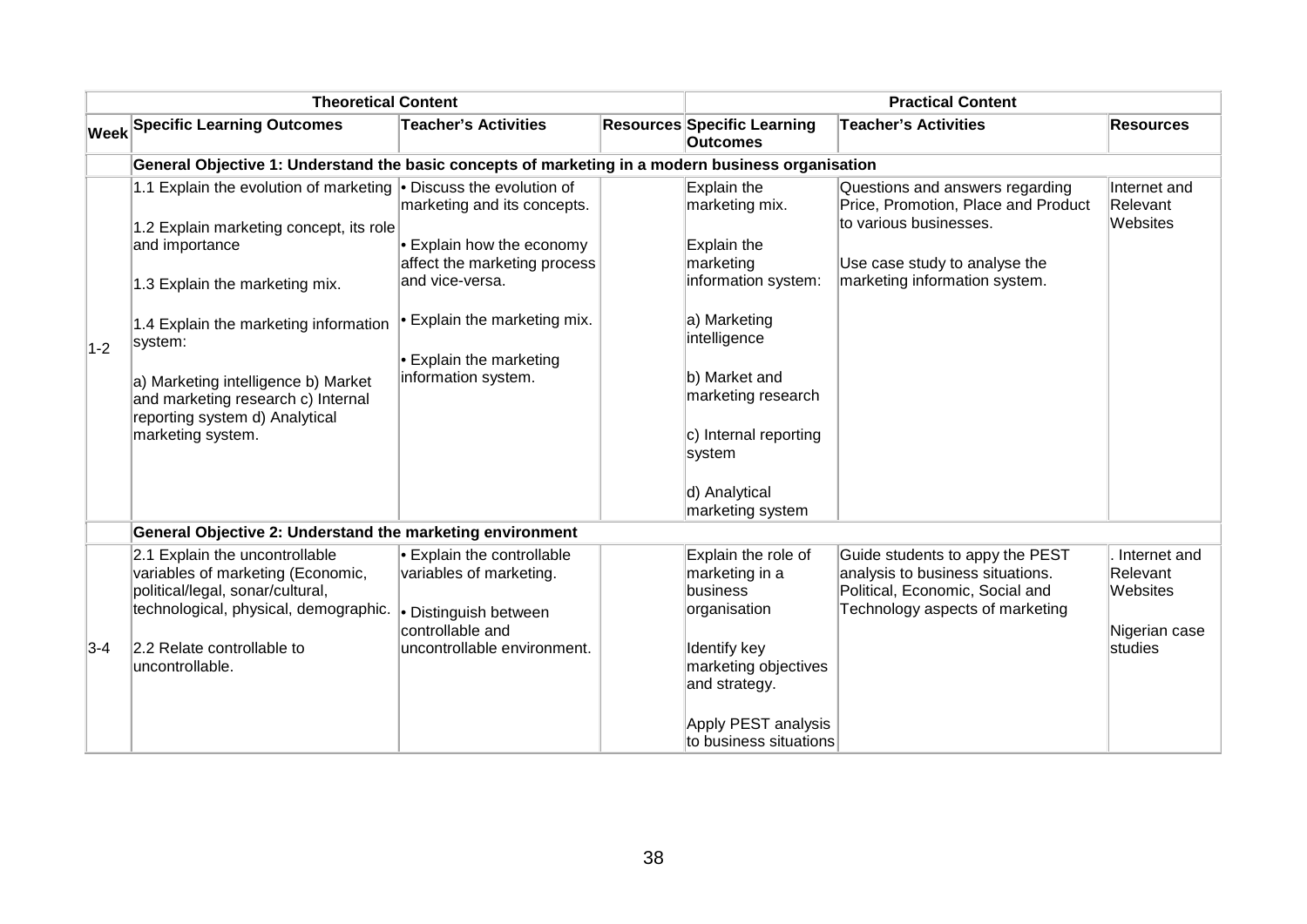|                                              | <b>Theoretical Content</b>                                                                                                                                                                                                                                                                                                                               |                                                                                                                                                                                                             |                                                                                                                                                                                                                                 | <b>Practical Content</b>                                                                                                                                           |                                                                  |
|----------------------------------------------|----------------------------------------------------------------------------------------------------------------------------------------------------------------------------------------------------------------------------------------------------------------------------------------------------------------------------------------------------------|-------------------------------------------------------------------------------------------------------------------------------------------------------------------------------------------------------------|---------------------------------------------------------------------------------------------------------------------------------------------------------------------------------------------------------------------------------|--------------------------------------------------------------------------------------------------------------------------------------------------------------------|------------------------------------------------------------------|
| $ \mathsf{W}\mathsf{e}\mathsf{e}\mathsf{k} $ | <b>Specific Learning Outcomes</b>                                                                                                                                                                                                                                                                                                                        | <b>Teacher's Activities</b>                                                                                                                                                                                 | <b>Resources Specific Learning</b><br><b>Outcomes</b>                                                                                                                                                                           | <b>Teacher's Activities</b>                                                                                                                                        | <b>Resources</b>                                                 |
|                                              | General Objective 1: Understand the basic concepts of marketing in a modern business organisation                                                                                                                                                                                                                                                        |                                                                                                                                                                                                             |                                                                                                                                                                                                                                 |                                                                                                                                                                    |                                                                  |
| $1-2$                                        | 1.1 Explain the evolution of marketing • Discuss the evolution of<br>1.2 Explain marketing concept, its role<br>and importance<br>1.3 Explain the marketing mix.<br>1.4 Explain the marketing information<br>system:<br>a) Marketing intelligence b) Market<br>and marketing research c) Internal<br>reporting system d) Analytical<br>marketing system. | marketing and its concepts.<br>$\cdot$ Explain how the economy<br>affect the marketing process<br>and vice-versa.<br>$\bullet$ Explain the marketing mix.<br>• Explain the marketing<br>information system. | Explain the<br>marketing mix.<br>Explain the<br>marketing<br>information system:<br>a) Marketing<br>intelligence<br>b) Market and<br>marketing research<br>c) Internal reporting<br>system<br>d) Analytical<br>marketing system | Questions and answers regarding<br>Price, Promotion, Place and Product<br>to various businesses.<br>Use case study to analyse the<br>marketing information system. | Internet and<br>Relevant<br>Websites                             |
|                                              | General Objective 2: Understand the marketing environment                                                                                                                                                                                                                                                                                                |                                                                                                                                                                                                             |                                                                                                                                                                                                                                 |                                                                                                                                                                    |                                                                  |
| $3-4$                                        | 2.1 Explain the uncontrollable<br>variables of marketing (Economic,<br>political/legal, sonar/cultural,<br>technological, physical, demographic.<br>2.2 Relate controllable to<br>uncontrollable.                                                                                                                                                        | • Explain the controllable<br>variables of marketing.<br>• Distinguish between<br>controllable and<br>uncontrollable environment.                                                                           | Explain the role of<br>marketing in a<br>business<br>organisation<br>Identify key<br>marketing objectives<br>and strategy.<br>Apply PEST analysis<br>to business situations                                                     | Guide students to appy the PEST<br>analysis to business situations.<br>Political, Economic, Social and<br>Technology aspects of marketing                          | Internet and<br>Relevant<br>Websites<br>Nigerian case<br>studies |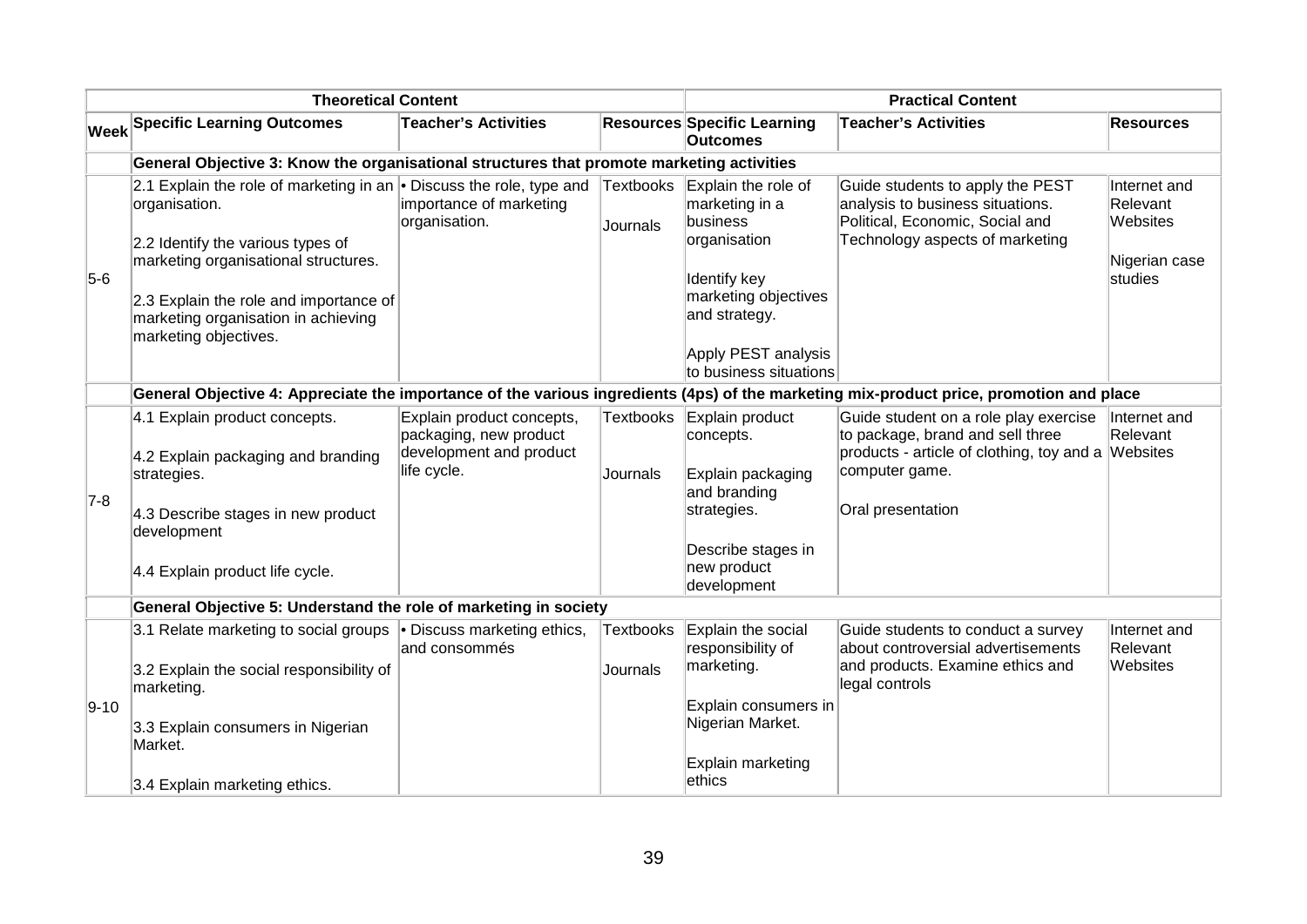|          | <b>Theoretical Content</b>                                                                                                                                                 |                                                                                |                              |                                                                   | <b>Practical Content</b>                                                                                                                       |                                                       |
|----------|----------------------------------------------------------------------------------------------------------------------------------------------------------------------------|--------------------------------------------------------------------------------|------------------------------|-------------------------------------------------------------------|------------------------------------------------------------------------------------------------------------------------------------------------|-------------------------------------------------------|
|          | <b>Week Specific Learning Outcomes</b>                                                                                                                                     | <b>Teacher's Activities</b>                                                    |                              | <b>Resources Specific Learning</b><br><b>Outcomes</b>             | <b>Teacher's Activities</b>                                                                                                                    | <b>Resources</b>                                      |
|          | General Objective 3: Know the organisational structures that promote marketing activities                                                                                  |                                                                                |                              |                                                                   |                                                                                                                                                |                                                       |
|          | 2.1 Explain the role of marketing in an $\bullet$ Discuss the role, type and<br>organisation.<br>2.2 Identify the various types of<br>marketing organisational structures. | importance of marketing<br>organisation.                                       | Textbooks<br>Journals        | Explain the role of<br>marketing in a<br>business<br>organisation | Guide students to apply the PEST<br>analysis to business situations.<br>Political, Economic, Social and<br>Technology aspects of marketing     | Internet and<br>Relevant<br>Websites<br>Nigerian case |
| $5-6$    | 2.3 Explain the role and importance of<br>marketing organisation in achieving<br>marketing objectives.                                                                     |                                                                                |                              | <b>Identify key</b><br>marketing objectives<br>and strategy.      |                                                                                                                                                | studies                                               |
|          |                                                                                                                                                                            |                                                                                |                              | Apply PEST analysis<br>to business situations                     |                                                                                                                                                |                                                       |
|          |                                                                                                                                                                            |                                                                                |                              |                                                                   | General Objective 4: Appreciate the importance of the various ingredients (4ps) of the marketing mix-product price, promotion and place        |                                                       |
|          | 4.1 Explain product concepts.<br>4.2 Explain packaging and branding                                                                                                        | Explain product concepts,<br>packaging, new product<br>development and product | Textbooks                    | Explain product<br>concepts.                                      | Guide student on a role play exercise   Internet and<br>to package, brand and sell three<br>products - article of clothing, toy and a Websites | Relevant                                              |
| $7-8$    | strategies.<br>4.3 Describe stages in new product                                                                                                                          | life cycle.                                                                    | Journals                     | Explain packaging<br>and branding<br>strategies.                  | computer game.<br>Oral presentation                                                                                                            |                                                       |
|          | development<br>4.4 Explain product life cycle.                                                                                                                             |                                                                                |                              | Describe stages in<br>new product<br>development                  |                                                                                                                                                |                                                       |
|          | General Objective 5: Understand the role of marketing in society                                                                                                           |                                                                                |                              |                                                                   |                                                                                                                                                |                                                       |
|          | 3.1 Relate marketing to social groups • Discuss marketing ethics,<br>3.2 Explain the social responsibility of                                                              | and consommés                                                                  | Textbooks<br><b>Journals</b> | Explain the social<br>responsibility of<br>marketing.             | Guide students to conduct a survey<br>about controversial advertisements<br>and products. Examine ethics and                                   | Internet and<br>Relevant<br>Websites                  |
| $9 - 10$ | marketing.<br>3.3 Explain consumers in Nigerian<br>Market.                                                                                                                 |                                                                                |                              | Explain consumers in<br>Nigerian Market.                          | legal controls                                                                                                                                 |                                                       |
|          | 3.4 Explain marketing ethics.                                                                                                                                              |                                                                                |                              | Explain marketing<br>ethics                                       |                                                                                                                                                |                                                       |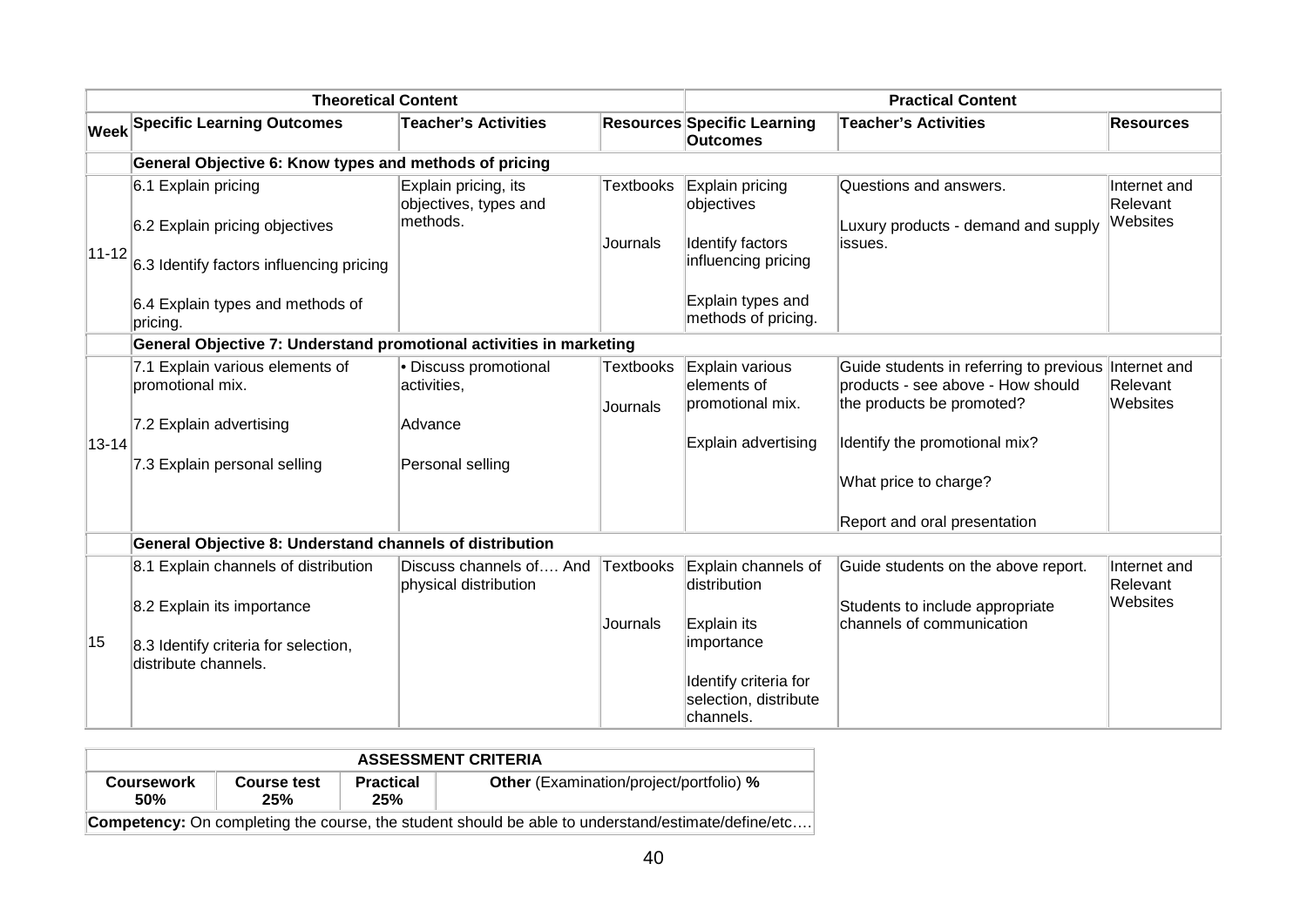|             | <b>Theoretical Content</b>                                          |                                                           |                              |                                                             | <b>Practical Content</b>                                                                                  |                                      |
|-------------|---------------------------------------------------------------------|-----------------------------------------------------------|------------------------------|-------------------------------------------------------------|-----------------------------------------------------------------------------------------------------------|--------------------------------------|
|             | <b>Week Specific Learning Outcomes</b>                              | <b>Teacher's Activities</b>                               |                              | <b>Resources Specific Learning</b><br><b>Outcomes</b>       | <b>Teacher's Activities</b>                                                                               | <b>Resources</b>                     |
|             | General Objective 6: Know types and methods of pricing              |                                                           |                              |                                                             |                                                                                                           |                                      |
|             | 6.1 Explain pricing<br>6.2 Explain pricing objectives               | Explain pricing, its<br>objectives, types and<br>methods. | <b>Textbooks</b>             | Explain pricing<br>objectives                               | Questions and answers.<br>Luxury products - demand and supply                                             | Internet and<br>Relevant<br>Websites |
| $ 11 - 12 $ | 6.3 Identify factors influencing pricing                            |                                                           | Journals                     | Identify factors<br>influencing pricing                     | issues.                                                                                                   |                                      |
|             | 6.4 Explain types and methods of<br>pricing.                        |                                                           |                              | Explain types and<br>methods of pricing.                    |                                                                                                           |                                      |
|             | General Objective 7: Understand promotional activities in marketing |                                                           |                              |                                                             |                                                                                                           |                                      |
|             | 7.1 Explain various elements of<br>promotional mix.                 | • Discuss promotional<br>activities,                      | <b>Textbooks</b><br>Journals | Explain various<br>elements of<br>promotional mix.          | Guide students in referring to previous<br>products - see above - How should<br>the products be promoted? | Internet and<br>Relevant<br>Websites |
| $13 - 14$   | 7.2 Explain advertising                                             | Advance                                                   |                              | Explain advertising                                         | Identify the promotional mix?                                                                             |                                      |
|             | 7.3 Explain personal selling                                        | Personal selling                                          |                              |                                                             | What price to charge?                                                                                     |                                      |
|             |                                                                     |                                                           |                              |                                                             | Report and oral presentation                                                                              |                                      |
|             | General Objective 8: Understand channels of distribution            |                                                           |                              |                                                             |                                                                                                           |                                      |
|             | 8.1 Explain channels of distribution                                | Discuss channels of And<br>physical distribution          | Textbooks                    | Explain channels of<br>distribution                         | Guide students on the above report.                                                                       | Internet and<br>Relevant             |
|             | 8.2 Explain its importance                                          |                                                           | Journals                     | Explain its                                                 | Students to include appropriate<br>channels of communication                                              | Websites                             |
| 15          | 8.3 Identify criteria for selection,<br>distribute channels.        |                                                           |                              | importance                                                  |                                                                                                           |                                      |
|             |                                                                     |                                                           |                              | Identify criteria for<br>selection, distribute<br>channels. |                                                                                                           |                                      |

| <b>ASSESSMENT CRITERIA</b>                                                                                |                    |                         |                                                |  |  |  |  |  |
|-----------------------------------------------------------------------------------------------------------|--------------------|-------------------------|------------------------------------------------|--|--|--|--|--|
| <b>Coursework</b><br>50%                                                                                  | Course test<br>25% | <b>Practical</b><br>25% | <b>Other</b> (Examination/project/portfolio) % |  |  |  |  |  |
| <b>Competency:</b> On completing the course, the student should be able to understand/estimate/define/etc |                    |                         |                                                |  |  |  |  |  |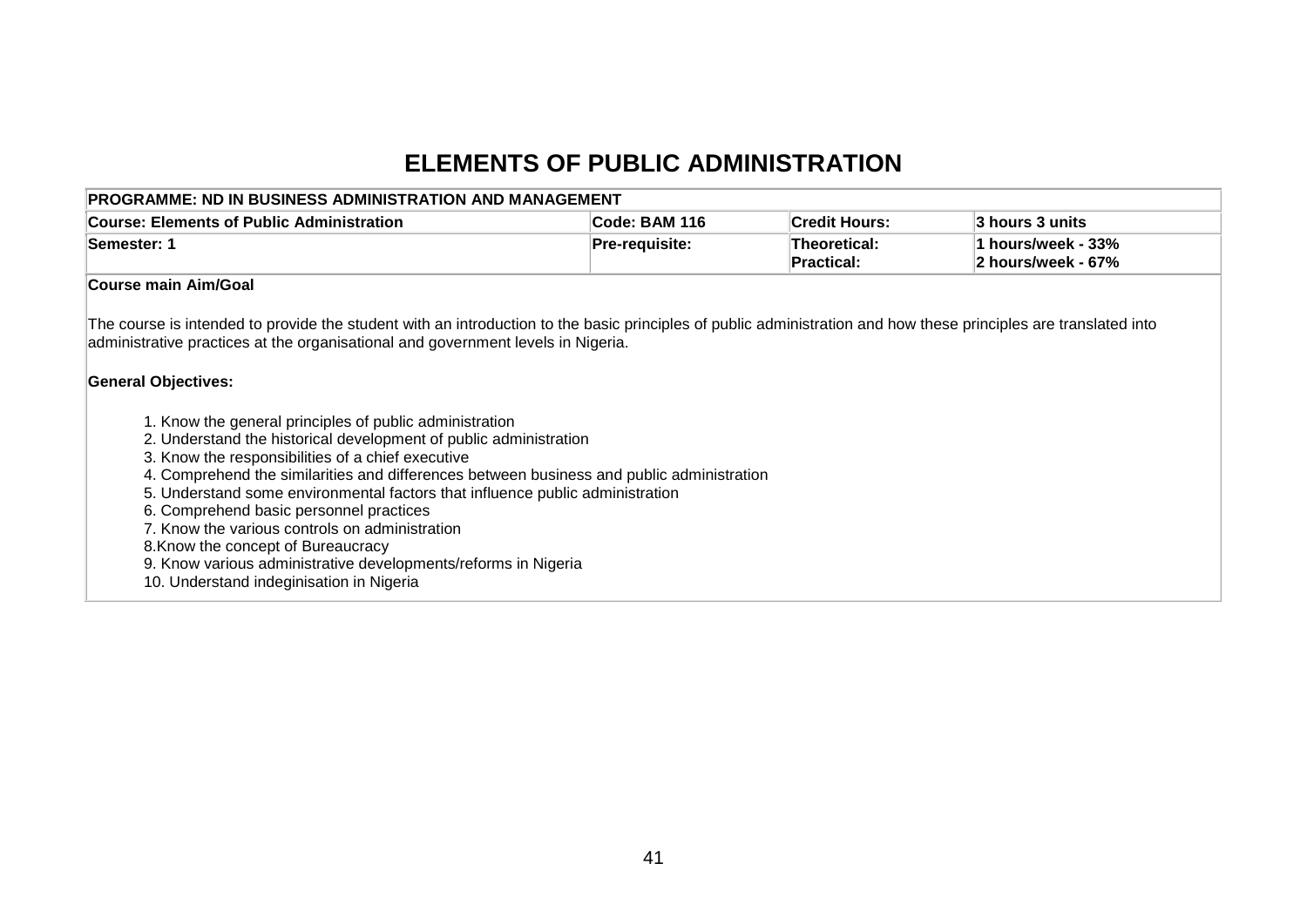# **ELEMENTS OF PUBLIC ADMINISTRATION**

| <b>Course: Elements of Public Administration</b>                                                                                                                                                                                                                                                                                                                                                                                                                                                                                                                                                                                                                                                                                                                                                                                                                                                       | Code: BAM 116  | <b>Credit Hours:</b>              | 3 hours 3 units                          |
|--------------------------------------------------------------------------------------------------------------------------------------------------------------------------------------------------------------------------------------------------------------------------------------------------------------------------------------------------------------------------------------------------------------------------------------------------------------------------------------------------------------------------------------------------------------------------------------------------------------------------------------------------------------------------------------------------------------------------------------------------------------------------------------------------------------------------------------------------------------------------------------------------------|----------------|-----------------------------------|------------------------------------------|
| Semester: 1                                                                                                                                                                                                                                                                                                                                                                                                                                                                                                                                                                                                                                                                                                                                                                                                                                                                                            | Pre-requisite: | Theoretical:<br><b>Practical:</b> | 1 hours/week - 33%<br>2 hours/week - 67% |
| Course main Aim/Goal                                                                                                                                                                                                                                                                                                                                                                                                                                                                                                                                                                                                                                                                                                                                                                                                                                                                                   |                |                                   |                                          |
| The course is intended to provide the student with an introduction to the basic principles of public administration and how these principles are translated into<br>administrative practices at the organisational and government levels in Nigeria.<br><b>General Objectives:</b><br>1. Know the general principles of public administration<br>2. Understand the historical development of public administration<br>3. Know the responsibilities of a chief executive<br>4. Comprehend the similarities and differences between business and public administration<br>5. Understand some environmental factors that influence public administration<br>6. Comprehend basic personnel practices<br>7. Know the various controls on administration<br>8. Know the concept of Bureaucracy<br>9. Know various administrative developments/reforms in Nigeria<br>10. Understand indeginisation in Nigeria |                |                                   |                                          |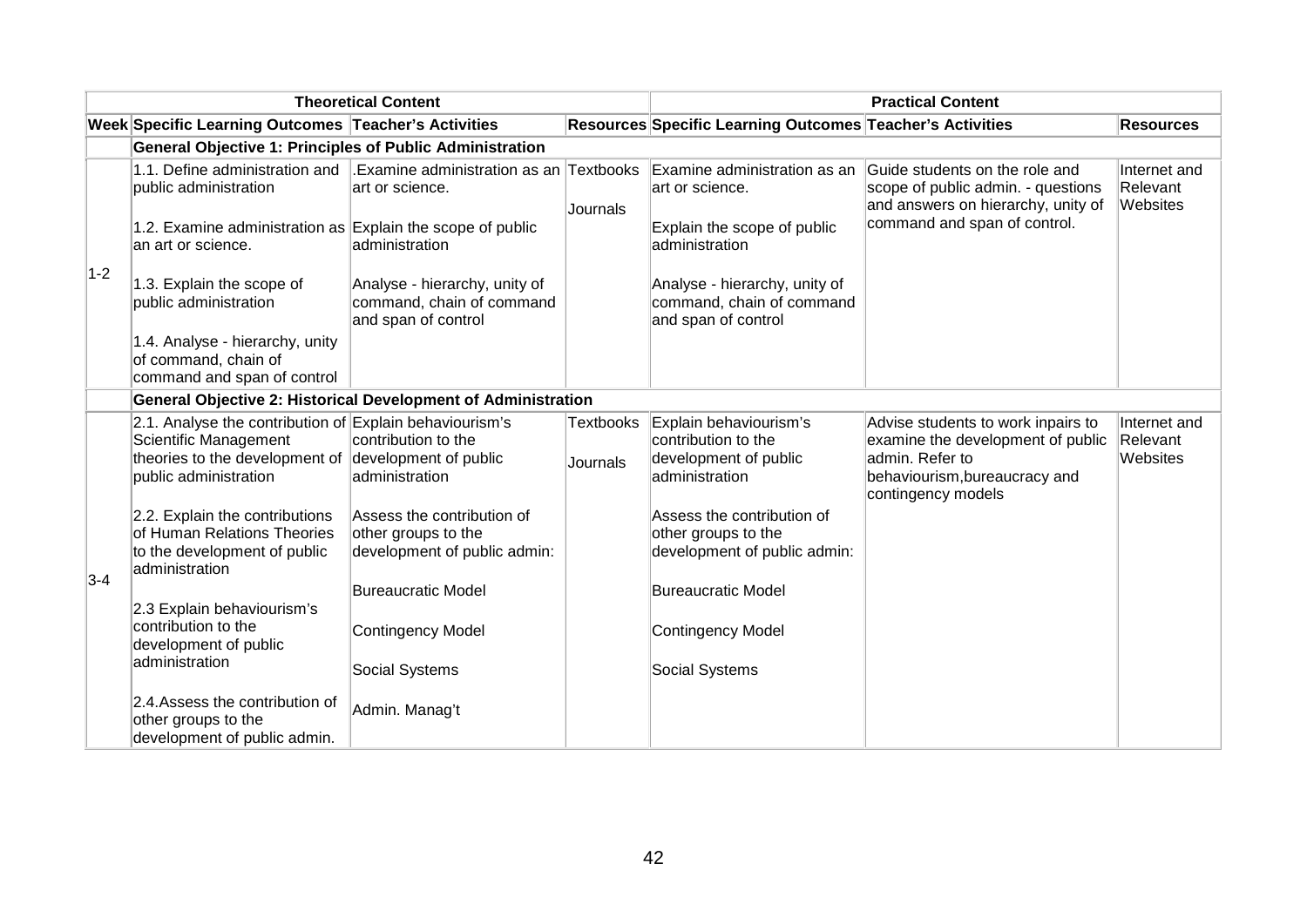|       |                                                                                                                                                                   | <b>Theoretical Content</b>                                                        |                       | <b>Practical Content</b>                                                                 |                                                                                                                                                   |                                      |  |
|-------|-------------------------------------------------------------------------------------------------------------------------------------------------------------------|-----------------------------------------------------------------------------------|-----------------------|------------------------------------------------------------------------------------------|---------------------------------------------------------------------------------------------------------------------------------------------------|--------------------------------------|--|
|       | Week Specific Learning Outcomes Teacher's Activities                                                                                                              |                                                                                   |                       | Resources Specific Learning Outcomes Teacher's Activities                                |                                                                                                                                                   | <b>Resources</b>                     |  |
|       | <b>General Objective 1: Principles of Public Administration</b>                                                                                                   |                                                                                   |                       |                                                                                          |                                                                                                                                                   |                                      |  |
|       | 1.1. Define administration and<br>public administration                                                                                                           | Examine administration as an Textbooks<br>art or science.                         | Journals              | Examine administration as an<br>art or science.                                          | Guide students on the role and<br>scope of public admin. - questions<br>and answers on hierarchy, unity of                                        | Internet and<br>Relevant<br>Websites |  |
| $1-2$ | 1.2. Examine administration as Explain the scope of public<br>an art or science.                                                                                  | administration                                                                    |                       | Explain the scope of public<br>administration                                            | command and span of control.                                                                                                                      |                                      |  |
|       | 1.3. Explain the scope of<br>public administration                                                                                                                | Analyse - hierarchy, unity of<br>command, chain of command<br>and span of control |                       | Analyse - hierarchy, unity of<br>command, chain of command<br>and span of control        |                                                                                                                                                   |                                      |  |
|       | 1.4. Analyse - hierarchy, unity<br>of command, chain of<br>command and span of control                                                                            |                                                                                   |                       |                                                                                          |                                                                                                                                                   |                                      |  |
|       | General Objective 2: Historical Development of Administration                                                                                                     |                                                                                   |                       |                                                                                          |                                                                                                                                                   |                                      |  |
|       | 2.1. Analyse the contribution of Explain behaviourism's<br>Scientific Management<br>theories to the development of development of public<br>public administration | contribution to the<br>administration                                             | Textbooks<br>Journals | Explain behaviourism's<br>contribution to the<br>development of public<br>administration | Advise students to work inpairs to<br>examine the development of public<br>admin. Refer to<br>behaviourism, bureaucracy and<br>contingency models | Internet and<br>Relevant<br>Websites |  |
| $3-4$ | 2.2. Explain the contributions<br>of Human Relations Theories<br>to the development of public<br>administration                                                   | Assess the contribution of<br>other groups to the<br>development of public admin: |                       | Assess the contribution of<br>other groups to the<br>development of public admin:        |                                                                                                                                                   |                                      |  |
|       | 2.3 Explain behaviourism's                                                                                                                                        | <b>Bureaucratic Model</b>                                                         |                       | <b>Bureaucratic Model</b>                                                                |                                                                                                                                                   |                                      |  |
|       | contribution to the<br>development of public<br>administration                                                                                                    | <b>Contingency Model</b>                                                          |                       | Contingency Model                                                                        |                                                                                                                                                   |                                      |  |
|       |                                                                                                                                                                   | Social Systems                                                                    |                       | Social Systems                                                                           |                                                                                                                                                   |                                      |  |
|       | 2.4. Assess the contribution of<br>other groups to the<br>development of public admin.                                                                            | Admin. Manag't                                                                    |                       |                                                                                          |                                                                                                                                                   |                                      |  |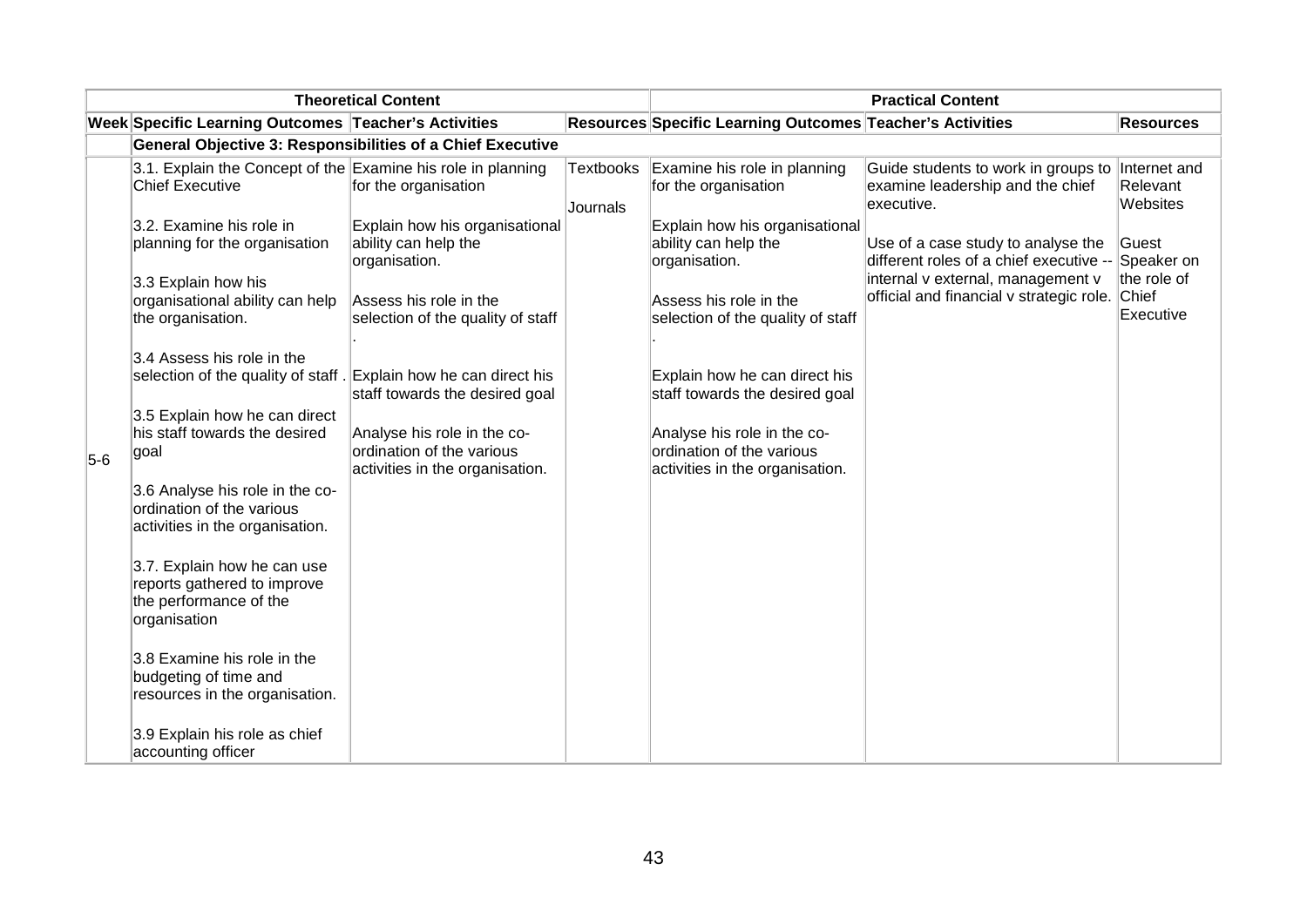|       | <b>Theoretical Content</b>                                                                           |                                                                                             |                       | <b>Practical Content</b>                                                                    |                                                                                                    |                          |  |
|-------|------------------------------------------------------------------------------------------------------|---------------------------------------------------------------------------------------------|-----------------------|---------------------------------------------------------------------------------------------|----------------------------------------------------------------------------------------------------|--------------------------|--|
|       | Week Specific Learning Outcomes Teacher's Activities                                                 |                                                                                             |                       | Resources Specific Learning Outcomes Teacher's Activities                                   |                                                                                                    | <b>Resources</b>         |  |
|       | <b>General Objective 3: Responsibilities of a Chief Executive</b>                                    |                                                                                             |                       |                                                                                             |                                                                                                    |                          |  |
|       | 3.1. Explain the Concept of the Examine his role in planning<br><b>Chief Executive</b>               | for the organisation                                                                        | Textbooks<br>Journals | Examine his role in planning<br>for the organisation                                        | Guide students to work in groups to Internet and<br>examine leadership and the chief<br>executive. | Relevant<br>Websites     |  |
|       | 3.2. Examine his role in<br>planning for the organisation                                            | Explain how his organisational<br>ability can help the<br>organisation.                     |                       | Explain how his organisational<br>ability can help the<br>organisation.                     | Use of a case study to analyse the<br>different roles of a chief executive --                      | lGuest<br>Speaker on     |  |
|       | 3.3 Explain how his<br>organisational ability can help<br>the organisation.                          | Assess his role in the<br>selection of the quality of staff                                 |                       | Assess his role in the<br>selection of the quality of staff                                 | internal v external, management v<br>official and financial v strategic role. Chief                | the role of<br>Executive |  |
|       | 3.4 Assess his role in the<br>selection of the quality of staff. Explain how he can direct his       | staff towards the desired goal                                                              |                       | Explain how he can direct his<br>staff towards the desired goal                             |                                                                                                    |                          |  |
| $5-6$ | 3.5 Explain how he can direct<br>his staff towards the desired<br>goal                               | Analyse his role in the co-<br>ordination of the various<br>activities in the organisation. |                       | Analyse his role in the co-<br>ordination of the various<br>activities in the organisation. |                                                                                                    |                          |  |
|       | 3.6 Analyse his role in the co-<br>ordination of the various<br>activities in the organisation.      |                                                                                             |                       |                                                                                             |                                                                                                    |                          |  |
|       | 3.7. Explain how he can use<br>reports gathered to improve<br>the performance of the<br>organisation |                                                                                             |                       |                                                                                             |                                                                                                    |                          |  |
|       | 3.8 Examine his role in the<br>budgeting of time and<br>resources in the organisation.               |                                                                                             |                       |                                                                                             |                                                                                                    |                          |  |
|       | 3.9 Explain his role as chief<br>accounting officer                                                  |                                                                                             |                       |                                                                                             |                                                                                                    |                          |  |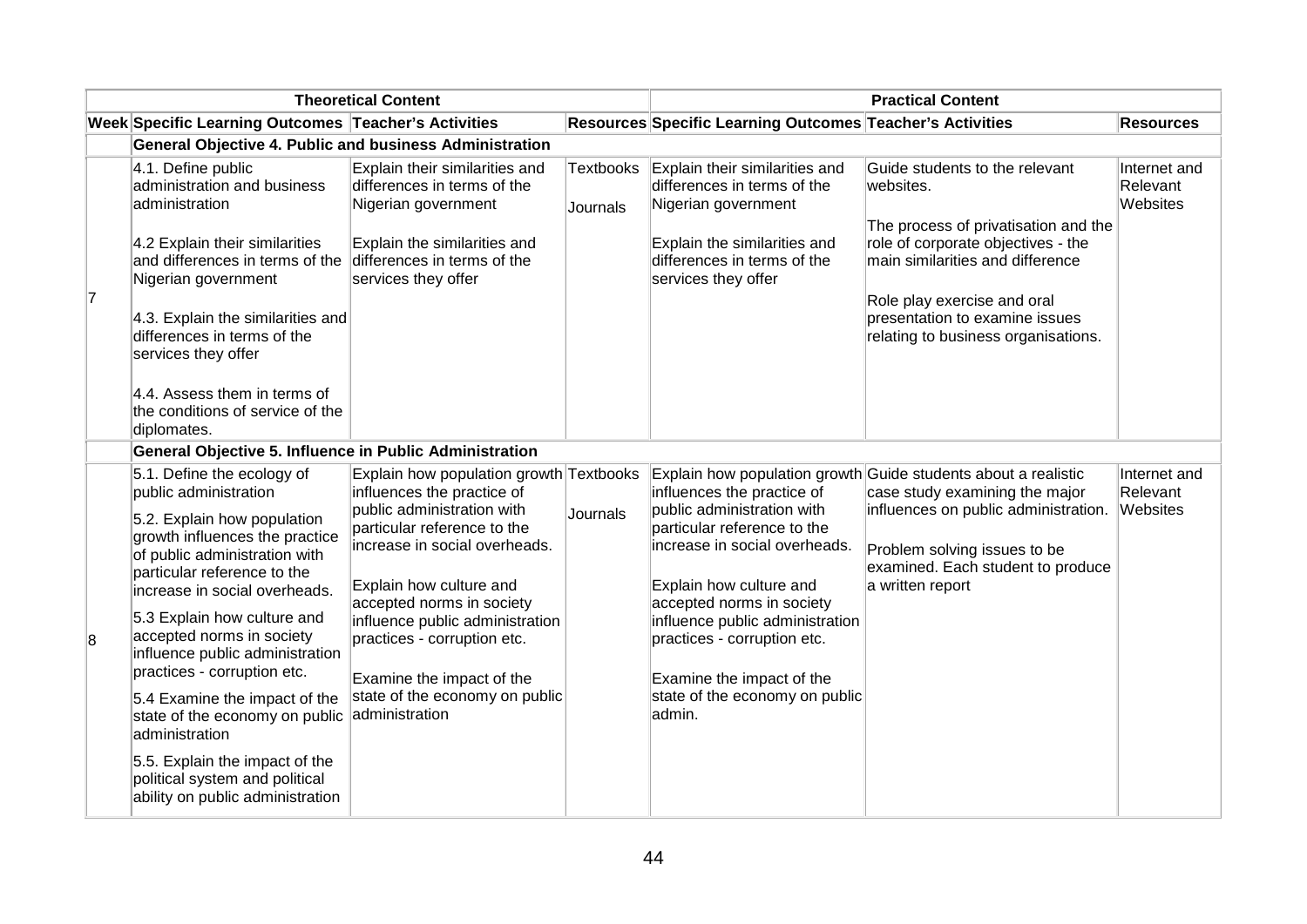|   |                                                                                                                                                                                                                                                                                            | <b>Theoretical Content</b>                                                                                                                                                 |                              |                                                                                                                                                                            | <b>Practical Content</b>                                                                                                                                                                                                                                              |                                      |
|---|--------------------------------------------------------------------------------------------------------------------------------------------------------------------------------------------------------------------------------------------------------------------------------------------|----------------------------------------------------------------------------------------------------------------------------------------------------------------------------|------------------------------|----------------------------------------------------------------------------------------------------------------------------------------------------------------------------|-----------------------------------------------------------------------------------------------------------------------------------------------------------------------------------------------------------------------------------------------------------------------|--------------------------------------|
|   | Week Specific Learning Outcomes Teacher's Activities                                                                                                                                                                                                                                       |                                                                                                                                                                            |                              | Resources Specific Learning Outcomes Teacher's Activities                                                                                                                  |                                                                                                                                                                                                                                                                       | <b>Resources</b>                     |
|   | <b>General Objective 4. Public and business Administration</b>                                                                                                                                                                                                                             |                                                                                                                                                                            |                              |                                                                                                                                                                            |                                                                                                                                                                                                                                                                       |                                      |
| 7 | 4.1. Define public<br>administration and business<br>administration<br>4.2 Explain their similarities<br>and differences in terms of the<br>Nigerian government<br>4.3. Explain the similarities and<br>differences in terms of the<br>services they offer<br>4.4. Assess them in terms of | Explain their similarities and<br>differences in terms of the<br>Nigerian government<br>Explain the similarities and<br>differences in terms of the<br>services they offer | <b>Textbooks</b><br>Journals | Explain their similarities and<br>differences in terms of the<br>Nigerian government<br>Explain the similarities and<br>differences in terms of the<br>services they offer | Guide students to the relevant<br>websites.<br>The process of privatisation and the<br>role of corporate objectives - the<br>main similarities and difference<br>Role play exercise and oral<br>presentation to examine issues<br>relating to business organisations. | Internet and<br>Relevant<br>Websites |
|   | the conditions of service of the<br>diplomates.<br>General Objective 5. Influence in Public Administration                                                                                                                                                                                 |                                                                                                                                                                            |                              |                                                                                                                                                                            |                                                                                                                                                                                                                                                                       |                                      |
|   | 5.1. Define the ecology of                                                                                                                                                                                                                                                                 | Explain how population growth Textbooks                                                                                                                                    |                              |                                                                                                                                                                            | Explain how population growth Guide students about a realistic                                                                                                                                                                                                        | Internet and                         |
|   | public administration                                                                                                                                                                                                                                                                      | influences the practice of                                                                                                                                                 |                              | influences the practice of                                                                                                                                                 | case study examining the major                                                                                                                                                                                                                                        | Relevant                             |
|   | 5.2. Explain how population<br>growth influences the practice<br>of public administration with<br>particular reference to the<br>increase in social overheads.                                                                                                                             | public administration with<br>particular reference to the<br>increase in social overheads.<br>Explain how culture and                                                      | Journals                     | public administration with<br>particular reference to the<br>increase in social overheads.<br>Explain how culture and                                                      | influences on public administration.<br>Problem solving issues to be<br>examined. Each student to produce<br>a written report                                                                                                                                         | Websites                             |
| 8 | 5.3 Explain how culture and<br>accepted norms in society<br>influence public administration<br>practices - corruption etc.                                                                                                                                                                 | accepted norms in society<br>influence public administration<br>practices - corruption etc.<br>Examine the impact of the                                                   |                              | accepted norms in society<br>influence public administration<br>practices - corruption etc.<br>Examine the impact of the                                                   |                                                                                                                                                                                                                                                                       |                                      |
|   | 5.4 Examine the impact of the<br>state of the economy on public<br>administration                                                                                                                                                                                                          | state of the economy on public<br>administration                                                                                                                           |                              | state of the economy on public<br>admin.                                                                                                                                   |                                                                                                                                                                                                                                                                       |                                      |
|   | 5.5. Explain the impact of the<br>political system and political<br>ability on public administration                                                                                                                                                                                       |                                                                                                                                                                            |                              |                                                                                                                                                                            |                                                                                                                                                                                                                                                                       |                                      |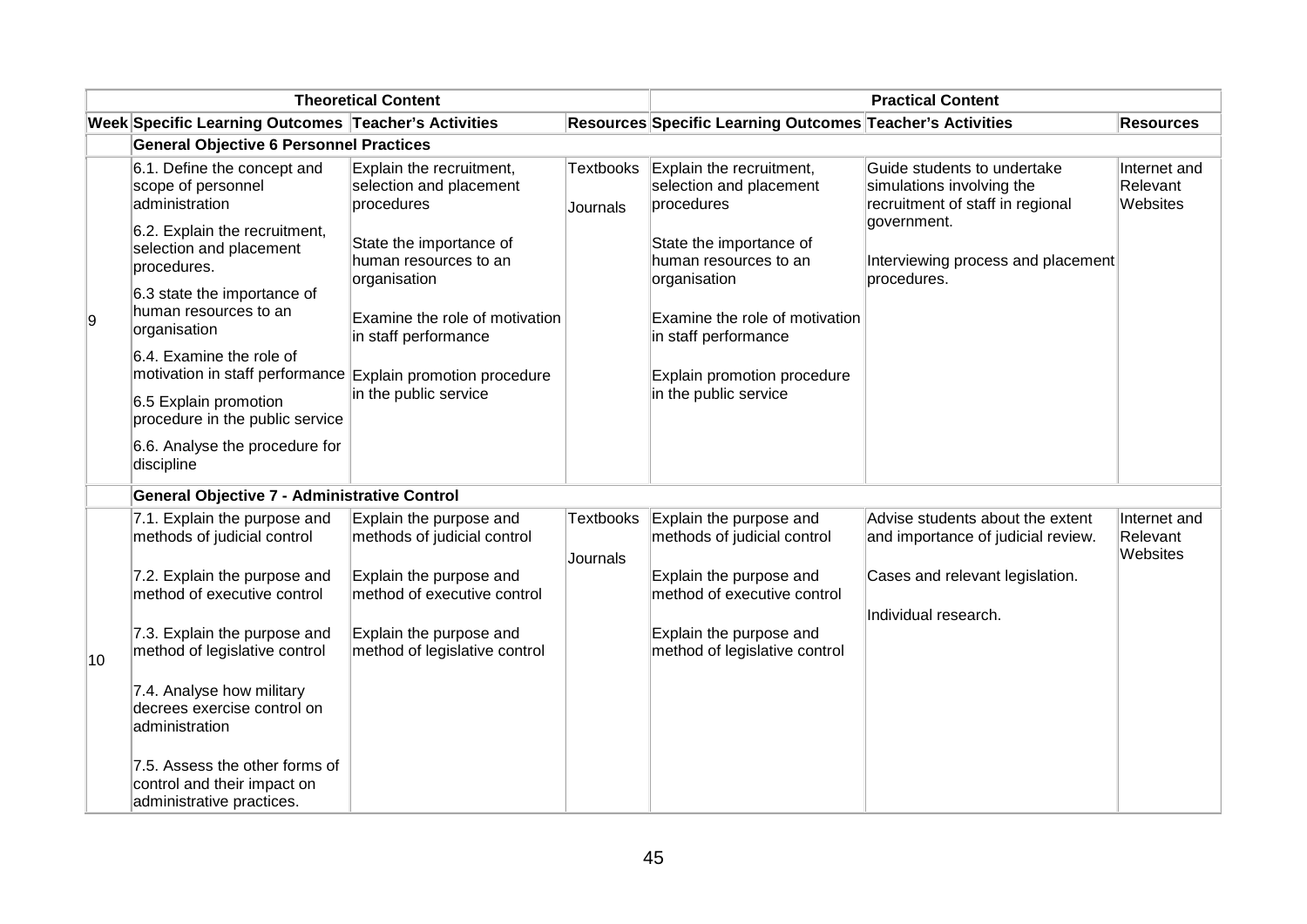|    |                                                                                            | <b>Theoretical Content</b>                                        |                              |                                                                   | <b>Practical Content</b>                                                                     |                                      |
|----|--------------------------------------------------------------------------------------------|-------------------------------------------------------------------|------------------------------|-------------------------------------------------------------------|----------------------------------------------------------------------------------------------|--------------------------------------|
|    | Week Specific Learning Outcomes Teacher's Activities                                       |                                                                   |                              | Resources Specific Learning Outcomes Teacher's Activities         |                                                                                              | <b>Resources</b>                     |
|    | <b>General Objective 6 Personnel Practices</b>                                             |                                                                   |                              |                                                                   |                                                                                              |                                      |
|    | 6.1. Define the concept and<br>scope of personnel<br>administration                        | Explain the recruitment,<br>selection and placement<br>procedures | <b>Textbooks</b><br>Journals | Explain the recruitment,<br>selection and placement<br>procedures | Guide students to undertake<br>simulations involving the<br>recruitment of staff in regional | Internet and<br>Relevant<br>Websites |
|    | 6.2. Explain the recruitment,<br>selection and placement<br>procedures.                    | State the importance of<br>human resources to an<br>organisation  |                              | State the importance of<br>human resources to an<br>organisation  | government.<br>Interviewing process and placement<br>procedures.                             |                                      |
| 9  | 6.3 state the importance of<br>human resources to an<br>organisation                       | Examine the role of motivation<br>in staff performance            |                              | Examine the role of motivation<br>in staff performance            |                                                                                              |                                      |
|    | 6.4. Examine the role of<br>motivation in staff performance Explain promotion procedure    | in the public service                                             |                              | Explain promotion procedure<br>in the public service              |                                                                                              |                                      |
|    | 6.5 Explain promotion<br>procedure in the public service                                   |                                                                   |                              |                                                                   |                                                                                              |                                      |
|    | 6.6. Analyse the procedure for<br>discipline                                               |                                                                   |                              |                                                                   |                                                                                              |                                      |
|    | General Objective 7 - Administrative Control                                               |                                                                   |                              |                                                                   |                                                                                              |                                      |
|    | 7.1. Explain the purpose and<br>methods of judicial control                                | Explain the purpose and<br>methods of judicial control            | Textbooks                    | Explain the purpose and<br>methods of judicial control            | Advise students about the extent<br>and importance of judicial review.                       | Internet and<br>Relevant<br>Websites |
|    | 7.2. Explain the purpose and<br>method of executive control                                | Explain the purpose and<br>method of executive control            | Journals                     | Explain the purpose and<br>method of executive control            | Cases and relevant legislation.<br>Individual research.                                      |                                      |
| 10 | 7.3. Explain the purpose and<br>method of legislative control                              | Explain the purpose and<br>method of legislative control          |                              | Explain the purpose and<br>method of legislative control          |                                                                                              |                                      |
|    | 7.4. Analyse how military<br>decrees exercise control on<br>administration                 |                                                                   |                              |                                                                   |                                                                                              |                                      |
|    | 7.5. Assess the other forms of<br>control and their impact on<br>administrative practices. |                                                                   |                              |                                                                   |                                                                                              |                                      |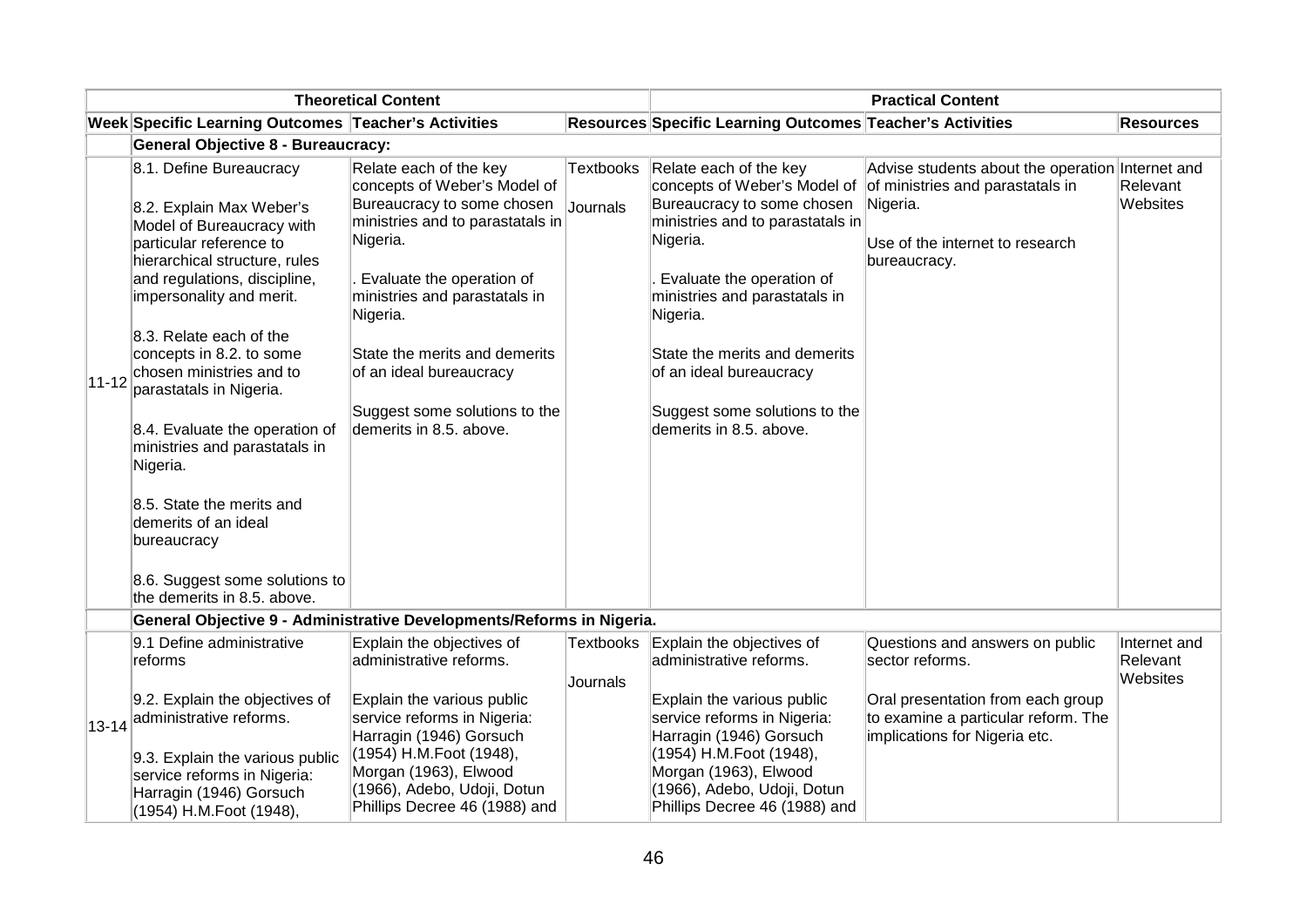|           | <b>Theoretical Content</b>                                                                                                                                                                                                                                                                                                                                                                                                                                                                                  |                                                                                                                                                                                                                                                                                                                                        |                              | <b>Practical Content</b>                                                                                                                                                                                                                                                                                                               |                                                                                                                                                     |                      |  |
|-----------|-------------------------------------------------------------------------------------------------------------------------------------------------------------------------------------------------------------------------------------------------------------------------------------------------------------------------------------------------------------------------------------------------------------------------------------------------------------------------------------------------------------|----------------------------------------------------------------------------------------------------------------------------------------------------------------------------------------------------------------------------------------------------------------------------------------------------------------------------------------|------------------------------|----------------------------------------------------------------------------------------------------------------------------------------------------------------------------------------------------------------------------------------------------------------------------------------------------------------------------------------|-----------------------------------------------------------------------------------------------------------------------------------------------------|----------------------|--|
|           | Week Specific Learning Outcomes Teacher's Activities                                                                                                                                                                                                                                                                                                                                                                                                                                                        |                                                                                                                                                                                                                                                                                                                                        |                              | Resources Specific Learning Outcomes Teacher's Activities                                                                                                                                                                                                                                                                              |                                                                                                                                                     | <b>Resources</b>     |  |
|           | <b>General Objective 8 - Bureaucracy:</b>                                                                                                                                                                                                                                                                                                                                                                                                                                                                   |                                                                                                                                                                                                                                                                                                                                        |                              |                                                                                                                                                                                                                                                                                                                                        |                                                                                                                                                     |                      |  |
| $11 - 12$ | 8.1. Define Bureaucracy<br>8.2. Explain Max Weber's<br>Model of Bureaucracy with<br>particular reference to<br>hierarchical structure, rules<br>and regulations, discipline,<br>impersonality and merit.<br>8.3. Relate each of the<br>concepts in 8.2. to some<br>chosen ministries and to<br>parastatals in Nigeria.<br>8.4. Evaluate the operation of<br>ministries and parastatals in<br>Nigeria.<br>8.5. State the merits and<br>demerits of an ideal<br>bureaucracy<br>8.6. Suggest some solutions to | Relate each of the key<br>concepts of Weber's Model of<br>Bureaucracy to some chosen<br>ministries and to parastatals in<br>Nigeria.<br>Evaluate the operation of<br>ministries and parastatals in<br>Nigeria.<br>State the merits and demerits<br>of an ideal bureaucracy<br>Suggest some solutions to the<br>demerits in 8.5. above. | <b>Textbooks</b><br>Journals | Relate each of the key<br>concepts of Weber's Model of<br>Bureaucracy to some chosen<br>ministries and to parastatals in<br>Nigeria.<br>Evaluate the operation of<br>ministries and parastatals in<br>Nigeria.<br>State the merits and demerits<br>of an ideal bureaucracy<br>Suggest some solutions to the<br>demerits in 8.5. above. | Advise students about the operation Internet and<br>of ministries and parastatals in<br>Nigeria.<br>Use of the internet to research<br>bureaucracy. | Relevant<br>Websites |  |
|           | the demerits in 8.5. above.                                                                                                                                                                                                                                                                                                                                                                                                                                                                                 | General Objective 9 - Administrative Developments/Reforms in Nigeria.                                                                                                                                                                                                                                                                  |                              |                                                                                                                                                                                                                                                                                                                                        |                                                                                                                                                     |                      |  |
|           | 9.1 Define administrative                                                                                                                                                                                                                                                                                                                                                                                                                                                                                   | Explain the objectives of                                                                                                                                                                                                                                                                                                              | <b>Textbooks</b>             | Explain the objectives of                                                                                                                                                                                                                                                                                                              | Questions and answers on public                                                                                                                     | Internet and         |  |
|           | reforms                                                                                                                                                                                                                                                                                                                                                                                                                                                                                                     | administrative reforms.                                                                                                                                                                                                                                                                                                                | Journals                     | administrative reforms.                                                                                                                                                                                                                                                                                                                | sector reforms.                                                                                                                                     | Relevant<br>Websites |  |
|           | 9.2. Explain the objectives of<br>13-14 administrative reforms.<br>9.3. Explain the various public<br>service reforms in Nigeria:<br>Harragin (1946) Gorsuch<br>(1954) H.M.Foot (1948),                                                                                                                                                                                                                                                                                                                     | Explain the various public<br>service reforms in Nigeria:<br>Harragin (1946) Gorsuch<br>(1954) H.M.Foot (1948),<br>Morgan (1963), Elwood<br>(1966), Adebo, Udoji, Dotun<br>Phillips Decree 46 (1988) and                                                                                                                               |                              | Explain the various public<br>service reforms in Nigeria:<br>Harragin (1946) Gorsuch<br>(1954) H.M.Foot (1948),<br>Morgan (1963), Elwood<br>(1966), Adebo, Udoji, Dotun<br>Phillips Decree 46 (1988) and                                                                                                                               | Oral presentation from each group<br>to examine a particular reform. The<br>implications for Nigeria etc.                                           |                      |  |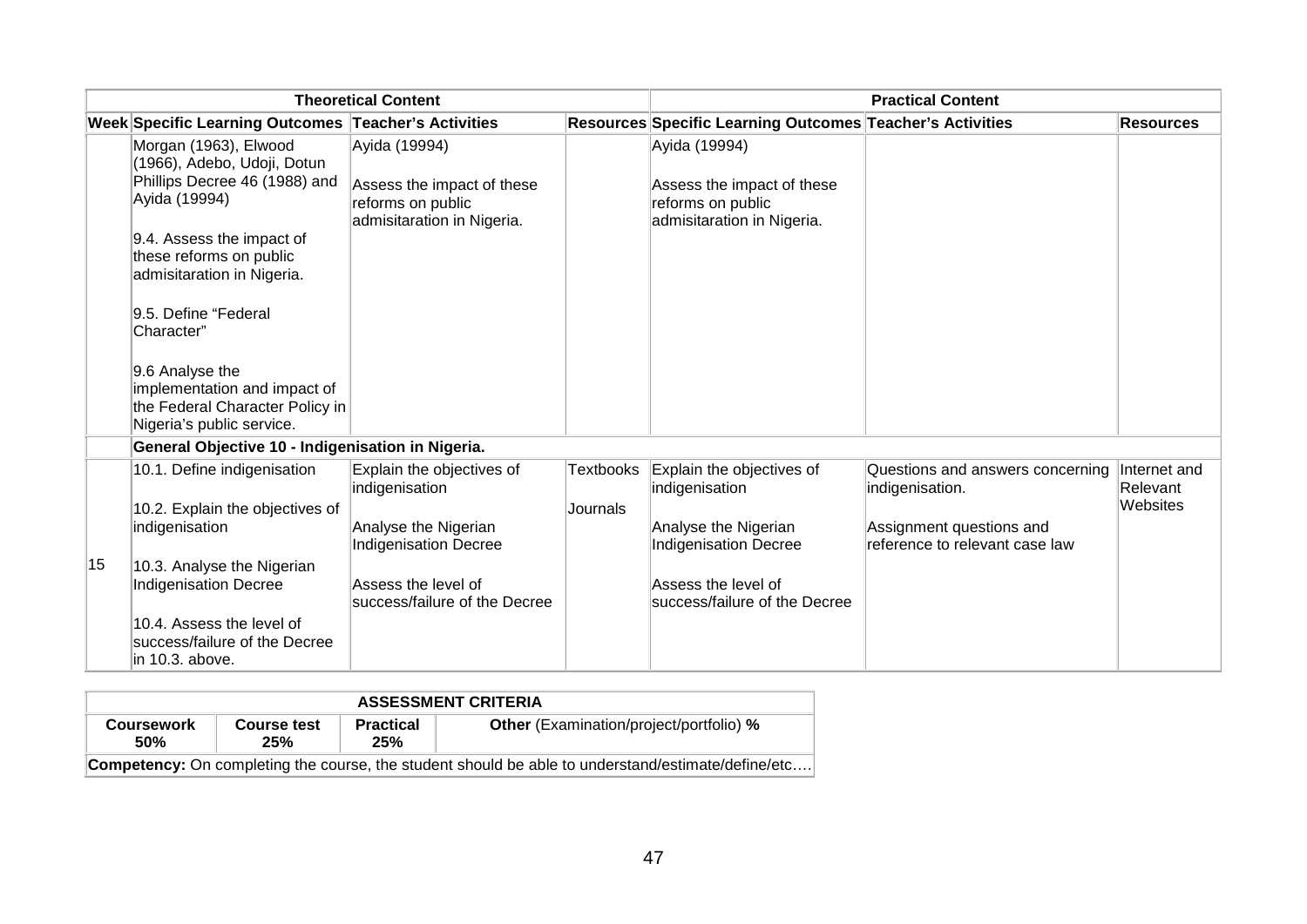| <b>Theoretical Content</b> |                                                                                                                 |                                                                               | <b>Practical Content</b> |                                                                               |                                                            |                          |
|----------------------------|-----------------------------------------------------------------------------------------------------------------|-------------------------------------------------------------------------------|--------------------------|-------------------------------------------------------------------------------|------------------------------------------------------------|--------------------------|
|                            | Week Specific Learning Outcomes Teacher's Activities                                                            |                                                                               |                          | Resources Specific Learning Outcomes Teacher's Activities                     |                                                            | <b>Resources</b>         |
|                            | Morgan (1963), Elwood<br>(1966), Adebo, Udoji, Dotun                                                            | Ayida (19994)                                                                 |                          | Ayida (19994)                                                                 |                                                            |                          |
|                            | Phillips Decree 46 (1988) and<br>Ayida (19994)                                                                  | Assess the impact of these<br>reforms on public<br>admisitaration in Nigeria. |                          | Assess the impact of these<br>reforms on public<br>admisitaration in Nigeria. |                                                            |                          |
|                            | 9.4. Assess the impact of<br>these reforms on public<br>admisitaration in Nigeria.                              |                                                                               |                          |                                                                               |                                                            |                          |
|                            | 9.5. Define "Federal<br>Character"                                                                              |                                                                               |                          |                                                                               |                                                            |                          |
|                            | 9.6 Analyse the<br>implementation and impact of<br>the Federal Character Policy in<br>Nigeria's public service. |                                                                               |                          |                                                                               |                                                            |                          |
|                            | General Objective 10 - Indigenisation in Nigeria.                                                               |                                                                               |                          |                                                                               |                                                            |                          |
|                            | 10.1. Define indigenisation                                                                                     | Explain the objectives of<br>indigenisation                                   | Textbooks                | Explain the objectives of<br>indigenisation                                   | Questions and answers concerning<br>indigenisation.        | Internet and<br>Relevant |
|                            | 10.2. Explain the objectives of                                                                                 |                                                                               | Journals                 |                                                                               |                                                            | Websites                 |
|                            | indigenisation                                                                                                  | Analyse the Nigerian<br>Indigenisation Decree                                 |                          | Analyse the Nigerian<br><b>Indigenisation Decree</b>                          | Assignment questions and<br>reference to relevant case law |                          |
| 15                         | 10.3. Analyse the Nigerian                                                                                      |                                                                               |                          |                                                                               |                                                            |                          |
|                            | <b>Indigenisation Decree</b>                                                                                    | Assess the level of<br>success/failure of the Decree                          |                          | Assess the level of<br>success/failure of the Decree                          |                                                            |                          |
|                            | 10.4. Assess the level of<br>success/failure of the Decree<br>in 10.3. above.                                   |                                                                               |                          |                                                                               |                                                            |                          |

| <b>ASSESSMENT CRITERIA</b>                                                                                |                           |                         |                                                |  |  |  |  |  |
|-----------------------------------------------------------------------------------------------------------|---------------------------|-------------------------|------------------------------------------------|--|--|--|--|--|
| <b>Coursework</b><br><b>50%</b>                                                                           | <b>Course test</b><br>25% | <b>Practical</b><br>25% | <b>Other</b> (Examination/project/portfolio) % |  |  |  |  |  |
| <b>Competency:</b> On completing the course, the student should be able to understand/estimate/define/etc |                           |                         |                                                |  |  |  |  |  |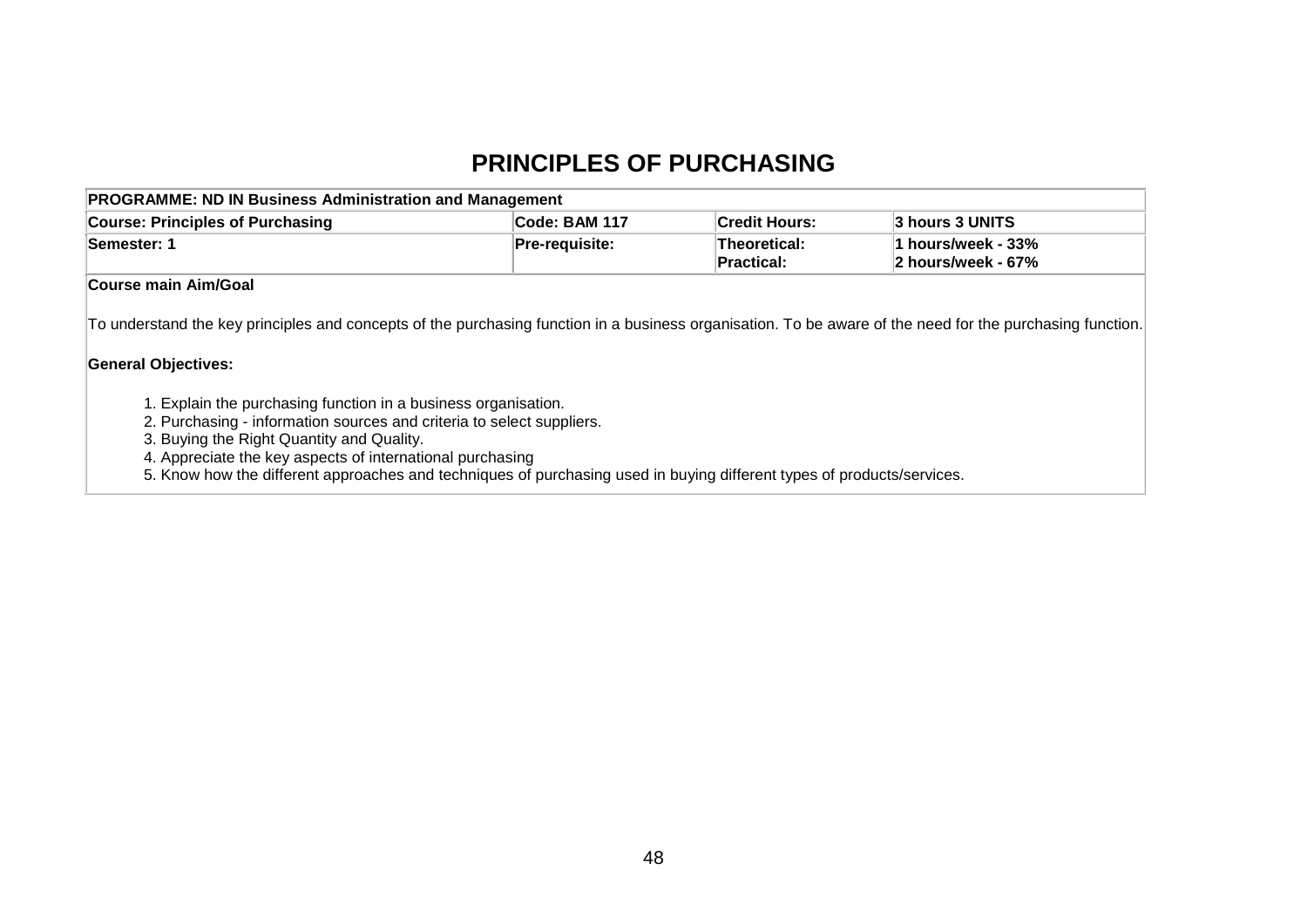#### **PRINCIPLES OF PURCHASING**

| <b>PROGRAMME: ND IN Business Administration and Management</b> |                       |                                   |                                           |  |  |  |  |  |
|----------------------------------------------------------------|-----------------------|-----------------------------------|-------------------------------------------|--|--|--|--|--|
| <b>Course: Principles of Purchasing</b>                        | Code: BAM 117         | <b>Credit Hours:</b>              | 3 hours 3 UNITS                           |  |  |  |  |  |
| Semester: 1                                                    | <b>Pre-requisite:</b> | Theoretical:<br><b>Practical:</b> | l1 hours/week - 33%<br>2 hours/week - 67% |  |  |  |  |  |
| <b>Course main Aim/Goal</b>                                    |                       |                                   |                                           |  |  |  |  |  |

To understand the key principles and concepts of the purchasing function in a business organisation. To be aware of the need for the purchasing function.

#### **General Objectives:**

- 1. Explain the purchasing function in a business organisation.
- 2. Purchasing information sources and criteria to select suppliers.
- 3. Buying the Right Quantity and Quality.
- 4. Appreciate the key aspects of international purchasing
- 5. Know how the different approaches and techniques of purchasing used in buying different types of products/services.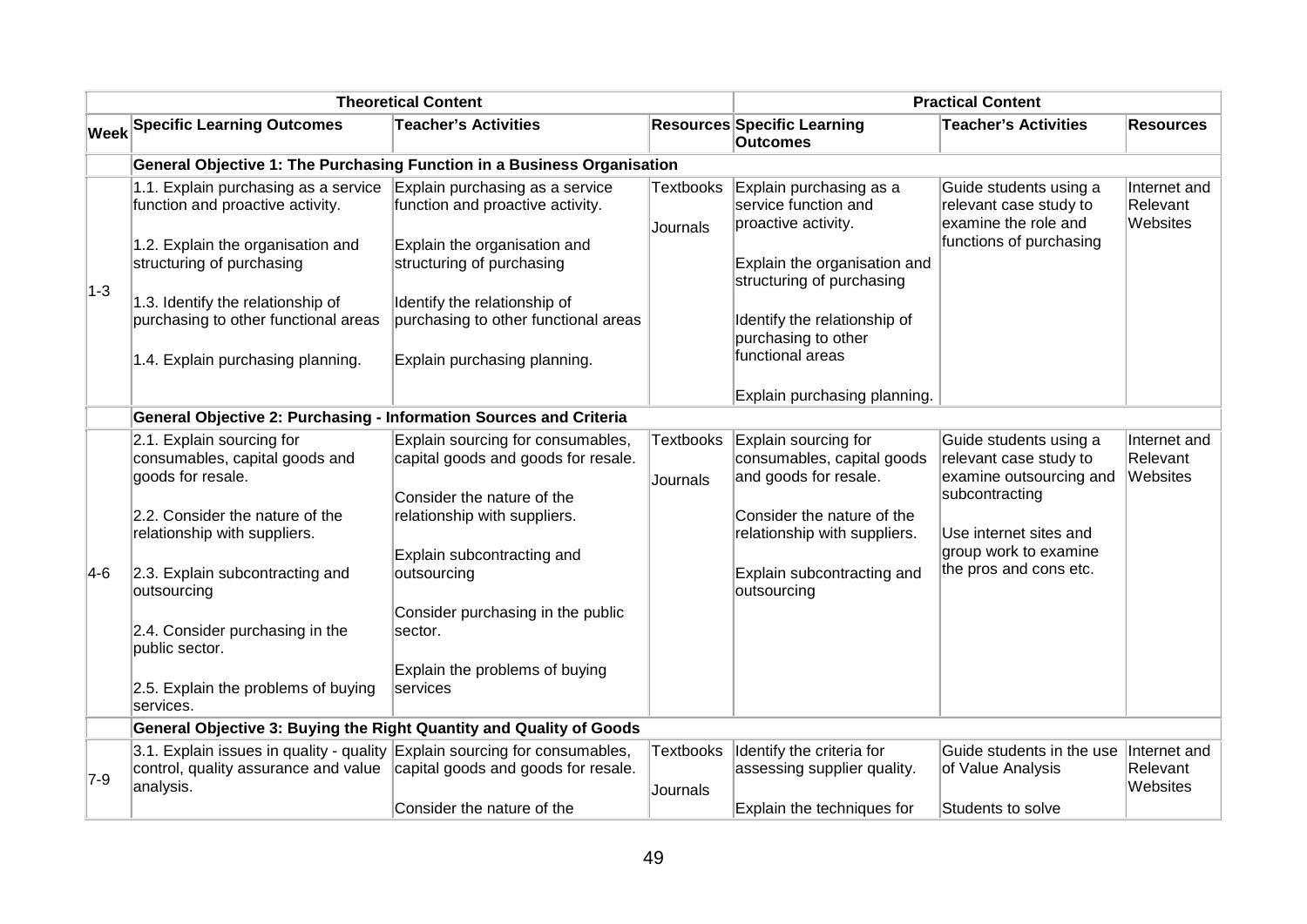|         | <b>Theoretical Content</b>                                                                                                      | <b>Practical Content</b>                                                 |                              |                                                                             |                                                                             |                                      |
|---------|---------------------------------------------------------------------------------------------------------------------------------|--------------------------------------------------------------------------|------------------------------|-----------------------------------------------------------------------------|-----------------------------------------------------------------------------|--------------------------------------|
|         | <b>Week Specific Learning Outcomes</b>                                                                                          | <b>Teacher's Activities</b>                                              |                              | <b>Resources Specific Learning</b><br><b>Outcomes</b>                       | <b>Teacher's Activities</b>                                                 | <b>Resources</b>                     |
|         |                                                                                                                                 | General Objective 1: The Purchasing Function in a Business Organisation  |                              |                                                                             |                                                                             |                                      |
| $ 1-3 $ | 1.1. Explain purchasing as a service<br>function and proactive activity.                                                        | Explain purchasing as a service<br>function and proactive activity.      | <b>Textbooks</b><br>Journals | Explain purchasing as a<br>service function and<br>proactive activity.      | Guide students using a<br>relevant case study to<br>examine the role and    | Internet and<br>Relevant<br>Websites |
|         | 1.2. Explain the organisation and<br>structuring of purchasing                                                                  | Explain the organisation and<br>structuring of purchasing                |                              | Explain the organisation and<br>structuring of purchasing                   | functions of purchasing                                                     |                                      |
|         | 1.3. Identify the relationship of                                                                                               | Identify the relationship of                                             |                              |                                                                             |                                                                             |                                      |
|         | purchasing to other functional areas                                                                                            | purchasing to other functional areas                                     |                              | Identify the relationship of<br>purchasing to other                         |                                                                             |                                      |
|         | 1.4. Explain purchasing planning.                                                                                               | Explain purchasing planning.                                             |                              | functional areas                                                            |                                                                             |                                      |
|         |                                                                                                                                 |                                                                          |                              | Explain purchasing planning.                                                |                                                                             |                                      |
|         | General Objective 2: Purchasing - Information Sources and Criteria                                                              |                                                                          |                              |                                                                             |                                                                             |                                      |
|         | 2.1. Explain sourcing for<br>consumables, capital goods and<br>goods for resale.                                                | Explain sourcing for consumables,<br>capital goods and goods for resale. | <b>Textbooks</b><br>Journals | Explain sourcing for<br>consumables, capital goods<br>and goods for resale. | Guide students using a<br>relevant case study to<br>examine outsourcing and | Internet and<br>Relevant<br>Websites |
|         | 2.2. Consider the nature of the<br>relationship with suppliers.                                                                 | Consider the nature of the<br>relationship with suppliers.               |                              | Consider the nature of the<br>relationship with suppliers.                  | subcontracting<br>Use internet sites and                                    |                                      |
| $ 4-6 $ | 2.3. Explain subcontracting and<br>outsourcing                                                                                  | Explain subcontracting and<br>outsourcing                                |                              | Explain subcontracting and<br>outsourcing                                   | group work to examine<br>the pros and cons etc.                             |                                      |
|         | 2.4. Consider purchasing in the<br>public sector.                                                                               | Consider purchasing in the public<br>sector.                             |                              |                                                                             |                                                                             |                                      |
|         | 2.5. Explain the problems of buying<br>services.                                                                                | Explain the problems of buying<br>services                               |                              |                                                                             |                                                                             |                                      |
|         | General Objective 3: Buying the Right Quantity and Quality of Goods                                                             |                                                                          |                              |                                                                             |                                                                             |                                      |
| $ 7-9 $ | 3.1. Explain issues in quality - quality Explain sourcing for consumables,<br>control, quality assurance and value<br>analysis. | capital goods and goods for resale.                                      | <b>Textbooks</b><br>Journals | Identify the criteria for<br>assessing supplier quality.                    | Guide students in the use<br>of Value Analysis                              | Internet and<br>Relevant<br>Websites |
|         |                                                                                                                                 | Consider the nature of the                                               |                              | Explain the techniques for                                                  | Students to solve                                                           |                                      |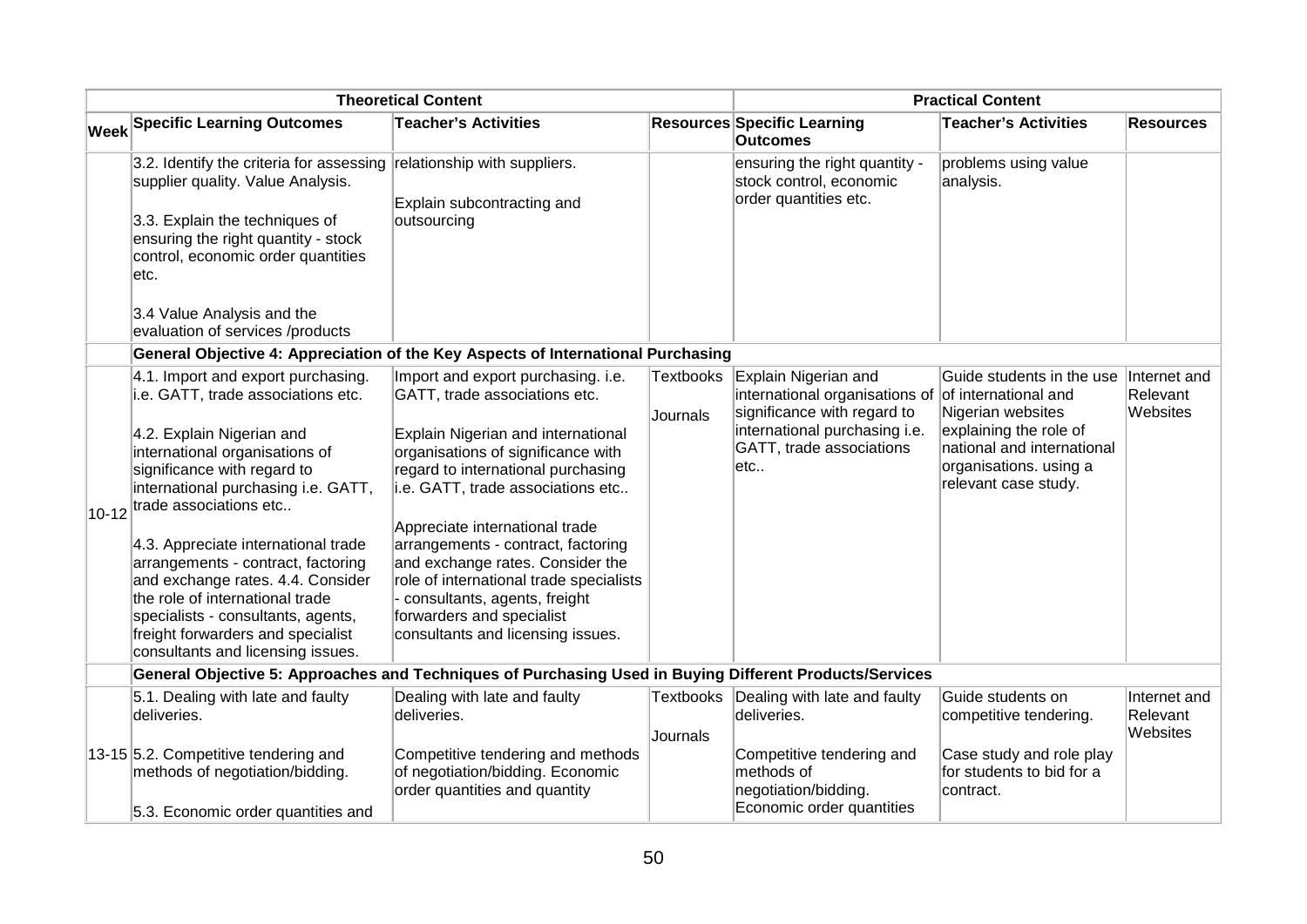|           |                                                                                                                                                                                                                                                                                                                                                                                                                                                                                                              | <b>Theoretical Content</b>                                                                                                                                                                                                                                                                                                                                                                                                                                                          | <b>Practical Content</b> |                                                                                                                                                           |                                                                                                                                                                                  |                                      |
|-----------|--------------------------------------------------------------------------------------------------------------------------------------------------------------------------------------------------------------------------------------------------------------------------------------------------------------------------------------------------------------------------------------------------------------------------------------------------------------------------------------------------------------|-------------------------------------------------------------------------------------------------------------------------------------------------------------------------------------------------------------------------------------------------------------------------------------------------------------------------------------------------------------------------------------------------------------------------------------------------------------------------------------|--------------------------|-----------------------------------------------------------------------------------------------------------------------------------------------------------|----------------------------------------------------------------------------------------------------------------------------------------------------------------------------------|--------------------------------------|
|           | <b>Week Specific Learning Outcomes</b>                                                                                                                                                                                                                                                                                                                                                                                                                                                                       | <b>Teacher's Activities</b>                                                                                                                                                                                                                                                                                                                                                                                                                                                         |                          | <b>Resources Specific Learning</b><br>Outcomes                                                                                                            | <b>Teacher's Activities</b>                                                                                                                                                      | <b>Resources</b>                     |
|           | 3.2. Identify the criteria for assessing<br>supplier quality. Value Analysis.<br>3.3. Explain the techniques of<br>ensuring the right quantity - stock<br>control, economic order quantities<br>etc.                                                                                                                                                                                                                                                                                                         | relationship with suppliers.<br>Explain subcontracting and<br>outsourcing                                                                                                                                                                                                                                                                                                                                                                                                           |                          | ensuring the right quantity -<br>stock control, economic<br>order quantities etc.                                                                         | problems using value<br>analysis.                                                                                                                                                |                                      |
|           | 3.4 Value Analysis and the<br>evaluation of services /products                                                                                                                                                                                                                                                                                                                                                                                                                                               |                                                                                                                                                                                                                                                                                                                                                                                                                                                                                     |                          |                                                                                                                                                           |                                                                                                                                                                                  |                                      |
|           | General Objective 4: Appreciation of the Key Aspects of International Purchasing                                                                                                                                                                                                                                                                                                                                                                                                                             |                                                                                                                                                                                                                                                                                                                                                                                                                                                                                     |                          |                                                                                                                                                           |                                                                                                                                                                                  |                                      |
| $10 - 12$ | 4.1. Import and export purchasing.<br>i.e. GATT, trade associations etc.<br>4.2. Explain Nigerian and<br>international organisations of<br>significance with regard to<br>international purchasing i.e. GATT,<br>trade associations etc<br>4.3. Appreciate international trade<br>arrangements - contract, factoring<br>and exchange rates. 4.4. Consider<br>the role of international trade<br>specialists - consultants, agents,<br>freight forwarders and specialist<br>consultants and licensing issues. | Import and export purchasing. i.e.<br>GATT, trade associations etc.<br>Explain Nigerian and international<br>organisations of significance with<br>regard to international purchasing<br>i.e. GATT, trade associations etc<br>Appreciate international trade<br>arrangements - contract, factoring<br>and exchange rates. Consider the<br>role of international trade specialists<br>consultants, agents, freight<br>forwarders and specialist<br>consultants and licensing issues. | Textbooks<br>Journals    | Explain Nigerian and<br>international organisations of<br>significance with regard to<br>international purchasing i.e.<br>GATT, trade associations<br>etc | Guide students in the use<br>of international and<br>Nigerian websites<br>explaining the role of<br>national and international<br>organisations. using a<br>relevant case study. | Internet and<br>Relevant<br>Websites |
|           | General Objective 5: Approaches and Techniques of Purchasing Used in Buying Different Products/Services                                                                                                                                                                                                                                                                                                                                                                                                      |                                                                                                                                                                                                                                                                                                                                                                                                                                                                                     |                          |                                                                                                                                                           |                                                                                                                                                                                  |                                      |
|           | 5.1. Dealing with late and faulty<br>deliveries.                                                                                                                                                                                                                                                                                                                                                                                                                                                             | Dealing with late and faulty<br>deliveries.                                                                                                                                                                                                                                                                                                                                                                                                                                         | Textbooks<br>Journals    | Dealing with late and faulty<br>deliveries.                                                                                                               | Guide students on<br>competitive tendering.                                                                                                                                      | Internet and<br>Relevant<br>Websites |
|           | 13-15 5.2. Competitive tendering and<br>methods of negotiation/bidding.<br>5.3. Economic order quantities and                                                                                                                                                                                                                                                                                                                                                                                                | Competitive tendering and methods<br>of negotiation/bidding. Economic<br>order quantities and quantity                                                                                                                                                                                                                                                                                                                                                                              |                          | Competitive tendering and<br>methods of<br>negotiation/bidding.<br>Economic order quantities                                                              | Case study and role play<br>for students to bid for a<br>contract.                                                                                                               |                                      |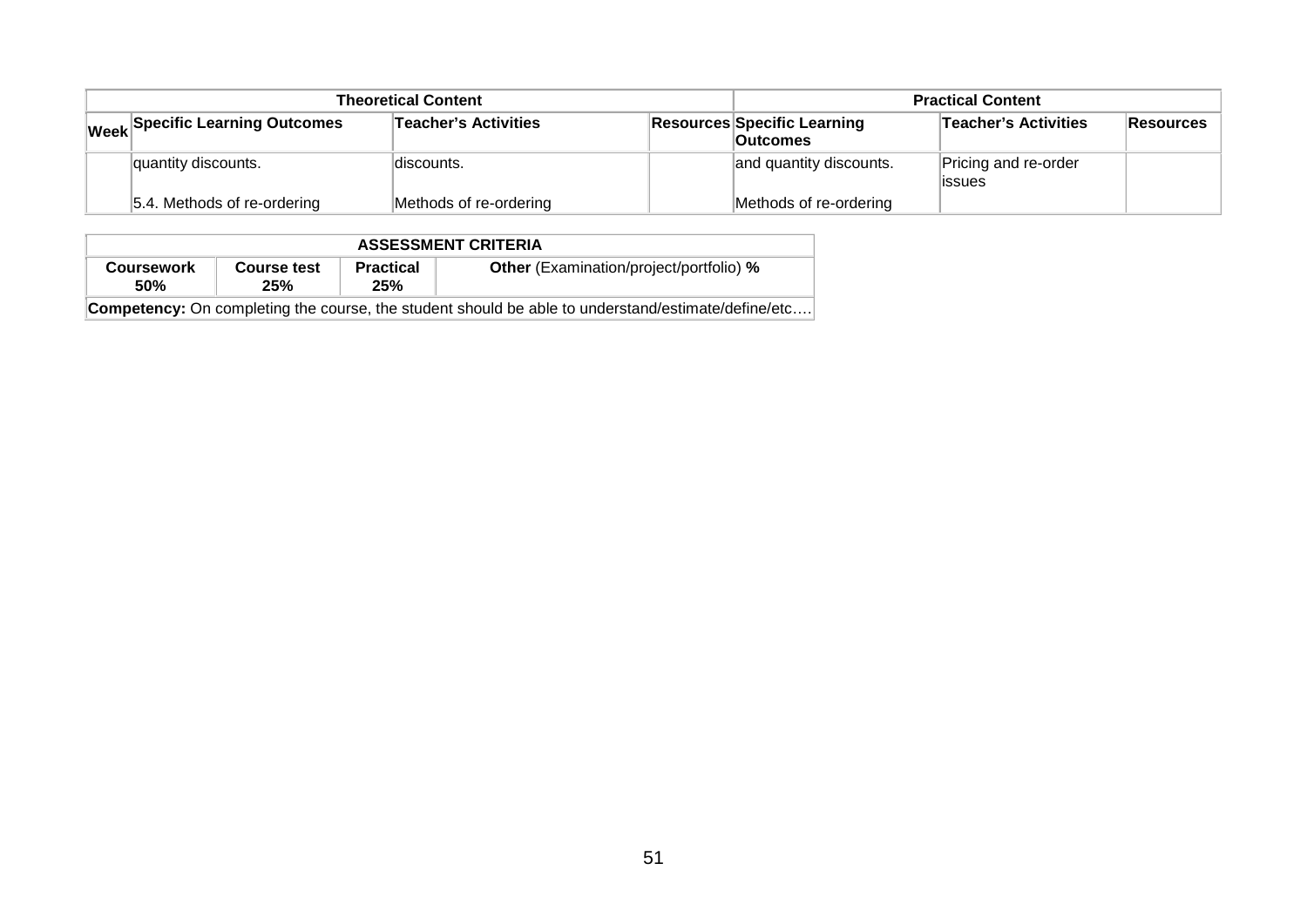|                                                                | <b>Theoretical Content</b> | <b>Practical Content</b>                              |                         |                                |  |
|----------------------------------------------------------------|----------------------------|-------------------------------------------------------|-------------------------|--------------------------------|--|
| <b>Teacher's Activities</b><br>Week Specific Learning Outcomes |                            | <b>Resources Specific Learning</b><br><b>Outcomes</b> | Teacher's Activities    | Resources                      |  |
| quantity discounts.                                            | discounts.                 |                                                       | and quantity discounts. | Pricing and re-order<br>issues |  |
| 5.4. Methods of re-ordering                                    | Methods of re-ordering     |                                                       | Methods of re-ordering  |                                |  |

| <b>ASSESSMENT CRITERIA</b>                                                                                |                    |                         |                                                |  |  |  |  |  |
|-----------------------------------------------------------------------------------------------------------|--------------------|-------------------------|------------------------------------------------|--|--|--|--|--|
| <b>Coursework</b><br><b>50%</b>                                                                           | Course test<br>25% | <b>Practical</b><br>25% | <b>Other</b> (Examination/project/portfolio) % |  |  |  |  |  |
| <b>Competency:</b> On completing the course, the student should be able to understand/estimate/define/etc |                    |                         |                                                |  |  |  |  |  |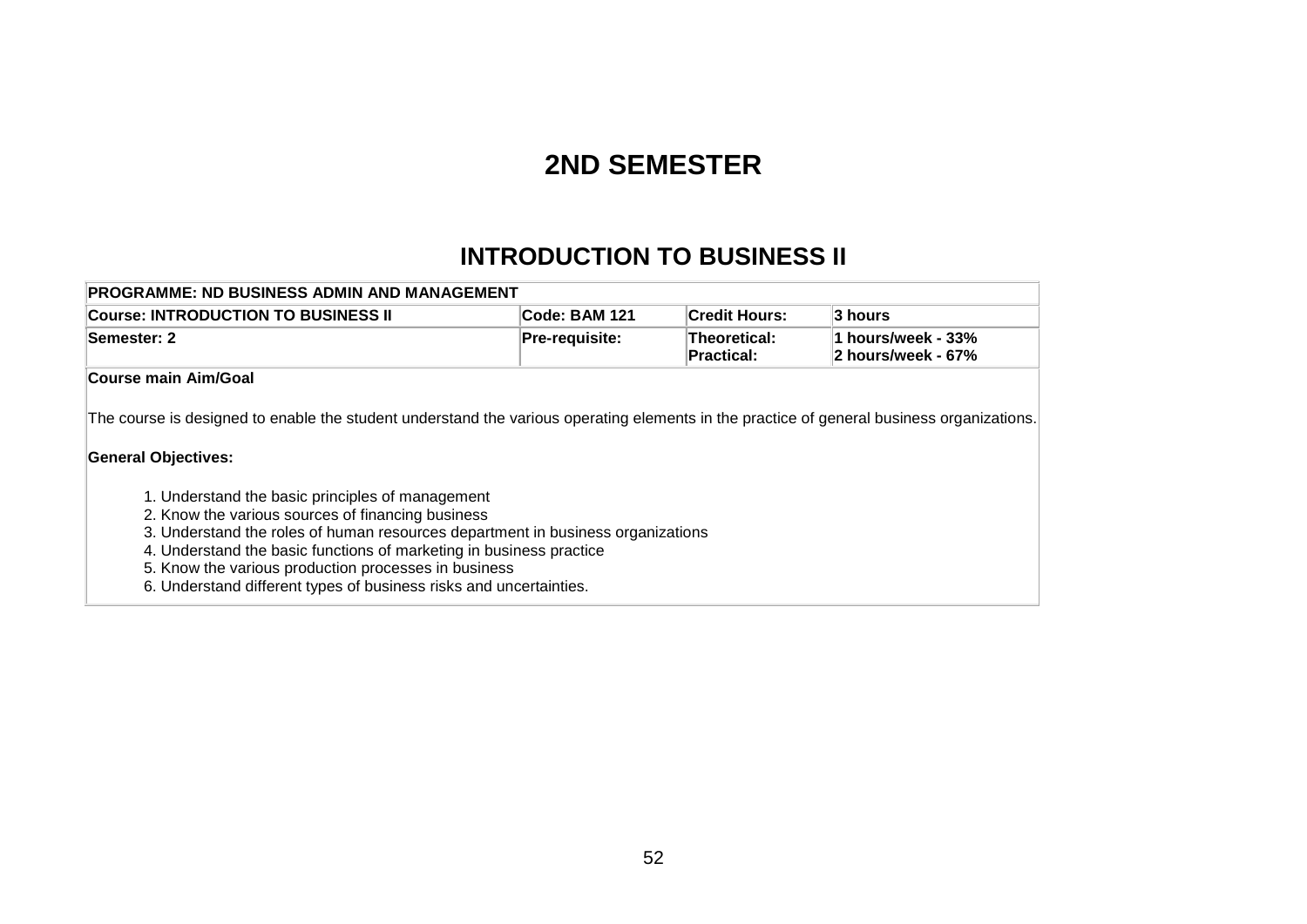# **2ND SEMESTER**

# **INTRODUCTION TO BUSINESS II**

| PROGRAMME: ND BUSINESS ADMIN AND MANAGEMENT                                                                                                                                                                                                                                                                                                                                                                                                                                                                                                                              |                       |                                          |                                          |  |  |  |  |  |  |
|--------------------------------------------------------------------------------------------------------------------------------------------------------------------------------------------------------------------------------------------------------------------------------------------------------------------------------------------------------------------------------------------------------------------------------------------------------------------------------------------------------------------------------------------------------------------------|-----------------------|------------------------------------------|------------------------------------------|--|--|--|--|--|--|
| <b>Course: INTRODUCTION TO BUSINESS II</b>                                                                                                                                                                                                                                                                                                                                                                                                                                                                                                                               | <b>Code: BAM 121</b>  | <b>Credit Hours:</b>                     | <b>3 hours</b>                           |  |  |  |  |  |  |
| Semester: 2                                                                                                                                                                                                                                                                                                                                                                                                                                                                                                                                                              | <b>Pre-requisite:</b> | <b>Theoretical:</b><br><b>Practical:</b> | 1 hours/week - 33%<br>2 hours/week - 67% |  |  |  |  |  |  |
| Course main Aim/Goal                                                                                                                                                                                                                                                                                                                                                                                                                                                                                                                                                     |                       |                                          |                                          |  |  |  |  |  |  |
| The course is designed to enable the student understand the various operating elements in the practice of general business organizations.<br><b>General Objectives:</b><br>1. Understand the basic principles of management<br>2. Know the various sources of financing business<br>3. Understand the roles of human resources department in business organizations<br>4. Understand the basic functions of marketing in business practice<br>5. Know the various production processes in business<br>6. Understand different types of business risks and uncertainties. |                       |                                          |                                          |  |  |  |  |  |  |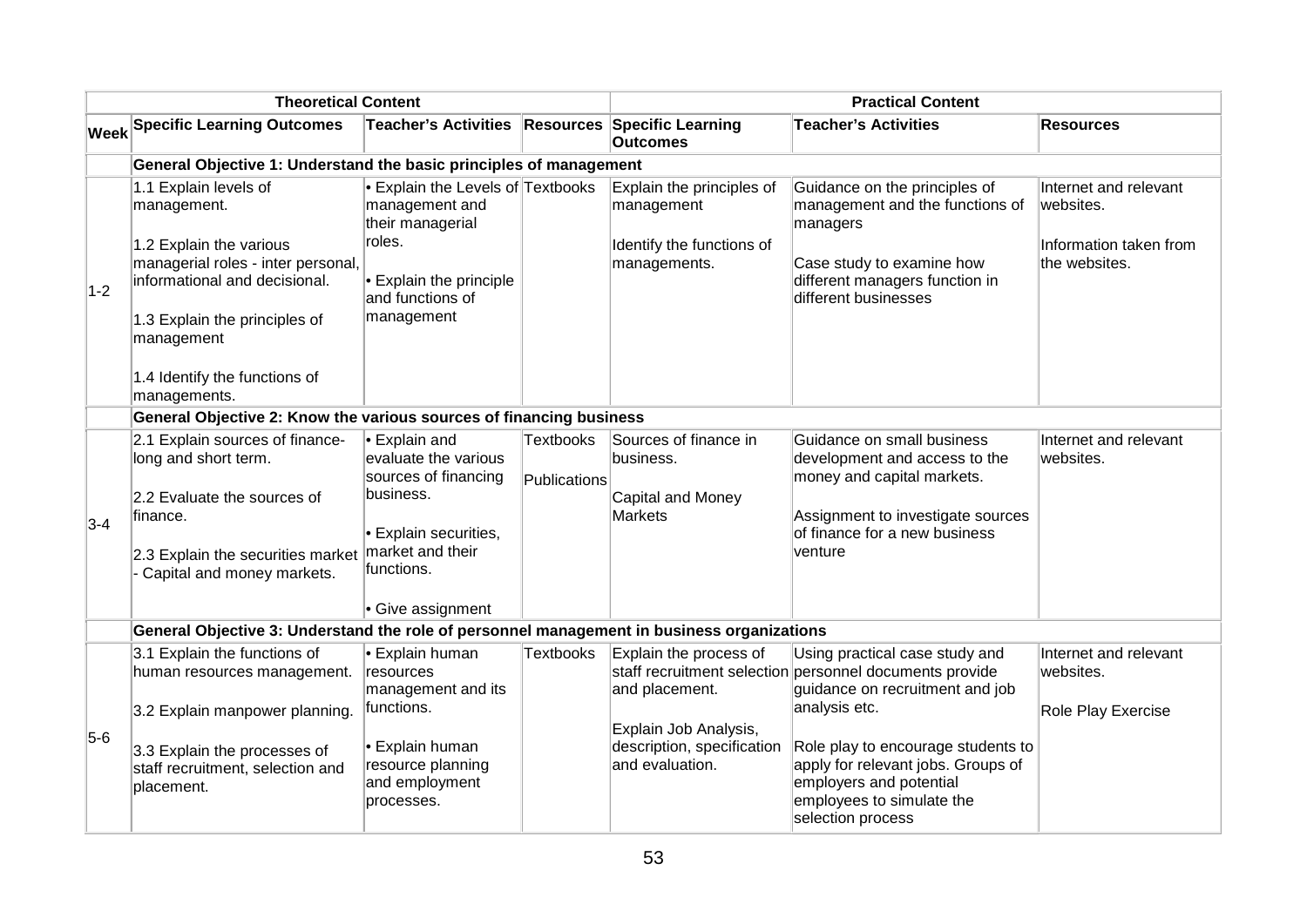| <b>Theoretical Content</b> |                                                                                            |                                                                                   | <b>Practical Content</b>         |                                                                        |                                                                                                                                                       |                                         |
|----------------------------|--------------------------------------------------------------------------------------------|-----------------------------------------------------------------------------------|----------------------------------|------------------------------------------------------------------------|-------------------------------------------------------------------------------------------------------------------------------------------------------|-----------------------------------------|
|                            | <b>Week Specific Learning Outcomes</b>                                                     | Teacher's Activities Resources Specific Learning                                  |                                  | <b>Outcomes</b>                                                        | <b>Teacher's Activities</b>                                                                                                                           | <b>Resources</b>                        |
|                            | General Objective 1: Understand the basic principles of management                         |                                                                                   |                                  |                                                                        |                                                                                                                                                       |                                         |
|                            | 1.1 Explain levels of<br>management.                                                       | • Explain the Levels of Textbooks<br>management and<br>their managerial<br>roles. |                                  | Explain the principles of<br>management                                | Guidance on the principles of<br>management and the functions of<br>managers                                                                          | Internet and relevant<br>websites.      |
|                            | 1.2 Explain the various<br>managerial roles - inter personal,                              |                                                                                   |                                  | Identify the functions of<br>managements.                              | Case study to examine how                                                                                                                             | Information taken from<br>the websites. |
| $1-2$                      | informational and decisional.                                                              | • Explain the principle<br>and functions of                                       |                                  |                                                                        | different managers function in<br>different businesses                                                                                                |                                         |
|                            | 1.3 Explain the principles of<br>management                                                | management                                                                        |                                  |                                                                        |                                                                                                                                                       |                                         |
|                            | 1.4 Identify the functions of<br>managements.                                              |                                                                                   |                                  |                                                                        |                                                                                                                                                       |                                         |
|                            | General Objective 2: Know the various sources of financing business                        |                                                                                   |                                  |                                                                        |                                                                                                                                                       |                                         |
|                            | 2.1 Explain sources of finance-<br>long and short term.                                    | • Explain and<br>evaluate the various<br>sources of financing                     | <b>Textbooks</b><br>Publications | Sources of finance in<br>business.                                     | Guidance on small business<br>development and access to the<br>money and capital markets.                                                             | Internet and relevant<br>websites.      |
| $3 - 4$                    | 2.2 Evaluate the sources of<br>finance.                                                    | business.                                                                         |                                  | Capital and Money<br><b>Markets</b>                                    | Assignment to investigate sources                                                                                                                     |                                         |
|                            |                                                                                            | • Explain securities,                                                             |                                  |                                                                        | of finance for a new business                                                                                                                         |                                         |
|                            | 2.3 Explain the securities market<br>- Capital and money markets.                          | market and their<br>functions.                                                    |                                  |                                                                        | venture                                                                                                                                               |                                         |
|                            |                                                                                            | • Give assignment                                                                 |                                  |                                                                        |                                                                                                                                                       |                                         |
|                            | General Objective 3: Understand the role of personnel management in business organizations |                                                                                   |                                  |                                                                        |                                                                                                                                                       |                                         |
|                            | 3.1 Explain the functions of<br>human resources management.                                | • Explain human<br>resources                                                      | <b>Textbooks</b>                 | Explain the process of                                                 | Using practical case study and<br>staff recruitment selection personnel documents provide                                                             | Internet and relevant<br>websites.      |
|                            | 3.2 Explain manpower planning.                                                             | management and its<br>functions.                                                  |                                  | and placement.                                                         | guidance on recruitment and job<br>analysis etc.                                                                                                      | Role Play Exercise                      |
| $5-6$                      | 3.3 Explain the processes of<br>staff recruitment, selection and<br>placement.             | • Explain human<br>resource planning<br>and employment<br>processes.              |                                  | Explain Job Analysis,<br>description, specification<br>and evaluation. | Role play to encourage students to<br>apply for relevant jobs. Groups of<br>employers and potential<br>employees to simulate the<br>selection process |                                         |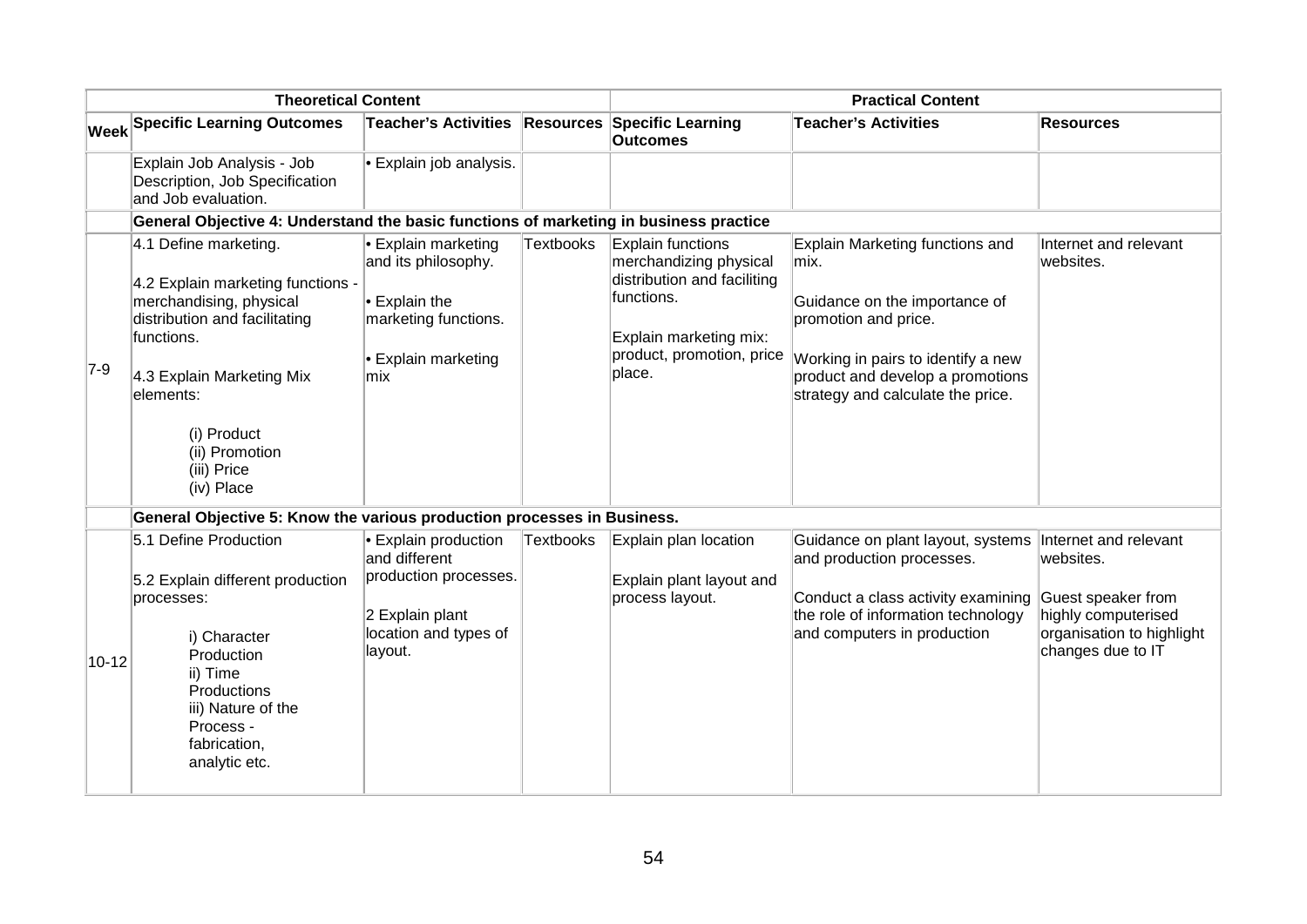| <b>Theoretical Content</b> |                                                                                                                                                                                                                                              | <b>Practical Content</b>                                                                                                           |                  |                                                                                                                                                           |                                                                                                                                                                                                                 |                                                                                                          |
|----------------------------|----------------------------------------------------------------------------------------------------------------------------------------------------------------------------------------------------------------------------------------------|------------------------------------------------------------------------------------------------------------------------------------|------------------|-----------------------------------------------------------------------------------------------------------------------------------------------------------|-----------------------------------------------------------------------------------------------------------------------------------------------------------------------------------------------------------------|----------------------------------------------------------------------------------------------------------|
|                            | <b>Week Specific Learning Outcomes</b>                                                                                                                                                                                                       | <b>Teacher's Activities</b>                                                                                                        |                  | <b>Resources Specific Learning</b><br><b>Outcomes</b>                                                                                                     | <b>Teacher's Activities</b>                                                                                                                                                                                     | <b>Resources</b>                                                                                         |
|                            | Explain Job Analysis - Job<br>Description, Job Specification<br>and Job evaluation.                                                                                                                                                          | $\bullet$ Explain job analysis.                                                                                                    |                  |                                                                                                                                                           |                                                                                                                                                                                                                 |                                                                                                          |
|                            | General Objective 4: Understand the basic functions of marketing in business practice                                                                                                                                                        |                                                                                                                                    |                  |                                                                                                                                                           |                                                                                                                                                                                                                 |                                                                                                          |
| $7-9$                      | 4.1 Define marketing.<br>4.2 Explain marketing functions -<br>merchandising, physical<br>distribution and facilitating<br>functions.<br>4.3 Explain Marketing Mix<br>elements:<br>(i) Product<br>(ii) Promotion<br>(iii) Price<br>(iv) Place | $\cdot$ Explain marketing<br>and its philosophy.<br>$\cdot$ Explain the<br>marketing functions.<br><b>Explain marketing</b><br>mix | <b>Textbooks</b> | Explain functions<br>merchandizing physical<br>distribution and faciliting<br>functions.<br>Explain marketing mix:<br>product, promotion, price<br>place. | Explain Marketing functions and<br>mix.<br>Guidance on the importance of<br>promotion and price.<br>Working in pairs to identify a new<br>product and develop a promotions<br>strategy and calculate the price. | Internet and relevant<br>websites.                                                                       |
|                            | General Objective 5: Know the various production processes in Business.                                                                                                                                                                      |                                                                                                                                    |                  |                                                                                                                                                           |                                                                                                                                                                                                                 |                                                                                                          |
| $10 - 12$                  | 5.1 Define Production<br>5.2 Explain different production<br>processes:<br>i) Character<br>Production<br>ii) Time<br>Productions<br>iii) Nature of the<br>Process -<br>fabrication,<br>analytic etc.                                         | <b>Explain production</b><br>and different<br>production processes.<br>2 Explain plant<br>location and types of<br>layout.         | <b>Textbooks</b> | Explain plan location<br>Explain plant layout and<br>process layout.                                                                                      | Guidance on plant layout, systems   Internet and relevant<br>and production processes.<br>Conduct a class activity examining<br>the role of information technology<br>and computers in production               | websites.<br>Guest speaker from<br>highly computerised<br>organisation to highlight<br>changes due to IT |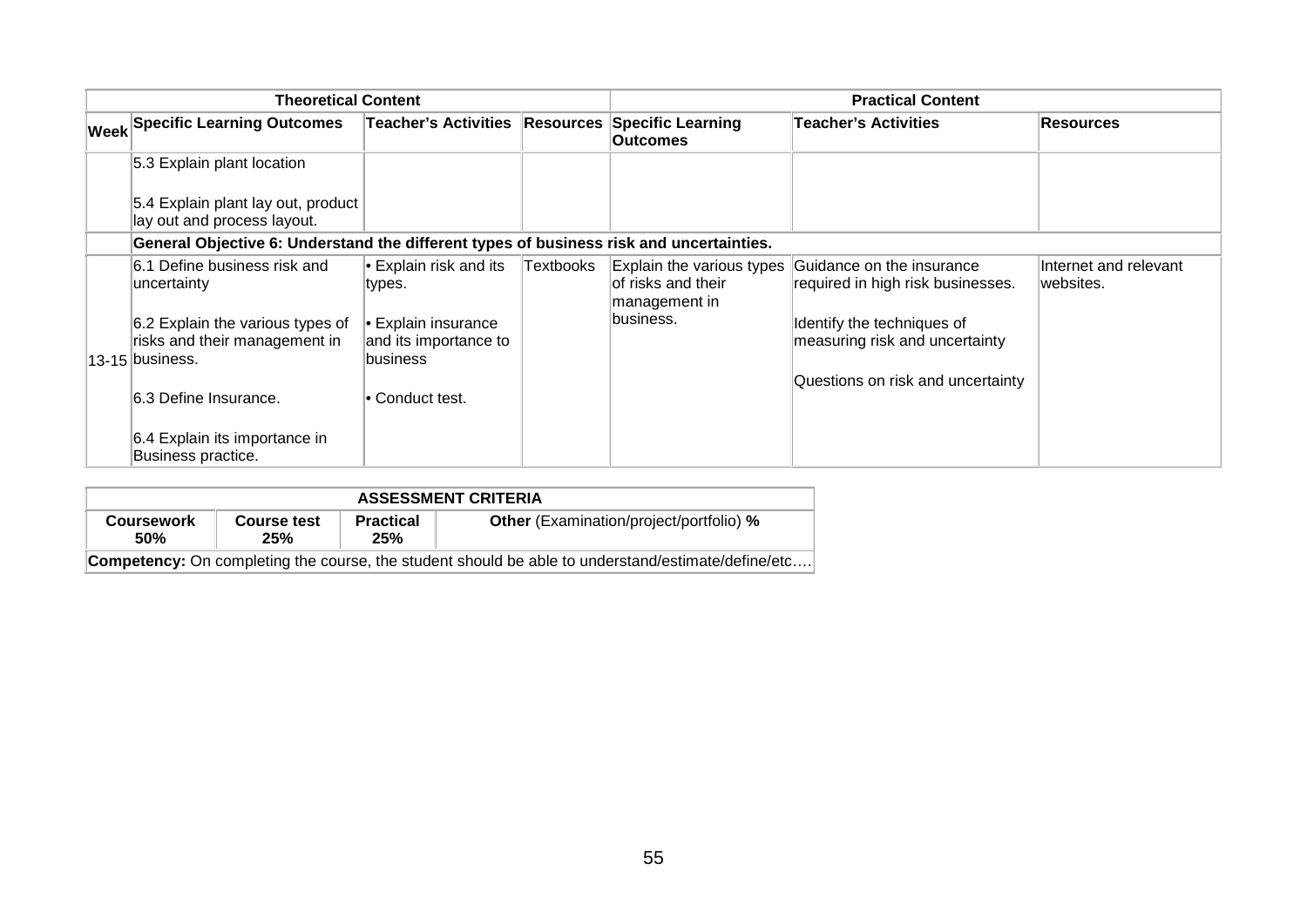| <b>Theoretical Content</b> |                                                                                         |                                                           | <b>Practical Content</b> |                                                                  |                                                                |                                    |
|----------------------------|-----------------------------------------------------------------------------------------|-----------------------------------------------------------|--------------------------|------------------------------------------------------------------|----------------------------------------------------------------|------------------------------------|
|                            | <b>Week Specific Learning Outcomes</b>                                                  | <b>Teacher's Activities</b>                               | <b>Resources</b>         | <b>Specific Learning</b><br><b>Outcomes</b>                      | <b>Teacher's Activities</b>                                    | Resources                          |
|                            | 5.3 Explain plant location                                                              |                                                           |                          |                                                                  |                                                                |                                    |
|                            | 5.4 Explain plant lay out, product<br>lay out and process layout.                       |                                                           |                          |                                                                  |                                                                |                                    |
|                            | General Objective 6: Understand the different types of business risk and uncertainties. |                                                           |                          |                                                                  |                                                                |                                    |
|                            | 6.1 Define business risk and<br>uncertainty                                             | $\bullet$ Explain risk and its<br>types.                  | Textbooks                | Explain the various types<br>of risks and their<br>management in | Guidance on the insurance<br>required in high risk businesses. | Internet and relevant<br>websites. |
|                            | 6.2 Explain the various types of<br>risks and their management in<br>13-15 business.    | • Explain insurance<br>and its importance to<br> business |                          | business.                                                        | Identify the techniques of<br>measuring risk and uncertainty   |                                    |
|                            | 6.3 Define Insurance.                                                                   | l∙ Conduct test.                                          |                          |                                                                  | Questions on risk and uncertainty                              |                                    |
|                            | 6.4 Explain its importance in<br>Business practice.                                     |                                                           |                          |                                                                  |                                                                |                                    |

| <b>ASSESSMENT CRITERIA</b>                                                                                |                    |                         |                                                |  |  |
|-----------------------------------------------------------------------------------------------------------|--------------------|-------------------------|------------------------------------------------|--|--|
| <b>Coursework</b><br>50%                                                                                  | Course test<br>25% | <b>Practical</b><br>25% | <b>Other</b> (Examination/project/portfolio) % |  |  |
| <b>Competency:</b> On completing the course, the student should be able to understand/estimate/define/etc |                    |                         |                                                |  |  |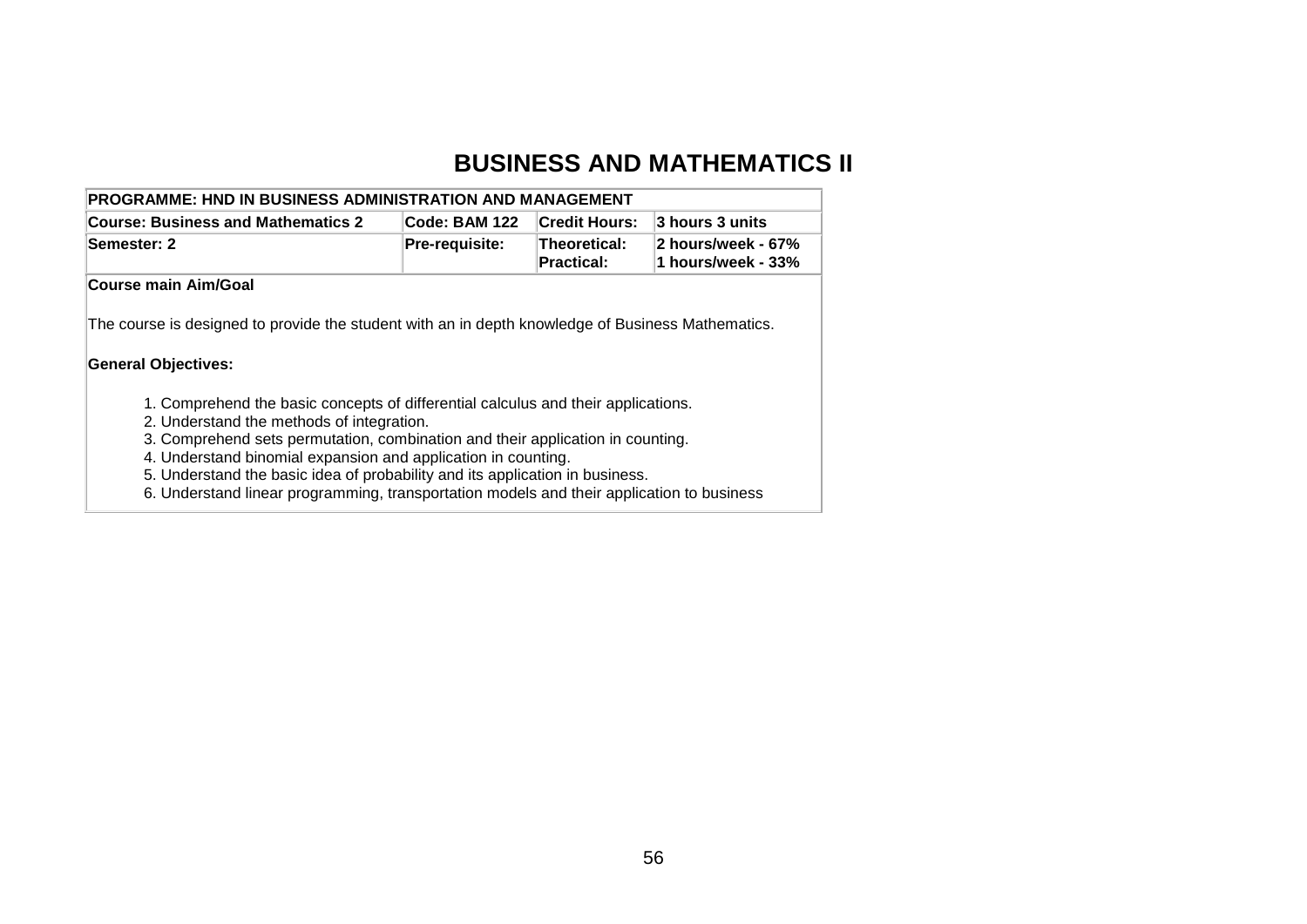#### **BUSINESS AND MATHEMATICS II**

| <b>PROGRAMME: HND IN BUSINESS ADMINISTRATION AND MANAGEMENT</b>                                                                |                |                                   |                                          |  |  |
|--------------------------------------------------------------------------------------------------------------------------------|----------------|-----------------------------------|------------------------------------------|--|--|
| Code: BAM 122<br><b>Credit Hours:</b><br><b>Course: Business and Mathematics 2</b>                                             |                | 3 hours 3 units                   |                                          |  |  |
| Semester: 2                                                                                                                    | Pre-requisite: | Theoretical:<br><b>Practical:</b> | 2 hours/week - 67%<br>1 hours/week - 33% |  |  |
| Course main Aim/Goal                                                                                                           |                |                                   |                                          |  |  |
| <b>General Objectives:</b>                                                                                                     |                |                                   |                                          |  |  |
| 1. Comprehend the basic concepts of differential calculus and their applications.<br>2. Understand the methods of integration. |                |                                   |                                          |  |  |
| 3. Comprehend sets permutation, combination and their application in counting.                                                 |                |                                   |                                          |  |  |
| 4. Understand binomial expansion and application in counting.                                                                  |                |                                   |                                          |  |  |
| 5. Understand the basic idea of probability and its application in business.                                                   |                |                                   |                                          |  |  |

6. Understand linear programming, transportation models and their application to business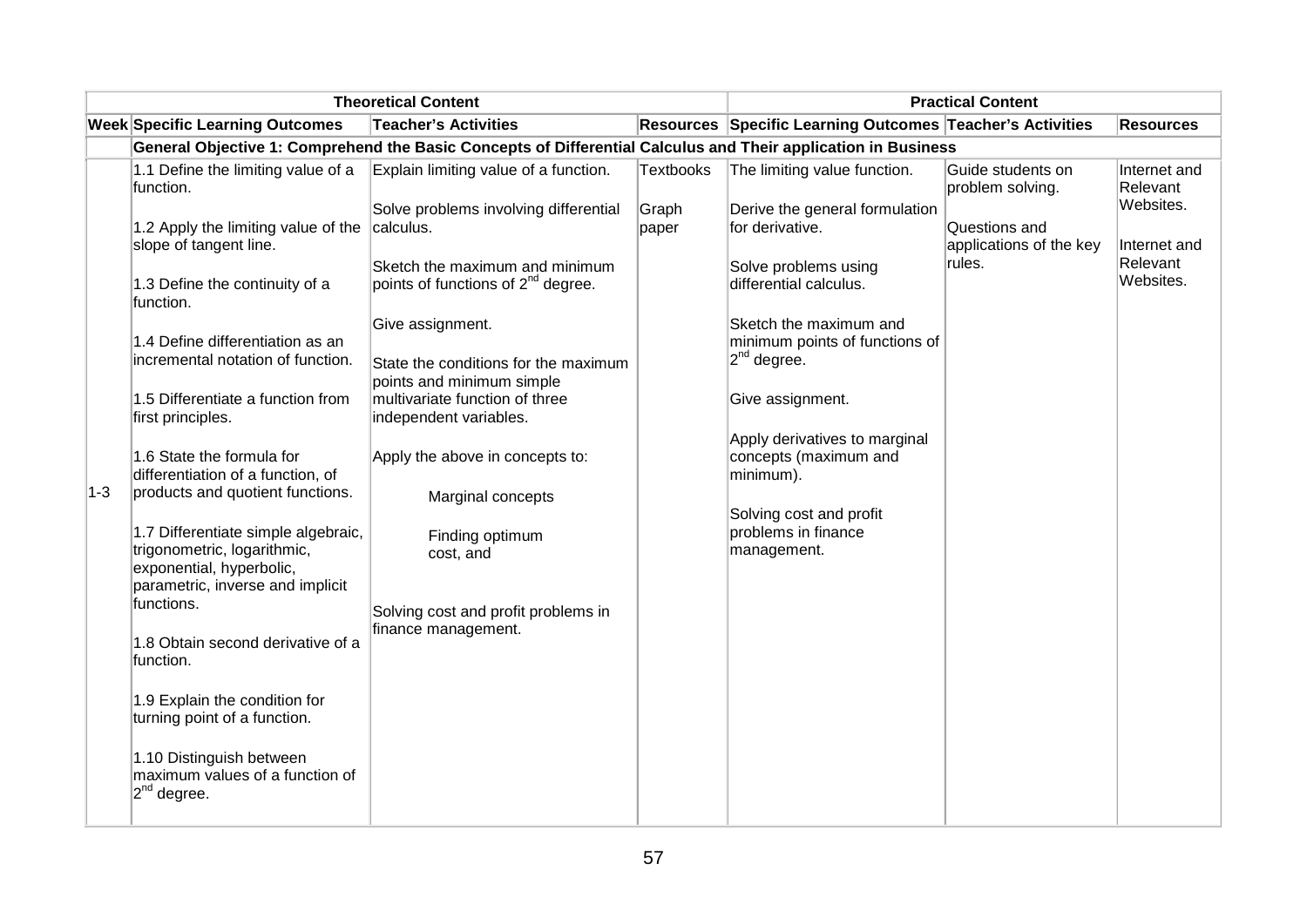|         | <b>Theoretical Content</b>                                                                                                         | <b>Practical Content</b>                                                                                                               |                  |                                                                                                     |                                                    |                                                    |
|---------|------------------------------------------------------------------------------------------------------------------------------------|----------------------------------------------------------------------------------------------------------------------------------------|------------------|-----------------------------------------------------------------------------------------------------|----------------------------------------------------|----------------------------------------------------|
|         | <b>Week Specific Learning Outcomes</b>                                                                                             | <b>Teacher's Activities</b>                                                                                                            |                  | Resources Specific Learning Outcomes Teacher's Activities                                           |                                                    | <b>Resources</b>                                   |
|         |                                                                                                                                    | General Objective 1: Comprehend the Basic Concepts of Differential Calculus and Their application in Business                          |                  |                                                                                                     |                                                    |                                                    |
|         | 1.1 Define the limiting value of a<br>function.                                                                                    | Explain limiting value of a function.                                                                                                  | <b>Textbooks</b> | The limiting value function.                                                                        | Guide students on<br>problem solving.              | Internet and<br>Relevant                           |
|         | 1.2 Apply the limiting value of the<br>slope of tangent line.<br>1.3 Define the continuity of a<br>function.                       | Solve problems involving differential<br>calculus.<br>Sketch the maximum and minimum<br>points of functions of 2 <sup>nd</sup> degree. | Graph<br>paper   | Derive the general formulation<br>for derivative.<br>Solve problems using<br>differential calculus. | Questions and<br>applications of the key<br>rules. | Websites.<br>Internet and<br>Relevant<br>Websites. |
|         | 1.4 Define differentiation as an<br>incremental notation of function.                                                              | Give assignment.<br>State the conditions for the maximum<br>points and minimum simple                                                  |                  | Sketch the maximum and<br>minimum points of functions of<br>2 <sup>nd</sup> degree.                 |                                                    |                                                    |
|         | 1.5 Differentiate a function from<br>first principles.                                                                             | multivariate function of three<br>independent variables.                                                                               |                  | Give assignment.                                                                                    |                                                    |                                                    |
| $1 - 3$ | 1.6 State the formula for<br>differentiation of a function, of<br>products and quotient functions.                                 | Apply the above in concepts to:<br>Marginal concepts                                                                                   |                  | Apply derivatives to marginal<br>concepts (maximum and<br>minimum).                                 |                                                    |                                                    |
|         | 1.7 Differentiate simple algebraic,<br>trigonometric, logarithmic,<br>exponential, hyperbolic,<br>parametric, inverse and implicit | Finding optimum<br>cost, and                                                                                                           |                  | Solving cost and profit<br>problems in finance<br>management.                                       |                                                    |                                                    |
|         | functions.<br>1.8 Obtain second derivative of a<br>function.                                                                       | Solving cost and profit problems in<br>finance management.                                                                             |                  |                                                                                                     |                                                    |                                                    |
|         | 1.9 Explain the condition for<br>turning point of a function.                                                                      |                                                                                                                                        |                  |                                                                                                     |                                                    |                                                    |
|         | 1.10 Distinguish between<br>maximum values of a function of<br>$ 2^{nd}$ degree.                                                   |                                                                                                                                        |                  |                                                                                                     |                                                    |                                                    |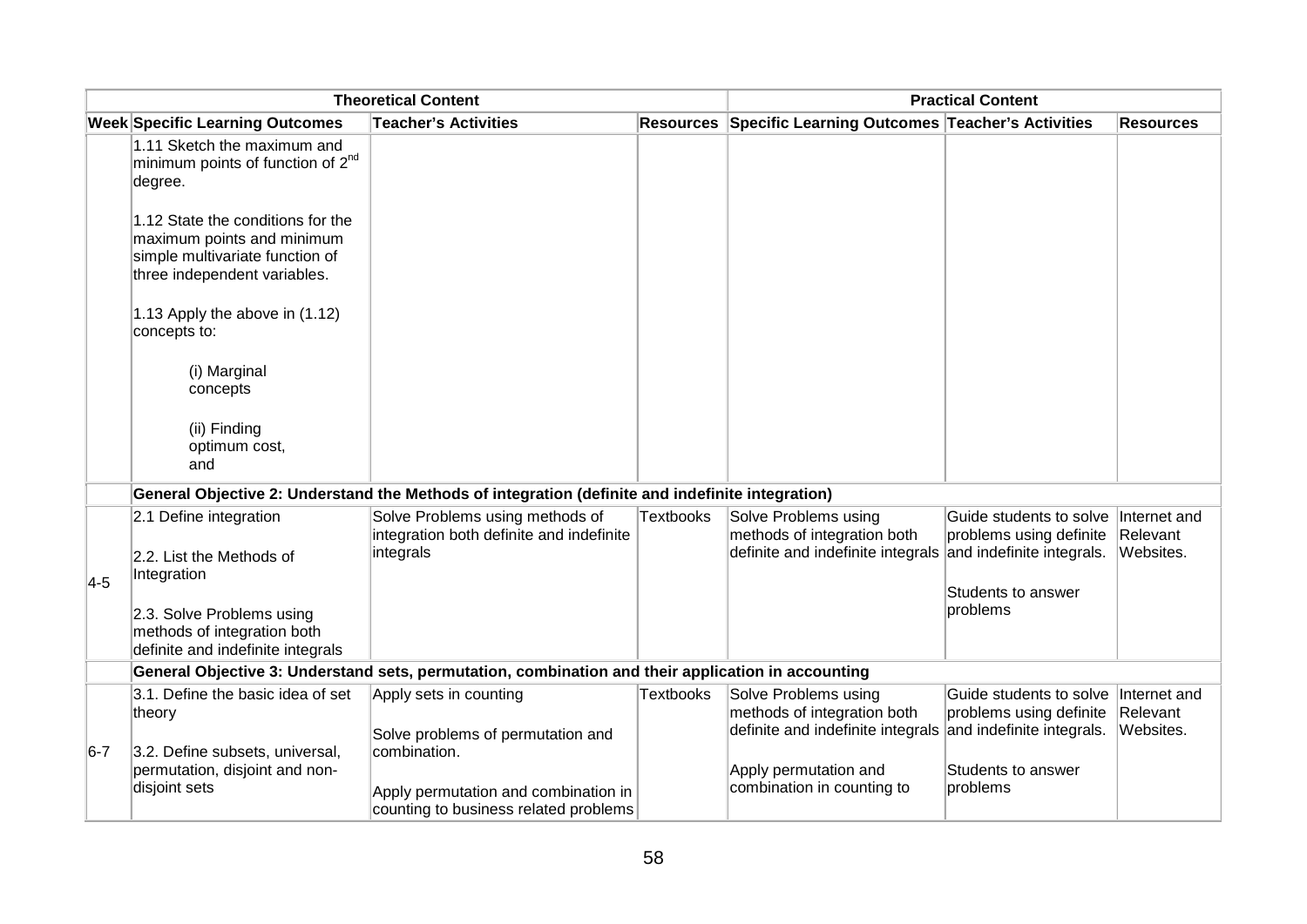|         | <b>Theoretical Content</b>                                                                                                         |                                                                                                    |                  | <b>Practical Content</b>                                                                 |                                                                                                                                |                                       |
|---------|------------------------------------------------------------------------------------------------------------------------------------|----------------------------------------------------------------------------------------------------|------------------|------------------------------------------------------------------------------------------|--------------------------------------------------------------------------------------------------------------------------------|---------------------------------------|
|         | <b>Week Specific Learning Outcomes</b>                                                                                             | <b>Teacher's Activities</b>                                                                        |                  | Resources Specific Learning Outcomes Teacher's Activities                                |                                                                                                                                | <b>Resources</b>                      |
|         | 1.11 Sketch the maximum and<br>minimum points of function of 2 <sup>nd</sup><br>degree.                                            |                                                                                                    |                  |                                                                                          |                                                                                                                                |                                       |
|         | 1.12 State the conditions for the<br>maximum points and minimum<br>simple multivariate function of<br>three independent variables. |                                                                                                    |                  |                                                                                          |                                                                                                                                |                                       |
|         | 1.13 Apply the above in (1.12)<br>concepts to:                                                                                     |                                                                                                    |                  |                                                                                          |                                                                                                                                |                                       |
|         | (i) Marginal<br>concepts                                                                                                           |                                                                                                    |                  |                                                                                          |                                                                                                                                |                                       |
|         | (ii) Finding<br>optimum cost,<br>and                                                                                               |                                                                                                    |                  |                                                                                          |                                                                                                                                |                                       |
|         |                                                                                                                                    | General Objective 2: Understand the Methods of integration (definite and indefinite integration)   |                  |                                                                                          |                                                                                                                                |                                       |
| $4-5$   | 2.1 Define integration<br>2.2. List the Methods of<br>Integration<br>2.3. Solve Problems using                                     | Solve Problems using methods of<br>integration both definite and indefinite<br>integrals           | <b>Textbooks</b> | Solve Problems using<br>methods of integration both<br>definite and indefinite integrals | Guide students to solve Internet and<br>problems using definite<br>and indefinite integrals.<br>Students to answer<br>problems | Relevant<br>Websites.                 |
|         | methods of integration both<br>definite and indefinite integrals                                                                   |                                                                                                    |                  |                                                                                          |                                                                                                                                |                                       |
|         |                                                                                                                                    | General Objective 3: Understand sets, permutation, combination and their application in accounting |                  |                                                                                          |                                                                                                                                |                                       |
|         | 3.1. Define the basic idea of set<br>theory                                                                                        | Apply sets in counting<br>Solve problems of permutation and                                        | <b>Textbooks</b> | Solve Problems using<br>methods of integration both<br>definite and indefinite integrals | Guide students to solve<br>problems using definite<br>and indefinite integrals.                                                | Internet and<br>Relevant<br>Websites. |
| $6 - 7$ | 3.2. Define subsets, universal,<br>permutation, disjoint and non-<br>disjoint sets                                                 | combination.<br>Apply permutation and combination in<br>counting to business related problems      |                  | Apply permutation and<br>combination in counting to                                      | Students to answer<br>problems                                                                                                 |                                       |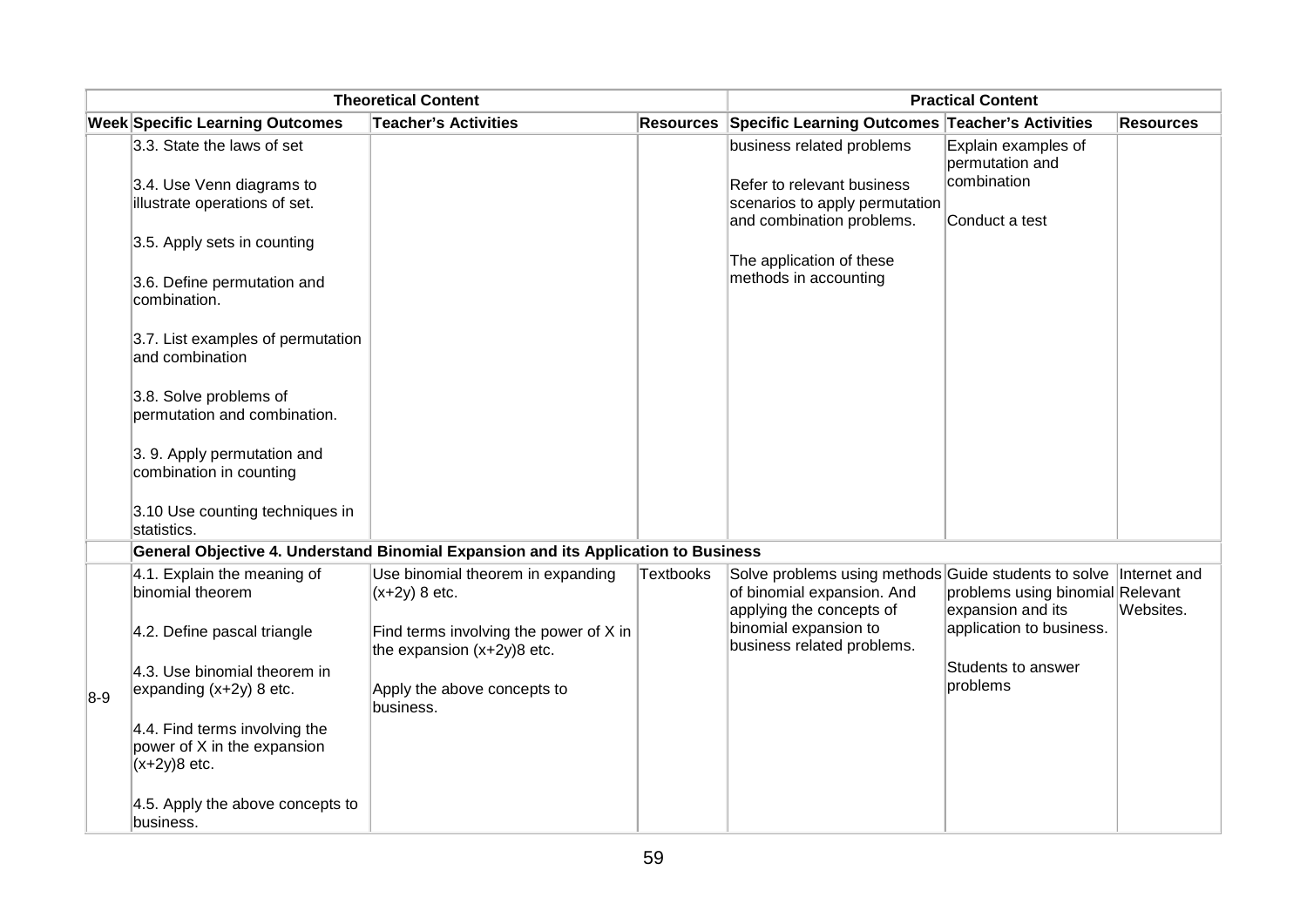|       | <b>Theoretical Content</b>                                                        |                                                                                    |                  | <b>Practical Content</b>                                                                                                    |                                                       |                  |
|-------|-----------------------------------------------------------------------------------|------------------------------------------------------------------------------------|------------------|-----------------------------------------------------------------------------------------------------------------------------|-------------------------------------------------------|------------------|
|       | <b>Week Specific Learning Outcomes</b>                                            | <b>Teacher's Activities</b>                                                        | <b>Resources</b> | Specific Learning Outcomes Teacher's Activities                                                                             |                                                       | <b>Resources</b> |
|       | 3.3. State the laws of set<br>3.4. Use Venn diagrams to                           |                                                                                    |                  | business related problems<br>Refer to relevant business                                                                     | Explain examples of<br>permutation and<br>combination |                  |
|       | illustrate operations of set.                                                     |                                                                                    |                  | scenarios to apply permutation<br>and combination problems.                                                                 | Conduct a test                                        |                  |
|       | 3.5. Apply sets in counting                                                       |                                                                                    |                  | The application of these                                                                                                    |                                                       |                  |
|       | 3.6. Define permutation and<br>combination.                                       |                                                                                    |                  | methods in accounting                                                                                                       |                                                       |                  |
|       | 3.7. List examples of permutation<br>and combination                              |                                                                                    |                  |                                                                                                                             |                                                       |                  |
|       | 3.8. Solve problems of<br>permutation and combination.                            |                                                                                    |                  |                                                                                                                             |                                                       |                  |
|       | 3. 9. Apply permutation and<br>combination in counting                            |                                                                                    |                  |                                                                                                                             |                                                       |                  |
|       | 3.10 Use counting techniques in<br>statistics.                                    |                                                                                    |                  |                                                                                                                             |                                                       |                  |
|       |                                                                                   | General Objective 4. Understand Binomial Expansion and its Application to Business |                  |                                                                                                                             |                                                       |                  |
|       | 4.1. Explain the meaning of<br>binomial theorem                                   | Use binomial theorem in expanding<br>$(x+2y)$ 8 etc.                               | <b>Textbooks</b> | Solve problems using methods Guide students to solve Internet and<br>of binomial expansion. And<br>applying the concepts of | problems using binomial Relevant<br>expansion and its | Websites.        |
|       | 4.2. Define pascal triangle                                                       | Find terms involving the power of X in<br>the expansion $(x+2y)8$ etc.             |                  | binomial expansion to<br>business related problems.                                                                         | application to business.                              |                  |
| $8-9$ | 4.3. Use binomial theorem in<br>expanding $(x+2y)$ 8 etc.                         | Apply the above concepts to<br>business.                                           |                  |                                                                                                                             | Students to answer<br>problems                        |                  |
|       | $4.4$ . Find terms involving the<br>power of X in the expansion<br>$(x+2y)8$ etc. |                                                                                    |                  |                                                                                                                             |                                                       |                  |
|       | 4.5. Apply the above concepts to<br>business.                                     |                                                                                    |                  |                                                                                                                             |                                                       |                  |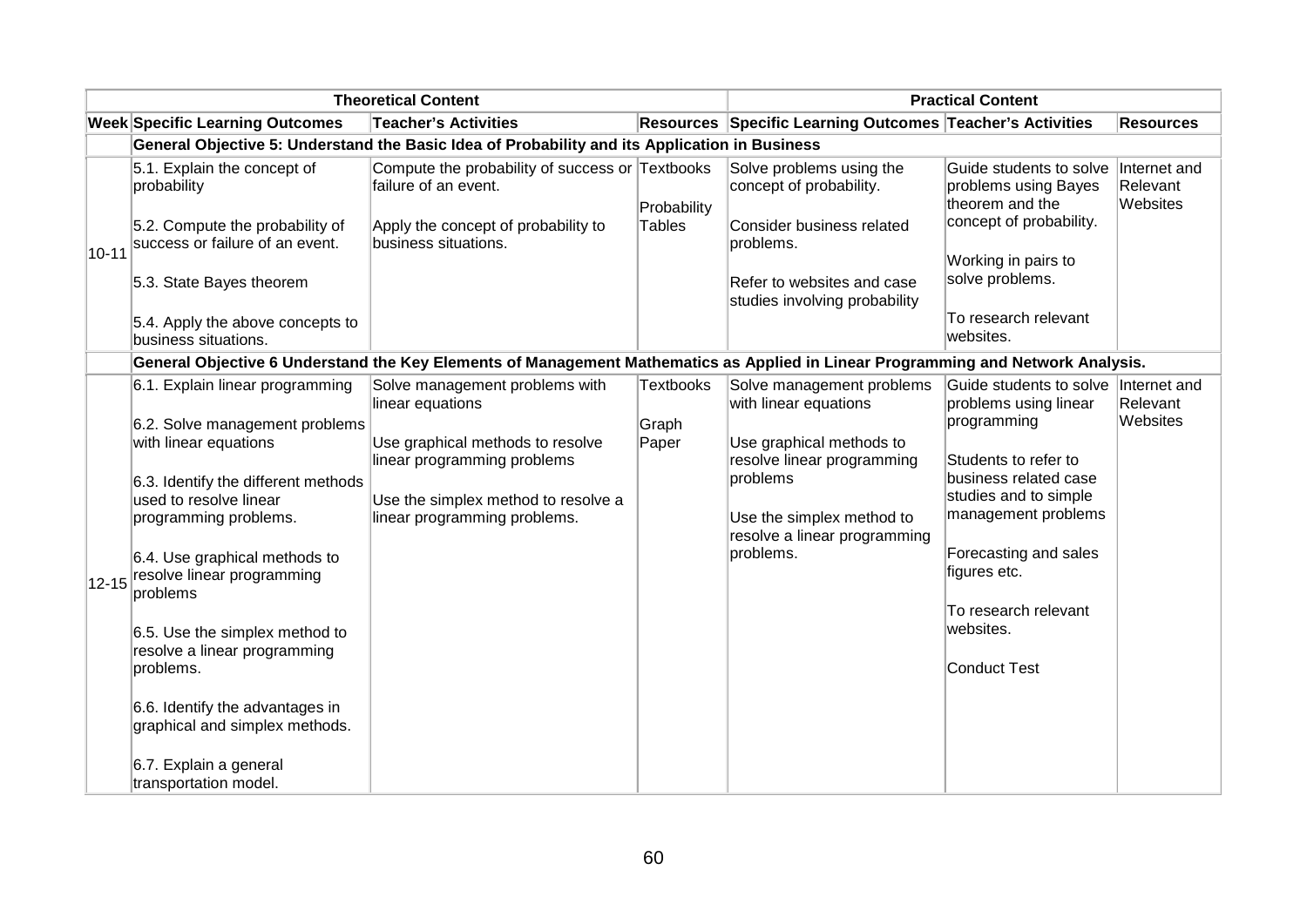|           | <b>Theoretical Content</b>                                                    |                                                                                                                                  |                              | <b>Practical Content</b>                                                         |                                                                                               |                                      |
|-----------|-------------------------------------------------------------------------------|----------------------------------------------------------------------------------------------------------------------------------|------------------------------|----------------------------------------------------------------------------------|-----------------------------------------------------------------------------------------------|--------------------------------------|
|           | <b>Week Specific Learning Outcomes</b>                                        | <b>Teacher's Activities</b>                                                                                                      |                              | Resources Specific Learning Outcomes Teacher's Activities                        |                                                                                               | <b>Resources</b>                     |
|           |                                                                               | General Objective 5: Understand the Basic Idea of Probability and its Application in Business                                    |                              |                                                                                  |                                                                                               |                                      |
|           | 5.1. Explain the concept of<br>probability<br>5.2. Compute the probability of | Compute the probability of success or Textbooks<br>failure of an event.<br>Apply the concept of probability to                   | Probability<br><b>Tables</b> | Solve problems using the<br>concept of probability.<br>Consider business related | Guide students to solve<br>problems using Bayes<br>theorem and the<br>concept of probability. | Internet and<br>Relevant<br>Websites |
| $10 - 11$ | success or failure of an event.                                               | business situations.                                                                                                             |                              | problems.                                                                        | Working in pairs to                                                                           |                                      |
|           | 5.3. State Bayes theorem                                                      |                                                                                                                                  |                              | Refer to websites and case<br>studies involving probability                      | solve problems.                                                                               |                                      |
|           | 5.4. Apply the above concepts to<br>business situations.                      |                                                                                                                                  |                              |                                                                                  | To research relevant<br>websites.                                                             |                                      |
|           |                                                                               | General Objective 6 Understand the Key Elements of Management Mathematics as Applied in Linear Programming and Network Analysis. |                              |                                                                                  |                                                                                               |                                      |
|           | 6.1. Explain linear programming                                               | Solve management problems with<br>linear equations                                                                               | <b>Textbooks</b>             | Solve management problems<br>with linear equations                               | Guide students to solve  Internet and<br>problems using linear                                | Relevant                             |
|           | 6.2. Solve management problems                                                |                                                                                                                                  | Graph                        |                                                                                  | programming                                                                                   | Websites                             |
|           | with linear equations                                                         | Use graphical methods to resolve<br>linear programming problems                                                                  | Paper                        | Use graphical methods to<br>resolve linear programming                           | Students to refer to                                                                          |                                      |
|           | 6.3. Identify the different methods                                           |                                                                                                                                  |                              | problems                                                                         | business related case<br>studies and to simple                                                |                                      |
|           | used to resolve linear<br>programming problems.                               | Use the simplex method to resolve a<br>linear programming problems.                                                              |                              | Use the simplex method to<br>resolve a linear programming                        | management problems                                                                           |                                      |
| $12 - 15$ | 6.4. Use graphical methods to<br>resolve linear programming<br>problems       |                                                                                                                                  |                              | problems.                                                                        | Forecasting and sales<br>figures etc.                                                         |                                      |
|           | 6.5. Use the simplex method to<br>resolve a linear programming                |                                                                                                                                  |                              |                                                                                  | To research relevant<br>websites.                                                             |                                      |
|           | problems.                                                                     |                                                                                                                                  |                              |                                                                                  | <b>Conduct Test</b>                                                                           |                                      |
|           | 6.6. Identify the advantages in<br>graphical and simplex methods.             |                                                                                                                                  |                              |                                                                                  |                                                                                               |                                      |
|           | 6.7. Explain a general<br>transportation model.                               |                                                                                                                                  |                              |                                                                                  |                                                                                               |                                      |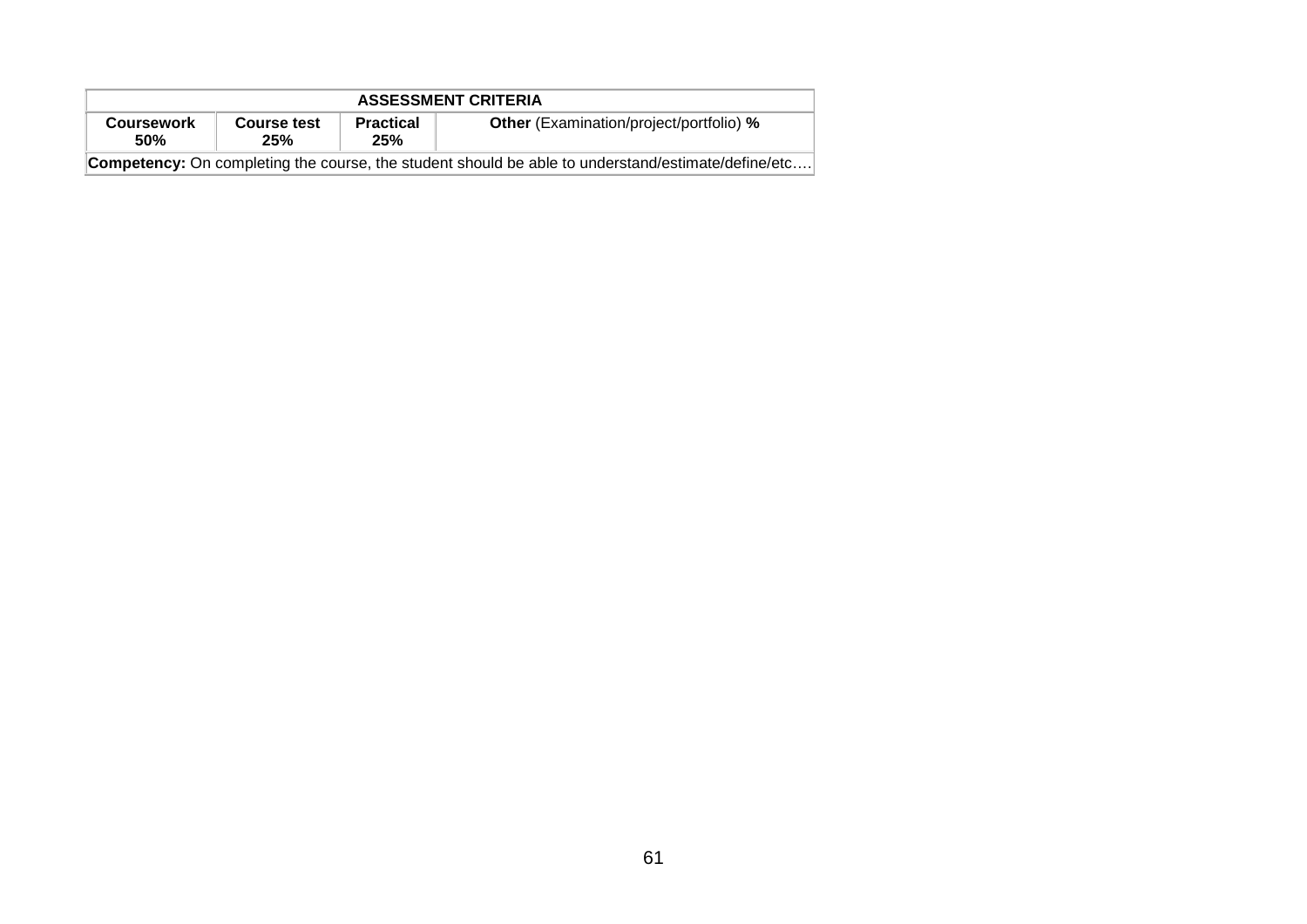| <b>ASSESSMENT CRITERIA</b>                                                                                |  |  |                                                |  |  |
|-----------------------------------------------------------------------------------------------------------|--|--|------------------------------------------------|--|--|
| <b>Practical</b><br>Course test<br><b>Coursework</b><br><b>50%</b><br>25%<br>25%                          |  |  | <b>Other</b> (Examination/project/portfolio) % |  |  |
| <b>Competency:</b> On completing the course, the student should be able to understand/estimate/define/etc |  |  |                                                |  |  |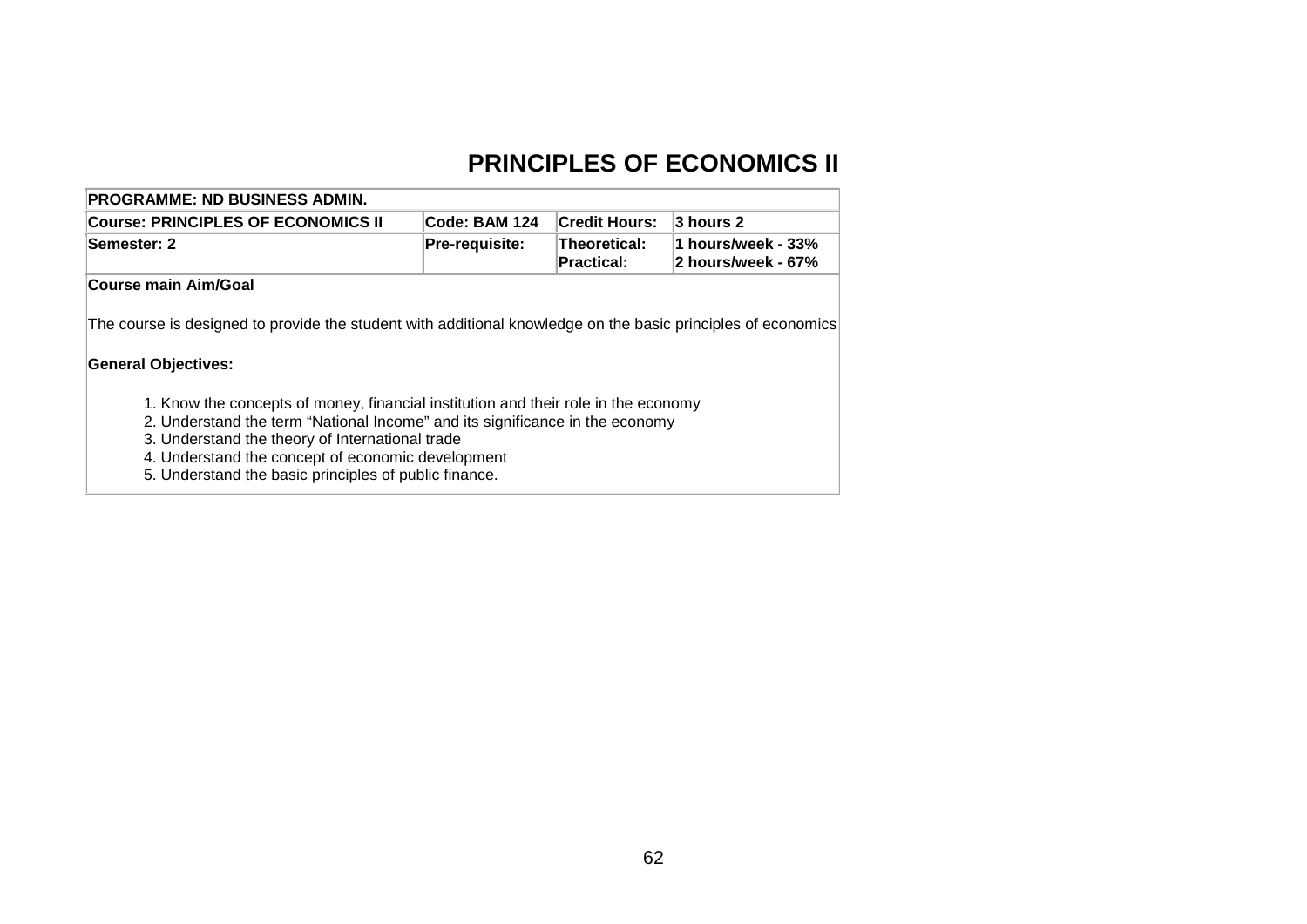# **PRINCIPLES OF ECONOMICS II**

| <b>PROGRAMME: ND BUSINESS ADMIN.</b>                                                                                                       |                                                            |                      |                                          |
|--------------------------------------------------------------------------------------------------------------------------------------------|------------------------------------------------------------|----------------------|------------------------------------------|
| <b>Course: PRINCIPLES OF ECONOMICS II</b>                                                                                                  | Code: BAM 124                                              | <b>Credit Hours:</b> | 3 hours 2                                |
| Semester: 2                                                                                                                                | <b>Pre-requisite:</b><br><b>Theoretical:</b><br>Practical: |                      | 1 hours/week - 33%<br>2 hours/week - 67% |
| Course main Aim/Goal                                                                                                                       |                                                            |                      |                                          |
| The course is designed to provide the student with additional knowledge on the basic principles of economics<br><b>General Objectives:</b> |                                                            |                      |                                          |
|                                                                                                                                            |                                                            |                      |                                          |

5. Understand the basic principles of public finance.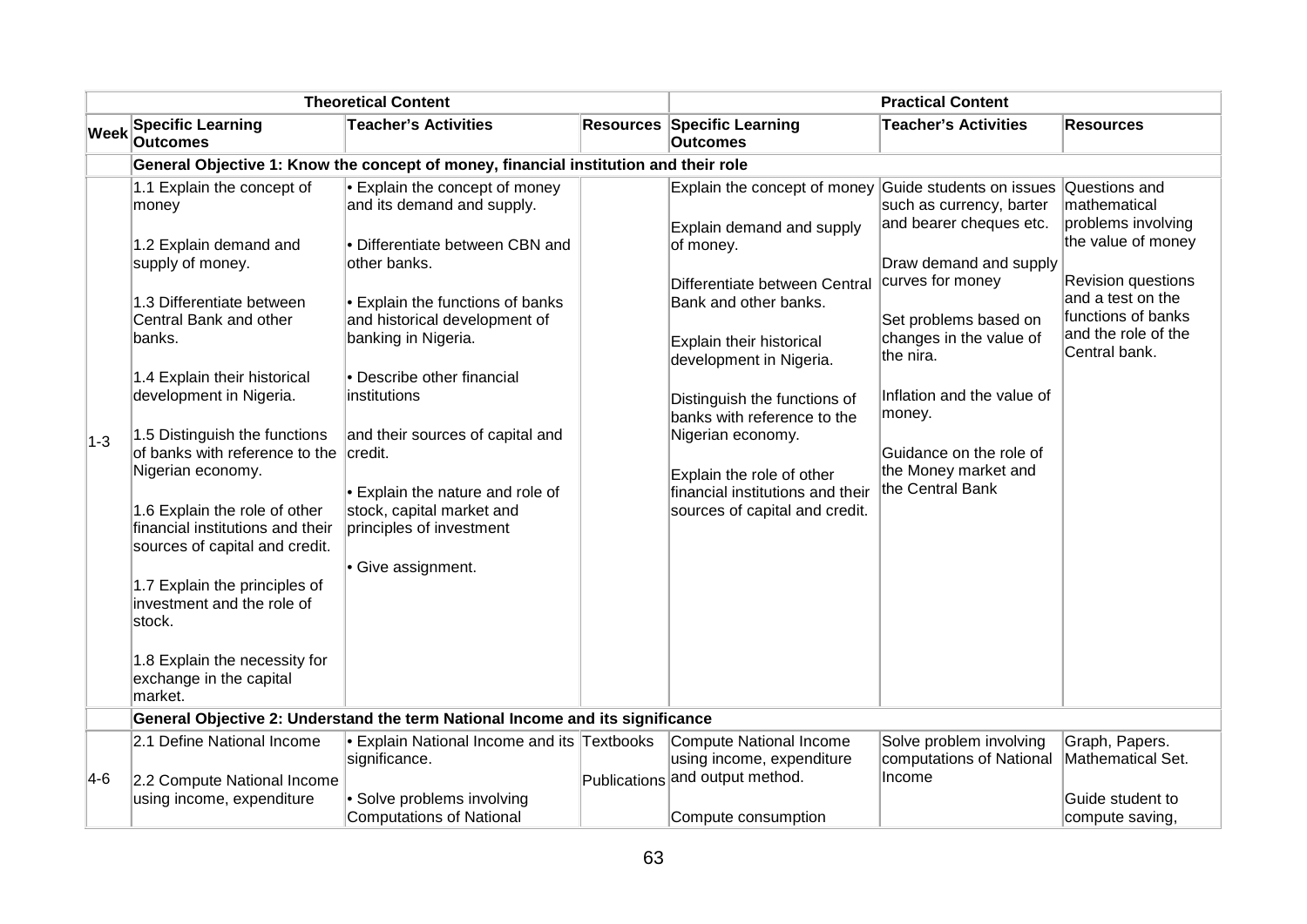| <b>Theoretical Content</b> |                                                                                                                                                                                                                                                                                                                                                                                                                                                                                                                                                   |                                                                                                                                                                                                                                                                                                                                                                                                                     |  | <b>Practical Content</b>                                                                                                                                                                                                                                                                                                                                                       |                                                                                                                                                                                                                                                                                                               |                                                                                                                                                                                    |
|----------------------------|---------------------------------------------------------------------------------------------------------------------------------------------------------------------------------------------------------------------------------------------------------------------------------------------------------------------------------------------------------------------------------------------------------------------------------------------------------------------------------------------------------------------------------------------------|---------------------------------------------------------------------------------------------------------------------------------------------------------------------------------------------------------------------------------------------------------------------------------------------------------------------------------------------------------------------------------------------------------------------|--|--------------------------------------------------------------------------------------------------------------------------------------------------------------------------------------------------------------------------------------------------------------------------------------------------------------------------------------------------------------------------------|---------------------------------------------------------------------------------------------------------------------------------------------------------------------------------------------------------------------------------------------------------------------------------------------------------------|------------------------------------------------------------------------------------------------------------------------------------------------------------------------------------|
| <b>Week</b>                | <b>Specific Learning</b><br><b>Outcomes</b>                                                                                                                                                                                                                                                                                                                                                                                                                                                                                                       | <b>Teacher's Activities</b>                                                                                                                                                                                                                                                                                                                                                                                         |  | Resources Specific Learning<br><b>Outcomes</b>                                                                                                                                                                                                                                                                                                                                 | <b>Teacher's Activities</b>                                                                                                                                                                                                                                                                                   | <b>Resources</b>                                                                                                                                                                   |
|                            |                                                                                                                                                                                                                                                                                                                                                                                                                                                                                                                                                   | General Objective 1: Know the concept of money, financial institution and their role                                                                                                                                                                                                                                                                                                                                |  |                                                                                                                                                                                                                                                                                                                                                                                |                                                                                                                                                                                                                                                                                                               |                                                                                                                                                                                    |
| $ 1-3 $                    | 1.1 Explain the concept of<br>money<br>1.2 Explain demand and<br>supply of money.<br>1.3 Differentiate between<br>Central Bank and other<br>banks.<br>1.4 Explain their historical<br>development in Nigeria.<br>1.5 Distinguish the functions<br>of banks with reference to the<br>Nigerian economy.<br>1.6 Explain the role of other<br>financial institutions and their<br>sources of capital and credit.<br>1.7 Explain the principles of<br>investment and the role of<br>stock.<br>1.8 Explain the necessity for<br>exchange in the capital | Explain the concept of money<br>and its demand and supply.<br>• Differentiate between CBN and<br>other banks.<br>Explain the functions of banks<br>and historical development of<br>banking in Nigeria.<br>• Describe other financial<br>institutions<br>and their sources of capital and<br>credit.<br>Explain the nature and role of<br>stock, capital market and<br>principles of investment<br>Give assignment. |  | Explain the concept of money<br>Explain demand and supply<br>of money.<br>Differentiate between Central<br>Bank and other banks.<br>Explain their historical<br>development in Nigeria.<br>Distinguish the functions of<br>banks with reference to the<br>Nigerian economy.<br>Explain the role of other<br>financial institutions and their<br>sources of capital and credit. | Guide students on issues<br>such as currency, barter<br>and bearer cheques etc.<br>Draw demand and supply<br>curves for money<br>Set problems based on<br>changes in the value of<br>the nira.<br>Inflation and the value of<br>money.<br>Guidance on the role of<br>the Money market and<br>the Central Bank | Questions and<br>mathematical<br>problems involving<br>the value of money<br>Revision questions<br>and a test on the<br>functions of banks<br>and the role of the<br>Central bank. |
|                            | market.                                                                                                                                                                                                                                                                                                                                                                                                                                                                                                                                           |                                                                                                                                                                                                                                                                                                                                                                                                                     |  |                                                                                                                                                                                                                                                                                                                                                                                |                                                                                                                                                                                                                                                                                                               |                                                                                                                                                                                    |
|                            |                                                                                                                                                                                                                                                                                                                                                                                                                                                                                                                                                   | General Objective 2: Understand the term National Income and its significance                                                                                                                                                                                                                                                                                                                                       |  |                                                                                                                                                                                                                                                                                                                                                                                |                                                                                                                                                                                                                                                                                                               |                                                                                                                                                                                    |
|                            | 2.1 Define National Income                                                                                                                                                                                                                                                                                                                                                                                                                                                                                                                        | <b>Explain National Income and its Textbooks</b><br>significance.                                                                                                                                                                                                                                                                                                                                                   |  | Compute National Income<br>using income, expenditure                                                                                                                                                                                                                                                                                                                           | Solve problem involving<br>computations of National                                                                                                                                                                                                                                                           | Graph, Papers.<br>Mathematical Set.                                                                                                                                                |
| $ 4-6 $                    | 2.2 Compute National Income                                                                                                                                                                                                                                                                                                                                                                                                                                                                                                                       |                                                                                                                                                                                                                                                                                                                                                                                                                     |  | Publications and output method.                                                                                                                                                                                                                                                                                                                                                | Income                                                                                                                                                                                                                                                                                                        |                                                                                                                                                                                    |
|                            | using income, expenditure                                                                                                                                                                                                                                                                                                                                                                                                                                                                                                                         | • Solve problems involving<br><b>Computations of National</b>                                                                                                                                                                                                                                                                                                                                                       |  | Compute consumption                                                                                                                                                                                                                                                                                                                                                            |                                                                                                                                                                                                                                                                                                               | Guide student to<br>compute saving,                                                                                                                                                |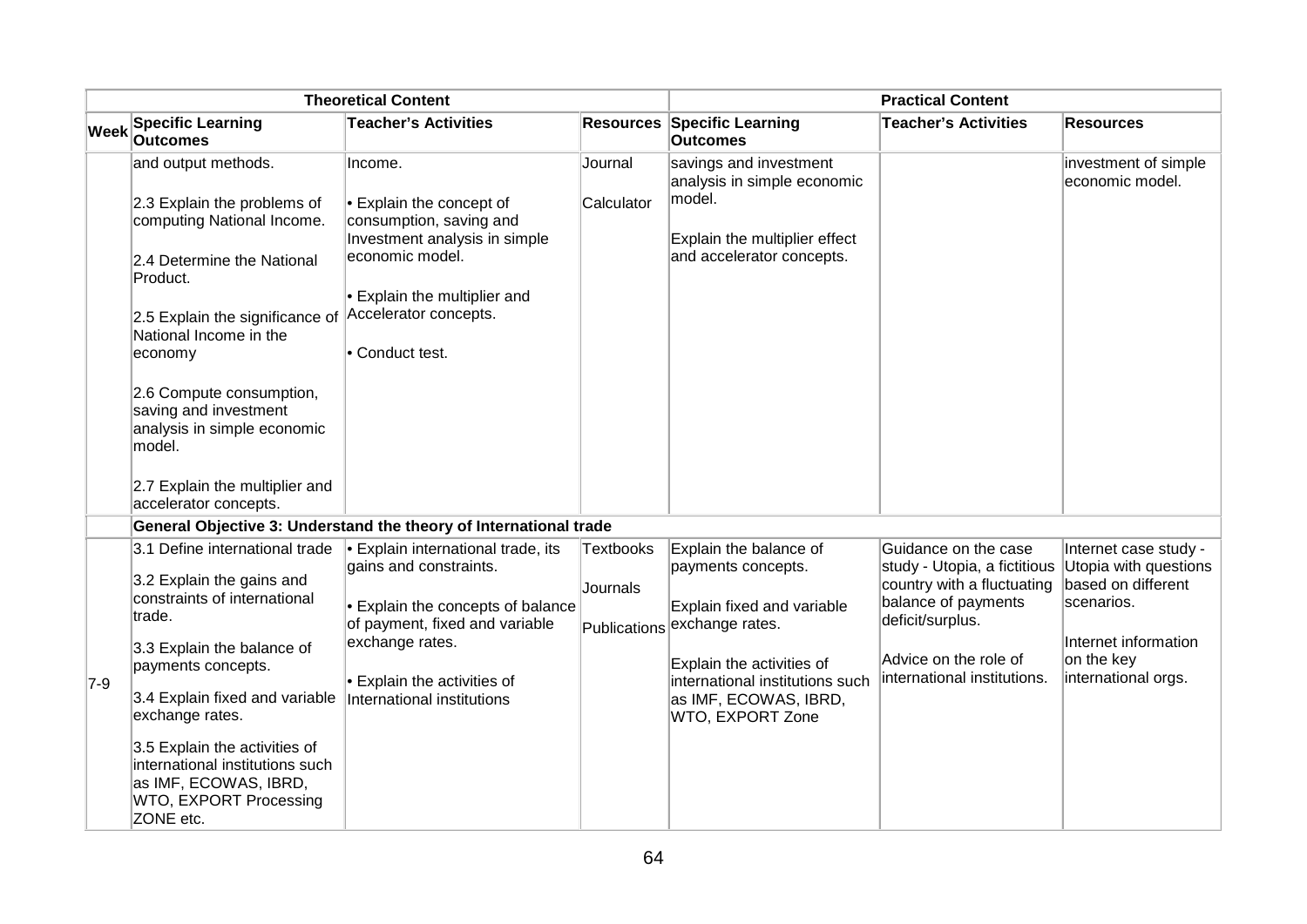|             | <b>Theoretical Content</b>                                                                                                                                                                                     |                                                                                                                                                                                                                      |                                       | <b>Practical Content</b>                                                                                                                                                                                   |                                                                                                                                                                                       |                                                                                                                                                 |
|-------------|----------------------------------------------------------------------------------------------------------------------------------------------------------------------------------------------------------------|----------------------------------------------------------------------------------------------------------------------------------------------------------------------------------------------------------------------|---------------------------------------|------------------------------------------------------------------------------------------------------------------------------------------------------------------------------------------------------------|---------------------------------------------------------------------------------------------------------------------------------------------------------------------------------------|-------------------------------------------------------------------------------------------------------------------------------------------------|
| <b>Week</b> | <b>Specific Learning</b><br><b>Outcomes</b>                                                                                                                                                                    | <b>Teacher's Activities</b>                                                                                                                                                                                          |                                       | <b>Resources Specific Learning</b><br><b>Outcomes</b>                                                                                                                                                      | <b>Teacher's Activities</b>                                                                                                                                                           | <b>Resources</b>                                                                                                                                |
|             | and output methods.                                                                                                                                                                                            | Income.                                                                                                                                                                                                              | Journal                               | savings and investment<br>analysis in simple economic                                                                                                                                                      |                                                                                                                                                                                       | investment of simple<br>economic model.                                                                                                         |
|             | 2.3 Explain the problems of<br>computing National Income.<br>2.4 Determine the National<br>Product.<br>2.5 Explain the significance of<br>National Income in the<br>economy                                    | Explain the concept of<br>consumption, saving and<br>Investment analysis in simple<br>economic model.<br>Explain the multiplier and<br>Accelerator concepts.<br>• Conduct test.                                      | Calculator                            | model.<br>Explain the multiplier effect<br>and accelerator concepts.                                                                                                                                       |                                                                                                                                                                                       |                                                                                                                                                 |
|             | 2.6 Compute consumption,<br>saving and investment<br>analysis in simple economic<br>model.<br>2.7 Explain the multiplier and<br>accelerator concepts.                                                          |                                                                                                                                                                                                                      |                                       |                                                                                                                                                                                                            |                                                                                                                                                                                       |                                                                                                                                                 |
|             |                                                                                                                                                                                                                | General Objective 3: Understand the theory of International trade                                                                                                                                                    |                                       |                                                                                                                                                                                                            |                                                                                                                                                                                       |                                                                                                                                                 |
| $7-9$       | 3.1 Define international trade<br>3.2 Explain the gains and<br>constraints of international<br>trade.<br>3.3 Explain the balance of<br>payments concepts.<br>3.4 Explain fixed and variable<br>exchange rates. | <b>Explain international trade, its</b><br>gains and constraints.<br>Explain the concepts of balance<br>of payment, fixed and variable<br>exchange rates.<br>Explain the activities of<br>International institutions | Textbooks<br>Journals<br>Publications | Explain the balance of<br>payments concepts.<br>Explain fixed and variable<br>exchange rates.<br>Explain the activities of<br>international institutions such<br>as IMF, ECOWAS, IBRD,<br>WTO, EXPORT Zone | Guidance on the case<br>study - Utopia, a fictitious<br>country with a fluctuating<br>balance of payments<br>deficit/surplus.<br>Advice on the role of<br>international institutions. | Internet case study -<br>Utopia with questions<br>based on different<br>scenarios.<br>Internet information<br>on the key<br>international orgs. |
|             | 3.5 Explain the activities of<br>international institutions such<br>as IMF, ECOWAS, IBRD,<br>WTO, EXPORT Processing<br>ZONE etc.                                                                               |                                                                                                                                                                                                                      |                                       |                                                                                                                                                                                                            |                                                                                                                                                                                       |                                                                                                                                                 |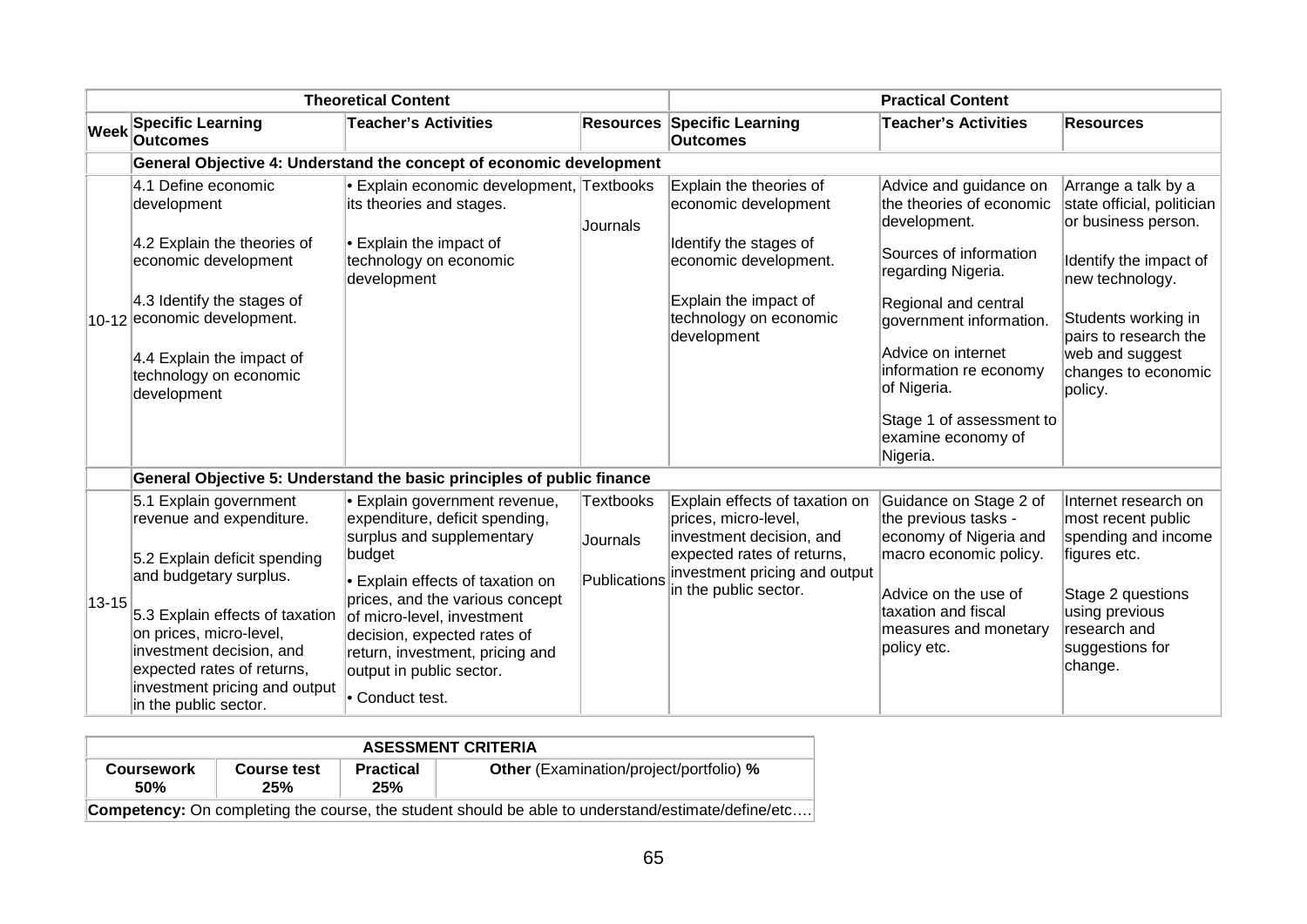|             |                                                                                                                                                                                                          | <b>Theoretical Content</b>                                                                                                                                                                                         |                              |                                                                                                                  | <b>Practical Content</b>                                                                           |                                                                                   |
|-------------|----------------------------------------------------------------------------------------------------------------------------------------------------------------------------------------------------------|--------------------------------------------------------------------------------------------------------------------------------------------------------------------------------------------------------------------|------------------------------|------------------------------------------------------------------------------------------------------------------|----------------------------------------------------------------------------------------------------|-----------------------------------------------------------------------------------|
| Week        | <b>Specific Learning</b><br><b>Outcomes</b>                                                                                                                                                              | <b>Teacher's Activities</b>                                                                                                                                                                                        | <b>Resources</b>             | <b>Specific Learning</b><br><b>Outcomes</b>                                                                      | <b>Teacher's Activities</b>                                                                        | <b>Resources</b>                                                                  |
|             |                                                                                                                                                                                                          | General Objective 4: Understand the concept of economic development                                                                                                                                                |                              |                                                                                                                  |                                                                                                    |                                                                                   |
|             | 4.1 Define economic<br>development                                                                                                                                                                       | <b>Explain economic development, Textbooks</b><br>its theories and stages.                                                                                                                                         | Journals                     | Explain the theories of<br>economic development                                                                  | Advice and guidance on<br>the theories of economic<br>development.                                 | Arrange a talk by a<br>state official, politician<br>or business person.          |
|             | 4.2 Explain the theories of<br>economic development                                                                                                                                                      | $\cdot$ Explain the impact of<br>technology on economic<br>development                                                                                                                                             |                              | Identify the stages of<br>economic development.                                                                  | Sources of information<br>regarding Nigeria.                                                       | Identify the impact of<br>new technology.                                         |
|             | 4.3 Identify the stages of<br>10-12 economic development.                                                                                                                                                |                                                                                                                                                                                                                    |                              | Explain the impact of<br>technology on economic<br>development                                                   | Regional and central<br>government information.                                                    | Students working in<br>pairs to research the                                      |
|             | 4.4 Explain the impact of<br>technology on economic<br>development                                                                                                                                       |                                                                                                                                                                                                                    |                              |                                                                                                                  | Advice on internet<br>information re economy<br>of Nigeria.                                        | web and suggest<br>changes to economic<br>policy.                                 |
|             |                                                                                                                                                                                                          |                                                                                                                                                                                                                    |                              |                                                                                                                  | Stage 1 of assessment to<br>examine economy of<br>Nigeria.                                         |                                                                                   |
|             |                                                                                                                                                                                                          | General Objective 5: Understand the basic principles of public finance                                                                                                                                             |                              |                                                                                                                  |                                                                                                    |                                                                                   |
|             | 5.1 Explain government<br>revenue and expenditure.<br>5.2 Explain deficit spending                                                                                                                       | <b>Explain government revenue,</b><br>expenditure, deficit spending,<br>surplus and supplementary<br>budget                                                                                                        | <b>Textbooks</b><br>Journals | Explain effects of taxation on<br>prices, micro-level,<br>investment decision, and<br>expected rates of returns, | Guidance on Stage 2 of<br>the previous tasks -<br>economy of Nigeria and<br>macro economic policy. | Internet research on<br>most recent public<br>spending and income<br>figures etc. |
| $ 13 - 15 $ | and budgetary surplus.<br>5.3 Explain effects of taxation<br>on prices, micro-level,<br>investment decision, and<br>expected rates of returns,<br>investment pricing and output<br>in the public sector. | • Explain effects of taxation on<br>prices, and the various concept<br>of micro-level, investment<br>decision, expected rates of<br>return, investment, pricing and<br>output in public sector.<br>• Conduct test. | Publications                 | investment pricing and output<br>in the public sector.                                                           | Advice on the use of<br>taxation and fiscal<br>measures and monetary<br>policy etc.                | Stage 2 questions<br>using previous<br>research and<br>suggestions for<br>change. |

| <b>ASESSMENT CRITERIA</b>                                                                                 |                    |                         |                                                |  |  |
|-----------------------------------------------------------------------------------------------------------|--------------------|-------------------------|------------------------------------------------|--|--|
| <b>Coursework</b><br><b>50%</b>                                                                           | Course test<br>25% | <b>Practical</b><br>25% | <b>Other</b> (Examination/project/portfolio) % |  |  |
| <b>Competency:</b> On completing the course, the student should be able to understand/estimate/define/etc |                    |                         |                                                |  |  |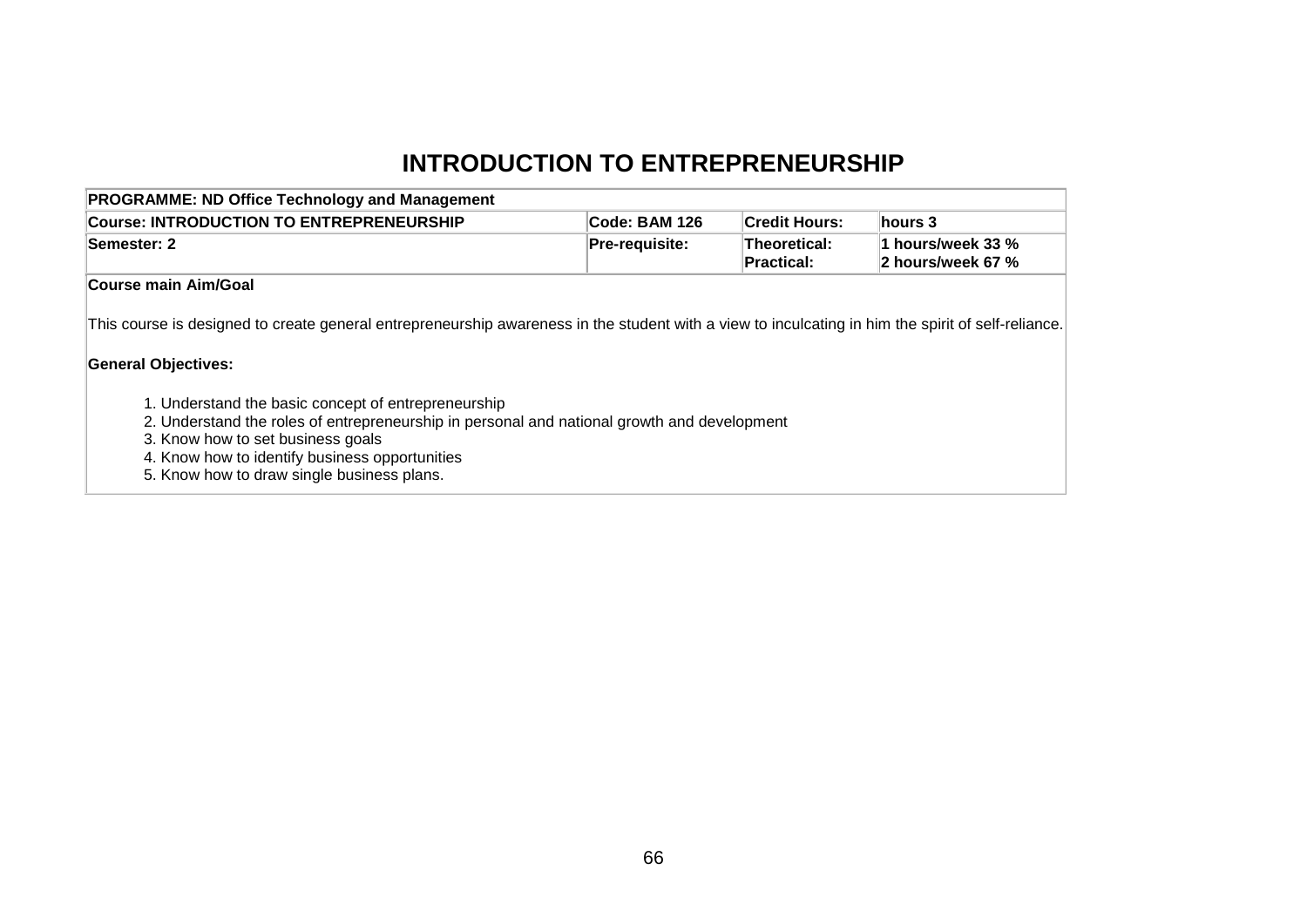# **INTRODUCTION TO ENTREPRENEURSHIP**

| <b>PROGRAMME: ND Office Technology and Management</b>                                                                                                                                                                                                                                                                                                                                                                                                                       |                |                            |                                        |
|-----------------------------------------------------------------------------------------------------------------------------------------------------------------------------------------------------------------------------------------------------------------------------------------------------------------------------------------------------------------------------------------------------------------------------------------------------------------------------|----------------|----------------------------|----------------------------------------|
| <b>Course: INTRODUCTION TO ENTREPRENEURSHIP</b>                                                                                                                                                                                                                                                                                                                                                                                                                             | Code: BAM 126  | <b>Credit Hours:</b>       | hours 3                                |
| <b>Semester: 2</b>                                                                                                                                                                                                                                                                                                                                                                                                                                                          | Pre-requisite: | Theoretical:<br>Practical: | 1 hours/week 33 %<br>2 hours/week 67 % |
| <b>Course main Aim/Goal</b>                                                                                                                                                                                                                                                                                                                                                                                                                                                 |                |                            |                                        |
| This course is designed to create general entrepreneurship awareness in the student with a view to inculcating in him the spirit of self-reliance.<br><b>General Objectives:</b><br>1. Understand the basic concept of entrepreneurship<br>2. Understand the roles of entrepreneurship in personal and national growth and development<br>3. Know how to set business goals<br>4. Know how to identify business opportunities<br>5. Know how to draw single business plans. |                |                            |                                        |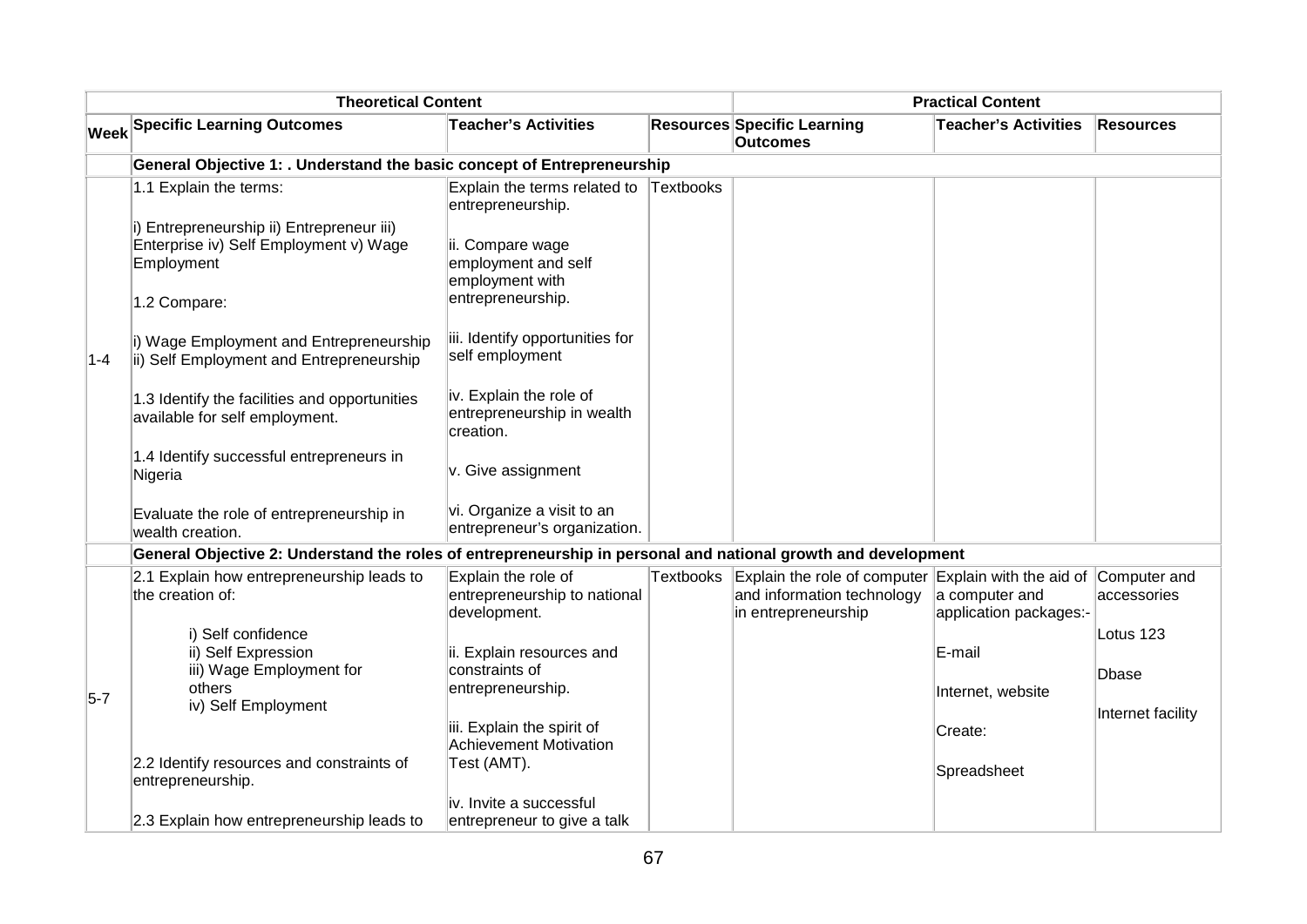| <b>Theoretical Content</b>                                                                                    |                                                                                                   |                                                                     | <b>Practical Content</b> |                                                                                                                        |                                          |                   |
|---------------------------------------------------------------------------------------------------------------|---------------------------------------------------------------------------------------------------|---------------------------------------------------------------------|--------------------------|------------------------------------------------------------------------------------------------------------------------|------------------------------------------|-------------------|
|                                                                                                               | <b>Week Specific Learning Outcomes</b>                                                            | <b>Teacher's Activities</b>                                         |                          | <b>Resources Specific Learning</b><br>Outcomes                                                                         | <b>Teacher's Activities</b>              | Resources         |
|                                                                                                               | General Objective 1: . Understand the basic concept of Entrepreneurship                           |                                                                     |                          |                                                                                                                        |                                          |                   |
|                                                                                                               | 1.1 Explain the terms:                                                                            | Explain the terms related to Textbooks<br>entrepreneurship.         |                          |                                                                                                                        |                                          |                   |
|                                                                                                               | i) Entrepreneurship ii) Entrepreneur iii)<br>Enterprise iv) Self Employment v) Wage<br>Employment | ii. Compare wage<br>employment and self<br>employment with          |                          |                                                                                                                        |                                          |                   |
|                                                                                                               | 1.2 Compare:                                                                                      | entrepreneurship.                                                   |                          |                                                                                                                        |                                          |                   |
| $1 - 4$                                                                                                       | i) Wage Employment and Entrepreneurship<br>ii) Self Employment and Entrepreneurship               | iii. Identify opportunities for<br>self employment                  |                          |                                                                                                                        |                                          |                   |
|                                                                                                               | 1.3 Identify the facilities and opportunities<br>available for self employment.                   | iv. Explain the role of<br>entrepreneurship in wealth<br>creation.  |                          |                                                                                                                        |                                          |                   |
|                                                                                                               | 1.4 Identify successful entrepreneurs in<br>Nigeria                                               | v. Give assignment                                                  |                          |                                                                                                                        |                                          |                   |
|                                                                                                               | Evaluate the role of entrepreneurship in<br>wealth creation.                                      | vi. Organize a visit to an<br>entrepreneur's organization.          |                          |                                                                                                                        |                                          |                   |
| General Objective 2: Understand the roles of entrepreneurship in personal and national growth and development |                                                                                                   |                                                                     |                          |                                                                                                                        |                                          |                   |
|                                                                                                               | 2.1 Explain how entrepreneurship leads to<br>the creation of:                                     | Explain the role of<br>entrepreneurship to national<br>development. | Textbooks                | Explain the role of computer Explain with the aid of Computer and<br>and information technology<br>in entrepreneurship | a computer and<br>application packages:- | accessories       |
| $5-7$                                                                                                         | i) Self confidence<br>ii) Self Expression<br>iii) Wage Employment for                             | ii. Explain resources and<br>constraints of                         |                          |                                                                                                                        | E-mail                                   | Lotus 123         |
|                                                                                                               | others<br>iv) Self Employment                                                                     | entrepreneurship.                                                   |                          |                                                                                                                        | Internet, website                        | Dbase             |
|                                                                                                               |                                                                                                   | iii. Explain the spirit of<br><b>Achievement Motivation</b>         |                          |                                                                                                                        | Create:                                  | Internet facility |
|                                                                                                               | 2.2 Identify resources and constraints of<br>entrepreneurship.                                    | Test (AMT).                                                         |                          |                                                                                                                        | Spreadsheet                              |                   |
|                                                                                                               | 2.3 Explain how entrepreneurship leads to                                                         | iv. Invite a successful<br>entrepreneur to give a talk              |                          |                                                                                                                        |                                          |                   |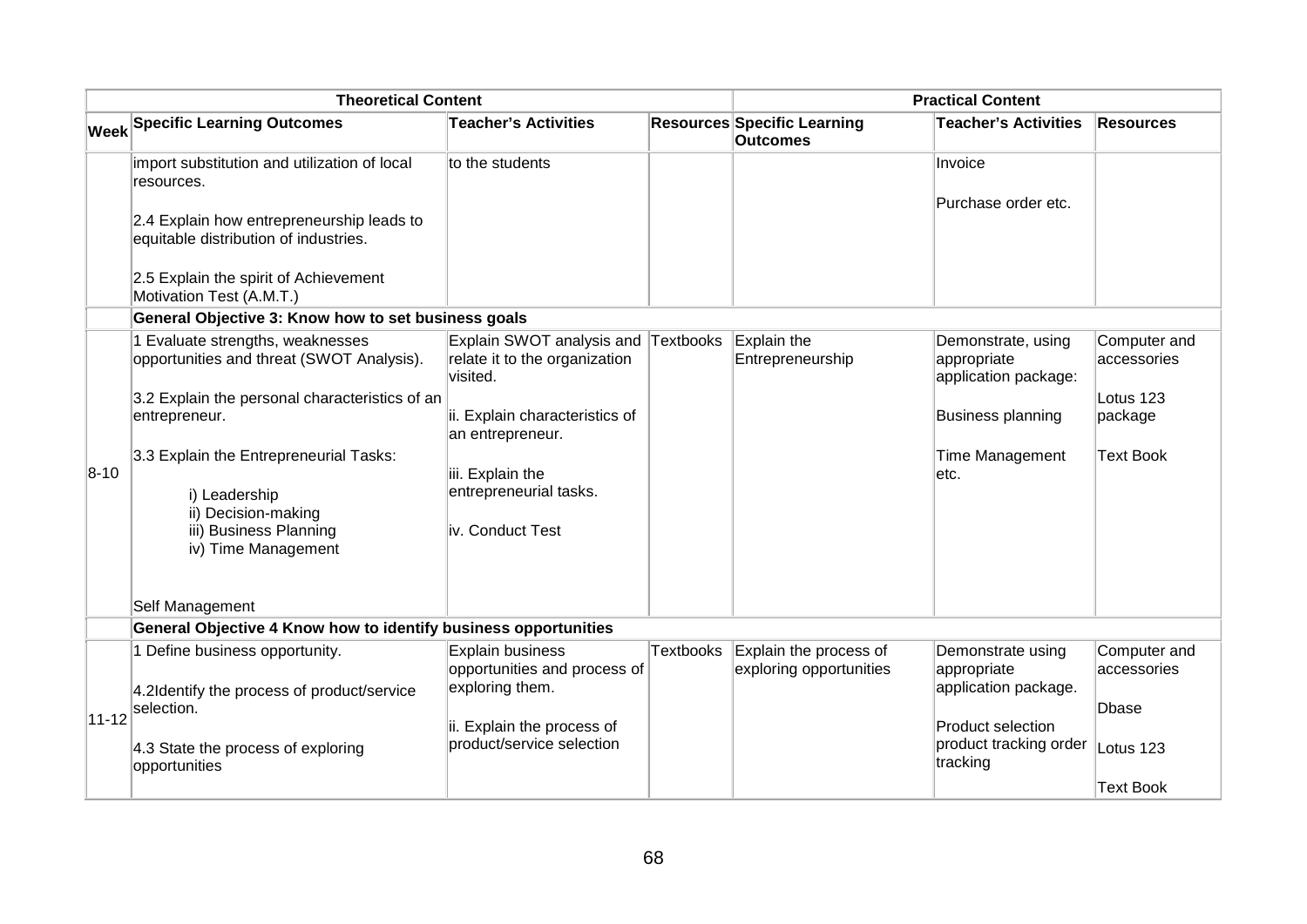| <b>Theoretical Content</b> |                                                                                    |                                                                                  | <b>Practical Content</b> |                                                       |                                                           |                             |
|----------------------------|------------------------------------------------------------------------------------|----------------------------------------------------------------------------------|--------------------------|-------------------------------------------------------|-----------------------------------------------------------|-----------------------------|
|                            | <b>Week Specific Learning Outcomes</b>                                             | <b>Teacher's Activities</b>                                                      |                          | <b>Resources Specific Learning</b><br><b>Outcomes</b> | <b>Teacher's Activities</b>                               | <b>Resources</b>            |
|                            | import substitution and utilization of local<br>resources.                         | to the students                                                                  |                          |                                                       | Invoice                                                   |                             |
|                            | 2.4 Explain how entrepreneurship leads to<br>equitable distribution of industries. |                                                                                  |                          |                                                       | Purchase order etc.                                       |                             |
|                            | 2.5 Explain the spirit of Achievement<br>Motivation Test (A.M.T.)                  |                                                                                  |                          |                                                       |                                                           |                             |
|                            | General Objective 3: Know how to set business goals                                |                                                                                  |                          |                                                       |                                                           |                             |
|                            | 1 Evaluate strengths, weaknesses<br>opportunities and threat (SWOT Analysis).      | Explain SWOT analysis and Textbooks<br>relate it to the organization<br>visited. |                          | Explain the<br>Entrepreneurship                       | Demonstrate, using<br>appropriate<br>application package: | Computer and<br>accessories |
|                            | 3.2 Explain the personal characteristics of an                                     |                                                                                  |                          |                                                       |                                                           | Lotus 123                   |
|                            | entrepreneur.                                                                      | ii. Explain characteristics of<br>an entrepreneur.                               |                          |                                                       | <b>Business planning</b>                                  | package                     |
| $8 - 10$                   | 3.3 Explain the Entrepreneurial Tasks:                                             | iii. Explain the                                                                 |                          |                                                       | <b>Time Management</b><br>letc.                           | <b>Text Book</b>            |
|                            | i) Leadership                                                                      | entrepreneurial tasks.                                                           |                          |                                                       |                                                           |                             |
|                            | ii) Decision-making                                                                |                                                                                  |                          |                                                       |                                                           |                             |
|                            | iii) Business Planning<br>iv) Time Management                                      | iv. Conduct Test                                                                 |                          |                                                       |                                                           |                             |
|                            |                                                                                    |                                                                                  |                          |                                                       |                                                           |                             |
|                            | Self Management                                                                    |                                                                                  |                          |                                                       |                                                           |                             |
|                            | General Objective 4 Know how to identify business opportunities                    |                                                                                  |                          |                                                       |                                                           |                             |
|                            | 1 Define business opportunity.                                                     | <b>Explain business</b><br>opportunities and process of                          | <b>Textbooks</b>         | Explain the process of<br>exploring opportunities     | Demonstrate using<br>appropriate                          | Computer and<br>accessories |
|                            | 4.2Identify the process of product/service<br>selection.                           | exploring them.                                                                  |                          |                                                       | application package.                                      | Dbase                       |
| $11 - 12$                  |                                                                                    | ii. Explain the process of                                                       |                          |                                                       | Product selection                                         |                             |
|                            | 4.3 State the process of exploring<br>opportunities                                | product/service selection                                                        |                          |                                                       | product tracking order<br>tracking                        | Lotus 123                   |
|                            |                                                                                    |                                                                                  |                          |                                                       |                                                           | <b>Text Book</b>            |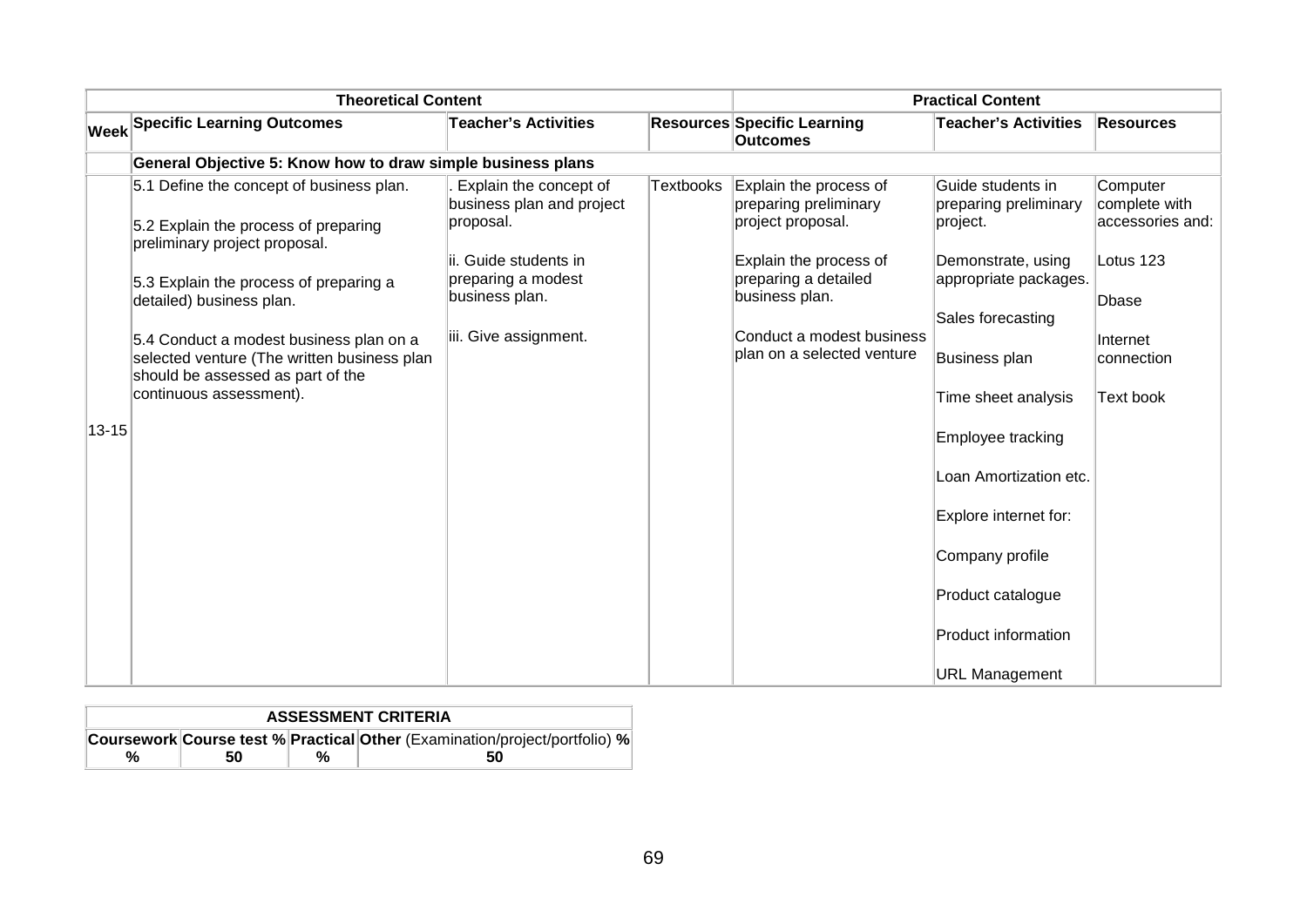| <b>Theoretical Content</b> |                                                                                                                                                        |                                                                  | <b>Practical Content</b> |                                                                      |                                                                  |                                               |
|----------------------------|--------------------------------------------------------------------------------------------------------------------------------------------------------|------------------------------------------------------------------|--------------------------|----------------------------------------------------------------------|------------------------------------------------------------------|-----------------------------------------------|
|                            | Week Specific Learning Outcomes                                                                                                                        | <b>Teacher's Activities</b>                                      |                          | <b>Resources Specific Learning</b><br><b>Outcomes</b>                | <b>Teacher's Activities</b>                                      | <b>Resources</b>                              |
|                            | General Objective 5: Know how to draw simple business plans                                                                                            |                                                                  |                          |                                                                      |                                                                  |                                               |
|                            | 5.1 Define the concept of business plan.<br>5.2 Explain the process of preparing<br>preliminary project proposal.                                      | Explain the concept of<br>business plan and project<br>proposal. | <b>Textbooks</b>         | Explain the process of<br>preparing preliminary<br>project proposal. | Guide students in<br>preparing preliminary<br>project.           | Computer<br>complete with<br>accessories and: |
|                            | 5.3 Explain the process of preparing a<br>detailed) business plan.                                                                                     | lii. Guide students in<br>preparing a modest<br>business plan.   |                          | Explain the process of<br>preparing a detailed<br>business plan.     | Demonstrate, using<br>appropriate packages.<br>Sales forecasting | Lotus 123<br>Dbase                            |
|                            | 5.4 Conduct a modest business plan on a<br>selected venture (The written business plan<br>should be assessed as part of the<br>continuous assessment). | iii. Give assignment.                                            |                          | Conduct a modest business<br>plan on a selected venture              | Business plan<br>Time sheet analysis                             | Internet<br>connection<br>Text book           |
| $13 - 15$                  |                                                                                                                                                        |                                                                  |                          |                                                                      | Employee tracking                                                |                                               |
|                            |                                                                                                                                                        |                                                                  |                          |                                                                      | Loan Amortization etc.                                           |                                               |
|                            |                                                                                                                                                        |                                                                  |                          |                                                                      | Explore internet for:                                            |                                               |
|                            |                                                                                                                                                        |                                                                  |                          |                                                                      | Company profile                                                  |                                               |
|                            |                                                                                                                                                        |                                                                  |                          |                                                                      | Product catalogue                                                |                                               |
|                            |                                                                                                                                                        |                                                                  |                          |                                                                      | <b>Product information</b>                                       |                                               |
|                            |                                                                                                                                                        |                                                                  |                          |                                                                      | <b>URL Management</b>                                            |                                               |

| <b>ASSESSMENT CRITERIA</b>                                                 |    |  |    |  |  |  |
|----------------------------------------------------------------------------|----|--|----|--|--|--|
| Coursework Course test % Practical Other (Examination/project/portfolio) % |    |  |    |  |  |  |
| %                                                                          | 50 |  | 50 |  |  |  |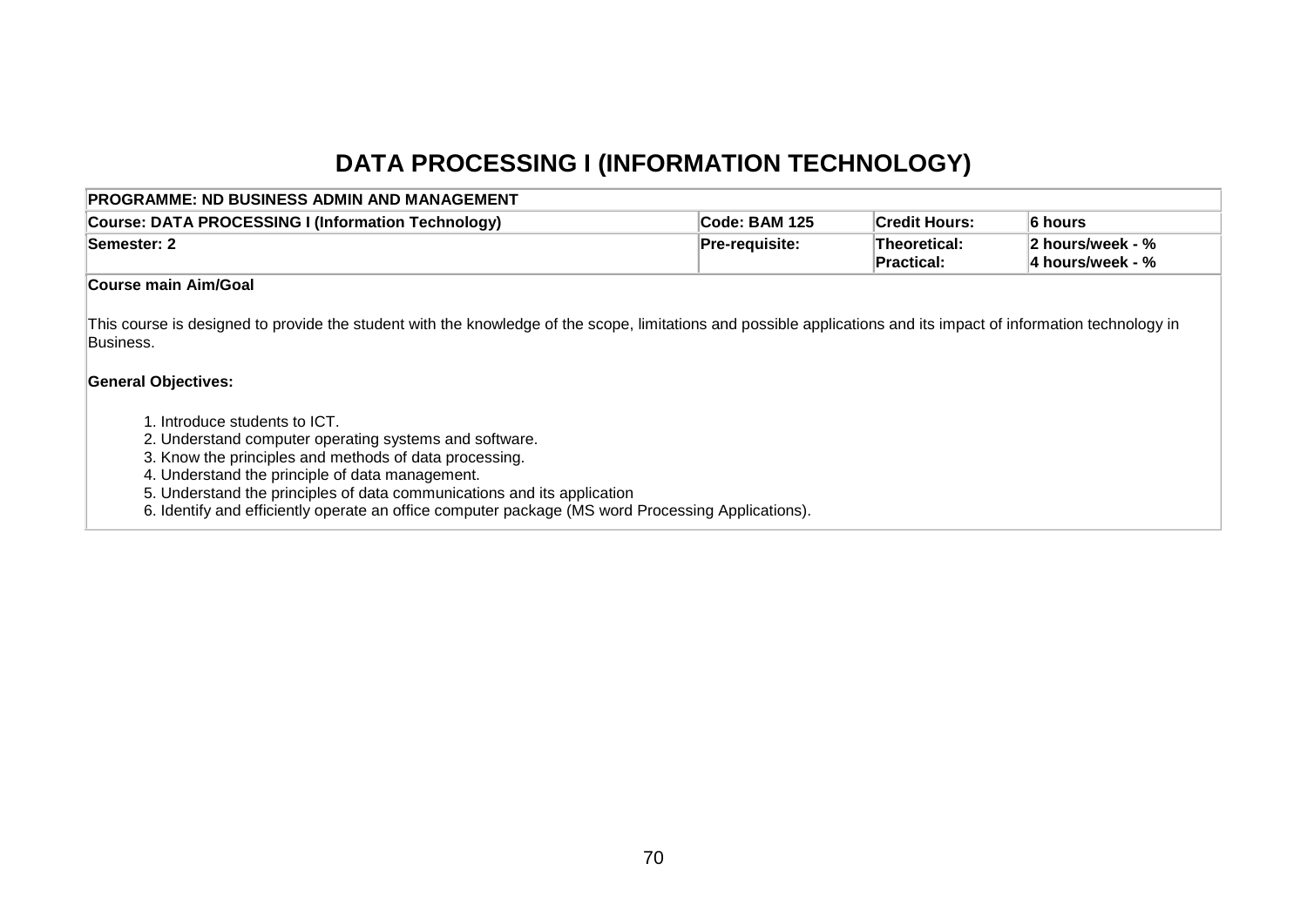# **DATA PROCESSING I (INFORMATION TECHNOLOGY)**

| PROGRAMME: ND BUSINESS ADMIN AND MANAGEMENT                                                                                                                                                                                                                                                                                                                                                                                                                                                                                                                                                          |                       |                            |                                      |  |
|------------------------------------------------------------------------------------------------------------------------------------------------------------------------------------------------------------------------------------------------------------------------------------------------------------------------------------------------------------------------------------------------------------------------------------------------------------------------------------------------------------------------------------------------------------------------------------------------------|-----------------------|----------------------------|--------------------------------------|--|
| Course: DATA PROCESSING I (Information Technology)                                                                                                                                                                                                                                                                                                                                                                                                                                                                                                                                                   | Code: BAM 125         | <b>Credit Hours:</b>       | 6 hours                              |  |
| <b>Semester: 2</b>                                                                                                                                                                                                                                                                                                                                                                                                                                                                                                                                                                                   | <b>Pre-requisite:</b> | Theoretical:<br>Practical: | 2 hours/week - %<br>4 hours/week - % |  |
| <b>Course main Aim/Goal</b>                                                                                                                                                                                                                                                                                                                                                                                                                                                                                                                                                                          |                       |                            |                                      |  |
| This course is designed to provide the student with the knowledge of the scope, limitations and possible applications and its impact of information technology in<br>Business.<br><b>General Objectives:</b><br>1. Introduce students to ICT.<br>2. Understand computer operating systems and software.<br>3. Know the principles and methods of data processing.<br>4. Understand the principle of data management.<br>5. Understand the principles of data communications and its application<br>6. Identify and efficiently operate an office computer package (MS word Processing Applications). |                       |                            |                                      |  |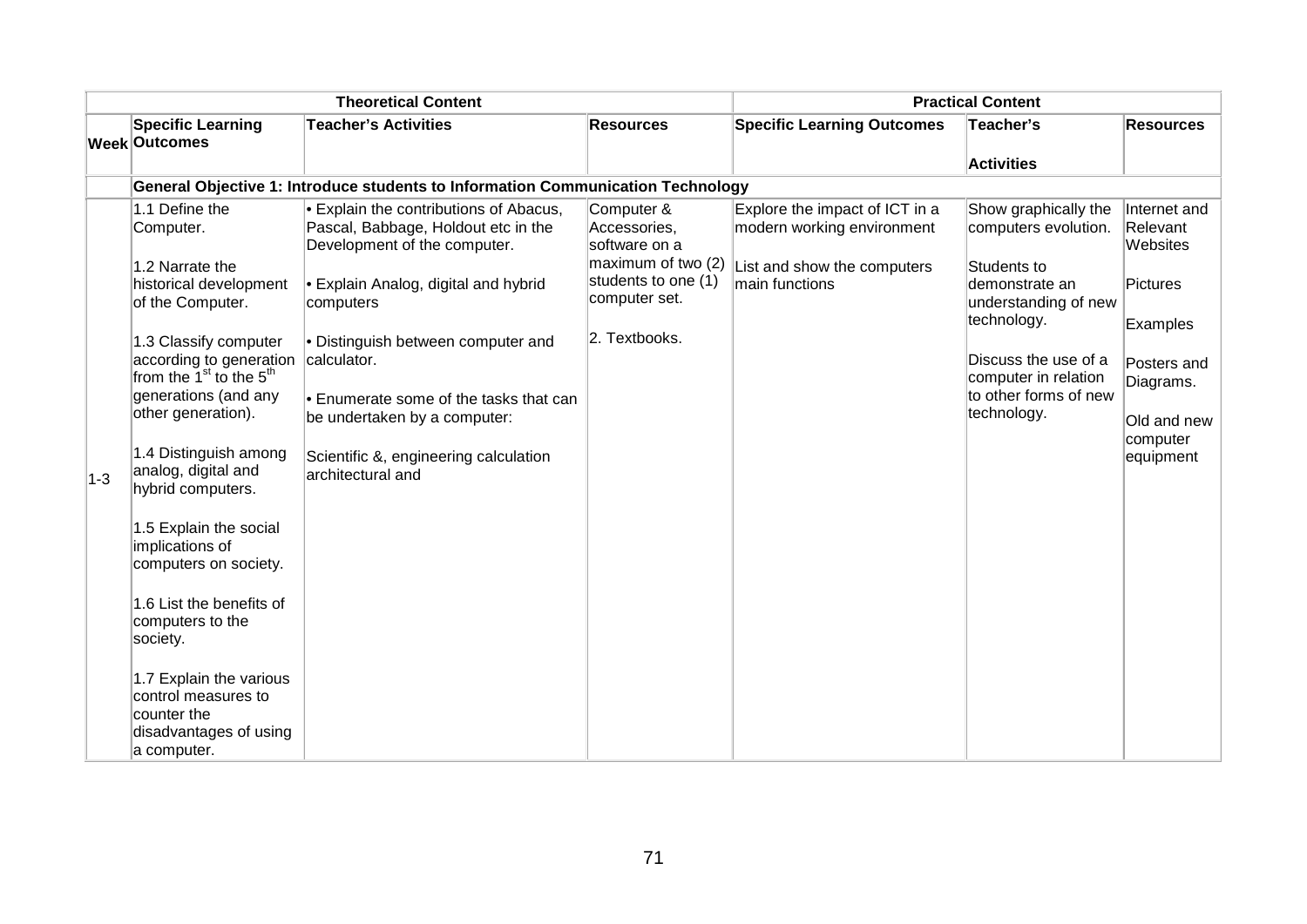| <b>Theoretical Content</b> |                                                                                                                                                                                                                                                                                                                                                                                                                                                                                                                                                |                                                                                                                                                                                                                                                                                                                                                                             | <b>Practical Content</b>                                                                                                   |                                                                                                               |                                                                                                                                                                                                               |                                                                                                                                  |
|----------------------------|------------------------------------------------------------------------------------------------------------------------------------------------------------------------------------------------------------------------------------------------------------------------------------------------------------------------------------------------------------------------------------------------------------------------------------------------------------------------------------------------------------------------------------------------|-----------------------------------------------------------------------------------------------------------------------------------------------------------------------------------------------------------------------------------------------------------------------------------------------------------------------------------------------------------------------------|----------------------------------------------------------------------------------------------------------------------------|---------------------------------------------------------------------------------------------------------------|---------------------------------------------------------------------------------------------------------------------------------------------------------------------------------------------------------------|----------------------------------------------------------------------------------------------------------------------------------|
|                            | <b>Specific Learning</b>                                                                                                                                                                                                                                                                                                                                                                                                                                                                                                                       | <b>Teacher's Activities</b>                                                                                                                                                                                                                                                                                                                                                 | <b>Resources</b>                                                                                                           | <b>Specific Learning Outcomes</b>                                                                             | Teacher's                                                                                                                                                                                                     | <b>Resources</b>                                                                                                                 |
|                            | <b>Week Outcomes</b>                                                                                                                                                                                                                                                                                                                                                                                                                                                                                                                           |                                                                                                                                                                                                                                                                                                                                                                             |                                                                                                                            |                                                                                                               | <b>Activities</b>                                                                                                                                                                                             |                                                                                                                                  |
|                            |                                                                                                                                                                                                                                                                                                                                                                                                                                                                                                                                                | General Objective 1: Introduce students to Information Communication Technology                                                                                                                                                                                                                                                                                             |                                                                                                                            |                                                                                                               |                                                                                                                                                                                                               |                                                                                                                                  |
| $1-3$                      | 1.1 Define the<br>Computer.<br>1.2 Narrate the<br>historical development<br>of the Computer.<br>1.3 Classify computer<br>according to generation<br>from the $1st$ to the $5th$<br>generations (and any<br>other generation).<br>1.4 Distinguish among<br>analog, digital and<br>hybrid computers.<br>1.5 Explain the social<br>implications of<br>computers on society.<br>1.6 List the benefits of<br>computers to the<br>society.<br>1.7 Explain the various<br>control measures to<br>counter the<br>disadvantages of using<br>a computer. | <b>• Explain the contributions of Abacus,</b><br>Pascal, Babbage, Holdout etc in the<br>Development of the computer.<br><b>Explain Analog, digital and hybrid</b><br>computers<br>• Distinguish between computer and<br>calculator.<br>• Enumerate some of the tasks that can<br>be undertaken by a computer:<br>Scientific &, engineering calculation<br>architectural and | Computer &<br>Accessories,<br>software on a<br>maximum of two (2)<br>students to one (1)<br>computer set.<br>2. Textbooks. | Explore the impact of ICT in a<br>modern working environment<br>List and show the computers<br>main functions | Show graphically the<br>computers evolution.<br>Students to<br>ldemonstrate an<br>understanding of new<br>technology.<br>Discuss the use of a<br>computer in relation<br>to other forms of new<br>technology. | Internet and<br>Relevant<br>Websites<br>Pictures<br>Examples<br>Posters and<br>Diagrams.<br>Old and new<br>computer<br>equipment |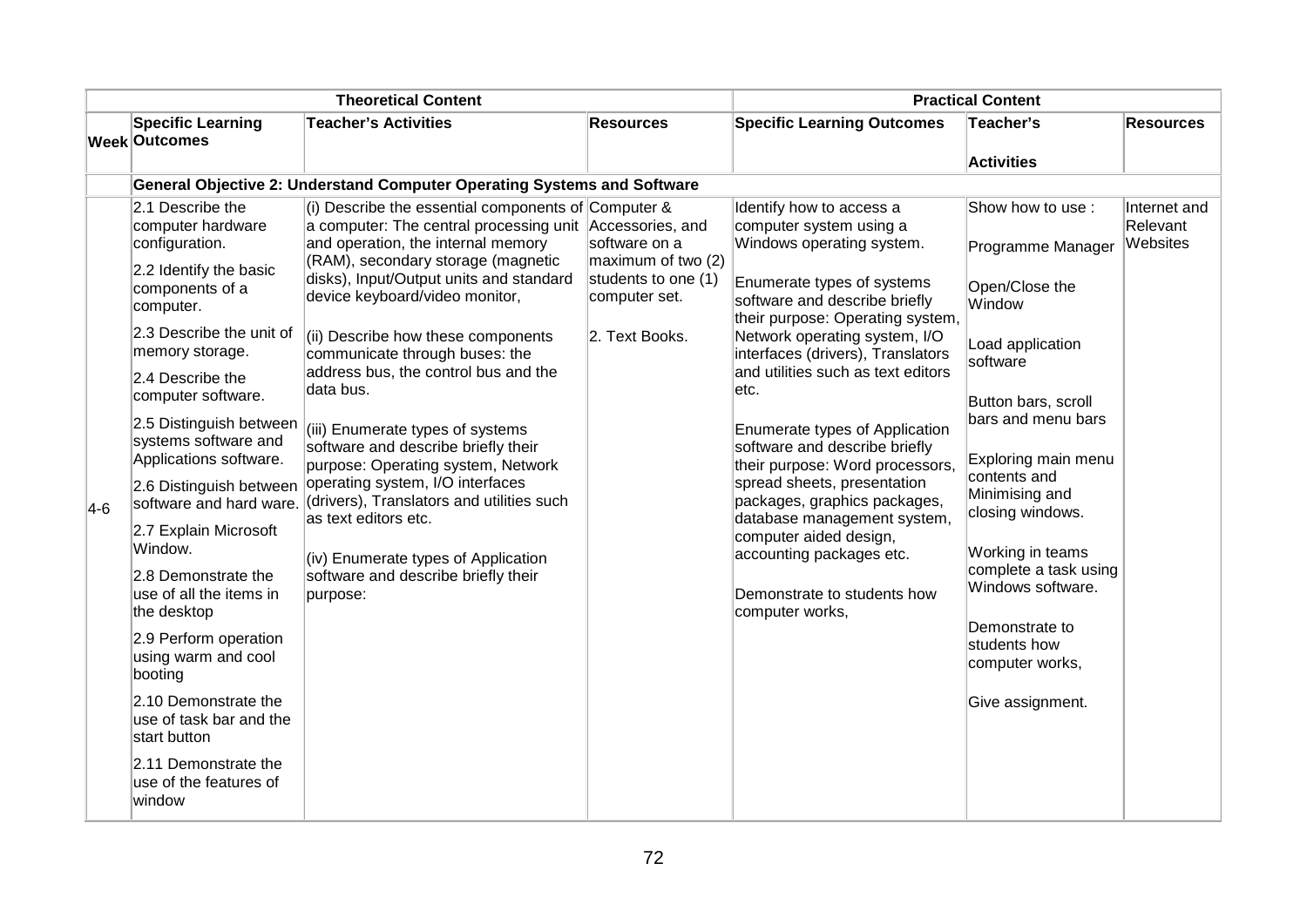| <b>Theoretical Content</b> |                                                                                                                                                                                                                                                                                                                                                                                                                                                                                                                                                                                                                                              |                                                                                                                                                                                                                                                                                                                                                                                                                                                                                                                                                                                                                                                                                                                              | <b>Practical Content</b>                                                                      |                                                                                                                                                                                                                                                                                                                                                                                                                                                                                                                                                                                                                     |                                                                                                                                                                                                                                                                                                                                                                        |                                      |
|----------------------------|----------------------------------------------------------------------------------------------------------------------------------------------------------------------------------------------------------------------------------------------------------------------------------------------------------------------------------------------------------------------------------------------------------------------------------------------------------------------------------------------------------------------------------------------------------------------------------------------------------------------------------------------|------------------------------------------------------------------------------------------------------------------------------------------------------------------------------------------------------------------------------------------------------------------------------------------------------------------------------------------------------------------------------------------------------------------------------------------------------------------------------------------------------------------------------------------------------------------------------------------------------------------------------------------------------------------------------------------------------------------------------|-----------------------------------------------------------------------------------------------|---------------------------------------------------------------------------------------------------------------------------------------------------------------------------------------------------------------------------------------------------------------------------------------------------------------------------------------------------------------------------------------------------------------------------------------------------------------------------------------------------------------------------------------------------------------------------------------------------------------------|------------------------------------------------------------------------------------------------------------------------------------------------------------------------------------------------------------------------------------------------------------------------------------------------------------------------------------------------------------------------|--------------------------------------|
|                            | <b>Specific Learning</b>                                                                                                                                                                                                                                                                                                                                                                                                                                                                                                                                                                                                                     | <b>Teacher's Activities</b>                                                                                                                                                                                                                                                                                                                                                                                                                                                                                                                                                                                                                                                                                                  | <b>Resources</b>                                                                              | <b>Specific Learning Outcomes</b>                                                                                                                                                                                                                                                                                                                                                                                                                                                                                                                                                                                   | Teacher's                                                                                                                                                                                                                                                                                                                                                              | <b>Resources</b>                     |
|                            | <b>Week Outcomes</b>                                                                                                                                                                                                                                                                                                                                                                                                                                                                                                                                                                                                                         |                                                                                                                                                                                                                                                                                                                                                                                                                                                                                                                                                                                                                                                                                                                              |                                                                                               |                                                                                                                                                                                                                                                                                                                                                                                                                                                                                                                                                                                                                     | <b>Activities</b>                                                                                                                                                                                                                                                                                                                                                      |                                      |
|                            |                                                                                                                                                                                                                                                                                                                                                                                                                                                                                                                                                                                                                                              | <b>General Objective 2: Understand Computer Operating Systems and Software</b>                                                                                                                                                                                                                                                                                                                                                                                                                                                                                                                                                                                                                                               |                                                                                               |                                                                                                                                                                                                                                                                                                                                                                                                                                                                                                                                                                                                                     |                                                                                                                                                                                                                                                                                                                                                                        |                                      |
| $ 4-6 $                    | 2.1 Describe the<br>computer hardware<br>configuration.<br>2.2 Identify the basic<br>components of a<br>computer.<br>2.3 Describe the unit of<br>memory storage.<br>2.4 Describe the<br>computer software.<br>2.5 Distinguish between<br>systems software and<br>Applications software.<br>2.6 Distinguish between<br>software and hard ware.<br>2.7 Explain Microsoft<br>Window.<br>2.8 Demonstrate the<br>use of all the items in<br>the desktop<br>2.9 Perform operation<br>using warm and cool<br>booting<br>2.10 Demonstrate the<br>use of task bar and the<br>start button<br>2.11 Demonstrate the<br>use of the features of<br>window | (i) Describe the essential components of Computer $\&$<br>a computer: The central processing unit Accessories, and<br>and operation, the internal memory<br>(RAM), secondary storage (magnetic<br>disks), Input/Output units and standard<br>device keyboard/video monitor,<br>(ii) Describe how these components<br>communicate through buses: the<br>address bus, the control bus and the<br>data bus.<br>(iii) Enumerate types of systems<br>software and describe briefly their<br>purpose: Operating system, Network<br>operating system, I/O interfaces<br>(drivers), Translators and utilities such<br>as text editors etc.<br>(iv) Enumerate types of Application<br>software and describe briefly their<br>purpose: | software on a<br>maximum of two (2)<br>students to one (1)<br>computer set.<br>2. Text Books. | Identify how to access a<br>computer system using a<br>Windows operating system.<br>Enumerate types of systems<br>software and describe briefly<br>their purpose: Operating system,<br>Network operating system, I/O<br>interfaces (drivers), Translators<br>and utilities such as text editors<br>etc.<br>Enumerate types of Application<br>software and describe briefly<br>their purpose: Word processors,<br>spread sheets, presentation<br>packages, graphics packages,<br>database management system,<br>computer aided design,<br>accounting packages etc.<br>Demonstrate to students how<br>computer works, | Show how to use:<br>Programme Manager<br>Open/Close the<br>Window<br>Load application<br>software<br>Button bars, scroll<br>bars and menu bars<br>Exploring main menu<br>contents and<br>Minimising and<br>closing windows.<br>Working in teams<br>complete a task using<br>Windows software.<br>Demonstrate to<br>students how<br>computer works,<br>Give assignment. | Internet and<br>Relevant<br>Websites |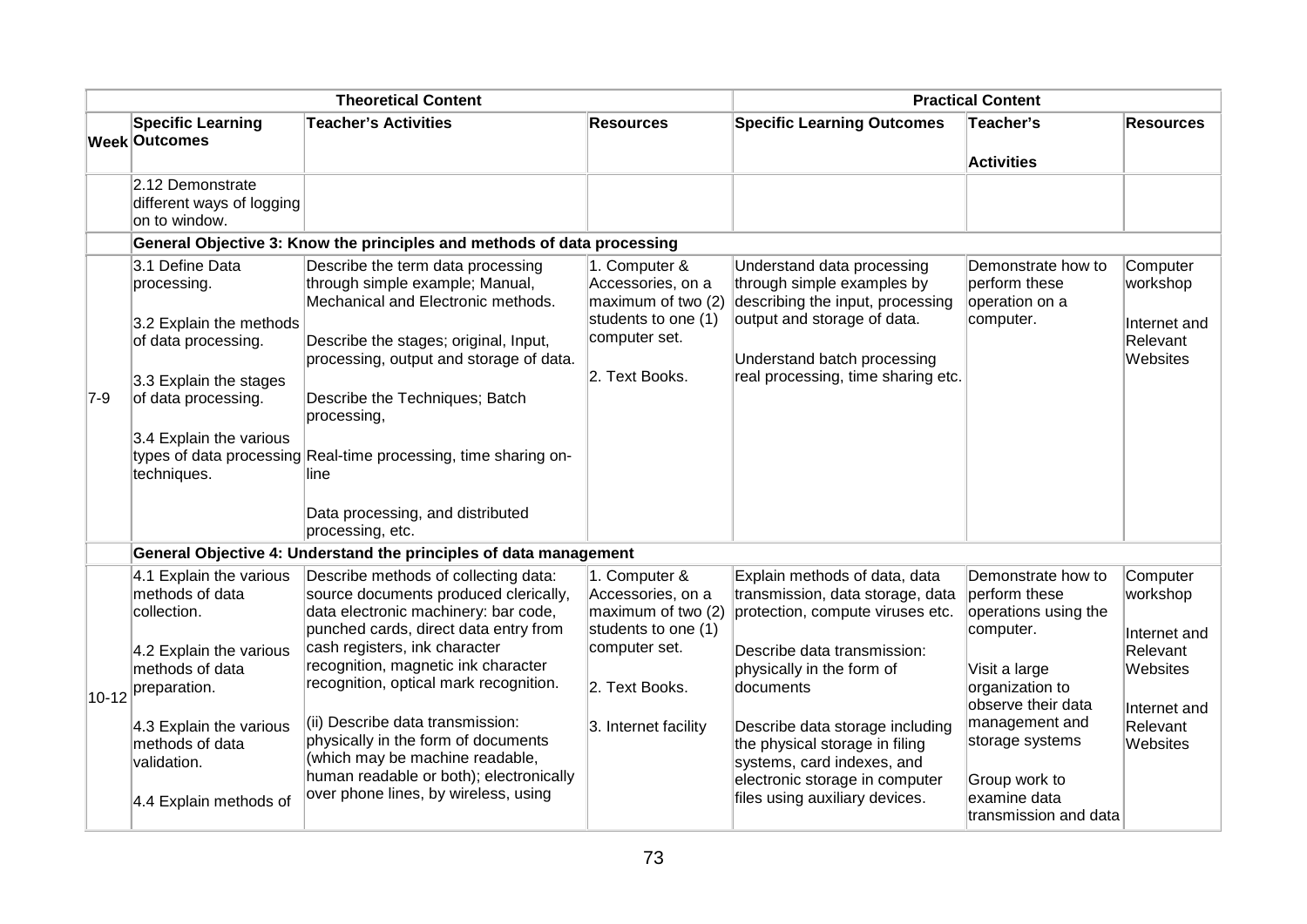| <b>Theoretical Content</b> |                                                                |                                                                                  | <b>Practical Content</b>                |                                                                   |                                       |                          |
|----------------------------|----------------------------------------------------------------|----------------------------------------------------------------------------------|-----------------------------------------|-------------------------------------------------------------------|---------------------------------------|--------------------------|
|                            | <b>Specific Learning</b><br><b>Week Outcomes</b>               | <b>Teacher's Activities</b>                                                      | <b>Resources</b>                        | <b>Specific Learning Outcomes</b>                                 | Teacher's<br><b>Activities</b>        | <b>Resources</b>         |
|                            | 2.12 Demonstrate<br>different ways of logging<br>on to window. | General Objective 3: Know the principles and methods of data processing          |                                         |                                                                   |                                       |                          |
|                            | 3.1 Define Data                                                | Describe the term data processing                                                | 1. Computer &                           | Understand data processing                                        | Demonstrate how to                    | Computer                 |
|                            | processing.                                                    | through simple example; Manual,<br>Mechanical and Electronic methods.            | Accessories, on a<br>maximum of two (2) | through simple examples by<br>describing the input, processing    | perform these<br>operation on a       | workshop                 |
|                            | 3.2 Explain the methods                                        |                                                                                  | students to one (1)                     | output and storage of data.                                       | computer.                             | Internet and             |
|                            | of data processing.                                            | Describe the stages; original, Input,<br>processing, output and storage of data. | computer set.                           | Understand batch processing                                       |                                       | Relevant<br>Websites     |
|                            | 3.3 Explain the stages                                         |                                                                                  | 2. Text Books.                          | real processing, time sharing etc.                                |                                       |                          |
| $7-9$                      | of data processing.                                            | Describe the Techniques; Batch<br>processing,                                    |                                         |                                                                   |                                       |                          |
|                            | 3.4 Explain the various                                        | types of data processing Real-time processing, time sharing on-                  |                                         |                                                                   |                                       |                          |
|                            | techniques.                                                    | line                                                                             |                                         |                                                                   |                                       |                          |
|                            |                                                                | Data processing, and distributed<br>processing, etc.                             |                                         |                                                                   |                                       |                          |
|                            |                                                                | General Objective 4: Understand the principles of data management                |                                         |                                                                   |                                       |                          |
|                            | 4.1 Explain the various<br>methods of data                     | Describe methods of collecting data:                                             | 1. Computer &<br>Accessories, on a      | Explain methods of data, data<br>transmission, data storage, data | Demonstrate how to<br>perform these   | Computer                 |
|                            | collection.                                                    | source documents produced clerically,<br>data electronic machinery: bar code,    | maximum of two (2)                      | protection, compute viruses etc.                                  | operations using the                  | workshop                 |
|                            |                                                                | punched cards, direct data entry from<br>cash registers, ink character           | students to one (1)<br>computer set.    |                                                                   | computer.                             | Internet and             |
|                            | 4.2 Explain the various<br>methods of data                     | recognition, magnetic ink character                                              |                                         | Describe data transmission:<br>physically in the form of          | Visit a large                         | Relevant<br>Websites     |
| $10 - 12$                  | preparation.                                                   | recognition, optical mark recognition.                                           | 2. Text Books.                          | documents                                                         | organization to                       |                          |
|                            | 4.3 Explain the various                                        | (ii) Describe data transmission:                                                 | 3. Internet facility                    | Describe data storage including                                   | observe their data<br>management and  | Internet and<br>Relevant |
|                            | methods of data                                                | physically in the form of documents                                              |                                         | the physical storage in filing                                    | storage systems                       | Websites                 |
|                            | validation.                                                    | (which may be machine readable,<br>human readable or both); electronically       |                                         | systems, card indexes, and<br>electronic storage in computer      | Group work to                         |                          |
|                            | 4.4 Explain methods of                                         | over phone lines, by wireless, using                                             |                                         | files using auxiliary devices.                                    | examine data<br>transmission and data |                          |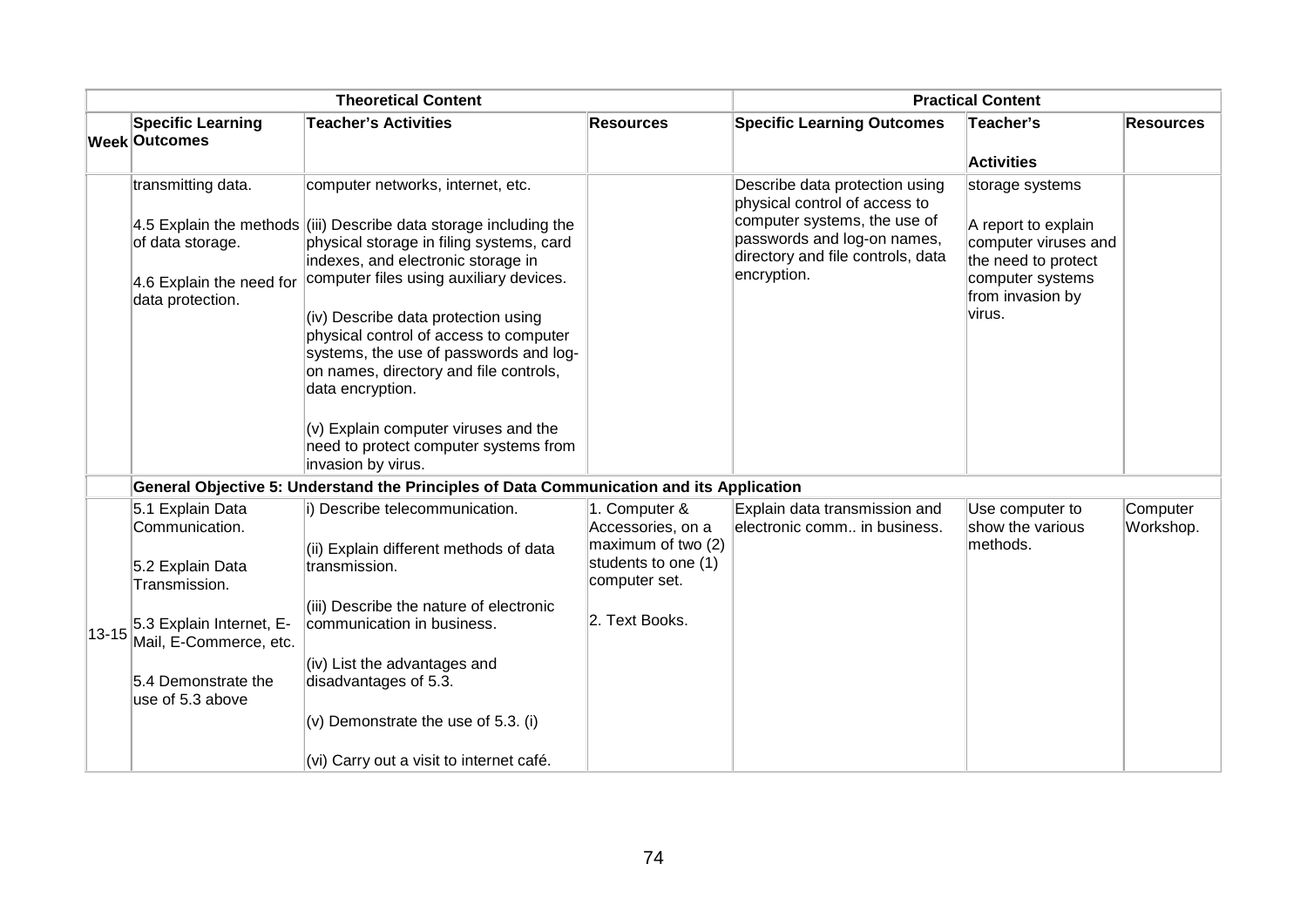| <b>Theoretical Content</b> |                                                                                        |                                                                                                                                                                                                                                                                                                                                                                                                                                                                                                                                                      | <b>Practical Content</b>                                                                         |                                                                                                                                                                                    |                                                                                                                                         |                       |
|----------------------------|----------------------------------------------------------------------------------------|------------------------------------------------------------------------------------------------------------------------------------------------------------------------------------------------------------------------------------------------------------------------------------------------------------------------------------------------------------------------------------------------------------------------------------------------------------------------------------------------------------------------------------------------------|--------------------------------------------------------------------------------------------------|------------------------------------------------------------------------------------------------------------------------------------------------------------------------------------|-----------------------------------------------------------------------------------------------------------------------------------------|-----------------------|
|                            | <b>Specific Learning</b><br><b>Week Outcomes</b>                                       | <b>Teacher's Activities</b>                                                                                                                                                                                                                                                                                                                                                                                                                                                                                                                          | <b>Resources</b>                                                                                 | <b>Specific Learning Outcomes</b>                                                                                                                                                  | Teacher's                                                                                                                               | <b>Resources</b>      |
|                            |                                                                                        |                                                                                                                                                                                                                                                                                                                                                                                                                                                                                                                                                      |                                                                                                  |                                                                                                                                                                                    | <b>Activities</b>                                                                                                                       |                       |
|                            | transmitting data.<br>of data storage.<br>4.6 Explain the need for<br>data protection. | computer networks, internet, etc.<br>4.5 Explain the methods $\left  \right $ (iii) Describe data storage including the<br>physical storage in filing systems, card<br>indexes, and electronic storage in<br>computer files using auxiliary devices.<br>(iv) Describe data protection using<br>physical control of access to computer<br>systems, the use of passwords and log-<br>on names, directory and file controls,<br>data encryption.<br>(v) Explain computer viruses and the<br>need to protect computer systems from<br>invasion by virus. |                                                                                                  | Describe data protection using<br>physical control of access to<br>computer systems, the use of<br>passwords and log-on names,<br>directory and file controls, data<br>encryption. | storage systems<br>A report to explain<br>computer viruses and<br>the need to protect<br>computer systems<br>from invasion by<br>virus. |                       |
|                            |                                                                                        | General Objective 5: Understand the Principles of Data Communication and its Application                                                                                                                                                                                                                                                                                                                                                                                                                                                             |                                                                                                  |                                                                                                                                                                                    |                                                                                                                                         |                       |
|                            | 5.1 Explain Data<br>Communication.<br>5.2 Explain Data<br>Transmission.                | i) Describe telecommunication.<br>(ii) Explain different methods of data<br>transmission.                                                                                                                                                                                                                                                                                                                                                                                                                                                            | 1. Computer &<br>Accessories, on a<br>maximum of two (2)<br>students to one (1)<br>computer set. | Explain data transmission and<br>electronic comm in business.                                                                                                                      | Use computer to<br>show the various<br>methods.                                                                                         | Computer<br>Workshop. |
| $13 - 15$                  | 5.3 Explain Internet, E-<br>Mail, E-Commerce, etc.                                     | (iii) Describe the nature of electronic<br>communication in business.                                                                                                                                                                                                                                                                                                                                                                                                                                                                                | 2. Text Books.                                                                                   |                                                                                                                                                                                    |                                                                                                                                         |                       |
|                            | 5.4 Demonstrate the<br>use of 5.3 above                                                | (iv) List the advantages and<br>disadvantages of 5.3.                                                                                                                                                                                                                                                                                                                                                                                                                                                                                                |                                                                                                  |                                                                                                                                                                                    |                                                                                                                                         |                       |
|                            |                                                                                        | $(v)$ Demonstrate the use of 5.3. (i)<br>(vi) Carry out a visit to internet café.                                                                                                                                                                                                                                                                                                                                                                                                                                                                    |                                                                                                  |                                                                                                                                                                                    |                                                                                                                                         |                       |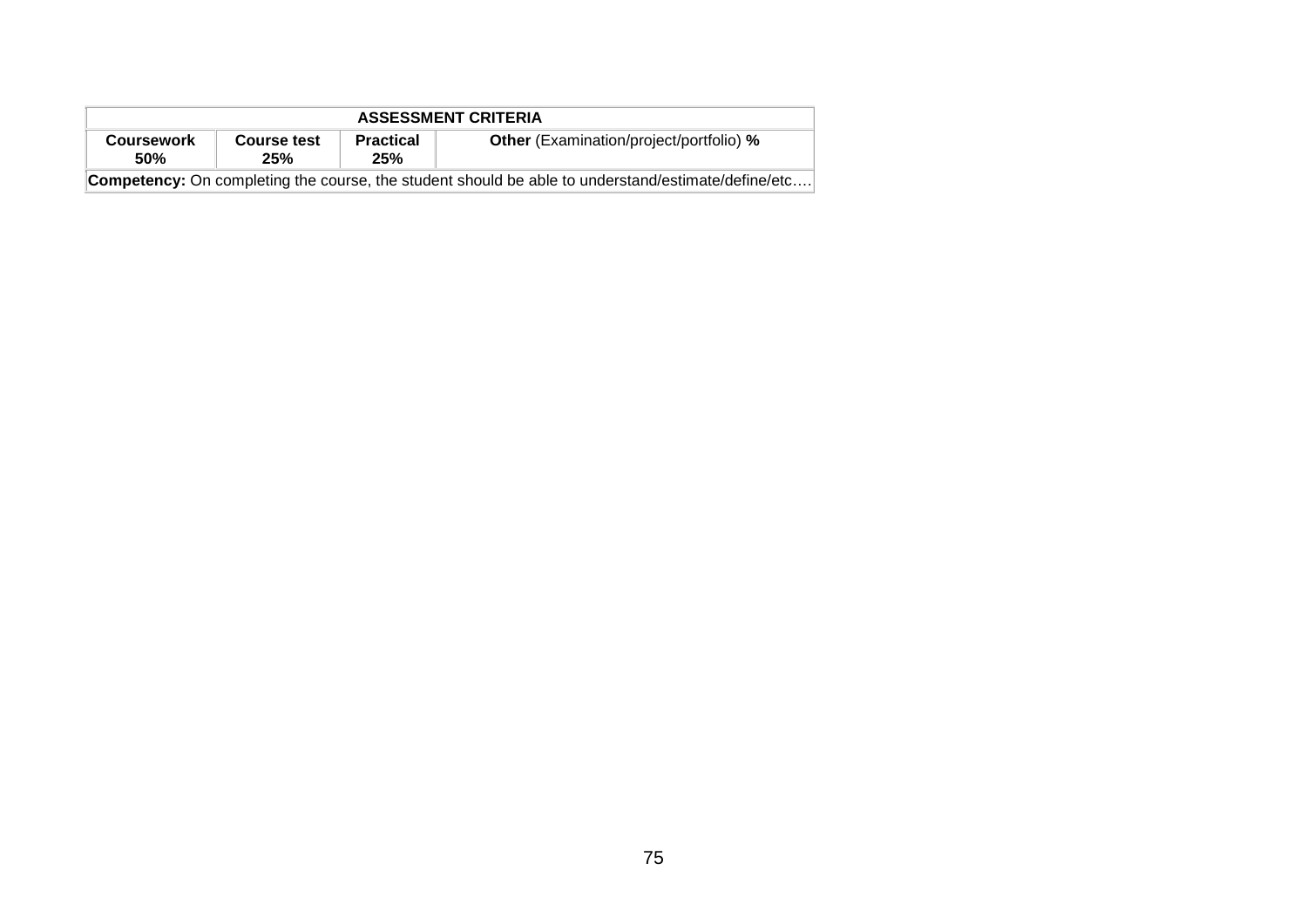| <b>ASSESSMENT CRITERIA</b>                                                                                                         |  |  |  |  |  |  |  |
|------------------------------------------------------------------------------------------------------------------------------------|--|--|--|--|--|--|--|
| <b>Other</b> (Examination/project/portfolio) %<br><b>Practical</b><br><b>Course test</b><br><b>Coursework</b><br>25%<br>50%<br>25% |  |  |  |  |  |  |  |
| <b>Competency:</b> On completing the course, the student should be able to understand/estimate/define/etc                          |  |  |  |  |  |  |  |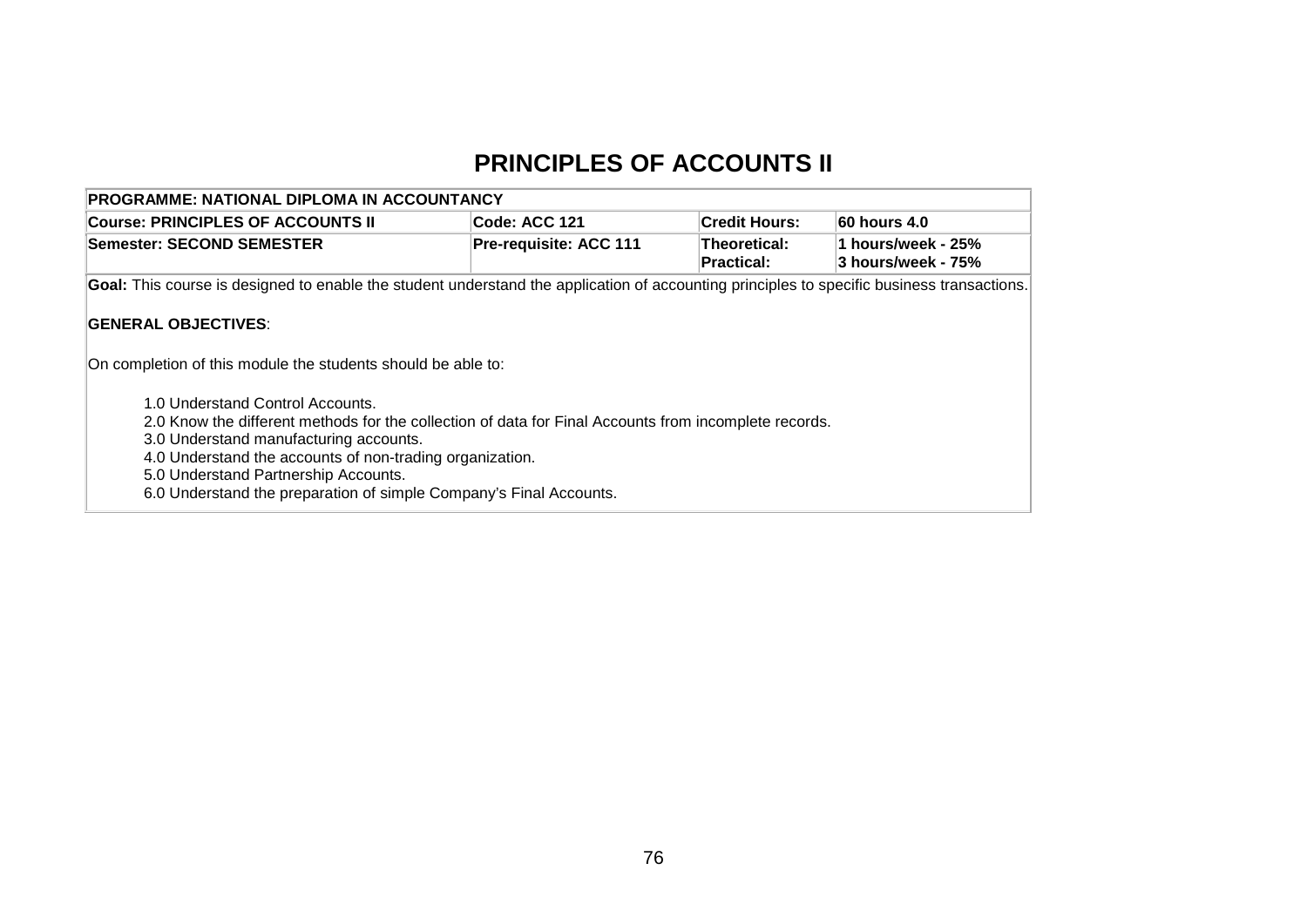### **PRINCIPLES OF ACCOUNTS II**

| PROGRAMME: NATIONAL DIPLOMA IN ACCOUNTANCY                                                                                                                                                                                                                                                                                                                                                                                                                  |                        |                                   |                                          |  |  |  |  |  |  |
|-------------------------------------------------------------------------------------------------------------------------------------------------------------------------------------------------------------------------------------------------------------------------------------------------------------------------------------------------------------------------------------------------------------------------------------------------------------|------------------------|-----------------------------------|------------------------------------------|--|--|--|--|--|--|
| <b>Course: PRINCIPLES OF ACCOUNTS II</b>                                                                                                                                                                                                                                                                                                                                                                                                                    | Code: ACC 121          | <b>Credit Hours:</b>              | 60 hours 4.0                             |  |  |  |  |  |  |
| Semester: SECOND SEMESTER                                                                                                                                                                                                                                                                                                                                                                                                                                   | Pre-requisite: ACC 111 | Theoretical:<br><b>Practical:</b> | 1 hours/week - 25%<br>3 hours/week - 75% |  |  |  |  |  |  |
| Goal: This course is designed to enable the student understand the application of accounting principles to specific business transactions.                                                                                                                                                                                                                                                                                                                  |                        |                                   |                                          |  |  |  |  |  |  |
| <b>GENERAL OBJECTIVES:</b><br>On completion of this module the students should be able to:<br>1.0 Understand Control Accounts.<br>2.0 Know the different methods for the collection of data for Final Accounts from incomplete records.<br>3.0 Understand manufacturing accounts.<br>4.0 Understand the accounts of non-trading organization.<br>5.0 Understand Partnership Accounts.<br>6.0 Understand the preparation of simple Company's Final Accounts. |                        |                                   |                                          |  |  |  |  |  |  |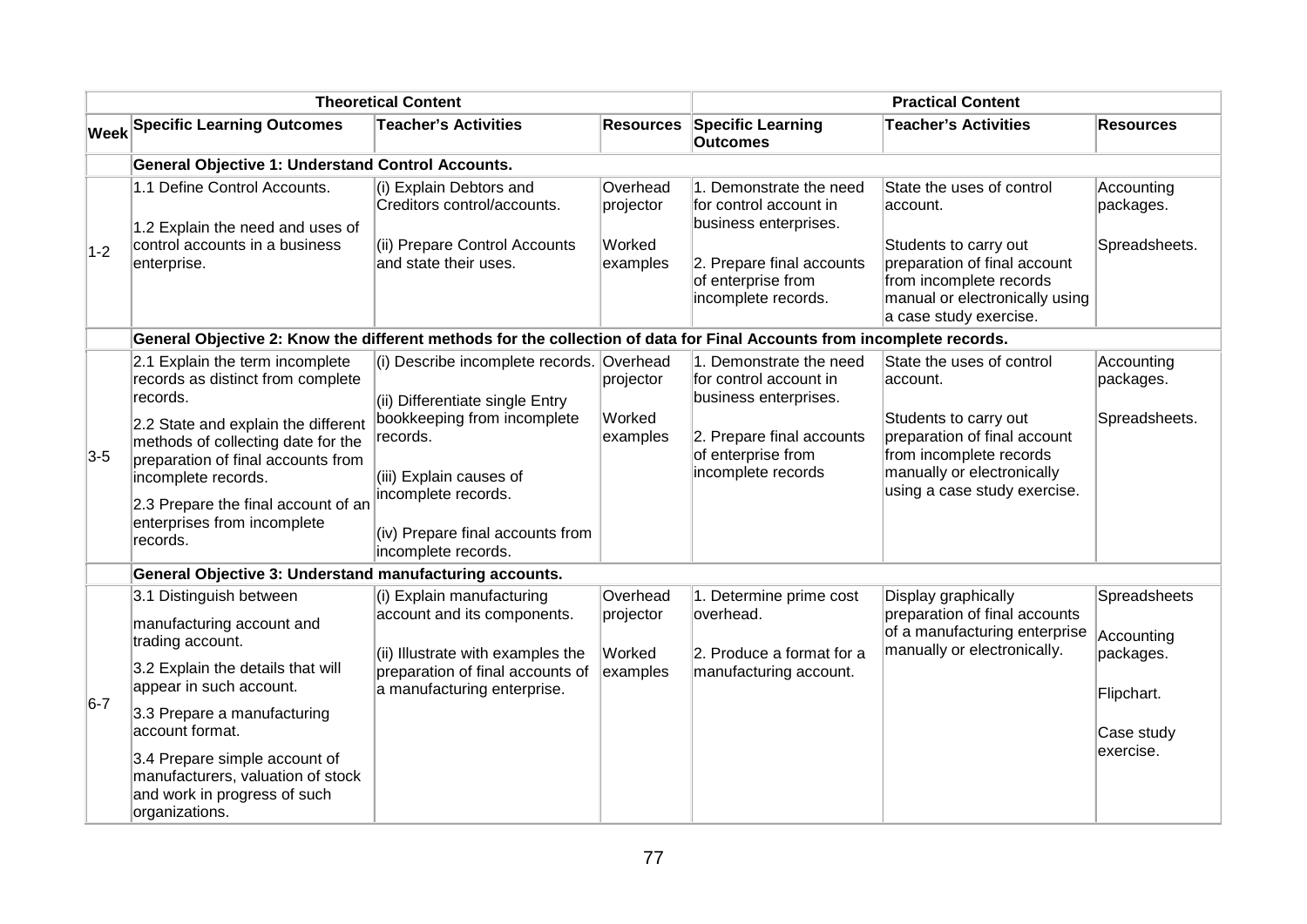| <b>Theoretical Content</b> |                                                                                                                                                                                                                                                                                                                    |                                                                                                                                                                                                                                      |                                             | <b>Practical Content</b>                                                                                                                             |                                                                                                                                                                                         |                                                                                  |  |  |  |
|----------------------------|--------------------------------------------------------------------------------------------------------------------------------------------------------------------------------------------------------------------------------------------------------------------------------------------------------------------|--------------------------------------------------------------------------------------------------------------------------------------------------------------------------------------------------------------------------------------|---------------------------------------------|------------------------------------------------------------------------------------------------------------------------------------------------------|-----------------------------------------------------------------------------------------------------------------------------------------------------------------------------------------|----------------------------------------------------------------------------------|--|--|--|
|                            | <b>Week Specific Learning Outcomes</b>                                                                                                                                                                                                                                                                             | <b>Teacher's Activities</b>                                                                                                                                                                                                          | <b>Resources</b>                            | Specific Learning<br><b>Outcomes</b>                                                                                                                 | <b>Teacher's Activities</b>                                                                                                                                                             | <b>Resources</b>                                                                 |  |  |  |
|                            | <b>General Objective 1: Understand Control Accounts.</b>                                                                                                                                                                                                                                                           |                                                                                                                                                                                                                                      |                                             |                                                                                                                                                      |                                                                                                                                                                                         |                                                                                  |  |  |  |
| $1-2$                      | 1.1 Define Control Accounts.<br>1.2 Explain the need and uses of<br>control accounts in a business<br>enterprise.                                                                                                                                                                                                  | (i) Explain Debtors and<br>Creditors control/accounts.<br>(ii) Prepare Control Accounts<br>and state their uses.                                                                                                                     | Overhead<br>projector<br>Worked<br>examples | 1. Demonstrate the need<br>for control account in<br>business enterprises.<br>2. Prepare final accounts<br>of enterprise from<br>incomplete records. | State the uses of control<br>account.<br>Students to carry out<br>preparation of final account<br>from incomplete records<br>manual or electronically using<br>a case study exercise.   | Accounting<br>packages.<br>Spreadsheets.                                         |  |  |  |
|                            | General Objective 2: Know the different methods for the collection of data for Final Accounts from incomplete records.                                                                                                                                                                                             |                                                                                                                                                                                                                                      |                                             |                                                                                                                                                      |                                                                                                                                                                                         |                                                                                  |  |  |  |
| $3-5$                      | 2.1 Explain the term incomplete<br>records as distinct from complete<br>records.<br>2.2 State and explain the different<br>methods of collecting date for the<br>preparation of final accounts from<br>incomplete records.<br>2.3 Prepare the final account of an<br>enterprises from incomplete<br>records.       | (i) Describe incomplete records. Overhead<br>(ii) Differentiate single Entry<br>bookkeeping from incomplete<br>records.<br>(iii) Explain causes of<br>incomplete records.<br>(iv) Prepare final accounts from<br>incomplete records. | projector<br>Worked<br>examples             | 1. Demonstrate the need<br>for control account in<br>business enterprises.<br>2. Prepare final accounts<br>of enterprise from<br>incomplete records  | State the uses of control<br>account.<br>Students to carry out<br>preparation of final account<br>from incomplete records<br>manually or electronically<br>using a case study exercise. | Accounting<br>packages.<br>Spreadsheets.                                         |  |  |  |
|                            | General Objective 3: Understand manufacturing accounts.                                                                                                                                                                                                                                                            |                                                                                                                                                                                                                                      |                                             |                                                                                                                                                      |                                                                                                                                                                                         |                                                                                  |  |  |  |
| $6-7$                      | 3.1 Distinguish between<br>manufacturing account and<br>trading account.<br>3.2 Explain the details that will<br>appear in such account.<br>3.3 Prepare a manufacturing<br>account format.<br>3.4 Prepare simple account of<br>manufacturers, valuation of stock<br>and work in progress of such<br>organizations. | (i) Explain manufacturing<br>account and its components.<br>(ii) Illustrate with examples the<br>preparation of final accounts of<br>a manufacturing enterprise.                                                                     | Overhead<br>projector<br>Worked<br>examples | 1. Determine prime cost<br>overhead.<br>2. Produce a format for a<br>manufacturing account.                                                          | Display graphically<br>preparation of final accounts<br>of a manufacturing enterprise<br>manually or electronically.                                                                    | Spreadsheets<br>Accounting<br>packages.<br>Flipchart.<br>Case study<br>exercise. |  |  |  |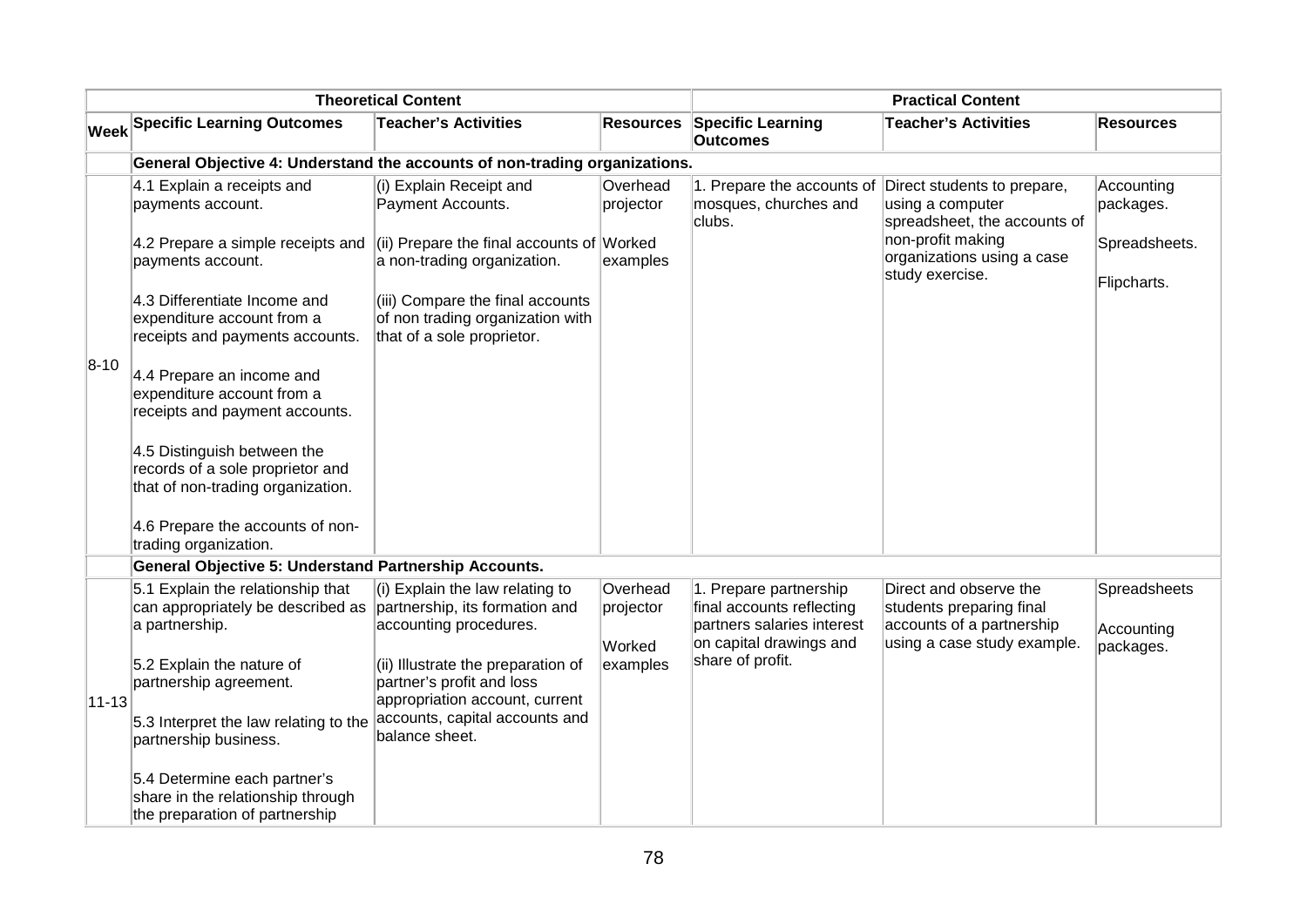| <b>Theoretical Content</b> |                                                                                                      | <b>Practical Content</b>                                                                           |                                 |                                                                                                              |                                                                                                                |                                         |  |  |  |
|----------------------------|------------------------------------------------------------------------------------------------------|----------------------------------------------------------------------------------------------------|---------------------------------|--------------------------------------------------------------------------------------------------------------|----------------------------------------------------------------------------------------------------------------|-----------------------------------------|--|--|--|
|                            | <b>Week Specific Learning Outcomes</b>                                                               | <b>Teacher's Activities</b>                                                                        | Resources                       | <b>Specific Learning</b><br><b>Outcomes</b>                                                                  | <b>Teacher's Activities</b>                                                                                    | <b>Resources</b>                        |  |  |  |
|                            | General Objective 4: Understand the accounts of non-trading organizations.                           |                                                                                                    |                                 |                                                                                                              |                                                                                                                |                                         |  |  |  |
|                            | 4.1 Explain a receipts and<br>payments account.                                                      | (i) Explain Receipt and<br>Payment Accounts.                                                       | Overhead<br>projector           | 1. Prepare the accounts of<br>mosques, churches and<br>clubs.                                                | Direct students to prepare,<br>using a computer<br>spreadsheet, the accounts of                                | Accounting<br>packages.                 |  |  |  |
| $ 8 - 10 $                 | 4.2 Prepare a simple receipts and<br>payments account.                                               | (ii) Prepare the final accounts of Worked<br>a non-trading organization.                           | examples                        |                                                                                                              | non-profit making<br>organizations using a case<br>study exercise.                                             | Spreadsheets.<br>Flipcharts.            |  |  |  |
|                            | 4.3 Differentiate Income and<br>expenditure account from a<br>receipts and payments accounts.        | (iii) Compare the final accounts<br>of non trading organization with<br>that of a sole proprietor. |                                 |                                                                                                              |                                                                                                                |                                         |  |  |  |
|                            | 4.4 Prepare an income and<br>expenditure account from a<br>receipts and payment accounts.            |                                                                                                    |                                 |                                                                                                              |                                                                                                                |                                         |  |  |  |
|                            | 4.5 Distinguish between the<br>records of a sole proprietor and<br>that of non-trading organization. |                                                                                                    |                                 |                                                                                                              |                                                                                                                |                                         |  |  |  |
|                            | 4.6 Prepare the accounts of non-<br>trading organization.                                            |                                                                                                    |                                 |                                                                                                              |                                                                                                                |                                         |  |  |  |
|                            | <b>General Objective 5: Understand Partnership Accounts.</b>                                         |                                                                                                    |                                 |                                                                                                              |                                                                                                                |                                         |  |  |  |
|                            | 5.1 Explain the relationship that<br>can appropriately be described as<br>a partnership.             | (i) Explain the law relating to<br>partnership, its formation and<br>accounting procedures.        | Overhead<br>projector<br>Worked | 1. Prepare partnership<br>final accounts reflecting<br>partners salaries interest<br>on capital drawings and | Direct and observe the<br>students preparing final<br>accounts of a partnership<br>using a case study example. | Spreadsheets<br>Accounting<br>packages. |  |  |  |
| $11 - 13$                  | 5.2 Explain the nature of<br>partnership agreement.                                                  | (ii) Illustrate the preparation of<br>partner's profit and loss<br>appropriation account, current  | examples                        | share of profit.                                                                                             |                                                                                                                |                                         |  |  |  |
|                            | 5.3 Interpret the law relating to the<br>partnership business.                                       | accounts, capital accounts and<br>balance sheet.                                                   |                                 |                                                                                                              |                                                                                                                |                                         |  |  |  |
|                            | 5.4 Determine each partner's<br>share in the relationship through<br>the preparation of partnership  |                                                                                                    |                                 |                                                                                                              |                                                                                                                |                                         |  |  |  |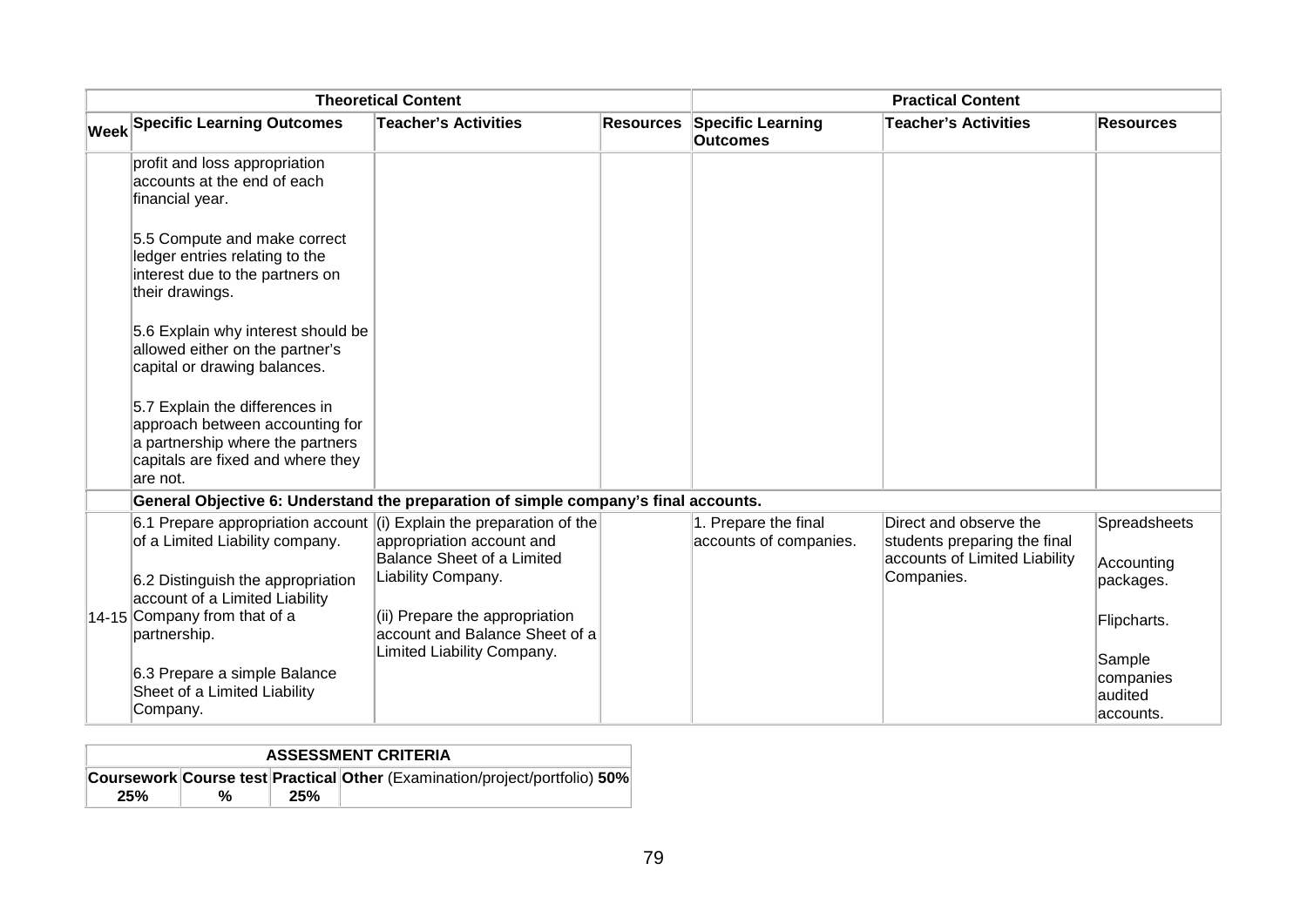| <b>Theoretical Content</b> |                                                                                                                                                                                                                                        |                                                                                                                                                   | <b>Practical Content</b> |                                                |                                                                                                       |                                                        |
|----------------------------|----------------------------------------------------------------------------------------------------------------------------------------------------------------------------------------------------------------------------------------|---------------------------------------------------------------------------------------------------------------------------------------------------|--------------------------|------------------------------------------------|-------------------------------------------------------------------------------------------------------|--------------------------------------------------------|
|                            | <b>Week Specific Learning Outcomes</b>                                                                                                                                                                                                 | <b>Teacher's Activities</b>                                                                                                                       | <b>Resources</b>         | <b>Specific Learning</b><br><b>Outcomes</b>    | <b>Teacher's Activities</b>                                                                           | <b>Resources</b>                                       |
|                            | profit and loss appropriation<br>accounts at the end of each<br>financial year.                                                                                                                                                        |                                                                                                                                                   |                          |                                                |                                                                                                       |                                                        |
|                            | 5.5 Compute and make correct<br>ledger entries relating to the<br>interest due to the partners on<br>their drawings.                                                                                                                   |                                                                                                                                                   |                          |                                                |                                                                                                       |                                                        |
|                            | 5.6 Explain why interest should be<br>allowed either on the partner's<br>capital or drawing balances.                                                                                                                                  |                                                                                                                                                   |                          |                                                |                                                                                                       |                                                        |
|                            | 5.7 Explain the differences in<br>approach between accounting for<br>a partnership where the partners<br>capitals are fixed and where they<br>lare not.                                                                                |                                                                                                                                                   |                          |                                                |                                                                                                       |                                                        |
|                            | General Objective 6: Understand the preparation of simple company's final accounts.                                                                                                                                                    |                                                                                                                                                   |                          |                                                |                                                                                                       |                                                        |
|                            | 6.1 Prepare appropriation account $\vert$ (i) Explain the preparation of the<br>of a Limited Liability company.<br>6.2 Distinguish the appropriation<br>account of a Limited Liability<br>14-15 Company from that of a<br>partnership. | appropriation account and<br>Balance Sheet of a Limited<br>Liability Company.<br>(ii) Prepare the appropriation<br>account and Balance Sheet of a |                          | 1. Prepare the final<br>accounts of companies. | Direct and observe the<br>students preparing the final<br>accounts of Limited Liability<br>Companies. | Spreadsheets<br>Accounting<br>packages.<br>Flipcharts. |
|                            | 6.3 Prepare a simple Balance<br>Sheet of a Limited Liability<br>Company.                                                                                                                                                               | Limited Liability Company.                                                                                                                        |                          |                                                |                                                                                                       | Sample<br>companies<br>audited<br>laccounts.           |

| <b>ASSESSMENT CRITERIA</b> |   |     |                                                                                   |  |  |  |
|----------------------------|---|-----|-----------------------------------------------------------------------------------|--|--|--|
|                            |   |     | <b>Coursework Course test Practical Other (Examination/project/portfolio) 50%</b> |  |  |  |
| 25%                        | % | 25% |                                                                                   |  |  |  |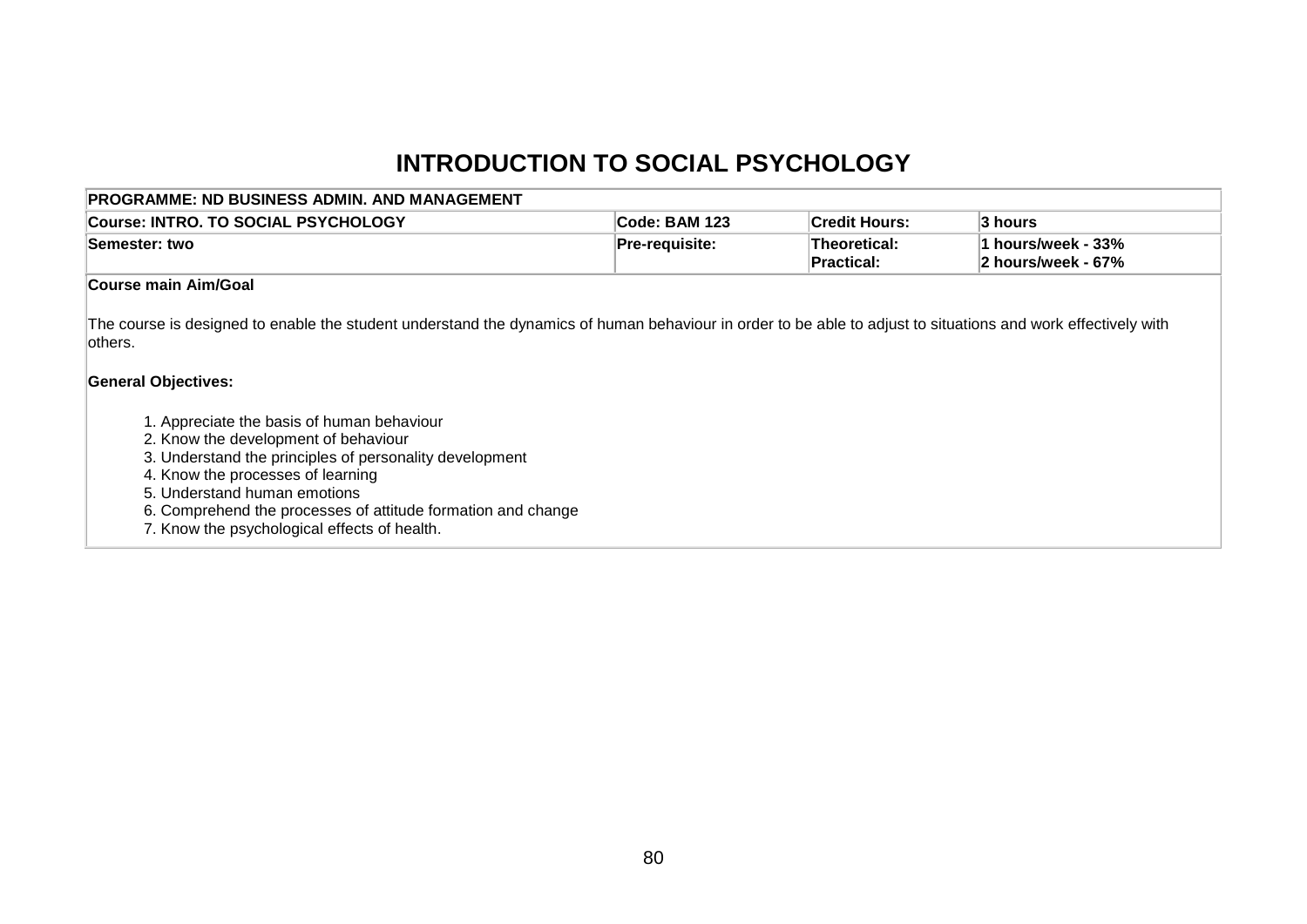# **INTRODUCTION TO SOCIAL PSYCHOLOGY**

| <b>PROGRAMME: ND BUSINESS ADMIN. AND MANAGEMENT</b>                                                                                                                                                                                                                                                                                                                                                                                                                                                                                          |                |                                   |                                          |  |  |  |  |  |
|----------------------------------------------------------------------------------------------------------------------------------------------------------------------------------------------------------------------------------------------------------------------------------------------------------------------------------------------------------------------------------------------------------------------------------------------------------------------------------------------------------------------------------------------|----------------|-----------------------------------|------------------------------------------|--|--|--|--|--|
| <b>Course: INTRO, TO SOCIAL PSYCHOLOGY</b>                                                                                                                                                                                                                                                                                                                                                                                                                                                                                                   | Code: BAM 123  | <b>Credit Hours:</b>              | 3 hours                                  |  |  |  |  |  |
| Semester: two                                                                                                                                                                                                                                                                                                                                                                                                                                                                                                                                | Pre-requisite: | <b>Theoretical:</b><br>Practical: | 1 hours/week - 33%<br>2 hours/week - 67% |  |  |  |  |  |
| Course main Aim/Goal                                                                                                                                                                                                                                                                                                                                                                                                                                                                                                                         |                |                                   |                                          |  |  |  |  |  |
| The course is designed to enable the student understand the dynamics of human behaviour in order to be able to adjust to situations and work effectively with<br>others.<br><b>General Objectives:</b><br>1. Appreciate the basis of human behaviour<br>2. Know the development of behaviour<br>3. Understand the principles of personality development<br>4. Know the processes of learning<br>5. Understand human emotions<br>6. Comprehend the processes of attitude formation and change<br>7. Know the psychological effects of health. |                |                                   |                                          |  |  |  |  |  |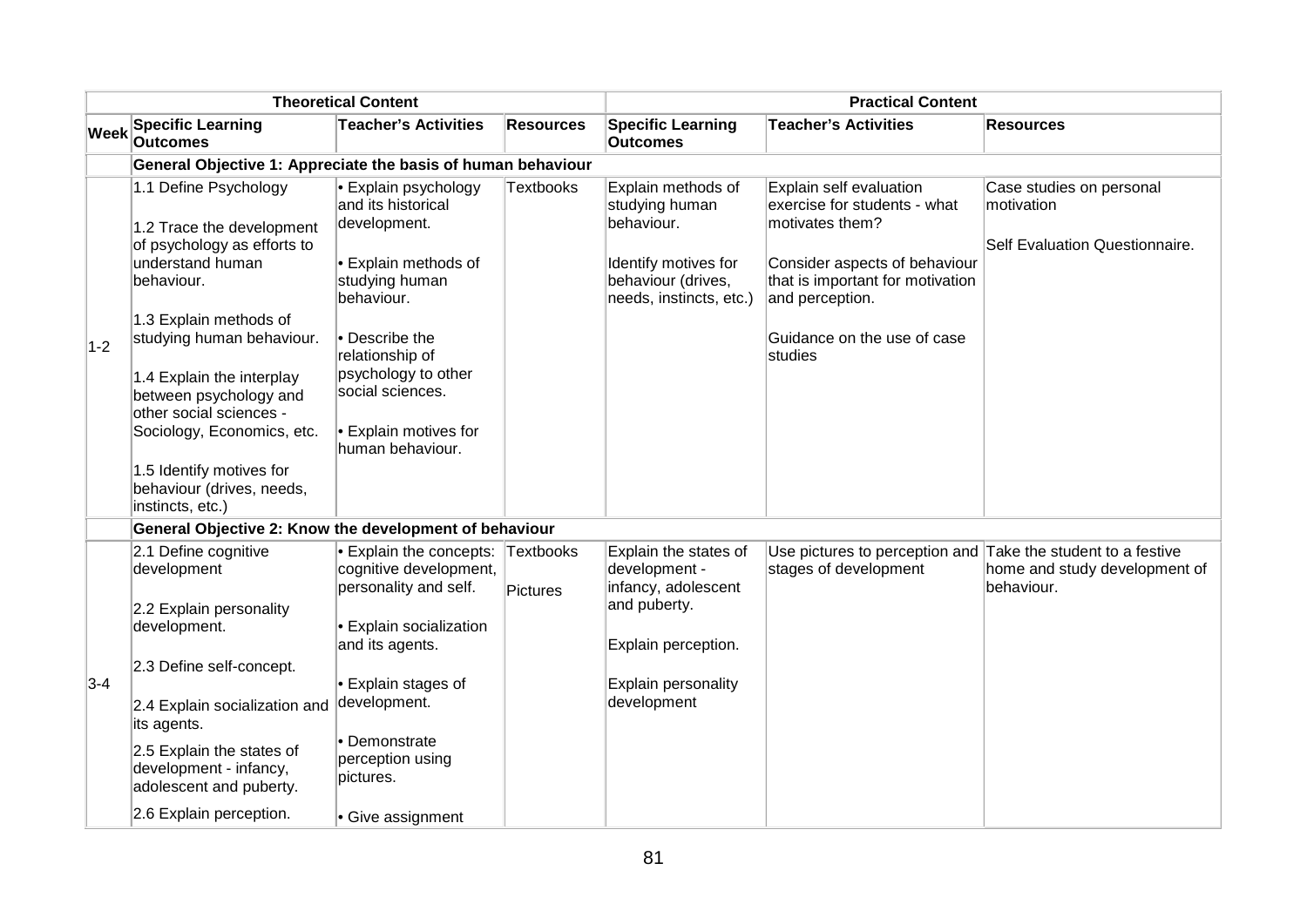| <b>Theoretical Content</b> |                                                                                                                                                                                                                                                                                                                                                                         | <b>Practical Content</b>                                                                                                                                                                                                                               |                  |                                                                                                                             |                                                                                                                                                                                                              |                                                                          |
|----------------------------|-------------------------------------------------------------------------------------------------------------------------------------------------------------------------------------------------------------------------------------------------------------------------------------------------------------------------------------------------------------------------|--------------------------------------------------------------------------------------------------------------------------------------------------------------------------------------------------------------------------------------------------------|------------------|-----------------------------------------------------------------------------------------------------------------------------|--------------------------------------------------------------------------------------------------------------------------------------------------------------------------------------------------------------|--------------------------------------------------------------------------|
| <b>Week</b>                | <b>Specific Learning</b><br><b>Outcomes</b>                                                                                                                                                                                                                                                                                                                             | <b>Teacher's Activities</b>                                                                                                                                                                                                                            | <b>Resources</b> | <b>Specific Learning</b><br><b>Outcomes</b>                                                                                 | <b>Teacher's Activities</b>                                                                                                                                                                                  | <b>Resources</b>                                                         |
|                            | General Objective 1: Appreciate the basis of human behaviour                                                                                                                                                                                                                                                                                                            |                                                                                                                                                                                                                                                        |                  |                                                                                                                             |                                                                                                                                                                                                              |                                                                          |
| $1-2$                      | 1.1 Define Psychology<br>1.2 Trace the development<br>of psychology as efforts to<br>understand human<br>behaviour.<br>1.3 Explain methods of<br>studying human behaviour.<br>1.4 Explain the interplay<br>between psychology and<br>other social sciences -<br>Sociology, Economics, etc.<br>1.5 Identify motives for<br>behaviour (drives, needs,<br>instincts, etc.) | • Explain psychology<br>and its historical<br>development.<br>• Explain methods of<br>studying human<br>behaviour.<br>• Describe the<br>relationship of<br>psychology to other<br>social sciences.<br><b>• Explain motives for</b><br>human behaviour. | Textbooks        | Explain methods of<br>studying human<br>behaviour.<br>Identify motives for<br>behaviour (drives,<br>needs, instincts, etc.) | Explain self evaluation<br>exercise for students - what<br>motivates them?<br>Consider aspects of behaviour<br>that is important for motivation<br>and perception.<br>Guidance on the use of case<br>studies | Case studies on personal<br>motivation<br>Self Evaluation Questionnaire. |
|                            | General Objective 2: Know the development of behaviour                                                                                                                                                                                                                                                                                                                  |                                                                                                                                                                                                                                                        |                  |                                                                                                                             |                                                                                                                                                                                                              |                                                                          |
|                            | 2.1 Define cognitive<br>development<br>2.2 Explain personality<br>development.                                                                                                                                                                                                                                                                                          | • Explain the concepts: Textbooks<br>cognitive development,<br>personality and self.<br>• Explain socialization<br>and its agents.                                                                                                                     | Pictures         | Explain the states of<br>development -<br>infancy, adolescent<br>and puberty.<br>Explain perception.                        | Use pictures to perception and Take the student to a festive<br>stages of development                                                                                                                        | home and study development of<br>behaviour.                              |
| $3-4$                      | 2.3 Define self-concept.<br>2.4 Explain socialization and<br>its agents.<br>2.5 Explain the states of<br>development - infancy,<br>adolescent and puberty.<br>2.6 Explain perception.                                                                                                                                                                                   | • Explain stages of<br>development.<br>• Demonstrate<br>perception using<br>pictures.<br>• Give assignment                                                                                                                                             |                  | Explain personality<br>development                                                                                          |                                                                                                                                                                                                              |                                                                          |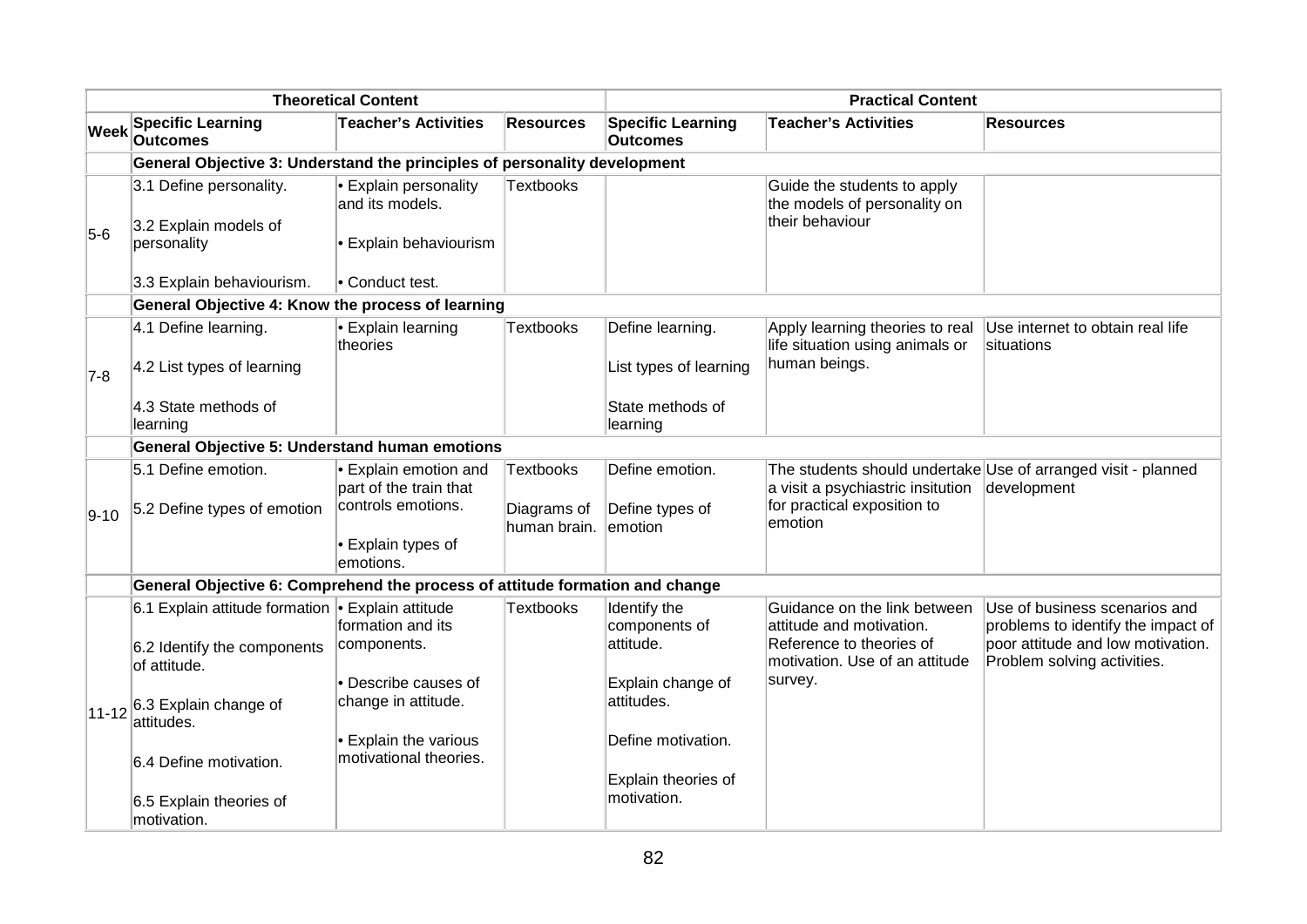| <b>Theoretical Content</b> |                                                                                                                                                              |                                                                                                          | <b>Practical Content</b>                 |                                                                               |                                                                                                                                   |                                                                                                                                         |
|----------------------------|--------------------------------------------------------------------------------------------------------------------------------------------------------------|----------------------------------------------------------------------------------------------------------|------------------------------------------|-------------------------------------------------------------------------------|-----------------------------------------------------------------------------------------------------------------------------------|-----------------------------------------------------------------------------------------------------------------------------------------|
| <b>Week</b>                | <b>Specific Learning</b><br><b>Outcomes</b>                                                                                                                  | <b>Teacher's Activities</b>                                                                              | <b>Resources</b>                         | <b>Specific Learning</b><br><b>Outcomes</b>                                   | <b>Teacher's Activities</b>                                                                                                       | <b>Resources</b>                                                                                                                        |
|                            | General Objective 3: Understand the principles of personality development                                                                                    |                                                                                                          |                                          |                                                                               |                                                                                                                                   |                                                                                                                                         |
| $5-6$                      | 3.1 Define personality.<br>3.2 Explain models of<br>personality<br>3.3 Explain behaviourism.                                                                 | • Explain personality<br>and its models.<br>• Explain behaviourism<br>• Conduct test.                    | Textbooks                                |                                                                               | Guide the students to apply<br>the models of personality on<br>their behaviour                                                    |                                                                                                                                         |
|                            | General Objective 4: Know the process of learning                                                                                                            |                                                                                                          |                                          |                                                                               |                                                                                                                                   |                                                                                                                                         |
| $7-8$                      | 4.1 Define learning.<br>4.2 List types of learning<br>4.3 State methods of<br>learning                                                                       | • Explain learning<br>theories                                                                           | Textbooks                                | Define learning.<br>List types of learning<br>State methods of<br>learning    | Apply learning theories to real<br>life situation using animals or<br>human beings.                                               | Use internet to obtain real life<br>situations                                                                                          |
|                            | <b>General Objective 5: Understand human emotions</b>                                                                                                        |                                                                                                          |                                          |                                                                               |                                                                                                                                   |                                                                                                                                         |
| $9 - 10$                   | 5.1 Define emotion.<br>5.2 Define types of emotion                                                                                                           | • Explain emotion and<br>part of the train that<br>controls emotions.<br>• Explain types of<br>emotions. | Textbooks<br>Diagrams of<br>human brain. | Define emotion.<br>Define types of<br>lemotion                                | a visit a psychiastric insitution<br>for practical exposition to<br>emotion                                                       | The students should undertake Use of arranged visit - planned<br>development                                                            |
|                            | General Objective 6: Comprehend the process of attitude formation and change                                                                                 |                                                                                                          |                                          |                                                                               |                                                                                                                                   |                                                                                                                                         |
|                            | 6.1 Explain attitude formation • Explain attitude<br>6.2 Identify the components<br>of attitude.<br>$ 11-12 $ <sup>6.3</sup> Explain change of<br>attitudes. | formation and its<br>components.<br>• Describe causes of<br>change in attitude.                          | <b>Textbooks</b>                         | Identify the<br>components of<br>attitude.<br>Explain change of<br>attitudes. | Guidance on the link between<br>attitude and motivation.<br>Reference to theories of<br>motivation. Use of an attitude<br>survey. | Use of business scenarios and<br>problems to identify the impact of<br>poor attitude and low motivation.<br>Problem solving activities. |
|                            | 6.4 Define motivation.<br>6.5 Explain theories of<br>motivation.                                                                                             | • Explain the various<br>motivational theories.                                                          |                                          | Define motivation.<br>Explain theories of<br>motivation.                      |                                                                                                                                   |                                                                                                                                         |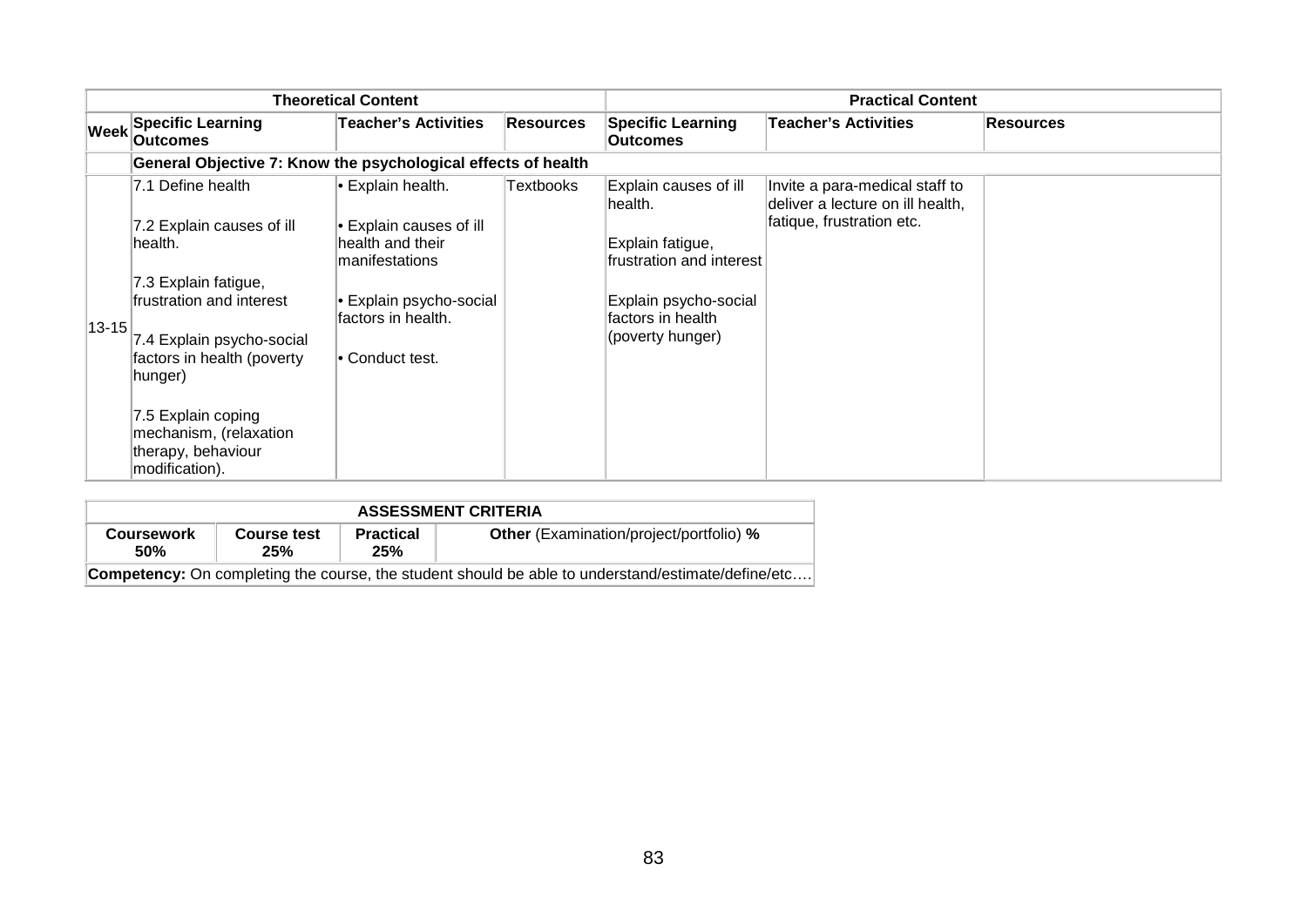|                   |                                                                                                                                                                                                                                                                              | <b>Theoretical Content</b>                                                                                                                                       |           |                                                                                                                                                     | <b>Practical Content</b>                                                                        |                  |
|-------------------|------------------------------------------------------------------------------------------------------------------------------------------------------------------------------------------------------------------------------------------------------------------------------|------------------------------------------------------------------------------------------------------------------------------------------------------------------|-----------|-----------------------------------------------------------------------------------------------------------------------------------------------------|-------------------------------------------------------------------------------------------------|------------------|
| $ \mathsf{Week} $ | <b>Specific Learning</b><br><b>Outcomes</b>                                                                                                                                                                                                                                  | <b>Teacher's Activities</b>                                                                                                                                      | Resources | <b>Specific Learning</b><br><b>Outcomes</b>                                                                                                         | <b>Teacher's Activities</b>                                                                     | <b>Resources</b> |
|                   | General Objective 7: Know the psychological effects of health                                                                                                                                                                                                                |                                                                                                                                                                  |           |                                                                                                                                                     |                                                                                                 |                  |
| $13 - 15$         | 7.1 Define health<br>7.2 Explain causes of ill<br>lhealth.<br>7.3 Explain fatigue,<br>frustration and interest<br>7.4 Explain psycho-social<br>factors in health (poverty<br>hunger)<br>7.5 Explain coping<br>mechanism, (relaxation<br>therapy, behaviour<br>modification). | • Explain health.<br>$\bullet$ Explain causes of ill<br>health and their<br>manifestations<br>l• Explain psycho-social<br>factors in health.<br>l• Conduct test. | Textbooks | Explain causes of ill<br>lhealth.<br>Explain fatigue,<br>frustration and interest<br>Explain psycho-social<br>factors in health<br>(poverty hunger) | Invite a para-medical staff to<br>deliver a lecture on ill health,<br>fatique, frustration etc. |                  |

| <b>ASSESSMENT CRITERIA</b>      |                           |                         |                                                                                                           |  |  |  |  |  |
|---------------------------------|---------------------------|-------------------------|-----------------------------------------------------------------------------------------------------------|--|--|--|--|--|
| <b>Coursework</b><br><b>50%</b> | <b>Course test</b><br>25% | <b>Practical</b><br>25% | <b>Other</b> (Examination/project/portfolio) %                                                            |  |  |  |  |  |
|                                 |                           |                         | <b>Competency:</b> On completing the course, the student should be able to understand/estimate/define/etc |  |  |  |  |  |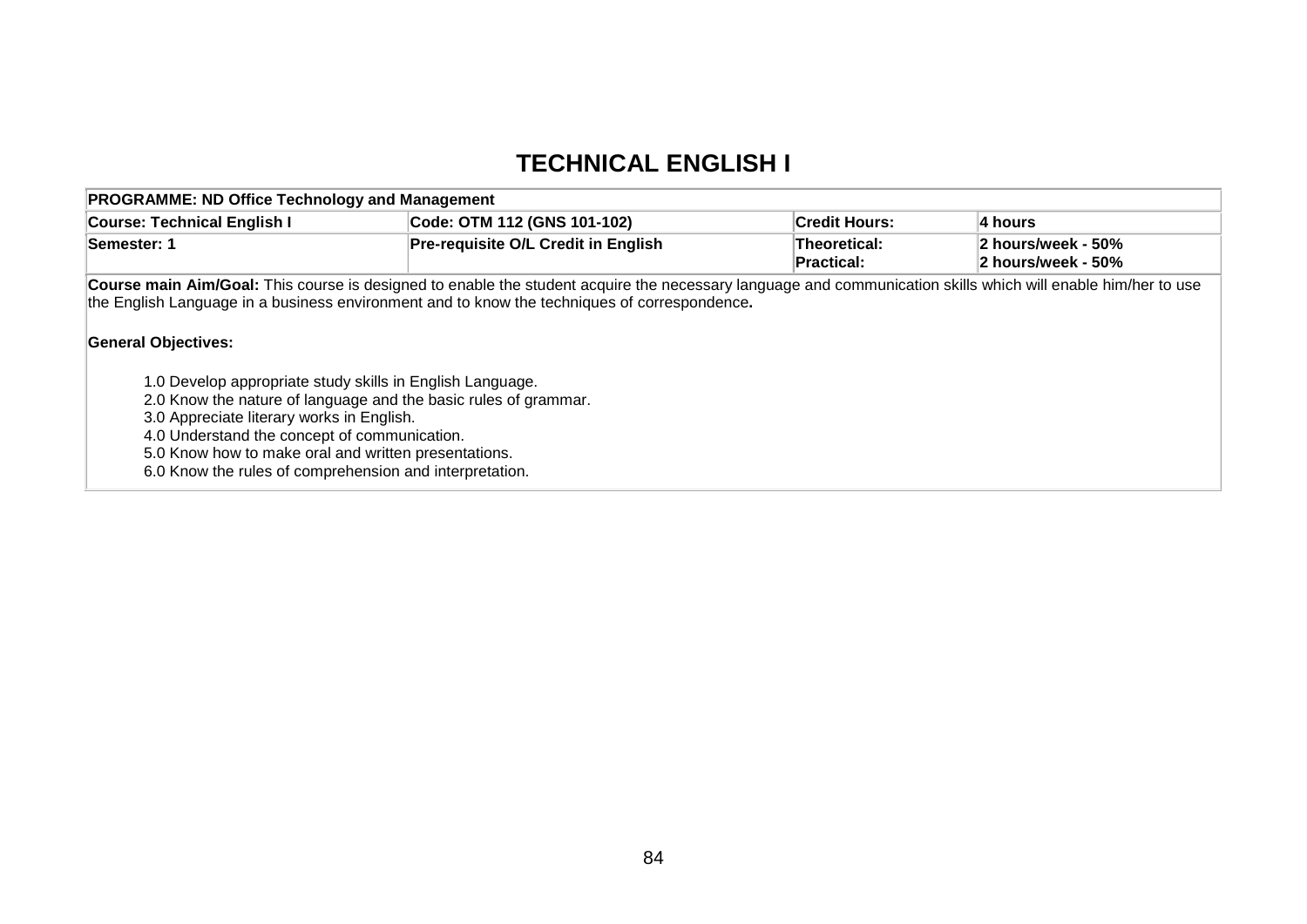### **TECHNICAL ENGLISH I**

| <b>PROGRAMME: ND Office Technology and Management</b>                                                                                                                                                                                                                                                                                                                                                                                                                                                                                                                                                                                      |                                            |                            |                                          |
|--------------------------------------------------------------------------------------------------------------------------------------------------------------------------------------------------------------------------------------------------------------------------------------------------------------------------------------------------------------------------------------------------------------------------------------------------------------------------------------------------------------------------------------------------------------------------------------------------------------------------------------------|--------------------------------------------|----------------------------|------------------------------------------|
| <b>Course: Technical English I</b>                                                                                                                                                                                                                                                                                                                                                                                                                                                                                                                                                                                                         | Code: OTM 112 (GNS 101-102)                | <b>Credit Hours:</b>       | 4 hours                                  |
| Semester: 1                                                                                                                                                                                                                                                                                                                                                                                                                                                                                                                                                                                                                                | <b>Pre-requisite O/L Credit in English</b> | Theoretical:<br>Practical: | 2 hours/week - 50%<br>2 hours/week - 50% |
| Course main Aim/Goal: This course is designed to enable the student acquire the necessary language and communication skills which will enable him/her to use<br>the English Language in a business environment and to know the techniques of correspondence.<br><b>General Objectives:</b><br>1.0 Develop appropriate study skills in English Language.<br>2.0 Know the nature of language and the basic rules of grammar.<br>3.0 Appreciate literary works in English.<br>4.0 Understand the concept of communication.<br>5.0 Know how to make oral and written presentations.<br>6.0 Know the rules of comprehension and interpretation. |                                            |                            |                                          |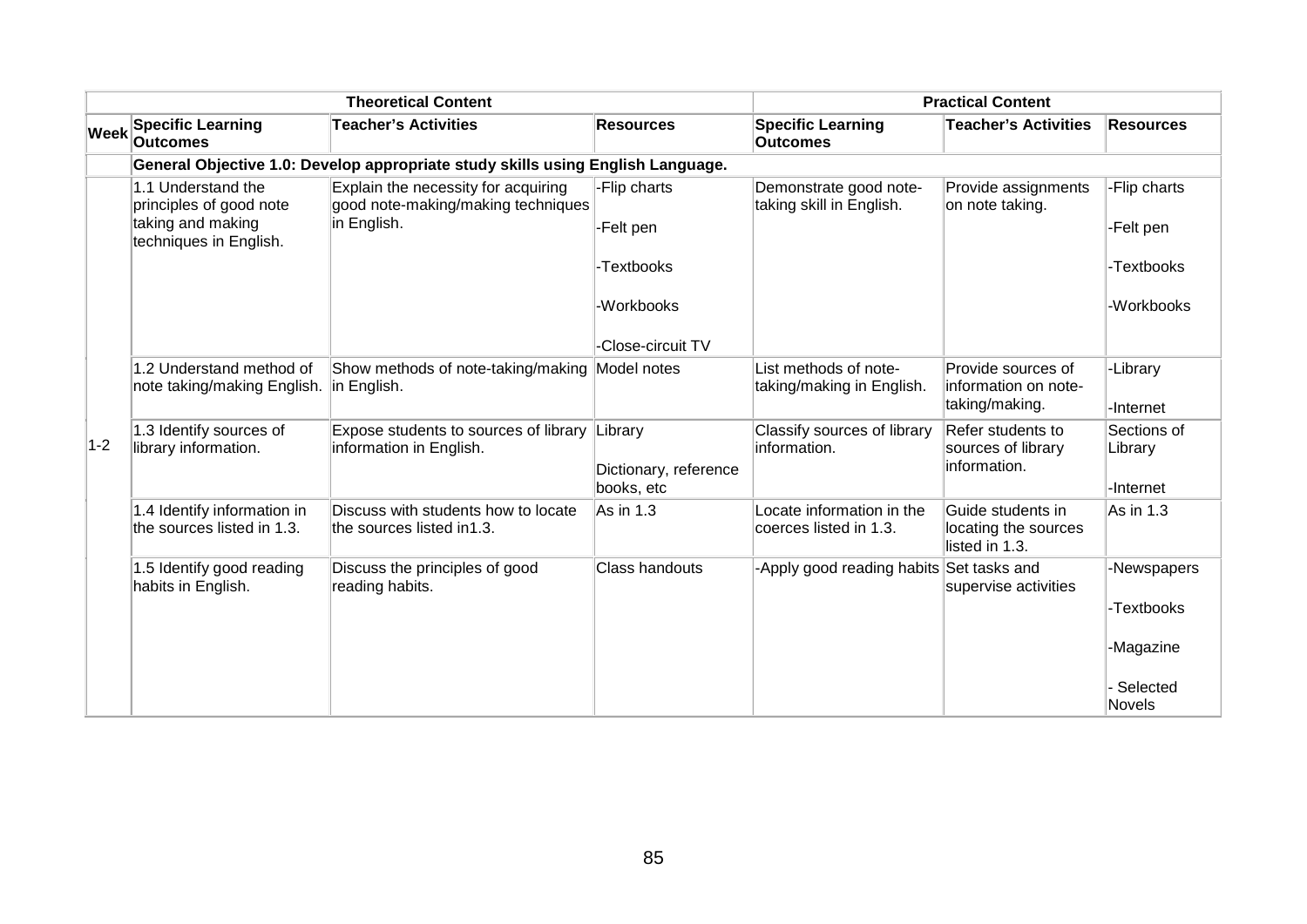|             |                                                                     | <b>Theoretical Content</b>                                                               |                                     |                                                     | <b>Practical Content</b>                                     |                                     |
|-------------|---------------------------------------------------------------------|------------------------------------------------------------------------------------------|-------------------------------------|-----------------------------------------------------|--------------------------------------------------------------|-------------------------------------|
| <b>Week</b> | <b>Specific Learning</b><br><b>Outcomes</b>                         | <b>Teacher's Activities</b>                                                              | <b>Resources</b>                    | <b>Specific Learning</b><br><b>Outcomes</b>         | <b>Teacher's Activities</b>                                  | <b>Resources</b>                    |
|             |                                                                     | General Objective 1.0: Develop appropriate study skills using English Language.          |                                     |                                                     |                                                              |                                     |
|             | 1.1 Understand the<br>principles of good note<br>taking and making  | Explain the necessity for acquiring<br>good note-making/making techniques<br>in English. | -Flip charts<br>-Felt pen           | Demonstrate good note-<br>taking skill in English.  | Provide assignments<br>on note taking.                       | -Flip charts<br>-Felt pen           |
|             | techniques in English.                                              |                                                                                          |                                     |                                                     |                                                              |                                     |
|             |                                                                     |                                                                                          | -Textbooks                          |                                                     |                                                              | -Textbooks                          |
|             |                                                                     |                                                                                          | -Workbooks                          |                                                     |                                                              | -Workbooks                          |
|             |                                                                     |                                                                                          | -Close-circuit TV                   |                                                     |                                                              |                                     |
|             | 1.2 Understand method of<br>note taking/making English. in English. | Show methods of note-taking/making Model notes                                           |                                     | List methods of note-<br>taking/making in English.  | Provide sources of<br>information on note-<br>taking/making. | -Library<br>-Internet               |
| $1-2$       | 1.3 Identify sources of<br>library information.                     | Expose students to sources of library Library<br>information in English.                 | Dictionary, reference<br>books, etc | Classify sources of library<br>information.         | Refer students to<br>sources of library<br>information.      | Sections of<br>Library<br>-Internet |
|             | 1.4 Identify information in<br>the sources listed in 1.3.           | Discuss with students how to locate<br>the sources listed in1.3.                         | As in 1.3                           | Locate information in the<br>coerces listed in 1.3. | Guide students in<br>locating the sources<br>listed in 1.3.  | As in 1.3                           |
|             | 1.5 Identify good reading<br>habits in English.                     | Discuss the principles of good<br>reading habits.                                        | Class handouts                      | -Apply good reading habits                          | Set tasks and<br>supervise activities                        | -Newspapers<br>-Textbooks           |
|             |                                                                     |                                                                                          |                                     |                                                     |                                                              | -Magazine                           |
|             |                                                                     |                                                                                          |                                     |                                                     |                                                              | Selected<br><b>Novels</b>           |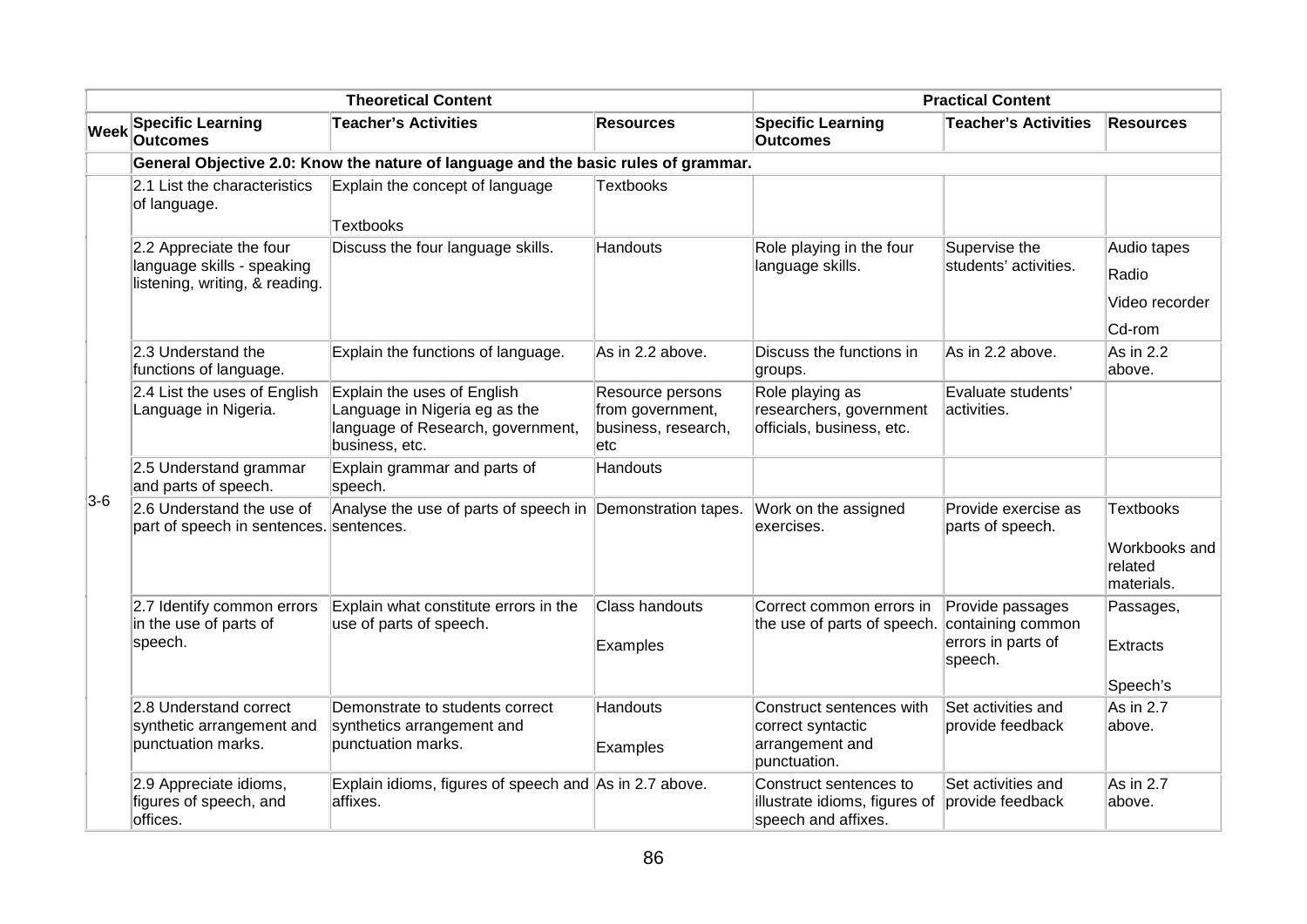|       |                                                                                         | <b>Theoretical Content</b>                                                                                          |                                                                        |                                                                                  | <b>Practical Content</b>                                               |                                                            |
|-------|-----------------------------------------------------------------------------------------|---------------------------------------------------------------------------------------------------------------------|------------------------------------------------------------------------|----------------------------------------------------------------------------------|------------------------------------------------------------------------|------------------------------------------------------------|
|       | Week Specific Learning<br><b>Outcomes</b>                                               | <b>Teacher's Activities</b>                                                                                         | <b>Resources</b>                                                       | <b>Specific Learning</b><br><b>Outcomes</b>                                      | <b>Teacher's Activities</b>                                            | <b>Resources</b>                                           |
|       |                                                                                         | General Objective 2.0: Know the nature of language and the basic rules of grammar.                                  |                                                                        |                                                                                  |                                                                        |                                                            |
|       | 2.1 List the characteristics<br>of language.                                            | Explain the concept of language<br><b>Textbooks</b>                                                                 | <b>Textbooks</b>                                                       |                                                                                  |                                                                        |                                                            |
|       | 2.2 Appreciate the four<br>language skills - speaking<br>listening, writing, & reading. | Discuss the four language skills.                                                                                   | Handouts                                                               | Role playing in the four<br>language skills.                                     | Supervise the<br>students' activities.                                 | Audio tapes<br>Radio<br>Video recorder<br>Cd-rom           |
|       | 2.3 Understand the<br>functions of language.                                            | Explain the functions of language.                                                                                  | As in 2.2 above.                                                       | Discuss the functions in<br>groups.                                              | As in 2.2 above.                                                       | As in 2.2<br>above.                                        |
|       | 2.4 List the uses of English<br>Language in Nigeria.                                    | Explain the uses of English<br>Language in Nigeria eg as the<br>language of Research, government,<br>business, etc. | Resource persons<br>from government,<br>business, research,<br>$ $ etc | Role playing as<br>researchers, government<br>officials, business, etc.          | Evaluate students'<br>activities.                                      |                                                            |
|       | 2.5 Understand grammar<br>and parts of speech.                                          | Explain grammar and parts of<br>speech.                                                                             | Handouts                                                               |                                                                                  |                                                                        |                                                            |
| $3-6$ | 2.6 Understand the use of<br>part of speech in sentences. sentences.                    | Analyse the use of parts of speech in Demonstration tapes.                                                          |                                                                        | Work on the assigned<br>exercises.                                               | Provide exercise as<br>parts of speech.                                | <b>Textbooks</b><br>Workbooks and<br>related<br>materials. |
|       | 2.7 Identify common errors<br>in the use of parts of<br>speech.                         | Explain what constitute errors in the<br>use of parts of speech.                                                    | <b>Class handouts</b><br>Examples                                      | Correct common errors in<br>the use of parts of speech.                          | Provide passages<br>containing common<br>errors in parts of<br>speech. | Passages,<br>Extracts<br>Speech's                          |
|       | 2.8 Understand correct<br>synthetic arrangement and<br>punctuation marks.               | Demonstrate to students correct<br>synthetics arrangement and<br>punctuation marks.                                 | Handouts<br>Examples                                                   | Construct sentences with<br>correct syntactic<br>arrangement and<br>punctuation. | Set activities and<br>provide feedback                                 | As in 2.7<br>above.                                        |
|       | 2.9 Appreciate idioms,<br>figures of speech, and<br>offices.                            | Explain idioms, figures of speech and As in 2.7 above.<br>affixes.                                                  |                                                                        | Construct sentences to<br>illustrate idioms, figures of<br>speech and affixes.   | Set activities and<br>provide feedback                                 | As in 2.7<br>above.                                        |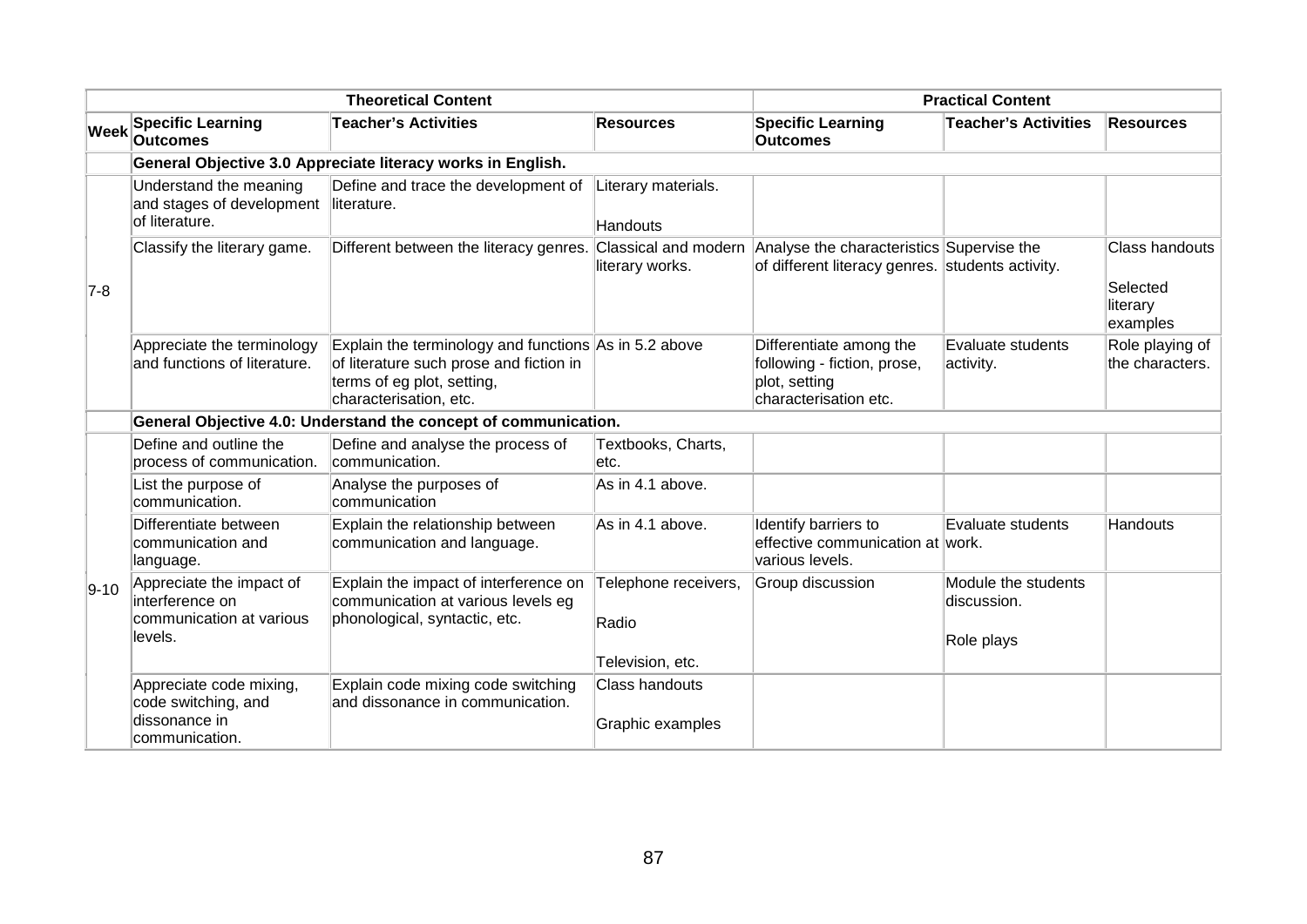|                                              |                                                                                    | <b>Theoretical Content</b>                                                                                                                               |                                        |                                                                                                                    | <b>Practical Content</b>                         |                                                           |
|----------------------------------------------|------------------------------------------------------------------------------------|----------------------------------------------------------------------------------------------------------------------------------------------------------|----------------------------------------|--------------------------------------------------------------------------------------------------------------------|--------------------------------------------------|-----------------------------------------------------------|
| $ \mathsf{W}\mathsf{e}\mathsf{e}\mathsf{k} $ | <b>Specific Learning</b><br><b>Outcomes</b>                                        | <b>Teacher's Activities</b>                                                                                                                              | <b>Resources</b>                       | <b>Specific Learning</b><br><b>Outcomes</b>                                                                        | <b>Teacher's Activities</b>                      | <b>Resources</b>                                          |
|                                              |                                                                                    | General Objective 3.0 Appreciate literacy works in English.                                                                                              |                                        |                                                                                                                    |                                                  |                                                           |
| $7-8$<br>$9 - 10$                            | Understand the meaning<br>and stages of development<br>of literature.              | Define and trace the development of<br>literature.                                                                                                       | Literary materials.<br><b>Handouts</b> |                                                                                                                    |                                                  |                                                           |
|                                              | Classify the literary game.                                                        | Different between the literacy genres.                                                                                                                   | literary works.                        | Classical and modern Analyse the characteristics Supervise the<br>of different literacy genres. students activity. |                                                  | <b>Class handouts</b><br>Selected<br>literary<br>examples |
|                                              | Appreciate the terminology<br>and functions of literature.                         | Explain the terminology and functions As in 5.2 above<br>of literature such prose and fiction in<br>terms of eg plot, setting,<br>characterisation, etc. |                                        | Differentiate among the<br>following - fiction, prose,<br>plot, setting<br>characterisation etc.                   | Evaluate students<br>activity.                   | Role playing of<br>the characters.                        |
|                                              |                                                                                    | General Objective 4.0: Understand the concept of communication.                                                                                          |                                        |                                                                                                                    |                                                  |                                                           |
|                                              | Define and outline the<br>process of communication.                                | Define and analyse the process of<br>communication.                                                                                                      | Textbooks, Charts,<br>letc.            |                                                                                                                    |                                                  |                                                           |
|                                              | List the purpose of<br>communication.                                              | Analyse the purposes of<br>communication                                                                                                                 | As in 4.1 above.                       |                                                                                                                    |                                                  |                                                           |
|                                              | Differentiate between<br>communication and<br>language.                            | Explain the relationship between<br>communication and language.                                                                                          | As in 4.1 above.                       | Identify barriers to<br>effective communication at work.<br>various levels.                                        | Evaluate students                                | Handouts                                                  |
|                                              | Appreciate the impact of<br>interference on<br>communication at various<br>levels. | Explain the impact of interference on<br>communication at various levels eg<br>phonological, syntactic, etc.                                             | Telephone receivers,<br>Radio          | Group discussion                                                                                                   | Module the students<br>discussion.<br>Role plays |                                                           |
|                                              |                                                                                    |                                                                                                                                                          | Television, etc.                       |                                                                                                                    |                                                  |                                                           |
|                                              | Appreciate code mixing,<br>code switching, and                                     | Explain code mixing code switching<br>and dissonance in communication.                                                                                   | <b>Class handouts</b>                  |                                                                                                                    |                                                  |                                                           |
|                                              | dissonance in<br>communication.                                                    |                                                                                                                                                          | Graphic examples                       |                                                                                                                    |                                                  |                                                           |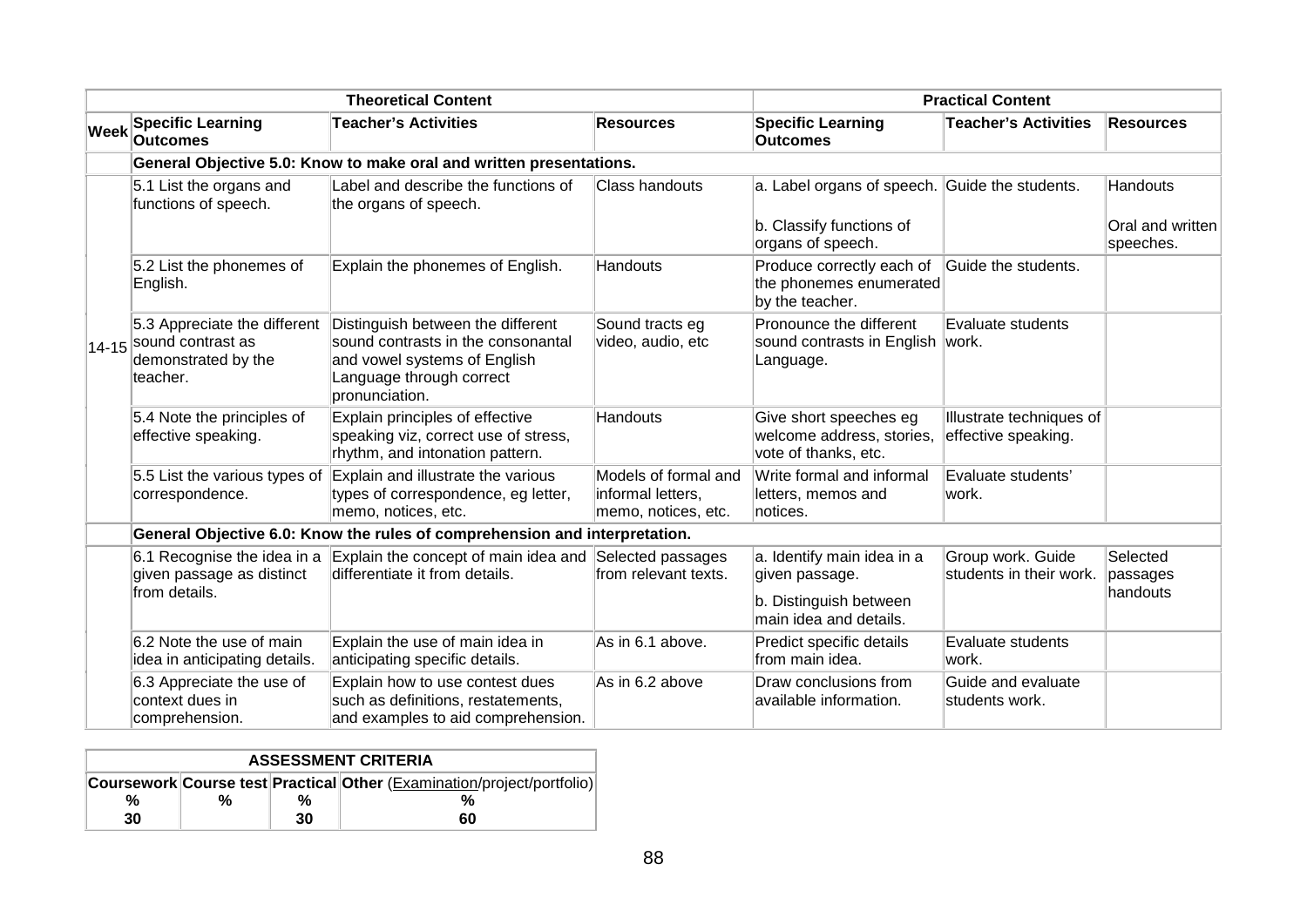|             |                                                                                            | <b>Theoretical Content</b>                                                                                                                            |                                                                  |                                                                                                  | <b>Practical Content</b>                        |                                     |
|-------------|--------------------------------------------------------------------------------------------|-------------------------------------------------------------------------------------------------------------------------------------------------------|------------------------------------------------------------------|--------------------------------------------------------------------------------------------------|-------------------------------------------------|-------------------------------------|
| <b>Week</b> | <b>Specific Learning</b><br><b>Outcomes</b>                                                | <b>Teacher's Activities</b>                                                                                                                           | <b>Resources</b>                                                 | <b>Specific Learning</b><br><b>Outcomes</b>                                                      | <b>Teacher's Activities</b>                     | <b>Resources</b>                    |
|             |                                                                                            | General Objective 5.0: Know to make oral and written presentations.                                                                                   |                                                                  |                                                                                                  |                                                 |                                     |
|             | 5.1 List the organs and<br>functions of speech.                                            | Label and describe the functions of<br>the organs of speech.                                                                                          | <b>Class handouts</b>                                            | a. Label organs of speech. Guide the students.<br>b. Classify functions of                       |                                                 | <b>Handouts</b><br>Oral and written |
|             | 5.2 List the phonemes of<br>English.                                                       | Explain the phonemes of English.                                                                                                                      | Handouts                                                         | organs of speech.<br>Produce correctly each of<br>the phonemes enumerated                        | Guide the students.                             | speeches.                           |
|             | 5.3 Appreciate the different<br>14-15 Sound contrast as<br>demonstrated by the<br>teacher. | Distinguish between the different<br>sound contrasts in the consonantal<br>and vowel systems of English<br>Language through correct<br>pronunciation. | Sound tracts eg<br>video, audio, etc                             | by the teacher.<br>Pronounce the different<br>sound contrasts in English<br>Language.            | Evaluate students<br>work.                      |                                     |
|             | 5.4 Note the principles of<br>effective speaking.                                          | Explain principles of effective<br>speaking viz, correct use of stress,<br>rhythm, and intonation pattern.                                            | Handouts                                                         | Give short speeches eg<br>welcome address, stories,<br>vote of thanks, etc.                      | Illustrate techniques of<br>effective speaking. |                                     |
|             | 5.5 List the various types of<br>correspondence.                                           | Explain and illustrate the various<br>types of correspondence, eg letter,<br>memo, notices, etc.                                                      | Models of formal and<br>informal letters,<br>memo, notices, etc. | Write formal and informal<br>letters, memos and<br>notices.                                      | Evaluate students'<br>work.                     |                                     |
|             |                                                                                            | General Objective 6.0: Know the rules of comprehension and interpretation.                                                                            |                                                                  |                                                                                                  |                                                 |                                     |
|             | given passage as distinct<br>from details.                                                 | 6.1 Recognise the idea in a Explain the concept of main idea and Selected passages<br>differentiate it from details.                                  | from relevant texts.                                             | a. Identify main idea in a<br>given passage.<br>b. Distinguish between<br>main idea and details. | Group work. Guide<br>students in their work.    | Selected<br>passages<br>handouts    |
|             | 6.2 Note the use of main<br>idea in anticipating details.                                  | Explain the use of main idea in<br>anticipating specific details.                                                                                     | As in 6.1 above.                                                 | Predict specific details<br>from main idea.                                                      | Evaluate students<br>work.                      |                                     |
|             | 6.3 Appreciate the use of<br>context dues in<br>comprehension.                             | Explain how to use contest dues<br>such as definitions, restatements,<br>and examples to aid comprehension.                                           | As in 6.2 above                                                  | Draw conclusions from<br>available information.                                                  | Guide and evaluate<br>students work.            |                                     |

|    | <b>ASSESSMENT CRITERIA</b> |    |                                                                        |  |  |  |  |  |  |  |
|----|----------------------------|----|------------------------------------------------------------------------|--|--|--|--|--|--|--|
|    |                            |    | Coursework Course test Practical Other (Examination/project/portfolio) |  |  |  |  |  |  |  |
| %  | %                          | %  |                                                                        |  |  |  |  |  |  |  |
| 30 |                            | 30 | 60                                                                     |  |  |  |  |  |  |  |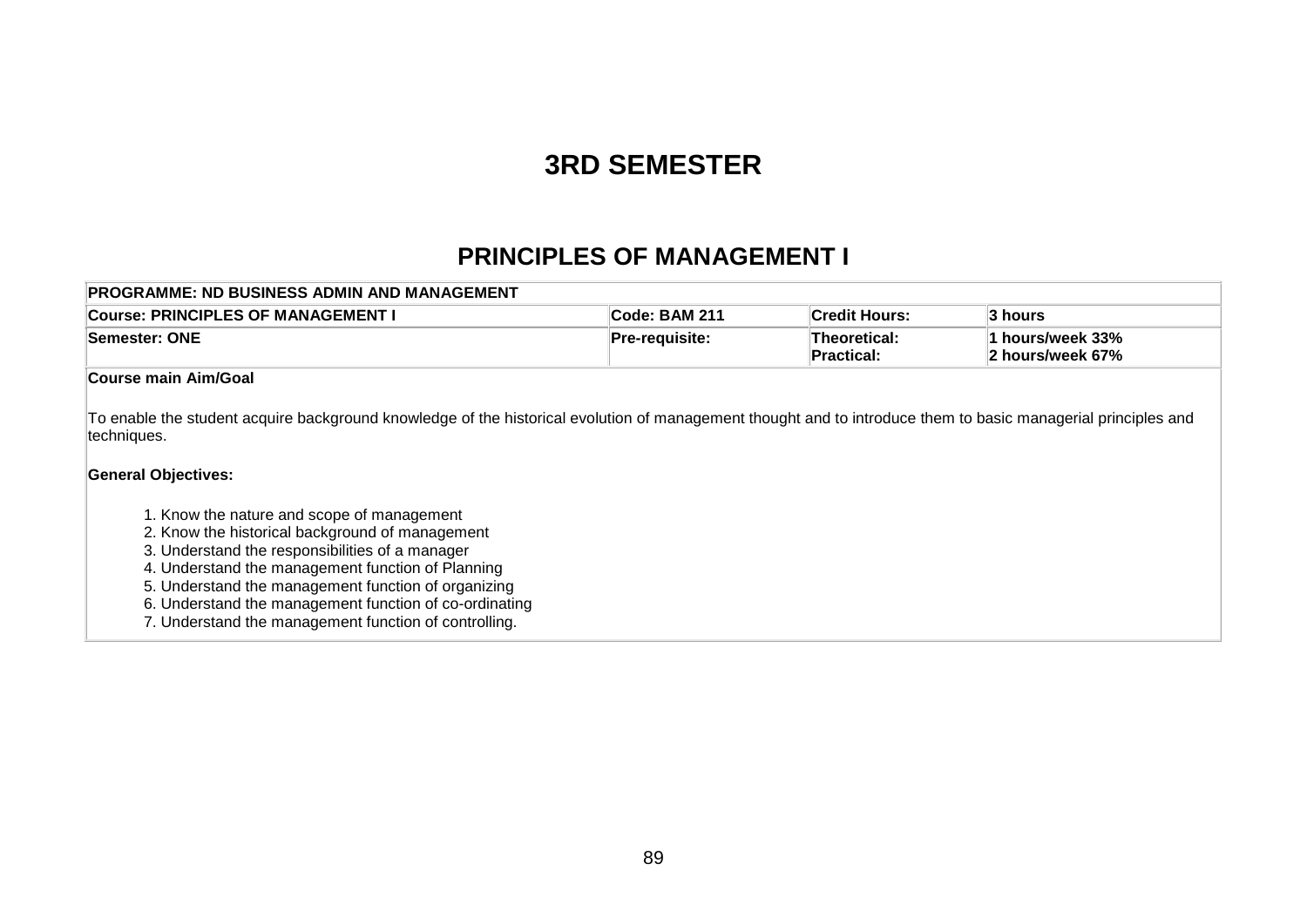# **3RD SEMESTER**

### **PRINCIPLES OF MANAGEMENT I**

| <b>PROGRAMME: ND BUSINESS ADMIN AND MANAGEMENT</b> |                |                              |                                      |
|----------------------------------------------------|----------------|------------------------------|--------------------------------------|
| Course: PRINCIPLES OF MANAGEMENT                   | 'Code: BAM 211 | <b>Credit Hours:</b>         | 3 hours                              |
| Semester: ONE                                      | Pre-reauisite: | ∣Theoretical:<br>∣Practical: | 1 hours/week 33%<br>2 hours/week 67% |

#### **Course main Aim/Goal**

To enable the student acquire background knowledge of the historical evolution of management thought and to introduce them to basic managerial principles and techniques.

#### **General Objectives:**

- 1. Know the nature and scope of management
- 2. Know the historical background of management
- 3. Understand the responsibilities of a manager
- 4. Understand the management function of Planning
- 5. Understand the management function of organizing
- 6. Understand the management function of co-ordinating
- 7. Understand the management function of controlling.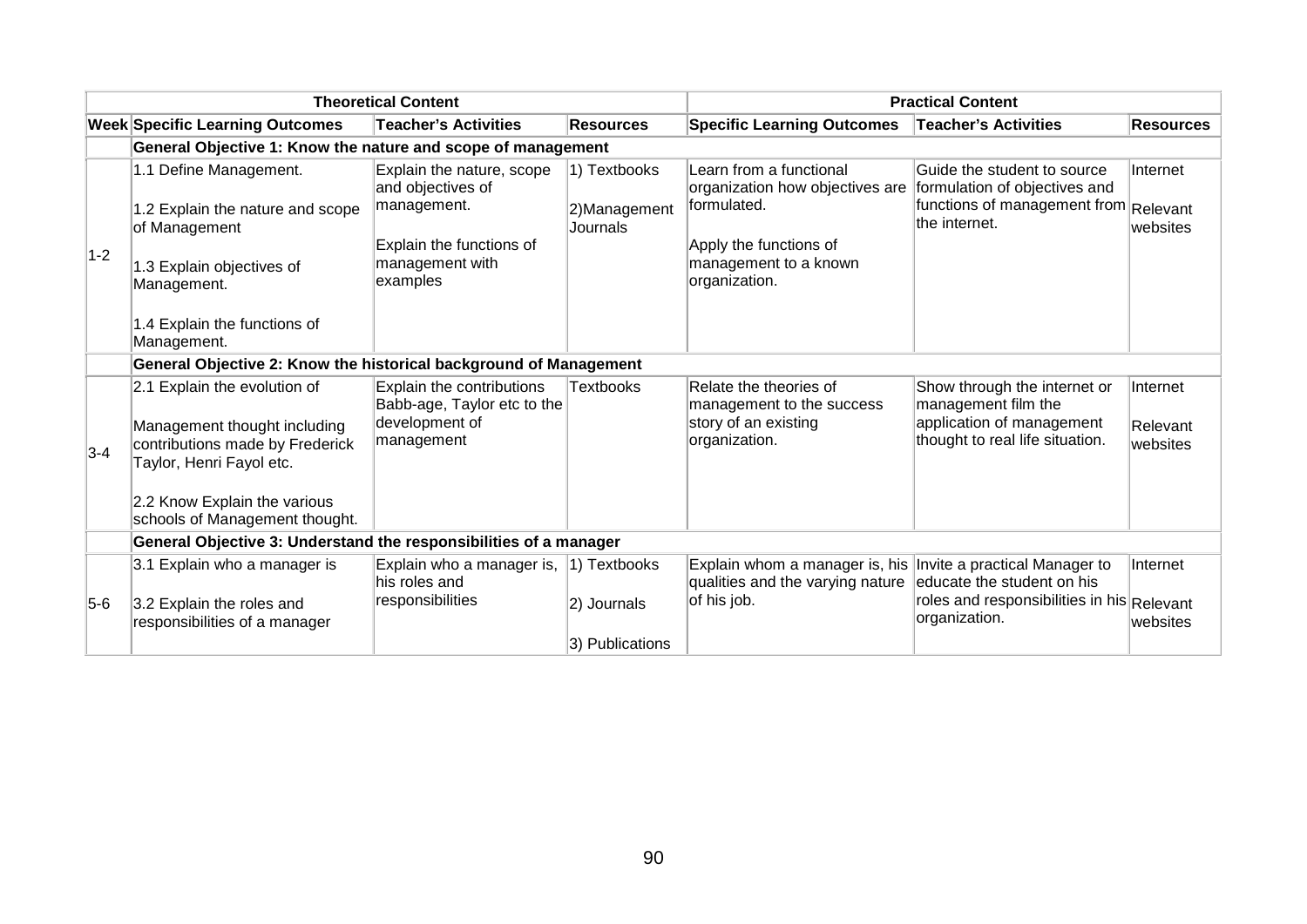|       |                                                                                                                                                                                               | <b>Theoretical Content</b>                                                                                               |                                          |                                                                                                                                               | <b>Practical Content</b>                                                                                               |                                  |
|-------|-----------------------------------------------------------------------------------------------------------------------------------------------------------------------------------------------|--------------------------------------------------------------------------------------------------------------------------|------------------------------------------|-----------------------------------------------------------------------------------------------------------------------------------------------|------------------------------------------------------------------------------------------------------------------------|----------------------------------|
|       | <b>Week Specific Learning Outcomes</b>                                                                                                                                                        | <b>Teacher's Activities</b>                                                                                              | <b>Resources</b>                         | <b>Specific Learning Outcomes</b>                                                                                                             | <b>Teacher's Activities</b>                                                                                            | <b>Resources</b>                 |
|       | General Objective 1: Know the nature and scope of management                                                                                                                                  |                                                                                                                          |                                          |                                                                                                                                               |                                                                                                                        |                                  |
| $1-2$ | 1.1 Define Management.<br>1.2 Explain the nature and scope<br>of Management<br>1.3 Explain objectives of<br>Management.                                                                       | Explain the nature, scope<br>and objectives of<br>management.<br>Explain the functions of<br>management with<br>examples | 1) Textbooks<br>2)Management<br>Journals | Learn from a functional<br>organization how objectives are<br>formulated.<br>Apply the functions of<br>management to a known<br>organization. | Guide the student to source<br>formulation of objectives and<br>functions of management from Relevant<br>the internet. | Internet<br>websites             |
|       | 1.4 Explain the functions of<br>Management.                                                                                                                                                   |                                                                                                                          |                                          |                                                                                                                                               |                                                                                                                        |                                  |
|       | General Objective 2: Know the historical background of Management                                                                                                                             |                                                                                                                          |                                          |                                                                                                                                               |                                                                                                                        |                                  |
| $3-4$ | 2.1 Explain the evolution of<br>Management thought including<br>contributions made by Frederick<br>Taylor, Henri Fayol etc.<br>2.2 Know Explain the various<br>schools of Management thought. | Explain the contributions<br>Babb-age, Taylor etc to the<br>development of<br>management                                 | <b>Textbooks</b>                         | Relate the theories of<br>management to the success<br>story of an existing<br>organization.                                                  | Show through the internet or<br>management film the<br>application of management<br>thought to real life situation.    | Internet<br>Relevant<br>websites |
|       | General Objective 3: Understand the responsibilities of a manager                                                                                                                             |                                                                                                                          |                                          |                                                                                                                                               |                                                                                                                        |                                  |
| $5-6$ | 3.1 Explain who a manager is<br>3.2 Explain the roles and<br>responsibilities of a manager                                                                                                    | Explain who a manager is, $ 1\rangle$ Textbooks<br>his roles and<br>responsibilities                                     | 2) Journals<br>3) Publications           | Explain whom a manager is, his Invite a practical Manager to<br>qualities and the varying nature<br>of his job.                               | educate the student on his<br>roles and responsibilities in his Relevant<br>organization.                              | Internet<br>websites             |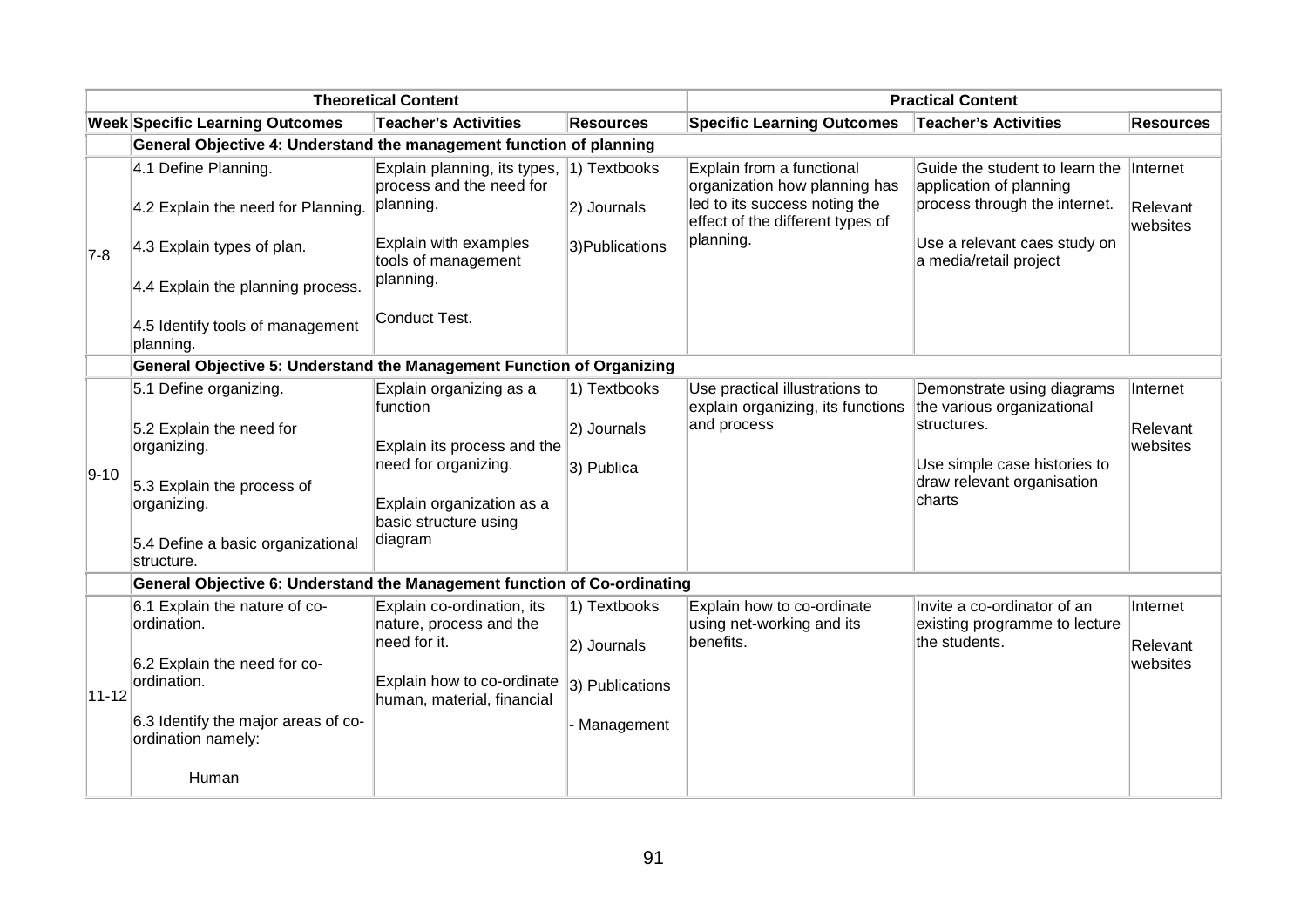|           |                                                                          | <b>Theoretical Content</b>                                            |                                |                                                                                             | <b>Practical Content</b>                                                                   |                      |
|-----------|--------------------------------------------------------------------------|-----------------------------------------------------------------------|--------------------------------|---------------------------------------------------------------------------------------------|--------------------------------------------------------------------------------------------|----------------------|
|           | <b>Week Specific Learning Outcomes</b>                                   | <b>Teacher's Activities</b>                                           | <b>Resources</b>               | <b>Specific Learning Outcomes</b>                                                           | <b>Teacher's Activities</b>                                                                | <b>Resources</b>     |
|           | General Objective 4: Understand the management function of planning      |                                                                       |                                |                                                                                             |                                                                                            |                      |
|           | 4.1 Define Planning.<br>4.2 Explain the need for Planning.               | Explain planning, its types,<br>process and the need for<br>planning. | $ 1)$ Textbooks<br>2) Journals | Explain from a functional<br>organization how planning has<br>led to its success noting the | Guide the student to learn the<br>application of planning<br>process through the internet. | Internet<br>Relevant |
|           |                                                                          |                                                                       |                                | effect of the different types of                                                            |                                                                                            | websites             |
| $7-8$     | 4.3 Explain types of plan.                                               | Explain with examples<br>tools of management                          | 3) Publications                | planning.                                                                                   | Use a relevant caes study on<br>a media/retail project                                     |                      |
|           | 4.4 Explain the planning process.                                        | planning.                                                             |                                |                                                                                             |                                                                                            |                      |
|           | 4.5 Identify tools of management<br>planning.                            | Conduct Test.                                                         |                                |                                                                                             |                                                                                            |                      |
|           | General Objective 5: Understand the Management Function of Organizing    |                                                                       |                                |                                                                                             |                                                                                            |                      |
|           | 5.1 Define organizing.                                                   | Explain organizing as a<br>function                                   | 1) Textbooks                   | Use practical illustrations to<br>explain organizing, its functions                         | Demonstrate using diagrams<br>the various organizational                                   | Internet             |
|           | 5.2 Explain the need for                                                 |                                                                       | 2) Journals                    | and process                                                                                 | structures.                                                                                | Relevant             |
|           | organizing.                                                              | Explain its process and the                                           |                                |                                                                                             | Use simple case histories to                                                               | websites             |
| $ 9-10 $  | 5.3 Explain the process of                                               | need for organizing.                                                  | 3) Publica                     |                                                                                             | draw relevant organisation                                                                 |                      |
|           | organizing.                                                              | Explain organization as a<br>basic structure using                    |                                |                                                                                             | charts                                                                                     |                      |
|           | 5.4 Define a basic organizational<br>structure.                          | diagram                                                               |                                |                                                                                             |                                                                                            |                      |
|           | General Objective 6: Understand the Management function of Co-ordinating |                                                                       |                                |                                                                                             |                                                                                            |                      |
|           | 6.1 Explain the nature of co-<br>ordination.                             | Explain co-ordination, its<br>nature, process and the                 | 1) Textbooks                   | Explain how to co-ordinate<br>using net-working and its                                     | Invite a co-ordinator of an<br>existing programme to lecture                               | Internet             |
|           |                                                                          | need for it.                                                          | 2) Journals                    | benefits.                                                                                   | the students.                                                                              | Relevant             |
| $11 - 12$ | 6.2 Explain the need for co-<br>ordination.                              | Explain how to co-ordinate<br>human, material, financial              | 3) Publications                |                                                                                             |                                                                                            | websites             |
|           | 6.3 Identify the major areas of co-<br>ordination namely:                |                                                                       | Management                     |                                                                                             |                                                                                            |                      |
|           | Human                                                                    |                                                                       |                                |                                                                                             |                                                                                            |                      |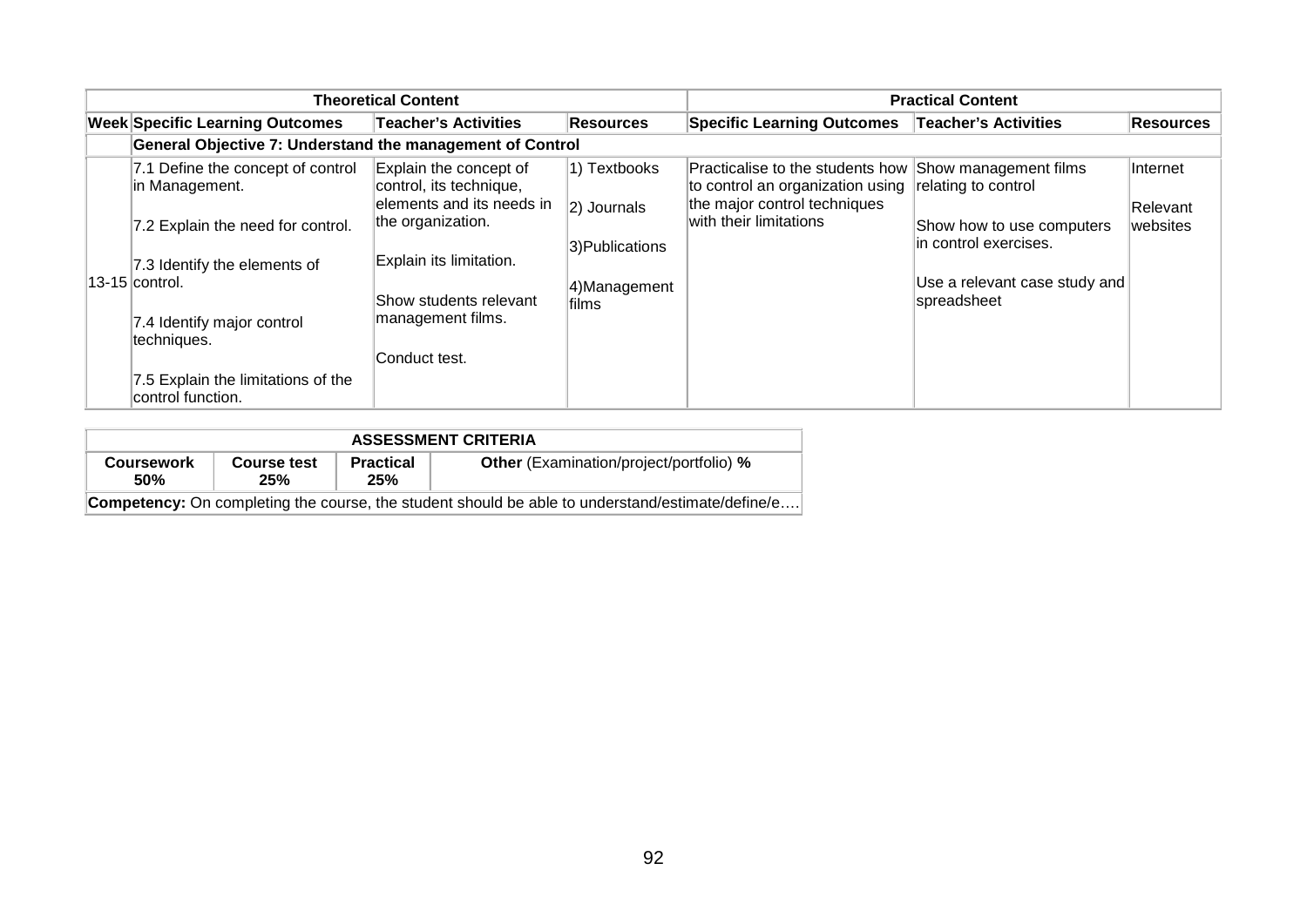|                                                                                                                                                                                                                                                      | <b>Theoretical Content</b>                                                                                                                                                                     |                                                                             |                                                                                                                                                      | <b>Practical Content</b>                                                                                                  |                                  |
|------------------------------------------------------------------------------------------------------------------------------------------------------------------------------------------------------------------------------------------------------|------------------------------------------------------------------------------------------------------------------------------------------------------------------------------------------------|-----------------------------------------------------------------------------|------------------------------------------------------------------------------------------------------------------------------------------------------|---------------------------------------------------------------------------------------------------------------------------|----------------------------------|
| <b>Week Specific Learning Outcomes</b>                                                                                                                                                                                                               | <b>Teacher's Activities</b>                                                                                                                                                                    | <b>Resources</b>                                                            | <b>Specific Learning Outcomes</b>                                                                                                                    | <b>Teacher's Activities</b>                                                                                               | <b>Resources</b>                 |
| General Objective 7: Understand the management of Control                                                                                                                                                                                            |                                                                                                                                                                                                |                                                                             |                                                                                                                                                      |                                                                                                                           |                                  |
| 7.1 Define the concept of control<br>in Management.<br>7.2 Explain the need for control.<br>7.3 Identify the elements of<br>$13-15$ control.<br>7.4 Identify major control<br>techniques.<br>7.5 Explain the limitations of the<br>control function. | Explain the concept of<br>control, its technique,<br>elements and its needs in<br>the organization.<br>Explain its limitation.<br>Show students relevant<br>management films.<br>Conduct test. | 1) Textbooks<br>$ 2)$ Journals<br>3) Publications<br>4)Management<br>lfilms | Practicalise to the students how Show management films<br>to control an organization using<br>the major control techniques<br>with their limitations | relating to control<br>Show how to use computers<br>in control exercises.<br>Use a relevant case study and<br>spreadsheet | Internet<br>Relevant<br>websites |

| <b>ASSESSMENT CRITERIA</b> |                    |                         |                                                                                                         |  |  |  |
|----------------------------|--------------------|-------------------------|---------------------------------------------------------------------------------------------------------|--|--|--|
| <b>Coursework</b><br>50%   | Course test<br>25% | <b>Practical</b><br>25% | <b>Other</b> (Examination/project/portfolio) %                                                          |  |  |  |
|                            |                    |                         | <b>Competency:</b> On completing the course, the student should be able to understand/estimate/define/e |  |  |  |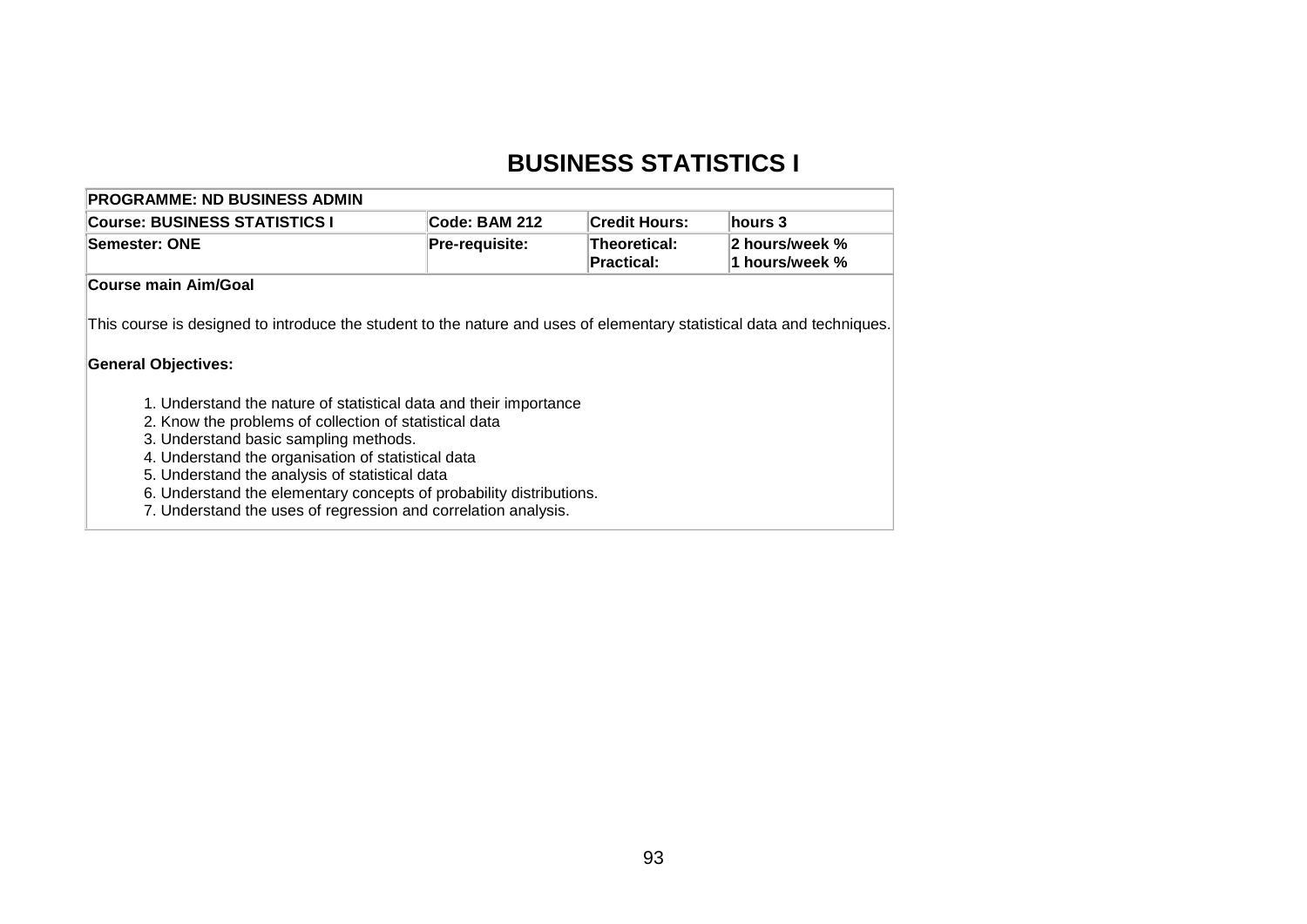## **BUSINESS STATISTICS I**

| <b>Course: BUSINESS STATISTICS I</b>                                                                                                                 | Code: BAM 212  | <b>Credit Hours:</b>       | hours 3                          |
|------------------------------------------------------------------------------------------------------------------------------------------------------|----------------|----------------------------|----------------------------------|
| Semester: ONE                                                                                                                                        | Pre-requisite: | Theoretical:<br>Practical: | 2 hours/week %<br>1 hours/week % |
| Course main Aim/Goal                                                                                                                                 |                |                            |                                  |
|                                                                                                                                                      |                |                            |                                  |
|                                                                                                                                                      |                |                            |                                  |
|                                                                                                                                                      |                |                            |                                  |
|                                                                                                                                                      |                |                            |                                  |
| This course is designed to introduce the student to the nature and uses of elementary statistical data and techniques.<br><b>General Objectives:</b> |                |                            |                                  |
| 1. Understand the nature of statistical data and their importance<br>2. Know the problems of collection of statistical data                          |                |                            |                                  |

- 4. Understand the organisation of statistical data
- 5. Understand the analysis of statistical data
- 6. Understand the elementary concepts of probability distributions.
- 7. Understand the uses of regression and correlation analysis.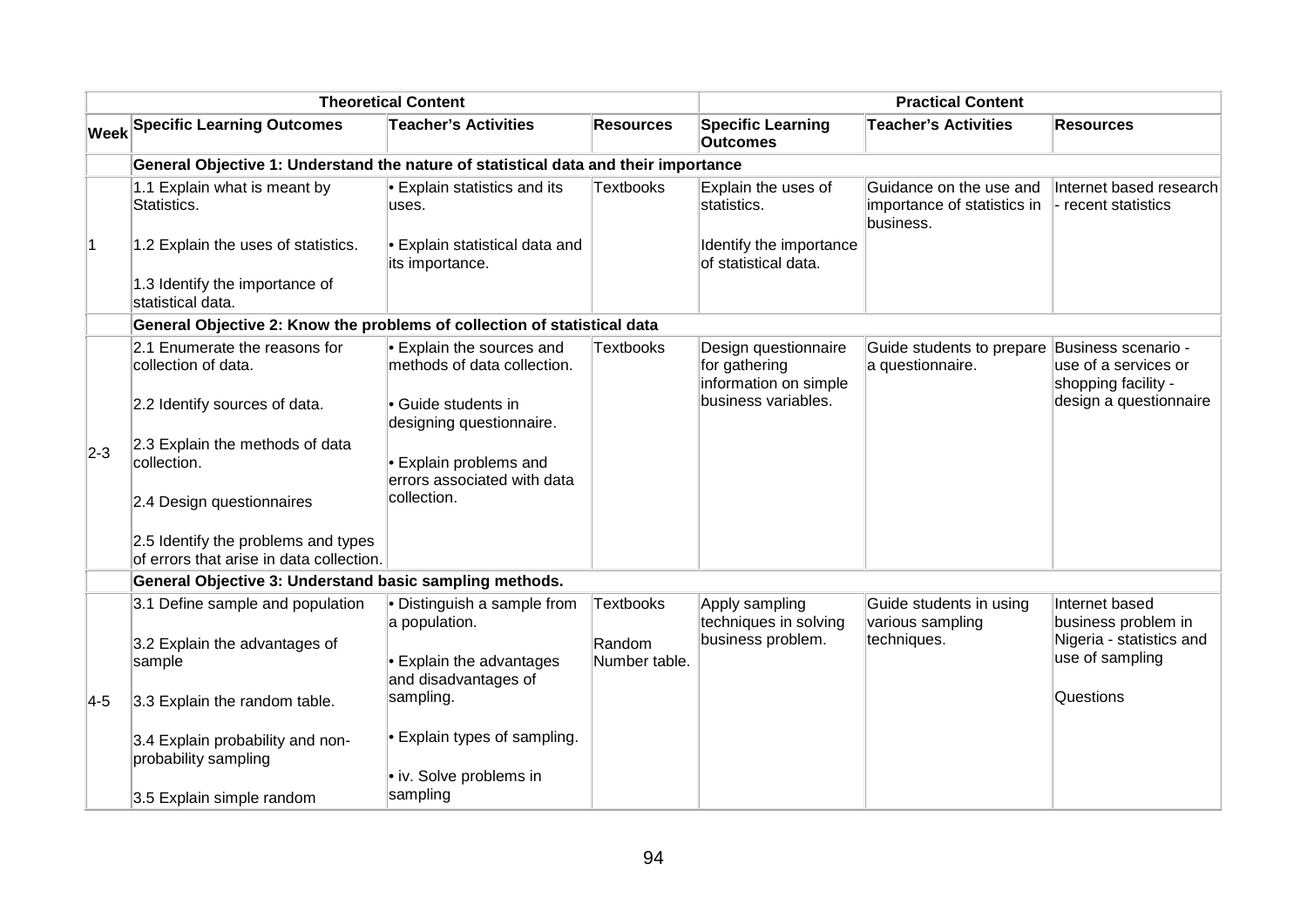|                |                                                                                     | <b>Theoretical Content</b>                               |                         |                                                                | <b>Practical Content</b>                                            |                                                                    |
|----------------|-------------------------------------------------------------------------------------|----------------------------------------------------------|-------------------------|----------------------------------------------------------------|---------------------------------------------------------------------|--------------------------------------------------------------------|
|                | <b>Week Specific Learning Outcomes</b>                                              | <b>Teacher's Activities</b>                              | <b>Resources</b>        | <b>Specific Learning</b><br><b>Outcomes</b>                    | <b>Teacher's Activities</b>                                         | <b>Resources</b>                                                   |
|                | General Objective 1: Understand the nature of statistical data and their importance |                                                          |                         |                                                                |                                                                     |                                                                    |
|                | 1.1 Explain what is meant by<br>Statistics.                                         | • Explain statistics and its<br>uses.                    | <b>Textbooks</b>        | Explain the uses of<br>statistics.                             | Guidance on the use and<br>importance of statistics in<br>business. | Internet based research<br>- recent statistics                     |
| $\overline{1}$ | 1.2 Explain the uses of statistics.                                                 | • Explain statistical data and<br>its importance.        |                         | Identify the importance<br>of statistical data.                |                                                                     |                                                                    |
|                | 1.3 Identify the importance of<br>statistical data.                                 |                                                          |                         |                                                                |                                                                     |                                                                    |
|                | General Objective 2: Know the problems of collection of statistical data            |                                                          |                         |                                                                |                                                                     |                                                                    |
|                | 2.1 Enumerate the reasons for<br>collection of data.                                | • Explain the sources and<br>methods of data collection. | <b>Textbooks</b>        | Design questionnaire<br>for gathering<br>information on simple | Guide students to prepare<br>a questionnaire.                       | Business scenario -<br>use of a services or<br>shopping facility - |
|                | 2.2 Identify sources of data.                                                       | • Guide students in<br>designing questionnaire.          |                         | business variables.                                            |                                                                     | design a questionnaire                                             |
| $2-3$          | 2.3 Explain the methods of data<br>collection.                                      | • Explain problems and<br>errors associated with data    |                         |                                                                |                                                                     |                                                                    |
|                | 2.4 Design questionnaires                                                           | collection.                                              |                         |                                                                |                                                                     |                                                                    |
|                | 2.5 Identify the problems and types<br>of errors that arise in data collection.     |                                                          |                         |                                                                |                                                                     |                                                                    |
|                | General Objective 3: Understand basic sampling methods.                             |                                                          |                         |                                                                |                                                                     |                                                                    |
|                | 3.1 Define sample and population                                                    | · Distinguish a sample from<br>a population.             | <b>Textbooks</b>        | Apply sampling<br>techniques in solving                        | Guide students in using<br>various sampling                         | Internet based<br>business problem in                              |
|                | 3.2 Explain the advantages of<br>sample                                             | • Explain the advantages<br>and disadvantages of         | Random<br>Number table. | business problem.                                              | techniques.                                                         | Nigeria - statistics and<br>use of sampling                        |
| $ 4-5 $        | 3.3 Explain the random table.                                                       | sampling.                                                |                         |                                                                |                                                                     | Questions                                                          |
|                | 3.4 Explain probability and non-<br>probability sampling                            | • Explain types of sampling.                             |                         |                                                                |                                                                     |                                                                    |
|                | 3.5 Explain simple random                                                           | • iv. Solve problems in<br>sampling                      |                         |                                                                |                                                                     |                                                                    |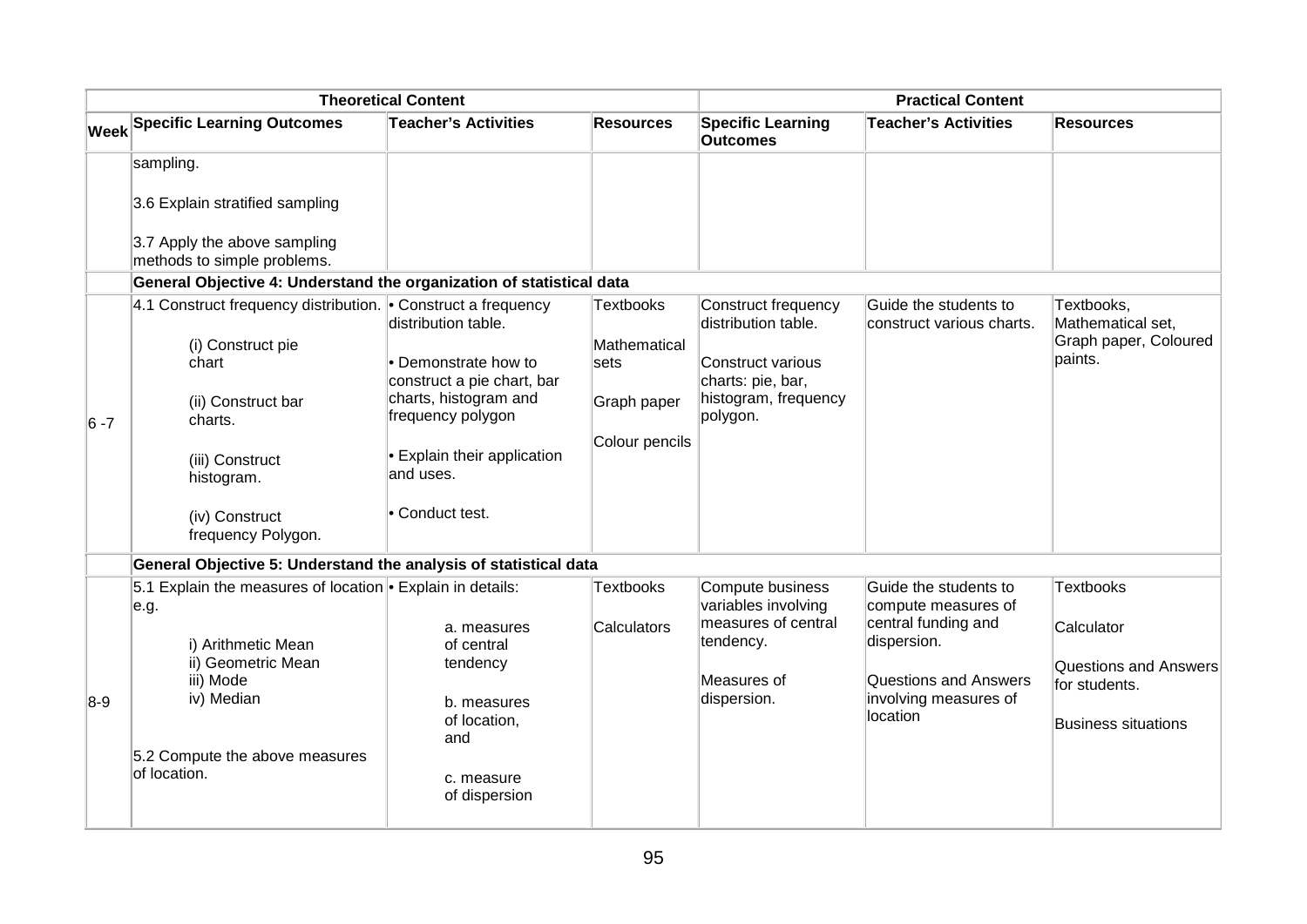|         |                                                                           | <b>Theoretical Content</b>                         |                    |                                             | <b>Practical Content</b>                           |                                 |
|---------|---------------------------------------------------------------------------|----------------------------------------------------|--------------------|---------------------------------------------|----------------------------------------------------|---------------------------------|
|         | Week Specific Learning Outcomes                                           | <b>Teacher's Activities</b>                        | <b>Resources</b>   | <b>Specific Learning</b><br><b>Outcomes</b> | <b>Teacher's Activities</b>                        | <b>Resources</b>                |
|         | sampling.                                                                 |                                                    |                    |                                             |                                                    |                                 |
|         | 3.6 Explain stratified sampling                                           |                                                    |                    |                                             |                                                    |                                 |
|         | 3.7 Apply the above sampling<br>methods to simple problems.               |                                                    |                    |                                             |                                                    |                                 |
|         | General Objective 4: Understand the organization of statistical data      |                                                    |                    |                                             |                                                    |                                 |
|         | 4.1 Construct frequency distribution. $\bullet$ Construct a frequency     | distribution table.                                | <b>Textbooks</b>   | Construct frequency<br>distribution table.  | Guide the students to<br>construct various charts. | Textbooks,<br>Mathematical set, |
|         | (i) Construct pie                                                         |                                                    | Mathematical       |                                             |                                                    | Graph paper, Coloured           |
|         | chart                                                                     | • Demonstrate how to<br>construct a pie chart, bar | sets               | Construct various<br>charts: pie, bar,      |                                                    | paints.                         |
| $6 - 7$ | (ii) Construct bar<br>charts.                                             | charts, histogram and<br>frequency polygon         | Graph paper        | histogram, frequency<br>polygon.            |                                                    |                                 |
|         | (iii) Construct<br>histogram.                                             | <b>Explain their application</b><br>and uses.      | Colour pencils     |                                             |                                                    |                                 |
|         | (iv) Construct<br>frequency Polygon.                                      | • Conduct test.                                    |                    |                                             |                                                    |                                 |
|         | General Objective 5: Understand the analysis of statistical data          |                                                    |                    |                                             |                                                    |                                 |
|         | 5.1 Explain the measures of location $\cdot$ Explain in details:<br>∣e.g. |                                                    | <b>Textbooks</b>   | Compute business<br>variables involving     | Guide the students to<br>compute measures of       | <b>Textbooks</b>                |
|         | i) Arithmetic Mean                                                        | a. measures<br>of central                          | <b>Calculators</b> | measures of central<br>tendency.            | central funding and<br>dispersion.                 | Calculator                      |
|         | ii) Geometric Mean<br>iii) Mode                                           | tendency                                           |                    | Measures of                                 | <b>Questions and Answers</b>                       | <b>Questions and Answers</b>    |
| $8-9$   | iv) Median                                                                | b. measures                                        |                    | dispersion.                                 | involving measures of                              | for students.                   |
|         |                                                                           | of location,<br>and                                |                    |                                             | location                                           | <b>Business situations</b>      |
|         | 5.2 Compute the above measures<br>of location.                            | c. measure                                         |                    |                                             |                                                    |                                 |
|         |                                                                           | of dispersion                                      |                    |                                             |                                                    |                                 |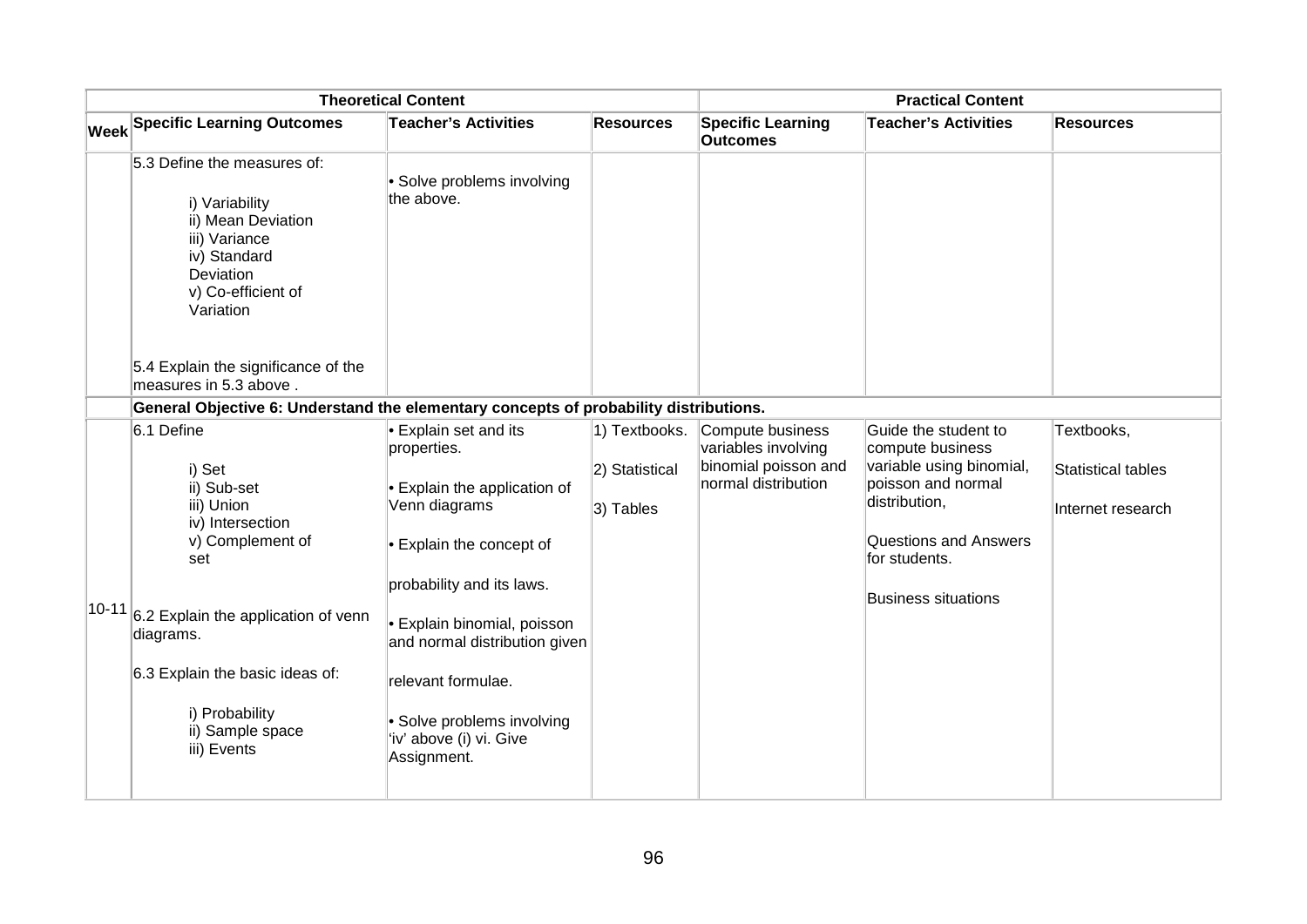| <b>Theoretical Content</b> |                                                                                                                                                                                                                                                        |                                                                                                                                                                                                                                                                                                                     | <b>Practical Content</b>                     |                                                                                        |                                                                                                                                                                                            |                                                       |
|----------------------------|--------------------------------------------------------------------------------------------------------------------------------------------------------------------------------------------------------------------------------------------------------|---------------------------------------------------------------------------------------------------------------------------------------------------------------------------------------------------------------------------------------------------------------------------------------------------------------------|----------------------------------------------|----------------------------------------------------------------------------------------|--------------------------------------------------------------------------------------------------------------------------------------------------------------------------------------------|-------------------------------------------------------|
|                            | Week Specific Learning Outcomes                                                                                                                                                                                                                        | <b>Teacher's Activities</b>                                                                                                                                                                                                                                                                                         | <b>Resources</b>                             | <b>Specific Learning</b><br><b>Outcomes</b>                                            | <b>Teacher's Activities</b>                                                                                                                                                                | <b>Resources</b>                                      |
|                            | 5.3 Define the measures of:<br>i) Variability<br>ii) Mean Deviation<br>iii) Variance<br>iv) Standard<br>Deviation<br>v) Co-efficient of<br>Variation                                                                                                   | • Solve problems involving<br>the above.                                                                                                                                                                                                                                                                            |                                              |                                                                                        |                                                                                                                                                                                            |                                                       |
|                            | 5.4 Explain the significance of the<br>measures in 5.3 above.                                                                                                                                                                                          |                                                                                                                                                                                                                                                                                                                     |                                              |                                                                                        |                                                                                                                                                                                            |                                                       |
|                            | General Objective 6: Understand the elementary concepts of probability distributions.                                                                                                                                                                  |                                                                                                                                                                                                                                                                                                                     |                                              |                                                                                        |                                                                                                                                                                                            |                                                       |
|                            | 6.1 Define<br>i) Set<br>ii) Sub-set<br>iii) Union<br>iv) Intersection<br>v) Complement of<br>set<br>$ 10-11 $ 6.2 Explain the application of venn<br>diagrams.<br>6.3 Explain the basic ideas of:<br>i) Probability<br>ii) Sample space<br>iii) Events | Explain set and its<br>properties.<br>Explain the application of<br>Venn diagrams<br>$\cdot$ Explain the concept of<br>probability and its laws.<br><b>Explain binomial, poisson</b><br>and normal distribution given<br>relevant formulae.<br>• Solve problems involving<br>'iv' above (i) vi. Give<br>Assignment. | 1) Textbooks.<br>2) Statistical<br>3) Tables | Compute business<br>variables involving<br>binomial poisson and<br>normal distribution | Guide the student to<br>compute business<br>variable using binomial,<br>poisson and normal<br>distribution,<br><b>Questions and Answers</b><br>for students.<br><b>Business situations</b> | Textbooks,<br>Statistical tables<br>Internet research |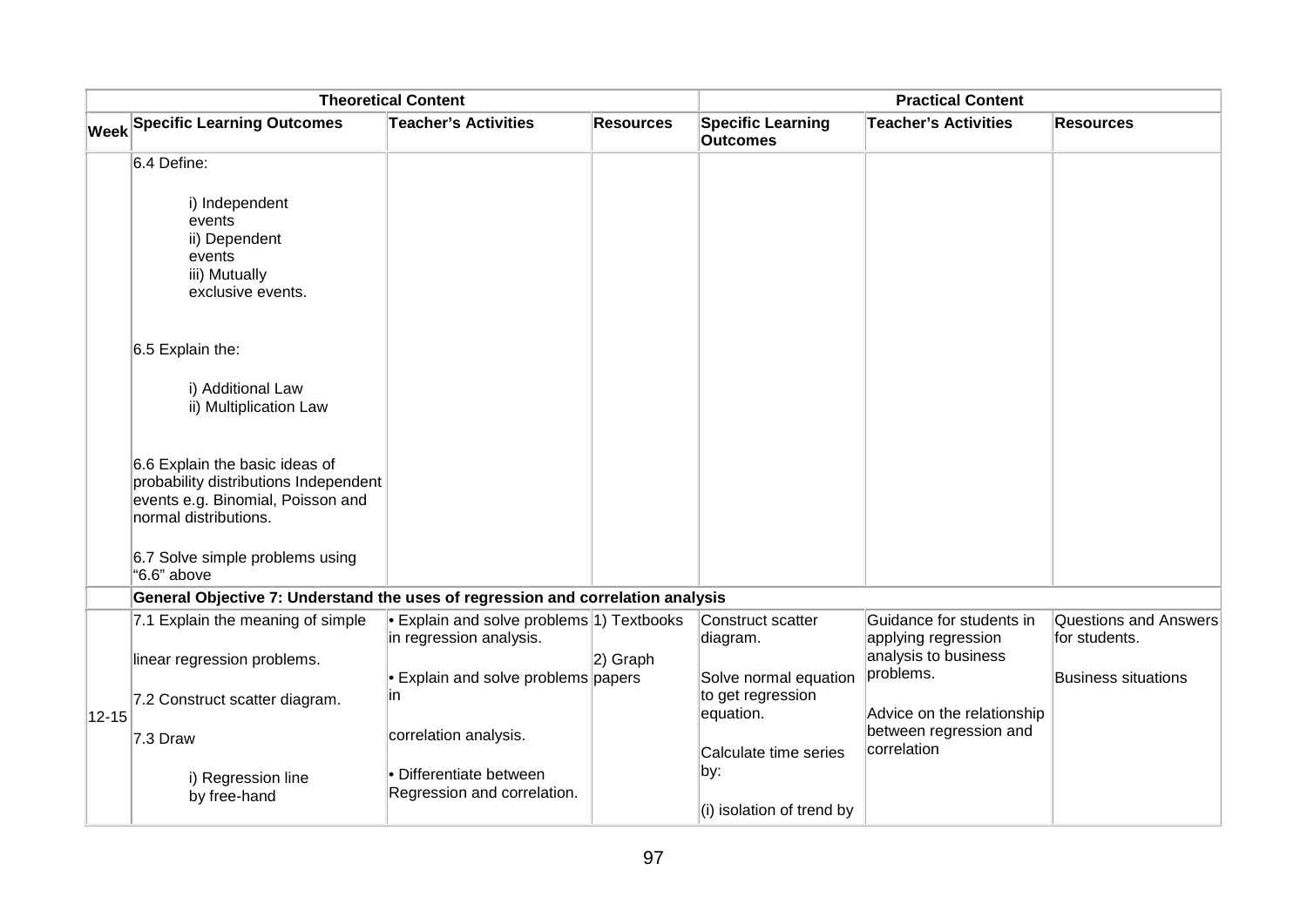| <b>Theoretical Content</b> |                                                                                                                                       |                                                                      | <b>Practical Content</b> |                                                         |                                                 |                                               |
|----------------------------|---------------------------------------------------------------------------------------------------------------------------------------|----------------------------------------------------------------------|--------------------------|---------------------------------------------------------|-------------------------------------------------|-----------------------------------------------|
|                            | <b>Week Specific Learning Outcomes</b>                                                                                                | <b>Teacher's Activities</b>                                          | <b>Resources</b>         | <b>Specific Learning</b><br><b>Outcomes</b>             | <b>Teacher's Activities</b>                     | <b>Resources</b>                              |
|                            | 6.4 Define:                                                                                                                           |                                                                      |                          |                                                         |                                                 |                                               |
|                            | i) Independent<br>events<br>ii) Dependent<br>events<br>iii) Mutually<br>exclusive events.                                             |                                                                      |                          |                                                         |                                                 |                                               |
|                            | 6.5 Explain the:                                                                                                                      |                                                                      |                          |                                                         |                                                 |                                               |
|                            | i) Additional Law<br>ii) Multiplication Law                                                                                           |                                                                      |                          |                                                         |                                                 |                                               |
|                            | 6.6 Explain the basic ideas of<br>probability distributions Independent<br>events e.g. Binomial, Poisson and<br>normal distributions. |                                                                      |                          |                                                         |                                                 |                                               |
|                            | 6.7 Solve simple problems using<br>"6.6" above                                                                                        |                                                                      |                          |                                                         |                                                 |                                               |
|                            | General Objective 7: Understand the uses of regression and correlation analysis                                                       |                                                                      |                          |                                                         |                                                 |                                               |
|                            | 7.1 Explain the meaning of simple                                                                                                     | • Explain and solve problems 1) Textbooks<br>in regression analysis. |                          | Construct scatter<br>diagram.                           | Guidance for students in<br>applying regression | <b>Questions and Answers</b><br>for students. |
|                            | linear regression problems.                                                                                                           |                                                                      | 2) Graph                 |                                                         | analysis to business<br>problems.               |                                               |
| $ 12 - 15 $                | 7.2 Construct scatter diagram.                                                                                                        | • Explain and solve problems papers<br>in                            |                          | Solve normal equation<br>to get regression<br>equation. | Advice on the relationship                      | <b>Business situations</b>                    |
|                            | 7.3 Draw                                                                                                                              | correlation analysis.                                                |                          | Calculate time series                                   | between regression and<br>correlation           |                                               |
|                            | i) Regression line<br>by free-hand                                                                                                    | • Differentiate between<br>Regression and correlation.               |                          | by:<br>(i) isolation of trend by                        |                                                 |                                               |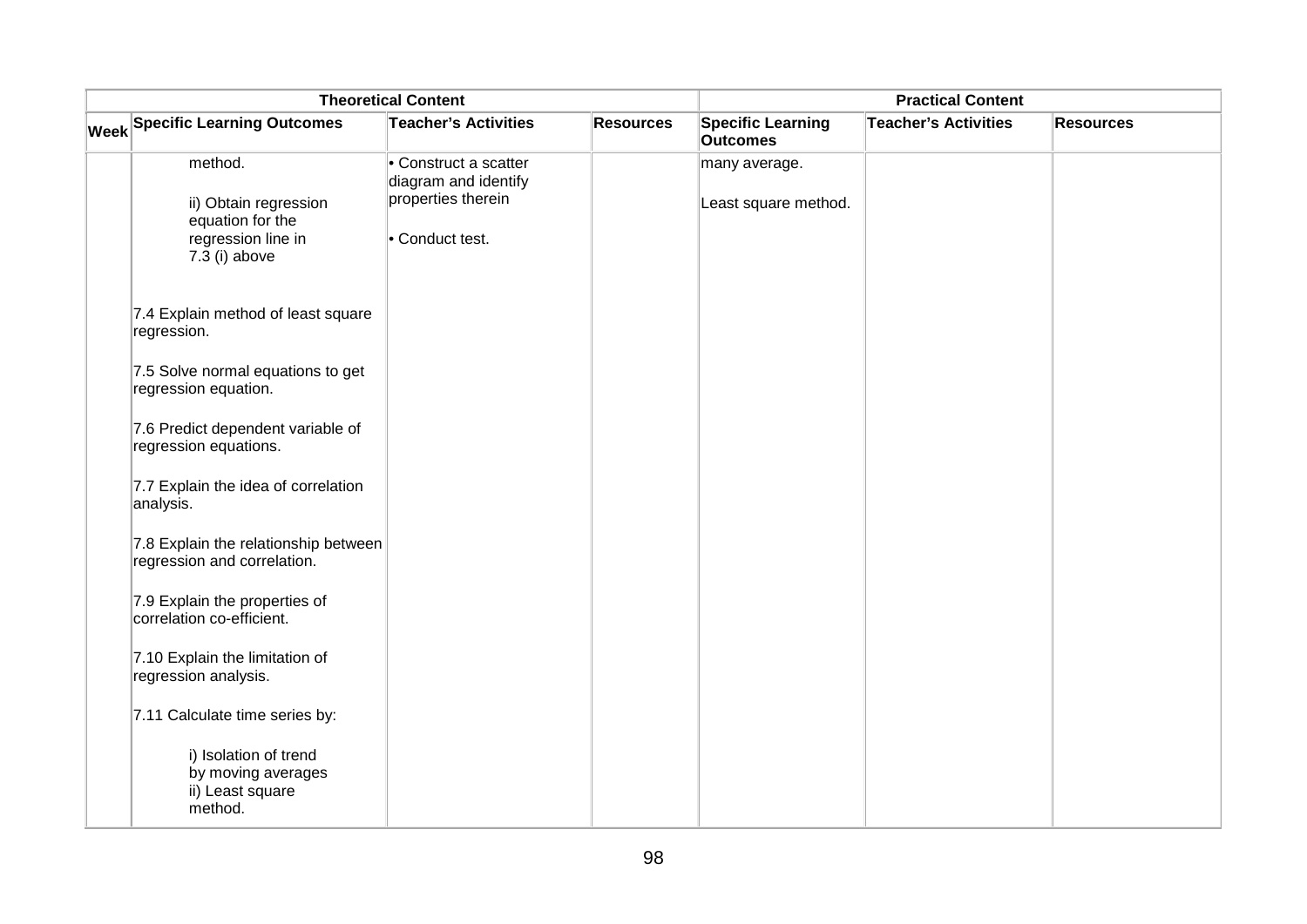| <b>Theoretical Content</b> |                                                                                  |                                             | <b>Practical Content</b> |                                             |                             |                  |
|----------------------------|----------------------------------------------------------------------------------|---------------------------------------------|--------------------------|---------------------------------------------|-----------------------------|------------------|
|                            | <b>Week Specific Learning Outcomes</b>                                           | <b>Teacher's Activities</b>                 | <b>Resources</b>         | <b>Specific Learning</b><br><b>Outcomes</b> | <b>Teacher's Activities</b> | <b>Resources</b> |
|                            | method.                                                                          | Construct a scatter<br>diagram and identify |                          | many average.                               |                             |                  |
|                            | ii) Obtain regression<br>equation for the<br>regression line in<br>7.3 (i) above | properties therein<br>• Conduct test.       |                          | Least square method.                        |                             |                  |
|                            | 7.4 Explain method of least square<br>regression.                                |                                             |                          |                                             |                             |                  |
|                            | 7.5 Solve normal equations to get<br>regression equation.                        |                                             |                          |                                             |                             |                  |
|                            | 7.6 Predict dependent variable of<br>regression equations.                       |                                             |                          |                                             |                             |                  |
|                            | 7.7 Explain the idea of correlation<br>analysis.                                 |                                             |                          |                                             |                             |                  |
|                            | 7.8 Explain the relationship between<br>regression and correlation.              |                                             |                          |                                             |                             |                  |
|                            | 7.9 Explain the properties of<br>correlation co-efficient.                       |                                             |                          |                                             |                             |                  |
|                            | 7.10 Explain the limitation of<br>regression analysis.                           |                                             |                          |                                             |                             |                  |
|                            | 7.11 Calculate time series by:                                                   |                                             |                          |                                             |                             |                  |
|                            | i) Isolation of trend<br>by moving averages<br>ii) Least square<br>method.       |                                             |                          |                                             |                             |                  |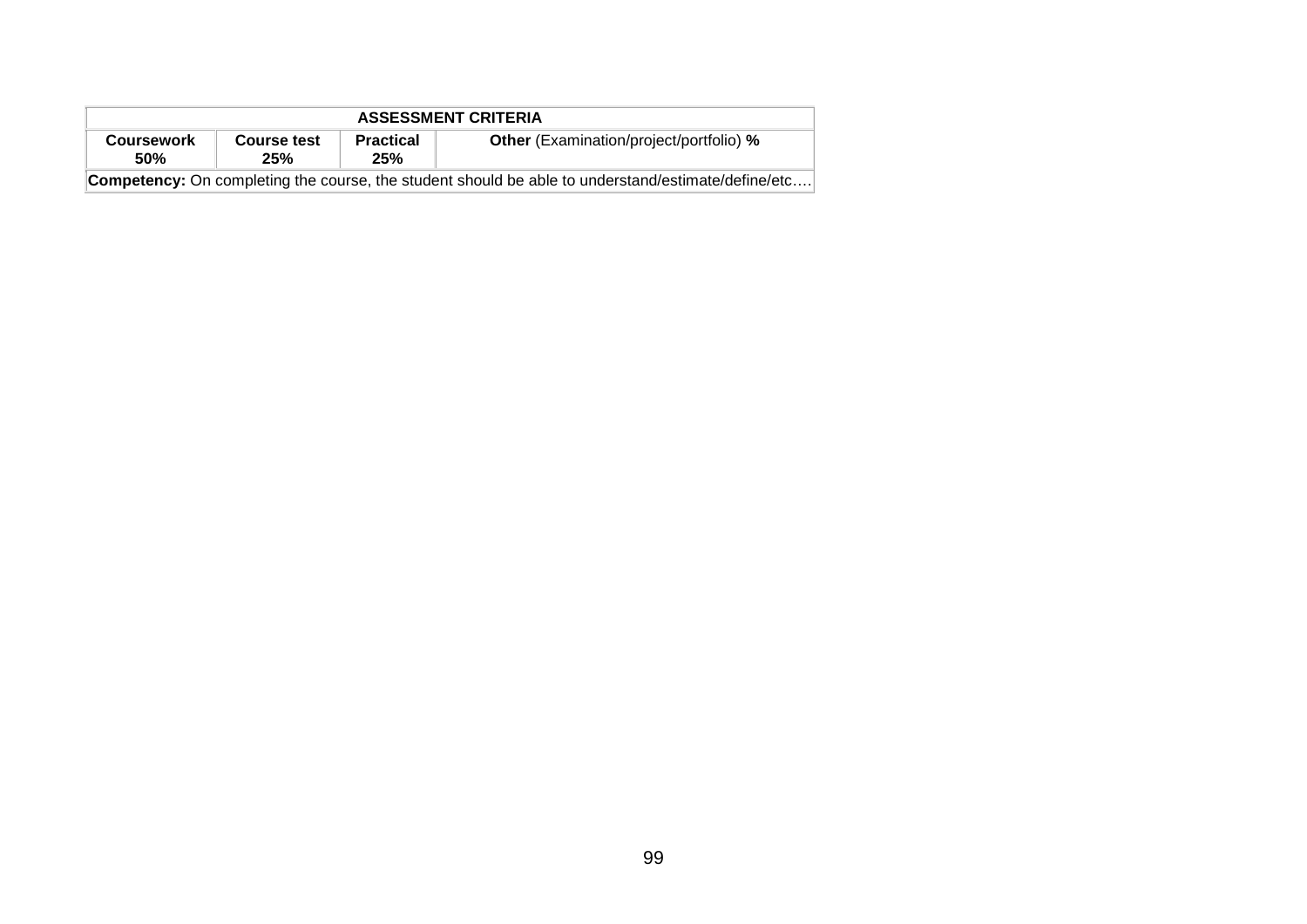| <b>ASSESSMENT CRITERIA</b> |                    |                         |                                                                                                           |  |  |  |  |
|----------------------------|--------------------|-------------------------|-----------------------------------------------------------------------------------------------------------|--|--|--|--|
| <b>Coursework</b><br>50%   | Course test<br>25% | <b>Practical</b><br>25% | <b>Other</b> (Examination/project/portfolio) %                                                            |  |  |  |  |
|                            |                    |                         | <b>Competency:</b> On completing the course, the student should be able to understand/estimate/define/etc |  |  |  |  |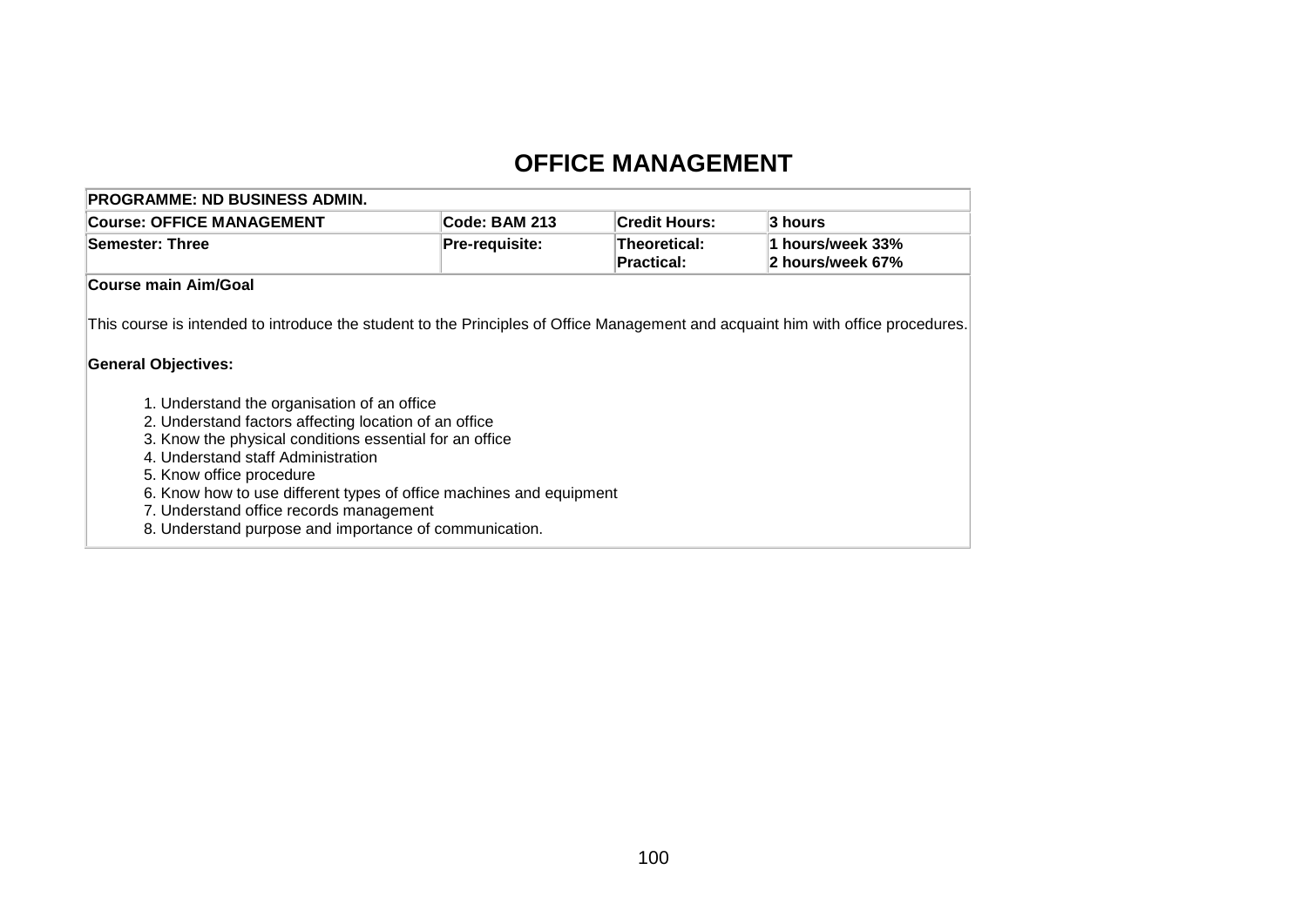# **OFFICE MANAGEMENT**

| <b>PROGRAMME: ND BUSINESS ADMIN.</b>                                                                                                                                                                                                                                                                                                                                                                                                                                                                                                                                            |                       |                                   |                                      |
|---------------------------------------------------------------------------------------------------------------------------------------------------------------------------------------------------------------------------------------------------------------------------------------------------------------------------------------------------------------------------------------------------------------------------------------------------------------------------------------------------------------------------------------------------------------------------------|-----------------------|-----------------------------------|--------------------------------------|
| <b>Course: OFFICE MANAGEMENT</b>                                                                                                                                                                                                                                                                                                                                                                                                                                                                                                                                                | Code: BAM 213         | <b>Credit Hours:</b>              | 3 hours                              |
| <b>Semester: Three</b>                                                                                                                                                                                                                                                                                                                                                                                                                                                                                                                                                          | <b>Pre-requisite:</b> | Theoretical:<br><b>Practical:</b> | 1 hours/week 33%<br>2 hours/week 67% |
| Course main Aim/Goal                                                                                                                                                                                                                                                                                                                                                                                                                                                                                                                                                            |                       |                                   |                                      |
| This course is intended to introduce the student to the Principles of Office Management and acquaint him with office procedures.<br><b>General Objectives:</b><br>1. Understand the organisation of an office<br>2. Understand factors affecting location of an office<br>3. Know the physical conditions essential for an office<br>4. Understand staff Administration<br>5. Know office procedure<br>6. Know how to use different types of office machines and equipment<br>7. Understand office records management<br>8. Understand purpose and importance of communication. |                       |                                   |                                      |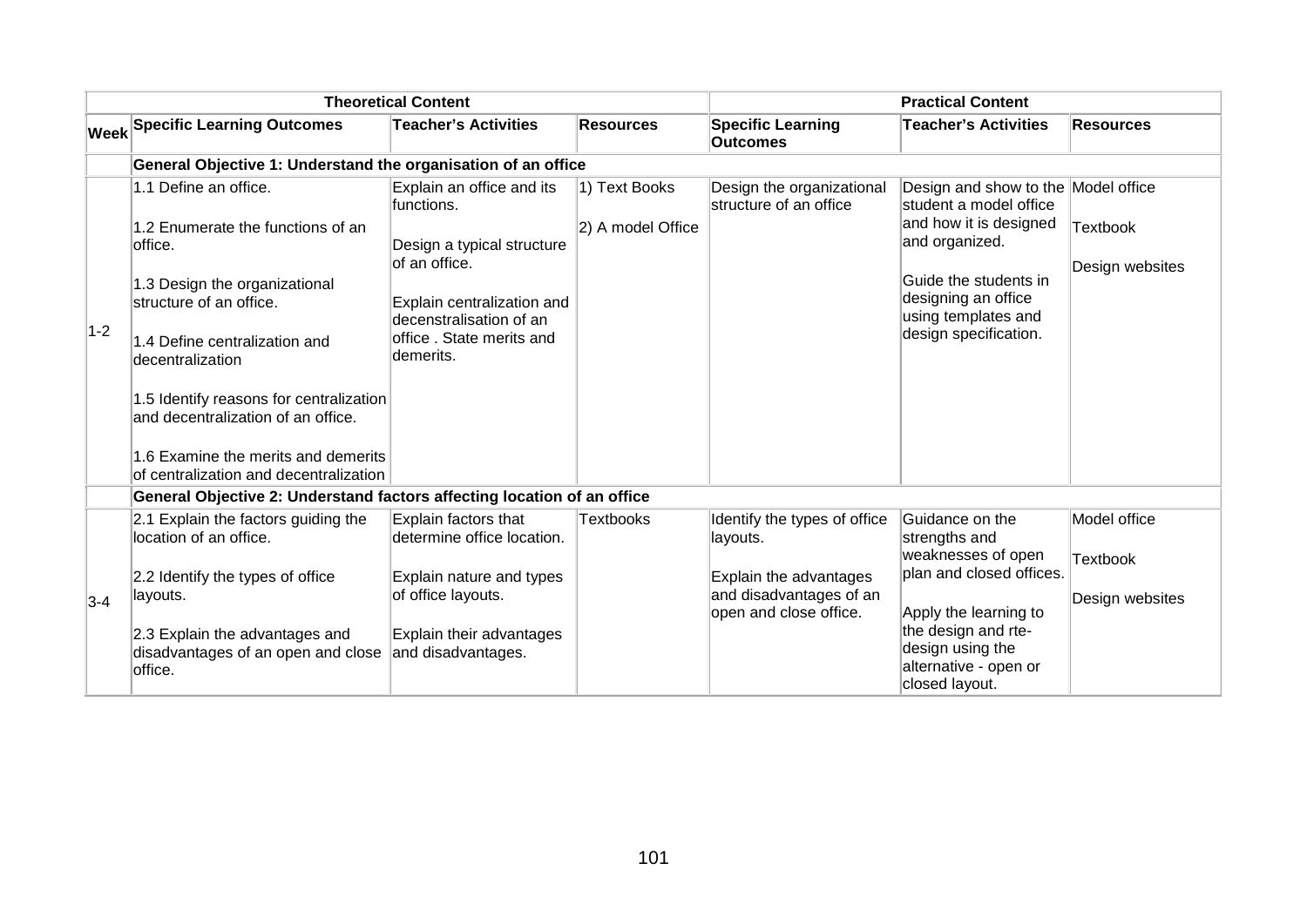|       |                                                                                                                                                                                                                                                                                                                                                          | <b>Theoretical Content</b>                                                                                                                                                                |                                    |                                                                    | <b>Practical Content</b>                                                                                                                                                                                  |                                    |
|-------|----------------------------------------------------------------------------------------------------------------------------------------------------------------------------------------------------------------------------------------------------------------------------------------------------------------------------------------------------------|-------------------------------------------------------------------------------------------------------------------------------------------------------------------------------------------|------------------------------------|--------------------------------------------------------------------|-----------------------------------------------------------------------------------------------------------------------------------------------------------------------------------------------------------|------------------------------------|
|       | <b>Week Specific Learning Outcomes</b>                                                                                                                                                                                                                                                                                                                   | <b>Teacher's Activities</b>                                                                                                                                                               | <b>Resources</b>                   | <b>Specific Learning</b><br><b>Outcomes</b>                        | <b>Teacher's Activities</b>                                                                                                                                                                               | <b>Resources</b>                   |
|       | General Objective 1: Understand the organisation of an office                                                                                                                                                                                                                                                                                            |                                                                                                                                                                                           |                                    |                                                                    |                                                                                                                                                                                                           |                                    |
| $1-2$ | 1.1 Define an office.<br>1.2 Enumerate the functions of an<br>office.<br>1.3 Design the organizational<br>structure of an office.<br>1.4 Define centralization and<br>decentralization<br>1.5 Identify reasons for centralization<br>and decentralization of an office.<br>1.6 Examine the merits and demerits<br>of centralization and decentralization | Explain an office and its<br>functions.<br>Design a typical structure<br>of an office.<br>Explain centralization and<br>decenstralisation of an<br>office . State merits and<br>demerits. | 1) Text Books<br>2) A model Office | Design the organizational<br>structure of an office                | Design and show to the Model office<br>student a model office<br>and how it is designed<br>and organized.<br>Guide the students in<br>designing an office<br>using templates and<br>design specification. | <b>Textbook</b><br>Design websites |
|       | General Objective 2: Understand factors affecting location of an office                                                                                                                                                                                                                                                                                  |                                                                                                                                                                                           |                                    |                                                                    |                                                                                                                                                                                                           |                                    |
|       | 2.1 Explain the factors guiding the<br>location of an office.<br>2.2 Identify the types of office                                                                                                                                                                                                                                                        | Explain factors that<br>determine office location.<br>Explain nature and types                                                                                                            | <b>Textbooks</b>                   | Identify the types of office<br>layouts.<br>Explain the advantages | Guidance on the<br>strengths and<br>weaknesses of open<br>plan and closed offices.                                                                                                                        | Model office<br><b>Textbook</b>    |
| $3-4$ | layouts.<br>2.3 Explain the advantages and<br>disadvantages of an open and close<br>office.                                                                                                                                                                                                                                                              | of office layouts.<br>Explain their advantages<br>and disadvantages.                                                                                                                      |                                    | and disadvantages of an<br>open and close office.                  | Apply the learning to<br>the design and rte-<br>design using the<br>alternative - open or<br>closed layout.                                                                                               | Design websites                    |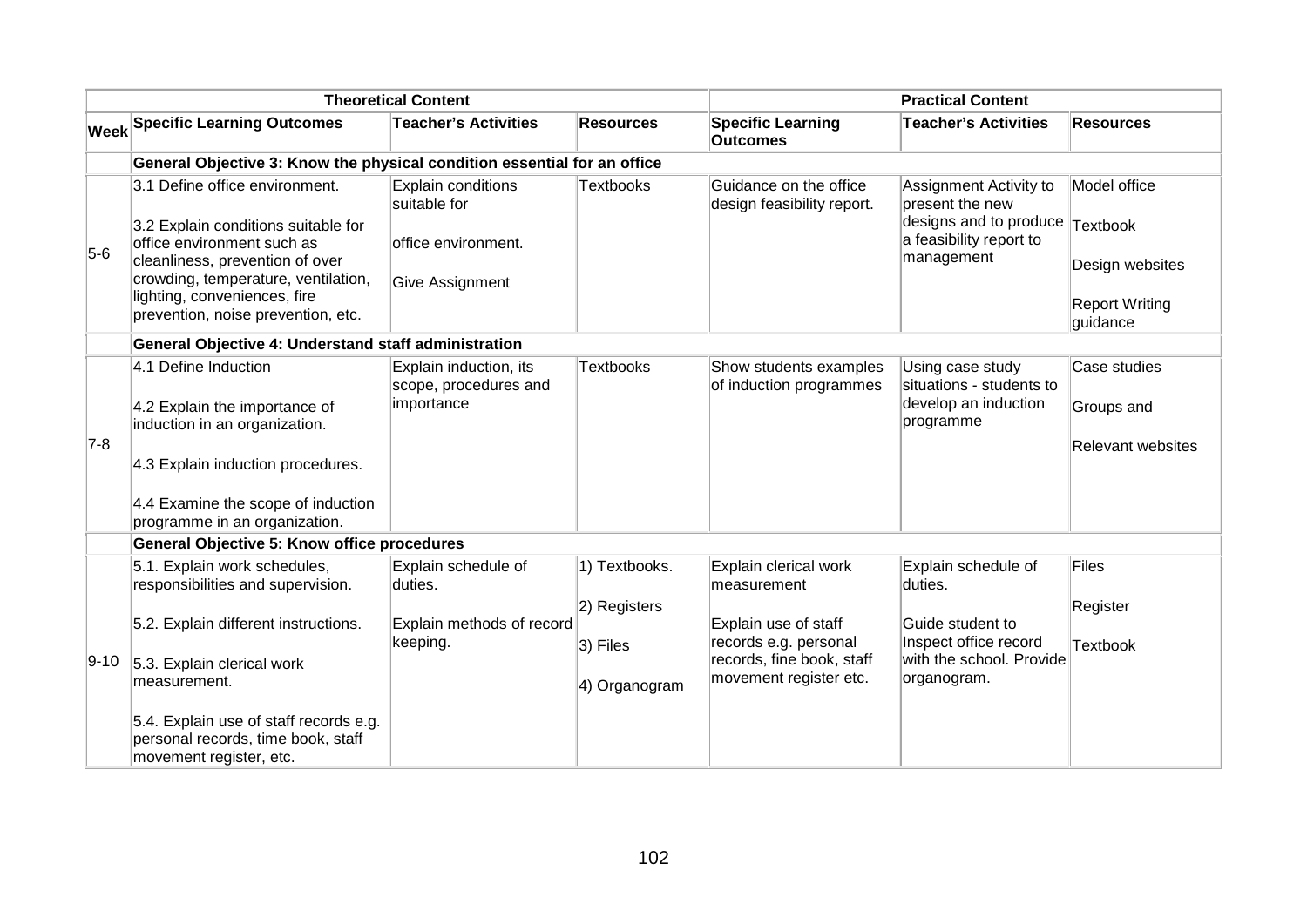|         |                                                                                                                                                                                                                                                     | <b>Theoretical Content</b>                                                   |                                                            |                                                                                                                                              | <b>Practical Content</b>                                                                                               |                                                                      |
|---------|-----------------------------------------------------------------------------------------------------------------------------------------------------------------------------------------------------------------------------------------------------|------------------------------------------------------------------------------|------------------------------------------------------------|----------------------------------------------------------------------------------------------------------------------------------------------|------------------------------------------------------------------------------------------------------------------------|----------------------------------------------------------------------|
|         | <b>Week Specific Learning Outcomes</b>                                                                                                                                                                                                              | <b>Teacher's Activities</b>                                                  | <b>Resources</b>                                           | <b>Specific Learning</b><br><b>Outcomes</b>                                                                                                  | <b>Teacher's Activities</b>                                                                                            | <b>Resources</b>                                                     |
|         | General Objective 3: Know the physical condition essential for an office                                                                                                                                                                            |                                                                              |                                                            |                                                                                                                                              |                                                                                                                        |                                                                      |
| $5-6$   | 3.1 Define office environment.<br>3.2 Explain conditions suitable for<br>office environment such as<br>cleanliness, prevention of over<br>crowding, temperature, ventilation,<br>lighting, conveniences, fire<br>prevention, noise prevention, etc. | Explain conditions<br>suitable for<br>office environment.<br>Give Assignment | <b>Textbooks</b>                                           | Guidance on the office<br>design feasibility report.                                                                                         | Assignment Activity to<br>present the new<br>designs and to produce Textbook<br>a feasibility report to<br>management  | Model office<br>Design websites<br><b>Report Writing</b><br>guidance |
|         | General Objective 4: Understand staff administration                                                                                                                                                                                                |                                                                              |                                                            |                                                                                                                                              |                                                                                                                        |                                                                      |
| $ 7-8 $ | 4.1 Define Induction<br>4.2 Explain the importance of<br>induction in an organization.<br>4.3 Explain induction procedures.<br>4.4 Examine the scope of induction<br>programme in an organization.                                                  | Explain induction, its<br>scope, procedures and<br>importance                | <b>Textbooks</b>                                           | Show students examples<br>of induction programmes                                                                                            | Using case study<br>situations - students to<br>develop an induction<br>programme                                      | Case studies<br>Groups and<br><b>Relevant websites</b>               |
|         | <b>General Objective 5: Know office procedures</b>                                                                                                                                                                                                  |                                                                              |                                                            |                                                                                                                                              |                                                                                                                        |                                                                      |
| 9-10    | 5.1. Explain work schedules,<br>responsibilities and supervision.<br>5.2. Explain different instructions.<br>5.3. Explain clerical work<br>measurement.<br>5.4. Explain use of staff records e.g.<br>personal records, time book, staff             | Explain schedule of<br>duties.<br>Explain methods of record<br>keeping.      | 1) Textbooks.<br>2) Registers<br>3) Files<br>4) Organogram | Explain clerical work<br>measurement<br>Explain use of staff<br>records e.g. personal<br>records, fine book, staff<br>movement register etc. | Explain schedule of<br>duties.<br>Guide student to<br>Inspect office record<br>with the school. Provide<br>organogram. | <b>Files</b><br>Register<br><b>Textbook</b>                          |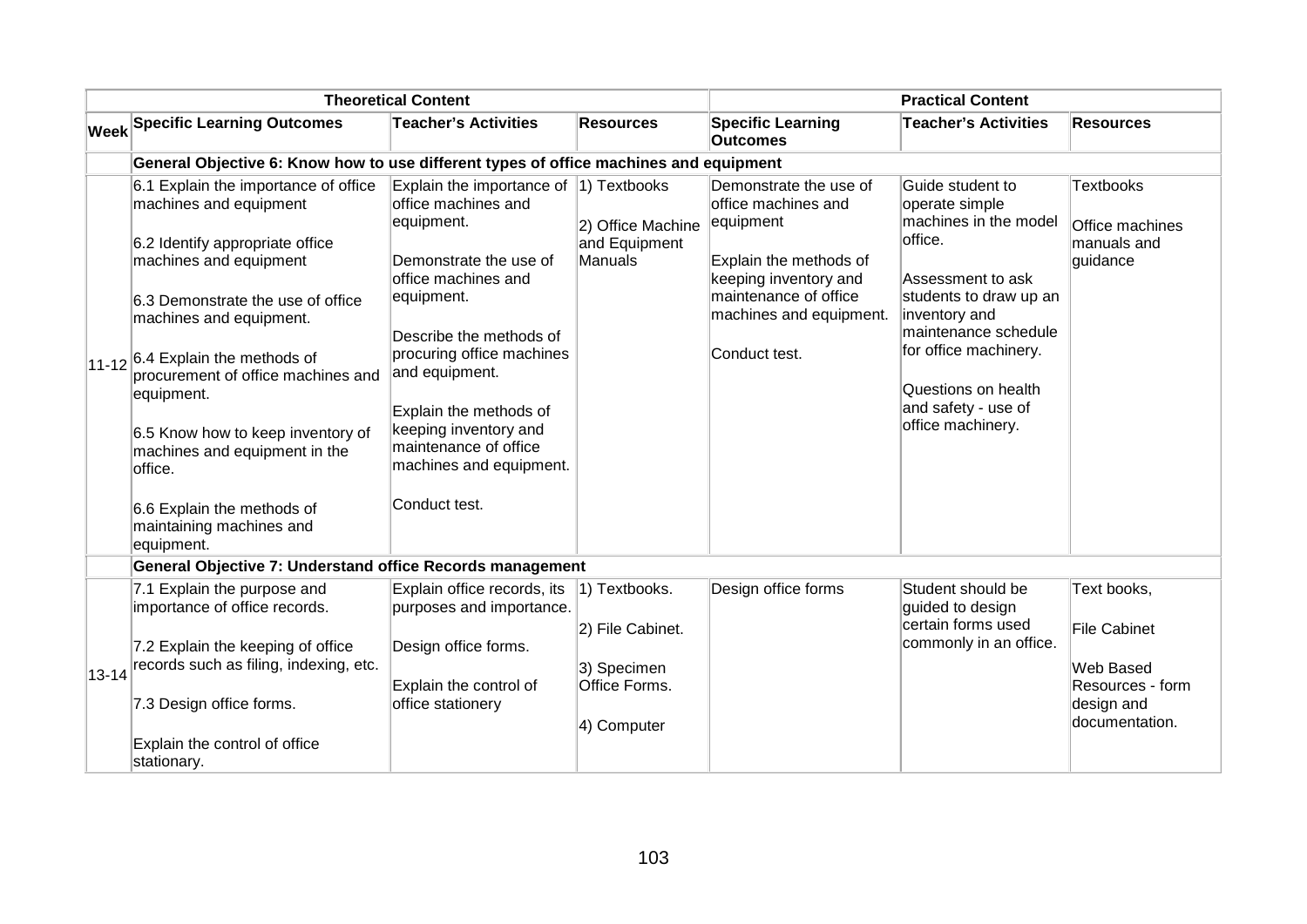|           |                                                                                                                                                                                                                                                                                                                                                                                                                          | <b>Theoretical Content</b>                                                                                                                                                                                                                                                                                                      |                                                                 |                                                                                                                                                                                    | <b>Practical Content</b>                                                                                                                                                                                                                                   |                                                                                      |
|-----------|--------------------------------------------------------------------------------------------------------------------------------------------------------------------------------------------------------------------------------------------------------------------------------------------------------------------------------------------------------------------------------------------------------------------------|---------------------------------------------------------------------------------------------------------------------------------------------------------------------------------------------------------------------------------------------------------------------------------------------------------------------------------|-----------------------------------------------------------------|------------------------------------------------------------------------------------------------------------------------------------------------------------------------------------|------------------------------------------------------------------------------------------------------------------------------------------------------------------------------------------------------------------------------------------------------------|--------------------------------------------------------------------------------------|
|           | <b>Week Specific Learning Outcomes</b>                                                                                                                                                                                                                                                                                                                                                                                   | <b>Teacher's Activities</b>                                                                                                                                                                                                                                                                                                     | <b>Resources</b>                                                | <b>Specific Learning</b><br><b>Outcomes</b>                                                                                                                                        | <b>Teacher's Activities</b>                                                                                                                                                                                                                                | Resources                                                                            |
|           | General Objective 6: Know how to use different types of office machines and equipment                                                                                                                                                                                                                                                                                                                                    |                                                                                                                                                                                                                                                                                                                                 |                                                                 |                                                                                                                                                                                    |                                                                                                                                                                                                                                                            |                                                                                      |
| $11 - 12$ | 6.1 Explain the importance of office<br>machines and equipment<br>6.2 Identify appropriate office<br>machines and equipment<br>6.3 Demonstrate the use of office<br>machines and equipment.<br>6.4 Explain the methods of<br>procurement of office machines and<br>equipment.<br>6.5 Know how to keep inventory of<br>machines and equipment in the<br>office.<br>6.6 Explain the methods of<br>maintaining machines and | Explain the importance of<br>office machines and<br>equipment.<br>Demonstrate the use of<br>office machines and<br>equipment.<br>Describe the methods of<br>procuring office machines<br>and equipment.<br>Explain the methods of<br>keeping inventory and<br>maintenance of office<br>machines and equipment.<br>Conduct test. | 1) Textbooks<br>2) Office Machine<br>and Equipment<br>Manuals   | Demonstrate the use of<br>office machines and<br>equipment<br>Explain the methods of<br>keeping inventory and<br>maintenance of office<br>machines and equipment.<br>Conduct test. | Guide student to<br>operate simple<br>machines in the model<br>office.<br>Assessment to ask<br>students to draw up an<br>inventory and<br>maintenance schedule<br>for office machinery.<br>Questions on health<br>and safety - use of<br>office machinery. | <b>Textbooks</b><br>Office machines<br>manuals and<br>guidance                       |
|           | equipment.                                                                                                                                                                                                                                                                                                                                                                                                               |                                                                                                                                                                                                                                                                                                                                 |                                                                 |                                                                                                                                                                                    |                                                                                                                                                                                                                                                            |                                                                                      |
|           | <b>General Objective 7: Understand office Records management</b>                                                                                                                                                                                                                                                                                                                                                         |                                                                                                                                                                                                                                                                                                                                 |                                                                 |                                                                                                                                                                                    |                                                                                                                                                                                                                                                            |                                                                                      |
|           | 7.1 Explain the purpose and<br>importance of office records.                                                                                                                                                                                                                                                                                                                                                             | Explain office records, its<br>purposes and importance.                                                                                                                                                                                                                                                                         | 1) Textbooks.                                                   | Design office forms                                                                                                                                                                | Student should be<br>guided to design                                                                                                                                                                                                                      | Text books,                                                                          |
| $13 - 14$ | 7.2 Explain the keeping of office<br>records such as filing, indexing, etc.<br>7.3 Design office forms.                                                                                                                                                                                                                                                                                                                  | Design office forms.<br>Explain the control of<br>office stationery                                                                                                                                                                                                                                                             | 2) File Cabinet.<br>3) Specimen<br>Office Forms.<br>4) Computer |                                                                                                                                                                                    | certain forms used<br>commonly in an office.                                                                                                                                                                                                               | <b>File Cabinet</b><br>Web Based<br>Resources - form<br>design and<br>documentation. |
|           | Explain the control of office<br>stationary.                                                                                                                                                                                                                                                                                                                                                                             |                                                                                                                                                                                                                                                                                                                                 |                                                                 |                                                                                                                                                                                    |                                                                                                                                                                                                                                                            |                                                                                      |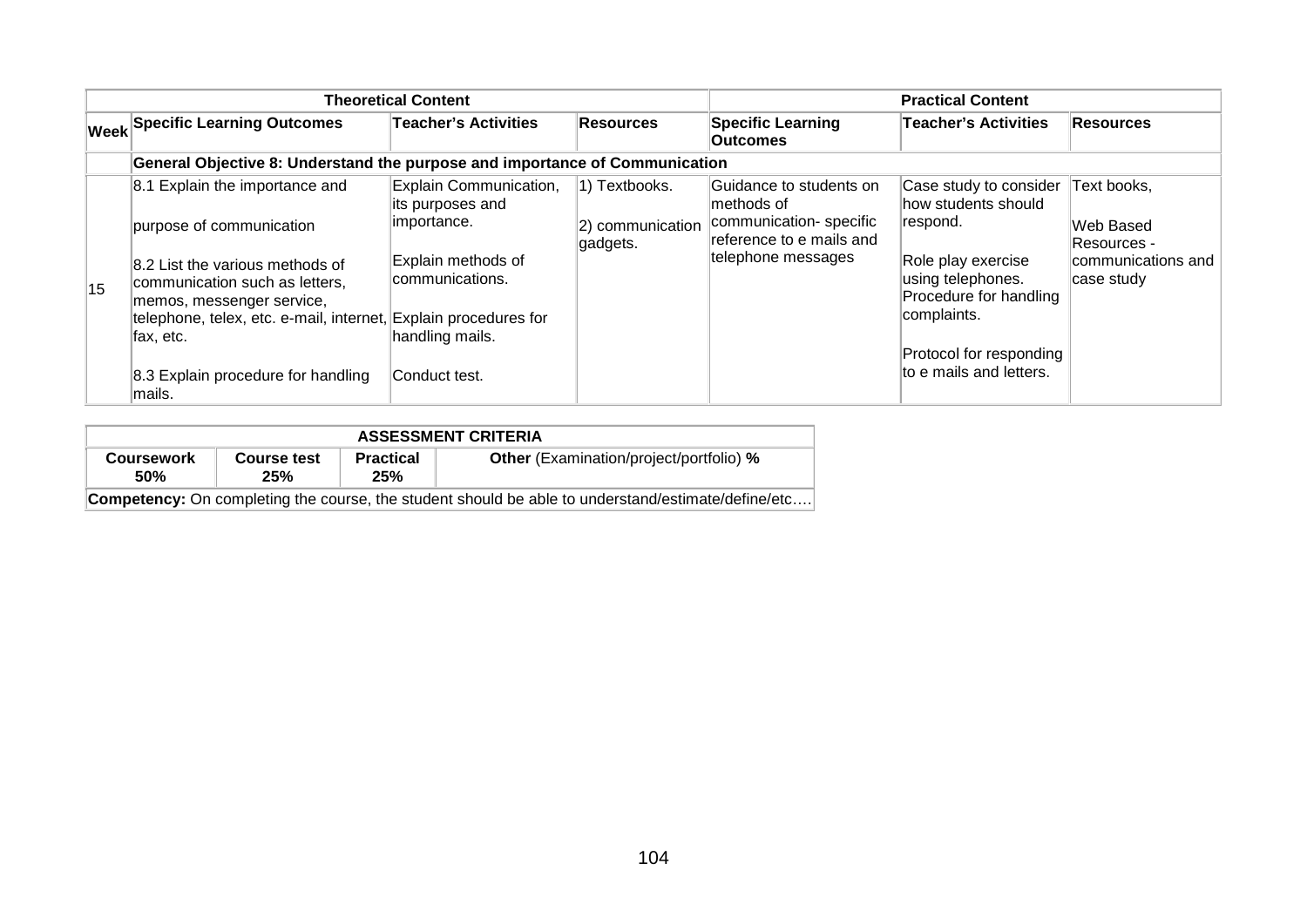| <b>Theoretical Content</b> |                                                                                                                                                                                 |                                                           |                                               | <b>Practical Content</b>                                                                                                                     |                                                                   |                                         |  |
|----------------------------|---------------------------------------------------------------------------------------------------------------------------------------------------------------------------------|-----------------------------------------------------------|-----------------------------------------------|----------------------------------------------------------------------------------------------------------------------------------------------|-------------------------------------------------------------------|-----------------------------------------|--|
|                            | <b>Week Specific Learning Outcomes</b>                                                                                                                                          | <b>Teacher's Activities</b>                               | Resources                                     | <b>Specific Learning</b><br><b>Outcomes</b>                                                                                                  | <b>Teacher's Activities</b>                                       | <b>Resources</b>                        |  |
|                            | General Objective 8: Understand the purpose and importance of Communication                                                                                                     |                                                           |                                               |                                                                                                                                              |                                                                   |                                         |  |
| 15                         | 8.1 Explain the importance and<br>purpose of communication                                                                                                                      | Explain Communication,<br>its purposes and<br>importance. | 1) Textbooks.<br>2) communication<br>gadgets. | Guidance to students on<br>methods of<br>communication-specific<br>respond.<br>reference to e mails and<br>telephone messages<br>complaints. | Case study to consider<br>how students should                     | Text books,<br>Web Based<br>Resources - |  |
|                            | 8.2 List the various methods of<br>communication such as letters,<br>memos, messenger service,<br>telephone, telex, etc. e-mail, internet, Explain procedures for<br>lfax, etc. | Explain methods of<br>communications.<br>handling mails.  |                                               |                                                                                                                                              | Role play exercise<br>using telephones.<br>Procedure for handling | communications and<br>case study        |  |
|                            | 8.3 Explain procedure for handling<br>lmails.                                                                                                                                   | Conduct test.                                             |                                               |                                                                                                                                              | Protocol for responding<br>to e mails and letters.                |                                         |  |

| <b>ASSESSMENT CRITERIA</b>                                                                                |                    |                         |                                                |  |  |
|-----------------------------------------------------------------------------------------------------------|--------------------|-------------------------|------------------------------------------------|--|--|
| <b>Coursework</b><br><b>50%</b>                                                                           | Course test<br>25% | <b>Practical</b><br>25% | <b>Other</b> (Examination/project/portfolio) % |  |  |
| <b>Competency:</b> On completing the course, the student should be able to understand/estimate/define/etc |                    |                         |                                                |  |  |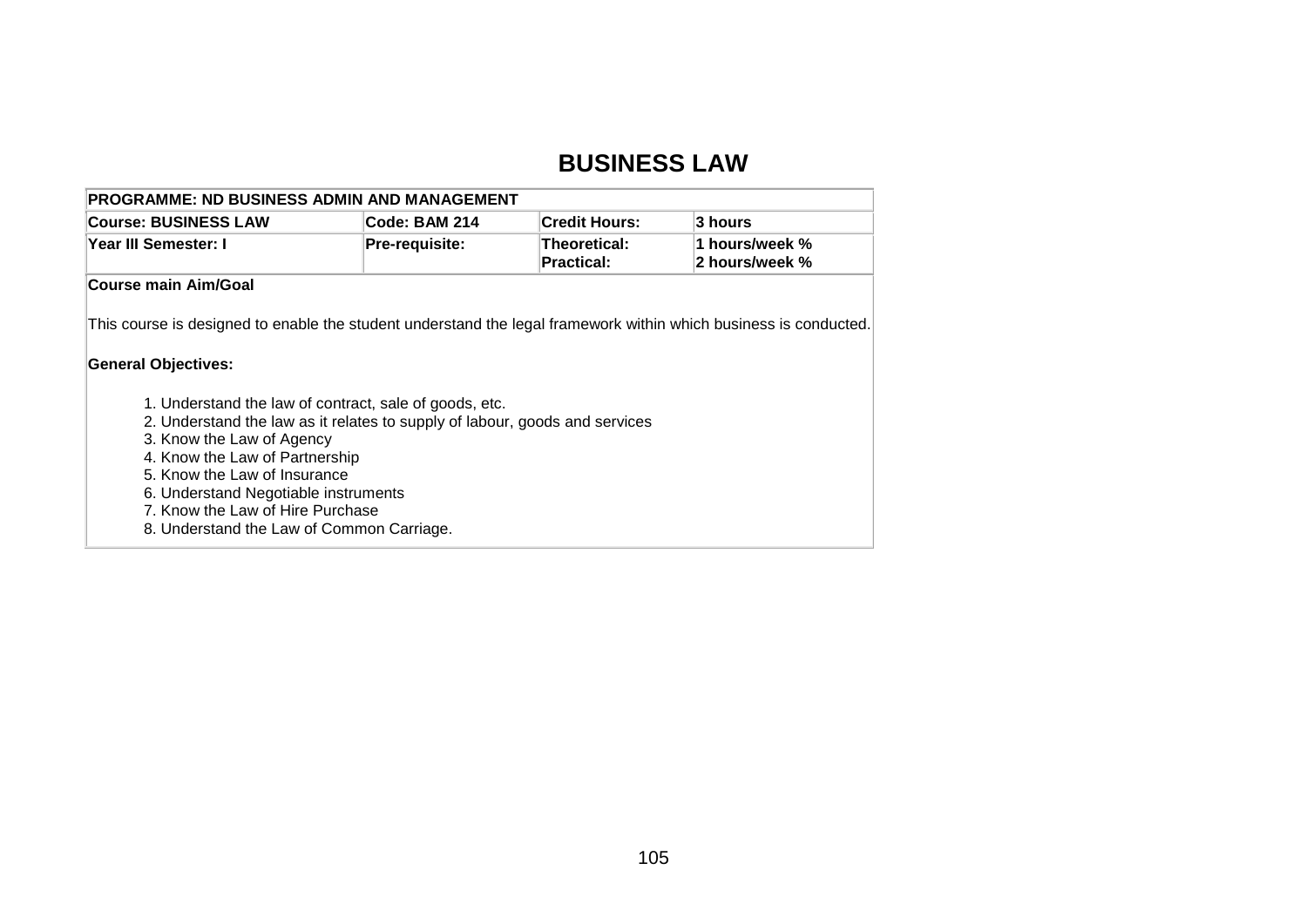### **BUSINESS LAW**

| <b>PROGRAMME: ND BUSINESS ADMIN AND MANAGEMENT</b> |                       |                                   |                                  |  |  |
|----------------------------------------------------|-----------------------|-----------------------------------|----------------------------------|--|--|
| <b>Course: BUSINESS LAW</b>                        | <b>Code: BAM 214</b>  | <b>∣Credit Hours:</b>             | ∣3 hours                         |  |  |
| <b>Year III Semester: I</b>                        | <b>Pre-requisite:</b> | Theoretical:<br><b>Practical:</b> | 1 hours/week %<br>2 hours/week % |  |  |
| Course main Aim/Goal                               |                       |                                   |                                  |  |  |

This course is designed to enable the student understand the legal framework within which business is conducted.

### **General Objectives:**

- 1. Understand the law of contract, sale of goods, etc.
- 2. Understand the law as it relates to supply of labour, goods and services
- 3. Know the Law of Agency
- 4. Know the Law of Partnership
- 5. Know the Law of Insurance
- 6. Understand Negotiable instruments
- 7. Know the Law of Hire Purchase
- 8. Understand the Law of Common Carriage.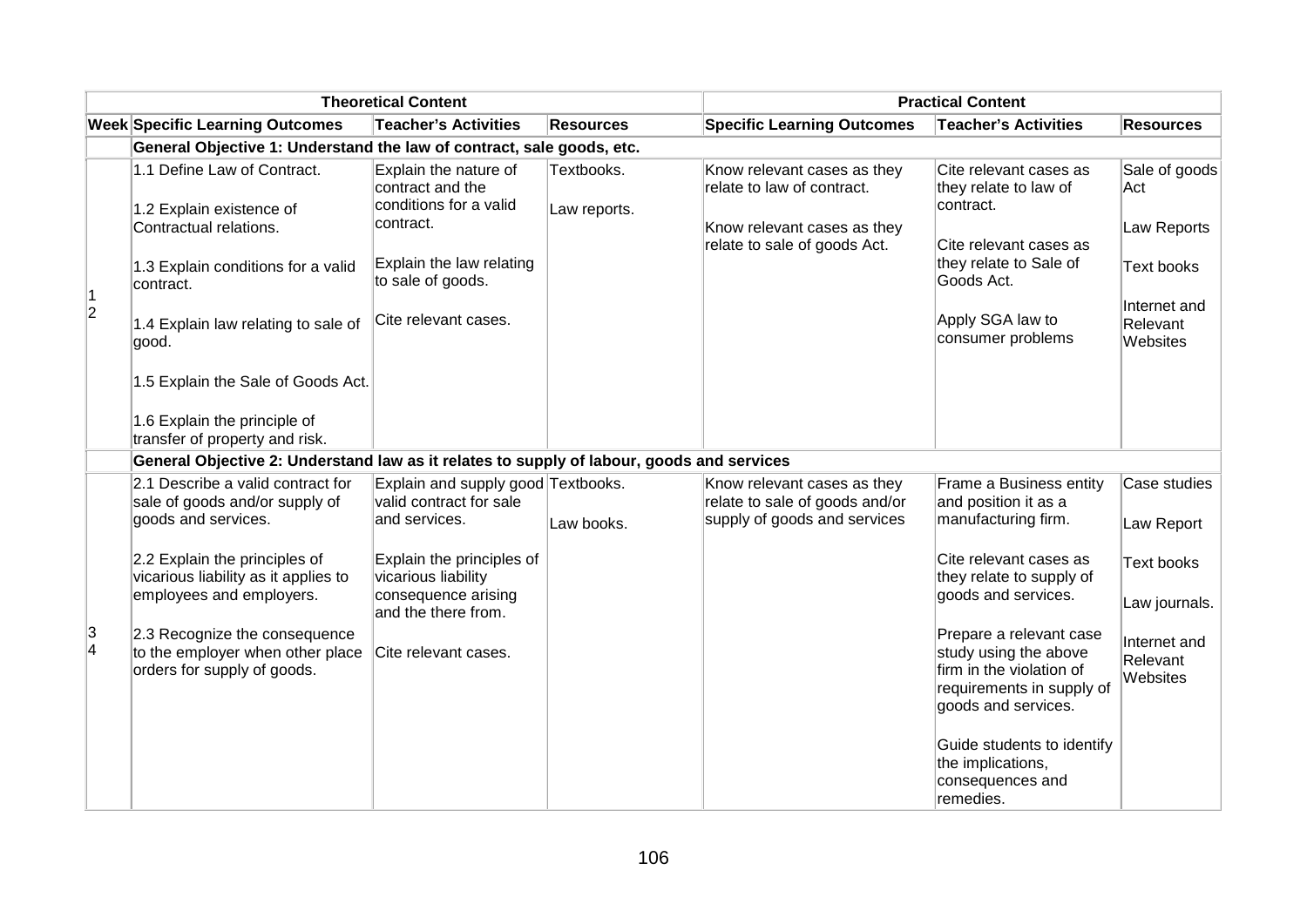| <b>Theoretical Content</b>                                            |                                                                                                                                                                                                                                                            |                                                                                                                                                                                  |                            | <b>Practical Content</b>                                                                                                 |                                                                                                                                                                                                                      |                                                                                                  |  |  |
|-----------------------------------------------------------------------|------------------------------------------------------------------------------------------------------------------------------------------------------------------------------------------------------------------------------------------------------------|----------------------------------------------------------------------------------------------------------------------------------------------------------------------------------|----------------------------|--------------------------------------------------------------------------------------------------------------------------|----------------------------------------------------------------------------------------------------------------------------------------------------------------------------------------------------------------------|--------------------------------------------------------------------------------------------------|--|--|
|                                                                       | <b>Week Specific Learning Outcomes</b>                                                                                                                                                                                                                     | <b>Teacher's Activities</b>                                                                                                                                                      | <b>Resources</b>           | <b>Specific Learning Outcomes</b>                                                                                        | <b>Teacher's Activities</b>                                                                                                                                                                                          | <b>Resources</b>                                                                                 |  |  |
| General Objective 1: Understand the law of contract, sale goods, etc. |                                                                                                                                                                                                                                                            |                                                                                                                                                                                  |                            |                                                                                                                          |                                                                                                                                                                                                                      |                                                                                                  |  |  |
| 1<br>$ 2\rangle$                                                      | 1.1 Define Law of Contract.<br>1.2 Explain existence of<br>Contractual relations.<br>1.3 Explain conditions for a valid<br>contract.<br>1.4 Explain law relating to sale of<br>good.<br>1.5 Explain the Sale of Goods Act.<br>1.6 Explain the principle of | Explain the nature of<br>contract and the<br>conditions for a valid<br>contract.<br>Explain the law relating<br>to sale of goods.<br>Cite relevant cases.                        | Textbooks.<br>Law reports. | Know relevant cases as they<br>relate to law of contract.<br>Know relevant cases as they<br>relate to sale of goods Act. | Cite relevant cases as<br>they relate to law of<br>contract.<br>Cite relevant cases as<br>they relate to Sale of<br>Goods Act.<br>Apply SGA law to<br>consumer problems                                              | Sale of goods<br>Act<br>Law Reports<br><b>Text books</b><br>Internet and<br>Relevant<br>Websites |  |  |
|                                                                       | transfer of property and risk.<br>General Objective 2: Understand law as it relates to supply of labour, goods and services                                                                                                                                |                                                                                                                                                                                  |                            |                                                                                                                          |                                                                                                                                                                                                                      |                                                                                                  |  |  |
| 3<br>4                                                                | 2.1 Describe a valid contract for<br>sale of goods and/or supply of<br>goods and services.<br>2.2 Explain the principles of<br>vicarious liability as it applies to<br>employees and employers.                                                            | Explain and supply good Textbooks.<br>valid contract for sale<br>and services.<br>Explain the principles of<br>vicarious liability<br>consequence arising<br>and the there from. | Law books.                 | Know relevant cases as they<br>relate to sale of goods and/or<br>supply of goods and services                            | Frame a Business entity<br>and position it as a<br>manufacturing firm.<br>Cite relevant cases as<br>they relate to supply of<br>goods and services.                                                                  | Case studies<br>Law Report<br><b>Text books</b><br>Law journals.                                 |  |  |
|                                                                       | 2.3 Recognize the consequence<br>to the employer when other place<br>orders for supply of goods.                                                                                                                                                           | Cite relevant cases.                                                                                                                                                             |                            |                                                                                                                          | Prepare a relevant case<br>study using the above<br>firm in the violation of<br>requirements in supply of<br>goods and services.<br>Guide students to identify<br>the implications,<br>consequences and<br>remedies. | Internet and<br>Relevant<br>Websites                                                             |  |  |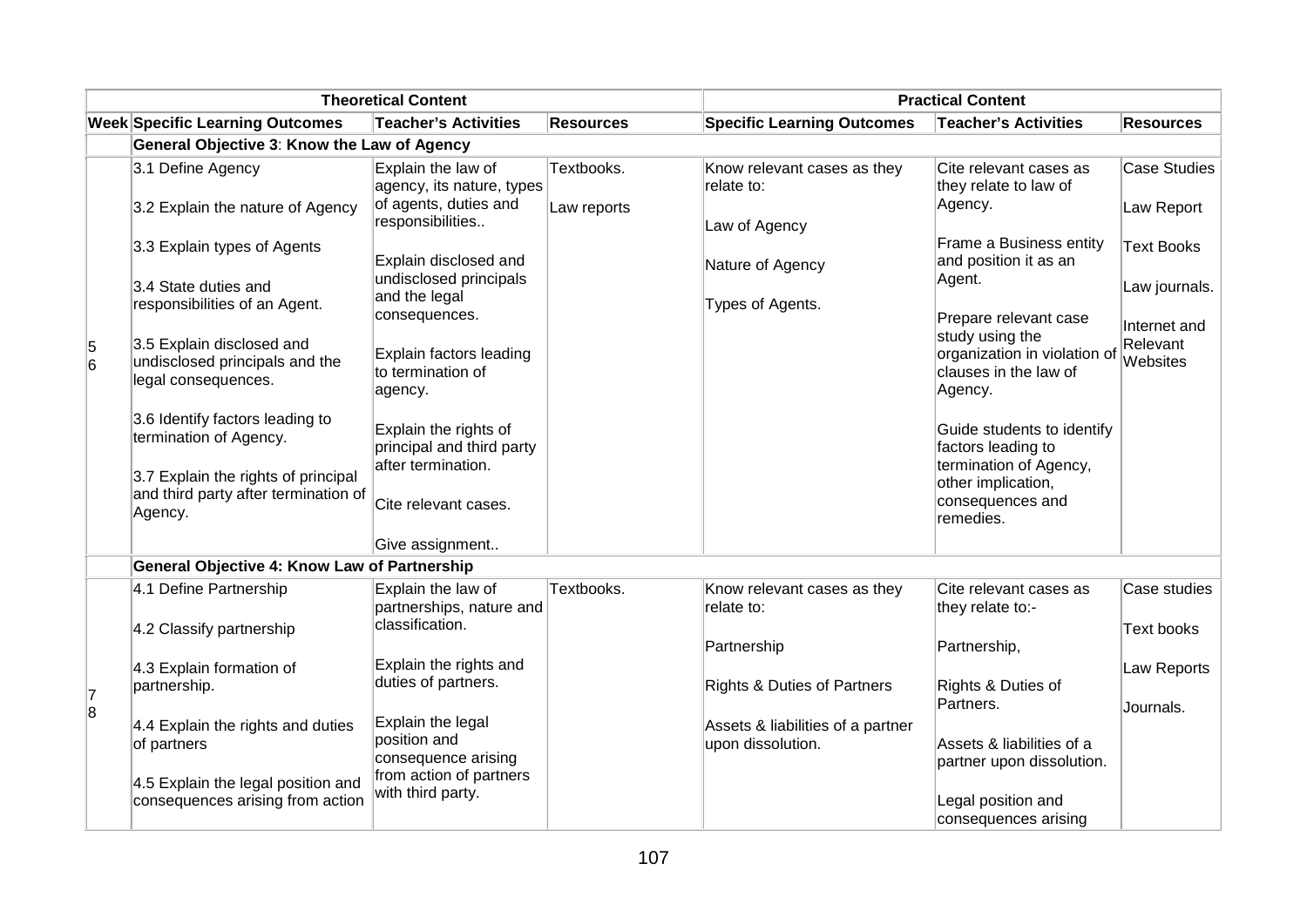| <b>Theoretical Content</b>                          |                                                                                        |                                                                                     |                  | <b>Practical Content</b>                               |                                                                                                              |                                      |
|-----------------------------------------------------|----------------------------------------------------------------------------------------|-------------------------------------------------------------------------------------|------------------|--------------------------------------------------------|--------------------------------------------------------------------------------------------------------------|--------------------------------------|
|                                                     | <b>Week Specific Learning Outcomes</b>                                                 | <b>Teacher's Activities</b>                                                         | <b>Resources</b> | <b>Specific Learning Outcomes</b>                      | <b>Teacher's Activities</b>                                                                                  | <b>Resources</b>                     |
|                                                     | General Objective 3: Know the Law of Agency                                            |                                                                                     |                  |                                                        |                                                                                                              |                                      |
|                                                     | 3.1 Define Agency                                                                      | Explain the law of<br>agency, its nature, types                                     | Textbooks.       | Know relevant cases as they<br>relate to:              | Cite relevant cases as<br>they relate to law of                                                              | <b>Case Studies</b>                  |
|                                                     | 3.2 Explain the nature of Agency                                                       | of agents, duties and<br>responsibilities                                           | Law reports      | Law of Agency                                          | Agency.                                                                                                      | Law Report                           |
|                                                     | 3.3 Explain types of Agents                                                            | Explain disclosed and                                                               |                  | Nature of Agency                                       | Frame a Business entity<br>and position it as an                                                             | <b>Text Books</b>                    |
|                                                     | 3.4 State duties and<br>responsibilities of an Agent.                                  | undisclosed principals<br>and the legal                                             |                  | Types of Agents.                                       | Agent.                                                                                                       | Law journals.                        |
| 5<br>6                                              | 3.5 Explain disclosed and<br>undisclosed principals and the<br>legal consequences.     | consequences.<br>Explain factors leading<br>to termination of<br>agency.            |                  |                                                        | Prepare relevant case<br>study using the<br>organization in violation of<br>clauses in the law of<br>Agency. | Internet and<br>Relevant<br>Websites |
|                                                     | 3.6 Identify factors leading to<br>termination of Agency.                              | Explain the rights of<br>principal and third party                                  |                  |                                                        | Guide students to identify<br>factors leading to                                                             |                                      |
|                                                     | 3.7 Explain the rights of principal<br>and third party after termination of<br>Agency. | after termination.<br>Cite relevant cases.                                          |                  |                                                        | termination of Agency,<br>other implication,<br>consequences and<br>remedies.                                |                                      |
|                                                     |                                                                                        | Give assignment                                                                     |                  |                                                        |                                                                                                              |                                      |
| <b>General Objective 4: Know Law of Partnership</b> |                                                                                        |                                                                                     |                  |                                                        |                                                                                                              |                                      |
|                                                     | 4.1 Define Partnership                                                                 | Explain the law of<br>partnerships, nature and                                      | Textbooks.       | Know relevant cases as they<br>relate to:              | Cite relevant cases as<br>they relate to:-                                                                   | Case studies                         |
|                                                     | 4.2 Classify partnership                                                               | classification.                                                                     |                  | Partnership                                            | Partnership,                                                                                                 | <b>Text books</b>                    |
| 7                                                   | 4.3 Explain formation of<br>partnership.                                               | Explain the rights and<br>duties of partners.                                       |                  | <b>Rights &amp; Duties of Partners</b>                 | Rights & Duties of<br>Partners.                                                                              | Law Reports                          |
| $\overline{8}$                                      | 4.4 Explain the rights and duties<br>of partners<br>4.5 Explain the legal position and | Explain the legal<br>position and<br>consequence arising<br>from action of partners |                  | Assets & liabilities of a partner<br>upon dissolution. | Assets & liabilities of a<br>partner upon dissolution.                                                       | Journals.                            |
|                                                     | consequences arising from action                                                       | with third party.                                                                   |                  |                                                        | Legal position and<br>consequences arising                                                                   |                                      |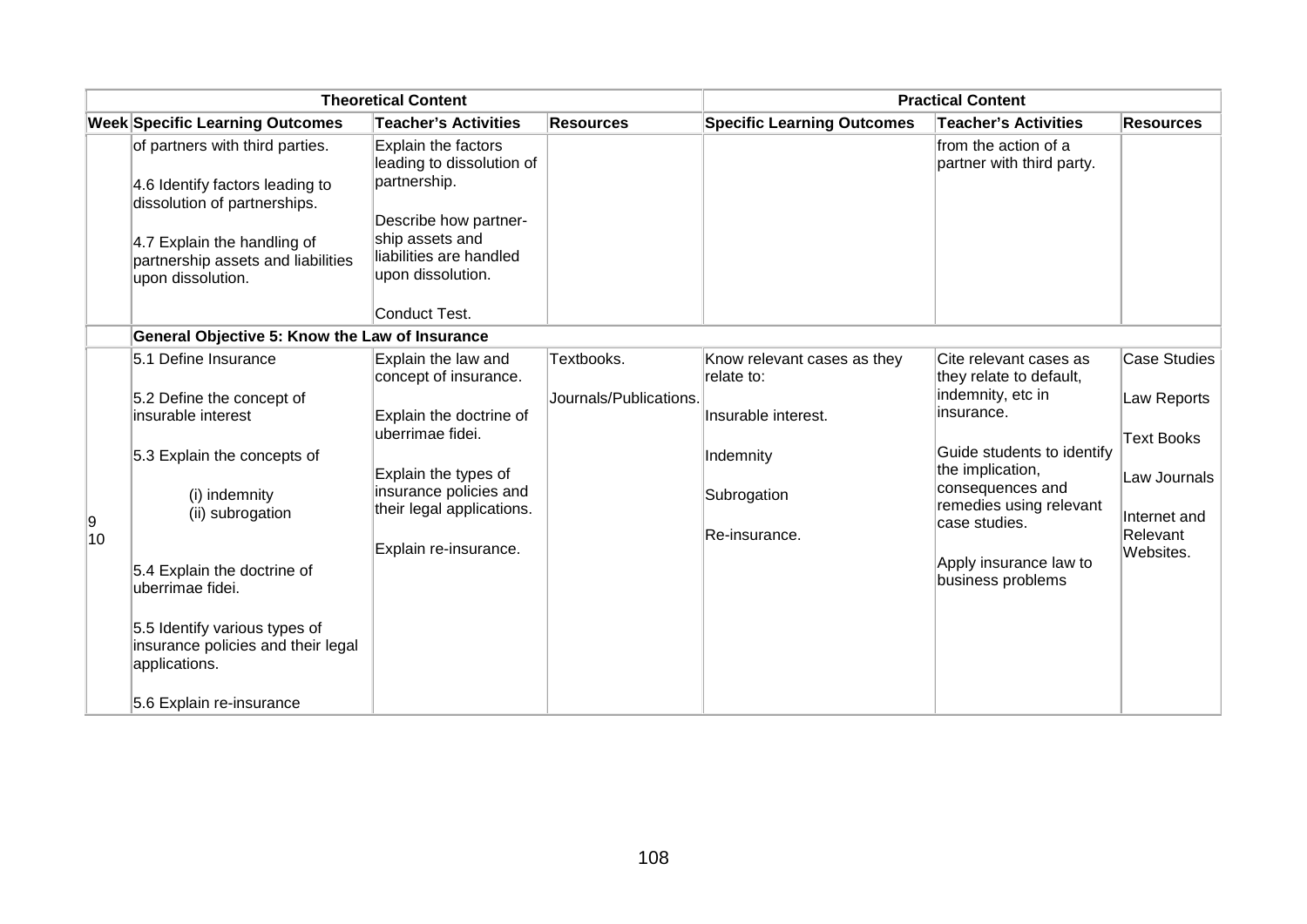| <b>Theoretical Content</b> |                                                                                      |                                                                  | <b>Practical Content</b> |                                           |                                                   |                       |
|----------------------------|--------------------------------------------------------------------------------------|------------------------------------------------------------------|--------------------------|-------------------------------------------|---------------------------------------------------|-----------------------|
|                            | <b>Week Specific Learning Outcomes</b>                                               | <b>Teacher's Activities</b>                                      | <b>Resources</b>         | <b>Specific Learning Outcomes</b>         | <b>Teacher's Activities</b>                       | <b>Resources</b>      |
|                            | of partners with third parties.<br>4.6 Identify factors leading to                   | Explain the factors<br>leading to dissolution of<br>partnership. |                          |                                           | from the action of a<br>partner with third party. |                       |
|                            | dissolution of partnerships.                                                         | Describe how partner-                                            |                          |                                           |                                                   |                       |
|                            | 4.7 Explain the handling of                                                          | ship assets and                                                  |                          |                                           |                                                   |                       |
|                            | partnership assets and liabilities<br>upon dissolution.                              | liabilities are handled<br>upon dissolution.                     |                          |                                           |                                                   |                       |
|                            |                                                                                      | Conduct Test.                                                    |                          |                                           |                                                   |                       |
|                            | General Objective 5: Know the Law of Insurance                                       |                                                                  |                          |                                           |                                                   |                       |
|                            | 5.1 Define Insurance                                                                 | Explain the law and<br>concept of insurance.                     | Textbooks.               | Know relevant cases as they<br>relate to: | Cite relevant cases as<br>they relate to default, | <b>Case Studies</b>   |
|                            | 5.2 Define the concept of<br>insurable interest                                      | Explain the doctrine of                                          | Journals/Publications.   | Insurable interest.                       | indemnity, etc in<br>insurance.                   | Law Reports           |
|                            | 5.3 Explain the concepts of                                                          | uberrimae fidei.                                                 |                          | Indemnity                                 | Guide students to identify                        | <b>Text Books</b>     |
|                            |                                                                                      | Explain the types of                                             |                          |                                           | the implication,<br>consequences and              | Law Journals          |
| 9                          | (i) indemnity<br>(ii) subrogation                                                    | insurance policies and<br>their legal applications.              |                          | Subrogation                               | remedies using relevant<br>case studies.          | Internet and          |
| 10                         |                                                                                      | Explain re-insurance.                                            |                          | Re-insurance.                             |                                                   | Relevant<br>Websites. |
|                            | 5.4 Explain the doctrine of<br>uberrimae fidei.                                      |                                                                  |                          |                                           | Apply insurance law to<br>business problems       |                       |
|                            | 5.5 Identify various types of<br>insurance policies and their legal<br>applications. |                                                                  |                          |                                           |                                                   |                       |
|                            | 5.6 Explain re-insurance                                                             |                                                                  |                          |                                           |                                                   |                       |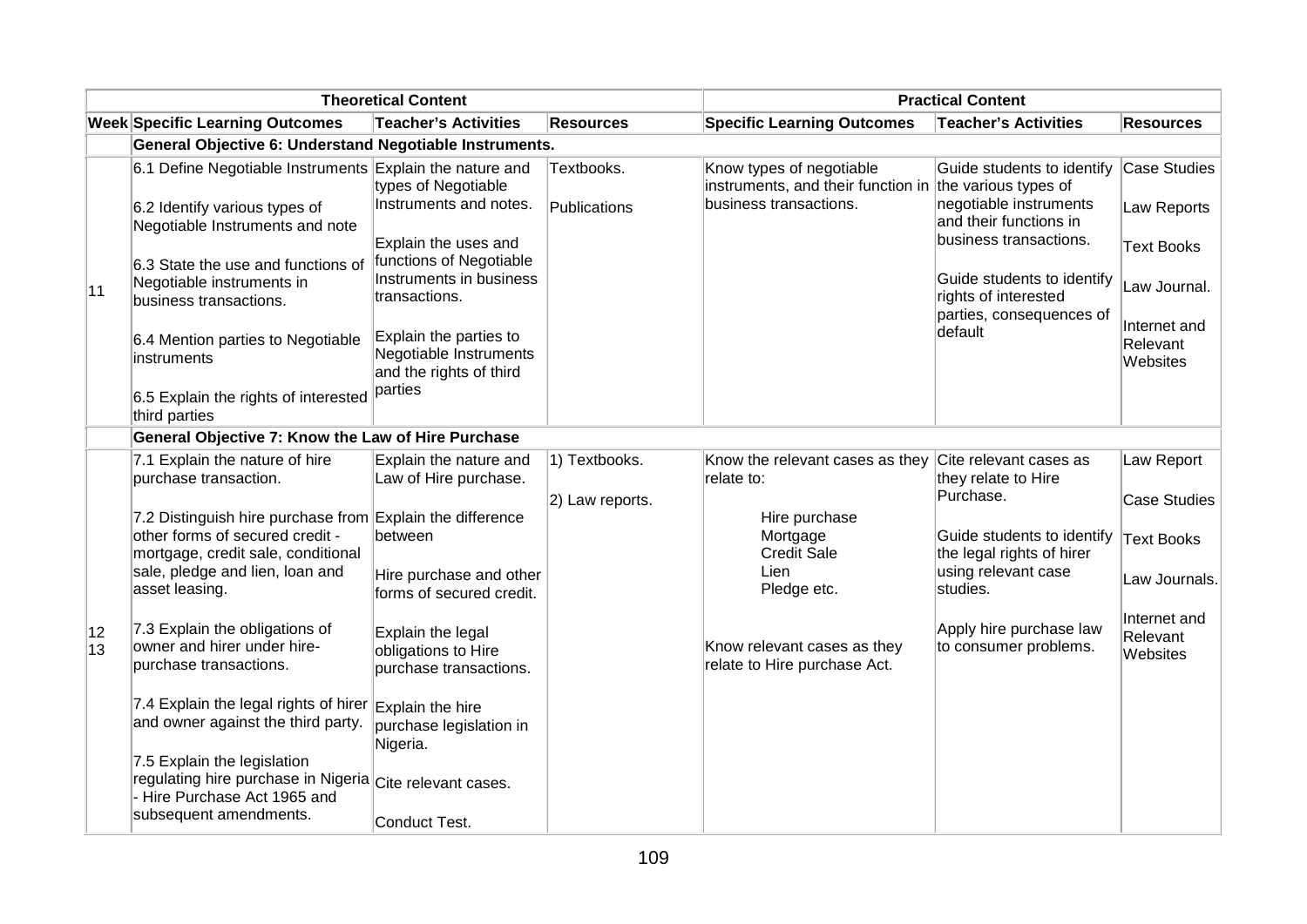|          | <b>Theoretical Content</b>                                                                                              |                                                                             |                  | <b>Practical Content</b>                                                            |                                                            |                                      |  |
|----------|-------------------------------------------------------------------------------------------------------------------------|-----------------------------------------------------------------------------|------------------|-------------------------------------------------------------------------------------|------------------------------------------------------------|--------------------------------------|--|
|          | <b>Week Specific Learning Outcomes</b>                                                                                  | <b>Teacher's Activities</b>                                                 | <b>Resources</b> | <b>Specific Learning Outcomes</b>                                                   | <b>Teacher's Activities</b>                                | <b>Resources</b>                     |  |
|          | General Objective 6: Understand Negotiable Instruments.                                                                 |                                                                             |                  |                                                                                     |                                                            |                                      |  |
|          | 6.1 Define Negotiable Instruments Explain the nature and                                                                | types of Negotiable                                                         | Textbooks.       | Know types of negotiable<br>instruments, and their function in the various types of | Guide students to identify                                 | Case Studies                         |  |
|          | 6.2 Identify various types of<br>Negotiable Instruments and note                                                        | Instruments and notes.                                                      | Publications     | business transactions.                                                              | negotiable instruments<br>and their functions in           | Law Reports                          |  |
| 11       | 6.3 State the use and functions of                                                                                      | Explain the uses and<br>functions of Negotiable                             |                  |                                                                                     | business transactions.                                     | <b>Text Books</b>                    |  |
|          | Negotiable instruments in<br>business transactions.                                                                     | Instruments in business<br>transactions.                                    |                  |                                                                                     | Guide students to identify<br>rights of interested         | Law Journal.                         |  |
|          | 6.4 Mention parties to Negotiable<br>instruments                                                                        | Explain the parties to<br>Negotiable Instruments<br>and the rights of third |                  |                                                                                     | parties, consequences of<br>default                        | Internet and<br>Relevant<br>Websites |  |
|          | 6.5 Explain the rights of interested<br>third parties                                                                   | parties                                                                     |                  |                                                                                     |                                                            |                                      |  |
|          | General Objective 7: Know the Law of Hire Purchase                                                                      |                                                                             |                  |                                                                                     |                                                            |                                      |  |
|          | 7.1 Explain the nature of hire<br>purchase transaction.                                                                 | Explain the nature and<br>Law of Hire purchase.                             | 1) Textbooks.    | Know the relevant cases as they<br>relate to:                                       | Cite relevant cases as<br>they relate to Hire<br>Purchase. | Law Report                           |  |
|          | 7.2 Distinguish hire purchase from Explain the difference                                                               |                                                                             | 2) Law reports.  | Hire purchase                                                                       |                                                            | <b>Case Studies</b>                  |  |
|          | other forms of secured credit -<br>mortgage, credit sale, conditional                                                   | between                                                                     |                  | Mortgage<br><b>Credit Sale</b>                                                      | Guide students to identify<br>the legal rights of hirer    | <b>Text Books</b>                    |  |
|          | sale, pledge and lien, loan and<br>asset leasing.                                                                       | Hire purchase and other<br>forms of secured credit.                         |                  | Lien<br>Pledge etc.                                                                 | using relevant case<br>studies.                            | Law Journals.                        |  |
| 12<br>13 | 7.3 Explain the obligations of<br>owner and hirer under hire-<br>purchase transactions.                                 | Explain the legal<br>obligations to Hire<br>purchase transactions.          |                  | Know relevant cases as they<br>relate to Hire purchase Act.                         | Apply hire purchase law<br>to consumer problems.           | Internet and<br>Relevant<br>Websites |  |
|          | 7.4 Explain the legal rights of hirer Explain the hire<br>and owner against the third party.                            | purchase legislation in<br>Nigeria.                                         |                  |                                                                                     |                                                            |                                      |  |
|          | 7.5 Explain the legislation<br>regulating hire purchase in Nigeria Cite relevant cases.<br>- Hire Purchase Act 1965 and |                                                                             |                  |                                                                                     |                                                            |                                      |  |
|          | subsequent amendments.                                                                                                  | Conduct Test.                                                               |                  |                                                                                     |                                                            |                                      |  |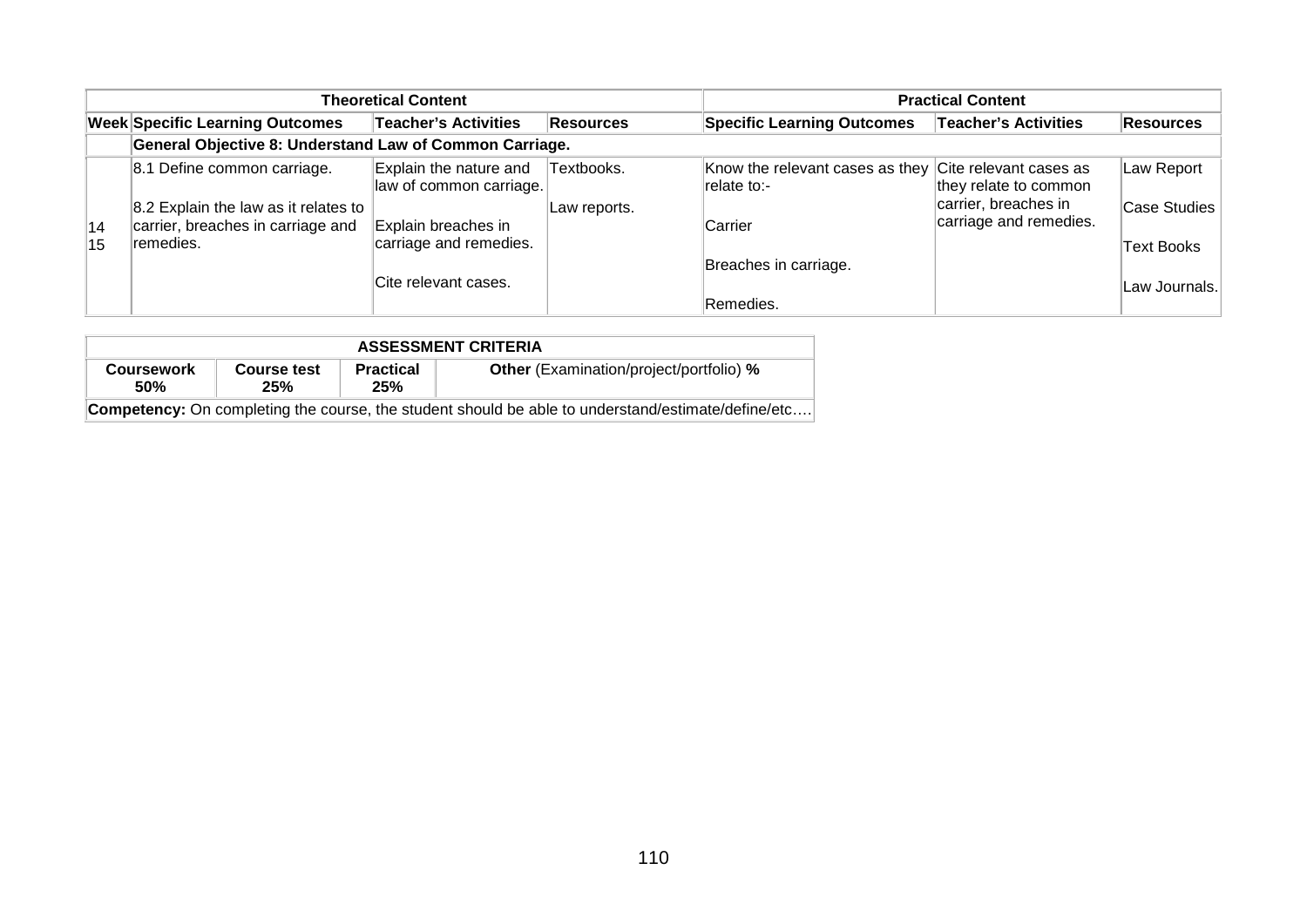| <b>Theoretical Content</b> |                                                                           |                                                   |                  |                                                                        | <b>Practical Content</b>                       |                   |  |
|----------------------------|---------------------------------------------------------------------------|---------------------------------------------------|------------------|------------------------------------------------------------------------|------------------------------------------------|-------------------|--|
|                            | <b>Week Specific Learning Outcomes</b>                                    | <b>Teacher's Activities</b>                       | <b>Resources</b> | <b>Specific Learning Outcomes</b>                                      | <b>Teacher's Activities</b>                    | <b>Resources</b>  |  |
|                            | General Objective 8: Understand Law of Common Carriage.                   |                                                   |                  |                                                                        |                                                |                   |  |
|                            | 8.1 Define common carriage.                                               | Explain the nature and<br>law of common carriage. | Textbooks.       | Know the relevant cases as they Cite relevant cases as<br>Irelate to:- | they relate to common                          | Law Report        |  |
| 14                         | 8.2 Explain the law as it relates to<br>carrier, breaches in carriage and | Explain breaches in                               | Law reports.     | Carrier                                                                | carrier, breaches in<br>carriage and remedies. | Case Studies      |  |
| 15                         | ∣remedies.                                                                | carriage and remedies.                            |                  | Breaches in carriage.                                                  |                                                | <b>Text Books</b> |  |
|                            |                                                                           | Cite relevant cases.                              |                  | Remedies.                                                              |                                                | Law Journals.     |  |

| <b>ASSESSMENT CRITERIA</b>                                                                                |                    |                         |                                                |  |  |  |  |  |
|-----------------------------------------------------------------------------------------------------------|--------------------|-------------------------|------------------------------------------------|--|--|--|--|--|
| <b>Coursework</b><br><b>50%</b>                                                                           | Course test<br>25% | <b>Practical</b><br>25% | <b>Other</b> (Examination/project/portfolio) % |  |  |  |  |  |
| <b>Competency:</b> On completing the course, the student should be able to understand/estimate/define/etc |                    |                         |                                                |  |  |  |  |  |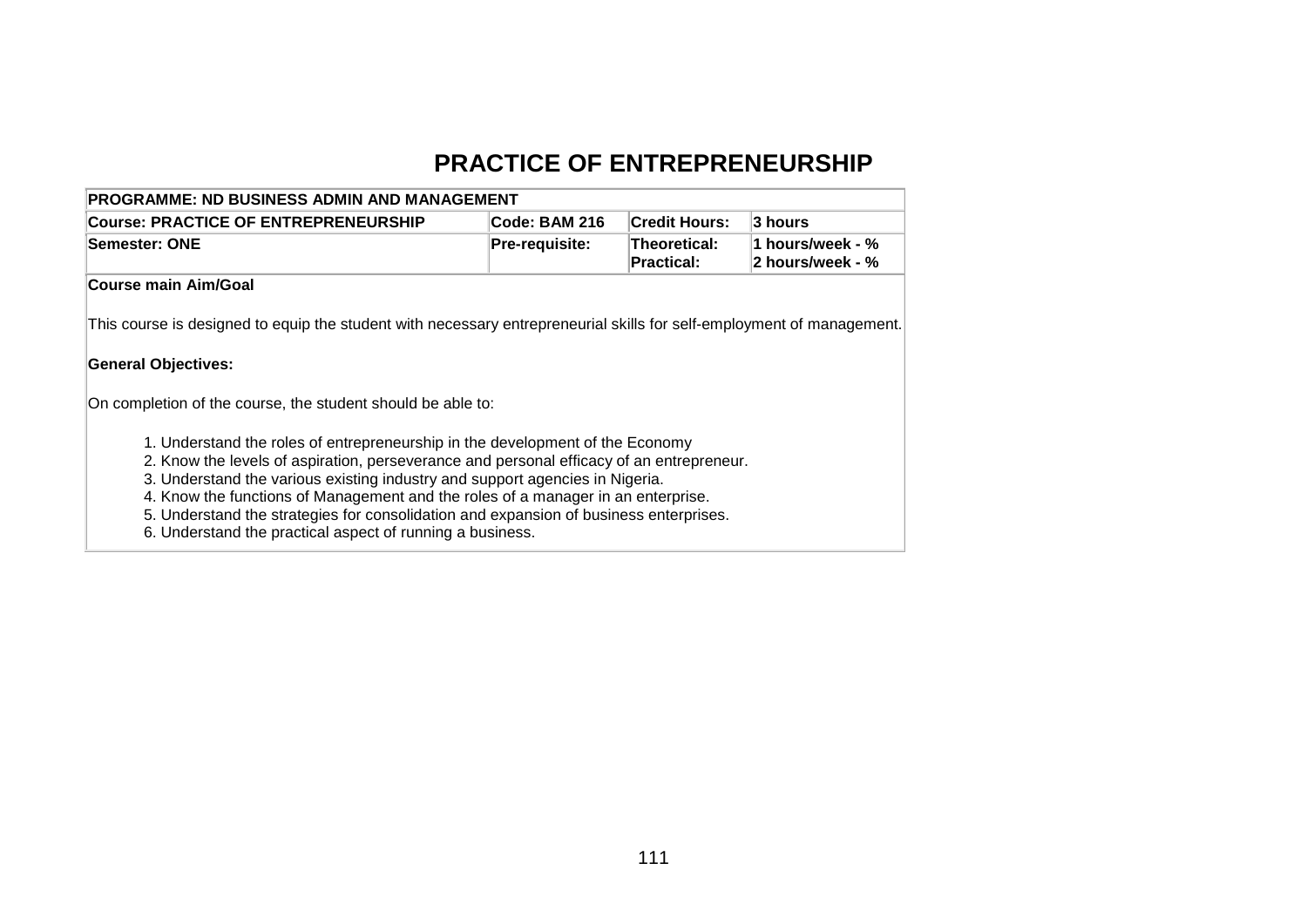# **PRACTICE OF ENTREPRENEURSHIP**

| <b>PROGRAMME: ND BUSINESS ADMIN AND MANAGEMENT</b>                                                                                                                                                                                                                                                                                                                                                                                                                                                                                                                                                                                                                                                                        |                       |                                   |                                      |  |  |  |  |
|---------------------------------------------------------------------------------------------------------------------------------------------------------------------------------------------------------------------------------------------------------------------------------------------------------------------------------------------------------------------------------------------------------------------------------------------------------------------------------------------------------------------------------------------------------------------------------------------------------------------------------------------------------------------------------------------------------------------------|-----------------------|-----------------------------------|--------------------------------------|--|--|--|--|
| <b>Course: PRACTICE OF ENTREPRENEURSHIP</b>                                                                                                                                                                                                                                                                                                                                                                                                                                                                                                                                                                                                                                                                               | Code: BAM 216         | <b>Credit Hours:</b>              | 3 hours                              |  |  |  |  |
| Semester: ONE                                                                                                                                                                                                                                                                                                                                                                                                                                                                                                                                                                                                                                                                                                             | <b>Pre-requisite:</b> | Theoretical:<br><b>Practical:</b> | 1 hours/week - %<br>2 hours/week - % |  |  |  |  |
| Course main Aim/Goal                                                                                                                                                                                                                                                                                                                                                                                                                                                                                                                                                                                                                                                                                                      |                       |                                   |                                      |  |  |  |  |
| This course is designed to equip the student with necessary entrepreneurial skills for self-employment of management.<br><b>General Objectives:</b><br>On completion of the course, the student should be able to:<br>1. Understand the roles of entrepreneurship in the development of the Economy<br>2. Know the levels of aspiration, perseverance and personal efficacy of an entrepreneur.<br>3. Understand the various existing industry and support agencies in Nigeria.<br>4. Know the functions of Management and the roles of a manager in an enterprise.<br>5. Understand the strategies for consolidation and expansion of business enterprises.<br>6. Understand the practical aspect of running a business. |                       |                                   |                                      |  |  |  |  |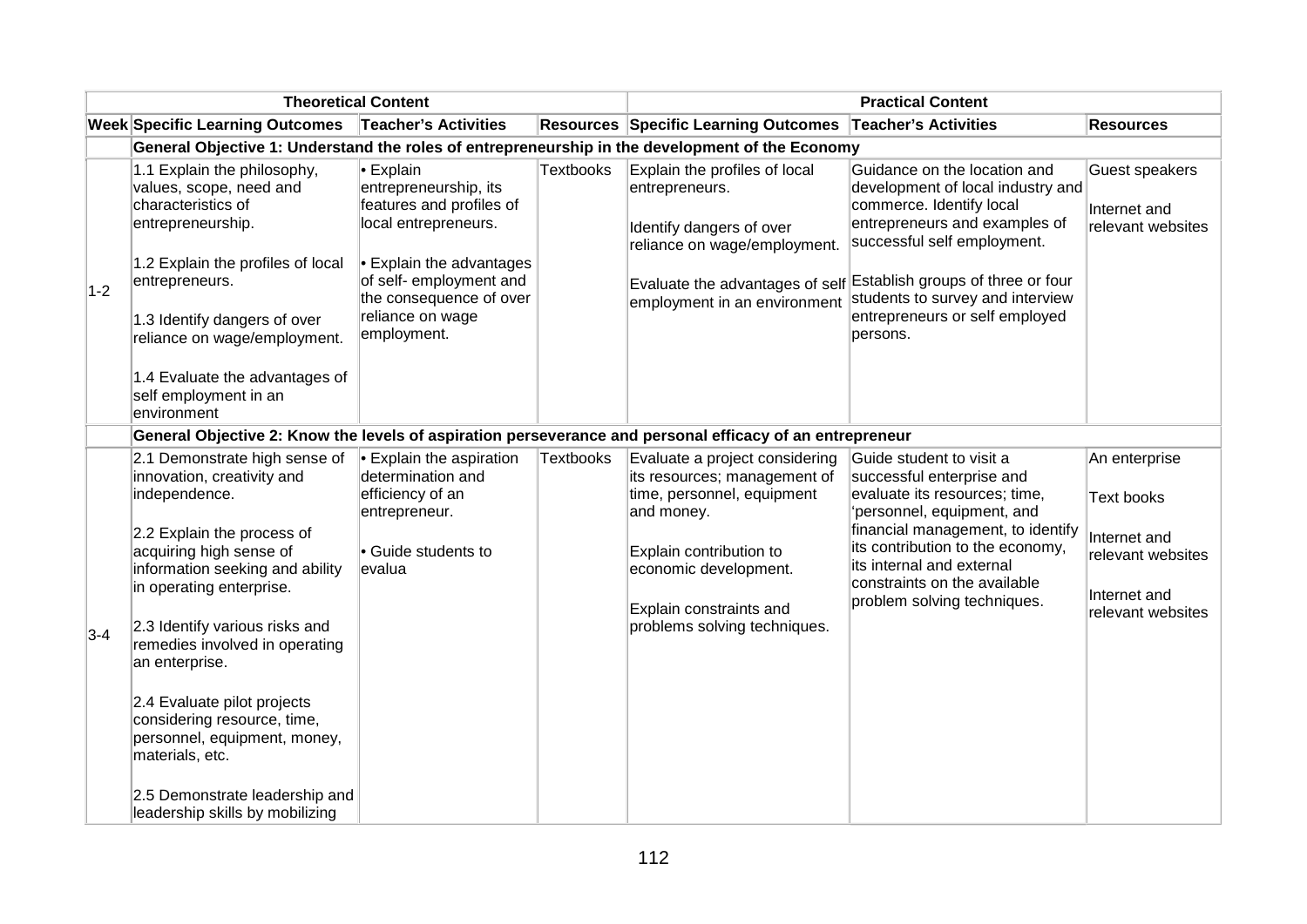| <b>Theoretical Content</b> |                                                                                                                                                                                                                                                                                                                                                                                                                                                                                  |                                                                                                                                                                                                             | <b>Practical Content</b> |                                                                                                                                                                                                                           |                                                                                                                                                                                                                                                                                          |                                                                                                              |
|----------------------------|----------------------------------------------------------------------------------------------------------------------------------------------------------------------------------------------------------------------------------------------------------------------------------------------------------------------------------------------------------------------------------------------------------------------------------------------------------------------------------|-------------------------------------------------------------------------------------------------------------------------------------------------------------------------------------------------------------|--------------------------|---------------------------------------------------------------------------------------------------------------------------------------------------------------------------------------------------------------------------|------------------------------------------------------------------------------------------------------------------------------------------------------------------------------------------------------------------------------------------------------------------------------------------|--------------------------------------------------------------------------------------------------------------|
|                            | <b>Week Specific Learning Outcomes</b>                                                                                                                                                                                                                                                                                                                                                                                                                                           | <b>Teacher's Activities</b>                                                                                                                                                                                 |                          | <b>Resources Specific Learning Outcomes</b>                                                                                                                                                                               | <b>Teacher's Activities</b>                                                                                                                                                                                                                                                              | <b>Resources</b>                                                                                             |
|                            |                                                                                                                                                                                                                                                                                                                                                                                                                                                                                  |                                                                                                                                                                                                             |                          | General Objective 1: Understand the roles of entrepreneurship in the development of the Economy                                                                                                                           |                                                                                                                                                                                                                                                                                          |                                                                                                              |
| $1-2$                      | 1.1 Explain the philosophy,<br>values, scope, need and<br>characteristics of<br>entrepreneurship.<br>1.2 Explain the profiles of local<br>entrepreneurs.<br>1.3 Identify dangers of over<br>reliance on wage/employment.<br>1.4 Evaluate the advantages of<br>self employment in an<br>environment                                                                                                                                                                               | • Explain<br>entrepreneurship, its<br>features and profiles of<br>local entrepreneurs.<br>• Explain the advantages<br>of self- employment and<br>the consequence of over<br>reliance on wage<br>employment. | <b>Textbooks</b>         | Explain the profiles of local<br>entrepreneurs.<br>Identify dangers of over<br>reliance on wage/employment.<br>Evaluate the advantages of self<br>employment in an environment                                            | Guidance on the location and<br>development of local industry and<br>commerce. Identify local<br>entrepreneurs and examples of<br>successful self employment.<br>Establish groups of three or four<br>students to survey and interview<br>entrepreneurs or self employed<br>persons.     | Guest speakers<br>Internet and<br>relevant websites                                                          |
|                            |                                                                                                                                                                                                                                                                                                                                                                                                                                                                                  |                                                                                                                                                                                                             |                          | General Objective 2: Know the levels of aspiration perseverance and personal efficacy of an entrepreneur                                                                                                                  |                                                                                                                                                                                                                                                                                          |                                                                                                              |
| $3-4$                      | 2.1 Demonstrate high sense of<br>innovation, creativity and<br>independence.<br>2.2 Explain the process of<br>acquiring high sense of<br>information seeking and ability<br>in operating enterprise.<br>2.3 Identify various risks and<br>remedies involved in operating<br>an enterprise.<br>2.4 Evaluate pilot projects<br>considering resource, time,<br>personnel, equipment, money,<br>materials, etc.<br>2.5 Demonstrate leadership and<br>leadership skills by mobilizing | • Explain the aspiration<br>determination and<br>efficiency of an<br>entrepreneur.<br>• Guide students to<br>levalua                                                                                        | <b>Textbooks</b>         | Evaluate a project considering<br>its resources; management of<br>time, personnel, equipment<br>and money.<br>Explain contribution to<br>economic development.<br>Explain constraints and<br>problems solving techniques. | Guide student to visit a<br>successful enterprise and<br>evaluate its resources; time,<br>personnel, equipment, and<br>financial management, to identify<br>its contribution to the economy,<br>its internal and external<br>constraints on the available<br>problem solving techniques. | An enterprise<br><b>Text books</b><br>Internet and<br>relevant websites<br>Internet and<br>relevant websites |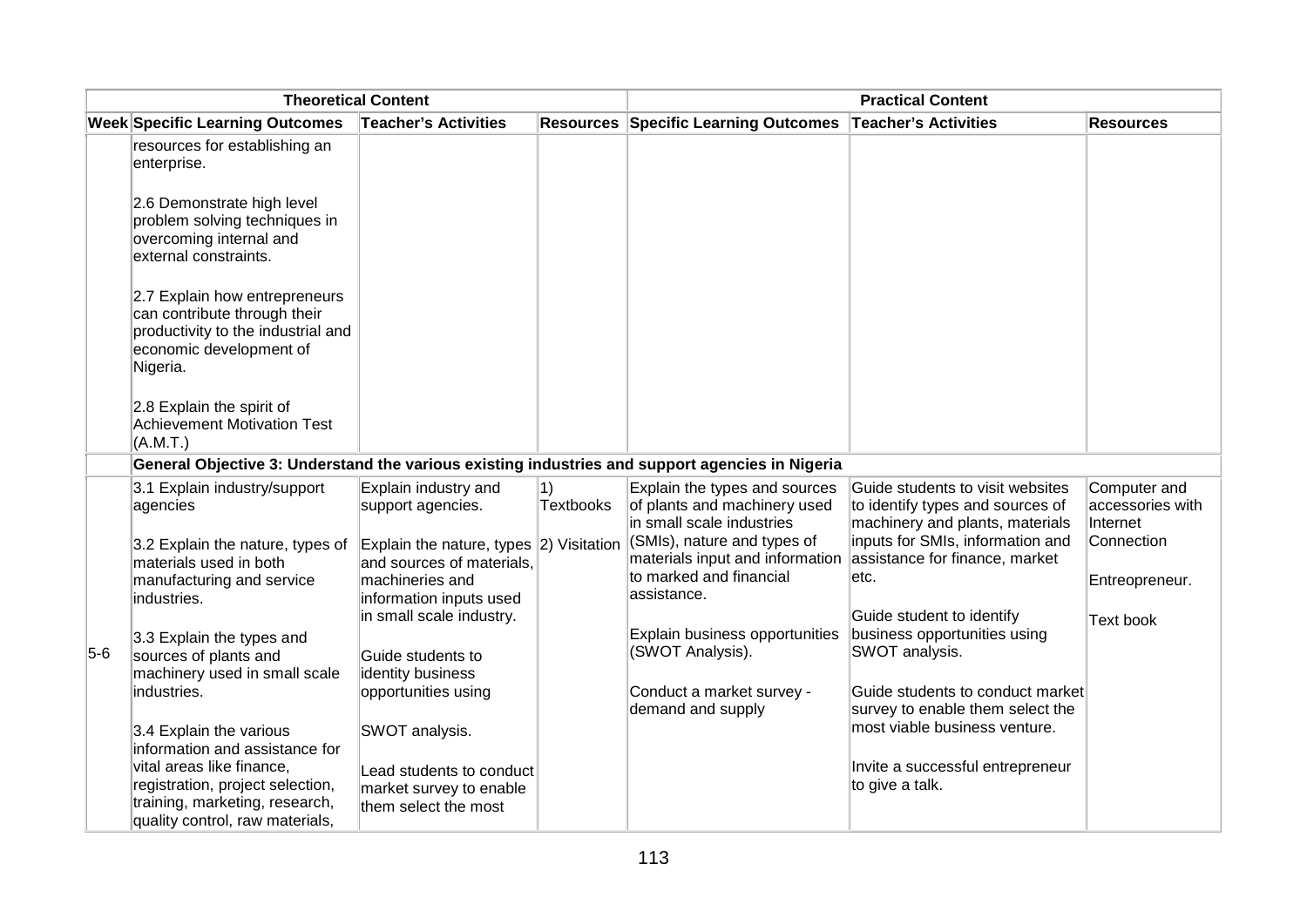| <b>Theoretical Content</b> |                                                                                                                                            |                                                                             | <b>Practical Content</b> |                                                                                            |                                                                                                         |                                              |
|----------------------------|--------------------------------------------------------------------------------------------------------------------------------------------|-----------------------------------------------------------------------------|--------------------------|--------------------------------------------------------------------------------------------|---------------------------------------------------------------------------------------------------------|----------------------------------------------|
|                            | <b>Week Specific Learning Outcomes</b>                                                                                                     | Teacher's Activities                                                        |                          | <b>Resources Specific Learning Outcomes</b>                                                | <b>Teacher's Activities</b>                                                                             | <b>Resources</b>                             |
|                            | resources for establishing an<br>enterprise.                                                                                               |                                                                             |                          |                                                                                            |                                                                                                         |                                              |
|                            | 2.6 Demonstrate high level<br>problem solving techniques in<br>overcoming internal and<br>external constraints.                            |                                                                             |                          |                                                                                            |                                                                                                         |                                              |
|                            | 2.7 Explain how entrepreneurs<br>can contribute through their<br>productivity to the industrial and<br>economic development of<br>Nigeria. |                                                                             |                          |                                                                                            |                                                                                                         |                                              |
|                            | 2.8 Explain the spirit of<br>Achievement Motivation Test<br>(A.M.T.)                                                                       |                                                                             |                          |                                                                                            |                                                                                                         |                                              |
|                            | General Objective 3: Understand the various existing industries and support agencies in Nigeria                                            |                                                                             |                          |                                                                                            |                                                                                                         |                                              |
|                            | 3.1 Explain industry/support<br>agencies                                                                                                   | Explain industry and<br>support agencies.                                   | 1)<br><b>Textbooks</b>   | Explain the types and sources<br>of plants and machinery used<br>in small scale industries | Guide students to visit websites<br>to identify types and sources of<br>machinery and plants, materials | Computer and<br>accessories with<br>Internet |
|                            | 3.2 Explain the nature, types of<br>materials used in both                                                                                 | Explain the nature, types $ 2)$ Visitation<br>and sources of materials,     |                          | $ $ (SMIs), nature and types of<br>materials input and information                         | inputs for SMIs, information and<br>assistance for finance, market                                      | Connection                                   |
|                            | manufacturing and service<br>industries.                                                                                                   | machineries and<br>information inputs used                                  |                          | to marked and financial<br>assistance.                                                     | etc.                                                                                                    | Entreopreneur.                               |
| $5-6$                      | 3.3 Explain the types and<br>sources of plants and<br>machinery used in small scale                                                        | in small scale industry.<br>Guide students to<br>identity business          |                          | Explain business opportunities<br>(SWOT Analysis).                                         | Guide student to identify<br>business opportunities using<br>SWOT analysis.                             | Text book                                    |
|                            | industries.                                                                                                                                | opportunities using                                                         |                          | Conduct a market survey -<br>demand and supply                                             | Guide students to conduct market<br>survey to enable them select the                                    |                                              |
|                            | 3.4 Explain the various<br>information and assistance for                                                                                  | SWOT analysis.                                                              |                          |                                                                                            | most viable business venture.                                                                           |                                              |
|                            | vital areas like finance,<br>registration, project selection,<br>training, marketing, research,<br>quality control, raw materials,         | Lead students to conduct<br>market survey to enable<br>them select the most |                          |                                                                                            | Invite a successful entrepreneur<br>to give a talk.                                                     |                                              |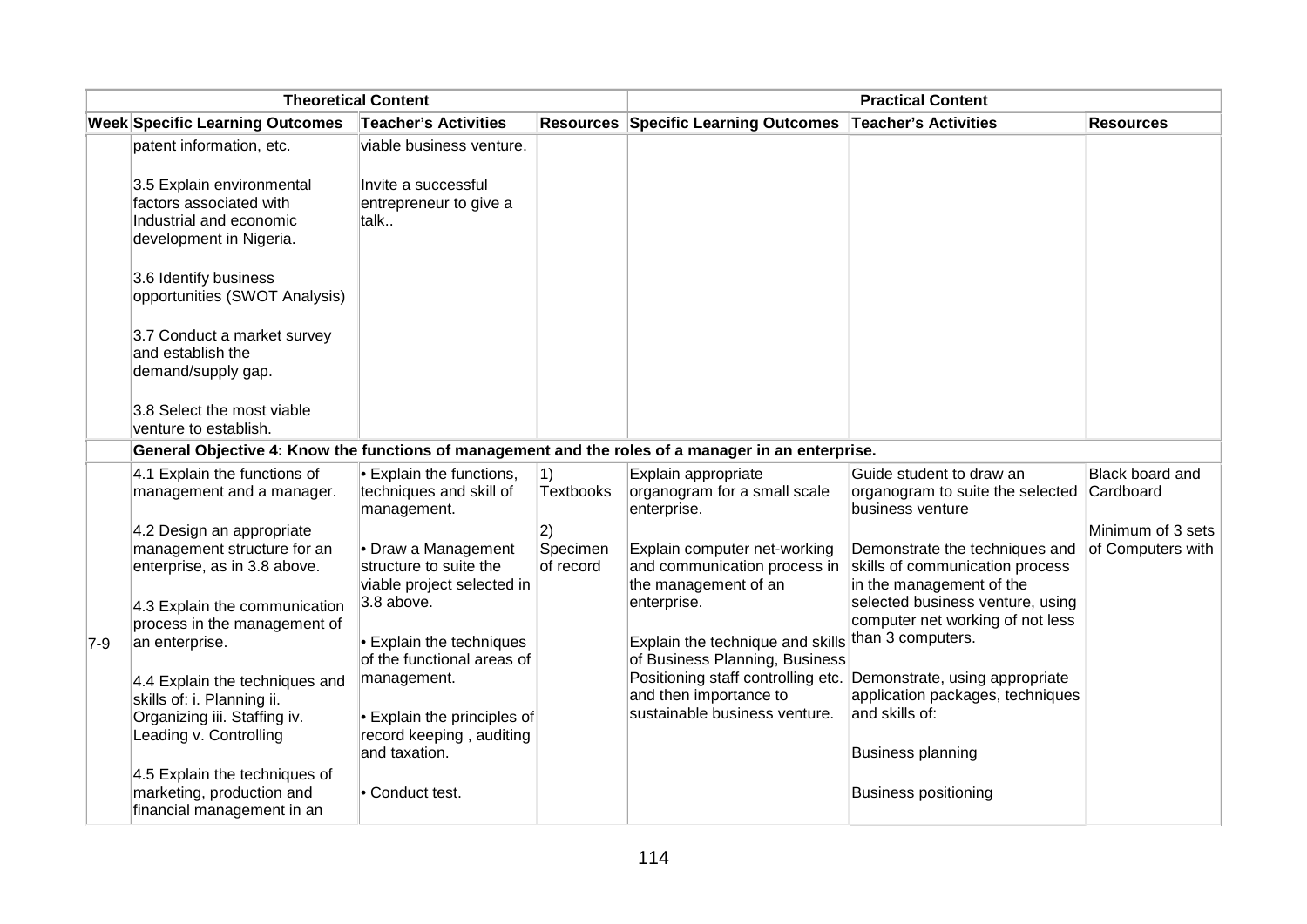| <b>Theoretical Content</b> |                                                                                                                                                                                                                                                                                                                                                                                                                                                                |                                                                                                                                                                                                                                                                                                                                               | <b>Practical Content</b>                        |                                                                                                                                                                                                                                                                                                            |                                                                                                                                                                                                                                                                                                                                                                                                                                                                         |                                                           |
|----------------------------|----------------------------------------------------------------------------------------------------------------------------------------------------------------------------------------------------------------------------------------------------------------------------------------------------------------------------------------------------------------------------------------------------------------------------------------------------------------|-----------------------------------------------------------------------------------------------------------------------------------------------------------------------------------------------------------------------------------------------------------------------------------------------------------------------------------------------|-------------------------------------------------|------------------------------------------------------------------------------------------------------------------------------------------------------------------------------------------------------------------------------------------------------------------------------------------------------------|-------------------------------------------------------------------------------------------------------------------------------------------------------------------------------------------------------------------------------------------------------------------------------------------------------------------------------------------------------------------------------------------------------------------------------------------------------------------------|-----------------------------------------------------------|
|                            | <b>Week Specific Learning Outcomes</b>                                                                                                                                                                                                                                                                                                                                                                                                                         | <b>Teacher's Activities</b>                                                                                                                                                                                                                                                                                                                   |                                                 | <b>Resources Specific Learning Outcomes</b>                                                                                                                                                                                                                                                                | <b>Teacher's Activities</b>                                                                                                                                                                                                                                                                                                                                                                                                                                             | <b>Resources</b>                                          |
|                            | patent information, etc.<br>3.5 Explain environmental<br>factors associated with<br>Industrial and economic<br>development in Nigeria.<br>3.6 Identify business<br>opportunities (SWOT Analysis)<br>3.7 Conduct a market survey<br>and establish the<br>demand/supply gap.                                                                                                                                                                                     | viable business venture.<br>Invite a successful<br>entrepreneur to give a<br>talk                                                                                                                                                                                                                                                             |                                                 |                                                                                                                                                                                                                                                                                                            |                                                                                                                                                                                                                                                                                                                                                                                                                                                                         |                                                           |
|                            | 3.8 Select the most viable<br>venture to establish.<br>General Objective 4: Know the functions of management and the roles of a manager in an enterprise.                                                                                                                                                                                                                                                                                                      |                                                                                                                                                                                                                                                                                                                                               |                                                 |                                                                                                                                                                                                                                                                                                            |                                                                                                                                                                                                                                                                                                                                                                                                                                                                         |                                                           |
| 7-9                        | 4.1 Explain the functions of<br>management and a manager.<br>4.2 Design an appropriate<br>management structure for an<br>enterprise, as in 3.8 above.<br>4.3 Explain the communication<br>process in the management of<br>an enterprise.<br>4.4 Explain the techniques and<br>skills of: i. Planning ii.<br>Organizing iii. Staffing iv.<br>Leading v. Controlling<br>4.5 Explain the techniques of<br>marketing, production and<br>financial management in an | $\cdot$ Explain the functions,<br>techniques and skill of<br>management.<br>• Draw a Management<br>structure to suite the<br>viable project selected in<br>3.8 above.<br>• Explain the techniques<br>of the functional areas of<br>management.<br>• Explain the principles of<br>record keeping, auditing<br>and taxation.<br>• Conduct test. | 1)<br>Textbooks<br> 2)<br>Specimen<br>of record | Explain appropriate<br>organogram for a small scale<br>enterprise.<br>Explain computer net-working<br>and communication process in<br>the management of an<br>enterprise.<br>Explain the technique and skills<br>of Business Planning, Business<br>and then importance to<br>sustainable business venture. | Guide student to draw an<br>organogram to suite the selected Cardboard<br>business venture<br>Demonstrate the techniques and<br>skills of communication process<br>in the management of the<br>selected business venture, using<br>computer net working of not less<br>than 3 computers.<br>Positioning staff controlling etc. Demonstrate, using appropriate<br>application packages, techniques<br>and skills of:<br>Business planning<br><b>Business positioning</b> | Black board and<br>Minimum of 3 sets<br>of Computers with |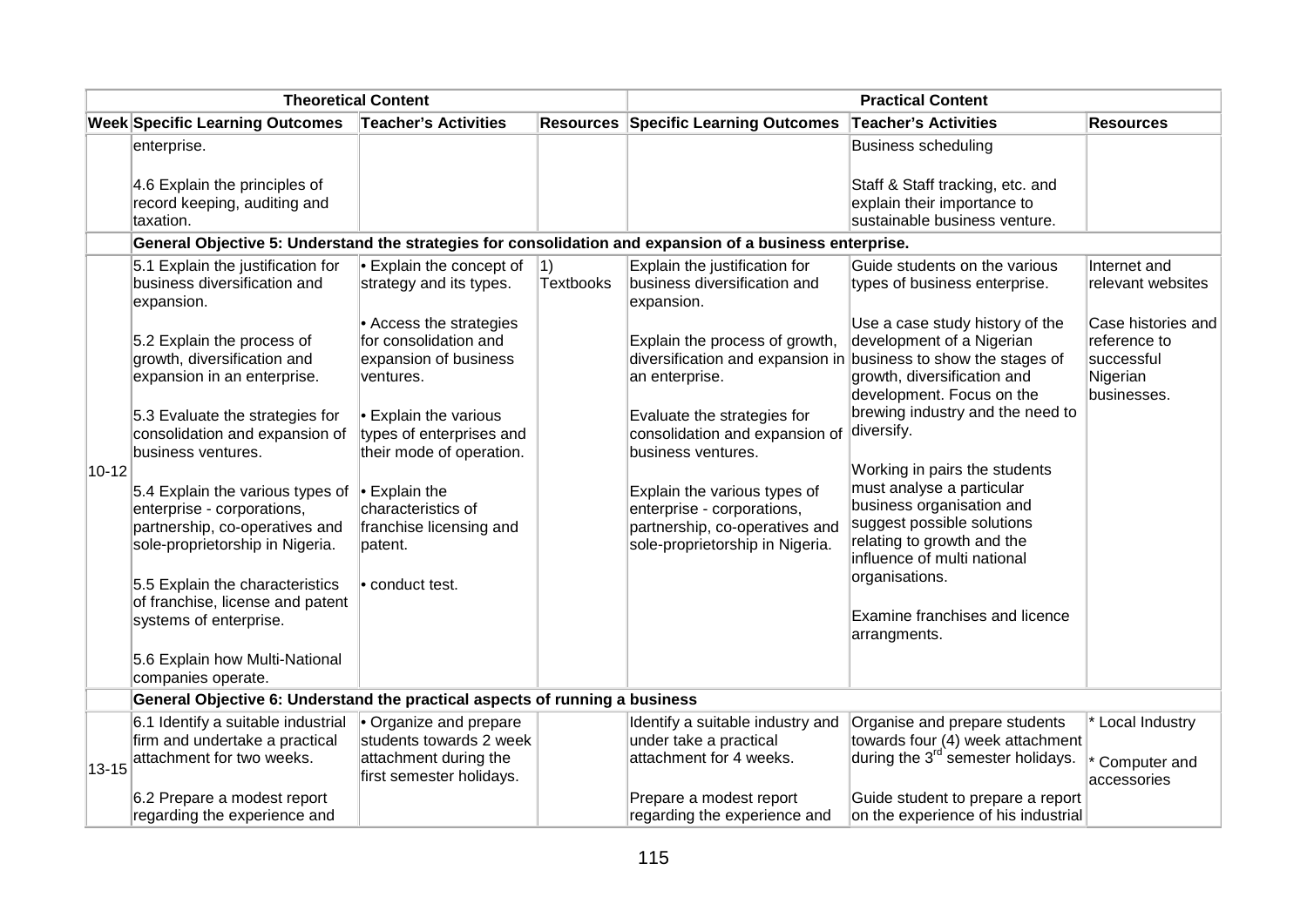| <b>Theoretical Content</b> |                                                                                                                                                         | <b>Practical Content</b>                                                               |                  |                                                                                                                                 |                                                                                                                                                                                    |                                                                             |
|----------------------------|---------------------------------------------------------------------------------------------------------------------------------------------------------|----------------------------------------------------------------------------------------|------------------|---------------------------------------------------------------------------------------------------------------------------------|------------------------------------------------------------------------------------------------------------------------------------------------------------------------------------|-----------------------------------------------------------------------------|
|                            | <b>Week Specific Learning Outcomes</b>                                                                                                                  | <b>Teacher's Activities</b>                                                            |                  | <b>Resources Specific Learning Outcomes</b>                                                                                     | <b>Teacher's Activities</b>                                                                                                                                                        | <b>Resources</b>                                                            |
|                            | enterprise.<br>4.6 Explain the principles of                                                                                                            |                                                                                        |                  |                                                                                                                                 | Business scheduling<br>Staff & Staff tracking, etc. and                                                                                                                            |                                                                             |
|                            | record keeping, auditing and<br>taxation.                                                                                                               |                                                                                        |                  |                                                                                                                                 | explain their importance to<br>sustainable business venture.                                                                                                                       |                                                                             |
|                            |                                                                                                                                                         |                                                                                        |                  | General Objective 5: Understand the strategies for consolidation and expansion of a business enterprise.                        |                                                                                                                                                                                    |                                                                             |
|                            | 5.1 Explain the justification for                                                                                                                       | $\cdot$ Explain the concept of                                                         | 1)               | Explain the justification for                                                                                                   | Guide students on the various                                                                                                                                                      | Internet and                                                                |
|                            | business diversification and<br>expansion.                                                                                                              | strategy and its types.                                                                | <b>Textbooks</b> | business diversification and<br>expansion.                                                                                      | types of business enterprise.                                                                                                                                                      | relevant websites                                                           |
|                            | 5.2 Explain the process of<br>growth, diversification and<br>expansion in an enterprise.                                                                | • Access the strategies<br>for consolidation and<br>expansion of business<br>ventures. |                  | Explain the process of growth,<br>diversification and expansion in<br>an enterprise.                                            | Use a case study history of the<br>development of a Nigerian<br>business to show the stages of<br>growth, diversification and<br>development. Focus on the                         | Case histories and<br>reference to<br>successful<br>Nigerian<br>businesses. |
|                            | 5.3 Evaluate the strategies for<br>consolidation and expansion of<br>business ventures.                                                                 | • Explain the various<br>types of enterprises and<br>their mode of operation.          |                  | Evaluate the strategies for<br>consolidation and expansion of<br>business ventures.                                             | brewing industry and the need to<br>diversify.                                                                                                                                     |                                                                             |
| $10 - 12$                  | 5.4 Explain the various types of $\cdot$ Explain the<br>enterprise - corporations,<br>partnership, co-operatives and<br>sole-proprietorship in Nigeria. | characteristics of<br>franchise licensing and<br>patent.                               |                  | Explain the various types of<br>enterprise - corporations,<br>partnership, co-operatives and<br>sole-proprietorship in Nigeria. | Working in pairs the students<br>must analyse a particular<br>business organisation and<br>suggest possible solutions<br>relating to growth and the<br>influence of multi national |                                                                             |
|                            | 5.5 Explain the characteristics<br>of franchise, license and patent<br>systems of enterprise.                                                           | • conduct test.                                                                        |                  |                                                                                                                                 | organisations.<br><b>Examine franchises and licence</b><br>arrangments.                                                                                                            |                                                                             |
|                            | 5.6 Explain how Multi-National<br>companies operate.                                                                                                    |                                                                                        |                  |                                                                                                                                 |                                                                                                                                                                                    |                                                                             |
|                            | General Objective 6: Understand the practical aspects of running a business                                                                             |                                                                                        |                  |                                                                                                                                 |                                                                                                                                                                                    |                                                                             |
|                            | 6.1 Identify a suitable industrial<br>firm and undertake a practical<br>attachment for two weeks.                                                       | • Organize and prepare<br>students towards 2 week<br>attachment during the             |                  | Identify a suitable industry and<br>under take a practical<br>attachment for 4 weeks.                                           | Organise and prepare students<br>towards four (4) week attachment<br>during the 3 <sup>rd</sup> semester holidays.                                                                 | * Local Industry<br>Computer and                                            |
| $13 - 15$                  | 6.2 Prepare a modest report                                                                                                                             | first semester holidays.                                                               |                  | Prepare a modest report                                                                                                         | Guide student to prepare a report                                                                                                                                                  | accessories                                                                 |
|                            | regarding the experience and                                                                                                                            |                                                                                        |                  | regarding the experience and                                                                                                    | on the experience of his industrial                                                                                                                                                |                                                                             |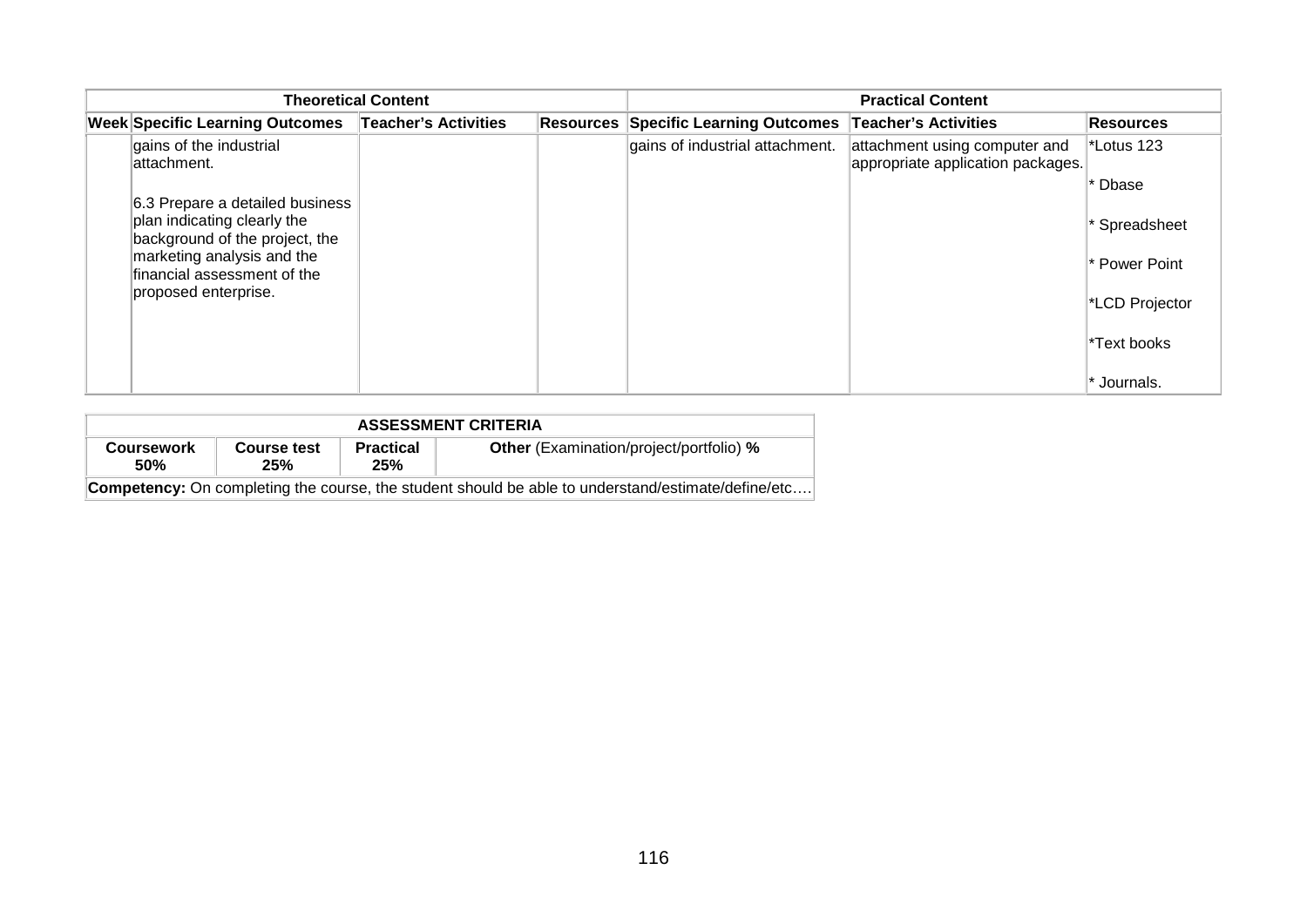|                                                               | <b>Theoretical Content</b> | <b>Practical Content</b>                    |                                                                    |                  |  |
|---------------------------------------------------------------|----------------------------|---------------------------------------------|--------------------------------------------------------------------|------------------|--|
| <b>Week Specific Learning Outcomes</b>                        | Teacher's Activities       | <b>Resources Specific Learning Outcomes</b> | <b>Teacher's Activities</b>                                        | <b>Resources</b> |  |
| gains of the industrial<br>lattachment.                       |                            | gains of industrial attachment.             | attachment using computer and<br>appropriate application packages. | *Lotus 123       |  |
| 6.3 Prepare a detailed business                               |                            |                                             |                                                                    | <b>Dbase</b>     |  |
| plan indicating clearly the<br>background of the project, the |                            |                                             |                                                                    | Spreadsheet      |  |
| marketing analysis and the<br>financial assessment of the     |                            |                                             |                                                                    | * Power Point    |  |
| proposed enterprise.                                          |                            |                                             |                                                                    | *LCD Projector   |  |
|                                                               |                            |                                             |                                                                    | *Text books      |  |
|                                                               |                            |                                             |                                                                    | Journals.        |  |

| <b>ASSESSMENT CRITERIA</b>                                                                                |                                                |  |  |  |  |  |  |  |
|-----------------------------------------------------------------------------------------------------------|------------------------------------------------|--|--|--|--|--|--|--|
| <b>Coursework</b><br><b>50%</b>                                                                           | <b>Other</b> (Examination/project/portfolio) % |  |  |  |  |  |  |  |
| <b>Competency:</b> On completing the course, the student should be able to understand/estimate/define/etc |                                                |  |  |  |  |  |  |  |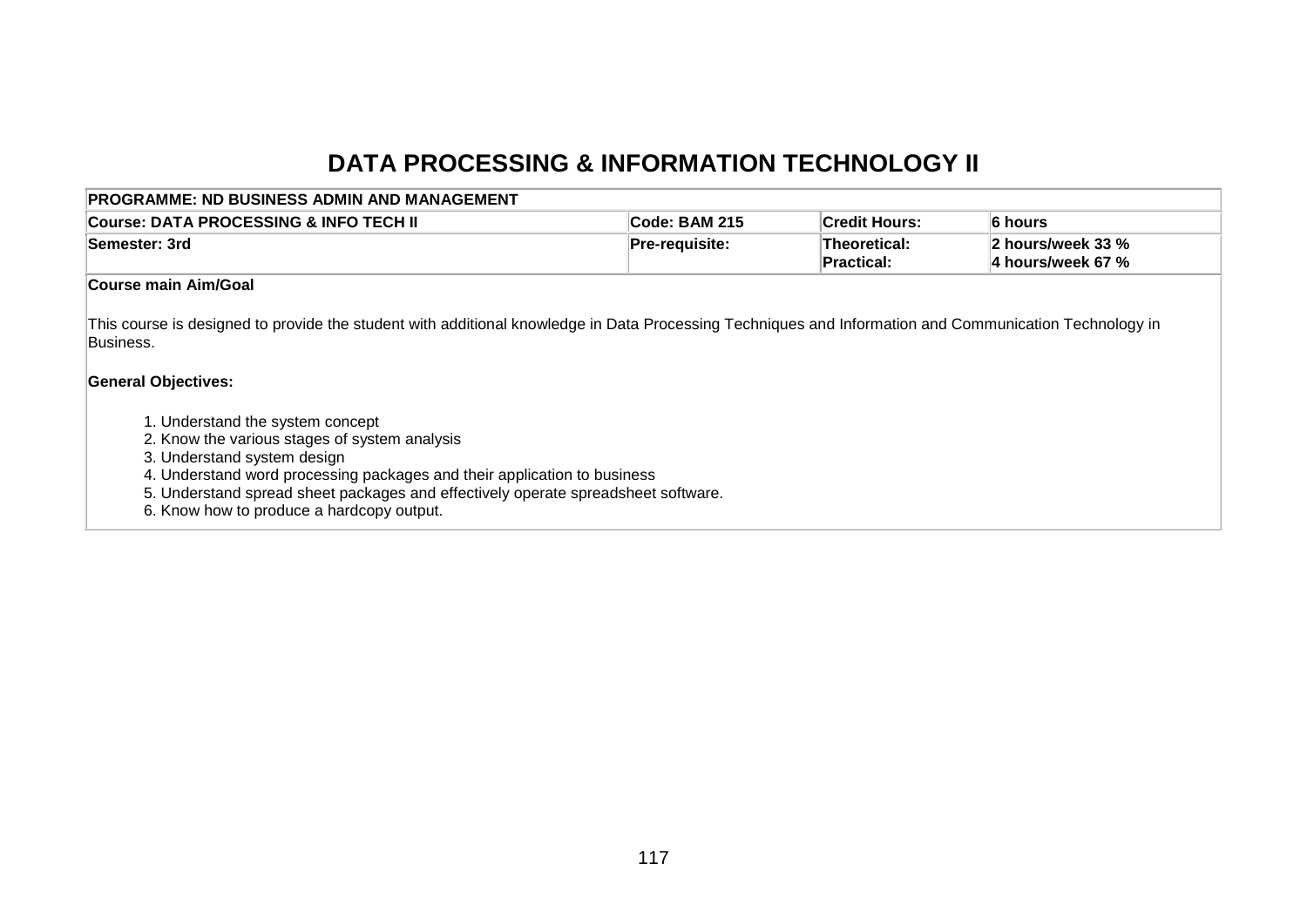# **DATA PROCESSING & INFORMATION TECHNOLOGY II**

| PROGRAMME: ND BUSINESS ADMIN AND MANAGEMENT                                                                                                                                                                                                                                                                                    |                |                            |                                        |
|--------------------------------------------------------------------------------------------------------------------------------------------------------------------------------------------------------------------------------------------------------------------------------------------------------------------------------|----------------|----------------------------|----------------------------------------|
| ∣Course: DATA PROCESSING & INFO TECH Ⅱ                                                                                                                                                                                                                                                                                         | Code: BAM 215  | <b>Credit Hours:</b>       | 6 hours                                |
| <b>Semester: 3rd</b>                                                                                                                                                                                                                                                                                                           | Pre-requisite: | Theoretical:<br>Practical: | 2 hours/week 33 %<br>4 hours/week 67 % |
| Course main Aim/Goal                                                                                                                                                                                                                                                                                                           |                |                            |                                        |
| This course is designed to provide the student with additional knowledge in Data Processing Techniques and Information and Communication Technology in<br>Business.<br><b>General Objectives:</b>                                                                                                                              |                |                            |                                        |
| 1. Understand the system concept<br>2. Know the various stages of system analysis<br>3. Understand system design<br>4. Understand word processing packages and their application to business<br>5. Understand spread sheet packages and effectively operate spreadsheet software.<br>6. Know how to produce a hardcopy output. |                |                            |                                        |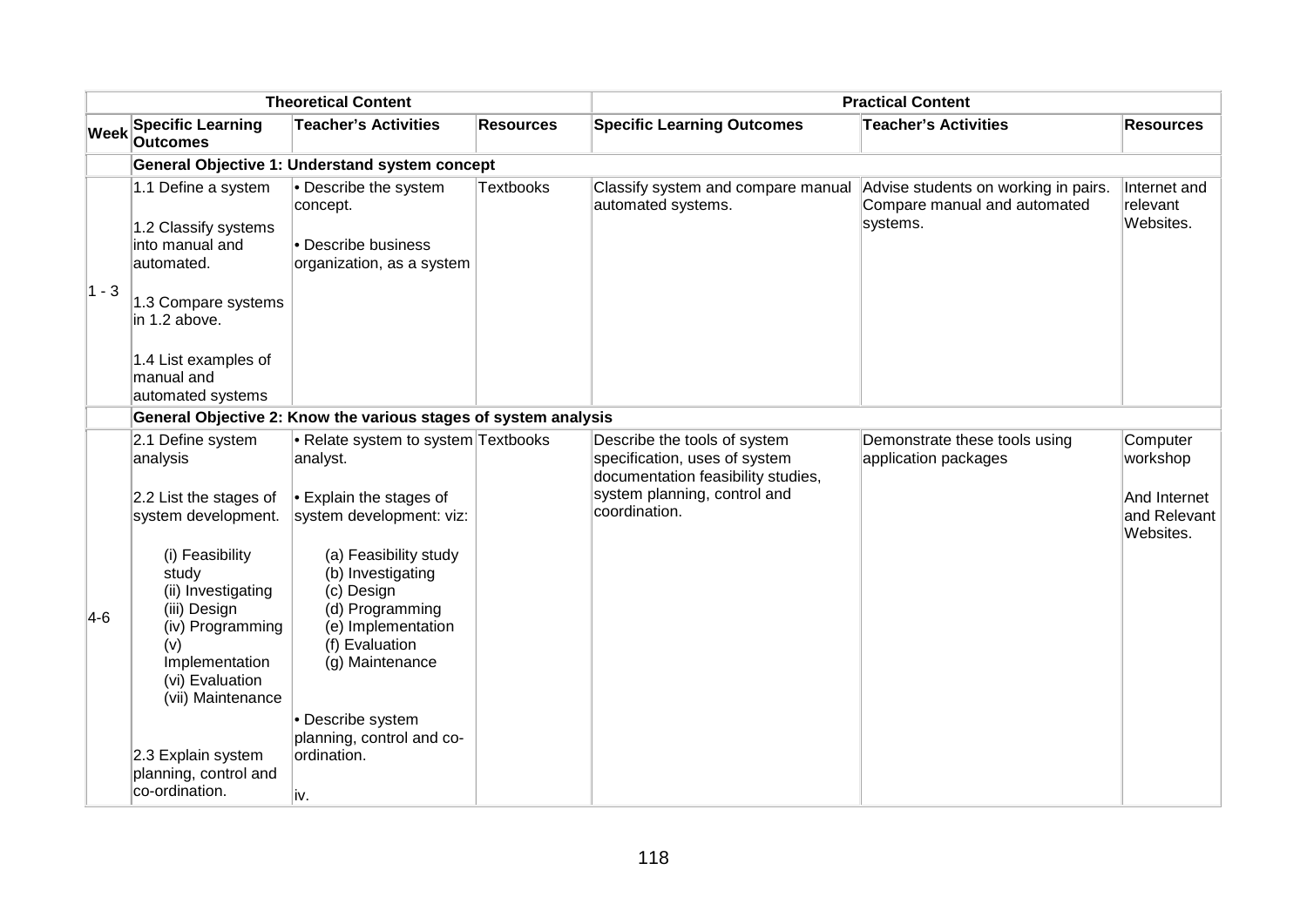|             | <b>Theoretical Content</b>                                                                                                                                                                                                            |                                                                                                                                                                                                                                                                                                          |                  | <b>Practical Content</b>                                                                                                                             |                                                                                  |                                                                   |  |
|-------------|---------------------------------------------------------------------------------------------------------------------------------------------------------------------------------------------------------------------------------------|----------------------------------------------------------------------------------------------------------------------------------------------------------------------------------------------------------------------------------------------------------------------------------------------------------|------------------|------------------------------------------------------------------------------------------------------------------------------------------------------|----------------------------------------------------------------------------------|-------------------------------------------------------------------|--|
| <b>Week</b> | <b>Specific Learning</b><br><b>Outcomes</b>                                                                                                                                                                                           | <b>Teacher's Activities</b>                                                                                                                                                                                                                                                                              | <b>Resources</b> | <b>Specific Learning Outcomes</b>                                                                                                                    | <b>Teacher's Activities</b>                                                      | <b>Resources</b>                                                  |  |
|             |                                                                                                                                                                                                                                       | General Objective 1: Understand system concept                                                                                                                                                                                                                                                           |                  |                                                                                                                                                      |                                                                                  |                                                                   |  |
| $ 1 - 3 $   | 1.1 Define a system<br>1.2 Classify systems<br>into manual and<br>automated.<br>1.3 Compare systems<br>in 1.2 above.<br>1.4 List examples of<br>manual and<br>automated systems                                                       | • Describe the system<br>concept.<br>$\bullet$ Describe business<br>organization, as a system                                                                                                                                                                                                            | Textbooks        | Classify system and compare manual<br>automated systems.                                                                                             | Advise students on working in pairs.<br>Compare manual and automated<br>systems. | Internet and<br>relevant<br>Websites.                             |  |
|             |                                                                                                                                                                                                                                       | General Objective 2: Know the various stages of system analysis                                                                                                                                                                                                                                          |                  |                                                                                                                                                      |                                                                                  |                                                                   |  |
| $ 4-6 $     | 2.1 Define system<br>analysis<br>2.2 List the stages of<br>system development.<br>(i) Feasibility<br>study<br>(ii) Investigating<br>(iii) Design<br>(iv) Programming<br>(v)<br>Implementation<br>(vi) Evaluation<br>(vii) Maintenance | • Relate system to system Textbooks<br>analyst.<br>$\cdot$ Explain the stages of<br>system development: viz:<br>(a) Feasibility study<br>(b) Investigating<br>(c) Design<br>(d) Programming<br>(e) Implementation<br>(f) Evaluation<br>(g) Maintenance<br>• Describe system<br>planning, control and co- |                  | Describe the tools of system<br>specification, uses of system<br>documentation feasibility studies,<br>system planning, control and<br>coordination. | Demonstrate these tools using<br>application packages                            | Computer<br>workshop<br>And Internet<br>and Relevant<br>Websites. |  |
|             | 2.3 Explain system<br>planning, control and<br>co-ordination.                                                                                                                                                                         | ordination.<br>iv.                                                                                                                                                                                                                                                                                       |                  |                                                                                                                                                      |                                                                                  |                                                                   |  |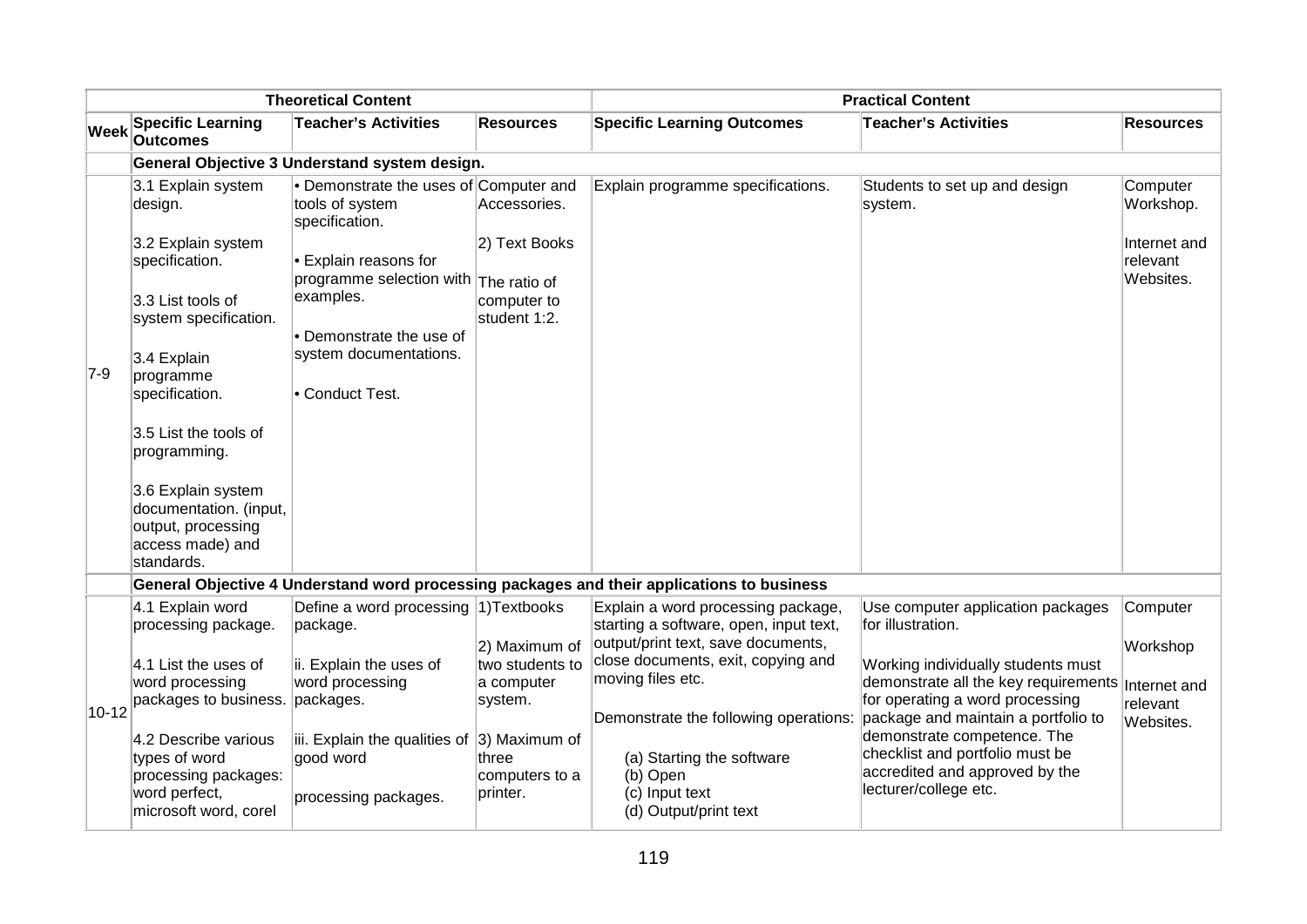|             | <b>Theoretical Content</b>                                                                           |                                                                                  |                                                           | <b>Practical Content</b>                                                                                                                                                   |                                                                                                                           |                                                   |  |  |
|-------------|------------------------------------------------------------------------------------------------------|----------------------------------------------------------------------------------|-----------------------------------------------------------|----------------------------------------------------------------------------------------------------------------------------------------------------------------------------|---------------------------------------------------------------------------------------------------------------------------|---------------------------------------------------|--|--|
| <b>Week</b> | <b>Specific Learning</b><br><b>Outcomes</b>                                                          | <b>Teacher's Activities</b>                                                      | <b>Resources</b>                                          | <b>Specific Learning Outcomes</b>                                                                                                                                          | <b>Teacher's Activities</b>                                                                                               | <b>Resources</b>                                  |  |  |
|             |                                                                                                      | General Objective 3 Understand system design.                                    |                                                           |                                                                                                                                                                            |                                                                                                                           |                                                   |  |  |
|             | 3.1 Explain system<br>design.                                                                        | • Demonstrate the uses of Computer and<br>tools of system<br>specification.      | Accessories.                                              | Explain programme specifications.                                                                                                                                          | Students to set up and design<br>system.                                                                                  | Computer<br>Workshop.                             |  |  |
|             | 3.2 Explain system<br>specification.                                                                 | • Explain reasons for<br>programme selection with The ratio of                   | 2) Text Books                                             |                                                                                                                                                                            |                                                                                                                           | Internet and<br>relevant<br>Websites.             |  |  |
|             | 3.3 List tools of<br>system specification.                                                           | examples.<br>• Demonstrate the use of                                            | computer to<br>student 1:2.                               |                                                                                                                                                                            |                                                                                                                           |                                                   |  |  |
| $7-9$       | 3.4 Explain<br>programme<br>specification.                                                           | system documentations.<br>• Conduct Test.                                        |                                                           |                                                                                                                                                                            |                                                                                                                           |                                                   |  |  |
|             | 3.5 List the tools of<br>programming.                                                                |                                                                                  |                                                           |                                                                                                                                                                            |                                                                                                                           |                                                   |  |  |
|             | 3.6 Explain system<br>documentation. (input,<br>output, processing<br>access made) and<br>standards. |                                                                                  |                                                           |                                                                                                                                                                            |                                                                                                                           |                                                   |  |  |
|             |                                                                                                      |                                                                                  |                                                           | General Objective 4 Understand word processing packages and their applications to business                                                                                 |                                                                                                                           |                                                   |  |  |
|             | 4.1 Explain word<br>processing package.                                                              | Define a word processing 1) Textbooks<br>package.                                |                                                           | Explain a word processing package,<br>starting a software, open, input text,                                                                                               | Use computer application packages<br>for illustration.                                                                    | Computer                                          |  |  |
| $10 - 12$   | 4.1 List the uses of<br>word processing<br>packages to business.                                     | ii. Explain the uses of<br>word processing<br>packages.                          | 2) Maximum of<br>two students to<br>a computer<br>system. | output/print text, save documents,<br>close documents, exit, copying and<br>moving files etc.<br>Demonstrate the following operations: package and maintain a portfolio to | Working individually students must<br>demonstrate all the key requirements<br>for operating a word processing             | Workshop<br>Internet and<br>relevant<br>Websites. |  |  |
|             | 4.2 Describe various<br>types of word<br>processing packages:<br>word perfect,                       | iii. Explain the qualities of 3) Maximum of<br>good word<br>processing packages. | three<br>computers to a<br>printer.                       | (a) Starting the software<br>(b) Open<br>(c) Input text                                                                                                                    | demonstrate competence. The<br>checklist and portfolio must be<br>accredited and approved by the<br>lecturer/college etc. |                                                   |  |  |
|             | microsoft word, corel                                                                                |                                                                                  |                                                           | (d) Output/print text                                                                                                                                                      |                                                                                                                           |                                                   |  |  |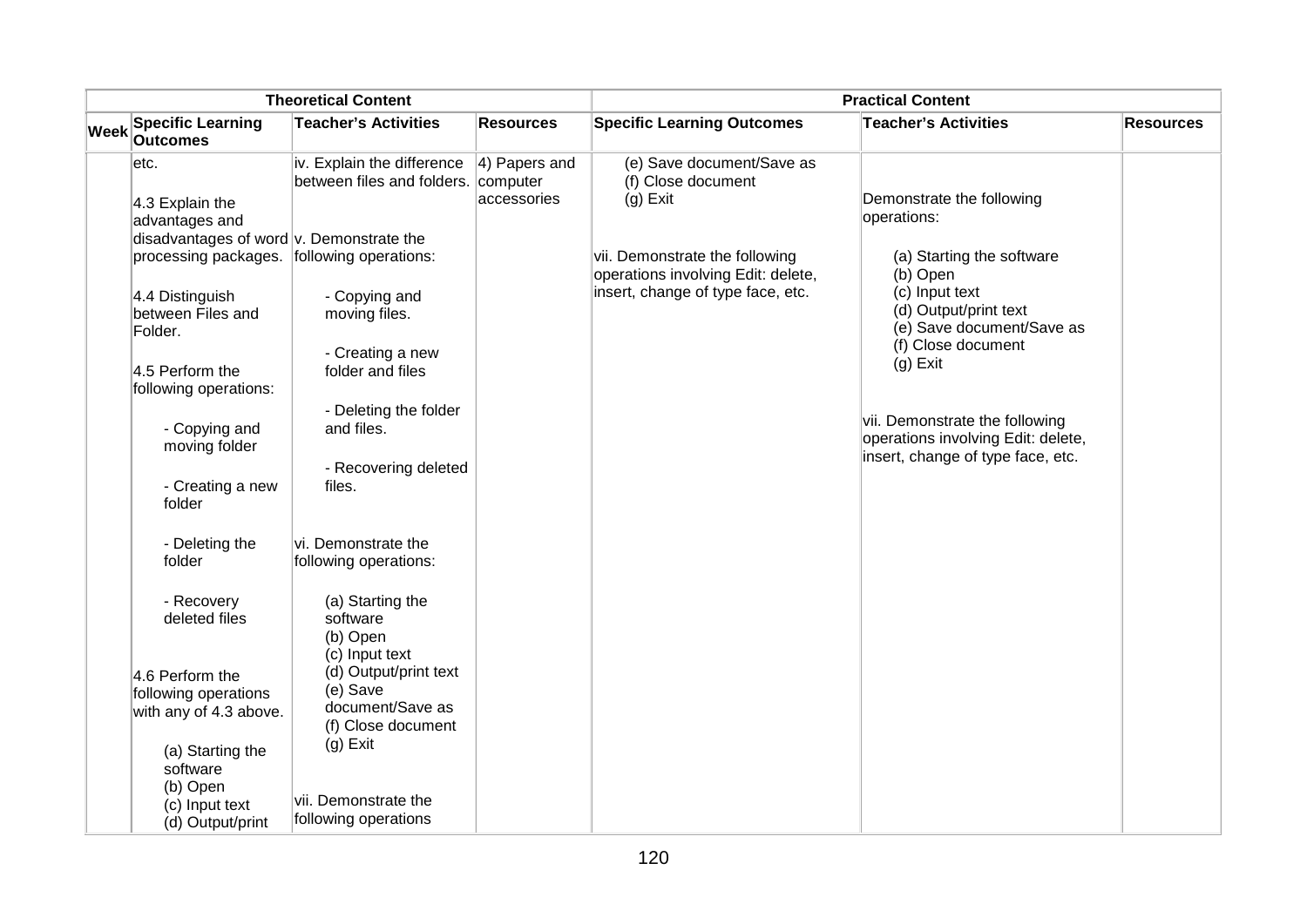|             | <b>Theoretical Content</b>                                                                  |                                                                             |                                  | <b>Practical Content</b>                                             |                                                                                                           |                  |  |
|-------------|---------------------------------------------------------------------------------------------|-----------------------------------------------------------------------------|----------------------------------|----------------------------------------------------------------------|-----------------------------------------------------------------------------------------------------------|------------------|--|
| <b>Week</b> | <b>Specific Learning</b><br><b>Outcomes</b>                                                 | <b>Teacher's Activities</b>                                                 | <b>Resources</b>                 | <b>Specific Learning Outcomes</b>                                    | <b>Teacher's Activities</b>                                                                               | <b>Resources</b> |  |
|             | etc.<br>$ 4.3$ Explain the                                                                  | iv. Explain the difference<br>between files and folders. computer           | $ 4$ ) Papers and<br>accessories | (e) Save document/Save as<br>(f) Close document<br>$(g)$ Exit        | Demonstrate the following<br>operations:                                                                  |                  |  |
|             | advantages and<br>disadvantages of word v. Demonstrate the                                  |                                                                             |                                  |                                                                      |                                                                                                           |                  |  |
|             | processing packages. following operations:                                                  |                                                                             |                                  | vii. Demonstrate the following<br>operations involving Edit: delete, | (a) Starting the software<br>(b) Open                                                                     |                  |  |
|             | 4.4 Distinguish<br>between Files and<br>Folder.<br>4.5 Perform the<br>following operations: | - Copying and<br>moving files.<br>- Creating a new<br>folder and files      |                                  | insert, change of type face, etc.                                    | (c) Input text<br>(d) Output/print text<br>(e) Save document/Save as<br>(f) Close document<br>$(g)$ Exit  |                  |  |
|             | - Copying and<br>moving folder                                                              | - Deleting the folder<br>and files.                                         |                                  |                                                                      | vii. Demonstrate the following<br>operations involving Edit: delete,<br>insert, change of type face, etc. |                  |  |
|             | - Creating a new<br>folder                                                                  | - Recovering deleted<br>files.                                              |                                  |                                                                      |                                                                                                           |                  |  |
|             | - Deleting the<br>folder                                                                    | vi. Demonstrate the<br>following operations:                                |                                  |                                                                      |                                                                                                           |                  |  |
|             | - Recovery<br>deleted files                                                                 | (a) Starting the<br>software<br>(b) Open<br>(c) Input text                  |                                  |                                                                      |                                                                                                           |                  |  |
|             | 4.6 Perform the<br>following operations<br>with any of 4.3 above.                           | (d) Output/print text<br>(e) Save<br>document/Save as<br>(f) Close document |                                  |                                                                      |                                                                                                           |                  |  |
|             | (a) Starting the<br>software<br>(b) Open<br>(c) Input text<br>(d) Output/print              | $(g)$ Exit<br>vii. Demonstrate the<br>following operations                  |                                  |                                                                      |                                                                                                           |                  |  |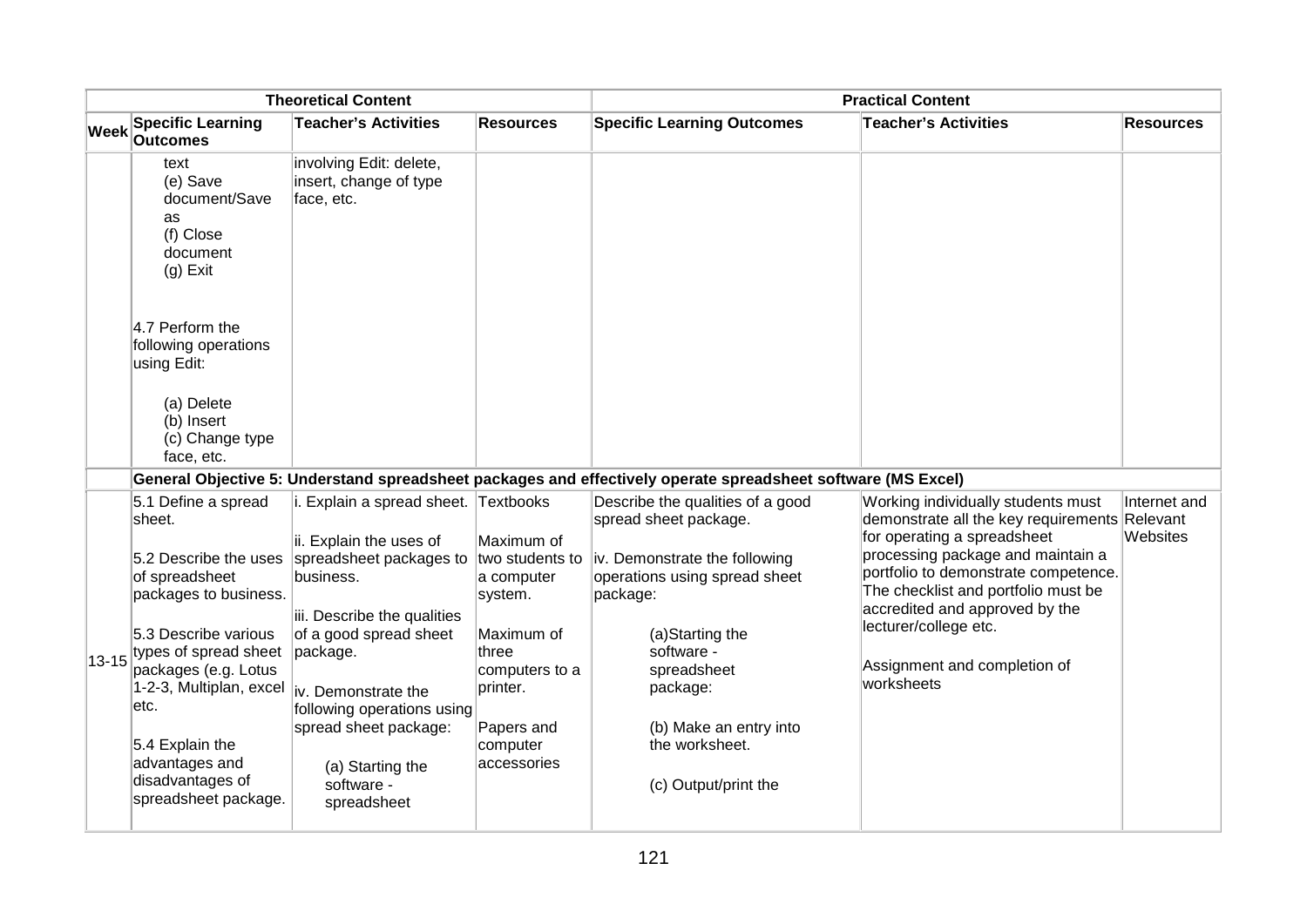|           | <b>Theoretical Content</b>                                                                                                                                                                                                                                            |                                                                                                                                                                                                                                                                                                                                    |                                                                                                                                                      | <b>Practical Content</b>                                                                                                                                                                                                                                                |                                                                                                                                                                                                                                                                                                                                        |                                      |  |
|-----------|-----------------------------------------------------------------------------------------------------------------------------------------------------------------------------------------------------------------------------------------------------------------------|------------------------------------------------------------------------------------------------------------------------------------------------------------------------------------------------------------------------------------------------------------------------------------------------------------------------------------|------------------------------------------------------------------------------------------------------------------------------------------------------|-------------------------------------------------------------------------------------------------------------------------------------------------------------------------------------------------------------------------------------------------------------------------|----------------------------------------------------------------------------------------------------------------------------------------------------------------------------------------------------------------------------------------------------------------------------------------------------------------------------------------|--------------------------------------|--|
|           | <b>Specific Learning</b><br>Week Outcomes                                                                                                                                                                                                                             | <b>Teacher's Activities</b>                                                                                                                                                                                                                                                                                                        | <b>Resources</b>                                                                                                                                     | <b>Specific Learning Outcomes</b>                                                                                                                                                                                                                                       | <b>Teacher's Activities</b>                                                                                                                                                                                                                                                                                                            | <b>Resources</b>                     |  |
|           | text<br>(e) Save<br>document/Save<br>as<br>(f) Close<br>document<br>$(g)$ Exit                                                                                                                                                                                        | involving Edit: delete,<br>insert, change of type<br>face, etc.                                                                                                                                                                                                                                                                    |                                                                                                                                                      |                                                                                                                                                                                                                                                                         |                                                                                                                                                                                                                                                                                                                                        |                                      |  |
|           | 4.7 Perform the<br>following operations<br>using Edit:<br>(a) Delete<br>(b) Insert<br>(c) Change type<br>face, etc.                                                                                                                                                   |                                                                                                                                                                                                                                                                                                                                    |                                                                                                                                                      |                                                                                                                                                                                                                                                                         |                                                                                                                                                                                                                                                                                                                                        |                                      |  |
|           |                                                                                                                                                                                                                                                                       |                                                                                                                                                                                                                                                                                                                                    |                                                                                                                                                      | General Objective 5: Understand spreadsheet packages and effectively operate spreadsheet software (MS Excel)                                                                                                                                                            |                                                                                                                                                                                                                                                                                                                                        |                                      |  |
| $13 - 15$ | 5.1 Define a spread<br>sheet.<br>of spreadsheet<br>packages to business.<br>5.3 Describe various<br>types of spread sheet<br>packages (e.g. Lotus<br>1-2-3, Multiplan, excel<br>etc.<br>5.4 Explain the<br>advantages and<br>disadvantages of<br>spreadsheet package. | i. Explain a spread sheet. Textbooks<br>ii. Explain the uses of<br>5.2 Describe the uses spreadsheet packages to<br>business.<br>iii. Describe the qualities<br>of a good spread sheet<br>package.<br>liv. Demonstrate the<br>following operations using<br>spread sheet package:<br>(a) Starting the<br>software -<br>spreadsheet | Maximum of<br>two students to<br>a computer<br>system.<br>Maximum of<br>three<br>computers to a<br>printer.<br>Papers and<br>computer<br>accessories | Describe the qualities of a good<br>spread sheet package.<br>iv. Demonstrate the following<br>operations using spread sheet<br>package:<br>(a)Starting the<br>software -<br>spreadsheet<br>package:<br>(b) Make an entry into<br>the worksheet.<br>(c) Output/print the | Working individually students must<br>demonstrate all the key requirements<br>for operating a spreadsheet<br>processing package and maintain a<br>portfolio to demonstrate competence.<br>The checklist and portfolio must be<br>accredited and approved by the<br>lecturer/college etc.<br>Assignment and completion of<br>worksheets | Internet and<br>Relevant<br>Websites |  |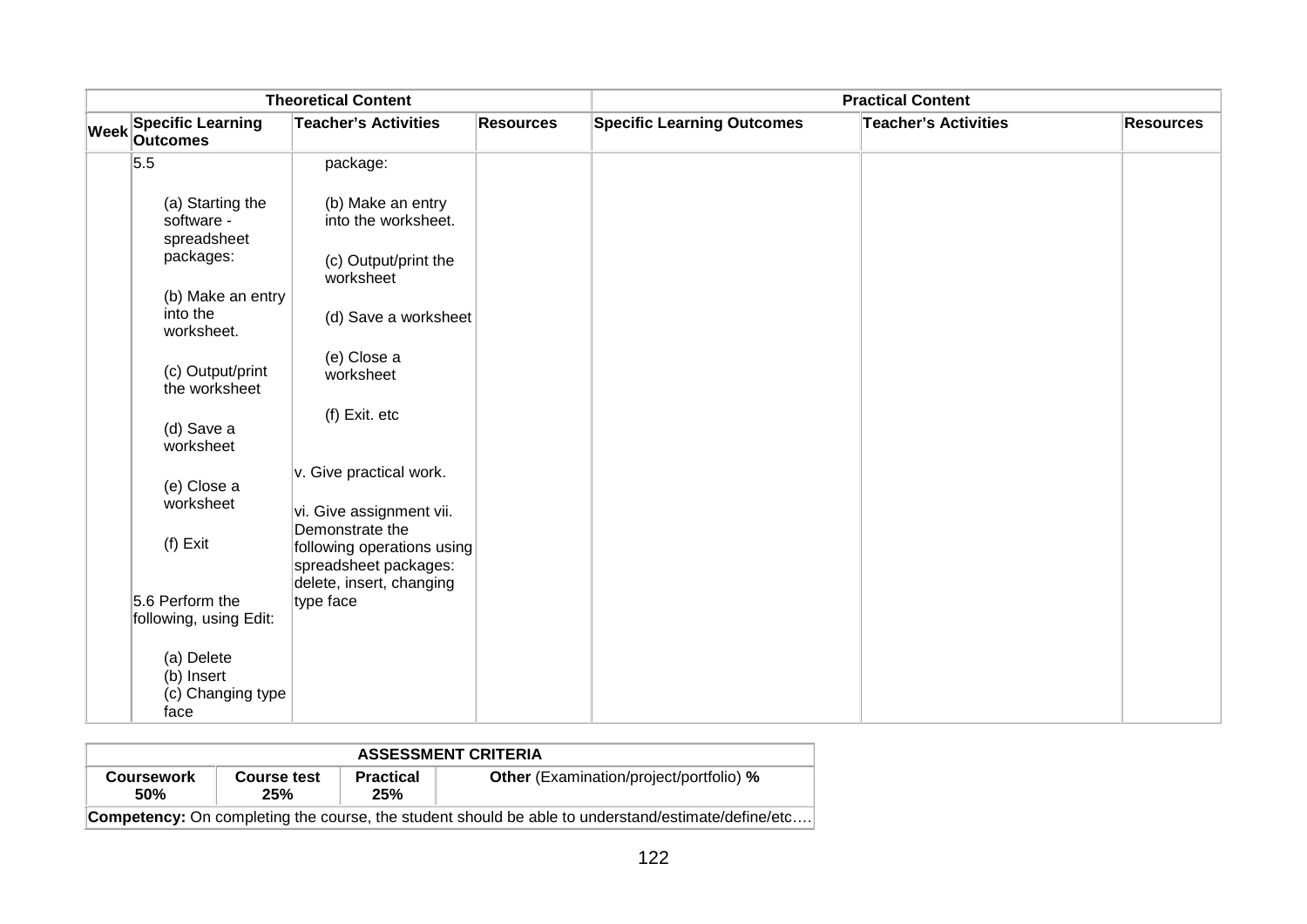| <b>Theoretical Content</b> |                                                       |                                                                                 |                  | <b>Practical Content</b>          |                             |                  |  |
|----------------------------|-------------------------------------------------------|---------------------------------------------------------------------------------|------------------|-----------------------------------|-----------------------------|------------------|--|
|                            | Week Specific Learning                                | <b>Teacher's Activities</b>                                                     | <b>Resources</b> | <b>Specific Learning Outcomes</b> | <b>Teacher's Activities</b> | <b>Resources</b> |  |
|                            | 5.5                                                   | package:                                                                        |                  |                                   |                             |                  |  |
|                            | (a) Starting the<br>software -<br>spreadsheet         | (b) Make an entry<br>into the worksheet.                                        |                  |                                   |                             |                  |  |
|                            | packages:                                             | (c) Output/print the<br>worksheet                                               |                  |                                   |                             |                  |  |
|                            | (b) Make an entry<br>into the<br>worksheet.           | (d) Save a worksheet                                                            |                  |                                   |                             |                  |  |
|                            | (c) Output/print<br>the worksheet                     | (e) Close a<br>worksheet                                                        |                  |                                   |                             |                  |  |
|                            | (d) Save a<br>worksheet                               | (f) Exit. etc                                                                   |                  |                                   |                             |                  |  |
|                            | (e) Close a                                           | v. Give practical work.                                                         |                  |                                   |                             |                  |  |
|                            | worksheet                                             | vi. Give assignment vii.<br>Demonstrate the                                     |                  |                                   |                             |                  |  |
|                            | $(f)$ Exit                                            | following operations using<br>spreadsheet packages:<br>delete, insert, changing |                  |                                   |                             |                  |  |
|                            | 5.6 Perform the                                       | type face                                                                       |                  |                                   |                             |                  |  |
|                            | following, using Edit:                                |                                                                                 |                  |                                   |                             |                  |  |
|                            | (a) Delete<br>(b) Insert<br>(c) Changing type<br>face |                                                                                 |                  |                                   |                             |                  |  |

| <b>ASSESSMENT CRITERIA</b>                                                                                                                |                                                                                                           |  |  |  |  |  |
|-------------------------------------------------------------------------------------------------------------------------------------------|-----------------------------------------------------------------------------------------------------------|--|--|--|--|--|
| <b>Other</b> (Examination/project/portfolio) %<br><b>Practical</b><br><b>Course test</b><br><b>Coursework</b><br><b>50%</b><br>25%<br>25% |                                                                                                           |  |  |  |  |  |
|                                                                                                                                           | <b>Competency:</b> On completing the course, the student should be able to understand/estimate/define/etc |  |  |  |  |  |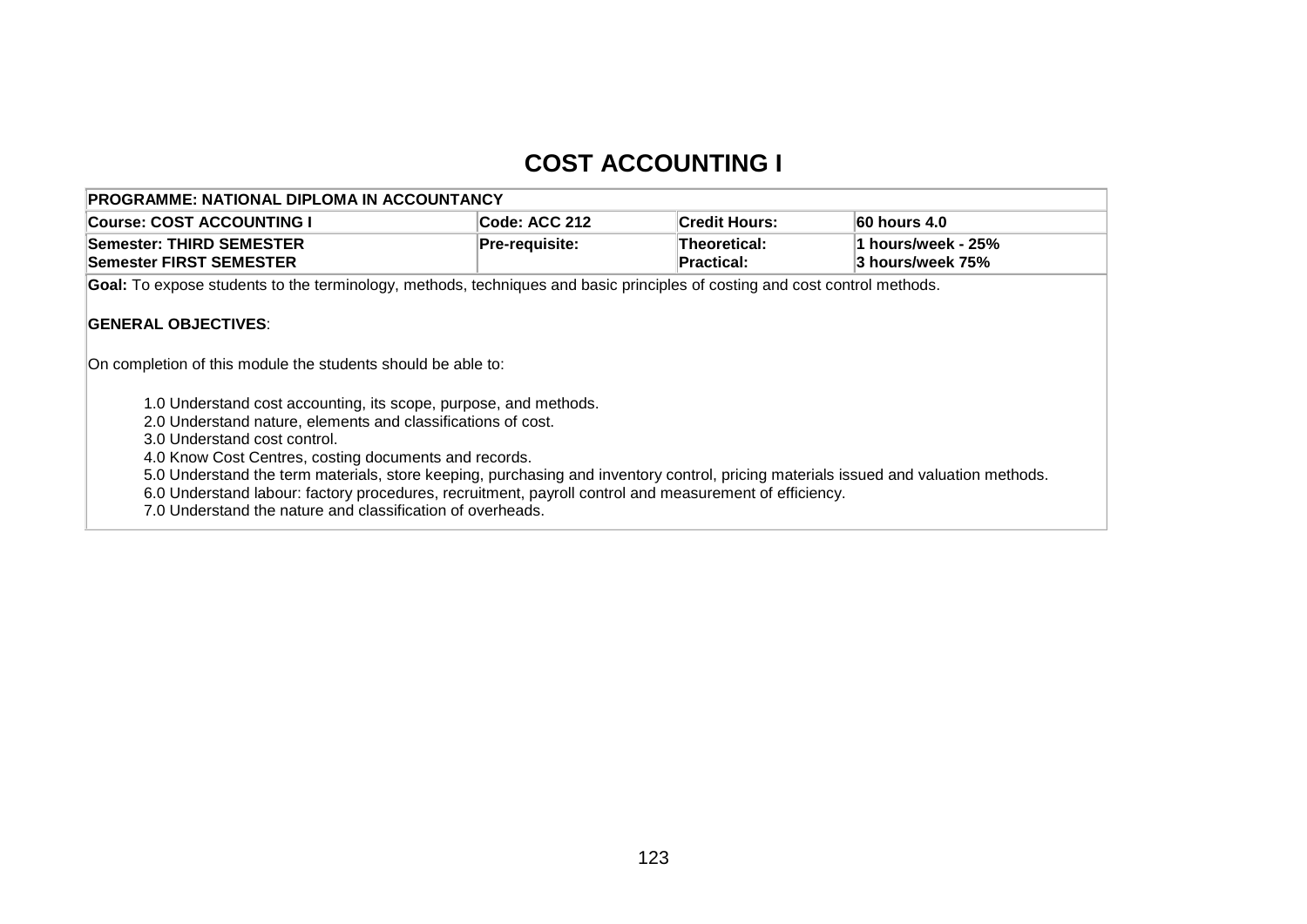# **COST ACCOUNTING I**

| PROGRAMME: NATIONAL DIPLOMA IN ACCOUNTANCY                                                                                                                                                                                                                                                                                                                                                                                                                                                                                               |                |                                   |                                        |  |  |  |
|------------------------------------------------------------------------------------------------------------------------------------------------------------------------------------------------------------------------------------------------------------------------------------------------------------------------------------------------------------------------------------------------------------------------------------------------------------------------------------------------------------------------------------------|----------------|-----------------------------------|----------------------------------------|--|--|--|
| <b>Course: COST ACCOUNTING I</b>                                                                                                                                                                                                                                                                                                                                                                                                                                                                                                         | Code: ACC 212  | <b>Credit Hours:</b>              | 60 hours 4.0                           |  |  |  |
| Semester: THIRD SEMESTER<br>Semester FIRST SEMESTER                                                                                                                                                                                                                                                                                                                                                                                                                                                                                      | Pre-requisite: | Theoretical:<br><b>Practical:</b> | 1 hours/week - 25%<br>3 hours/week 75% |  |  |  |
| Goal: To expose students to the terminology, methods, techniques and basic principles of costing and cost control methods.                                                                                                                                                                                                                                                                                                                                                                                                               |                |                                   |                                        |  |  |  |
| <b>GENERAL OBJECTIVES:</b><br>On completion of this module the students should be able to:                                                                                                                                                                                                                                                                                                                                                                                                                                               |                |                                   |                                        |  |  |  |
| 1.0 Understand cost accounting, its scope, purpose, and methods.<br>2.0 Understand nature, elements and classifications of cost.<br>3.0 Understand cost control.<br>4.0 Know Cost Centres, costing documents and records.<br>5.0 Understand the term materials, store keeping, purchasing and inventory control, pricing materials issued and valuation methods.<br>6.0 Understand labour: factory procedures, recruitment, payroll control and measurement of efficiency.<br>7.0 Understand the nature and classification of overheads. |                |                                   |                                        |  |  |  |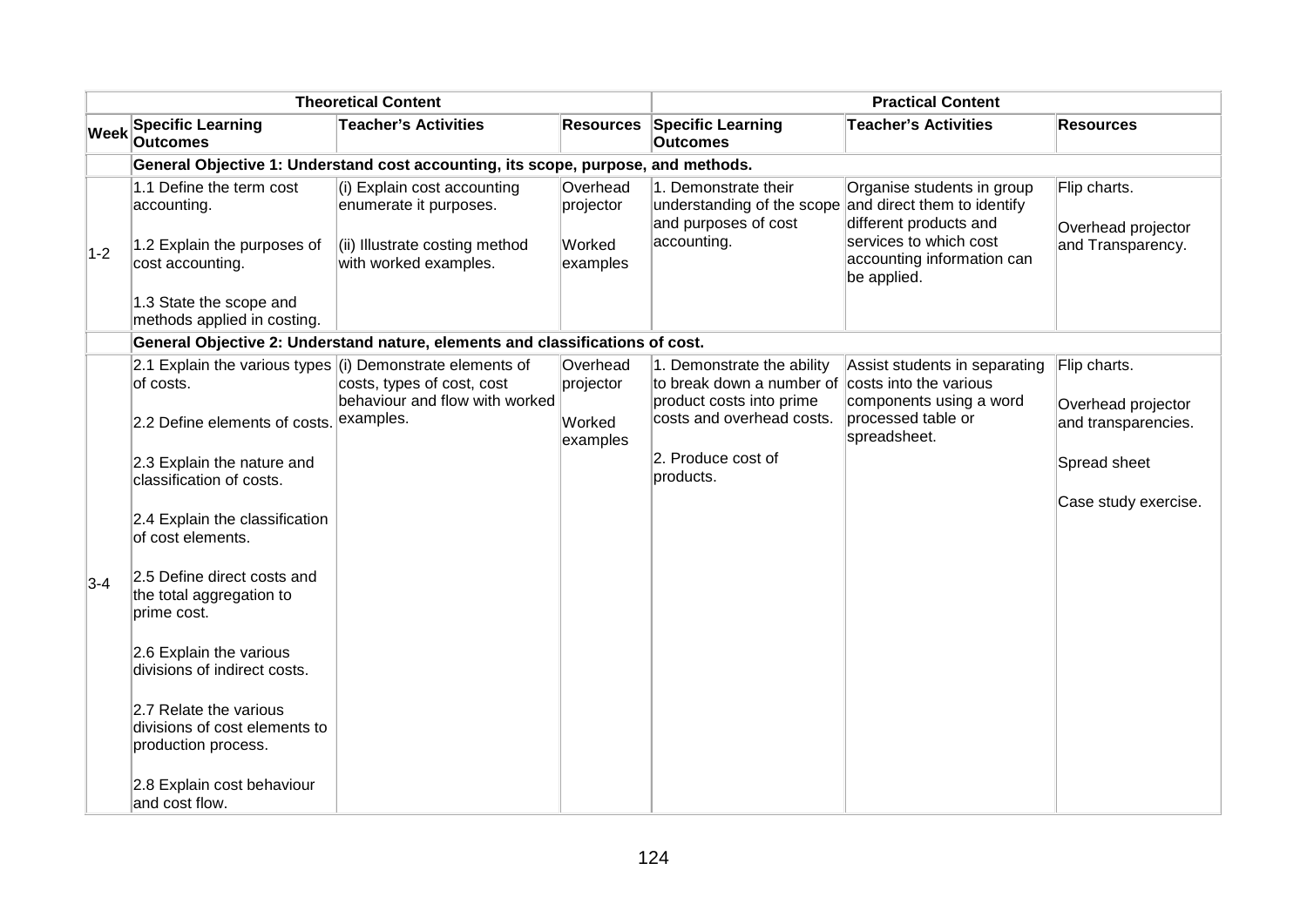|             |                                                                                            | <b>Theoretical Content</b>                                                                                       |                                             | <b>Practical Content</b>                                                                                   |                                                                                                                                                            |                                                         |
|-------------|--------------------------------------------------------------------------------------------|------------------------------------------------------------------------------------------------------------------|---------------------------------------------|------------------------------------------------------------------------------------------------------------|------------------------------------------------------------------------------------------------------------------------------------------------------------|---------------------------------------------------------|
| <b>Week</b> | <b>Specific Learning</b><br><b>Outcomes</b>                                                | <b>Teacher's Activities</b>                                                                                      | <b>Resources</b>                            | <b>Specific Learning</b><br><b>Outcomes</b>                                                                | <b>Teacher's Activities</b>                                                                                                                                | <b>Resources</b>                                        |
|             |                                                                                            | General Objective 1: Understand cost accounting, its scope, purpose, and methods.                                |                                             |                                                                                                            |                                                                                                                                                            |                                                         |
| $1-2$       | 1.1 Define the term cost<br>accounting.<br>1.2 Explain the purposes of<br>cost accounting. | (i) Explain cost accounting<br>enumerate it purposes.<br>(ii) Illustrate costing method<br>with worked examples. | Overhead<br>projector<br>Worked<br>examples | 1. Demonstrate their<br>understanding of the scope<br>and purposes of cost<br>accounting.                  | Organise students in group<br>and direct them to identify<br>different products and<br>services to which cost<br>accounting information can<br>be applied. | Flip charts.<br>Overhead projector<br>and Transparency. |
|             | 1.3 State the scope and<br>methods applied in costing.                                     |                                                                                                                  |                                             |                                                                                                            |                                                                                                                                                            |                                                         |
|             |                                                                                            | General Objective 2: Understand nature, elements and classifications of cost.                                    |                                             |                                                                                                            |                                                                                                                                                            |                                                         |
|             | 2.1 Explain the various types $(i)$ Demonstrate elements of<br>of costs.                   | costs, types of cost, cost<br>behaviour and flow with worked                                                     | Overhead<br>projector                       | 1. Demonstrate the ability<br>to break down a number of costs into the various<br>product costs into prime | Assist students in separating<br>components using a word                                                                                                   | Flip charts.                                            |
|             | 2.2 Define elements of costs.                                                              | examples.                                                                                                        | Worked<br>examples                          | costs and overhead costs.                                                                                  | processed table or<br>spreadsheet.                                                                                                                         | Overhead projector<br>and transparencies.               |
|             | 2.3 Explain the nature and<br>classification of costs.                                     |                                                                                                                  |                                             | 2. Produce cost of<br>products.                                                                            |                                                                                                                                                            | Spread sheet                                            |
|             | 2.4 Explain the classification<br>of cost elements.                                        |                                                                                                                  |                                             |                                                                                                            |                                                                                                                                                            | Case study exercise.                                    |
| $3-4$       | 2.5 Define direct costs and<br>the total aggregation to<br>prime cost.                     |                                                                                                                  |                                             |                                                                                                            |                                                                                                                                                            |                                                         |
|             | 2.6 Explain the various<br>divisions of indirect costs.                                    |                                                                                                                  |                                             |                                                                                                            |                                                                                                                                                            |                                                         |
|             | 2.7 Relate the various<br>divisions of cost elements to<br>production process.             |                                                                                                                  |                                             |                                                                                                            |                                                                                                                                                            |                                                         |
|             | 2.8 Explain cost behaviour<br>and cost flow.                                               |                                                                                                                  |                                             |                                                                                                            |                                                                                                                                                            |                                                         |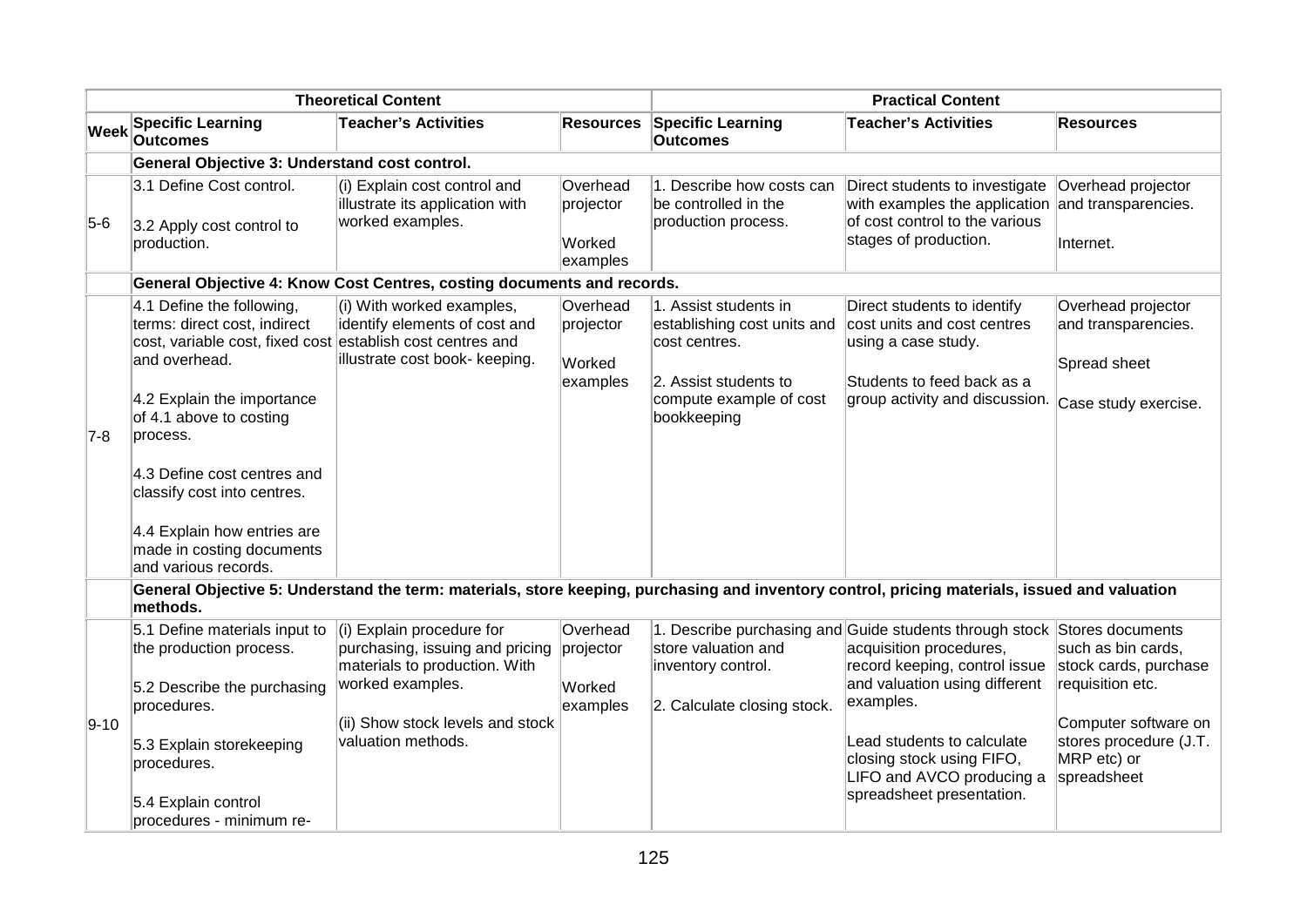|             | <b>Theoretical Content</b>                                                                                                                                                                                                                                                                                                                                      |                                                                                                                                                                             |                                             | <b>Practical Content</b>                                                                                                                 |                                                                                                                                                                                                                                                                            |                                                                                                                                                 |
|-------------|-----------------------------------------------------------------------------------------------------------------------------------------------------------------------------------------------------------------------------------------------------------------------------------------------------------------------------------------------------------------|-----------------------------------------------------------------------------------------------------------------------------------------------------------------------------|---------------------------------------------|------------------------------------------------------------------------------------------------------------------------------------------|----------------------------------------------------------------------------------------------------------------------------------------------------------------------------------------------------------------------------------------------------------------------------|-------------------------------------------------------------------------------------------------------------------------------------------------|
| <b>Week</b> | <b>Specific Learning</b><br><b>Outcomes</b>                                                                                                                                                                                                                                                                                                                     | <b>Teacher's Activities</b>                                                                                                                                                 | <b>Resources</b>                            | <b>Specific Learning</b><br><b>Outcomes</b>                                                                                              | <b>Teacher's Activities</b>                                                                                                                                                                                                                                                | <b>Resources</b>                                                                                                                                |
|             | General Objective 3: Understand cost control.                                                                                                                                                                                                                                                                                                                   |                                                                                                                                                                             |                                             |                                                                                                                                          |                                                                                                                                                                                                                                                                            |                                                                                                                                                 |
| $5-6$       | 3.1 Define Cost control.<br>3.2 Apply cost control to<br>production.                                                                                                                                                                                                                                                                                            | (i) Explain cost control and<br>illustrate its application with<br>worked examples.                                                                                         | Overhead<br>projector<br>Worked<br>examples | 1. Describe how costs can<br>be controlled in the<br>production process.                                                                 | Direct students to investigate<br>with examples the application and transparencies.<br>of cost control to the various<br>stages of production.                                                                                                                             | Overhead projector<br>Internet.                                                                                                                 |
|             |                                                                                                                                                                                                                                                                                                                                                                 | General Objective 4: Know Cost Centres, costing documents and records.                                                                                                      |                                             |                                                                                                                                          |                                                                                                                                                                                                                                                                            |                                                                                                                                                 |
| $7-8$       | 4.1 Define the following,<br>terms: direct cost, indirect<br>cost, variable cost, fixed cost establish cost centres and<br>and overhead.<br>4.2 Explain the importance<br>of 4.1 above to costing<br>process.<br>4.3 Define cost centres and<br>classify cost into centres.<br>4.4 Explain how entries are<br>made in costing documents<br>and various records. | (i) With worked examples,<br>identify elements of cost and<br>illustrate cost book- keeping.                                                                                | Overhead<br>projector<br>Worked<br>examples | 1. Assist students in<br>establishing cost units and<br>cost centres.<br>2. Assist students to<br>compute example of cost<br>bookkeeping | Direct students to identify<br>cost units and cost centres<br>using a case study.<br>Students to feed back as a<br>group activity and discussion.                                                                                                                          | Overhead projector<br>and transparencies.<br>Spread sheet<br>Case study exercise.                                                               |
|             | methods.                                                                                                                                                                                                                                                                                                                                                        | General Objective 5: Understand the term: materials, store keeping, purchasing and inventory control, pricing materials, issued and valuation                               |                                             |                                                                                                                                          |                                                                                                                                                                                                                                                                            |                                                                                                                                                 |
| $9 - 10$    | 5.1 Define materials input to<br>the production process.<br>5.2 Describe the purchasing<br>procedures.<br>5.3 Explain storekeeping<br>procedures.                                                                                                                                                                                                               | (i) Explain procedure for<br>purchasing, issuing and pricing<br>materials to production. With<br>worked examples.<br>(ii) Show stock levels and stock<br>valuation methods. | Overhead<br>projector<br>Worked<br>examples | store valuation and<br>inventory control.<br>2. Calculate closing stock.                                                                 | 1. Describe purchasing and Guide students through stock Stores documents<br>acquisition procedures,<br>record keeping, control issue<br>and valuation using different<br>examples.<br>Lead students to calculate<br>closing stock using FIFO,<br>LIFO and AVCO producing a | such as bin cards.<br>stock cards, purchase<br>requisition etc.<br>Computer software on<br>stores procedure (J.T.<br>MRP etc) or<br>spreadsheet |
|             | 5.4 Explain control<br>procedures - minimum re-                                                                                                                                                                                                                                                                                                                 |                                                                                                                                                                             |                                             |                                                                                                                                          | spreadsheet presentation.                                                                                                                                                                                                                                                  |                                                                                                                                                 |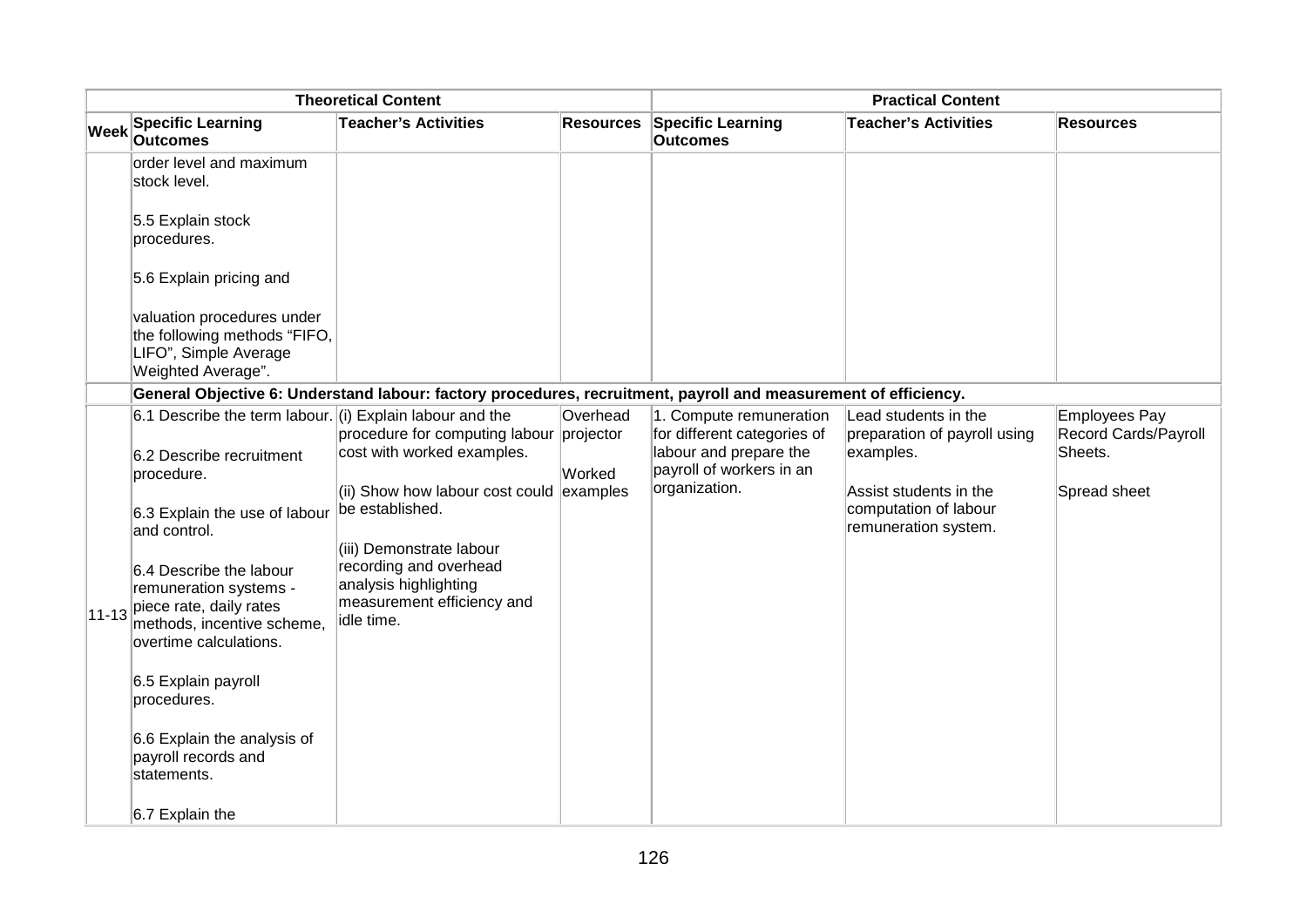|             |                                                                                                                                              | <b>Theoretical Content</b>                                                                                      |                       | <b>Practical Content</b>                                            |                                                      |                                       |
|-------------|----------------------------------------------------------------------------------------------------------------------------------------------|-----------------------------------------------------------------------------------------------------------------|-----------------------|---------------------------------------------------------------------|------------------------------------------------------|---------------------------------------|
| <b>Week</b> | <b>Specific Learning</b><br><b>Outcomes</b>                                                                                                  | <b>Teacher's Activities</b>                                                                                     | <b>Resources</b>      | <b>Specific Learning</b><br><b>Outcomes</b>                         | <b>Teacher's Activities</b>                          | <b>Resources</b>                      |
|             | order level and maximum<br>stock level.                                                                                                      |                                                                                                                 |                       |                                                                     |                                                      |                                       |
|             | 5.5 Explain stock<br>procedures.                                                                                                             |                                                                                                                 |                       |                                                                     |                                                      |                                       |
|             | 5.6 Explain pricing and                                                                                                                      |                                                                                                                 |                       |                                                                     |                                                      |                                       |
|             | valuation procedures under<br>the following methods "FIFO,<br>LIFO", Simple Average<br>Weighted Average".                                    |                                                                                                                 |                       |                                                                     |                                                      |                                       |
|             |                                                                                                                                              | General Objective 6: Understand labour: factory procedures, recruitment, payroll and measurement of efficiency. |                       |                                                                     |                                                      |                                       |
|             | 6.1 Describe the term labour. (i) Explain labour and the                                                                                     | procedure for computing labour                                                                                  | Overhead<br>projector | 1. Compute remuneration<br>for different categories of              | Lead students in the<br>preparation of payroll using | Employees Pay<br>Record Cards/Payroll |
|             | 6.2 Describe recruitment<br>procedure.                                                                                                       | cost with worked examples.<br>(ii) Show how labour cost could examples                                          | Worked                | labour and prepare the<br>payroll of workers in an<br>organization. | examples.<br>Assist students in the                  | Sheets.<br>Spread sheet               |
|             | 6.3 Explain the use of labour<br>and control.                                                                                                | be established.<br>(iii) Demonstrate labour                                                                     |                       |                                                                     | computation of labour<br>remuneration system.        |                                       |
|             | 6.4 Describe the labour<br>remuneration systems -<br>$11-13$ piece rate, daily rates<br>methods, incentive scheme,<br>overtime calculations. | recording and overhead<br>analysis highlighting<br>measurement efficiency and<br>idle time.                     |                       |                                                                     |                                                      |                                       |
|             | 6.5 Explain payroll<br>procedures.                                                                                                           |                                                                                                                 |                       |                                                                     |                                                      |                                       |
|             | 6.6 Explain the analysis of<br>payroll records and<br>statements.                                                                            |                                                                                                                 |                       |                                                                     |                                                      |                                       |
|             | $6.7$ Explain the                                                                                                                            |                                                                                                                 |                       |                                                                     |                                                      |                                       |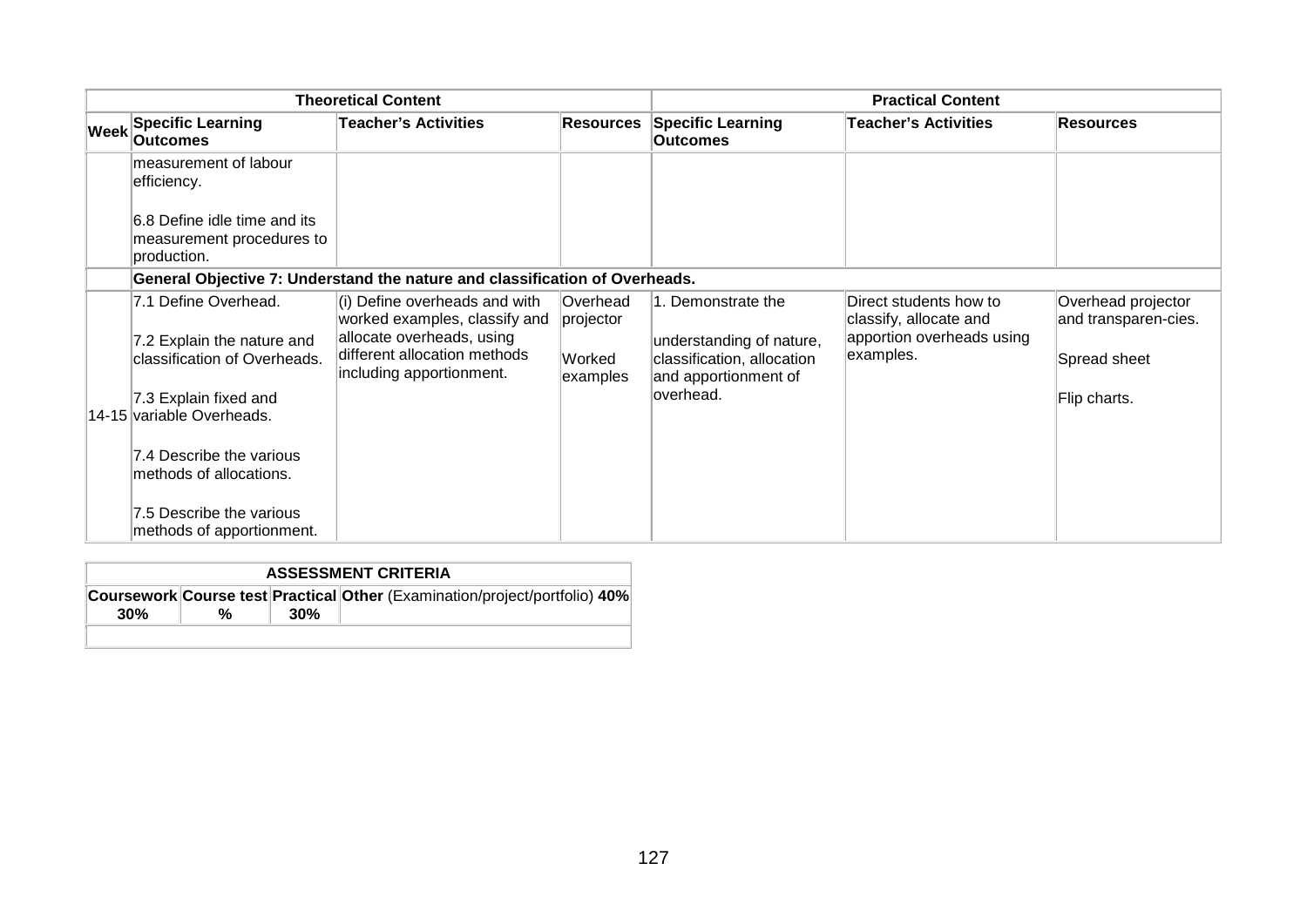|                                                                                                                                            | <b>Theoretical Content</b>                                                                                                                              |                                                    | <b>Practical Content</b>                                                                                           |                                                                                            |                                                                            |
|--------------------------------------------------------------------------------------------------------------------------------------------|---------------------------------------------------------------------------------------------------------------------------------------------------------|----------------------------------------------------|--------------------------------------------------------------------------------------------------------------------|--------------------------------------------------------------------------------------------|----------------------------------------------------------------------------|
| <b>Week Specific Learning</b><br><b>Outcomes</b>                                                                                           | <b>Teacher's Activities</b>                                                                                                                             | <b>Resources</b>                                   | <b>Specific Learning</b><br><b>Outcomes</b>                                                                        | <b>Teacher's Activities</b>                                                                | <b>Resources</b>                                                           |
| measurement of labour<br>efficiency.                                                                                                       |                                                                                                                                                         |                                                    |                                                                                                                    |                                                                                            |                                                                            |
| 6.8 Define idle time and its<br>measurement procedures to<br>production.                                                                   |                                                                                                                                                         |                                                    |                                                                                                                    |                                                                                            |                                                                            |
|                                                                                                                                            | General Objective 7: Understand the nature and classification of Overheads.                                                                             |                                                    |                                                                                                                    |                                                                                            |                                                                            |
| 7.1 Define Overhead.<br>7.2 Explain the nature and<br>classification of Overheads.<br>7.3 Explain fixed and                                | (i) Define overheads and with<br>worked examples, classify and<br>allocate overheads, using<br>different allocation methods<br>including apportionment. | <b>Overhead</b><br>projector<br>Worked<br>examples | 1. Demonstrate the<br>understanding of nature,<br>classification, allocation<br>and apportionment of<br>loverhead. | Direct students how to<br>classify, allocate and<br>apportion overheads using<br>examples. | Overhead projector<br>and transparen-cies.<br>Spread sheet<br>Flip charts. |
| 14-15 variable Overheads.<br>7.4 Describe the various<br>lmethods of allocations.<br>7.5 Describe the various<br>methods of apportionment. |                                                                                                                                                         |                                                    |                                                                                                                    |                                                                                            |                                                                            |

|     | <b>ASSESSMENT CRITERIA</b> |     |                                                                            |  |  |  |  |
|-----|----------------------------|-----|----------------------------------------------------------------------------|--|--|--|--|
| 30% | %                          | 30% | Coursework Course test Practical Other (Examination/project/portfolio) 40% |  |  |  |  |
|     |                            |     |                                                                            |  |  |  |  |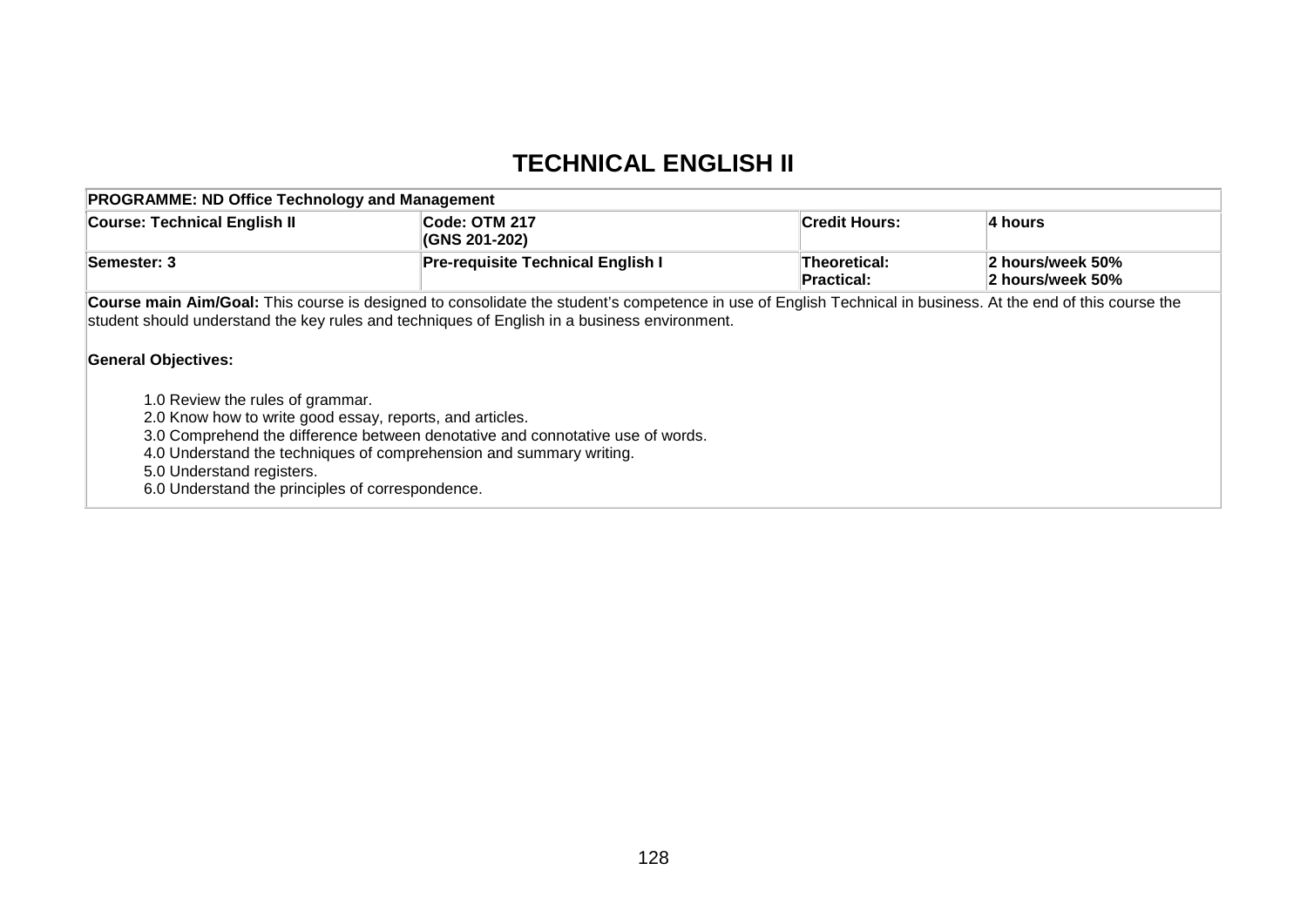## **TECHNICAL ENGLISH II**

| <b>Course: Technical English II</b>                                                                                                                                           | Code: OTM 217<br>(GNS 201-202)                                                                                                                                                                                                                               | Credit Hours:              | $ 4$ hours                           |
|-------------------------------------------------------------------------------------------------------------------------------------------------------------------------------|--------------------------------------------------------------------------------------------------------------------------------------------------------------------------------------------------------------------------------------------------------------|----------------------------|--------------------------------------|
| Semester: 3                                                                                                                                                                   | <b>Pre-requisite Technical English I</b>                                                                                                                                                                                                                     | Theoretical:<br>Practical: | 2 hours/week 50%<br>2 hours/week 50% |
| <b>General Objectives:</b>                                                                                                                                                    | Course main Aim/Goal: This course is designed to consolidate the student's competence in use of English Technical in business. At the end of this course the<br>student should understand the key rules and techniques of English in a business environment. |                            |                                      |
| 1.0 Review the rules of grammar.<br>2.0 Know how to write good essay, reports, and articles.<br>5.0 Understand registers.<br>6.0 Understand the principles of correspondence. | 3.0 Comprehend the difference between denotative and connotative use of words.<br>4.0 Understand the techniques of comprehension and summary writing.                                                                                                        |                            |                                      |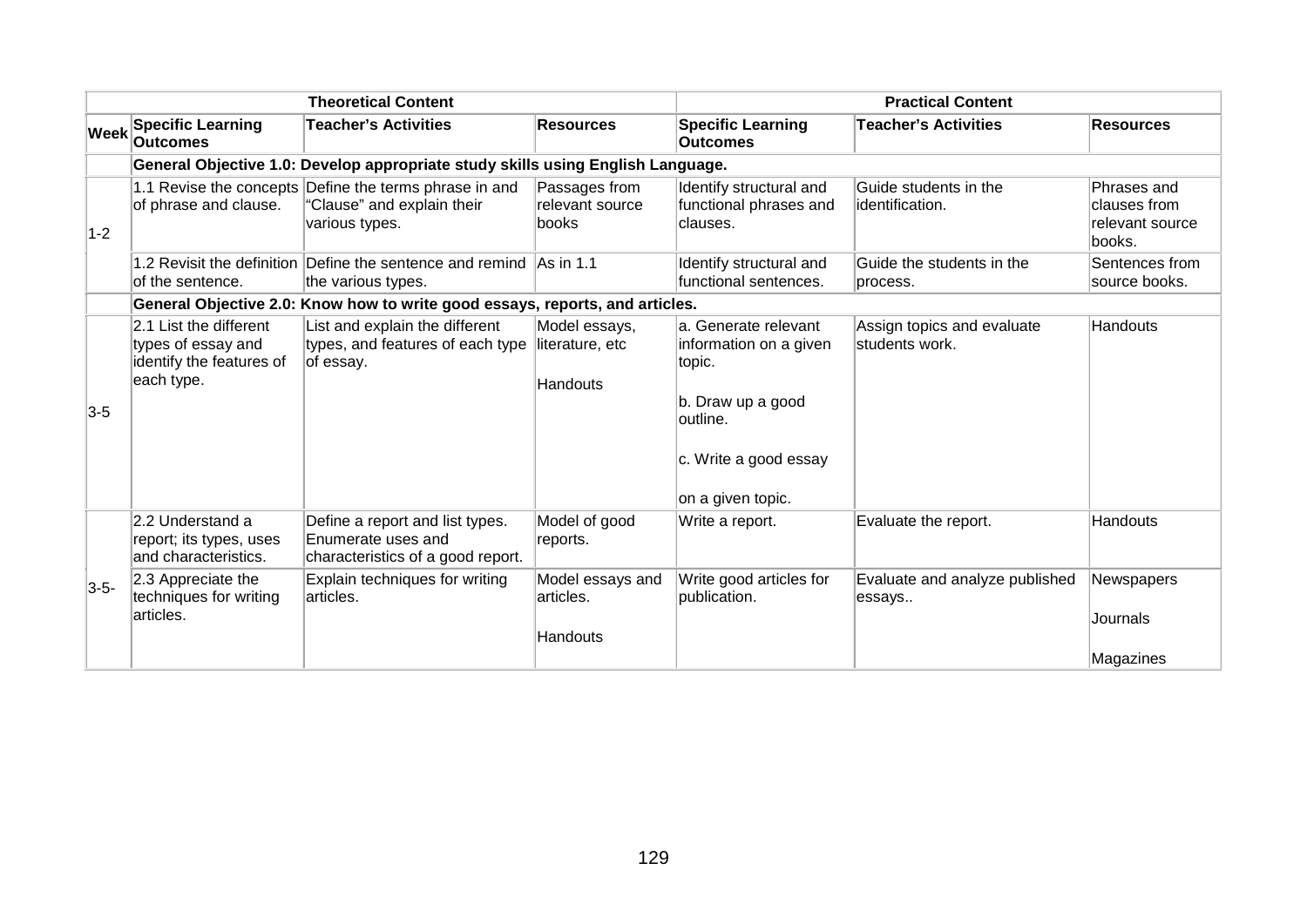|             |                                                                                        | <b>Theoretical Content</b>                                                                             |                                                     | <b>Practical Content</b>                                                                                                                |                                              |                                                          |
|-------------|----------------------------------------------------------------------------------------|--------------------------------------------------------------------------------------------------------|-----------------------------------------------------|-----------------------------------------------------------------------------------------------------------------------------------------|----------------------------------------------|----------------------------------------------------------|
| <b>Week</b> | <b>Specific Learning</b><br><b>Outcomes</b>                                            | <b>Teacher's Activities</b>                                                                            | <b>Resources</b>                                    | <b>Specific Learning</b><br><b>Outcomes</b>                                                                                             | <b>Teacher's Activities</b>                  | <b>Resources</b>                                         |
|             |                                                                                        | General Objective 1.0: Develop appropriate study skills using English Language.                        |                                                     |                                                                                                                                         |                                              |                                                          |
| $1-2$       | of phrase and clause.                                                                  | 1.1 Revise the concepts Define the terms phrase in and<br>"Clause" and explain their<br>various types. | Passages from<br>relevant source<br>books           | Identify structural and<br>functional phrases and<br>lclauses.                                                                          | Guide students in the<br>identification.     | Phrases and<br>clauses from<br>relevant source<br>books. |
|             | of the sentence.                                                                       | 1.2 Revisit the definition Define the sentence and remind As in 1.1<br>the various types.              |                                                     | Identify structural and<br>functional sentences.                                                                                        | Guide the students in the<br>process.        | Sentences from<br>source books.                          |
|             |                                                                                        | General Objective 2.0: Know how to write good essays, reports, and articles.                           |                                                     |                                                                                                                                         |                                              |                                                          |
| $3-5$       | 2.1 List the different<br>types of essay and<br>identify the features of<br>each type. | List and explain the different<br>types, and features of each type<br>of essay.                        | Model essays,<br>literature, etc<br><b>Handouts</b> | a. Generate relevant<br>information on a given<br>topic.<br>b. Draw up a good<br>outline.<br>c. Write a good essay<br>on a given topic. | Assign topics and evaluate<br>students work. | Handouts                                                 |
|             | 2.2 Understand a<br>report; its types, uses<br>and characteristics.                    | Define a report and list types.<br>Enumerate uses and<br>characteristics of a good report.             | Model of good<br>reports.                           | Write a report.                                                                                                                         | Evaluate the report.                         | Handouts                                                 |
| $3-5-$      | 2.3 Appreciate the<br>techniques for writing<br>articles.                              | Explain techniques for writing<br>articles.                                                            | Model essays and<br>articles.<br>Handouts           | Write good articles for<br>publication.                                                                                                 | Evaluate and analyze published<br>essays     | Newspapers<br>Journals<br>Magazines                      |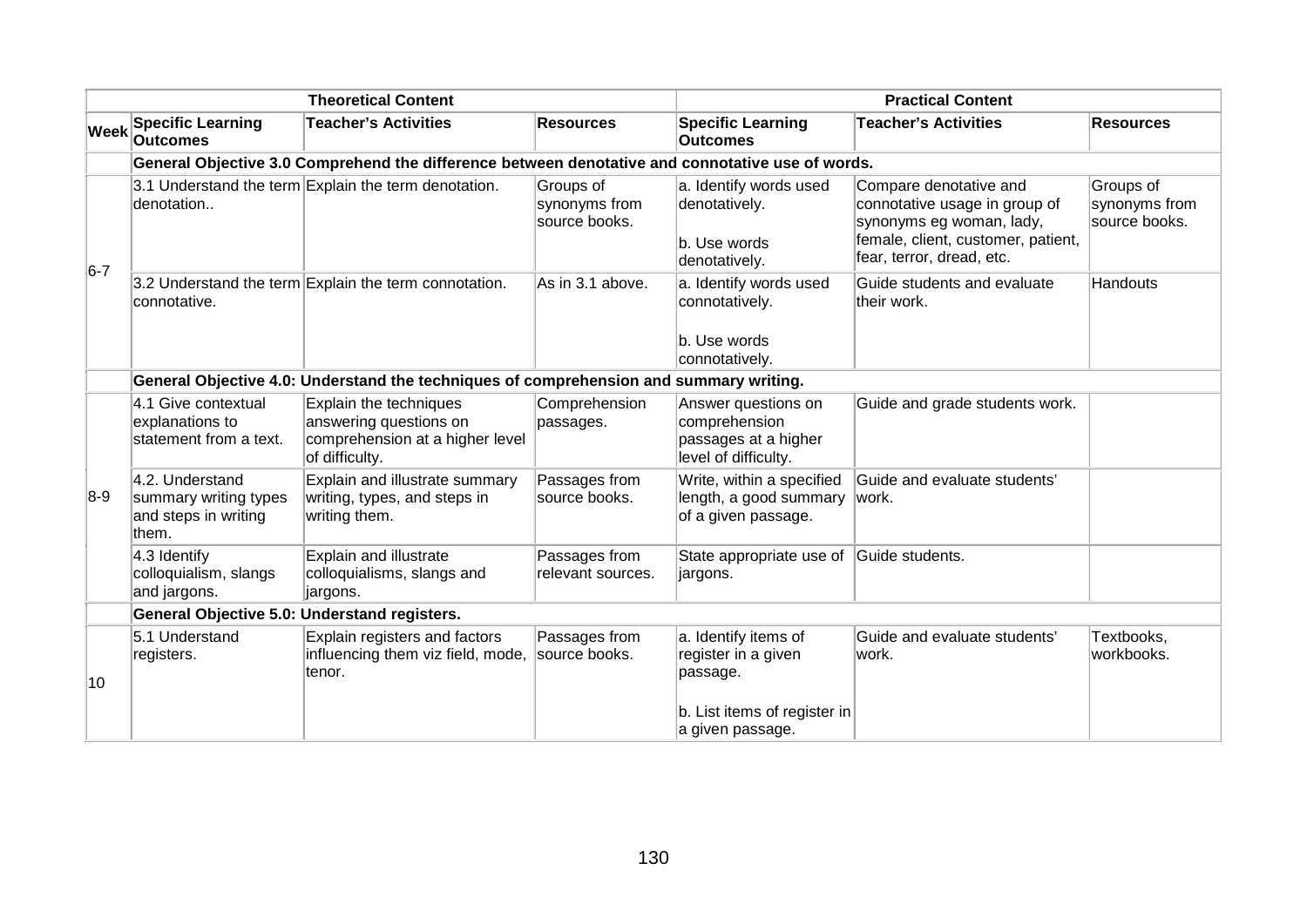| <b>Theoretical Content</b> |                                                                           |                                                                                                       | <b>Practical Content</b>                    |                                                                                                             |                                                                                                                                                        |                                             |
|----------------------------|---------------------------------------------------------------------------|-------------------------------------------------------------------------------------------------------|---------------------------------------------|-------------------------------------------------------------------------------------------------------------|--------------------------------------------------------------------------------------------------------------------------------------------------------|---------------------------------------------|
| Week                       | <b>Specific Learning</b><br><b>Outcomes</b>                               | <b>Teacher's Activities</b>                                                                           | <b>Resources</b>                            | <b>Specific Learning</b><br><b>Outcomes</b>                                                                 | <b>Teacher's Activities</b>                                                                                                                            | <b>Resources</b>                            |
|                            |                                                                           | General Objective 3.0 Comprehend the difference between denotative and connotative use of words.      |                                             |                                                                                                             |                                                                                                                                                        |                                             |
| $6-7$                      | denotation                                                                | 3.1 Understand the term Explain the term denotation.                                                  | Groups of<br>synonyms from<br>source books. | a. Identify words used<br>denotatively.<br>b. Use words<br>denotatively.                                    | Compare denotative and<br>connotative usage in group of<br>synonyms eg woman, lady,<br>female, client, customer, patient,<br>fear, terror, dread, etc. | Groups of<br>synonyms from<br>source books. |
|                            | connotative.                                                              | 3.2 Understand the term Explain the term connotation.                                                 | As in 3.1 above.                            | a. Identify words used<br>connotatively.<br>b. Use words<br>connotatively.                                  | Guide students and evaluate<br>their work.                                                                                                             | Handouts                                    |
|                            |                                                                           | General Objective 4.0: Understand the techniques of comprehension and summary writing.                |                                             |                                                                                                             |                                                                                                                                                        |                                             |
|                            | 4.1 Give contextual<br>explanations to<br>statement from a text.          | Explain the techniques<br>answering questions on<br>comprehension at a higher level<br>of difficulty. | Comprehension<br>passages.                  | Answer questions on<br>comprehension<br>passages at a higher<br>level of difficulty.                        | Guide and grade students work.                                                                                                                         |                                             |
| $8-9$                      | 4.2. Understand<br>summary writing types<br>and steps in writing<br>them. | Explain and illustrate summary<br>writing, types, and steps in<br>writing them.                       | Passages from<br>source books.              | Write, within a specified<br>length, a good summary<br>of a given passage.                                  | Guide and evaluate students'<br>work.                                                                                                                  |                                             |
|                            | 4.3 Identify<br>colloquialism, slangs<br>and jargons.                     | Explain and illustrate<br>colloquialisms, slangs and<br>jargons.                                      | Passages from<br>relevant sources.          | State appropriate use of<br>∣jargons.                                                                       | Guide students.                                                                                                                                        |                                             |
|                            | General Objective 5.0: Understand registers.                              |                                                                                                       |                                             |                                                                                                             |                                                                                                                                                        |                                             |
| 10                         | 5.1 Understand<br>registers.                                              | Explain registers and factors<br>influencing them viz field, mode,<br>tenor.                          | Passages from<br>source books.              | a. Identify items of<br>register in a given<br>passage.<br>b. List items of register in<br>a given passage. | Guide and evaluate students'<br>work.                                                                                                                  | Textbooks,<br>workbooks.                    |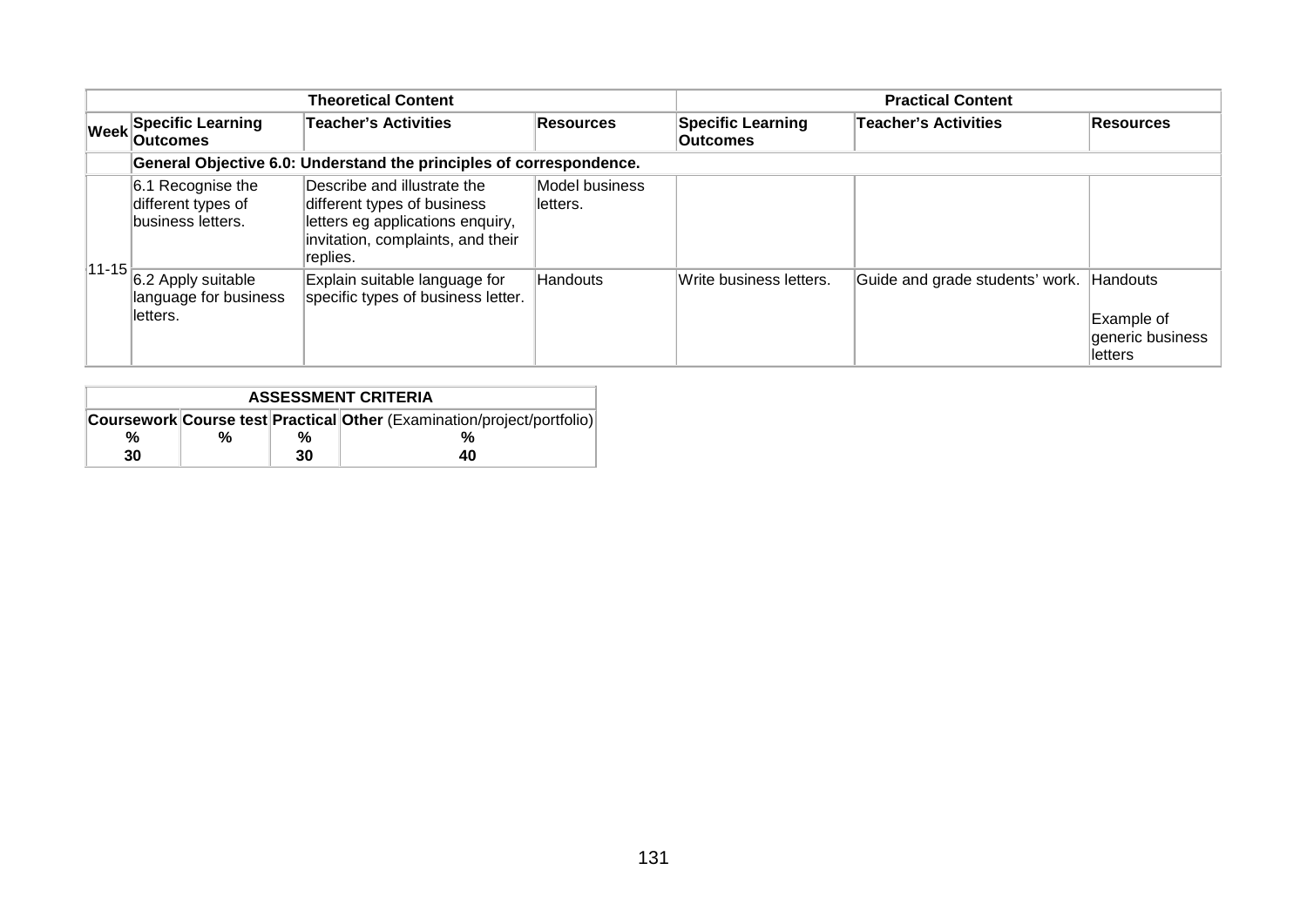|                                                                  | <b>Theoretical Content</b>                                                                                                                      |                             | <b>Practical Content</b>                    |                                 |                                                       |  |
|------------------------------------------------------------------|-------------------------------------------------------------------------------------------------------------------------------------------------|-----------------------------|---------------------------------------------|---------------------------------|-------------------------------------------------------|--|
| <b>Week Specific Learning</b><br><b>Outcomes</b>                 | <b>Teacher's Activities</b>                                                                                                                     | <b>Resources</b>            | <b>Specific Learning</b><br><b>Outcomes</b> | <b>Teacher's Activities</b>     | Resources                                             |  |
|                                                                  | General Objective 6.0: Understand the principles of correspondence.                                                                             |                             |                                             |                                 |                                                       |  |
| 6.1 Recognise the<br>different types of<br>business letters.     | Describe and illustrate the<br>different types of business<br>letters eg applications enquiry,<br>invitation, complaints, and their<br>replies. | Model business<br>lletters. |                                             |                                 |                                                       |  |
| $11-15$ 6.2 Apply suitable<br>language for business<br>lletters. | Explain suitable language for<br>specific types of business letter.                                                                             | Handouts                    | Write business letters.                     | Guide and grade students' work. | Handouts<br>Example of<br>generic business<br>letters |  |

| <b>ASSESSMENT CRITERIA</b>                                             |   |    |    |  |  |  |  |
|------------------------------------------------------------------------|---|----|----|--|--|--|--|
| Coursework Course test Practical Other (Examination/project/portfolio) |   |    |    |  |  |  |  |
| %                                                                      | % | %  |    |  |  |  |  |
| 30                                                                     |   | 30 | 40 |  |  |  |  |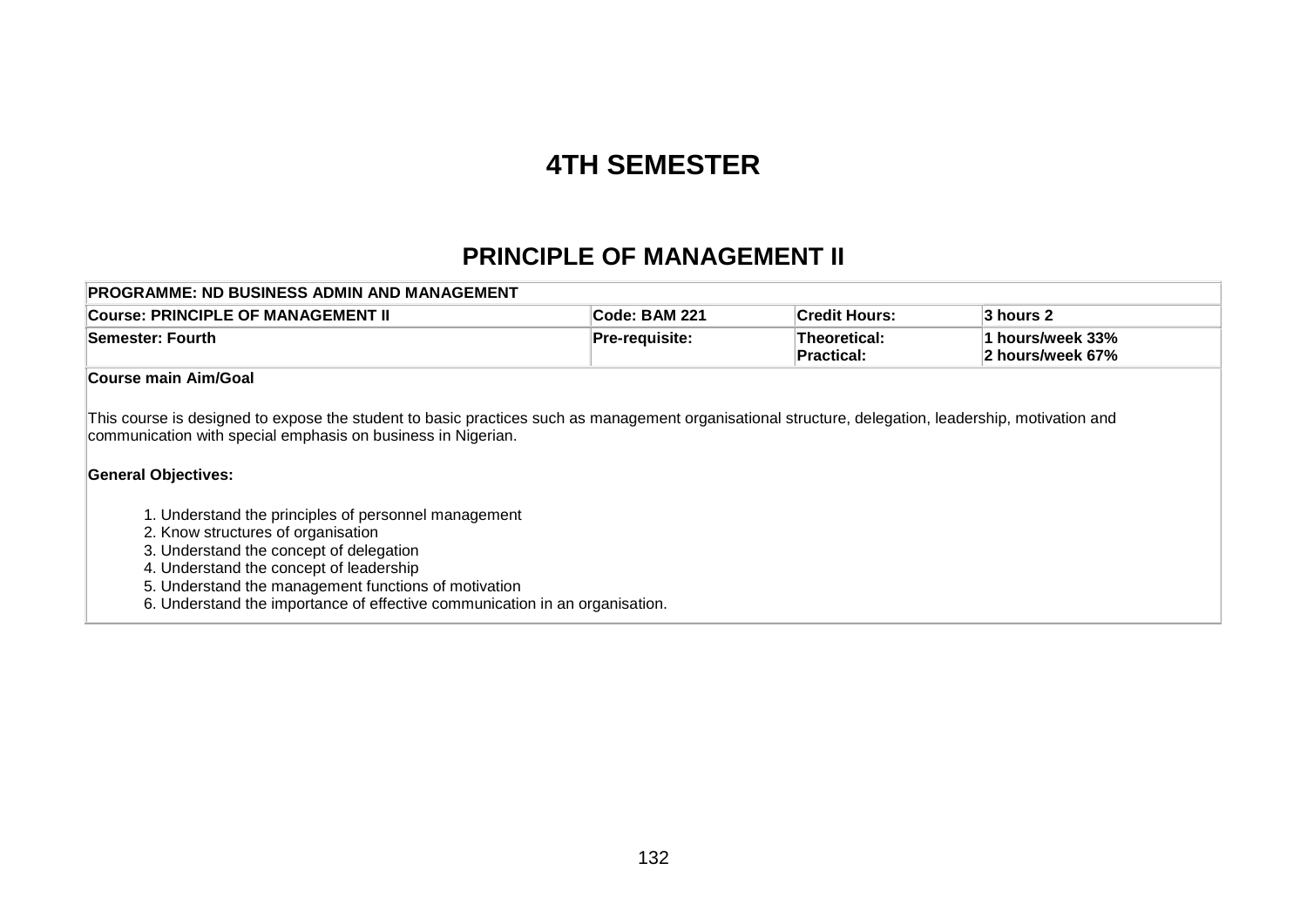# **4TH SEMESTER**

### **PRINCIPLE OF MANAGEMENT II**

| <b>PROGRAMME: ND BUSINESS ADMIN AND MANAGEMENT</b> |                                                      |                              |                                      |  |  |  |  |
|----------------------------------------------------|------------------------------------------------------|------------------------------|--------------------------------------|--|--|--|--|
| Course: PRINCIPLE OF MANAGEMENT II                 | <b>Credit Hours:</b><br>∣Code: BAM 221<br>∣3 hours 2 |                              |                                      |  |  |  |  |
| <b>Semester: Fourth</b>                            | <b>Pre-requisite:</b>                                | ∣Theoretical:<br>∣Practical: | 1 hours/week 33%<br>2 hours/week 67% |  |  |  |  |
|                                                    |                                                      |                              |                                      |  |  |  |  |

#### **Course main Aim/Goal**

This course is designed to expose the student to basic practices such as management organisational structure, delegation, leadership, motivation and communication with special emphasis on business in Nigerian.

### **General Objectives:**

- 1. Understand the principles of personnel management
- 2. Know structures of organisation
- 3. Understand the concept of delegation
- 4. Understand the concept of leadership
- 5. Understand the management functions of motivation
- 6. Understand the importance of effective communication in an organisation.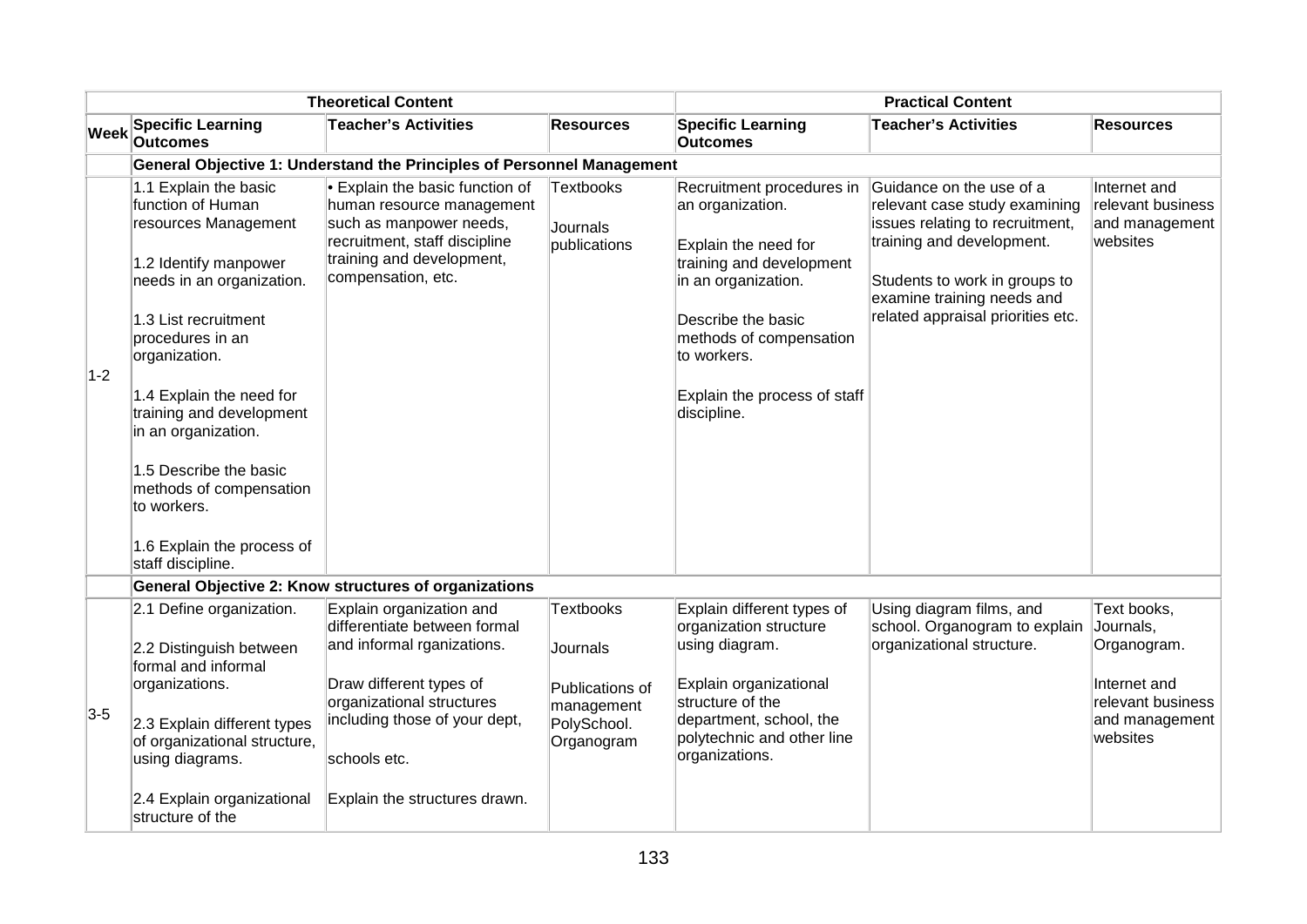| <b>Theoretical Content</b> |                                                                                                                                                                                                                                                                                                                                                                                             |                                                                                                                                                                                                                                  |                                                                                     | <b>Practical Content</b>                                                                                                                                                                                                                |                                                                                                                                                                                                                               |                                                                                                            |  |
|----------------------------|---------------------------------------------------------------------------------------------------------------------------------------------------------------------------------------------------------------------------------------------------------------------------------------------------------------------------------------------------------------------------------------------|----------------------------------------------------------------------------------------------------------------------------------------------------------------------------------------------------------------------------------|-------------------------------------------------------------------------------------|-----------------------------------------------------------------------------------------------------------------------------------------------------------------------------------------------------------------------------------------|-------------------------------------------------------------------------------------------------------------------------------------------------------------------------------------------------------------------------------|------------------------------------------------------------------------------------------------------------|--|
| <b>Week</b>                | <b>Specific Learning</b><br><b>Outcomes</b>                                                                                                                                                                                                                                                                                                                                                 | <b>Teacher's Activities</b>                                                                                                                                                                                                      | <b>Resources</b>                                                                    | <b>Specific Learning</b><br><b>Outcomes</b>                                                                                                                                                                                             | <b>Teacher's Activities</b>                                                                                                                                                                                                   | <b>Resources</b>                                                                                           |  |
|                            |                                                                                                                                                                                                                                                                                                                                                                                             | General Objective 1: Understand the Principles of Personnel Management                                                                                                                                                           |                                                                                     |                                                                                                                                                                                                                                         |                                                                                                                                                                                                                               |                                                                                                            |  |
| $1-2$                      | 1.1 Explain the basic<br>function of Human<br>resources Management<br>1.2 Identify manpower<br>needs in an organization.<br>1.3 List recruitment<br>procedures in an<br>organization.<br>1.4 Explain the need for<br>training and development<br>in an organization.<br>1.5 Describe the basic<br>methods of compensation<br>to workers.<br>1.6 Explain the process of<br>staff discipline. | • Explain the basic function of<br>human resource management<br>such as manpower needs,<br>recruitment, staff discipline<br>training and development,<br>compensation, etc.                                                      | <b>Textbooks</b><br>Journals<br>publications                                        | Recruitment procedures in<br>an organization.<br>Explain the need for<br>training and development<br>in an organization.<br>Describe the basic<br>methods of compensation<br>to workers.<br>Explain the process of staff<br>discipline. | Guidance on the use of a<br>relevant case study examining<br>issues relating to recruitment,<br>training and development.<br>Students to work in groups to<br>examine training needs and<br>related appraisal priorities etc. | Internet and<br>relevant business<br>and management<br>websites                                            |  |
|                            |                                                                                                                                                                                                                                                                                                                                                                                             | General Objective 2: Know structures of organizations                                                                                                                                                                            |                                                                                     |                                                                                                                                                                                                                                         |                                                                                                                                                                                                                               |                                                                                                            |  |
| $3-5$                      | 2.1 Define organization.<br>2.2 Distinguish between<br>formal and informal<br>organizations.<br>2.3 Explain different types<br>of organizational structure,<br>using diagrams.<br>2.4 Explain organizational<br>structure of the                                                                                                                                                            | Explain organization and<br>differentiate between formal<br>and informal rganizations.<br>Draw different types of<br>organizational structures<br>including those of your dept,<br>schools etc.<br>Explain the structures drawn. | Textbooks<br>Journals<br>Publications of<br>management<br>PolySchool.<br>Organogram | Explain different types of<br>organization structure<br>using diagram.<br>Explain organizational<br>structure of the<br>department, school, the<br>polytechnic and other line<br>organizations.                                         | Using diagram films, and<br>school. Organogram to explain<br>organizational structure.                                                                                                                                        | Text books,<br>Journals,<br>Organogram.<br>Internet and<br>relevant business<br>and management<br>websites |  |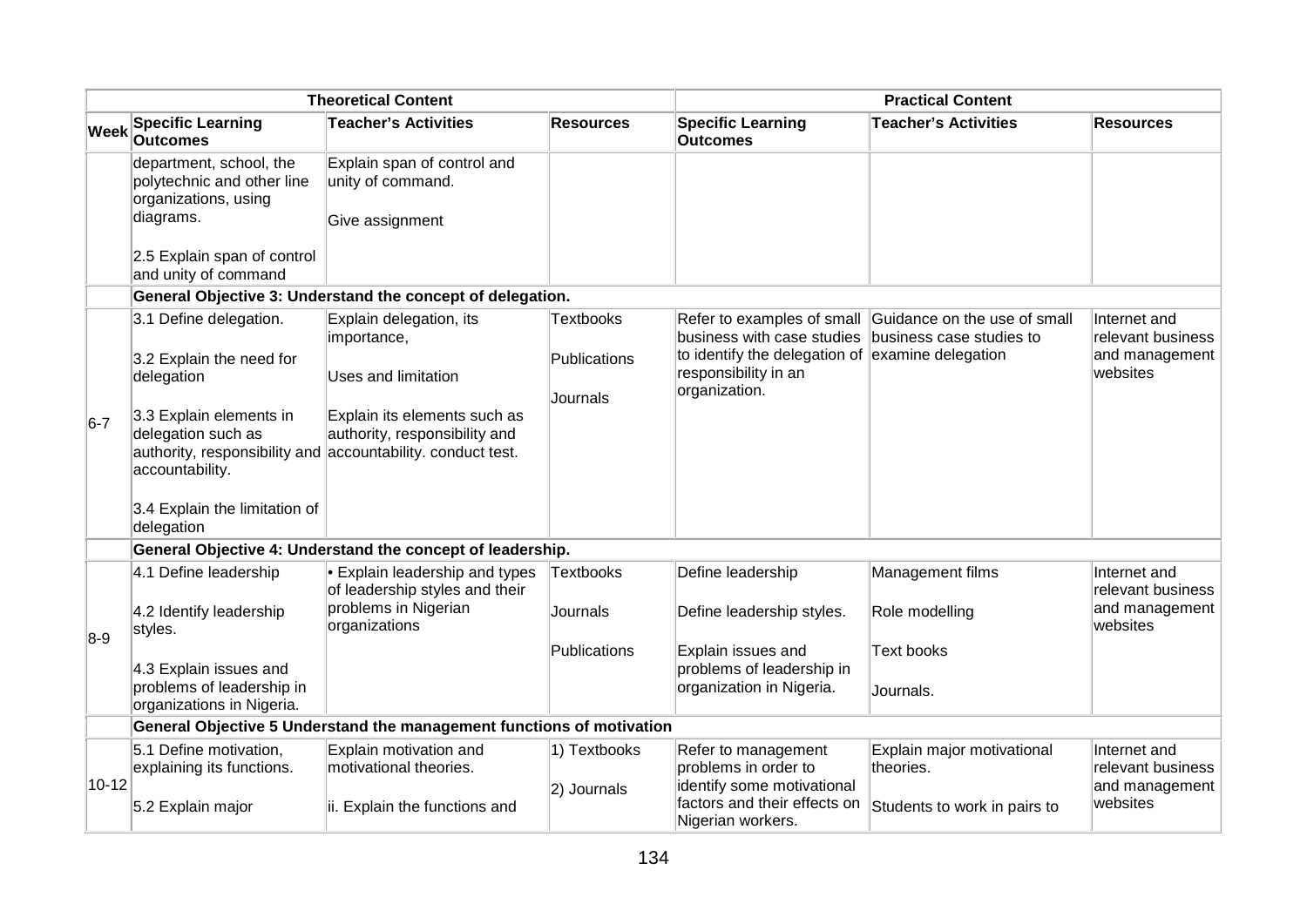| <b>Specific Learning</b><br><b>Specific Learning</b><br><b>Teacher's Activities</b><br><b>Resources</b><br><b>Teacher's Activities</b><br>Week<br><b>Outcomes</b><br><b>Outcomes</b><br>Explain span of control and<br>department, school, the<br>unity of command.<br>polytechnic and other line<br>organizations, using<br>diagrams.<br>Give assignment<br>2.5 Explain span of control<br>and unity of command<br>General Objective 3: Understand the concept of delegation.<br>3.1 Define delegation.<br>Explain delegation, its<br><b>Textbooks</b><br>Refer to examples of small Guidance on the use of small<br>business with case studies<br>business case studies to<br>importance,<br>to identify the delegation of examine delegation<br>3.2 Explain the need for<br>Publications<br>responsibility in an<br>websites<br>delegation<br><b>Uses and limitation</b><br>organization.<br>Journals<br>3.3 Explain elements in<br>Explain its elements such as<br>$6-7$<br>delegation such as<br>authority, responsibility and<br>authority, responsibility and accountability. conduct test.<br>accountability.<br>3.4 Explain the limitation of<br>delegation<br>General Objective 4: Understand the concept of leadership.<br>• Explain leadership and types<br>4.1 Define leadership<br>Textbooks<br>Define leadership<br>Management films<br>Internet and<br>of leadership styles and their<br>problems in Nigerian<br>4.2 Identify leadership<br>Role modelling<br>Journals<br>Define leadership styles.<br>organizations<br>websites<br>styles.<br>$8-9$<br><b>Publications</b><br>Explain issues and<br><b>Text books</b><br>problems of leadership in<br>4.3 Explain issues and<br>problems of leadership in<br>organization in Nigeria.<br>Journals.<br>organizations in Nigeria.<br>General Objective 5 Understand the management functions of motivation<br>5.1 Define motivation,<br>Explain motivation and<br>1) Textbooks<br>Explain major motivational<br>Refer to management<br>motivational theories.<br>problems in order to<br>theories.<br>explaining its functions.<br>$10 - 12$<br>identify some motivational<br>2) Journals | <b>Theoretical Content</b> |                   | <b>Practical Content</b>      |                              |                              |                                                                 |
|----------------------------------------------------------------------------------------------------------------------------------------------------------------------------------------------------------------------------------------------------------------------------------------------------------------------------------------------------------------------------------------------------------------------------------------------------------------------------------------------------------------------------------------------------------------------------------------------------------------------------------------------------------------------------------------------------------------------------------------------------------------------------------------------------------------------------------------------------------------------------------------------------------------------------------------------------------------------------------------------------------------------------------------------------------------------------------------------------------------------------------------------------------------------------------------------------------------------------------------------------------------------------------------------------------------------------------------------------------------------------------------------------------------------------------------------------------------------------------------------------------------------------------------------------------------------------------------------------------------------------------------------------------------------------------------------------------------------------------------------------------------------------------------------------------------------------------------------------------------------------------------------------------------------------------------------------------------------------------------------------------------------------------------------------------------------------------------------------------------------------------------------------------|----------------------------|-------------------|-------------------------------|------------------------------|------------------------------|-----------------------------------------------------------------|
|                                                                                                                                                                                                                                                                                                                                                                                                                                                                                                                                                                                                                                                                                                                                                                                                                                                                                                                                                                                                                                                                                                                                                                                                                                                                                                                                                                                                                                                                                                                                                                                                                                                                                                                                                                                                                                                                                                                                                                                                                                                                                                                                                          |                            |                   |                               |                              |                              | <b>Resources</b>                                                |
|                                                                                                                                                                                                                                                                                                                                                                                                                                                                                                                                                                                                                                                                                                                                                                                                                                                                                                                                                                                                                                                                                                                                                                                                                                                                                                                                                                                                                                                                                                                                                                                                                                                                                                                                                                                                                                                                                                                                                                                                                                                                                                                                                          |                            |                   |                               |                              |                              |                                                                 |
|                                                                                                                                                                                                                                                                                                                                                                                                                                                                                                                                                                                                                                                                                                                                                                                                                                                                                                                                                                                                                                                                                                                                                                                                                                                                                                                                                                                                                                                                                                                                                                                                                                                                                                                                                                                                                                                                                                                                                                                                                                                                                                                                                          |                            |                   |                               |                              |                              |                                                                 |
|                                                                                                                                                                                                                                                                                                                                                                                                                                                                                                                                                                                                                                                                                                                                                                                                                                                                                                                                                                                                                                                                                                                                                                                                                                                                                                                                                                                                                                                                                                                                                                                                                                                                                                                                                                                                                                                                                                                                                                                                                                                                                                                                                          |                            |                   |                               |                              |                              |                                                                 |
|                                                                                                                                                                                                                                                                                                                                                                                                                                                                                                                                                                                                                                                                                                                                                                                                                                                                                                                                                                                                                                                                                                                                                                                                                                                                                                                                                                                                                                                                                                                                                                                                                                                                                                                                                                                                                                                                                                                                                                                                                                                                                                                                                          |                            |                   |                               |                              |                              | Internet and<br>relevant business<br>and management             |
|                                                                                                                                                                                                                                                                                                                                                                                                                                                                                                                                                                                                                                                                                                                                                                                                                                                                                                                                                                                                                                                                                                                                                                                                                                                                                                                                                                                                                                                                                                                                                                                                                                                                                                                                                                                                                                                                                                                                                                                                                                                                                                                                                          |                            |                   |                               |                              |                              |                                                                 |
|                                                                                                                                                                                                                                                                                                                                                                                                                                                                                                                                                                                                                                                                                                                                                                                                                                                                                                                                                                                                                                                                                                                                                                                                                                                                                                                                                                                                                                                                                                                                                                                                                                                                                                                                                                                                                                                                                                                                                                                                                                                                                                                                                          |                            |                   |                               |                              |                              |                                                                 |
|                                                                                                                                                                                                                                                                                                                                                                                                                                                                                                                                                                                                                                                                                                                                                                                                                                                                                                                                                                                                                                                                                                                                                                                                                                                                                                                                                                                                                                                                                                                                                                                                                                                                                                                                                                                                                                                                                                                                                                                                                                                                                                                                                          |                            |                   |                               |                              |                              | relevant business<br>and management                             |
|                                                                                                                                                                                                                                                                                                                                                                                                                                                                                                                                                                                                                                                                                                                                                                                                                                                                                                                                                                                                                                                                                                                                                                                                                                                                                                                                                                                                                                                                                                                                                                                                                                                                                                                                                                                                                                                                                                                                                                                                                                                                                                                                                          |                            |                   |                               |                              |                              |                                                                 |
|                                                                                                                                                                                                                                                                                                                                                                                                                                                                                                                                                                                                                                                                                                                                                                                                                                                                                                                                                                                                                                                                                                                                                                                                                                                                                                                                                                                                                                                                                                                                                                                                                                                                                                                                                                                                                                                                                                                                                                                                                                                                                                                                                          |                            |                   |                               |                              |                              |                                                                 |
| Nigerian workers.                                                                                                                                                                                                                                                                                                                                                                                                                                                                                                                                                                                                                                                                                                                                                                                                                                                                                                                                                                                                                                                                                                                                                                                                                                                                                                                                                                                                                                                                                                                                                                                                                                                                                                                                                                                                                                                                                                                                                                                                                                                                                                                                        |                            | 5.2 Explain major | ii. Explain the functions and | factors and their effects on | Students to work in pairs to | Internet and<br>relevant business<br>and management<br>websites |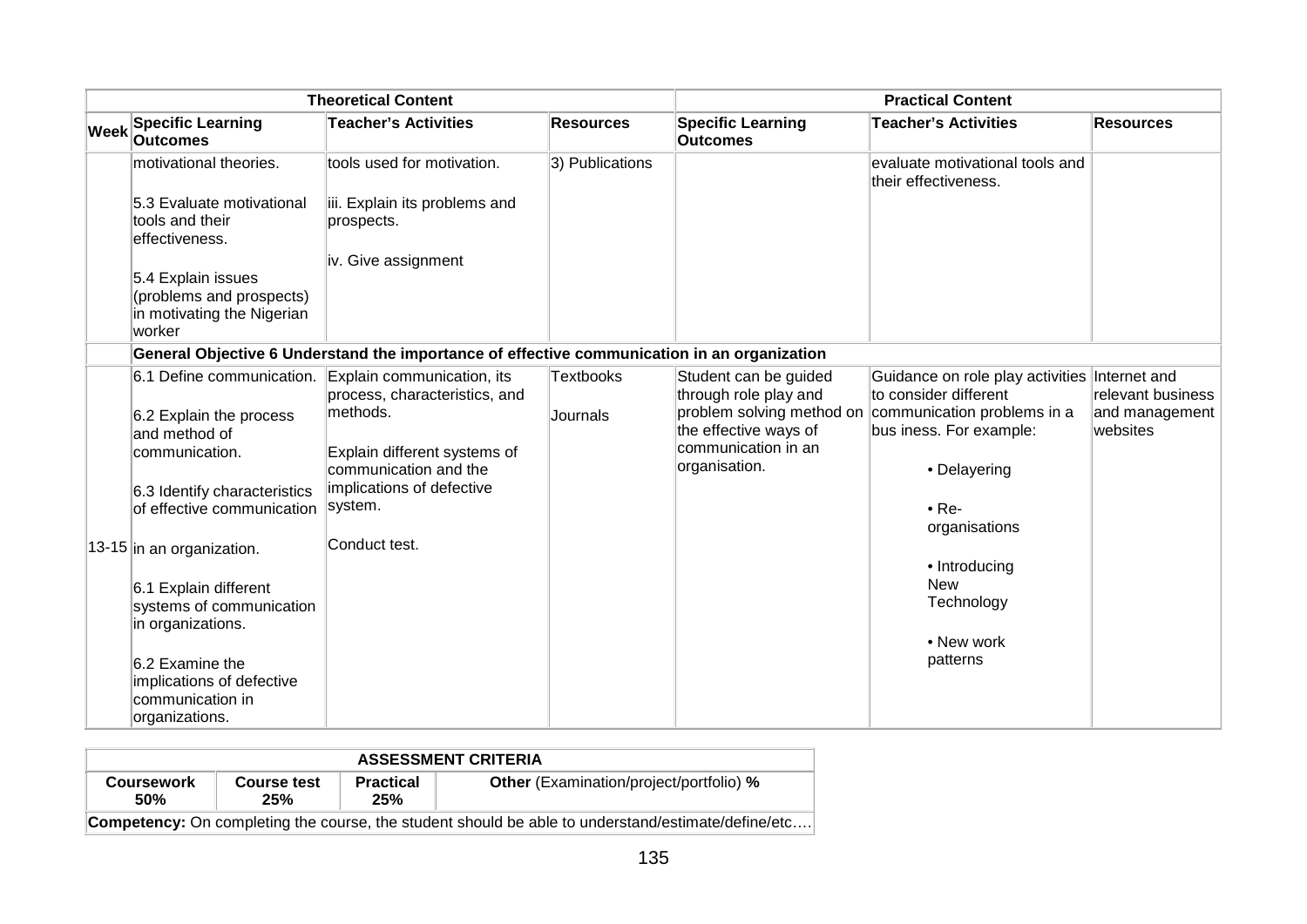| <b>Theoretical Content</b> |                                                                                        |                                                                                             | <b>Practical Content</b> |                                                |                                                                                  |                            |
|----------------------------|----------------------------------------------------------------------------------------|---------------------------------------------------------------------------------------------|--------------------------|------------------------------------------------|----------------------------------------------------------------------------------|----------------------------|
| Week                       | <b>Specific Learning</b><br><b>Outcomes</b>                                            | <b>Teacher's Activities</b>                                                                 | <b>Resources</b>         | <b>Specific Learning</b><br><b>Outcomes</b>    | <b>Teacher's Activities</b>                                                      | <b>Resources</b>           |
|                            | motivational theories.                                                                 | tools used for motivation.                                                                  | 3) Publications          |                                                | evaluate motivational tools and<br>their effectiveness.                          |                            |
|                            | 5.3 Evaluate motivational<br>tools and their<br>effectiveness.                         | iii. Explain its problems and<br>prospects.                                                 |                          |                                                |                                                                                  |                            |
|                            |                                                                                        | iv. Give assignment                                                                         |                          |                                                |                                                                                  |                            |
|                            | 5.4 Explain issues<br>(problems and prospects)<br>in motivating the Nigerian<br>worker |                                                                                             |                          |                                                |                                                                                  |                            |
|                            |                                                                                        | General Objective 6 Understand the importance of effective communication in an organization |                          |                                                |                                                                                  |                            |
|                            | 6.1 Define communication. Explain communication, its                                   | process, characteristics, and                                                               | <b>Textbooks</b>         | Student can be guided<br>through role play and | Guidance on role play activities Internet and<br>to consider different           | relevant business          |
|                            | 6.2 Explain the process<br>and method of                                               | methods.                                                                                    | Journals                 | the effective ways of                          | problem solving method on communication problems in a<br>bus iness. For example: | and management<br>websites |
|                            | communication.                                                                         | Explain different systems of<br>communication and the                                       |                          | communication in an<br>organisation.           | • Delayering                                                                     |                            |
|                            | 6.3 Identify characteristics                                                           | implications of defective<br>system.                                                        |                          |                                                |                                                                                  |                            |
|                            | lof effective communication                                                            |                                                                                             |                          |                                                | $\bullet$ Re-<br>organisations                                                   |                            |
|                            | 13-15 in an organization.                                                              | Conduct test.                                                                               |                          |                                                |                                                                                  |                            |
|                            |                                                                                        |                                                                                             |                          |                                                | • Introducing                                                                    |                            |
|                            | 6.1 Explain different                                                                  |                                                                                             |                          |                                                | <b>New</b><br>Technology                                                         |                            |
|                            | systems of communication<br>in organizations.                                          |                                                                                             |                          |                                                |                                                                                  |                            |
|                            |                                                                                        |                                                                                             |                          |                                                | • New work                                                                       |                            |
|                            | $6.2$ Examine the                                                                      |                                                                                             |                          |                                                | patterns                                                                         |                            |
|                            | implications of defective<br>communication in                                          |                                                                                             |                          |                                                |                                                                                  |                            |
|                            | organizations.                                                                         |                                                                                             |                          |                                                |                                                                                  |                            |

| <b>ASSESSMENT CRITERIA</b>                                                                                |                    |                         |                                                |  |  |  |
|-----------------------------------------------------------------------------------------------------------|--------------------|-------------------------|------------------------------------------------|--|--|--|
| <b>Coursework</b><br>50%                                                                                  | Course test<br>25% | <b>Practical</b><br>25% | <b>Other</b> (Examination/project/portfolio) % |  |  |  |
| <b>Competency:</b> On completing the course, the student should be able to understand/estimate/define/etc |                    |                         |                                                |  |  |  |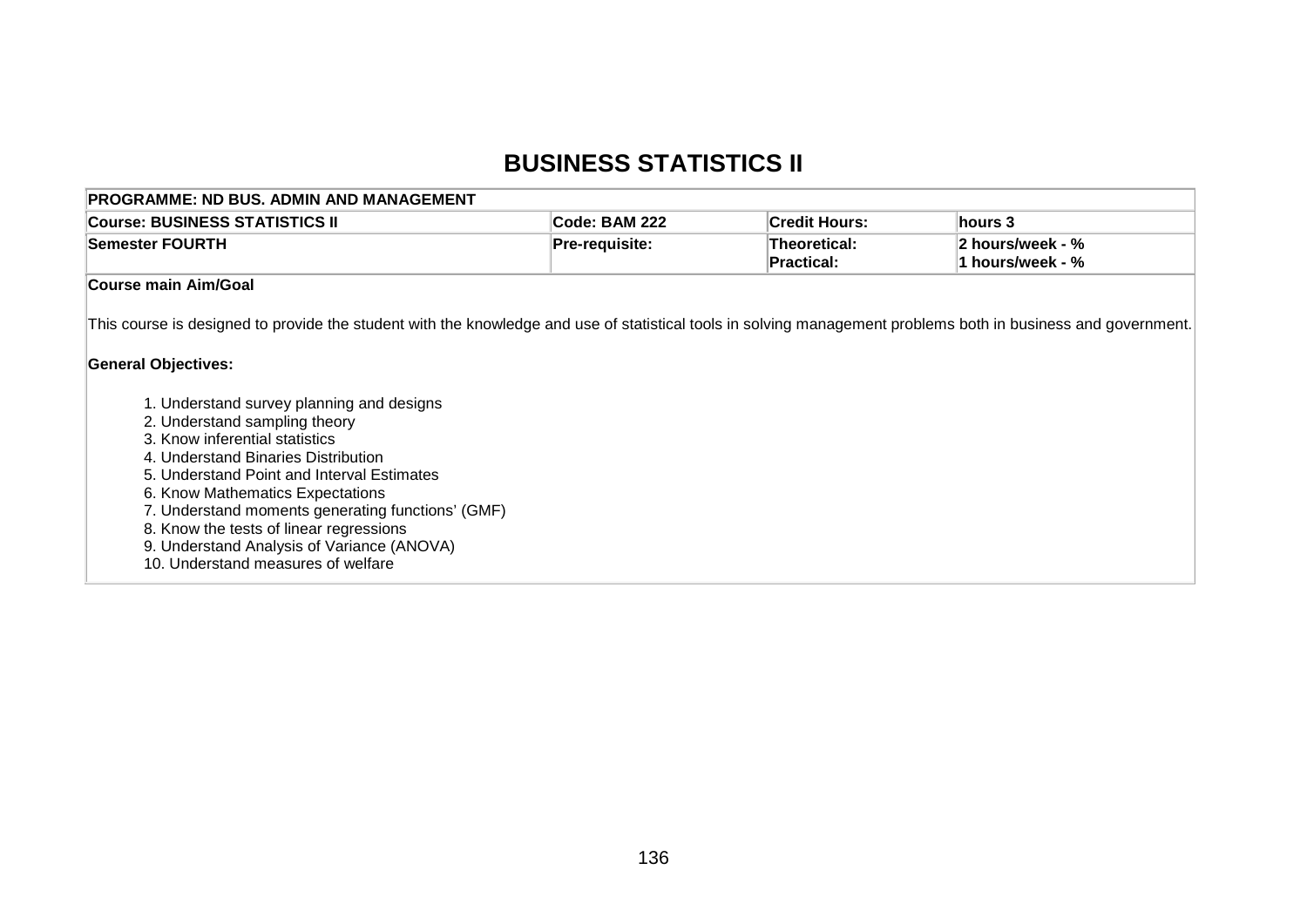# **BUSINESS STATISTICS II**

| <b>PROGRAMME: ND BUS. ADMIN AND MANAGEMENT</b>                                                                                                                                                                                                                                                                                                                                                                            |                |                                   |                                      |
|---------------------------------------------------------------------------------------------------------------------------------------------------------------------------------------------------------------------------------------------------------------------------------------------------------------------------------------------------------------------------------------------------------------------------|----------------|-----------------------------------|--------------------------------------|
| <b>Course: BUSINESS STATISTICS II</b>                                                                                                                                                                                                                                                                                                                                                                                     | Code: BAM 222  | <b>Credit Hours:</b>              | hours 3                              |
| <b>Semester FOURTH</b>                                                                                                                                                                                                                                                                                                                                                                                                    | Pre-requisite: | Theoretical:<br><b>Practical:</b> | 2 hours/week - %<br>1 hours/week - % |
| <b>Course main Aim/Goal</b>                                                                                                                                                                                                                                                                                                                                                                                               |                |                                   |                                      |
| This course is designed to provide the student with the knowledge and use of statistical tools in solving management problems both in business and government.                                                                                                                                                                                                                                                            |                |                                   |                                      |
| <b>General Objectives:</b>                                                                                                                                                                                                                                                                                                                                                                                                |                |                                   |                                      |
| 1. Understand survey planning and designs<br>2. Understand sampling theory<br>3. Know inferential statistics<br>4. Understand Binaries Distribution<br>5. Understand Point and Interval Estimates<br>6. Know Mathematics Expectations<br>7. Understand moments generating functions' (GMF)<br>8. Know the tests of linear regressions<br>9. Understand Analysis of Variance (ANOVA)<br>10. Understand measures of welfare |                |                                   |                                      |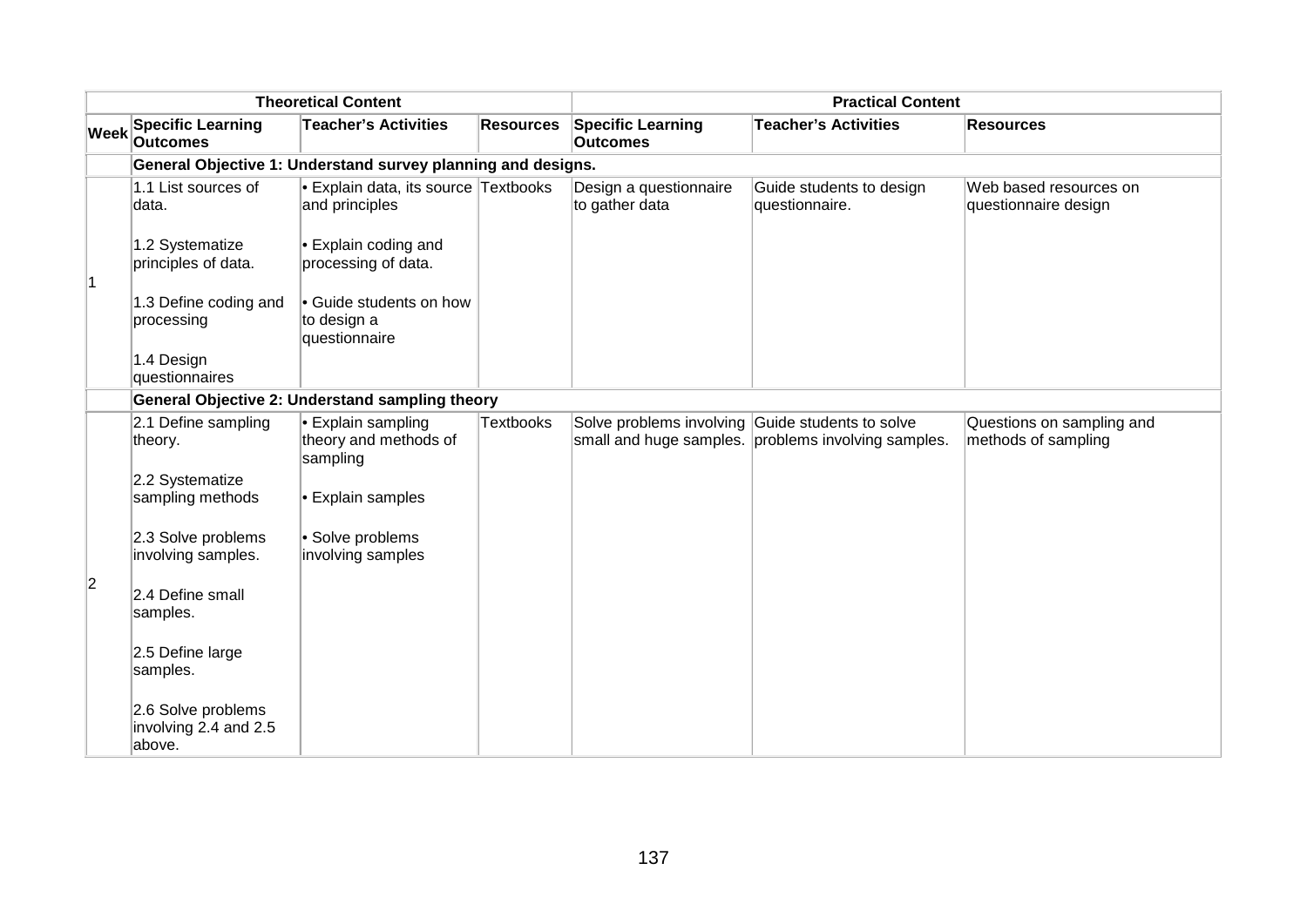| <b>Theoretical Content</b> |                                                       |                                                               | <b>Practical Content</b> |                                                  |                                                     |                                                  |
|----------------------------|-------------------------------------------------------|---------------------------------------------------------------|--------------------------|--------------------------------------------------|-----------------------------------------------------|--------------------------------------------------|
| <b>Week</b>                | <b>Specific Learning</b><br><b>Outcomes</b>           | <b>Teacher's Activities</b>                                   | <b>Resources</b>         | <b>Specific Learning</b><br><b>Outcomes</b>      | <b>Teacher's Activities</b>                         | <b>Resources</b>                                 |
|                            |                                                       | General Objective 1: Understand survey planning and designs.  |                          |                                                  |                                                     |                                                  |
|                            | 1.1 List sources of<br>data.                          | Explain data, its source Textbooks<br>and principles          |                          | Design a questionnaire<br>to gather data         | Guide students to design<br>questionnaire.          | Web based resources on<br>questionnaire design   |
|                            | 1.2 Systematize<br>principles of data.                | $\bullet$ Explain coding and<br>processing of data.           |                          |                                                  |                                                     |                                                  |
|                            | 1.3 Define coding and<br>processing                   | Guide students on how<br>to design a<br>questionnaire         |                          |                                                  |                                                     |                                                  |
|                            | 1.4 Design<br>questionnaires                          |                                                               |                          |                                                  |                                                     |                                                  |
|                            |                                                       | General Objective 2: Understand sampling theory               |                          |                                                  |                                                     |                                                  |
|                            | 2.1 Define sampling<br>theory.                        | $\cdot$ Explain sampling<br>theory and methods of<br>sampling | <b>Textbooks</b>         | Solve problems involving Guide students to solve | small and huge samples. problems involving samples. | Questions on sampling and<br>methods of sampling |
|                            | 2.2 Systematize<br>sampling methods                   | • Explain samples                                             |                          |                                                  |                                                     |                                                  |
|                            | 2.3 Solve problems<br>involving samples.              | · Solve problems<br>involving samples                         |                          |                                                  |                                                     |                                                  |
| $\overline{2}$             | 2.4 Define small<br>samples.                          |                                                               |                          |                                                  |                                                     |                                                  |
|                            | 2.5 Define large<br>samples.                          |                                                               |                          |                                                  |                                                     |                                                  |
|                            | 2.6 Solve problems<br>involving 2.4 and 2.5<br>above. |                                                               |                          |                                                  |                                                     |                                                  |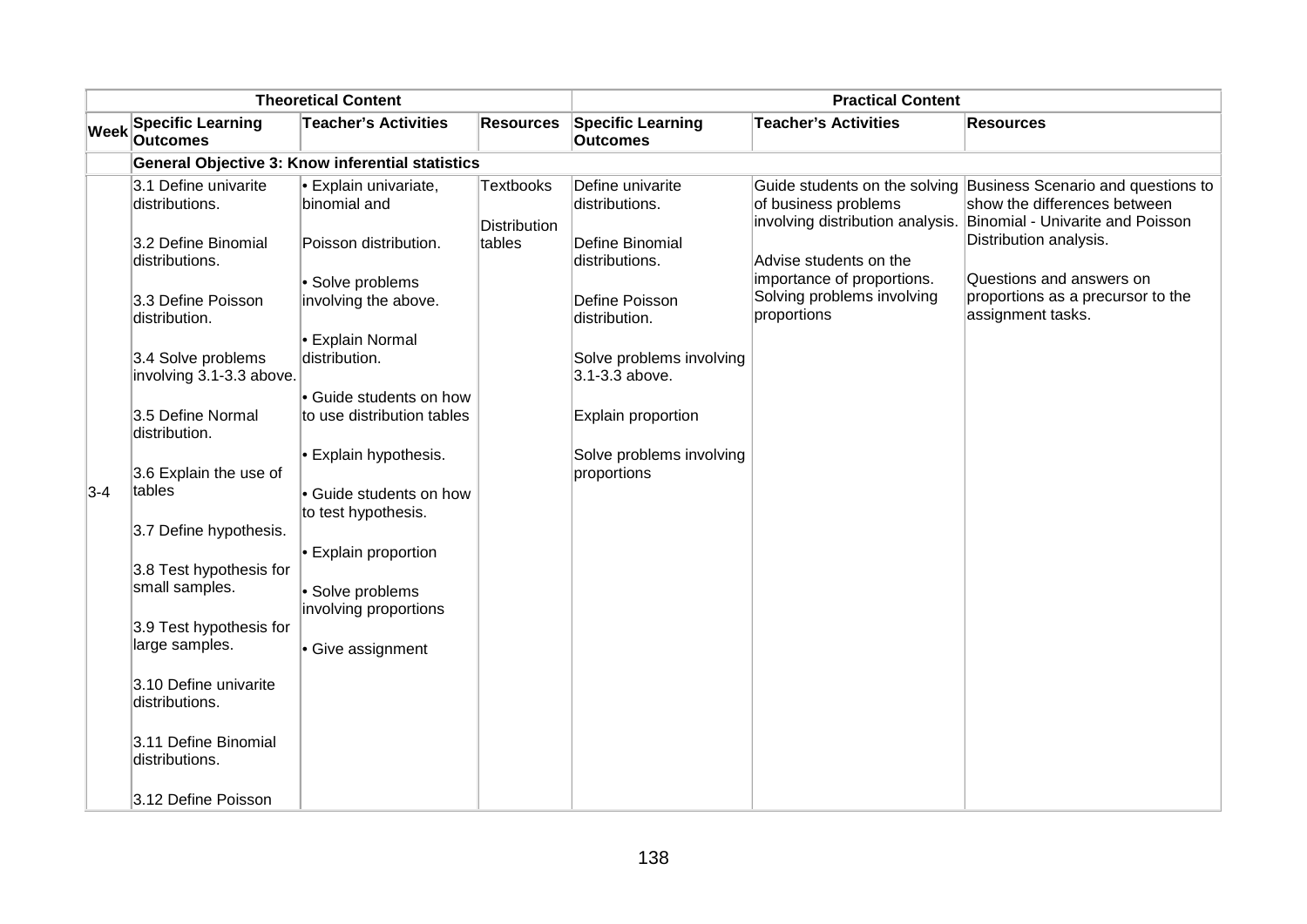| <b>Theoretical Content</b> |                                                         |                                                                 | <b>Practical Content</b>         |                                             |                                                                         |                                                                                                                                                                       |  |  |  |
|----------------------------|---------------------------------------------------------|-----------------------------------------------------------------|----------------------------------|---------------------------------------------|-------------------------------------------------------------------------|-----------------------------------------------------------------------------------------------------------------------------------------------------------------------|--|--|--|
| <b>Week</b>                | <b>Specific Learning</b><br><b>Outcomes</b>             | <b>Teacher's Activities</b>                                     | <b>Resources</b>                 | <b>Specific Learning</b><br><b>Outcomes</b> | <b>Teacher's Activities</b>                                             | <b>Resources</b>                                                                                                                                                      |  |  |  |
|                            | <b>General Objective 3: Know inferential statistics</b> |                                                                 |                                  |                                             |                                                                         |                                                                                                                                                                       |  |  |  |
|                            | 3.1 Define univarite<br>distributions.                  | <b>Explain univariate,</b><br>binomial and                      | <b>Textbooks</b><br>Distribution | Define univarite<br>distributions.          | of business problems                                                    | Guide students on the solving Business Scenario and questions to<br>show the differences between<br>involving distribution analysis. Binomial - Univarite and Poisson |  |  |  |
|                            | 3.2 Define Binomial<br>distributions.                   | Poisson distribution.                                           | tables                           | Define Binomial<br>distributions.           | Advise students on the                                                  | Distribution analysis.                                                                                                                                                |  |  |  |
|                            | 3.3 Define Poisson<br>distribution.                     | · Solve problems<br>involving the above.                        |                                  | Define Poisson<br>distribution.             | importance of proportions.<br>Solving problems involving<br>proportions | Questions and answers on<br>proportions as a precursor to the<br>assignment tasks.                                                                                    |  |  |  |
|                            | 3.4 Solve problems<br>involving 3.1-3.3 above.          | <b>Explain Normal</b><br>distribution.                          |                                  | Solve problems involving<br>3.1-3.3 above.  |                                                                         |                                                                                                                                                                       |  |  |  |
|                            | 3.5 Define Normal<br>distribution.                      | Guide students on how<br>to use distribution tables             |                                  | Explain proportion                          |                                                                         |                                                                                                                                                                       |  |  |  |
| $3-4$                      | 3.6 Explain the use of<br>tables                        | $\cdot$ Explain hypothesis.<br>• Guide students on how          |                                  | Solve problems involving<br>proportions     |                                                                         |                                                                                                                                                                       |  |  |  |
|                            | 3.7 Define hypothesis.                                  | to test hypothesis.                                             |                                  |                                             |                                                                         |                                                                                                                                                                       |  |  |  |
|                            | 3.8 Test hypothesis for<br>small samples.               | Explain proportion<br>· Solve problems<br>involving proportions |                                  |                                             |                                                                         |                                                                                                                                                                       |  |  |  |
|                            | 3.9 Test hypothesis for<br>large samples.               | Give assignment                                                 |                                  |                                             |                                                                         |                                                                                                                                                                       |  |  |  |
|                            | 3.10 Define univarite<br>distributions.                 |                                                                 |                                  |                                             |                                                                         |                                                                                                                                                                       |  |  |  |
|                            | 3.11 Define Binomial<br>distributions.                  |                                                                 |                                  |                                             |                                                                         |                                                                                                                                                                       |  |  |  |
|                            | 3.12 Define Poisson                                     |                                                                 |                                  |                                             |                                                                         |                                                                                                                                                                       |  |  |  |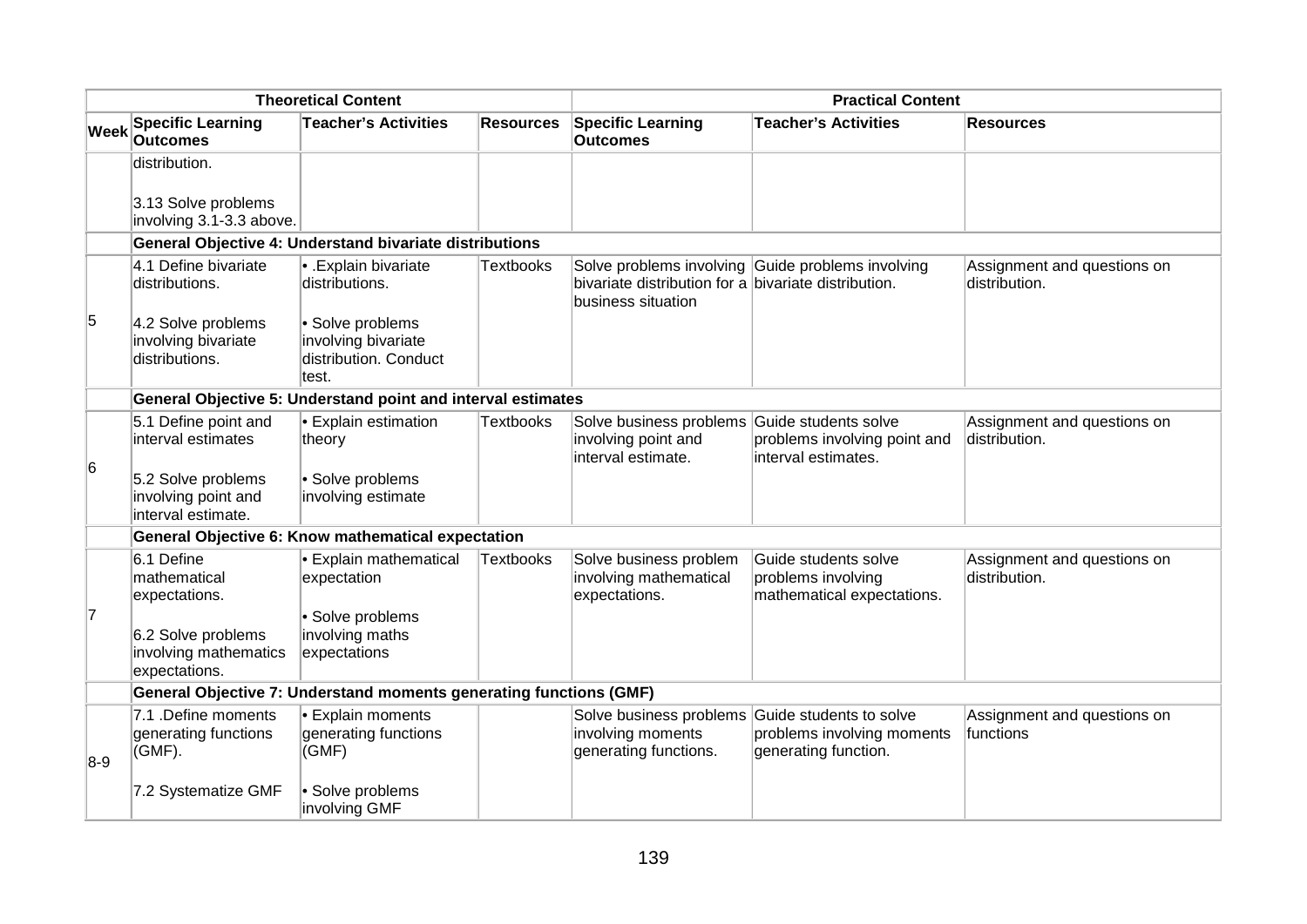| <b>Theoretical Content</b> |                                                                    |                                                                           | <b>Practical Content</b> |                                                                                           |                                                                               |                                              |  |
|----------------------------|--------------------------------------------------------------------|---------------------------------------------------------------------------|--------------------------|-------------------------------------------------------------------------------------------|-------------------------------------------------------------------------------|----------------------------------------------|--|
| <b>Week</b>                | <b>Specific Learning</b><br><b>Outcomes</b>                        | <b>Teacher's Activities</b>                                               | <b>Resources</b>         | <b>Specific Learning</b><br><b>Outcomes</b>                                               | <b>Teacher's Activities</b>                                                   | <b>Resources</b>                             |  |
|                            | distribution.                                                      |                                                                           |                          |                                                                                           |                                                                               |                                              |  |
|                            | 3.13 Solve problems<br>involving 3.1-3.3 above.                    |                                                                           |                          |                                                                                           |                                                                               |                                              |  |
|                            |                                                                    | General Objective 4: Understand bivariate distributions                   |                          |                                                                                           |                                                                               |                                              |  |
|                            | 4.1 Define bivariate<br>distributions.                             | <b>Explain bivariate</b><br>distributions.                                | Textbooks                | bivariate distribution for a bivariate distribution.<br>business situation                | Solve problems involving Guide problems involving                             | Assignment and questions on<br>distribution. |  |
| 5                          | 4.2 Solve problems<br>involving bivariate<br>distributions.        | · Solve problems<br>involving bivariate<br>distribution. Conduct<br>test. |                          |                                                                                           |                                                                               |                                              |  |
|                            |                                                                    | General Objective 5: Understand point and interval estimates              |                          |                                                                                           |                                                                               |                                              |  |
| 6                          | 5.1 Define point and<br>interval estimates                         | <b>Explain estimation</b><br>theory                                       | <b>Textbooks</b>         | Solve business problems Guide students solve<br>involving point and<br>interval estimate. | problems involving point and<br>interval estimates.                           | Assignment and questions on<br>distribution. |  |
|                            | 5.2 Solve problems<br>involving point and<br>interval estimate.    | · Solve problems<br>involving estimate                                    |                          |                                                                                           |                                                                               |                                              |  |
|                            |                                                                    | General Objective 6: Know mathematical expectation                        |                          |                                                                                           |                                                                               |                                              |  |
|                            | $6.1$ Define<br>mathematical<br>expectations.                      | • Explain mathematical<br>expectation                                     | <b>Textbooks</b>         | Solve business problem<br>involving mathematical<br>expectations.                         | Guide students solve<br>problems involving<br>mathematical expectations.      | Assignment and questions on<br>distribution. |  |
| 17                         | 6.2 Solve problems<br>involving mathematics<br>expectations.       | · Solve problems<br>involving maths<br>expectations                       |                          |                                                                                           |                                                                               |                                              |  |
|                            | General Objective 7: Understand moments generating functions (GMF) |                                                                           |                          |                                                                                           |                                                                               |                                              |  |
| $8-9$                      | 7.1 .Define moments<br>generating functions<br>(GMF).              | <b>Explain moments</b><br>generating functions<br>(GMF)                   |                          | Solve business problems<br>involving moments<br>generating functions.                     | Guide students to solve<br>problems involving moments<br>generating function. | Assignment and questions on<br>functions     |  |
|                            | 7.2 Systematize GMF                                                | · Solve problems<br>involving GMF                                         |                          |                                                                                           |                                                                               |                                              |  |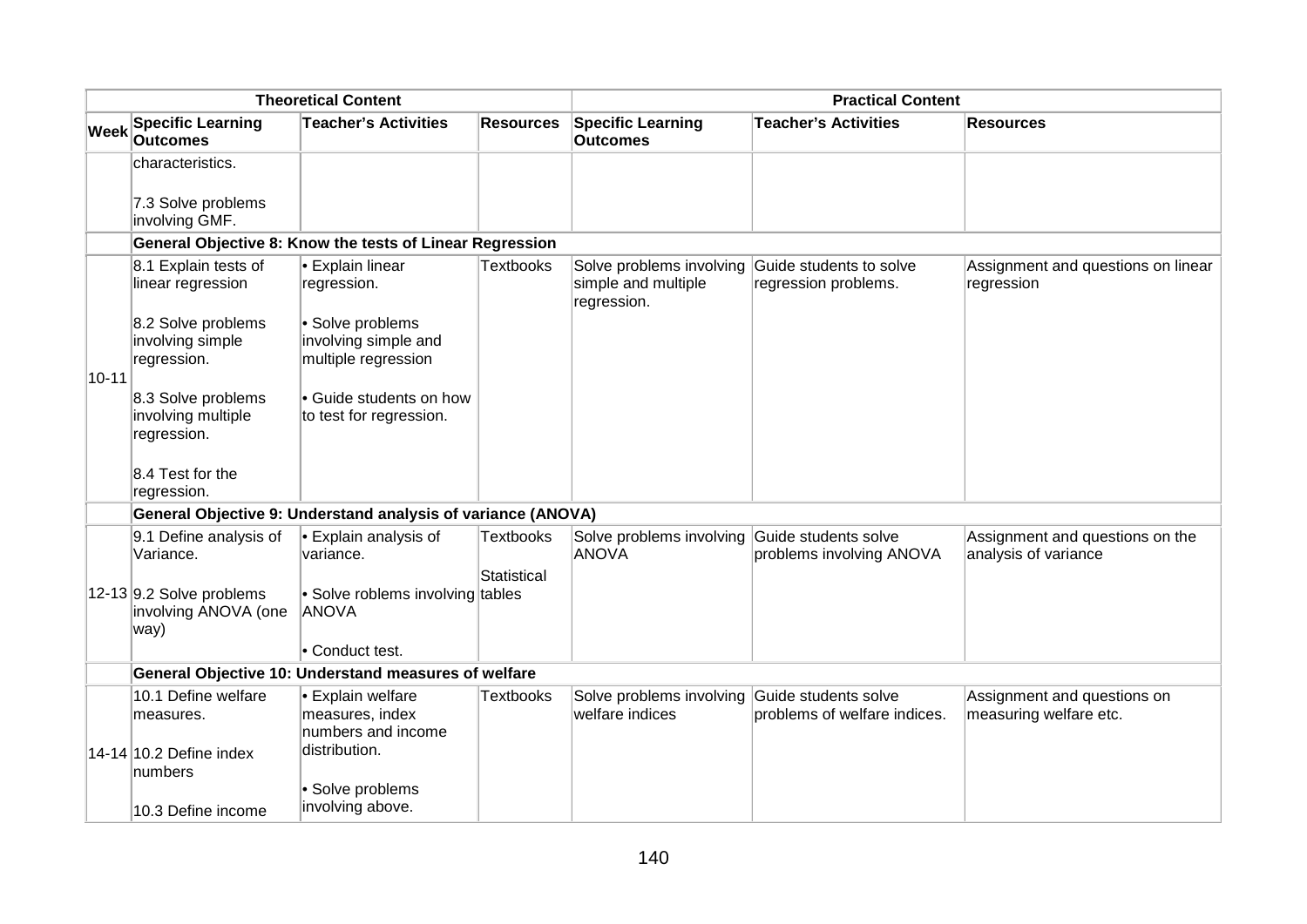| <b>Theoretical Content</b> |                                                            |                                                                     | <b>Practical Content</b> |                                                                                        |                                                  |                                                         |  |  |
|----------------------------|------------------------------------------------------------|---------------------------------------------------------------------|--------------------------|----------------------------------------------------------------------------------------|--------------------------------------------------|---------------------------------------------------------|--|--|
| <b>Week</b>                | <b>Specific Learning</b><br><b>Outcomes</b>                | <b>Teacher's Activities</b>                                         | <b>Resources</b>         | <b>Specific Learning</b><br><b>Outcomes</b>                                            | <b>Teacher's Activities</b>                      | <b>Resources</b>                                        |  |  |
|                            | characteristics.                                           |                                                                     |                          |                                                                                        |                                                  |                                                         |  |  |
|                            | 7.3 Solve problems<br>involving GMF.                       |                                                                     |                          |                                                                                        |                                                  |                                                         |  |  |
|                            |                                                            | General Objective 8: Know the tests of Linear Regression            |                          |                                                                                        |                                                  |                                                         |  |  |
|                            | 8.1 Explain tests of<br>linear regression                  | <b>Explain linear</b><br>regression.                                | <b>Textbooks</b>         | Solve problems involving Guide students to solve<br>simple and multiple<br>regression. | regression problems.                             | Assignment and questions on linear<br>regression        |  |  |
| $10 - 11$                  | 8.2 Solve problems<br>involving simple<br>regression.      | · Solve problems<br>involving simple and<br>multiple regression     |                          |                                                                                        |                                                  |                                                         |  |  |
|                            | 8.3 Solve problems<br>involving multiple<br>regression.    | • Guide students on how<br>to test for regression.                  |                          |                                                                                        |                                                  |                                                         |  |  |
|                            | 8.4 Test for the<br>regression.                            |                                                                     |                          |                                                                                        |                                                  |                                                         |  |  |
|                            |                                                            | General Objective 9: Understand analysis of variance (ANOVA)        |                          |                                                                                        |                                                  |                                                         |  |  |
|                            | 9.1 Define analysis of<br>Variance.                        | $\bullet$ Explain analysis of<br>variance.                          | <b>Textbooks</b>         | Solve problems involving<br><b>ANOVA</b>                                               | Guide students solve<br>problems involving ANOVA | Assignment and questions on the<br>analysis of variance |  |  |
|                            | 12-13 $9.2$ Solve problems<br>involving ANOVA (one<br>way) | • Solve roblems involving tables<br><b>ANOVA</b><br>• Conduct test. | <b>Statistical</b>       |                                                                                        |                                                  |                                                         |  |  |
|                            | General Objective 10: Understand measures of welfare       |                                                                     |                          |                                                                                        |                                                  |                                                         |  |  |
|                            | 10.1 Define welfare                                        | • Explain welfare                                                   | Textbooks                | Solve problems involving Guide students solve                                          |                                                  | Assignment and questions on                             |  |  |
|                            | measures.                                                  | measures, index<br>numbers and income                               |                          | welfare indices                                                                        | problems of welfare indices.                     | measuring welfare etc.                                  |  |  |
|                            | 14-14 10.2 Define index<br>numbers                         | distribution.                                                       |                          |                                                                                        |                                                  |                                                         |  |  |
|                            | 10.3 Define income                                         | · Solve problems<br>involving above.                                |                          |                                                                                        |                                                  |                                                         |  |  |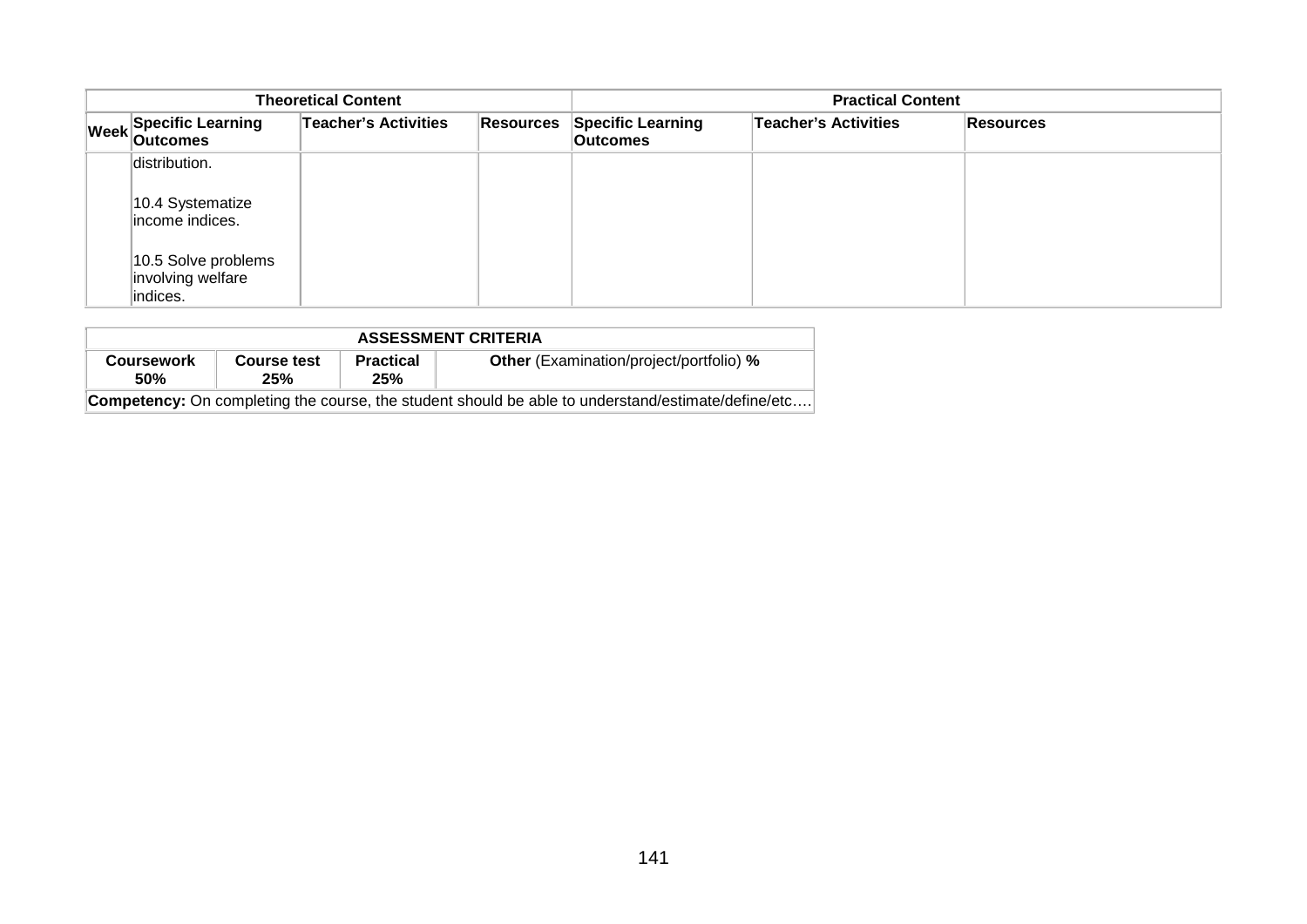| <b>Theoretical Content</b> |                                                                    |  |                                             | <b>Practical Content</b>    |                  |  |  |
|----------------------------|--------------------------------------------------------------------|--|---------------------------------------------|-----------------------------|------------------|--|--|
|                            | <b>Teacher's Activities</b><br>Week Specific Learning<br>Resources |  | <b>Specific Learning</b><br><b>Outcomes</b> | <b>Teacher's Activities</b> | <b>Resources</b> |  |  |
|                            | distribution.<br>10.4 Systematize<br>income indices.               |  |                                             |                             |                  |  |  |
|                            | 10.5 Solve problems<br>involving welfare<br>indices.               |  |                                             |                             |                  |  |  |

| <b>ASSESSMENT CRITERIA</b>                                                                                |                    |                         |                                                |  |  |  |
|-----------------------------------------------------------------------------------------------------------|--------------------|-------------------------|------------------------------------------------|--|--|--|
| <b>Coursework</b><br><b>50%</b>                                                                           | Course test<br>25% | <b>Practical</b><br>25% | <b>Other</b> (Examination/project/portfolio) % |  |  |  |
| <b>Competency:</b> On completing the course, the student should be able to understand/estimate/define/etc |                    |                         |                                                |  |  |  |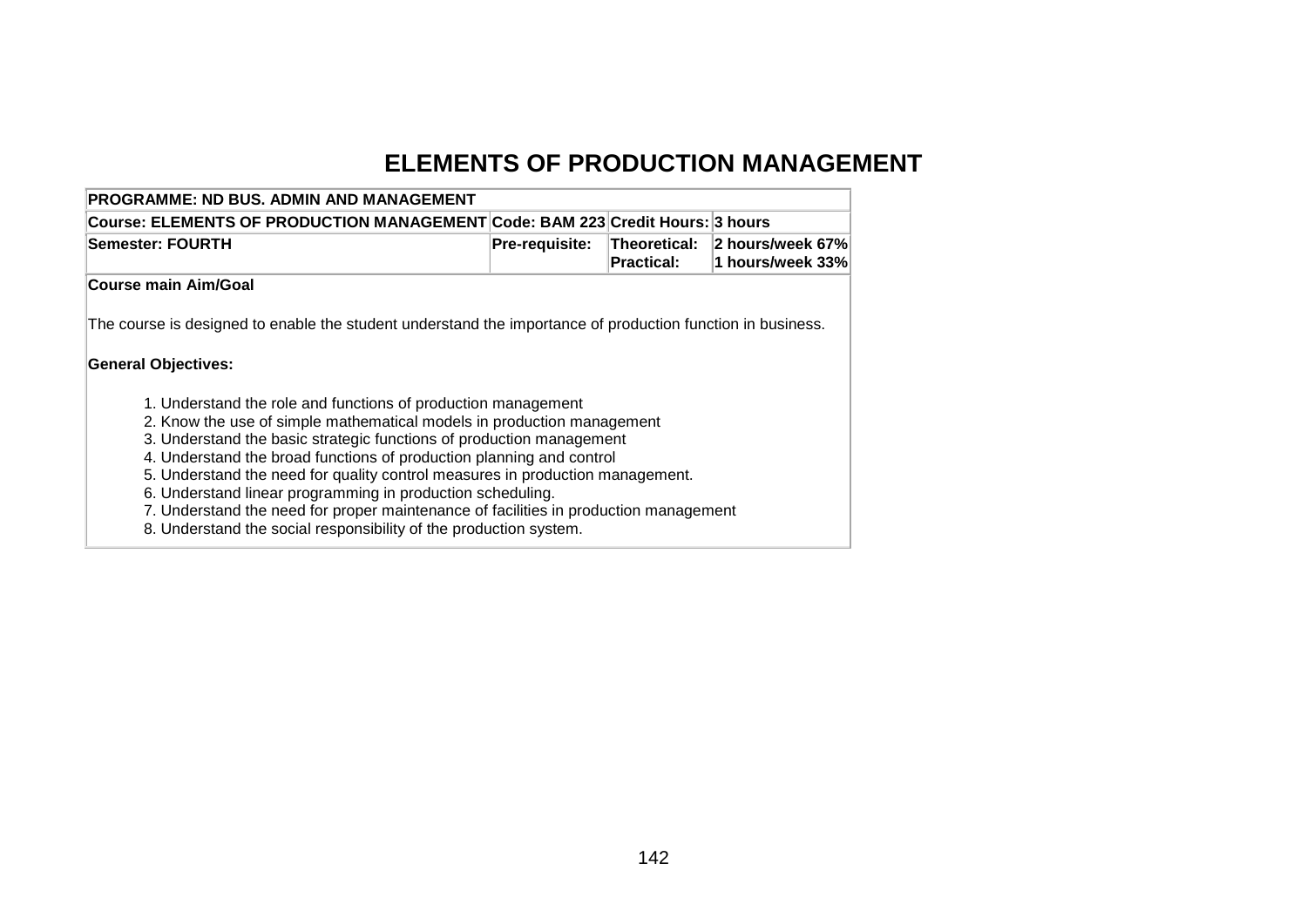## **ELEMENTS OF PRODUCTION MANAGEMENT**

| <b>PROGRAMME: ND BUS. ADMIN AND MANAGEMENT</b>                                                                                               |                       |                                          |                                      |  |  |  |
|----------------------------------------------------------------------------------------------------------------------------------------------|-----------------------|------------------------------------------|--------------------------------------|--|--|--|
| Course: ELEMENTS OF PRODUCTION MANAGEMENT Code: BAM 223 Credit Hours: 3 hours                                                                |                       |                                          |                                      |  |  |  |
| <b>Semester: FOURTH</b>                                                                                                                      | <b>Pre-requisite:</b> | <b>Theoretical:</b><br><b>Practical:</b> | 2 hours/week 67%<br>1 hours/week 33% |  |  |  |
| <b>Course main Aim/Goal</b>                                                                                                                  |                       |                                          |                                      |  |  |  |
| The course is designed to enable the student understand the importance of production function in business.                                   |                       |                                          |                                      |  |  |  |
| <b>General Objectives:</b>                                                                                                                   |                       |                                          |                                      |  |  |  |
| 1. Understand the role and functions of production management                                                                                |                       |                                          |                                      |  |  |  |
| 2. Know the use of simple mathematical models in production management                                                                       |                       |                                          |                                      |  |  |  |
| 3. Understand the basic strategic functions of production management<br>4. Understand the broad functions of production planning and control |                       |                                          |                                      |  |  |  |
| 5. Understand the need for quality control measures in production management.                                                                |                       |                                          |                                      |  |  |  |
| 6. Understand linear programming in production scheduling.                                                                                   |                       |                                          |                                      |  |  |  |
| 7. Understand the need for proper maintenance of facilities in production management                                                         |                       |                                          |                                      |  |  |  |
| 8. Understand the social responsibility of the production system.                                                                            |                       |                                          |                                      |  |  |  |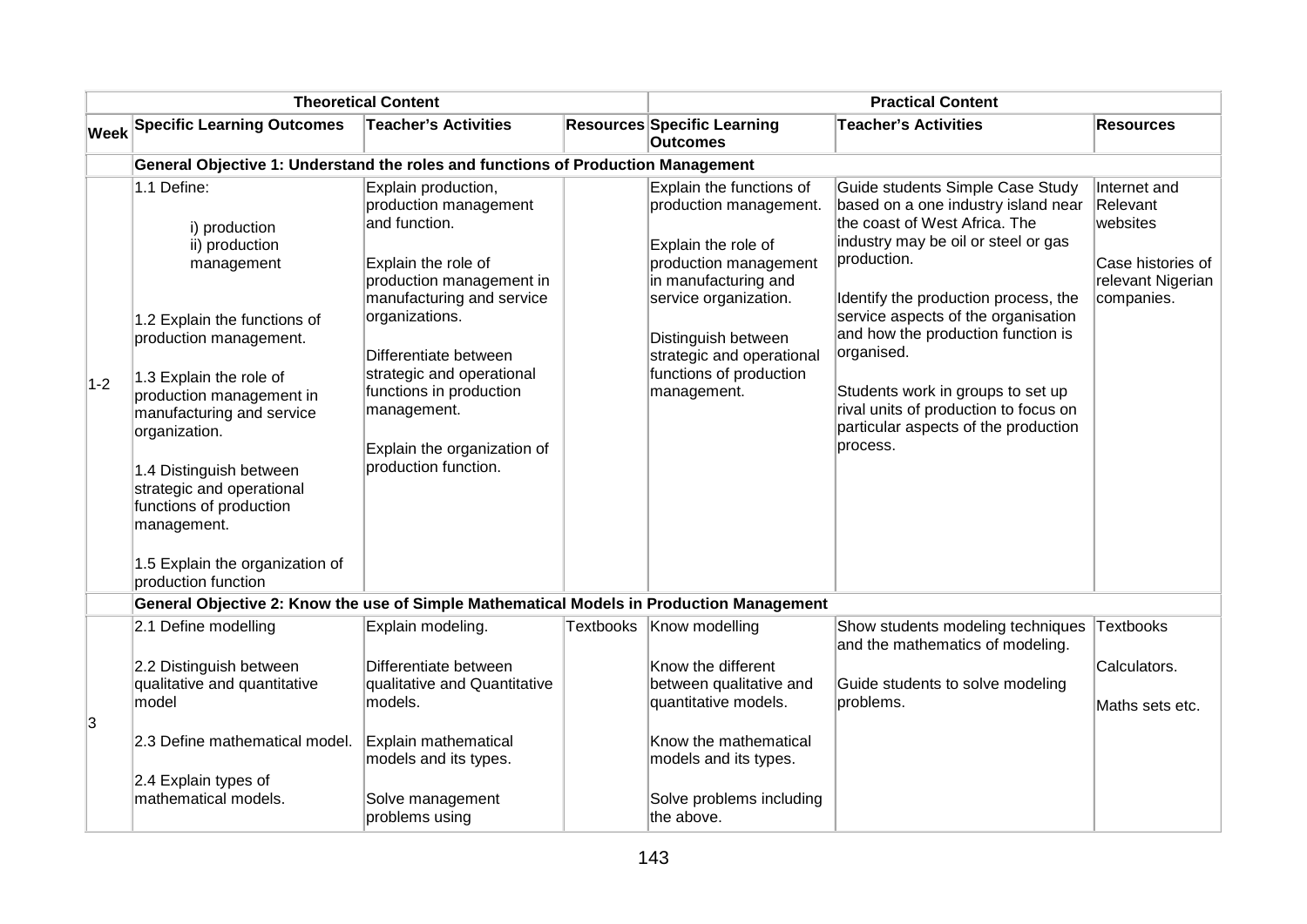| <b>Theoretical Content</b> |                                                                                                                                                                                                                                                                                                                                                                                         |                                                                                                                                                                                                                                                                                                                        | <b>Practical Content</b> |                                                                                                                                                                                                                                                   |                                                                                                                                                                                                                                                                                                                                                                                                                                     |                                                                                              |  |  |
|----------------------------|-----------------------------------------------------------------------------------------------------------------------------------------------------------------------------------------------------------------------------------------------------------------------------------------------------------------------------------------------------------------------------------------|------------------------------------------------------------------------------------------------------------------------------------------------------------------------------------------------------------------------------------------------------------------------------------------------------------------------|--------------------------|---------------------------------------------------------------------------------------------------------------------------------------------------------------------------------------------------------------------------------------------------|-------------------------------------------------------------------------------------------------------------------------------------------------------------------------------------------------------------------------------------------------------------------------------------------------------------------------------------------------------------------------------------------------------------------------------------|----------------------------------------------------------------------------------------------|--|--|
| <b>Week</b>                | <b>Specific Learning Outcomes</b>                                                                                                                                                                                                                                                                                                                                                       | <b>Teacher's Activities</b>                                                                                                                                                                                                                                                                                            |                          | Resources Specific Learning<br><b>Outcomes</b>                                                                                                                                                                                                    | <b>Teacher's Activities</b>                                                                                                                                                                                                                                                                                                                                                                                                         | <b>Resources</b>                                                                             |  |  |
|                            |                                                                                                                                                                                                                                                                                                                                                                                         | General Objective 1: Understand the roles and functions of Production Management                                                                                                                                                                                                                                       |                          |                                                                                                                                                                                                                                                   |                                                                                                                                                                                                                                                                                                                                                                                                                                     |                                                                                              |  |  |
| $1-2$                      | 1.1 Define:<br>i) production<br>ii) production<br>management<br>1.2 Explain the functions of<br>production management.<br>1.3 Explain the role of<br>production management in<br>manufacturing and service<br>organization.<br>1.4 Distinguish between<br>strategic and operational<br>functions of production<br>management.<br>1.5 Explain the organization of<br>production function | Explain production,<br>production management<br>and function.<br>Explain the role of<br>production management in<br>manufacturing and service<br>organizations.<br>Differentiate between<br>strategic and operational<br>functions in production<br>management.<br>Explain the organization of<br>production function. |                          | Explain the functions of<br>production management.<br>Explain the role of<br>production management<br>in manufacturing and<br>service organization.<br>Distinguish between<br>strategic and operational<br>functions of production<br>management. | Guide students Simple Case Study<br>based on a one industry island near<br>the coast of West Africa. The<br>industry may be oil or steel or gas<br>production.<br>Identify the production process, the<br>service aspects of the organisation<br>and how the production function is<br>organised.<br>Students work in groups to set up<br>rival units of production to focus on<br>particular aspects of the production<br>process. | Internet and<br>Relevant<br>websites<br>Case histories of<br>relevant Nigerian<br>companies. |  |  |
|                            | General Objective 2: Know the use of Simple Mathematical Models in Production Management                                                                                                                                                                                                                                                                                                |                                                                                                                                                                                                                                                                                                                        |                          |                                                                                                                                                                                                                                                   |                                                                                                                                                                                                                                                                                                                                                                                                                                     |                                                                                              |  |  |
|                            | 2.1 Define modelling                                                                                                                                                                                                                                                                                                                                                                    | Explain modeling.                                                                                                                                                                                                                                                                                                      | <b>Textbooks</b>         | Know modelling                                                                                                                                                                                                                                    | Show students modeling techniques<br>and the mathematics of modeling.                                                                                                                                                                                                                                                                                                                                                               | <b>Textbooks</b>                                                                             |  |  |
|                            | 2.2 Distinguish between<br>qualitative and quantitative<br>model                                                                                                                                                                                                                                                                                                                        | Differentiate between<br>qualitative and Quantitative<br>models.                                                                                                                                                                                                                                                       |                          | Know the different<br>between qualitative and<br>quantitative models.                                                                                                                                                                             | Guide students to solve modeling<br>problems.                                                                                                                                                                                                                                                                                                                                                                                       | Calculators.<br>Maths sets etc.                                                              |  |  |
| 3                          | 2.3 Define mathematical model.                                                                                                                                                                                                                                                                                                                                                          | Explain mathematical<br>models and its types.                                                                                                                                                                                                                                                                          |                          | Know the mathematical<br>models and its types.                                                                                                                                                                                                    |                                                                                                                                                                                                                                                                                                                                                                                                                                     |                                                                                              |  |  |
|                            | 2.4 Explain types of<br>mathematical models.                                                                                                                                                                                                                                                                                                                                            | Solve management<br>problems using                                                                                                                                                                                                                                                                                     |                          | Solve problems including<br>the above.                                                                                                                                                                                                            |                                                                                                                                                                                                                                                                                                                                                                                                                                     |                                                                                              |  |  |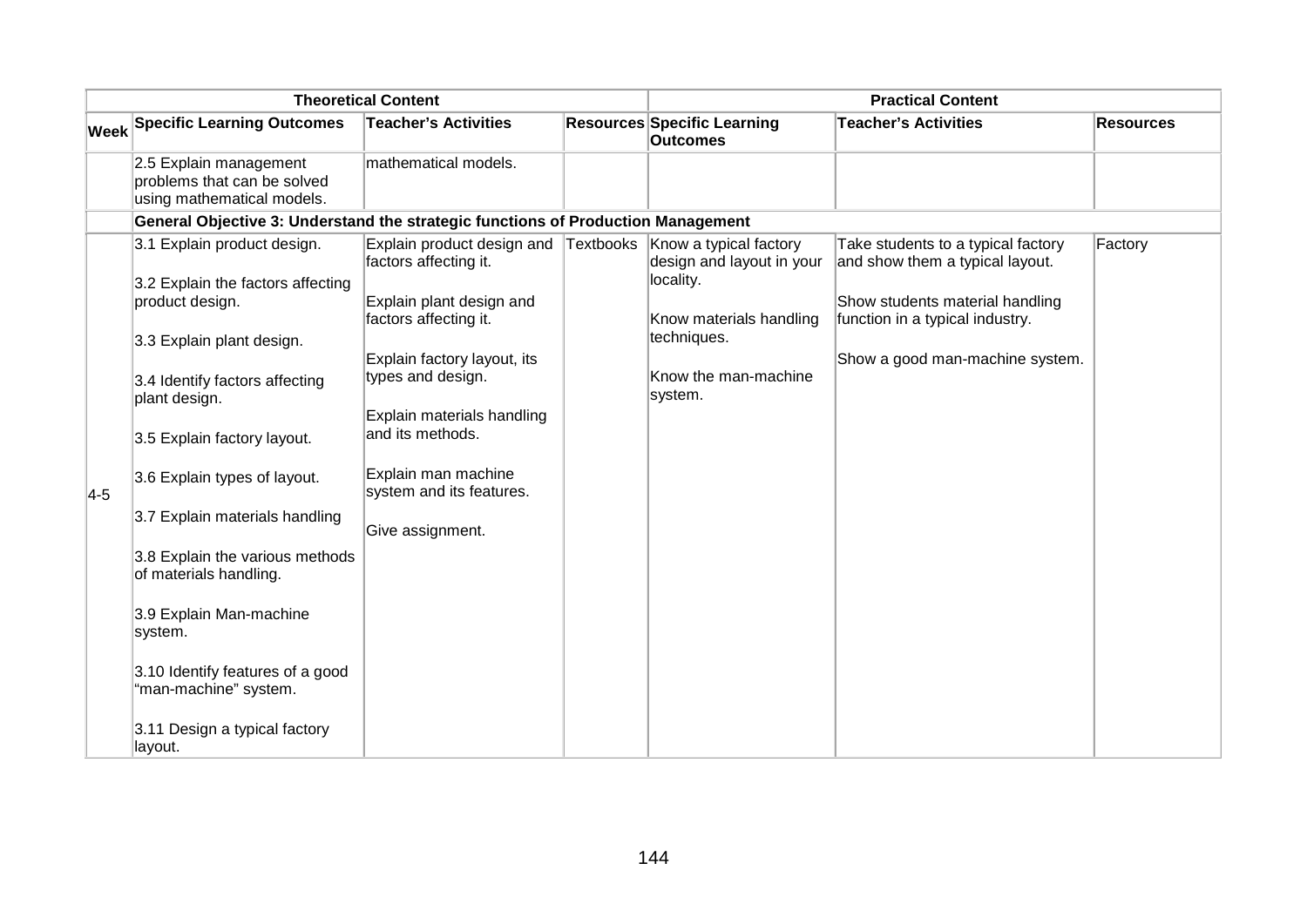| <b>Theoretical Content</b> |                                                                                     |                                                     | <b>Practical Content</b> |                                                                  |                                                                       |                  |
|----------------------------|-------------------------------------------------------------------------------------|-----------------------------------------------------|--------------------------|------------------------------------------------------------------|-----------------------------------------------------------------------|------------------|
| $ \mathsf{Week} $          | <b>Specific Learning Outcomes</b>                                                   | <b>Teacher's Activities</b>                         |                          | <b>Resources Specific Learning</b><br><b>Outcomes</b>            | <b>Teacher's Activities</b>                                           | <b>Resources</b> |
|                            | 2.5 Explain management<br>problems that can be solved<br>using mathematical models. | mathematical models.                                |                          |                                                                  |                                                                       |                  |
|                            | General Objective 3: Understand the strategic functions of Production Management    |                                                     |                          |                                                                  |                                                                       |                  |
|                            | 3.1 Explain product design.                                                         | Explain product design and<br>factors affecting it. | Textbooks                | Know a typical factory<br>design and layout in your<br>locality. | Take students to a typical factory<br>and show them a typical layout. | Factory          |
|                            | 3.2 Explain the factors affecting<br>product design.                                | Explain plant design and<br>factors affecting it.   |                          | Know materials handling                                          | Show students material handling<br>function in a typical industry.    |                  |
|                            | 3.3 Explain plant design.                                                           | Explain factory layout, its                         |                          | techniques.                                                      | Show a good man-machine system.                                       |                  |
|                            | 3.4 Identify factors affecting<br>plant design.                                     | types and design.                                   |                          | Know the man-machine<br>system.                                  |                                                                       |                  |
|                            | 3.5 Explain factory layout.                                                         | Explain materials handling<br>and its methods.      |                          |                                                                  |                                                                       |                  |
| $4-5$                      | 3.6 Explain types of layout.                                                        | Explain man machine<br>system and its features.     |                          |                                                                  |                                                                       |                  |
|                            | 3.7 Explain materials handling                                                      | Give assignment.                                    |                          |                                                                  |                                                                       |                  |
|                            | 3.8 Explain the various methods<br>of materials handling.                           |                                                     |                          |                                                                  |                                                                       |                  |
|                            | 3.9 Explain Man-machine<br>system.                                                  |                                                     |                          |                                                                  |                                                                       |                  |
|                            | 3.10 Identify features of a good<br>"man-machine" system.                           |                                                     |                          |                                                                  |                                                                       |                  |
|                            | 3.11 Design a typical factory<br>layout.                                            |                                                     |                          |                                                                  |                                                                       |                  |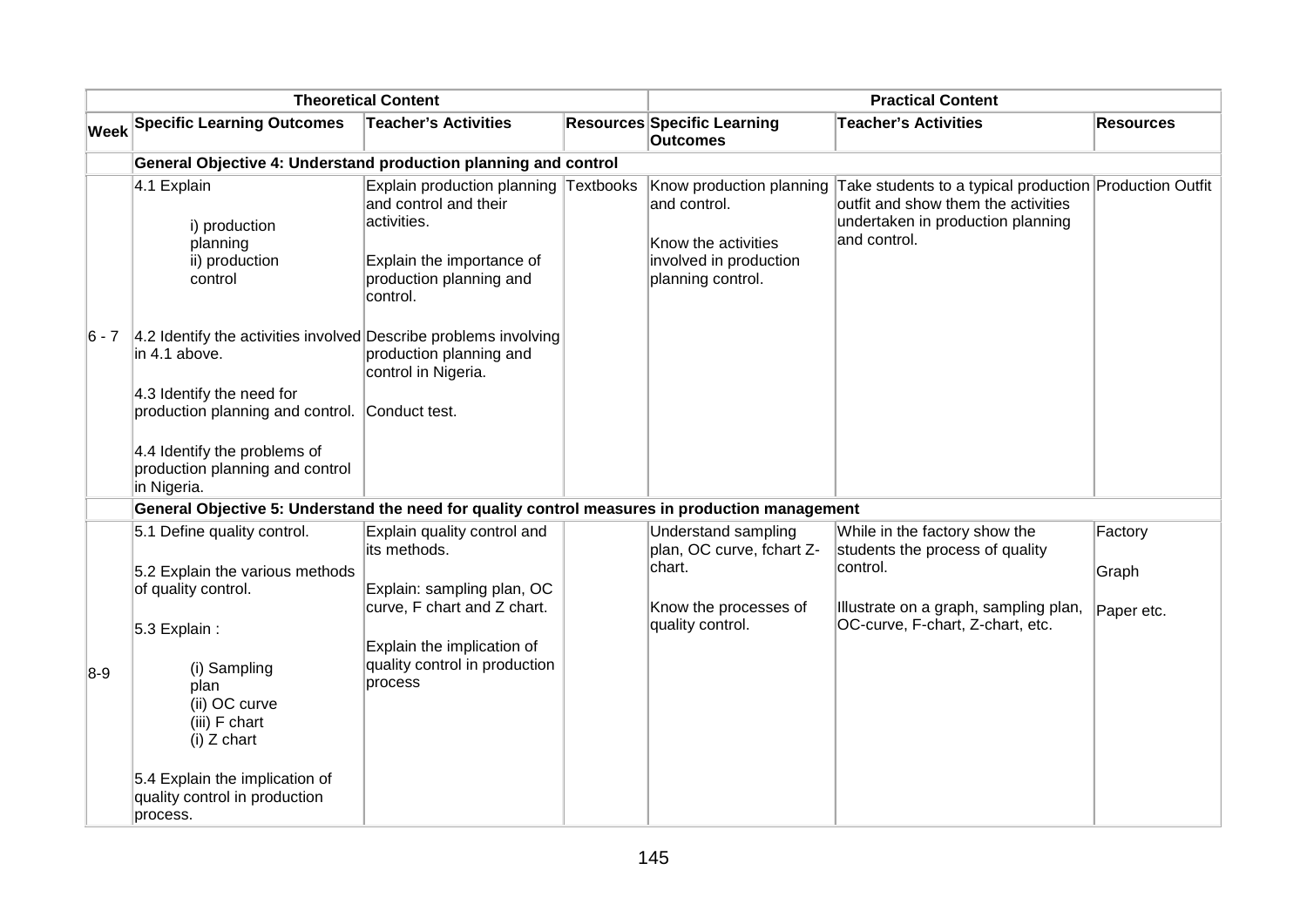| <b>Theoretical Content</b> |                                                                                                                                                                                                                                      | <b>Practical Content</b>                                                                                                                                                           |  |                                                                                                                |                                                                                                                                                           |                                |  |  |
|----------------------------|--------------------------------------------------------------------------------------------------------------------------------------------------------------------------------------------------------------------------------------|------------------------------------------------------------------------------------------------------------------------------------------------------------------------------------|--|----------------------------------------------------------------------------------------------------------------|-----------------------------------------------------------------------------------------------------------------------------------------------------------|--------------------------------|--|--|
| Week                       | <b>Specific Learning Outcomes</b>                                                                                                                                                                                                    | <b>Teacher's Activities</b>                                                                                                                                                        |  | <b>Resources Specific Learning</b><br><b>Outcomes</b>                                                          | <b>Teacher's Activities</b>                                                                                                                               | <b>Resources</b>               |  |  |
|                            | General Objective 4: Understand production planning and control                                                                                                                                                                      |                                                                                                                                                                                    |  |                                                                                                                |                                                                                                                                                           |                                |  |  |
|                            | 4.1 Explain<br>i) production<br>planning<br>ii) production<br>control                                                                                                                                                                | Explain production planning Textbooks<br>and control and their<br>activities.<br>Explain the importance of<br>production planning and<br>control.                                  |  | Know production planning<br>and control.<br>Know the activities<br>involved in production<br>planning control. | Take students to a typical production Production Outfit<br>outfit and show them the activities<br>undertaken in production planning<br>and control.       |                                |  |  |
| 6 - 7                      | 4.2 Identify the activities involved Describe problems involving<br>in 4.1 above.<br>4.3 Identify the need for<br>production planning and control.<br>4.4 Identify the problems of<br>production planning and control<br>in Nigeria. | production planning and<br>control in Nigeria.<br>Conduct test.                                                                                                                    |  |                                                                                                                |                                                                                                                                                           |                                |  |  |
|                            | General Objective 5: Understand the need for quality control measures in production management                                                                                                                                       |                                                                                                                                                                                    |  |                                                                                                                |                                                                                                                                                           |                                |  |  |
| $8-9$                      | 5.1 Define quality control.<br>5.2 Explain the various methods<br>of quality control.<br>5.3 Explain:<br>(i) Sampling<br>plan<br>(ii) OC curve<br>(iii) F chart<br>$(i)$ Z chart<br>5.4 Explain the implication of                   | Explain quality control and<br>its methods.<br>Explain: sampling plan, OC<br>curve, F chart and Z chart.<br>Explain the implication of<br>quality control in production<br>process |  | Understand sampling<br>plan, OC curve, fchart Z-<br>chart.<br>Know the processes of<br>quality control.        | While in the factory show the<br>students the process of quality<br>control.<br>Illustrate on a graph, sampling plan,<br>OC-curve, F-chart, Z-chart, etc. | Factory<br>Graph<br>Paper etc. |  |  |
|                            | quality control in production<br>process.                                                                                                                                                                                            |                                                                                                                                                                                    |  |                                                                                                                |                                                                                                                                                           |                                |  |  |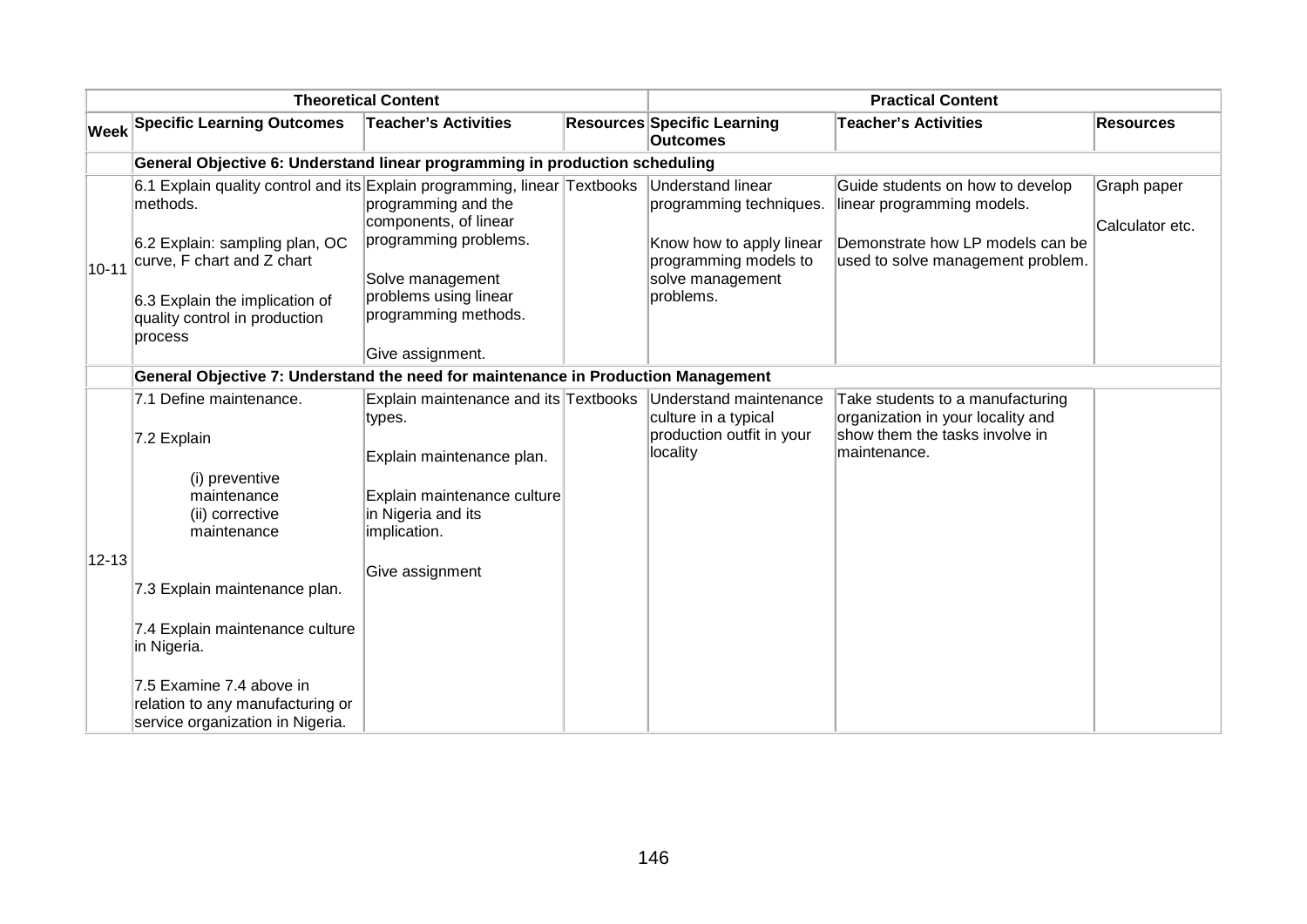| <b>Theoretical Content</b> |                                                                                                                                                       | <b>Practical Content</b>                                                              |  |                                                                                                          |                                                                                                                                         |                                |
|----------------------------|-------------------------------------------------------------------------------------------------------------------------------------------------------|---------------------------------------------------------------------------------------|--|----------------------------------------------------------------------------------------------------------|-----------------------------------------------------------------------------------------------------------------------------------------|--------------------------------|
| Week                       | <b>Specific Learning Outcomes</b>                                                                                                                     | <b>Teacher's Activities</b>                                                           |  | <b>Resources Specific Learning</b><br><b>Outcomes</b>                                                    | <b>Teacher's Activities</b>                                                                                                             | <b>Resources</b>               |
|                            | General Objective 6: Understand linear programming in production scheduling                                                                           |                                                                                       |  |                                                                                                          |                                                                                                                                         |                                |
| $10 - 11$                  | 6.1 Explain quality control and its Explain programming, linear Textbooks<br>methods.<br>6.2 Explain: sampling plan, OC<br>curve, F chart and Z chart | programming and the<br>components, of linear<br>programming problems.                 |  | <b>Understand linear</b><br>programming techniques.<br>Know how to apply linear<br>programming models to | Guide students on how to develop<br>linear programming models.<br>Demonstrate how LP models can be<br>used to solve management problem. | Graph paper<br>Calculator etc. |
|                            | 6.3 Explain the implication of<br>quality control in production<br>process                                                                            | Solve management<br>problems using linear<br>programming methods.<br>Give assignment. |  | solve management<br>problems.                                                                            |                                                                                                                                         |                                |
|                            | General Objective 7: Understand the need for maintenance in Production Management                                                                     |                                                                                       |  |                                                                                                          |                                                                                                                                         |                                |
|                            | 7.1 Define maintenance.<br>7.2 Explain                                                                                                                | Explain maintenance and its Textbooks<br>types.<br>Explain maintenance plan.          |  | Understand maintenance<br>culture in a typical<br>production outfit in your<br>locality                  | Take students to a manufacturing<br>organization in your locality and<br>show them the tasks involve in<br>maintenance.                 |                                |
|                            | (i) preventive<br>maintenance<br>(ii) corrective<br>maintenance                                                                                       | Explain maintenance culture<br>in Nigeria and its<br>implication.                     |  |                                                                                                          |                                                                                                                                         |                                |
| $12 - 13$                  | 7.3 Explain maintenance plan.<br>7.4 Explain maintenance culture<br>in Nigeria.                                                                       | Give assignment                                                                       |  |                                                                                                          |                                                                                                                                         |                                |
|                            | 7.5 Examine 7.4 above in<br>relation to any manufacturing or<br>service organization in Nigeria.                                                      |                                                                                       |  |                                                                                                          |                                                                                                                                         |                                |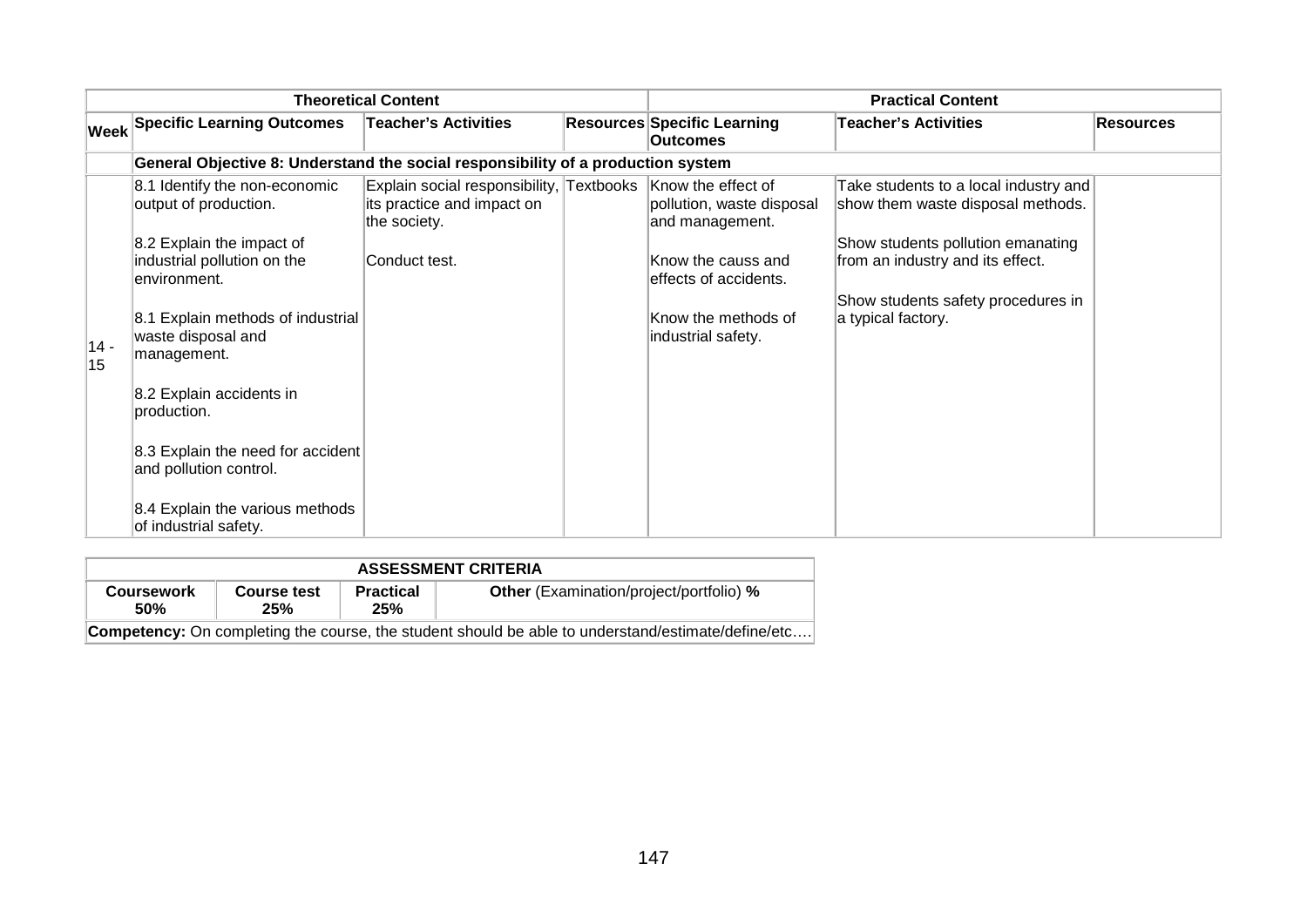| <b>Theoretical Content</b> |                                                                                                                                                                                                                                                                                                                        |                                                                                                                            | <b>Practical Content</b> |                                                                                                                                           |                                                                                                                                                                                                                 |                  |
|----------------------------|------------------------------------------------------------------------------------------------------------------------------------------------------------------------------------------------------------------------------------------------------------------------------------------------------------------------|----------------------------------------------------------------------------------------------------------------------------|--------------------------|-------------------------------------------------------------------------------------------------------------------------------------------|-----------------------------------------------------------------------------------------------------------------------------------------------------------------------------------------------------------------|------------------|
|                            | <b>Week Specific Learning Outcomes</b>                                                                                                                                                                                                                                                                                 | <b>Teacher's Activities</b>                                                                                                |                          | <b>Resources Specific Learning</b><br><b>Outcomes</b>                                                                                     | <b>Teacher's Activities</b>                                                                                                                                                                                     | <b>Resources</b> |
|                            | General Objective 8: Understand the social responsibility of a production system                                                                                                                                                                                                                                       |                                                                                                                            |                          |                                                                                                                                           |                                                                                                                                                                                                                 |                  |
| $ 14 -$<br>15              | 8.1 Identify the non-economic<br>output of production.<br>8.2 Explain the impact of<br>industrial pollution on the<br>environment.<br>8.1 Explain methods of industrial<br>waste disposal and<br>management.<br>8.2 Explain accidents in<br>production.<br>8.3 Explain the need for accident<br>and pollution control. | Explain social responsibility, Textbooks Know the effect of<br>its practice and impact on<br>the society.<br>Conduct test. |                          | pollution, waste disposal<br>and management.<br>Know the causs and<br>leffects of accidents.<br>Know the methods of<br>industrial safety. | Take students to a local industry and<br>show them waste disposal methods.<br>Show students pollution emanating<br>from an industry and its effect.<br>Show students safety procedures in<br>a typical factory. |                  |
|                            | 8.4 Explain the various methods<br>of industrial safety.                                                                                                                                                                                                                                                               |                                                                                                                            |                          |                                                                                                                                           |                                                                                                                                                                                                                 |                  |

| <b>ASSESSMENT CRITERIA</b>                                                                                |                    |                         |                                                |  |  |  |  |
|-----------------------------------------------------------------------------------------------------------|--------------------|-------------------------|------------------------------------------------|--|--|--|--|
| <b>Coursework</b><br>50%                                                                                  | Course test<br>25% | <b>Practical</b><br>25% | <b>Other</b> (Examination/project/portfolio) % |  |  |  |  |
| <b>Competency:</b> On completing the course, the student should be able to understand/estimate/define/etc |                    |                         |                                                |  |  |  |  |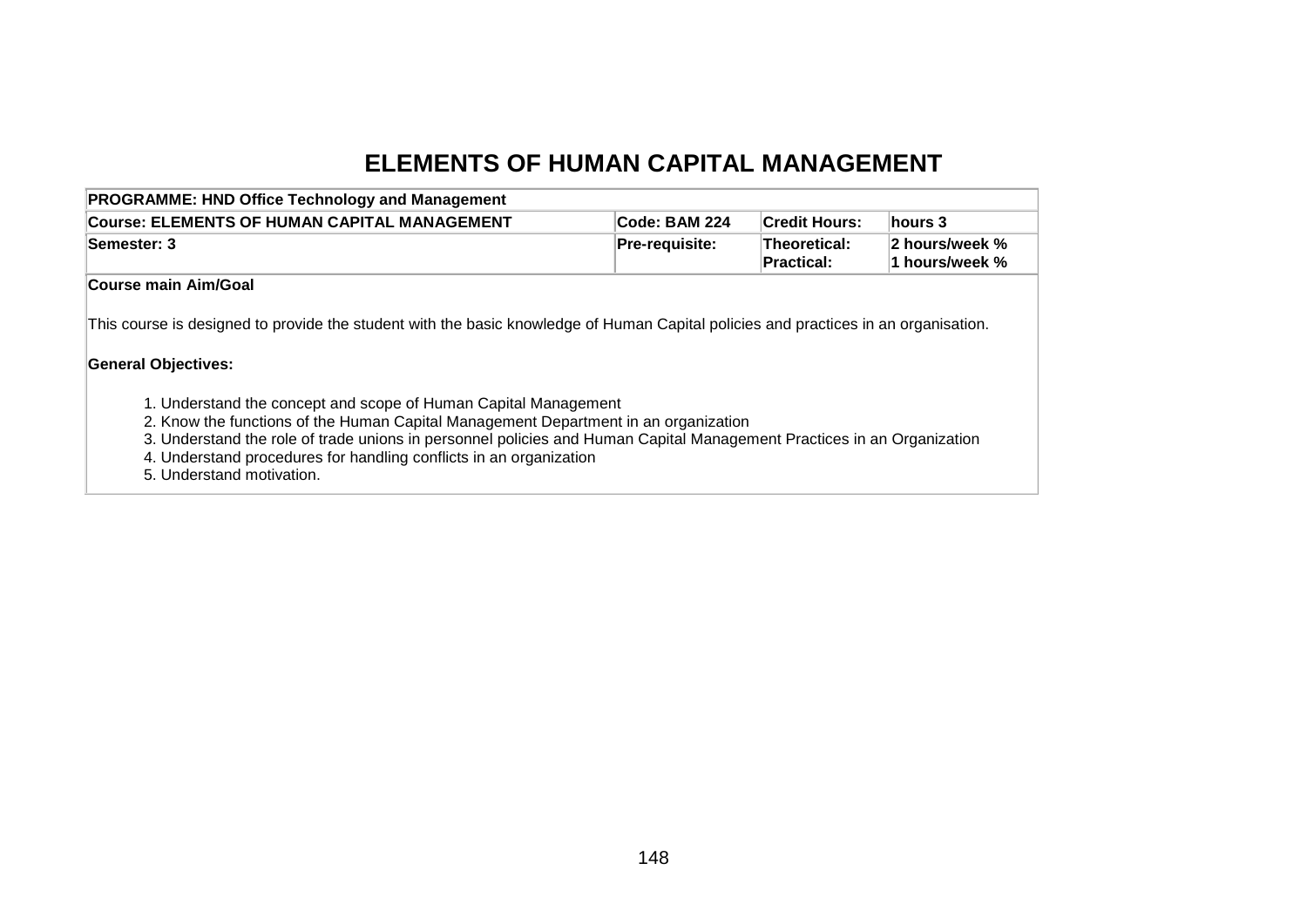## **ELEMENTS OF HUMAN CAPITAL MANAGEMENT**

| <b>PROGRAMME: HND Office Technology and Management</b>                                                                              |                      |                            |                                  |
|-------------------------------------------------------------------------------------------------------------------------------------|----------------------|----------------------------|----------------------------------|
| Course: ELEMENTS OF HUMAN CAPITAL MANAGEMENT                                                                                        | <b>Code: BAM 224</b> | <b>Credit Hours:</b>       | ∣hours 3                         |
| Semester: 3                                                                                                                         | Pre-requisite:       | Theoretical:<br>Practical: | 2 hours/week %<br>1 hours/week % |
| Course main Aim/Goal                                                                                                                |                      |                            |                                  |
| This course is designed to provide the student with the basic knowledge of Human Capital policies and practices in an organisation. |                      |                            |                                  |
| <b>General Objectives:</b>                                                                                                          |                      |                            |                                  |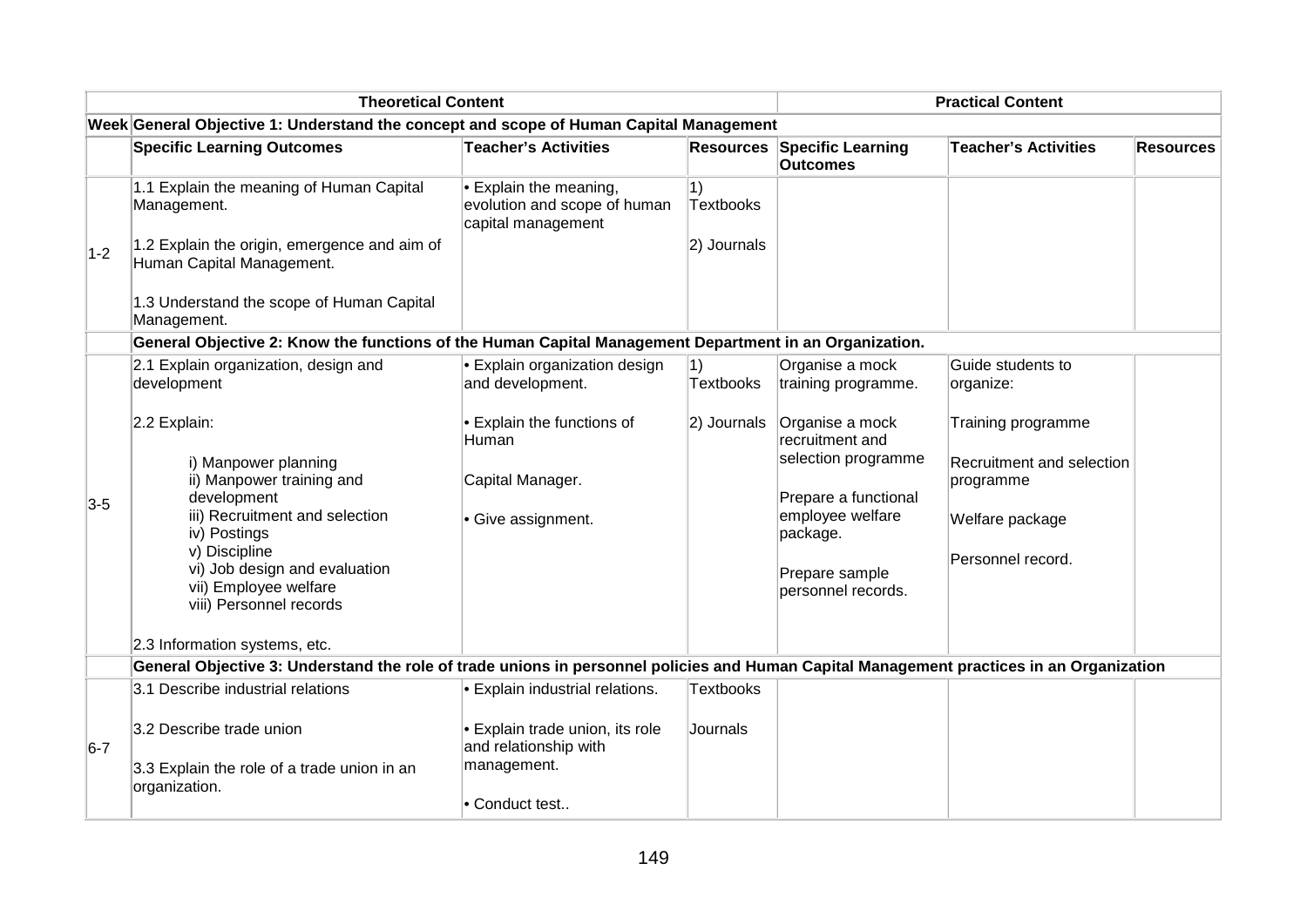|       | <b>Theoretical Content</b>                                                                                                               | <b>Practical Content</b>                                                             |                                 |                                                       |                                               |                  |
|-------|------------------------------------------------------------------------------------------------------------------------------------------|--------------------------------------------------------------------------------------|---------------------------------|-------------------------------------------------------|-----------------------------------------------|------------------|
|       | Week General Objective 1: Understand the concept and scope of Human Capital Management                                                   |                                                                                      |                                 |                                                       |                                               |                  |
|       | <b>Specific Learning Outcomes</b>                                                                                                        | <b>Teacher's Activities</b>                                                          |                                 | <b>Resources Specific Learning</b><br><b>Outcomes</b> | <b>Teacher's Activities</b>                   | <b>Resources</b> |
|       | 1.1 Explain the meaning of Human Capital<br>Management.                                                                                  | $\bullet$ Explain the meaning,<br>evolution and scope of human<br>capital management | $ 1\rangle$<br><b>Textbooks</b> |                                                       |                                               |                  |
| $1-2$ | 1.2 Explain the origin, emergence and aim of<br>Human Capital Management.                                                                |                                                                                      | 2) Journals                     |                                                       |                                               |                  |
|       | 1.3 Understand the scope of Human Capital<br>Management.                                                                                 |                                                                                      |                                 |                                                       |                                               |                  |
|       | General Objective 2: Know the functions of the Human Capital Management Department in an Organization.                                   |                                                                                      |                                 |                                                       |                                               |                  |
|       | 2.1 Explain organization, design and<br>development                                                                                      | <b>Explain organization design</b><br>and development.                               | 1)<br><b>Textbooks</b>          | Organise a mock<br>training programme.                | Guide students to<br>organize:                |                  |
|       | 2.2 Explain:                                                                                                                             | Explain the functions of<br>Human                                                    | 2) Journals                     | Organise a mock<br>recruitment and                    | Training programme                            |                  |
|       | i) Manpower planning<br>ii) Manpower training and                                                                                        | Capital Manager.                                                                     |                                 | selection programme                                   | <b>Recruitment and selection</b><br>programme |                  |
| $3-5$ | development<br>iii) Recruitment and selection<br>iv) Postings                                                                            | Give assignment.                                                                     |                                 | Prepare a functional<br>employee welfare<br>package.  | Welfare package                               |                  |
|       | v) Discipline<br>vi) Job design and evaluation<br>vii) Employee welfare<br>viii) Personnel records                                       |                                                                                      |                                 | Prepare sample<br>personnel records.                  | Personnel record.                             |                  |
|       | 2.3 Information systems, etc.                                                                                                            |                                                                                      |                                 |                                                       |                                               |                  |
|       | General Objective 3: Understand the role of trade unions in personnel policies and Human Capital Management practices in an Organization |                                                                                      |                                 |                                                       |                                               |                  |
|       | 3.1 Describe industrial relations                                                                                                        | <b>Explain industrial relations.</b>                                                 | <b>Textbooks</b>                |                                                       |                                               |                  |
| $6-7$ | 3.2 Describe trade union                                                                                                                 | <b>Explain trade union, its role</b><br>and relationship with                        | Journals                        |                                                       |                                               |                  |
|       | 3.3 Explain the role of a trade union in an<br>organization.                                                                             | management.                                                                          |                                 |                                                       |                                               |                  |
|       |                                                                                                                                          | Conduct test                                                                         |                                 |                                                       |                                               |                  |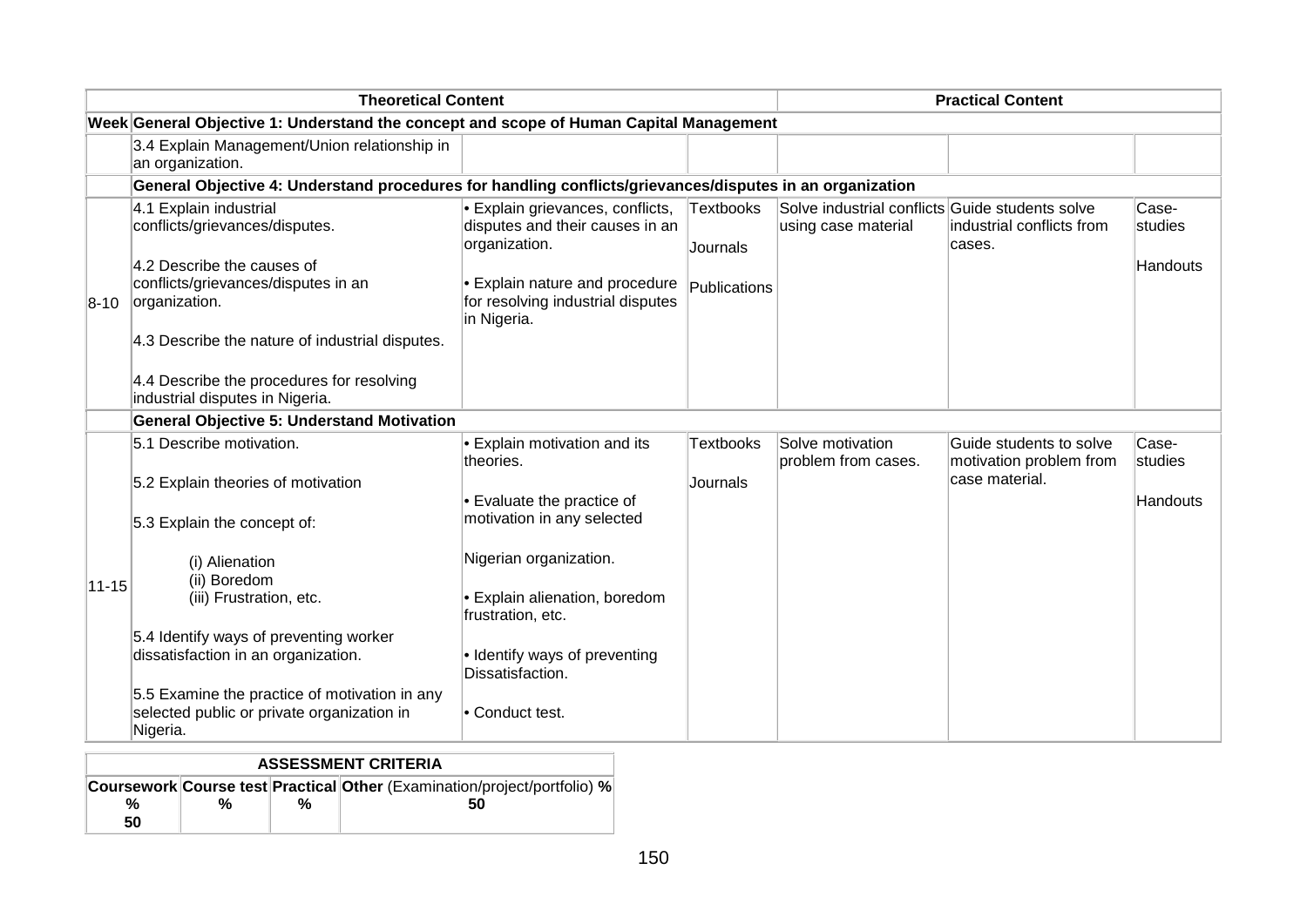|             | <b>Theoretical Content</b>                                                                                                                                                                        |                                                                                                                                                                                      |                                              |                                                                        | <b>Practical Content</b>                                             |                                     |
|-------------|---------------------------------------------------------------------------------------------------------------------------------------------------------------------------------------------------|--------------------------------------------------------------------------------------------------------------------------------------------------------------------------------------|----------------------------------------------|------------------------------------------------------------------------|----------------------------------------------------------------------|-------------------------------------|
|             | Week General Objective 1: Understand the concept and scope of Human Capital Management                                                                                                            |                                                                                                                                                                                      |                                              |                                                                        |                                                                      |                                     |
|             | 3.4 Explain Management/Union relationship in<br>an organization.                                                                                                                                  |                                                                                                                                                                                      |                                              |                                                                        |                                                                      |                                     |
|             | General Objective 4: Understand procedures for handling conflicts/grievances/disputes in an organization                                                                                          |                                                                                                                                                                                      |                                              |                                                                        |                                                                      |                                     |
| $8-10$      | 4.1 Explain industrial<br>conflicts/grievances/disputes.<br>4.2 Describe the causes of<br>conflicts/grievances/disputes in an<br>organization.<br>4.3 Describe the nature of industrial disputes. | <b>Explain grievances, conflicts,</b><br>disputes and their causes in an<br>organization.<br><b>Explain nature and procedure</b><br>for resolving industrial disputes<br>in Nigeria. | <b>Textbooks</b><br>Journals<br>Publications | Solve industrial conflicts Guide students solve<br>using case material | lindustrial conflicts from<br>cases.                                 | Case-<br>studies<br>Handouts        |
|             | 4.4 Describe the procedures for resolving<br>industrial disputes in Nigeria.                                                                                                                      |                                                                                                                                                                                      |                                              |                                                                        |                                                                      |                                     |
|             | <b>General Objective 5: Understand Motivation</b>                                                                                                                                                 |                                                                                                                                                                                      |                                              |                                                                        |                                                                      |                                     |
|             | 5.1 Describe motivation.<br>5.2 Explain theories of motivation                                                                                                                                    | Explain motivation and its<br>theories.<br>$\cdot$ Evaluate the practice of                                                                                                          | <b>Textbooks</b><br>Journals                 | Solve motivation<br>problem from cases.                                | Guide students to solve<br>motivation problem from<br>case material. | Case-<br>studies<br><b>Handouts</b> |
|             | 5.3 Explain the concept of:                                                                                                                                                                       | motivation in any selected                                                                                                                                                           |                                              |                                                                        |                                                                      |                                     |
| $ 11 - 15 $ | (i) Alienation<br>(ii) Boredom<br>(iii) Frustration, etc.<br>5.4 Identify ways of preventing worker<br>dissatisfaction in an organization.<br>5.5 Examine the practice of motivation in any       | Nigerian organization.<br><b>Explain alienation, boredom</b><br>frustration, etc.<br>· Identify ways of preventing<br>Dissatisfaction.                                               |                                              |                                                                        |                                                                      |                                     |
|             | selected public or private organization in<br>Nigeria.                                                                                                                                            | • Conduct test.                                                                                                                                                                      |                                              |                                                                        |                                                                      |                                     |

| <b>ASSESSMENT CRITERIA</b> |   |   |                                                                                |  |  |  |  |  |
|----------------------------|---|---|--------------------------------------------------------------------------------|--|--|--|--|--|
| %<br>50                    | % | % | Coursework Course test Practical Other (Examination/project/portfolio) %<br>50 |  |  |  |  |  |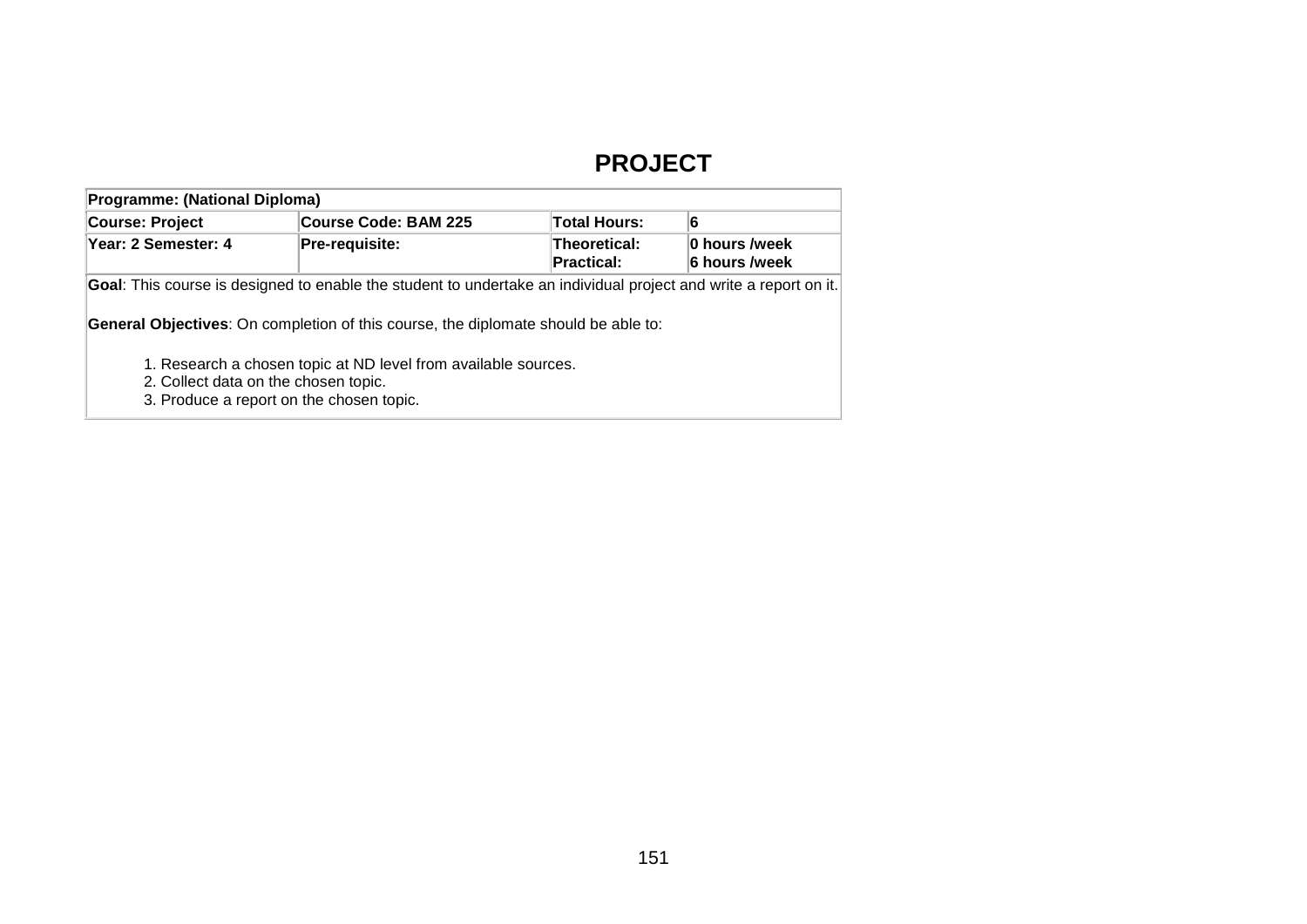## **PROJECT**

| <b>Programme: (National Diploma)</b>                                                                                                               |                                                                                                                                                                                                               |                                          |                                |  |  |  |  |  |
|----------------------------------------------------------------------------------------------------------------------------------------------------|---------------------------------------------------------------------------------------------------------------------------------------------------------------------------------------------------------------|------------------------------------------|--------------------------------|--|--|--|--|--|
| Course: Project                                                                                                                                    | Course Code: BAM 225                                                                                                                                                                                          | <b>Total Hours:</b>                      | 6                              |  |  |  |  |  |
| Year: 2 Semester: 4                                                                                                                                | Pre-requisite:                                                                                                                                                                                                | <b>Theoretical:</b><br><b>Practical:</b> | 0 hours /week<br>6 hours /week |  |  |  |  |  |
|                                                                                                                                                    | Goal: This course is designed to enable the student to undertake an individual project and write a report on it.<br><b>General Objectives:</b> On completion of this course, the diplomate should be able to: |                                          |                                |  |  |  |  |  |
| 1. Research a chosen topic at ND level from available sources.<br>2. Collect data on the chosen topic.<br>3. Produce a report on the chosen topic. |                                                                                                                                                                                                               |                                          |                                |  |  |  |  |  |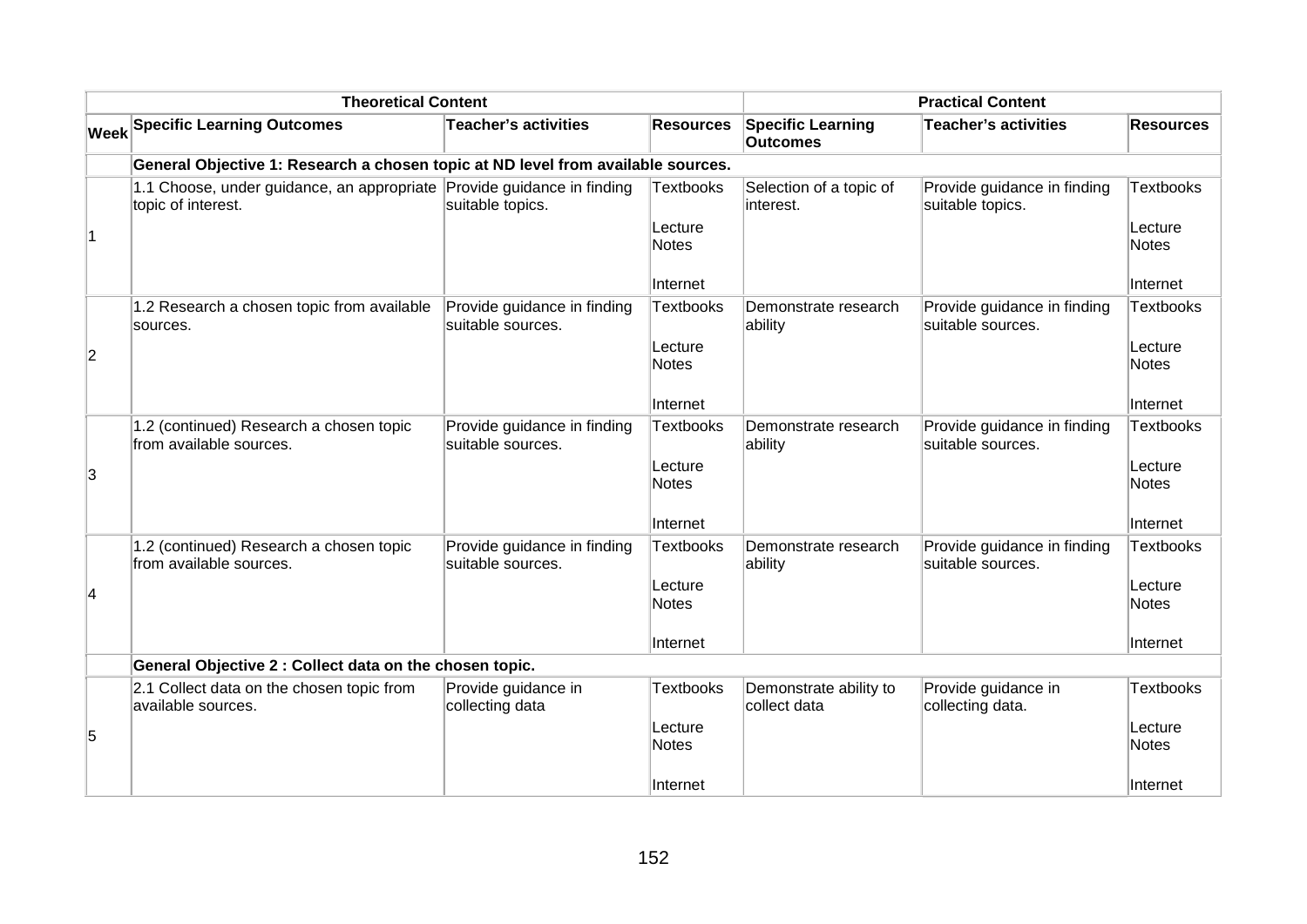| <b>Theoretical Content</b> |                                                                                              |                                                  |                         | <b>Practical Content</b>                    |                                                  |                         |  |
|----------------------------|----------------------------------------------------------------------------------------------|--------------------------------------------------|-------------------------|---------------------------------------------|--------------------------------------------------|-------------------------|--|
|                            | <b>Week Specific Learning Outcomes</b>                                                       | <b>Teacher's activities</b>                      | <b>Resources</b>        | <b>Specific Learning</b><br><b>Outcomes</b> | Teacher's activities                             | <b>Resources</b>        |  |
|                            | General Objective 1: Research a chosen topic at ND level from available sources.             |                                                  |                         |                                             |                                                  |                         |  |
|                            | 1.1 Choose, under guidance, an appropriate Provide guidance in finding<br>topic of interest. | suitable topics.                                 | <b>Textbooks</b>        | Selection of a topic of<br>interest.        | Provide guidance in finding<br>suitable topics.  | <b>Textbooks</b>        |  |
| $\overline{1}$             |                                                                                              |                                                  | Lecture<br><b>Notes</b> |                                             |                                                  | Lecture<br><b>Notes</b> |  |
|                            |                                                                                              |                                                  | Internet                |                                             |                                                  | Internet                |  |
|                            | 1.2 Research a chosen topic from available<br>sources.                                       | Provide guidance in finding<br>suitable sources. | <b>Textbooks</b>        | Demonstrate research<br>ability             | Provide guidance in finding<br>suitable sources. | <b>Textbooks</b>        |  |
| $\overline{c}$             |                                                                                              |                                                  | Lecture<br><b>Notes</b> |                                             |                                                  | Lecture<br>Notes        |  |
|                            |                                                                                              |                                                  | Internet                |                                             |                                                  | Internet                |  |
|                            | 1.2 (continued) Research a chosen topic<br>from available sources.                           | Provide guidance in finding<br>suitable sources. | <b>Textbooks</b>        | Demonstrate research<br>ability             | Provide guidance in finding<br>suitable sources. | Textbooks               |  |
| 3                          |                                                                                              |                                                  | Lecture<br><b>Notes</b> |                                             |                                                  | Lecture<br>Notes        |  |
|                            |                                                                                              |                                                  | Internet                |                                             |                                                  | Internet                |  |
|                            | 1.2 (continued) Research a chosen topic<br>from available sources.                           | Provide guidance in finding<br>suitable sources. | <b>Textbooks</b>        | Demonstrate research<br>ability             | Provide guidance in finding<br>suitable sources. | <b>Textbooks</b>        |  |
| $\overline{\mathbf{4}}$    |                                                                                              |                                                  | Lecture<br><b>Notes</b> |                                             |                                                  | Lecture<br>Notes        |  |
|                            |                                                                                              |                                                  | ∣Internet               |                                             |                                                  | ∣Internet               |  |
|                            | General Objective 2 : Collect data on the chosen topic.                                      |                                                  |                         |                                             |                                                  |                         |  |
|                            | 2.1 Collect data on the chosen topic from<br>available sources.                              | Provide guidance in<br>collecting data           | <b>Textbooks</b>        | Demonstrate ability to<br>collect data      | Provide guidance in<br>collecting data.          | Textbooks               |  |
| 5                          |                                                                                              |                                                  | Lecture<br>Notes        |                                             |                                                  | Lecture<br>Notes        |  |
|                            |                                                                                              |                                                  | Internet                |                                             |                                                  | Internet                |  |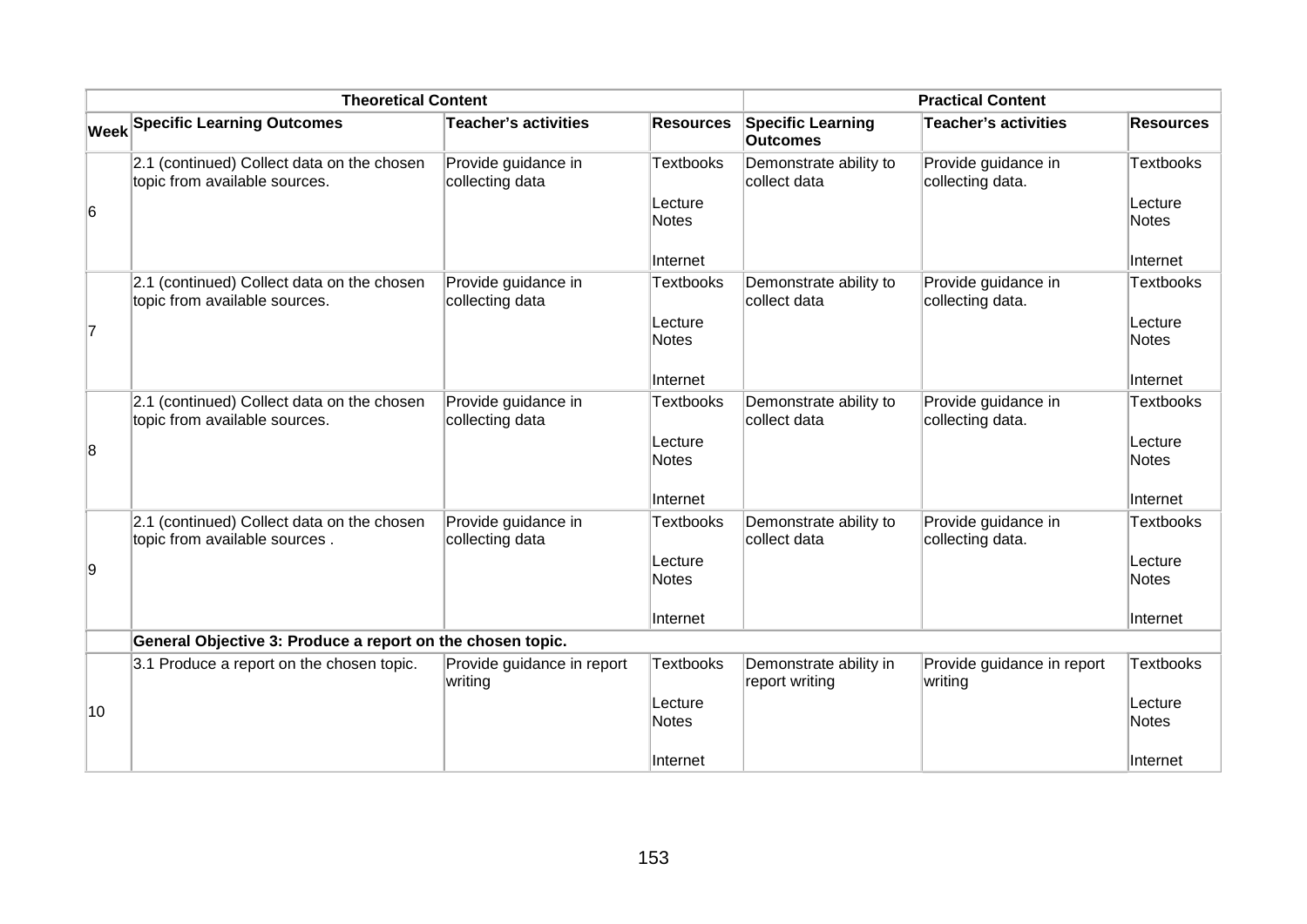|    | <b>Theoretical Content</b>                                                  | <b>Practical Content</b>               |                  |                                             |                                         |                         |
|----|-----------------------------------------------------------------------------|----------------------------------------|------------------|---------------------------------------------|-----------------------------------------|-------------------------|
|    | <b>Week Specific Learning Outcomes</b>                                      | <b>Teacher's activities</b>            | <b>Resources</b> | <b>Specific Learning</b><br><b>Outcomes</b> | <b>Teacher's activities</b>             | <b>Resources</b>        |
|    | 2.1 (continued) Collect data on the chosen<br>topic from available sources. | Provide guidance in<br>collecting data | <b>Textbooks</b> | Demonstrate ability to<br>collect data      | Provide guidance in<br>collecting data. | Textbooks               |
| 6  |                                                                             |                                        | Lecture<br>Notes |                                             |                                         | Lecture<br><b>Notes</b> |
|    |                                                                             |                                        | Internet         |                                             |                                         | Internet                |
|    | 2.1 (continued) Collect data on the chosen<br>topic from available sources. | Provide guidance in<br>collecting data | <b>Textbooks</b> | Demonstrate ability to<br>collect data      | Provide guidance in<br>collecting data. | Textbooks               |
| 17 |                                                                             |                                        | Lecture<br>Notes |                                             |                                         | Lecture<br><b>Notes</b> |
|    |                                                                             |                                        | Internet         |                                             |                                         | Internet                |
|    | 2.1 (continued) Collect data on the chosen<br>topic from available sources. | Provide guidance in<br>collecting data | <b>Textbooks</b> | Demonstrate ability to<br>collect data      | Provide guidance in<br>collecting data. | Textbooks               |
| 8  |                                                                             |                                        | Lecture<br>Notes |                                             |                                         | Lecture<br><b>Notes</b> |
|    |                                                                             |                                        | Internet         |                                             |                                         | Internet                |
|    | 2.1 (continued) Collect data on the chosen<br>topic from available sources. | Provide guidance in<br>collecting data | Textbooks        | Demonstrate ability to<br>collect data      | Provide guidance in<br>collecting data. | Textbooks               |
| 9  |                                                                             |                                        | Lecture<br>Notes |                                             |                                         | Lecture<br>Notes        |
|    |                                                                             |                                        | Internet         |                                             |                                         | Internet                |
|    | General Objective 3: Produce a report on the chosen topic.                  |                                        |                  |                                             |                                         |                         |
|    | 3.1 Produce a report on the chosen topic.                                   | Provide guidance in report<br>writing  | <b>Textbooks</b> | Demonstrate ability in<br>report writing    | Provide guidance in report<br>writing   | <b>Textbooks</b>        |
| 10 |                                                                             |                                        | Lecture<br>Notes |                                             |                                         | Lecture<br>Notes        |
|    |                                                                             |                                        | Internet         |                                             |                                         | Internet                |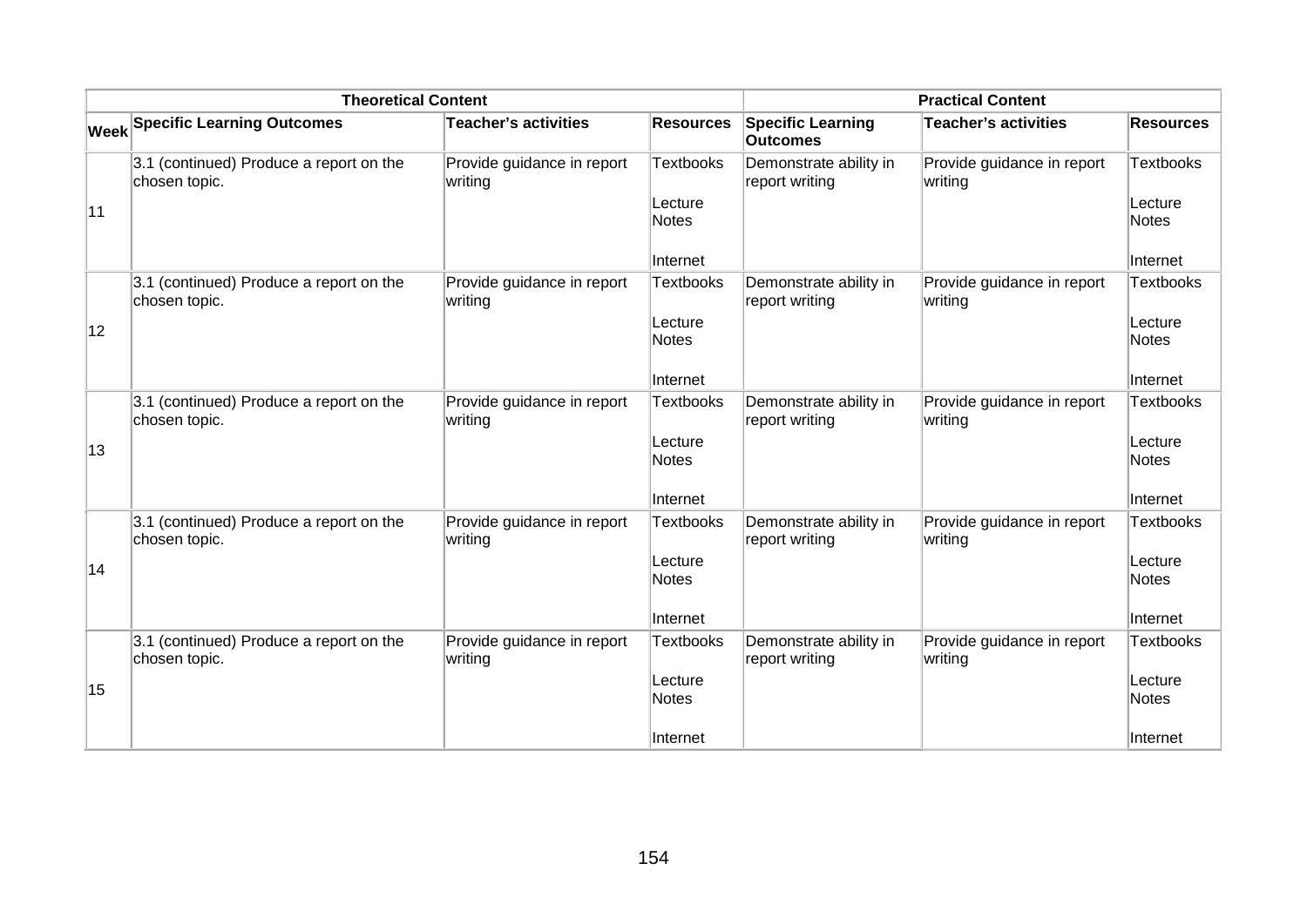|    | <b>Theoretical Content</b>                               | <b>Practical Content</b>              |                                                         |                                             |                                       |                                                         |
|----|----------------------------------------------------------|---------------------------------------|---------------------------------------------------------|---------------------------------------------|---------------------------------------|---------------------------------------------------------|
|    | <b>Week Specific Learning Outcomes</b>                   | <b>Teacher's activities</b>           | <b>Resources</b>                                        | <b>Specific Learning</b><br><b>Outcomes</b> | Teacher's activities                  | <b>Resources</b>                                        |
| 11 | 3.1 (continued) Produce a report on the<br>chosen topic. | Provide guidance in report<br>writing | <b>Textbooks</b><br>Lecture<br><b>Notes</b><br>Internet | Demonstrate ability in<br>report writing    | Provide guidance in report<br>writing | <b>Textbooks</b><br>Lecture<br><b>Notes</b><br>Internet |
| 12 | 3.1 (continued) Produce a report on the<br>chosen topic. | Provide guidance in report<br>writing | <b>Textbooks</b><br>Lecture<br><b>Notes</b><br>Internet | Demonstrate ability in<br>report writing    | Provide guidance in report<br>writing | Textbooks<br>Lecture<br><b>Notes</b><br>Internet        |
| 13 | 3.1 (continued) Produce a report on the<br>chosen topic. | Provide guidance in report<br>writing | <b>Textbooks</b><br>Lecture<br><b>Notes</b><br>Internet | Demonstrate ability in<br>report writing    | Provide guidance in report<br>writing | <b>Textbooks</b><br>Lecture<br><b>Notes</b><br>Internet |
| 14 | 3.1 (continued) Produce a report on the<br>chosen topic. | Provide guidance in report<br>writing | <b>Textbooks</b><br>Lecture<br>Notes<br>Internet        | Demonstrate ability in<br>report writing    | Provide guidance in report<br>writing | <b>Textbooks</b><br>Lecture<br><b>Notes</b><br>Internet |
| 15 | 3.1 (continued) Produce a report on the<br>chosen topic. | Provide guidance in report<br>writing | <b>Textbooks</b><br>Lecture<br><b>Notes</b><br>Internet | Demonstrate ability in<br>report writing    | Provide guidance in report<br>writing | <b>Textbooks</b><br>Lecture<br><b>Notes</b><br>Internet |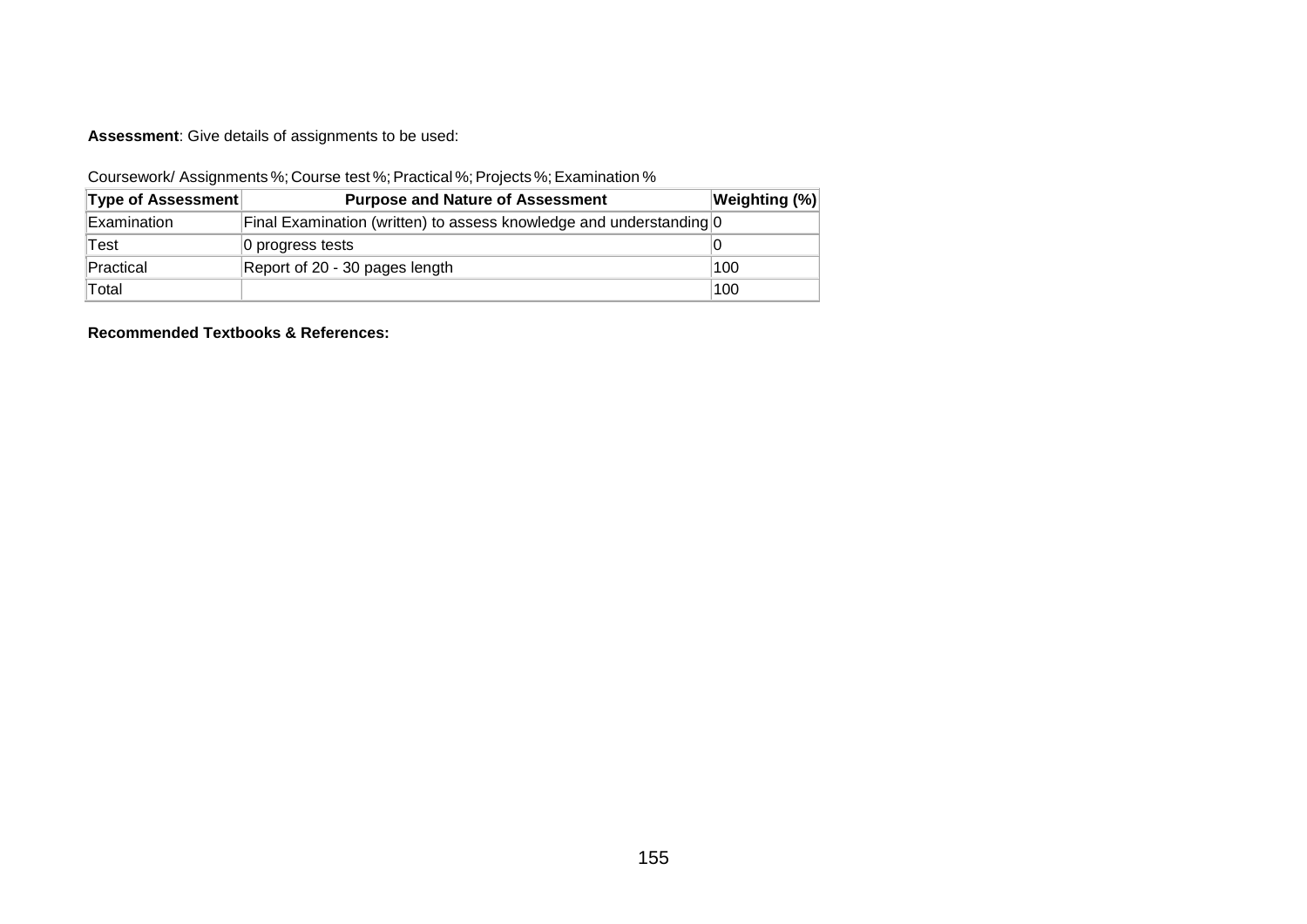**Assessment**: Give details of assignments to be used:

Coursework/ Assignments %; Course test %; Practical %; Projects %; Examination %

| <b>Type of Assessment</b> | <b>Purpose and Nature of Assessment</b>                             | <b>Weighting (%)</b> |
|---------------------------|---------------------------------------------------------------------|----------------------|
| Examination               | Final Examination (written) to assess knowledge and understanding 0 |                      |
| Test                      | 0 progress tests                                                    |                      |
| Practical                 | Report of 20 - 30 pages length                                      | 100                  |
| Total                     |                                                                     | 100                  |

**Recommended Textbooks & References:**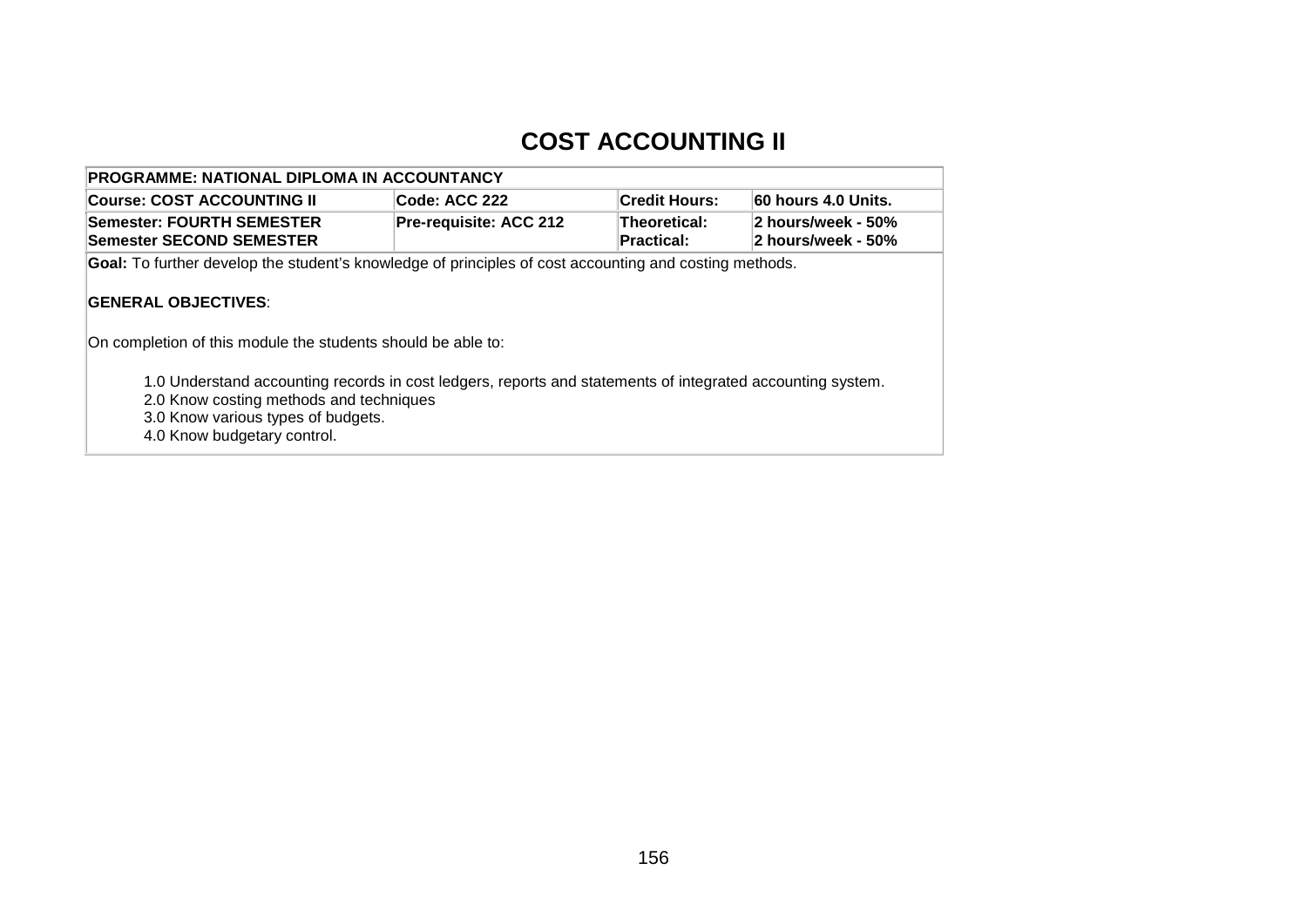## **COST ACCOUNTING II**

| PROGRAMME: NATIONAL DIPLOMA IN ACCOUNTANCY                                                                                                                                                                                 |                        |                                   |                                          |  |  |  |
|----------------------------------------------------------------------------------------------------------------------------------------------------------------------------------------------------------------------------|------------------------|-----------------------------------|------------------------------------------|--|--|--|
| Code: ACC 222<br>60 hours 4.0 Units.<br><b>Course: COST ACCOUNTING II</b><br><b>Credit Hours:</b>                                                                                                                          |                        |                                   |                                          |  |  |  |
| <b>Semester: FOURTH SEMESTER</b><br><b>Semester SECOND SEMESTER</b>                                                                                                                                                        | Pre-requisite: ACC 212 | Theoretical:<br><b>Practical:</b> | 2 hours/week - 50%<br>2 hours/week - 50% |  |  |  |
| <b>Goal:</b> To further develop the student's knowledge of principles of cost accounting and costing methods.                                                                                                              |                        |                                   |                                          |  |  |  |
| <b>IGENERAL OBJECTIVES:</b><br>On completion of this module the students should be able to:                                                                                                                                |                        |                                   |                                          |  |  |  |
| 1.0 Understand accounting records in cost ledgers, reports and statements of integrated accounting system.<br>2.0 Know costing methods and techniques<br>3.0 Know various types of budgets.<br>4.0 Know budgetary control. |                        |                                   |                                          |  |  |  |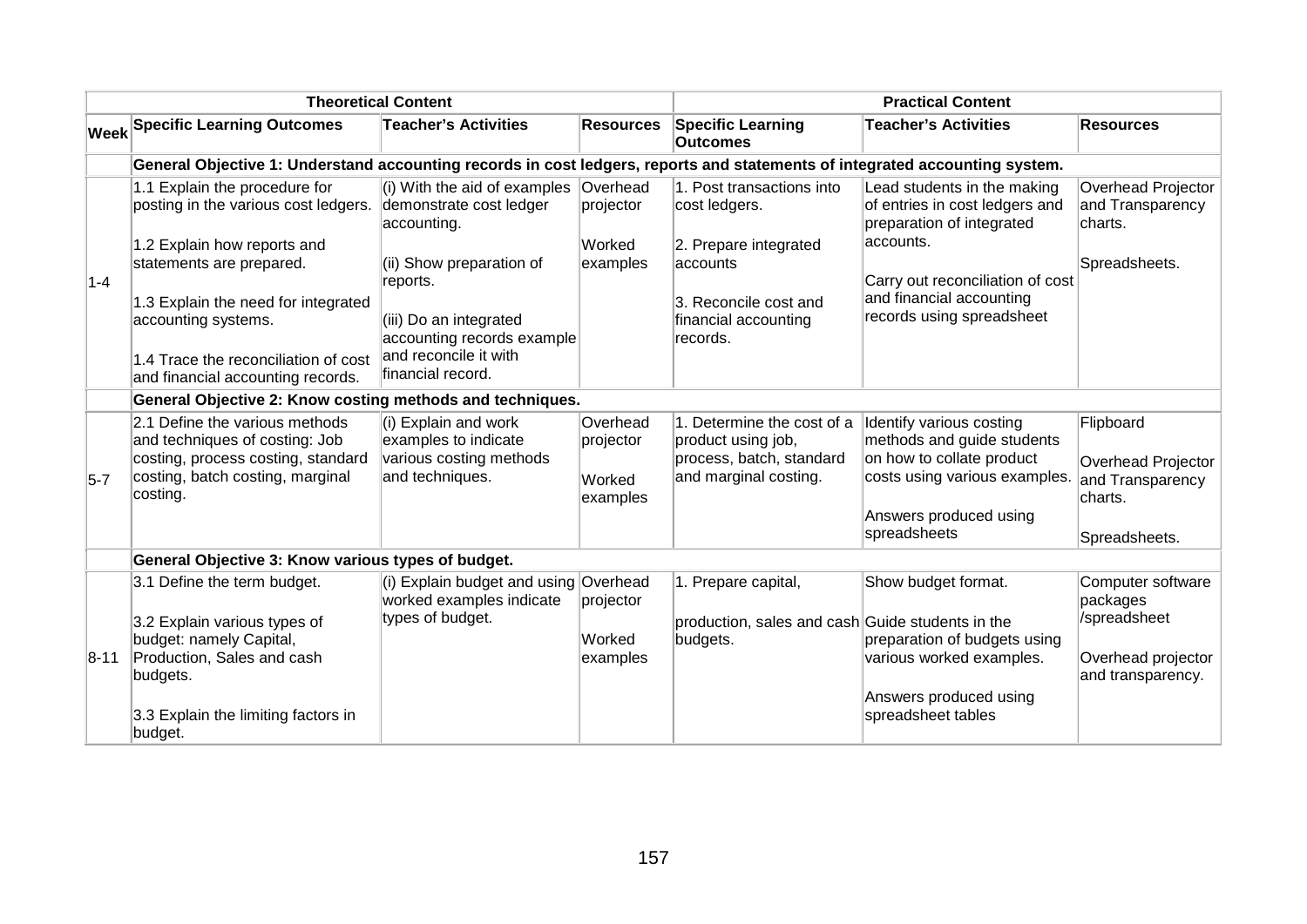|             |                                                                                                                                                        | <b>Theoretical Content</b>                                                                 | <b>Practical Content</b>                    |                                                                                                       |                                                                                                                                                |                                                                |
|-------------|--------------------------------------------------------------------------------------------------------------------------------------------------------|--------------------------------------------------------------------------------------------|---------------------------------------------|-------------------------------------------------------------------------------------------------------|------------------------------------------------------------------------------------------------------------------------------------------------|----------------------------------------------------------------|
| <b>Week</b> | <b>Specific Learning Outcomes</b>                                                                                                                      | <b>Teacher's Activities</b>                                                                | <b>Resources</b>                            | <b>Specific Learning</b><br><b>Outcomes</b>                                                           | <b>Teacher's Activities</b>                                                                                                                    | <b>Resources</b>                                               |
|             | General Objective 1: Understand accounting records in cost ledgers, reports and statements of integrated accounting system.                            |                                                                                            |                                             |                                                                                                       |                                                                                                                                                |                                                                |
|             | 1.1 Explain the procedure for<br>posting in the various cost ledgers.                                                                                  | (i) With the aid of examples<br>demonstrate cost ledger<br>accounting.                     | Overhead<br> projector                      | 1. Post transactions into<br>cost ledgers.                                                            | Lead students in the making<br>of entries in cost ledgers and<br>preparation of integrated                                                     | Overhead Projector<br>and Transparency<br>charts.              |
| $ 1-4 $     | 1.2 Explain how reports and<br>statements are prepared.                                                                                                | (ii) Show preparation of<br>reports.                                                       | Worked<br>examples                          | 2. Prepare integrated<br>accounts                                                                     | accounts.<br>Carry out reconciliation of cost                                                                                                  | Spreadsheets.                                                  |
|             | 1.3 Explain the need for integrated<br>accounting systems.                                                                                             | (iii) Do an integrated<br>accounting records example                                       |                                             | 3. Reconcile cost and<br>financial accounting<br>records.                                             | and financial accounting<br>records using spreadsheet                                                                                          |                                                                |
|             | 1.4 Trace the reconciliation of cost<br>and financial accounting records.                                                                              | and reconcile it with<br>financial record.                                                 |                                             |                                                                                                       |                                                                                                                                                |                                                                |
|             | General Objective 2: Know costing methods and techniques.                                                                                              |                                                                                            |                                             |                                                                                                       |                                                                                                                                                |                                                                |
| $5-7$       | 2.1 Define the various methods<br>and techniques of costing: Job<br>costing, process costing, standard<br>costing, batch costing, marginal<br>costing. | (i) Explain and work<br>examples to indicate<br>various costing methods<br>and techniques. | Overhead<br>projector<br>Worked<br>examples | 1. Determine the cost of a<br>product using job,<br>process, batch, standard<br>and marginal costing. | Identify various costing<br>methods and guide students<br>on how to collate product<br>costs using various examples.<br>Answers produced using | Flipboard<br>Overhead Projector<br>and Transparency<br>charts. |
|             |                                                                                                                                                        |                                                                                            |                                             |                                                                                                       | spreadsheets                                                                                                                                   | Spreadsheets.                                                  |
|             | General Objective 3: Know various types of budget.                                                                                                     |                                                                                            |                                             |                                                                                                       |                                                                                                                                                |                                                                |
|             | 3.1 Define the term budget.<br>3.2 Explain various types of<br>budget: namely Capital,                                                                 | (i) Explain budget and using Overhead<br>worked examples indicate<br>types of budget.      | projector<br>Worked                         | 1. Prepare capital,<br>production, sales and cash Guide students in the<br>budgets.                   | Show budget format.<br>preparation of budgets using                                                                                            | Computer software<br>packages<br>/spreadsheet                  |
| $ 8 - 11 $  | Production, Sales and cash<br>budgets.                                                                                                                 |                                                                                            | examples                                    |                                                                                                       | various worked examples.<br>Answers produced using                                                                                             | Overhead projector<br>and transparency.                        |
|             | 3.3 Explain the limiting factors in<br>budget.                                                                                                         |                                                                                            |                                             |                                                                                                       | spreadsheet tables                                                                                                                             |                                                                |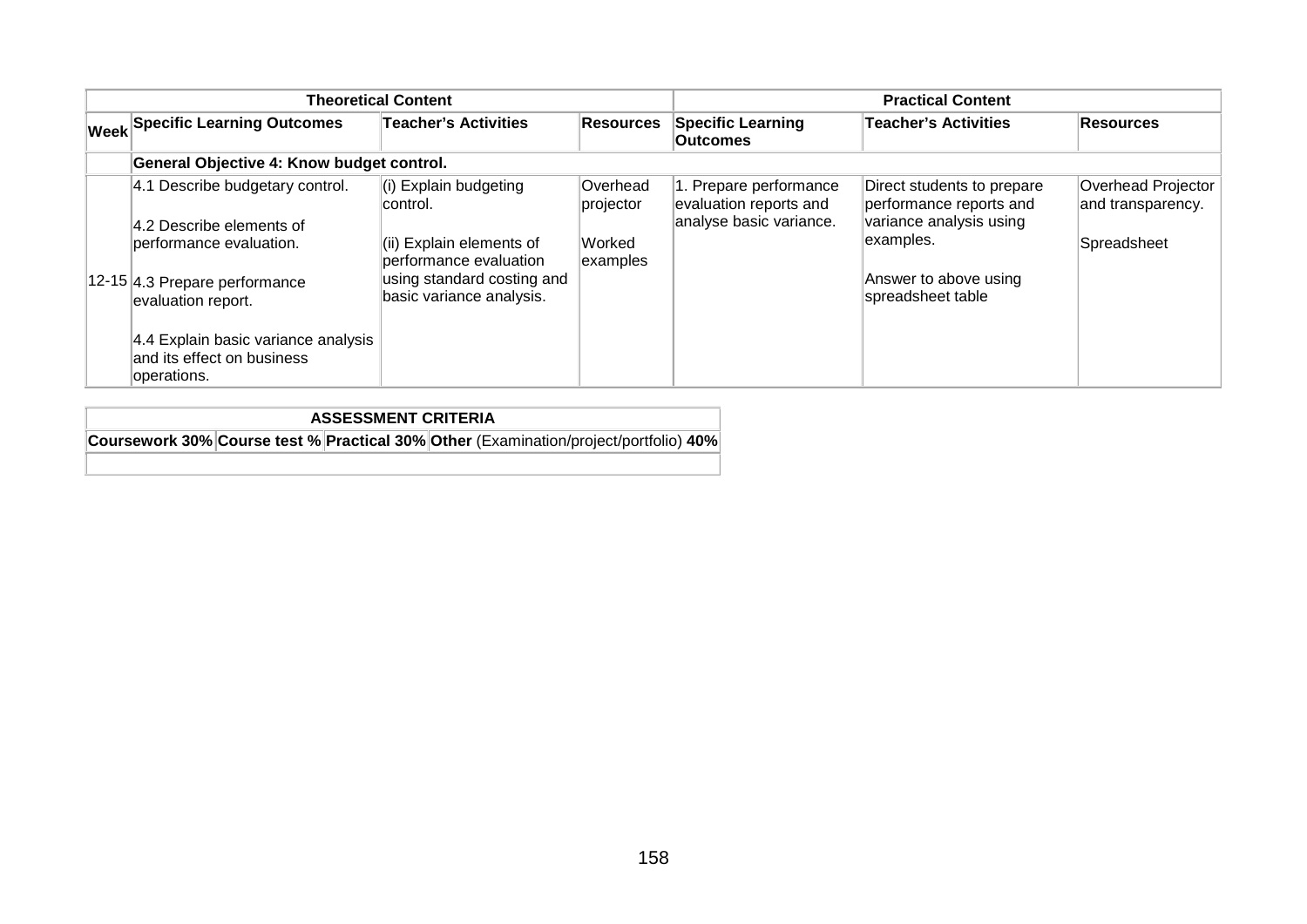|                                                                                                                                                                                      | <b>Theoretical Content</b>                                                                                                                        | <b>Practical Content</b>                    |                                                                             |                                                                                                                                             |                                                        |
|--------------------------------------------------------------------------------------------------------------------------------------------------------------------------------------|---------------------------------------------------------------------------------------------------------------------------------------------------|---------------------------------------------|-----------------------------------------------------------------------------|---------------------------------------------------------------------------------------------------------------------------------------------|--------------------------------------------------------|
| <b>Week Specific Learning Outcomes</b>                                                                                                                                               | <b>Teacher's Activities</b>                                                                                                                       | <b>Resources</b>                            | <b>Specific Learning</b><br><b>Outcomes</b>                                 | Teacher's Activities                                                                                                                        | <b>Resources</b>                                       |
| General Objective 4: Know budget control.                                                                                                                                            |                                                                                                                                                   |                                             |                                                                             |                                                                                                                                             |                                                        |
| 4.1 Describe budgetary control.<br>4.2 Describe elements of<br>berformance evaluation.<br>12-15 4.3 Prepare performance<br>evaluation report.<br>4.4 Explain basic variance analysis | (i) Explain budgeting<br>control.<br>(ii) Explain elements of<br>performance evaluation<br>using standard costing and<br>basic variance analysis. | Overhead<br>projector<br>Worked<br>examples | 1. Prepare performance<br>evaluation reports and<br>analyse basic variance. | Direct students to prepare<br>performance reports and<br>variance analysis using<br>examples.<br>Answer to above using<br>spreadsheet table | Overhead Projector<br>and transparency.<br>Spreadsheet |
| land its effect on business<br>operations.                                                                                                                                           |                                                                                                                                                   |                                             |                                                                             |                                                                                                                                             |                                                        |

**ASSESSMENT CRITERIA Coursework 30% Course test % Practical 30% Other** (Examination/project/portfolio) **40%**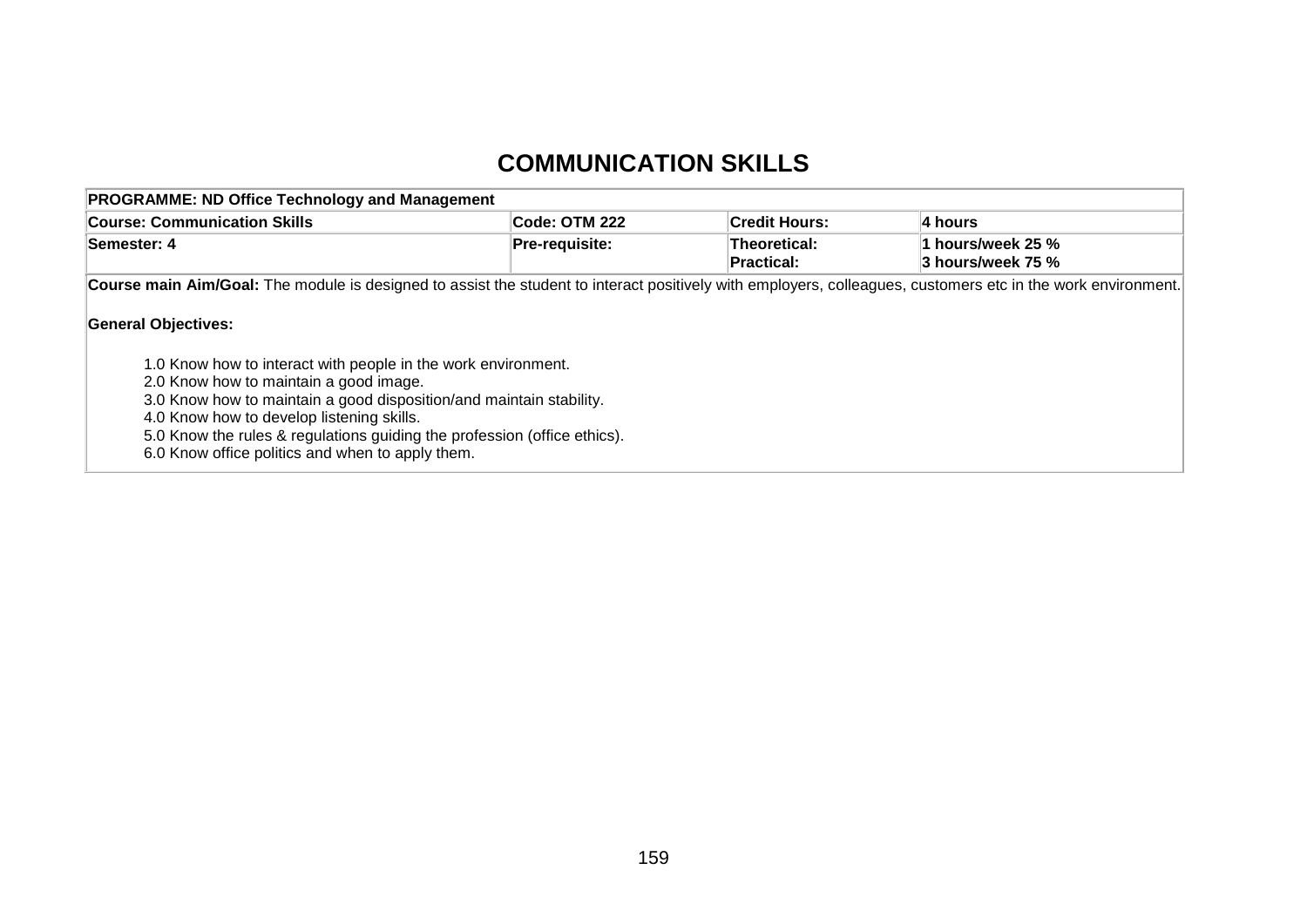## **COMMUNICATION SKILLS**

| <b>PROGRAMME: ND Office Technology and Management</b>                                                                                                        |                |                                   |                                        |  |  |  |
|--------------------------------------------------------------------------------------------------------------------------------------------------------------|----------------|-----------------------------------|----------------------------------------|--|--|--|
| <b>Course: Communication Skills</b>                                                                                                                          | Code: OTM 222  | ∣Credit Hours:                    | ∣4 hours                               |  |  |  |
| Semester: 4                                                                                                                                                  | Pre-requisite: | Theoretical:<br><b>Practical:</b> | 1 hours/week 25 %<br>3 hours/week 75 % |  |  |  |
| Course main Aim/Goal: The module is designed to assist the student to interact positively with employers, colleagues, customers etc in the work environment. |                |                                   |                                        |  |  |  |
| <b>General Objectives:</b>                                                                                                                                   |                |                                   |                                        |  |  |  |

1.0 Know how to interact with people in the work environment.

2.0 Know how to maintain a good image.

3.0 Know how to maintain a good disposition/and maintain stability.

4.0 Know how to develop listening skills.

5.0 Know the rules & regulations guiding the profession (office ethics).

6.0 Know office politics and when to apply them.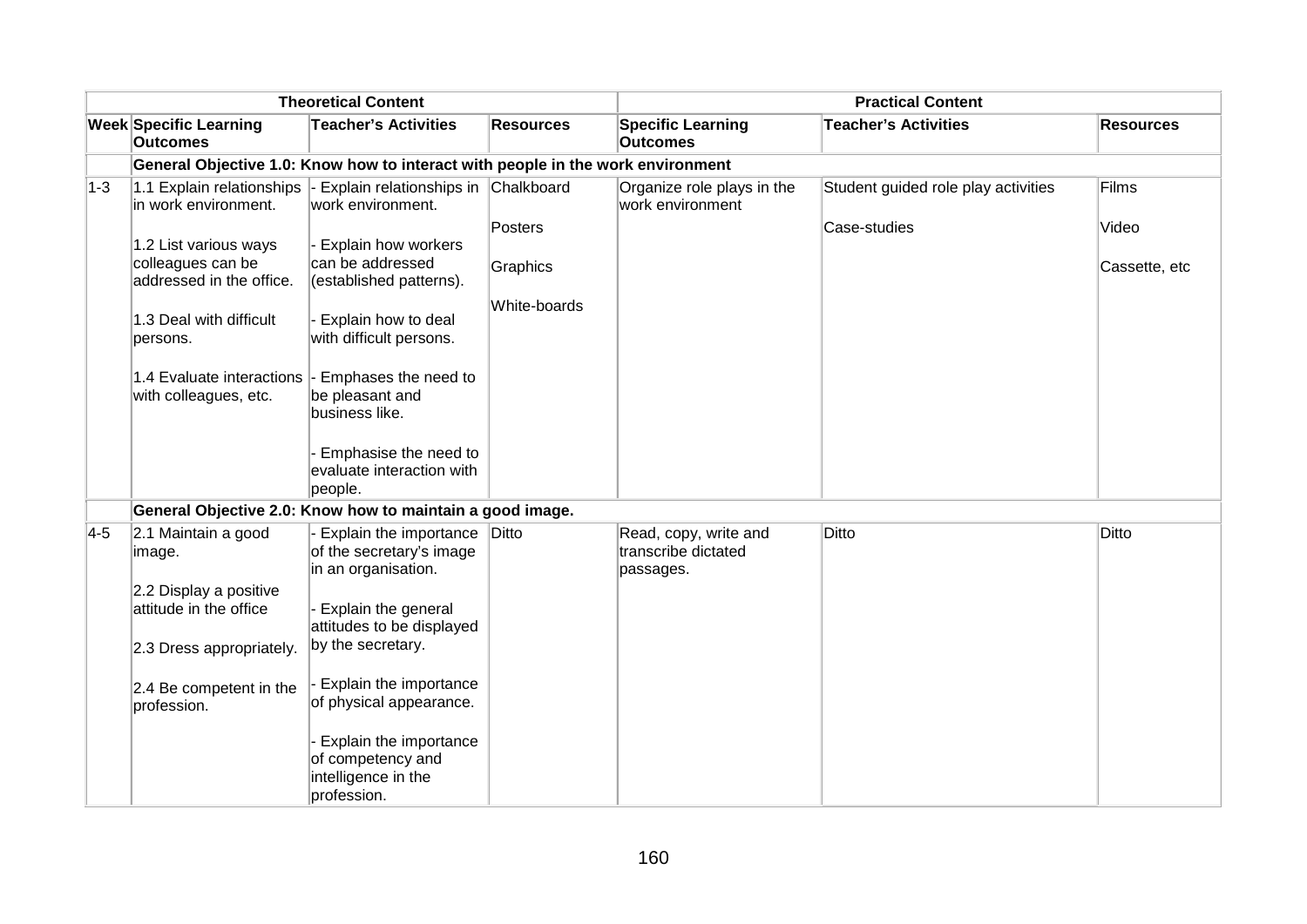|         | <b>Theoretical Content</b>                           |                                                                                 |                  | <b>Practical Content</b>                       |                                     |                  |  |  |
|---------|------------------------------------------------------|---------------------------------------------------------------------------------|------------------|------------------------------------------------|-------------------------------------|------------------|--|--|
|         | <b>Week Specific Learning</b><br><b>Outcomes</b>     | <b>Teacher's Activities</b>                                                     | <b>Resources</b> | <b>Specific Learning</b><br><b>Outcomes</b>    | <b>Teacher's Activities</b>         | <b>Resources</b> |  |  |
|         |                                                      | General Objective 1.0: Know how to interact with people in the work environment |                  |                                                |                                     |                  |  |  |
| $ 1-3 $ | 1.1 Explain relationships  -<br>in work environment. | Explain relationships in<br>work environment.                                   | Chalkboard       | Organize role plays in the<br>work environment | Student guided role play activities | Films            |  |  |
|         |                                                      |                                                                                 | Posters          |                                                | Case-studies                        | Video            |  |  |
|         | 1.2 List various ways                                | Explain how workers                                                             |                  |                                                |                                     |                  |  |  |
|         | colleagues can be<br>addressed in the office.        | can be addressed<br>(established patterns).                                     | Graphics         |                                                |                                     | Cassette, etc    |  |  |
|         |                                                      |                                                                                 | White-boards     |                                                |                                     |                  |  |  |
|         | 1.3 Deal with difficult                              | Explain how to deal                                                             |                  |                                                |                                     |                  |  |  |
|         | persons.                                             | with difficult persons.                                                         |                  |                                                |                                     |                  |  |  |
|         | 1.4 Evaluate interactions -                          | Emphases the need to                                                            |                  |                                                |                                     |                  |  |  |
|         | with colleagues, etc.                                | be pleasant and                                                                 |                  |                                                |                                     |                  |  |  |
|         |                                                      | business like.                                                                  |                  |                                                |                                     |                  |  |  |
|         |                                                      | Emphasise the need to                                                           |                  |                                                |                                     |                  |  |  |
|         |                                                      | evaluate interaction with<br>people.                                            |                  |                                                |                                     |                  |  |  |
|         |                                                      | General Objective 2.0: Know how to maintain a good image.                       |                  |                                                |                                     |                  |  |  |
| $ 4-5 $ | 2.1 Maintain a good                                  | Explain the importance                                                          | Ditto            | Read, copy, write and                          | Ditto                               | Ditto            |  |  |
|         | image.                                               | of the secretary's image<br>in an organisation.                                 |                  | transcribe dictated<br>passages.               |                                     |                  |  |  |
|         | 2.2 Display a positive                               |                                                                                 |                  |                                                |                                     |                  |  |  |
|         | attitude in the office                               | Explain the general<br>attitudes to be displayed                                |                  |                                                |                                     |                  |  |  |
|         | 2.3 Dress appropriately.                             | by the secretary.                                                               |                  |                                                |                                     |                  |  |  |
|         | 2.4 Be competent in the<br>profession.               | Explain the importance<br>of physical appearance.                               |                  |                                                |                                     |                  |  |  |
|         |                                                      | Explain the importance                                                          |                  |                                                |                                     |                  |  |  |
|         |                                                      | of competency and                                                               |                  |                                                |                                     |                  |  |  |
|         |                                                      | intelligence in the<br>profession.                                              |                  |                                                |                                     |                  |  |  |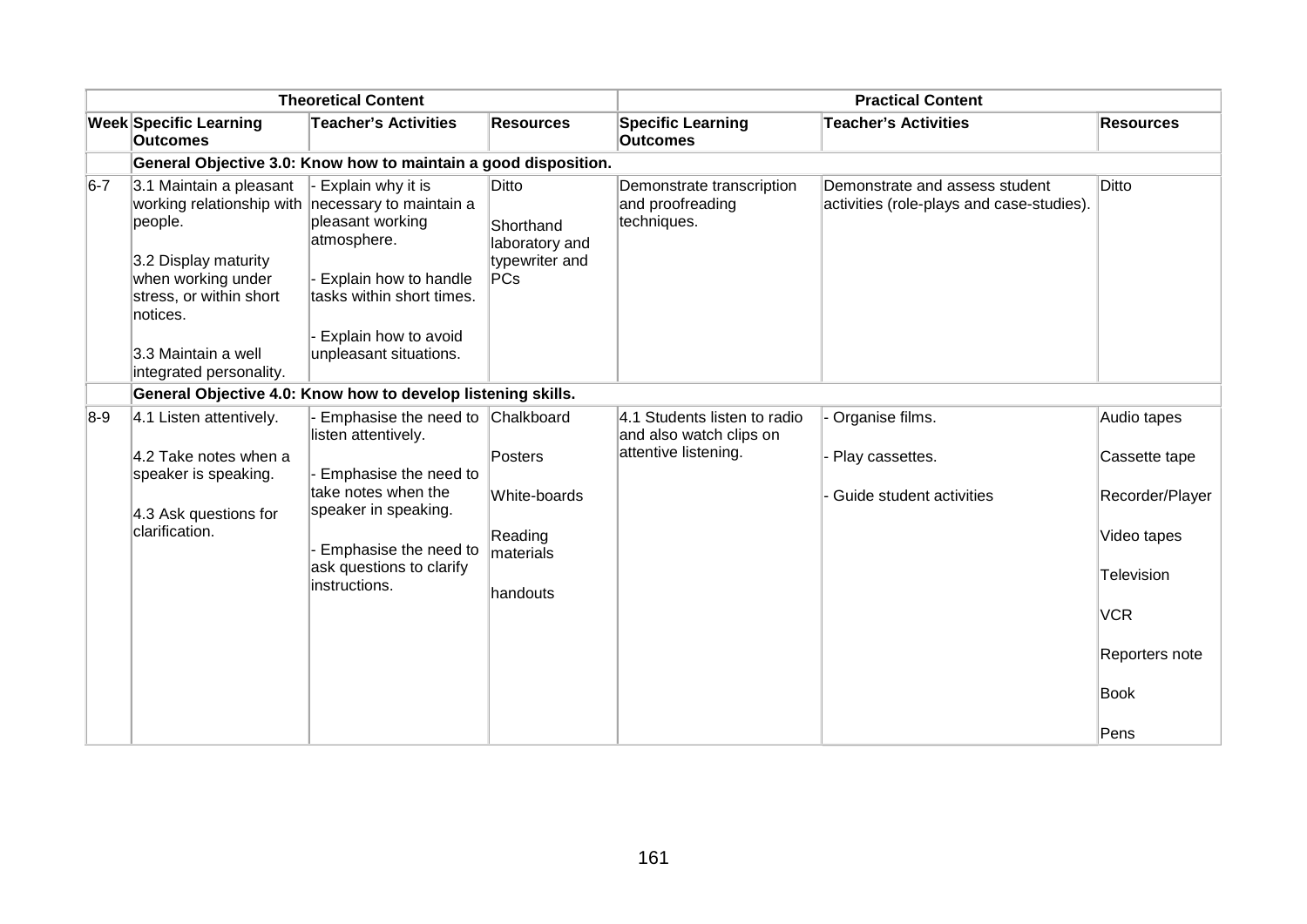|       | <b>Theoretical Content</b>                                                                                                                                                   |                                                                                                                                                                                            |                                                                           | <b>Practical Content</b>                                                        |                                                                             |                                                                                                                                     |  |
|-------|------------------------------------------------------------------------------------------------------------------------------------------------------------------------------|--------------------------------------------------------------------------------------------------------------------------------------------------------------------------------------------|---------------------------------------------------------------------------|---------------------------------------------------------------------------------|-----------------------------------------------------------------------------|-------------------------------------------------------------------------------------------------------------------------------------|--|
|       | <b>Week Specific Learning</b><br><b>Outcomes</b>                                                                                                                             | <b>Teacher's Activities</b>                                                                                                                                                                | <b>Resources</b>                                                          | <b>Specific Learning</b><br><b>Outcomes</b>                                     | <b>Teacher's Activities</b>                                                 | <b>Resources</b>                                                                                                                    |  |
|       |                                                                                                                                                                              | General Objective 3.0: Know how to maintain a good disposition.                                                                                                                            |                                                                           |                                                                                 |                                                                             |                                                                                                                                     |  |
| $6-7$ | 3.1 Maintain a pleasant<br>working relationship with necessary to maintain a<br>people.<br>3.2 Display maturity<br>when working under<br>stress, or within short<br>notices. | Explain why it is<br>pleasant working<br>atmosphere.<br>- Explain how to handle<br>tasks within short times.<br>Explain how to avoid                                                       | Ditto<br>Shorthand<br>laboratory and<br>typewriter and<br>PCs             | Demonstrate transcription<br>and proofreading<br>techniques.                    | Demonstrate and assess student<br>activities (role-plays and case-studies). | Ditto                                                                                                                               |  |
|       | 3.3 Maintain a well<br>integrated personality.                                                                                                                               | unpleasant situations.                                                                                                                                                                     |                                                                           |                                                                                 |                                                                             |                                                                                                                                     |  |
|       |                                                                                                                                                                              | General Objective 4.0: Know how to develop listening skills.                                                                                                                               |                                                                           |                                                                                 |                                                                             |                                                                                                                                     |  |
| $8-9$ | 4.1 Listen attentively.<br>4.2 Take notes when a<br>speaker is speaking.<br>4.3 Ask questions for<br>clarification.                                                          | Emphasise the need to<br>listen attentively.<br>Emphasise the need to<br>take notes when the<br>speaker in speaking.<br>Emphasise the need to<br>ask questions to clarify<br>instructions. | Chalkboard<br>Posters<br>White-boards<br>Reading<br>materials<br>handouts | 4.1 Students listen to radio<br>and also watch clips on<br>attentive listening. | Organise films.<br>Play cassettes.<br>Guide student activities              | Audio tapes<br>Cassette tape<br>Recorder/Player<br>Video tapes<br>Television<br><b>VCR</b><br>Reporters note<br><b>Book</b><br>Pens |  |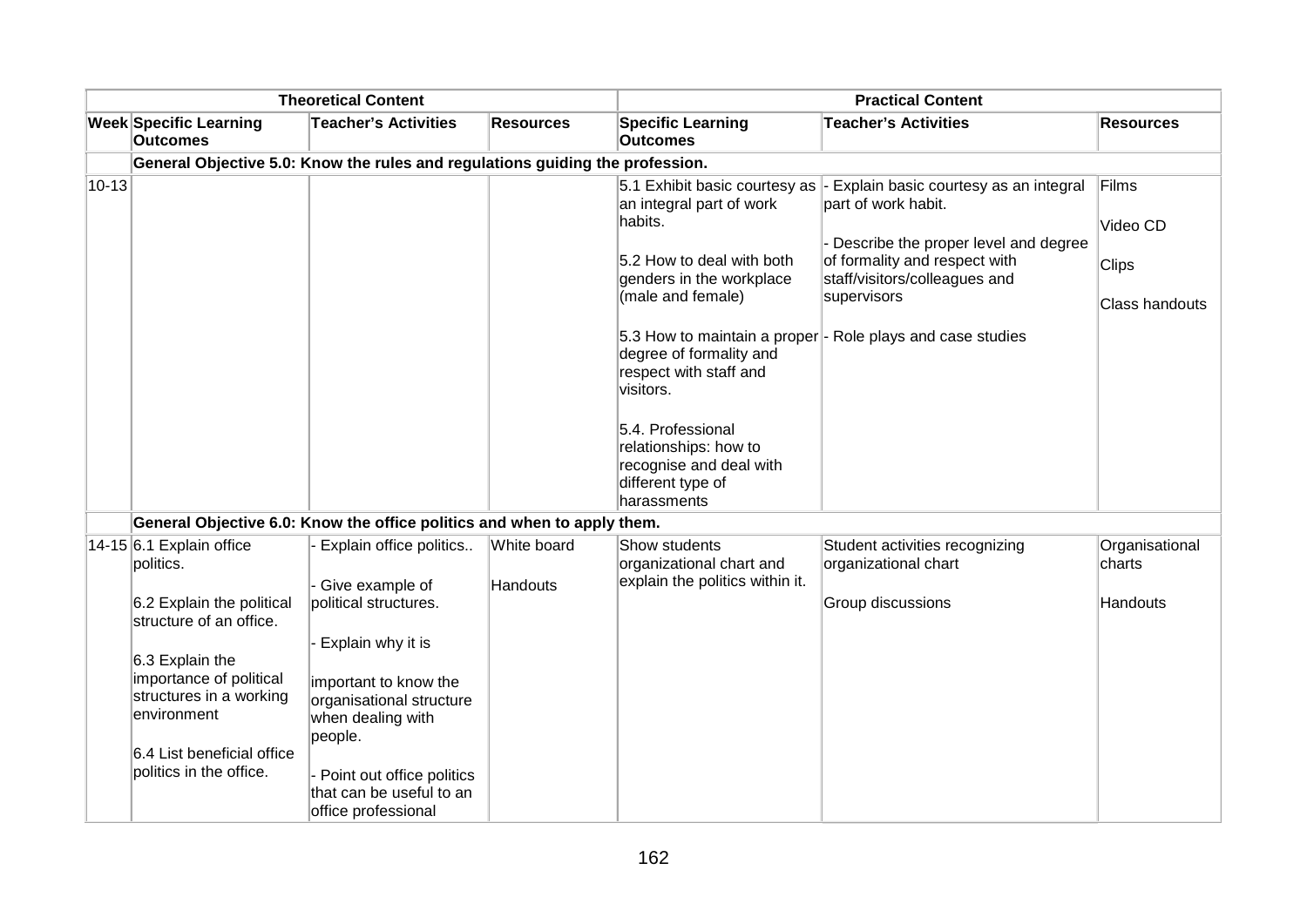| <b>Theoretical Content</b> |                                                                                                                                                                                                       |                                                                                                                                                                                                                 | <b>Practical Content</b>       |                                                                                                                                                                                                                                                                                                                    |                                                                                                                                                                                                                                                         |                                                     |
|----------------------------|-------------------------------------------------------------------------------------------------------------------------------------------------------------------------------------------------------|-----------------------------------------------------------------------------------------------------------------------------------------------------------------------------------------------------------------|--------------------------------|--------------------------------------------------------------------------------------------------------------------------------------------------------------------------------------------------------------------------------------------------------------------------------------------------------------------|---------------------------------------------------------------------------------------------------------------------------------------------------------------------------------------------------------------------------------------------------------|-----------------------------------------------------|
|                            | <b>Week Specific Learning</b><br><b>Outcomes</b>                                                                                                                                                      | <b>Teacher's Activities</b>                                                                                                                                                                                     | <b>Resources</b>               | <b>Specific Learning</b><br><b>Outcomes</b>                                                                                                                                                                                                                                                                        | <b>Teacher's Activities</b>                                                                                                                                                                                                                             | <b>Resources</b>                                    |
|                            |                                                                                                                                                                                                       | General Objective 5.0: Know the rules and regulations guiding the profession.                                                                                                                                   |                                |                                                                                                                                                                                                                                                                                                                    |                                                                                                                                                                                                                                                         |                                                     |
| $10 - 13$                  |                                                                                                                                                                                                       |                                                                                                                                                                                                                 |                                | 5.1 Exhibit basic courtesy as<br>an integral part of work<br>habits.<br>5.2 How to deal with both<br>genders in the workplace<br>(male and female)<br>degree of formality and<br>respect with staff and<br>visitors.<br>5.4. Professional<br>relationships: how to<br>recognise and deal with<br>different type of | - Explain basic courtesy as an integral<br>part of work habit.<br>- Describe the proper level and degree<br>of formality and respect with<br>staff/visitors/colleagues and<br>supervisors<br>5.3 How to maintain a proper - Role plays and case studies | Films<br>Video CD<br><b>Clips</b><br>Class handouts |
|                            |                                                                                                                                                                                                       | General Objective 6.0: Know the office politics and when to apply them.                                                                                                                                         |                                | harassments                                                                                                                                                                                                                                                                                                        |                                                                                                                                                                                                                                                         |                                                     |
|                            | $14-15$ 6.1 Explain office<br>politics.                                                                                                                                                               | Explain office politics<br>Give example of                                                                                                                                                                      | White board<br><b>Handouts</b> | Show students<br>organizational chart and<br>explain the politics within it.                                                                                                                                                                                                                                       | Student activities recognizing<br>organizational chart                                                                                                                                                                                                  | Organisational<br>charts                            |
|                            | 6.2 Explain the political<br>structure of an office.<br>6.3 Explain the<br>importance of political<br>structures in a working<br>environment<br>6.4 List beneficial office<br>politics in the office. | political structures.<br>Explain why it is<br>important to know the<br>organisational structure<br>when dealing with<br>people.<br>Point out office politics<br>that can be useful to an<br>office professional |                                |                                                                                                                                                                                                                                                                                                                    | Group discussions                                                                                                                                                                                                                                       | Handouts                                            |